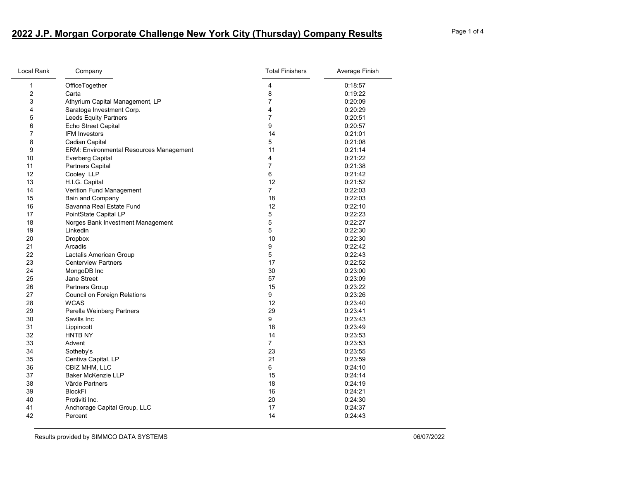## **2022 J.P. Morgan Corporate Challenge New York City (Thursday) Company Results** Page 1 of 4

| Local Rank              | Company                                        | <b>Total Finishers</b> | Average Finish |
|-------------------------|------------------------------------------------|------------------------|----------------|
| $\mathbf{1}$            | OfficeTogether                                 | 4                      | 0:18:57        |
| $\overline{\mathbf{c}}$ | Carta                                          | 8                      | 0:19:22        |
| 3                       | Athyrium Capital Management, LP                | $\overline{7}$         | 0:20:09        |
| 4                       | Saratoga Investment Corp.                      | 4                      | 0:20:29        |
| 5                       | Leeds Equity Partners                          | $\overline{7}$         | 0:20:51        |
| 6                       | Echo Street Capital                            | 9                      | 0:20:57        |
| 7                       | <b>IFM Investors</b>                           | 14                     | 0.21:01        |
| 8                       | Cadian Capital                                 | 5                      | 0:21:08        |
| 9                       | <b>ERM: Environmental Resources Management</b> | 11                     | 0.21:14        |
| 10                      | <b>Everberg Capital</b>                        | 4                      | 0:21:22        |
| 11                      | Partners Capital                               | $\overline{7}$         | 0:21:38        |
| 12                      | Cooley LLP                                     | 6                      | 0:21:42        |
| 13                      | H.I.G. Capital                                 | 12                     | 0:21:52        |
| 14                      | Verition Fund Management                       | $\overline{7}$         | 0:22:03        |
| 15                      | Bain and Company                               | 18                     | 0.22:03        |
| 16                      | Savanna Real Estate Fund                       | 12                     | 0:22:10        |
| 17                      | PointState Capital LP                          | 5                      | 0:22:23        |
| 18                      | Norges Bank Investment Management              | 5                      | 0:22:27        |
| 19                      | Linkedin                                       | 5                      | 0:22:30        |
| 20                      | <b>Dropbox</b>                                 | 10                     | 0:22:30        |
| 21                      | Arcadis                                        | 9                      | 0:22:42        |
| 22                      | Lactalis American Group                        | 5                      | 0:22:43        |
| 23                      | <b>Centerview Partners</b>                     | 17                     | 0:22:52        |
| 24                      | MongoDB Inc                                    | 30                     | 0:23:00        |
| 25                      | Jane Street                                    | 57                     | 0:23:09        |
| 26                      | <b>Partners Group</b>                          | 15                     | 0:23:22        |
| 27                      | Council on Foreign Relations                   | 9                      | 0:23:26        |
| 28                      | <b>WCAS</b>                                    | 12                     | 0:23:40        |
| 29                      | Perella Weinberg Partners                      | 29                     | 0.23:41        |
| 30                      | Savills Inc.                                   | 9                      | 0:23:43        |
| 31                      | Lippincott                                     | 18                     | 0:23:49        |
| 32                      | HNTB NY                                        | 14                     | 0:23:53        |
| 33                      | Advent                                         | $\overline{7}$         | 0.23:53        |
| 34                      | Sotheby's                                      | 23                     | 0:23:55        |
| 35                      | Centiva Capital, LP                            | 21                     | 0:23:59        |
| 36                      | CBIZ MHM, LLC                                  | 6                      | 0:24:10        |
| 37                      | <b>Baker McKenzie LLP</b>                      | 15                     | 0:24:14        |
| 38                      | Värde Partners                                 | 18                     | 0:24:19        |
| 39                      | <b>BlockFi</b>                                 | 16                     | 0:24:21        |
| 40                      | Protiviti Inc.                                 | 20                     | 0:24:30        |
| 41                      | Anchorage Capital Group, LLC                   | 17                     | 0:24:37        |
| 42                      | Percent                                        | 14                     | 0.24:43        |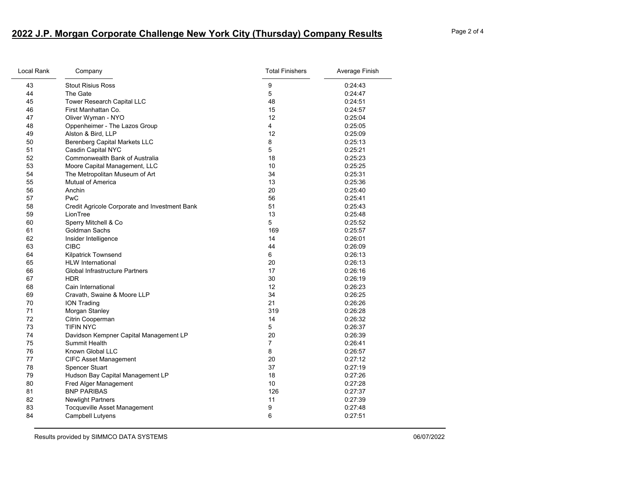## **2022 J.P. Morgan Corporate Challenge New York City (Thursday) Company Results** Page 2 of 4

| Local Rank<br>Company |                                               | <b>Total Finishers</b> | Average Finish |  |
|-----------------------|-----------------------------------------------|------------------------|----------------|--|
| 43                    | <b>Stout Risius Ross</b>                      | 9                      | 0:24:43        |  |
| 44                    | The Gate                                      | 5                      | 0.24.47        |  |
| 45                    | Tower Research Capital LLC                    | 48                     | 0:24:51        |  |
| 46                    | First Manhattan Co.                           | 15                     | 0:24:57        |  |
| 47                    | Oliver Wyman - NYO                            | 12                     | 0:25:04        |  |
| 48                    | Oppenheimer - The Lazos Group                 | 4                      | 0:25:05        |  |
| 49                    | Alston & Bird, LLP                            | 12                     | 0:25:09        |  |
| 50                    | Berenberg Capital Markets LLC                 | 8                      | 0:25:13        |  |
| 51                    | Casdin Capital NYC                            | 5                      | 0:25:21        |  |
| 52                    | <b>Commonwealth Bank of Australia</b>         | 18                     | 0:25:23        |  |
| 53                    | Moore Capital Management, LLC                 | 10                     | 0:25:25        |  |
| 54                    | The Metropolitan Museum of Art                | 34                     | 0:25:31        |  |
| 55                    | <b>Mutual of America</b>                      | 13                     | 0.25:36        |  |
| 56                    | Anchin                                        | 20                     | 0:25:40        |  |
| 57                    | <b>PwC</b>                                    | 56                     | 0:25:41        |  |
| 58                    | Credit Agricole Corporate and Investment Bank | 51                     | 0:25:43        |  |
| 59                    | LionTree                                      | 13                     | 0:25:48        |  |
| 60                    | Sperry Mitchell & Co                          | 5                      | 0:25:52        |  |
| 61                    | Goldman Sachs                                 | 169                    | 0:25:57        |  |
| 62                    | Insider Intelligence                          | 14                     | 0:26:01        |  |
| 63                    | <b>CIBC</b>                                   | 44                     | 0:26:09        |  |
| 64                    | <b>Kilpatrick Townsend</b>                    | 6                      | 0:26:13        |  |
| 65                    | <b>HLW</b> International                      | 20                     | 0:26:13        |  |
| 66                    | <b>Global Infrastructure Partners</b>         | 17                     | 0:26:16        |  |
| 67                    | <b>HDR</b>                                    | 30                     | 0:26:19        |  |
| 68                    | Cain International                            | 12                     | 0:26:23        |  |
| 69                    | Cravath, Swaine & Moore LLP                   | 34                     | 0:26:25        |  |
| 70                    | <b>ION Trading</b>                            | 21                     | 0:26:26        |  |
| 71                    | Morgan Stanley                                | 319                    | 0:26:28        |  |
| 72                    | Citrin Cooperman                              | 14                     | 0:26:32        |  |
| 73                    | <b>TIFIN NYC</b>                              | 5                      | 0:26:37        |  |
| 74                    | Davidson Kempner Capital Management LP        | 20                     | 0:26:39        |  |
| 75                    | <b>Summit Health</b>                          | $\overline{7}$         | 0.26:41        |  |
| 76                    | Known Global LLC                              | 8                      | 0:26:57        |  |
| 77                    | <b>CIFC Asset Management</b>                  | 20                     | 0:27:12        |  |
| 78                    | <b>Spencer Stuart</b>                         | 37                     | 0:27:19        |  |
| 79                    | Hudson Bay Capital Management LP              | 18                     | 0:27:26        |  |
| 80                    | Fred Alger Management                         | 10                     | 0:27:28        |  |
| 81                    | <b>BNP PARIBAS</b>                            | 126                    | 0:27:37        |  |
| 82                    | <b>Newlight Partners</b>                      | 11                     | 0.27:39        |  |
| 83                    | Tocqueville Asset Management                  | 9                      | 0:27:48        |  |
| 84                    | Campbell Lutyens                              | 6                      | 0:27:51        |  |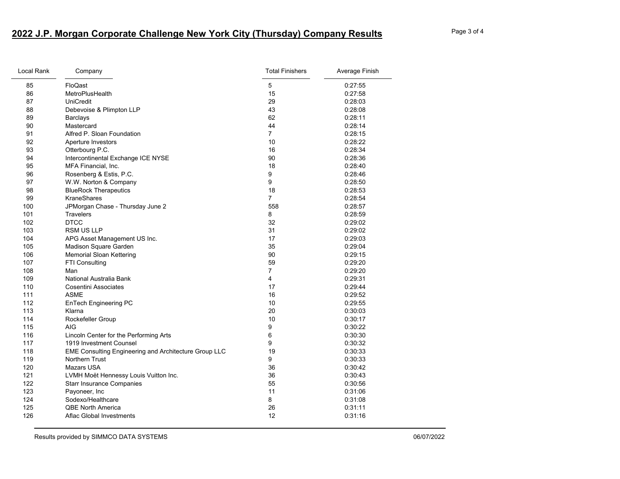## **2022 J.P. Morgan Corporate Challenge New York City (Thursday) Company Results** Page 3 of 4

| Local Rank | Company                                               | <b>Total Finishers</b> | Average Finish |
|------------|-------------------------------------------------------|------------------------|----------------|
| 85         | FloQast                                               | 5                      | 0.27:55        |
| 86         | MetroPlusHealth                                       | 15                     | 0:27:58        |
| 87         | UniCredit                                             | 29                     | 0:28:03        |
| 88         | Debevoise & Plimpton LLP                              | 43                     | 0:28:08        |
| 89         | Barclays                                              | 62                     | 0:28:11        |
| 90         | Mastercard                                            | 44                     | 0:28:14        |
| 91         | Alfred P. Sloan Foundation                            | $\overline{7}$         | 0:28:15        |
| 92         | Aperture Investors                                    | 10                     | 0:28:22        |
| 93         | Otterbourg P.C.                                       | 16                     | 0:28:34        |
| 94         | Intercontinental Exchange ICE NYSE                    | 90                     | 0.28.36        |
| 95         | MFA Financial, Inc.                                   | 18                     | 0:28:40        |
| 96         | Rosenberg & Estis, P.C.                               | 9                      | 0:28:46        |
| 97         | W.W. Norton & Company                                 | 9                      | 0.28:50        |
| 98         | <b>BlueRock Therapeutics</b>                          | 18                     | 0:28:53        |
| 99         | <b>KraneShares</b>                                    | 7                      | 0:28:54        |
| 100        | JPMorgan Chase - Thursday June 2                      | 558                    | 0:28:57        |
| 101        | <b>Travelers</b>                                      | 8                      | 0:28:59        |
| 102        | <b>DTCC</b>                                           | 32                     | 0:29:02        |
| 103        | <b>RSM US LLP</b>                                     | 31                     | 0:29:02        |
| 104        | APG Asset Management US Inc.                          | 17                     | 0:29:03        |
| 105        | Madison Square Garden                                 | 35                     | 0:29:04        |
| 106        | <b>Memorial Sloan Kettering</b>                       | 90                     | 0:29:15        |
| 107        | FTI Consulting                                        | 59                     | 0:29:20        |
| 108        | Man                                                   | $\overline{7}$         | 0:29:20        |
| 109        | National Australia Bank                               | 4                      | 0:29:31        |
| 110        | <b>Cosentini Associates</b>                           | 17                     | 0:29:44        |
| 111        | ASME                                                  | 16                     | 0:29:52        |
| 112        | <b>EnTech Engineering PC</b>                          | 10                     | 0:29:55        |
| 113        | Klarna                                                | 20                     | 0:30:03        |
| 114        | Rockefeller Group                                     | 10                     | 0:30:17        |
| 115        | AIG                                                   | 9                      | 0:30:22        |
| 116        | Lincoln Center for the Performing Arts                | 6                      | 0:30:30        |
| 117        | 1919 Investment Counsel                               | 9                      | 0:30:32        |
| 118        | EME Consulting Engineering and Architecture Group LLC | 19                     | 0:30:33        |
| 119        | Northern Trust                                        | 9                      | 0:30:33        |
| 120        | Mazars USA                                            | 36                     | 0:30:42        |
| 121        | LVMH Moët Hennessy Louis Vuitton Inc.                 | 36                     | 0:30:43        |
| 122        | <b>Starr Insurance Companies</b>                      | 55                     | 0:30:56        |
| 123        | Payoneer, Inc                                         | 11                     | 0:31:06        |
| 124        | Sodexo/Healthcare                                     | 8                      | 0:31:08        |
| 125        | <b>QBE North America</b>                              | 26                     | 0:31:11        |
| 126        | Aflac Global Investments                              | 12                     | 0:31:16        |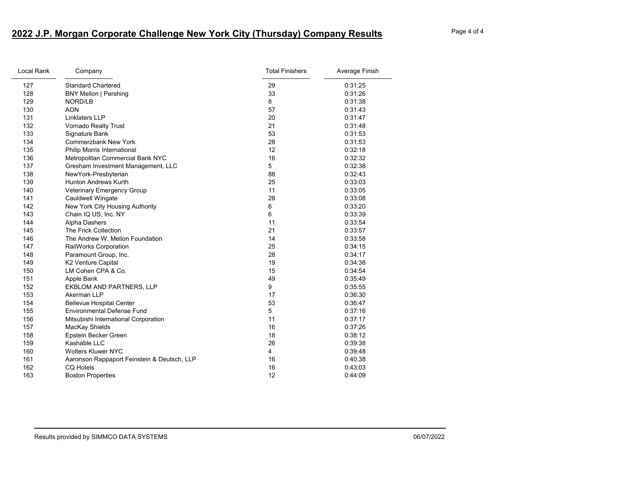## **2022 J.P. Morgan Corporate Challenge New York City (Thursday) Company Results** Page 4 of 4

| Local Rank | Company                                     | <b>Total Finishers</b> | Average Finish |
|------------|---------------------------------------------|------------------------|----------------|
| 127        | <b>Standard Chartered</b>                   | 29                     | 0:31:25        |
| 128        | <b>BNY Mellon   Pershing</b>                | 33                     | 0:31:26        |
| 129        | NORD/LB                                     | 8                      | 0:31:38        |
| 130        | <b>AON</b>                                  | 57                     | 0:31:43        |
| 131        | <b>Linklaters LLP</b>                       | 20                     | 0:31:47        |
| 132        | Vornado Realty Trust                        | 21                     | 0:31:48        |
| 133        | Signature Bank                              | 53                     | 0:31:53        |
| 134        | <b>Commerzbank New York</b>                 | 28                     | 0:31:53        |
| 135        | Philip Morris International                 | 12                     | 0:32:18        |
| 136        | Metropolitan Commercial Bank NYC            | 16                     | 0:32:32        |
| 137        | Gresham Investment Management, LLC          | 5                      | 0:32:38        |
| 138        | NewYork-Presbyterian                        | 88                     | 0:32:43        |
| 139        | <b>Hunton Andrews Kurth</b>                 | 25                     | 0:33:03        |
| 140        | Veterinary Emergency Group                  | 11                     | 0:33:05        |
| 141        | Cauldwell Wingate                           | 28                     | 0:33:08        |
| 142        | New York City Housing Authority             | 6                      | 0:33:20        |
| 143        | Chain IQ US, Inc. NY                        | 6                      | 0:33:39        |
| 144        | Alpha Dashers                               | 11                     | 0:33:54        |
| 145        | The Frick Collection                        | 21                     | 0:33:57        |
| 146        | The Andrew W. Mellon Foundation             | 14                     | 0:33:58        |
| 147        | RailWorks Corporation                       | 25                     | 0:34:15        |
| 148        | Paramount Group, Inc.                       | 28                     | 0:34:17        |
| 149        | K2 Venture Capital                          | 19                     | 0:34:38        |
| 150        | LM Cohen CPA & Co.                          | 15                     | 0:34:54        |
| 151        | Apple Bank                                  | 49                     | 0:35:49        |
| 152        | <b>EKBLOM AND PARTNERS, LLP</b>             | 9                      | 0:35:55        |
| 153        | Akerman LLP                                 | 17                     | 0:36:30        |
| 154        | <b>Bellevue Hospital Center</b>             | 53                     | 0:36:47        |
| 155        | <b>Environmental Defense Fund</b>           | 5                      | 0:37:16        |
| 156        | Mitsubishi International Corporation        | 11                     | 0:37:17        |
| 157        | MacKay Shields                              | 16                     | 0:37:26        |
| 158        | Epstein Becker Green                        | 18                     | 0:38:12        |
| 159        | Kashable LLC                                | 26                     | 0:39:38        |
| 160        | <b>Wolters Kluwer NYC</b>                   | 4                      | 0:39:48        |
| 161        | Aaronson Rappaport Feinstein & Deutsch, LLP | 16                     | 0:40:38        |
| 162        | CQ Hotels                                   | 16                     | 0:43:03        |
| 163        | <b>Boston Properties</b>                    | 12                     | 0.44.09        |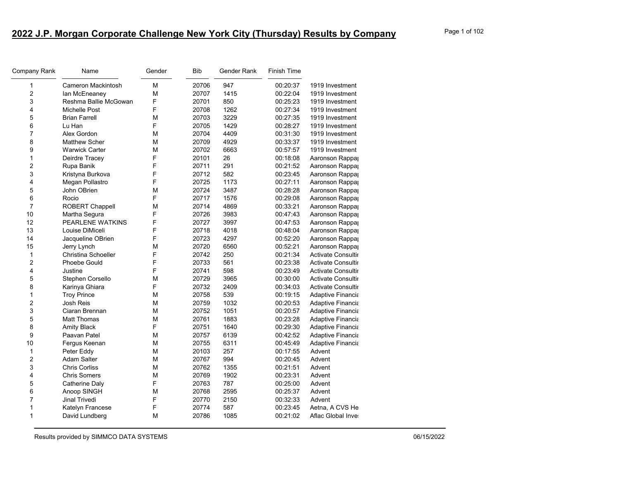| Company Rank            | Name                  | Gender | <b>Bib</b> | Gender Rank | <b>Finish Time</b> |                           |
|-------------------------|-----------------------|--------|------------|-------------|--------------------|---------------------------|
| $\mathbf{1}$            | Cameron Mackintosh    | М      | 20706      | 947         | 00:20:37           | 1919 Investment           |
| $\overline{2}$          | lan McEneaney         | M      | 20707      | 1415        | 00:22:04           | 1919 Investment           |
| 3                       | Reshma Ballie McGowan | F      | 20701      | 850         | 00:25:23           | 1919 Investment           |
| 4                       | Michelle Post         | F      | 20708      | 1262        | 00:27:34           | 1919 Investment           |
| 5                       | <b>Brian Farrell</b>  | М      | 20703      | 3229        | 00:27:35           | 1919 Investment           |
| 6                       | Lu Han                | F      | 20705      | 1429        | 00:28:27           | 1919 Investment           |
| 7                       | Alex Gordon           | М      | 20704      | 4409        | 00:31:30           | 1919 Investment           |
| 8                       | <b>Matthew Scher</b>  | M      | 20709      | 4929        | 00:33:37           | 1919 Investment           |
| 9                       | <b>Warwick Carter</b> | М      | 20702      | 6663        | 00:57:57           | 1919 Investment           |
| $\mathbf{1}$            | Deirdre Tracey        | F      | 20101      | 26          | 00:18:08           | Aaronson Rappa            |
| $\overline{2}$          | Rupa Banik            | F      | 20711      | 291         | 00:21:52           | Aaronson Rappa            |
| 3                       | Kristyna Burkova      | F      | 20712      | 582         | 00:23:45           | Aaronson Rappa            |
| 4                       | Megan Pollastro       | F      | 20725      | 1173        | 00:27:11           | Aaronson Rappa            |
| 5                       | John OBrien           | M      | 20724      | 3487        | 00:28:28           | Aaronson Rappa            |
| 6                       | Rocio                 | F      | 20717      | 1576        | 00:29:08           | Aaronson Rappa            |
| $\overline{7}$          | ROBERT Chappell       | M      | 20714      | 4869        | 00:33:21           | Aaronson Rappa            |
| 10                      | Martha Segura         | F      | 20726      | 3983        | 00:47:43           | Aaronson Rappa            |
| 12                      | PEARLENE WATKINS      | F      | 20727      | 3997        | 00:47:53           | Aaronson Rappa            |
| 13                      | Louise DiMiceli       | F      | 20718      | 4018        | 00:48:04           | Aaronson Rappa            |
| 14                      | Jacqueline OBrien     | F      | 20723      | 4297        | 00:52:20           | Aaronson Rappa            |
| 15                      | Jerry Lynch           | M      | 20720      | 6560        | 00:52:21           | Aaronson Rappa            |
| $\mathbf{1}$            | Christina Schoeller   | F      | 20742      | 250         | 00:21:34           | <b>Activate Consultir</b> |
| $\overline{2}$          | Phoebe Gould          | F      | 20733      | 561         | 00:23:38           | <b>Activate Consultir</b> |
| 4                       | Justine               | F      | 20741      | 598         | 00:23:49           | <b>Activate Consultir</b> |
| 5                       | Stephen Corsello      | M      | 20729      | 3965        | 00:30:00           | <b>Activate Consultir</b> |
| 8                       | Karinya Ghiara        | F      | 20732      | 2409        | 00:34:03           | Activate Consultir        |
| $\mathbf{1}$            | <b>Troy Prince</b>    | М      | 20758      | 539         | 00:19:15           | <b>Adaptive Financia</b>  |
| $\overline{\mathbf{c}}$ | Josh Reis             | М      | 20759      | 1032        | 00:20:53           | Adaptive Financia         |
| 3                       | Ciaran Brennan        | М      | 20752      | 1051        | 00:20:57           | <b>Adaptive Financia</b>  |
| 5                       | <b>Matt Thomas</b>    | M      | 20761      | 1883        | 00:23:28           | <b>Adaptive Financia</b>  |
| 8                       | <b>Amity Black</b>    | F      | 20751      | 1640        | 00:29:30           | <b>Adaptive Financia</b>  |
| 9                       | Paavan Patel          | M      | 20757      | 6139        | 00:42:52           | <b>Adaptive Financia</b>  |
| 10                      | Fergus Keenan         | М      | 20755      | 6311        | 00:45:49           | <b>Adaptive Financia</b>  |
| $\mathbf{1}$            | Peter Eddy            | М      | 20103      | 257         | 00:17:55           | Advent                    |
| $\overline{2}$          | <b>Adam Salter</b>    | М      | 20767      | 994         | 00:20:45           | Advent                    |
| 3                       | <b>Chris Corliss</b>  | M      | 20762      | 1355        | 00:21:51           | Advent                    |
| 4                       | <b>Chris Somers</b>   | М      | 20769      | 1902        | 00:23:31           | Advent                    |
| 5                       | Catherine Daly        | F      | 20763      | 787         | 00:25:00           | Advent                    |
| 6                       | Anoop SINGH           | M      | 20768      | 2595        | 00:25:37           | Advent                    |
| $\overline{7}$          | Jinal Trivedi         | F      | 20770      | 2150        | 00:32:33           | Advent                    |
| $\mathbf 1$             | Katelyn Francese      | F      | 20774      | 587         | 00:23:45           | Aetna, A CVS He           |
| $\mathbf{1}$            | David Lundberg        | М      | 20786      | 1085        | 00:21:02           | Aflac Global Inve         |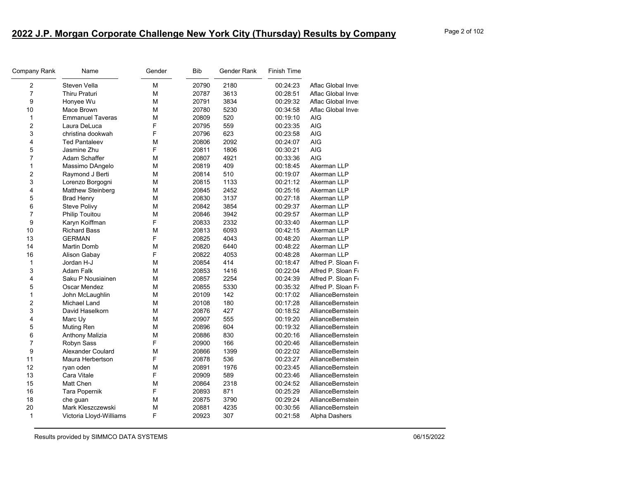| Company Rank            | Name                     | Gender | <b>Bib</b> | Gender Rank | <b>Finish Time</b> |                   |
|-------------------------|--------------------------|--------|------------|-------------|--------------------|-------------------|
| $\overline{2}$          | Steven Vella             | M      | 20790      | 2180        | 00:24:23           | Aflac Global Inve |
| $\overline{7}$          | Thiru Praturi            | М      | 20787      | 3613        | 00:28:51           | Aflac Global Inve |
| 9                       | Honyee Wu                | М      | 20791      | 3834        | 00:29:32           | Aflac Global Inve |
| 10                      | Mace Brown               | М      | 20780      | 5230        | 00:34:58           | Aflac Global Inve |
| 1                       | <b>Emmanuel Taveras</b>  | М      | 20809      | 520         | 00:19:10           | <b>AIG</b>        |
| $\overline{2}$          | Laura DeLuca             | F      | 20795      | 559         | 00:23:35           | <b>AIG</b>        |
| 3                       | christina dookwah        | F      | 20796      | 623         | 00:23:58           | <b>AIG</b>        |
| 4                       | <b>Ted Pantaleev</b>     | M      | 20806      | 2092        | 00:24:07           | <b>AIG</b>        |
| 5                       | Jasmine Zhu              | F      | 20811      | 1806        | 00:30:21           | <b>AIG</b>        |
| 7                       | Adam Schaffer            | M      | 20807      | 4921        | 00:33:36           | <b>AIG</b>        |
| 1                       | Massimo DAngelo          | М      | 20819      | 409         | 00:18:45           | Akerman LLP       |
| 2                       | Raymond J Berti          | м      | 20814      | 510         | 00:19:07           | Akerman LLP       |
| 3                       | Lorenzo Borgogni         | М      | 20815      | 1133        | 00:21:12           | Akerman LLP       |
| 4                       | <b>Matthew Steinberg</b> | М      | 20845      | 2452        | 00:25:16           | Akerman LLP       |
| 5                       | <b>Brad Henry</b>        | М      | 20830      | 3137        | 00:27:18           | Akerman LLP       |
| 6                       | Steve Polivy             | М      | 20842      | 3854        | 00:29:37           | Akerman LLP       |
| 7                       | <b>Philip Touitou</b>    | М      | 20846      | 3942        | 00:29:57           | Akerman LLP       |
| 9                       | Karyn Koiffman           | F      | 20833      | 2332        | 00:33:40           | Akerman LLP       |
| 10                      | <b>Richard Bass</b>      | М      | 20813      | 6093        | 00:42:15           | Akerman LLP       |
| 13                      | <b>GERMAN</b>            | F      | 20825      | 4043        | 00:48:20           | Akerman LLP       |
| 14                      | Martin Domb              | M      | 20820      | 6440        | 00:48:22           | Akerman LLP       |
| 16                      | Alison Gabay             | F      | 20822      | 4053        | 00:48:28           | Akerman LLP       |
| 1                       | Jordan H-J               | М      | 20854      | 414         | 00:18:47           | Alfred P. Sloan F |
| 3                       | <b>Adam Falk</b>         | М      | 20853      | 1416        | 00:22:04           | Alfred P. Sloan F |
| 4                       | Saku P Nousiainen        | М      | 20857      | 2254        | 00:24:39           | Alfred P. Sloan F |
| 5                       | Oscar Mendez             | М      | 20855      | 5330        | 00:35:32           | Alfred P. Sloan F |
| 1                       | John McLaughlin          | М      | 20109      | 142         | 00:17:02           | AllianceBernstein |
| $\overline{\mathbf{c}}$ | <b>Michael Land</b>      | М      | 20108      | 180         | 00:17:28           | AllianceBernstein |
| 3                       | David Haselkorn          | М      | 20876      | 427         | 00:18:52           | AllianceBernstein |
| 4                       | Marc Uy                  | М      | 20907      | 555         | 00:19:20           | AllianceBernstein |
| 5                       | Muting Ren               | M      | 20896      | 604         | 00:19:32           | AllianceBernstein |
| 6                       | <b>Anthony Malizia</b>   | M      | 20886      | 830         | 00:20:16           | AllianceBernstein |
| 7                       | Robyn Sass               | F      | 20900      | 166         | 00:20:46           | AllianceBernstein |
| 9                       | <b>Alexander Coulard</b> | M      | 20866      | 1399        | 00:22:02           | AllianceBernstein |
| 11                      | Maura Herbertson         | F      | 20878      | 536         | 00:23:27           | AllianceBernstein |
| 12                      | ryan oden                | M      | 20891      | 1976        | 00:23:45           | AllianceBernstein |
| 13                      | Cara Vitale              | F      | 20909      | 589         | 00:23:46           | AllianceBernstein |
| 15                      | Matt Chen                | М      | 20864      | 2318        | 00:24:52           | AllianceBernstein |
| 16                      | Tara Popernik            | F      | 20893      | 871         | 00:25:29           | AllianceBernstein |
| 18                      | che guan                 | M      | 20875      | 3790        | 00:29:24           | AllianceBernstein |
| 20                      | Mark Kleszczewski        | M      | 20881      | 4235        | 00:30:56           | AllianceBernstein |
| 1                       | Victoria Lloyd-Williams  | F      | 20923      | 307         | 00:21:58           | Alpha Dashers     |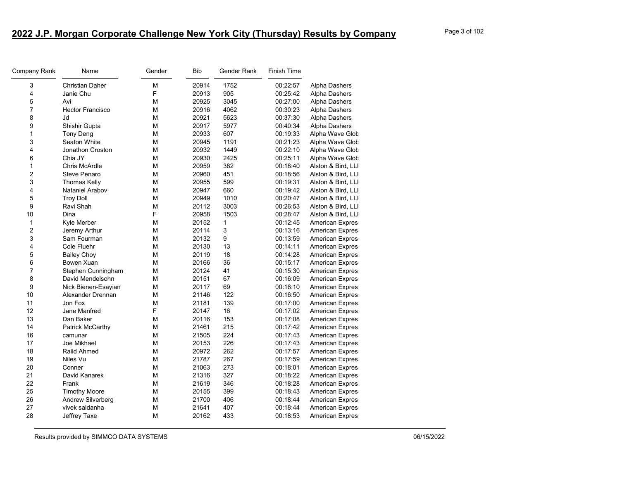| Company Rank            | Name                    | Gender | <b>Bib</b> | Gender Rank  | Finish Time |                        |
|-------------------------|-------------------------|--------|------------|--------------|-------------|------------------------|
| 3                       | <b>Christian Daher</b>  | М      | 20914      | 1752         | 00:22:57    | Alpha Dashers          |
| 4                       | Janie Chu               | F      | 20913      | 905          | 00:25:42    | Alpha Dashers          |
| 5                       | Avi                     | M      | 20925      | 3045         | 00:27:00    | Alpha Dashers          |
| $\overline{7}$          | <b>Hector Francisco</b> | М      | 20916      | 4062         | 00:30:23    | Alpha Dashers          |
| 8                       | <b>Jd</b>               | M      | 20921      | 5623         | 00:37:30    | Alpha Dashers          |
| 9                       | Shishir Gupta           | М      | 20917      | 5977         | 00:40:34    | Alpha Dashers          |
| 1                       | Tony Deng               | M      | 20933      | 607          | 00:19:33    | Alpha Wave Glob        |
| 3                       | Seaton White            | M      | 20945      | 1191         | 00:21:23    | Alpha Wave Glob        |
| 4                       | Jonathon Croston        | M      | 20932      | 1449         | 00:22:10    | Alpha Wave Glob        |
| 6                       | Chia JY                 | M      | 20930      | 2425         | 00:25:11    | Alpha Wave Glob        |
| $\mathbf{1}$            | Chris McArdle           | M      | 20959      | 382          | 00:18:40    | Alston & Bird, LLI     |
| $\overline{2}$          | Steve Penaro            | М      | 20960      | 451          | 00:18:56    | Alston & Bird, LLI     |
| 3                       | <b>Thomas Kelly</b>     | M      | 20955      | 599          | 00:19:31    | Alston & Bird, LLI     |
| $\overline{\mathbf{4}}$ | Nataniel Arabov         | M      | 20947      | 660          | 00:19:42    | Alston & Bird, LLI     |
| 5                       | <b>Troy Doll</b>        | M      | 20949      | 1010         | 00:20:47    | Alston & Bird, LLI     |
| 9                       | Ravi Shah               | M      | 20112      | 3003         | 00:26:53    | Alston & Bird, LLI     |
| 10                      | Dina                    | F      | 20958      | 1503         | 00:28:47    | Alston & Bird, LLI     |
| 1                       | Kyle Merber             | M      | 20152      | $\mathbf{1}$ | 00:12:45    | American Expres        |
| $\overline{\mathbf{c}}$ | Jeremy Arthur           | M      | 20114      | 3            | 00:13:16    | American Expres        |
| 3                       | Sam Fourman             | М      | 20132      | 9            | 00:13:59    | American Expres        |
| $\overline{\mathbf{4}}$ | Cole Fluehr             | М      | 20130      | 13           | 00:14:11    | <b>American Expres</b> |
| 5                       | <b>Bailey Choy</b>      | M      | 20119      | 18           | 00:14:28    | American Expres        |
| 6                       | Bowen Xuan              | M      | 20166      | 36           | 00:15:17    | <b>American Expres</b> |
| $\overline{7}$          | Stephen Cunningham      | M      | 20124      | 41           | 00:15:30    | American Expres        |
| 8                       | David Mendelsohn        | M      | 20151      | 67           | 00:16:09    | American Expres        |
| 9                       | Nick Bienen-Esayian     | M      | 20117      | 69           | 00:16:10    | American Expres        |
| 10                      | Alexander Drennan       | M      | 21146      | 122          | 00:16:50    | American Expres        |
| 11                      | Jon Fox                 | M      | 21181      | 139          | 00:17:00    | American Expres        |
| 12                      | Jane Manfred            | F      | 20147      | 16           | 00:17:02    | American Expres        |
| 13                      | Dan Baker               | М      | 20116      | 153          | 00:17:08    | American Expres        |
| 14                      | Patrick McCarthy        | M      | 21461      | 215          | 00:17:42    | <b>American Expres</b> |
| 16                      | camunar                 | M      | 21505      | 224          | 00:17:43    | American Expres        |
| 17                      | Joe Mikhael             | M      | 20153      | 226          | 00:17:43    | American Expres        |
| 18                      | Raiid Ahmed             | М      | 20972      | 262          | 00:17:57    | American Expres        |
| 19                      | Niles Vu                | M      | 21787      | 267          | 00:17:59    | American Expres        |
| 20                      | Conner                  | M      | 21063      | 273          | 00:18:01    | <b>American Expres</b> |
| 21                      | David Kanarek           | M      | 21316      | 327          | 00:18:22    | American Expres        |
| 22                      | Frank                   | M      | 21619      | 346          | 00:18:28    | American Expres        |
| 25                      | <b>Timothy Moore</b>    | M      | 20155      | 399          | 00:18:43    | American Expres        |
| 26                      | Andrew Silverberg       | М      | 21700      | 406          | 00:18:44    | American Expres        |
| 27                      | vivek saldanha          | М      | 21641      | 407          | 00:18:44    | American Expres        |
| 28                      | Jeffrey Taxe            | M      | 20162      | 433          | 00:18:53    | <b>American Expres</b> |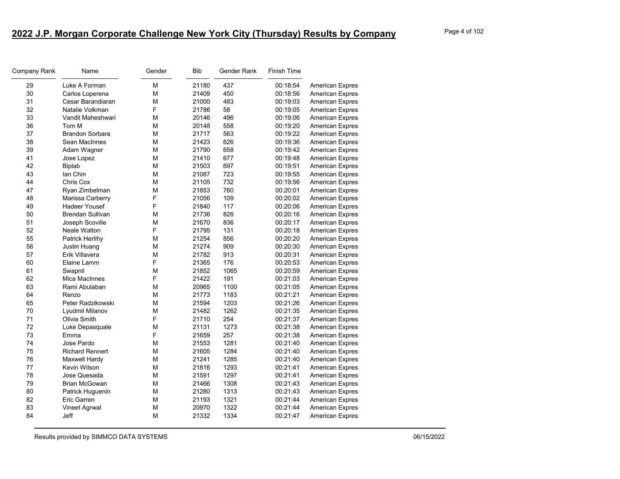| Company Rank | Name                    | Gender | <b>Bib</b> | Gender Rank | <b>Finish Time</b> |                        |
|--------------|-------------------------|--------|------------|-------------|--------------------|------------------------|
| 29           | Luke A Forman           | M      | 21180      | 437         | 00:18:54           | American Expres        |
| 30           | Carlos Loperena         | M      | 21409      | 450         | 00:18:56           | American Expres        |
| 31           | Cesar Barandiaran       | М      | 21000      | 483         | 00:19:03           | American Expres        |
| 32           | Natalie Volkman         | F      | 21786      | 58          | 00:19:05           | <b>American Expres</b> |
| 33           | Vandit Maheshwari       | M      | 20146      | 496         | 00:19:06           | American Expres        |
| 36           | Tom M                   | M      | 20148      | 558         | 00:19:20           | American Expres        |
| 37           | <b>Brandon Sorbara</b>  | M      | 21717      | 563         | 00:19:22           | American Expres        |
| 38           | Sean MacInnes           | M      | 21423      | 626         | 00:19:36           | American Expres        |
| 39           | Adam Wagner             | M      | 21790      | 658         | 00:19:42           | American Expres        |
| 41           | Jose Lopez              | М      | 21410      | 677         | 00:19:48           | <b>American Expres</b> |
| 42           | <b>Biplab</b>           | M      | 21503      | 697         | 00:19:51           | <b>American Expres</b> |
| 43           | lan Chin                | M      | 21087      | 723         | 00:19:55           | <b>American Expres</b> |
| 44           | Chris Cox               | M      | 21105      | 732         | 00:19:56           | American Expres        |
| 47           | Ryan Zimbelman          | M      | 21853      | 760         | 00:20:01           | American Expres        |
| 48           | Marissa Carberry        | F      | 21056      | 109         | 00:20:02           | <b>American Expres</b> |
| 49           | <b>Hadeer Yousef</b>    | F      | 21840      | 117         | 00:20:06           | American Expres        |
| 50           | <b>Brendan Sullivan</b> | M      | 21736      | 826         | 00:20:16           | <b>American Expres</b> |
| 51           | Joseph Scoville         | M      | 21670      | 836         | 00:20:17           | <b>American Expres</b> |
| 52           | Neale Walton            | F      | 21795      | 131         | 00:20:18           | American Expres        |
| 55           | Patrick Herlihy         | M      | 21254      | 856         | 00:20:20           | <b>American Expres</b> |
| 56           | Justin Huang            | M      | 21274      | 909         | 00:20:30           | <b>American Expres</b> |
| 57           | Erik Villavera          | М      | 21782      | 913         | 00:20:31           | American Expres        |
| 60           | Elaine Lamm             | F      | 21365      | 176         | 00:20:53           | American Expres        |
| 61           | Swapnil                 | M      | 21852      | 1065        | 00:20:59           | <b>American Expres</b> |
| 62           | Mica MacInnes           | F      | 21422      | 191         | 00:21:03           | American Expres        |
| 63           | Rami Abulaban           | M      | 20965      | 1100        | 00:21:05           | American Expres        |
| 64           | Renzo                   | М      | 21773      | 1183        | 00:21:21           | American Expres        |
| 65           | Peter Radzikowski       | M      | 21594      | 1203        | 00:21:26           | American Expres        |
| 70           | Lyudmil Milanov         | M      | 21482      | 1262        | 00:21:35           | American Expres        |
| 71           | Olivia Smith            | F      | 21710      | 254         | 00:21:37           | American Expres        |
| 72           | Luke Depasquale         | М      | 21131      | 1273        | 00:21:38           | American Expres        |
| 73           | Emma                    | F      | 21659      | 257         | 00:21:38           | American Expres        |
| 74           | Jose Pardo              | M      | 21553      | 1281        | 00:21:40           | American Expres        |
| 75           | <b>Richard Rennert</b>  | M      | 21605      | 1284        | 00:21:40           | American Expres        |
| 76           | Maxwell Hardy           | М      | 21241      | 1285        | 00:21:40           | American Expres        |
| 77           | Kevin Wilson            | M      | 21816      | 1293        | 00:21:41           | American Expres        |
| 78           | Jose Quesada            | M      | 21591      | 1297        | 00:21:41           | American Expres        |
| 79           | <b>Brian McGowan</b>    | M      | 21466      | 1308        | 00:21:43           | American Expres        |
| 80           | Patrick Huguenin        | M      | 21280      | 1313        | 00:21:43           | American Expres        |
| 82           | Eric Garren             | М      | 21193      | 1321        | 00:21:44           | American Expres        |
| 83           | Vineet Agrwal           | М      | 20970      | 1322        | 00:21:44           | American Expres        |
| 84           | Jeff                    | M      | 21332      | 1334        | 00:21:47           | <b>American Expres</b> |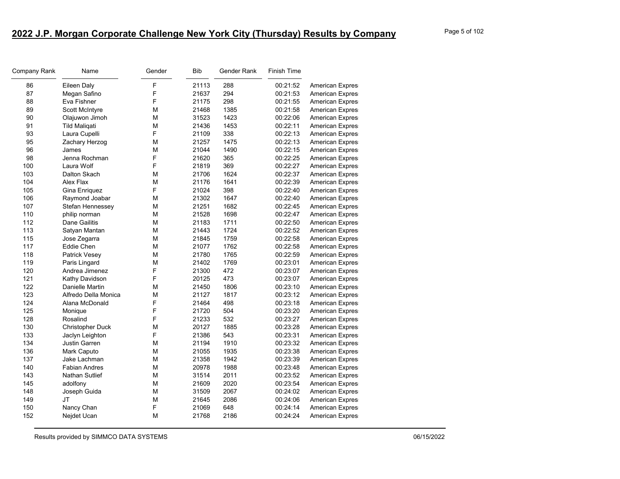| Company Rank | Name                  | Gender | <b>Bib</b> | Gender Rank | <b>Finish Time</b> |                        |
|--------------|-----------------------|--------|------------|-------------|--------------------|------------------------|
| 86           | Eileen Daly           | F      | 21113      | 288         | 00:21:52           | American Expres        |
| 87           | Megan Safino          | F      | 21637      | 294         | 00:21:53           | American Expres        |
| 88           | Eva Fishner           | F      | 21175      | 298         | 00:21:55           | American Expres        |
| 89           | <b>Scott McIntyre</b> | М      | 21468      | 1385        | 00:21:58           | <b>American Expres</b> |
| 90           | Olajuwon Jimoh        | М      | 31523      | 1423        | 00:22:06           | American Expres        |
| 91           | <b>Tild Maligati</b>  | M      | 21436      | 1453        | 00:22:11           | American Expres        |
| 93           | Laura Cupelli         | F      | 21109      | 338         | 00:22:13           | American Expres        |
| 95           | Zachary Herzog        | M      | 21257      | 1475        | 00:22:13           | American Expres        |
| 96           | James                 | M      | 21044      | 1490        | 00:22:15           | American Expres        |
| 98           | Jenna Rochman         | F      | 21620      | 365         | 00:22:25           | <b>American Expres</b> |
| 100          | Laura Wolf            | F      | 21819      | 369         | 00:22:27           | American Expres        |
| 103          | Dalton Skach          | M      | 21706      | 1624        | 00:22:37           | American Expres        |
| 104          | Alex Flax             | М      | 21176      | 1641        | 00:22:39           | American Expres        |
| 105          | Gina Enriquez         | F      | 21024      | 398         | 00:22:40           | American Expres        |
| 106          | Raymond Joabar        | M      | 21302      | 1647        | 00:22:40           | American Expres        |
| 107          | Stefan Hennessey      | М      | 21251      | 1682        | 00:22:45           | American Expres        |
| 110          | philip norman         | M      | 21528      | 1698        | 00:22:47           | American Expres        |
| 112          | Dane Gailitis         | М      | 21183      | 1711        | 00:22:50           | American Expres        |
| 113          | Satyan Mantan         | M      | 21443      | 1724        | 00:22:52           | American Expres        |
| 115          | Jose Zegarra          | M      | 21845      | 1759        | 00:22:58           | American Expres        |
| 117          | Eddie Chen            | М      | 21077      | 1762        | 00:22:58           | American Expres        |
| 118          | Patrick Vesey         | М      | 21780      | 1765        | 00:22:59           | American Expres        |
| 119          | Paris Lingard         | M      | 21402      | 1769        | 00:23:01           | American Expres        |
| 120          | Andrea Jimenez        | F      | 21300      | 472         | 00:23:07           | American Expres        |
| 121          | Kathy Davidson        | F      | 20125      | 473         | 00:23:07           | American Expres        |
| 122          | Danielle Martin       | М      | 21450      | 1806        | 00:23:10           | American Expres        |
| 123          | Alfredo Della Monica  | M      | 21127      | 1817        | 00:23:12           | American Expres        |
| 124          | Alana McDonald        | F      | 21464      | 498         | 00:23:18           | American Expres        |
| 125          | Monique               | F      | 21720      | 504         | 00:23:20           | American Expres        |
| 128          | Rosalind              | F      | 21233      | 532         | 00:23:27           | American Expres        |
| 130          | Christopher Duck      | М      | 20127      | 1885        | 00:23:28           | American Expres        |
| 133          | Jaclyn Leighton       | F      | 21386      | 543         | 00:23:31           | American Expres        |
| 134          | <b>Justin Garren</b>  | M      | 21194      | 1910        | 00:23:32           | American Expres        |
| 136          | Mark Caputo           | M      | 21055      | 1935        | 00:23:38           | American Expres        |
| 137          | Jake Lachman          | М      | 21358      | 1942        | 00:23:39           | American Expres        |
| 140          | <b>Fabian Andres</b>  | M      | 20978      | 1988        | 00:23:48           | American Expres        |
| 143          | Nathan Sutlief        | M      | 31514      | 2011        | 00:23:52           | American Expres        |
| 145          | adolfony              | M      | 21609      | 2020        | 00:23:54           | American Expres        |
| 148          | Joseph Guida          | M      | 31509      | 2067        | 00:24:02           | American Expres        |
| 149          | JT                    | M      | 21645      | 2086        | 00:24:06           | American Expres        |
| 150          | Nancy Chan            | F      | 21069      | 648         | 00:24:14           | American Expres        |
| 152          | Nejdet Ucan           | M      | 21768      | 2186        | 00:24:24           | <b>American Expres</b> |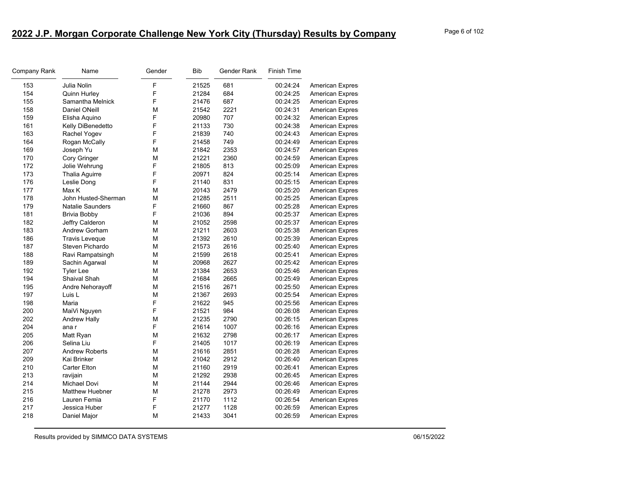| F<br>681<br>153<br>Julia Nolin<br>21525<br>00:24:24<br>American Expres<br>F<br>154<br>21284<br>684<br>Quinn Hurley<br>00:24:25<br>American Expres<br>F<br>155<br>Samantha Melnick<br>687<br>21476<br>00:24:25<br>American Expres<br>158<br>Daniel ONeill<br>M<br>21542<br>2221<br>00:24:31<br><b>American Expres</b><br>F<br>159<br>707<br>Elisha Aquino<br>20980<br>00:24:32<br>American Expres<br>F<br>730<br>161<br>21133<br>00:24:38<br>Kelly DiBenedetto<br>American Expres<br>F<br>163<br>740<br>Rachel Yogev<br>21839<br>00:24:43<br>American Expres<br>F<br>164<br>749<br>Rogan McCally<br>21458<br>00:24:49<br>American Expres<br>169<br>M<br>21842<br>2353<br>Joseph Yu<br>00:24:57<br>American Expres<br>M<br>170<br>21221<br>2360<br><b>American Expres</b><br>Cory Gringer<br>00:24:59<br>F<br>172<br>21805<br>813<br>00:25:09<br>Jolie Wehrung<br>American Expres<br>F<br>824<br>173<br>20971<br>00:25:14<br>Thalia Aguirre<br>American Expres<br>F<br>831<br>176<br>Leslie Dong<br>21140<br>00:25:15<br>American Expres<br>177<br>M<br>2479<br>Max K<br>20143<br>00:25:20<br>American Expres<br>178<br>M<br>21285<br>2511<br>00:25:25<br>John Husted-Sherman<br>American Expres<br>179<br>F<br><b>Natalie Saunders</b><br>21660<br>867<br>00:25:28<br>American Expres<br>F<br>181<br>21036<br>894<br>00:25:37<br><b>Brivia Bobby</b><br>American Expres<br>182<br>М<br>2598<br>00:25:37<br>Jeffry Calderon<br>21052<br>American Expres<br>183<br>21211<br>Andrew Gorham<br>М<br>2603<br>00:25:38<br>American Expres<br>186<br>M<br>2610<br><b>Travis Leveque</b><br>21392<br>00:25:39<br>American Expres<br>187<br>Steven Pichardo<br>М<br>21573<br>2616<br>00:25:40<br><b>American Expres</b><br>188<br>М<br>21599<br>2618<br>00:25:41<br>American Expres<br>Ravi Rampatsingh<br>M<br>2627<br>189<br>20968<br>00:25:42<br><b>American Expres</b><br>Sachin Agarwal<br>192<br>2653<br>М<br>21384<br>00:25:46<br><b>Tyler Lee</b><br>American Expres<br>194<br>2665<br>Shaival Shah<br>М<br>21684<br>00:25:49<br>American Expres<br>195<br>2671<br>00:25:50<br>Andre Nehorayoff<br>М<br>21516<br><b>American Expres</b><br>197<br>M<br>21367<br>2693<br>Luis L<br>00:25:54<br>American Expres<br>F<br>198<br>21622<br>945<br>00:25:56<br>American Expres<br>Maria<br>F<br>200<br>21521<br>984<br>MaiVi Nguyen<br>00:26:08<br><b>American Expres</b> |                 |
|-------------------------------------------------------------------------------------------------------------------------------------------------------------------------------------------------------------------------------------------------------------------------------------------------------------------------------------------------------------------------------------------------------------------------------------------------------------------------------------------------------------------------------------------------------------------------------------------------------------------------------------------------------------------------------------------------------------------------------------------------------------------------------------------------------------------------------------------------------------------------------------------------------------------------------------------------------------------------------------------------------------------------------------------------------------------------------------------------------------------------------------------------------------------------------------------------------------------------------------------------------------------------------------------------------------------------------------------------------------------------------------------------------------------------------------------------------------------------------------------------------------------------------------------------------------------------------------------------------------------------------------------------------------------------------------------------------------------------------------------------------------------------------------------------------------------------------------------------------------------------------------------------------------------------------------------------------------------------------------------------------------------------------------------------------------------------------------------------------------------------------------------------------------------------------------------------------------------------------------------------------------------------------------------------------------------------------------------------------------------|-----------------|
|                                                                                                                                                                                                                                                                                                                                                                                                                                                                                                                                                                                                                                                                                                                                                                                                                                                                                                                                                                                                                                                                                                                                                                                                                                                                                                                                                                                                                                                                                                                                                                                                                                                                                                                                                                                                                                                                                                                                                                                                                                                                                                                                                                                                                                                                                                                                                                   |                 |
|                                                                                                                                                                                                                                                                                                                                                                                                                                                                                                                                                                                                                                                                                                                                                                                                                                                                                                                                                                                                                                                                                                                                                                                                                                                                                                                                                                                                                                                                                                                                                                                                                                                                                                                                                                                                                                                                                                                                                                                                                                                                                                                                                                                                                                                                                                                                                                   |                 |
|                                                                                                                                                                                                                                                                                                                                                                                                                                                                                                                                                                                                                                                                                                                                                                                                                                                                                                                                                                                                                                                                                                                                                                                                                                                                                                                                                                                                                                                                                                                                                                                                                                                                                                                                                                                                                                                                                                                                                                                                                                                                                                                                                                                                                                                                                                                                                                   |                 |
|                                                                                                                                                                                                                                                                                                                                                                                                                                                                                                                                                                                                                                                                                                                                                                                                                                                                                                                                                                                                                                                                                                                                                                                                                                                                                                                                                                                                                                                                                                                                                                                                                                                                                                                                                                                                                                                                                                                                                                                                                                                                                                                                                                                                                                                                                                                                                                   |                 |
|                                                                                                                                                                                                                                                                                                                                                                                                                                                                                                                                                                                                                                                                                                                                                                                                                                                                                                                                                                                                                                                                                                                                                                                                                                                                                                                                                                                                                                                                                                                                                                                                                                                                                                                                                                                                                                                                                                                                                                                                                                                                                                                                                                                                                                                                                                                                                                   |                 |
|                                                                                                                                                                                                                                                                                                                                                                                                                                                                                                                                                                                                                                                                                                                                                                                                                                                                                                                                                                                                                                                                                                                                                                                                                                                                                                                                                                                                                                                                                                                                                                                                                                                                                                                                                                                                                                                                                                                                                                                                                                                                                                                                                                                                                                                                                                                                                                   |                 |
|                                                                                                                                                                                                                                                                                                                                                                                                                                                                                                                                                                                                                                                                                                                                                                                                                                                                                                                                                                                                                                                                                                                                                                                                                                                                                                                                                                                                                                                                                                                                                                                                                                                                                                                                                                                                                                                                                                                                                                                                                                                                                                                                                                                                                                                                                                                                                                   |                 |
|                                                                                                                                                                                                                                                                                                                                                                                                                                                                                                                                                                                                                                                                                                                                                                                                                                                                                                                                                                                                                                                                                                                                                                                                                                                                                                                                                                                                                                                                                                                                                                                                                                                                                                                                                                                                                                                                                                                                                                                                                                                                                                                                                                                                                                                                                                                                                                   |                 |
|                                                                                                                                                                                                                                                                                                                                                                                                                                                                                                                                                                                                                                                                                                                                                                                                                                                                                                                                                                                                                                                                                                                                                                                                                                                                                                                                                                                                                                                                                                                                                                                                                                                                                                                                                                                                                                                                                                                                                                                                                                                                                                                                                                                                                                                                                                                                                                   |                 |
|                                                                                                                                                                                                                                                                                                                                                                                                                                                                                                                                                                                                                                                                                                                                                                                                                                                                                                                                                                                                                                                                                                                                                                                                                                                                                                                                                                                                                                                                                                                                                                                                                                                                                                                                                                                                                                                                                                                                                                                                                                                                                                                                                                                                                                                                                                                                                                   |                 |
|                                                                                                                                                                                                                                                                                                                                                                                                                                                                                                                                                                                                                                                                                                                                                                                                                                                                                                                                                                                                                                                                                                                                                                                                                                                                                                                                                                                                                                                                                                                                                                                                                                                                                                                                                                                                                                                                                                                                                                                                                                                                                                                                                                                                                                                                                                                                                                   |                 |
|                                                                                                                                                                                                                                                                                                                                                                                                                                                                                                                                                                                                                                                                                                                                                                                                                                                                                                                                                                                                                                                                                                                                                                                                                                                                                                                                                                                                                                                                                                                                                                                                                                                                                                                                                                                                                                                                                                                                                                                                                                                                                                                                                                                                                                                                                                                                                                   |                 |
|                                                                                                                                                                                                                                                                                                                                                                                                                                                                                                                                                                                                                                                                                                                                                                                                                                                                                                                                                                                                                                                                                                                                                                                                                                                                                                                                                                                                                                                                                                                                                                                                                                                                                                                                                                                                                                                                                                                                                                                                                                                                                                                                                                                                                                                                                                                                                                   |                 |
|                                                                                                                                                                                                                                                                                                                                                                                                                                                                                                                                                                                                                                                                                                                                                                                                                                                                                                                                                                                                                                                                                                                                                                                                                                                                                                                                                                                                                                                                                                                                                                                                                                                                                                                                                                                                                                                                                                                                                                                                                                                                                                                                                                                                                                                                                                                                                                   |                 |
|                                                                                                                                                                                                                                                                                                                                                                                                                                                                                                                                                                                                                                                                                                                                                                                                                                                                                                                                                                                                                                                                                                                                                                                                                                                                                                                                                                                                                                                                                                                                                                                                                                                                                                                                                                                                                                                                                                                                                                                                                                                                                                                                                                                                                                                                                                                                                                   |                 |
|                                                                                                                                                                                                                                                                                                                                                                                                                                                                                                                                                                                                                                                                                                                                                                                                                                                                                                                                                                                                                                                                                                                                                                                                                                                                                                                                                                                                                                                                                                                                                                                                                                                                                                                                                                                                                                                                                                                                                                                                                                                                                                                                                                                                                                                                                                                                                                   |                 |
|                                                                                                                                                                                                                                                                                                                                                                                                                                                                                                                                                                                                                                                                                                                                                                                                                                                                                                                                                                                                                                                                                                                                                                                                                                                                                                                                                                                                                                                                                                                                                                                                                                                                                                                                                                                                                                                                                                                                                                                                                                                                                                                                                                                                                                                                                                                                                                   |                 |
|                                                                                                                                                                                                                                                                                                                                                                                                                                                                                                                                                                                                                                                                                                                                                                                                                                                                                                                                                                                                                                                                                                                                                                                                                                                                                                                                                                                                                                                                                                                                                                                                                                                                                                                                                                                                                                                                                                                                                                                                                                                                                                                                                                                                                                                                                                                                                                   |                 |
|                                                                                                                                                                                                                                                                                                                                                                                                                                                                                                                                                                                                                                                                                                                                                                                                                                                                                                                                                                                                                                                                                                                                                                                                                                                                                                                                                                                                                                                                                                                                                                                                                                                                                                                                                                                                                                                                                                                                                                                                                                                                                                                                                                                                                                                                                                                                                                   |                 |
|                                                                                                                                                                                                                                                                                                                                                                                                                                                                                                                                                                                                                                                                                                                                                                                                                                                                                                                                                                                                                                                                                                                                                                                                                                                                                                                                                                                                                                                                                                                                                                                                                                                                                                                                                                                                                                                                                                                                                                                                                                                                                                                                                                                                                                                                                                                                                                   |                 |
|                                                                                                                                                                                                                                                                                                                                                                                                                                                                                                                                                                                                                                                                                                                                                                                                                                                                                                                                                                                                                                                                                                                                                                                                                                                                                                                                                                                                                                                                                                                                                                                                                                                                                                                                                                                                                                                                                                                                                                                                                                                                                                                                                                                                                                                                                                                                                                   |                 |
|                                                                                                                                                                                                                                                                                                                                                                                                                                                                                                                                                                                                                                                                                                                                                                                                                                                                                                                                                                                                                                                                                                                                                                                                                                                                                                                                                                                                                                                                                                                                                                                                                                                                                                                                                                                                                                                                                                                                                                                                                                                                                                                                                                                                                                                                                                                                                                   |                 |
|                                                                                                                                                                                                                                                                                                                                                                                                                                                                                                                                                                                                                                                                                                                                                                                                                                                                                                                                                                                                                                                                                                                                                                                                                                                                                                                                                                                                                                                                                                                                                                                                                                                                                                                                                                                                                                                                                                                                                                                                                                                                                                                                                                                                                                                                                                                                                                   |                 |
|                                                                                                                                                                                                                                                                                                                                                                                                                                                                                                                                                                                                                                                                                                                                                                                                                                                                                                                                                                                                                                                                                                                                                                                                                                                                                                                                                                                                                                                                                                                                                                                                                                                                                                                                                                                                                                                                                                                                                                                                                                                                                                                                                                                                                                                                                                                                                                   |                 |
|                                                                                                                                                                                                                                                                                                                                                                                                                                                                                                                                                                                                                                                                                                                                                                                                                                                                                                                                                                                                                                                                                                                                                                                                                                                                                                                                                                                                                                                                                                                                                                                                                                                                                                                                                                                                                                                                                                                                                                                                                                                                                                                                                                                                                                                                                                                                                                   |                 |
|                                                                                                                                                                                                                                                                                                                                                                                                                                                                                                                                                                                                                                                                                                                                                                                                                                                                                                                                                                                                                                                                                                                                                                                                                                                                                                                                                                                                                                                                                                                                                                                                                                                                                                                                                                                                                                                                                                                                                                                                                                                                                                                                                                                                                                                                                                                                                                   |                 |
|                                                                                                                                                                                                                                                                                                                                                                                                                                                                                                                                                                                                                                                                                                                                                                                                                                                                                                                                                                                                                                                                                                                                                                                                                                                                                                                                                                                                                                                                                                                                                                                                                                                                                                                                                                                                                                                                                                                                                                                                                                                                                                                                                                                                                                                                                                                                                                   |                 |
|                                                                                                                                                                                                                                                                                                                                                                                                                                                                                                                                                                                                                                                                                                                                                                                                                                                                                                                                                                                                                                                                                                                                                                                                                                                                                                                                                                                                                                                                                                                                                                                                                                                                                                                                                                                                                                                                                                                                                                                                                                                                                                                                                                                                                                                                                                                                                                   |                 |
|                                                                                                                                                                                                                                                                                                                                                                                                                                                                                                                                                                                                                                                                                                                                                                                                                                                                                                                                                                                                                                                                                                                                                                                                                                                                                                                                                                                                                                                                                                                                                                                                                                                                                                                                                                                                                                                                                                                                                                                                                                                                                                                                                                                                                                                                                                                                                                   |                 |
| 202<br>M<br>21235<br>2790<br>00:26:15<br><b>Andrew Hally</b>                                                                                                                                                                                                                                                                                                                                                                                                                                                                                                                                                                                                                                                                                                                                                                                                                                                                                                                                                                                                                                                                                                                                                                                                                                                                                                                                                                                                                                                                                                                                                                                                                                                                                                                                                                                                                                                                                                                                                                                                                                                                                                                                                                                                                                                                                                      | American Expres |
| F<br>204<br>21614<br>1007<br>00:26:16<br>American Expres<br>ana r                                                                                                                                                                                                                                                                                                                                                                                                                                                                                                                                                                                                                                                                                                                                                                                                                                                                                                                                                                                                                                                                                                                                                                                                                                                                                                                                                                                                                                                                                                                                                                                                                                                                                                                                                                                                                                                                                                                                                                                                                                                                                                                                                                                                                                                                                                 |                 |
| 205<br>2798<br>Matt Ryan<br>М<br>21632<br>00:26:17<br><b>American Expres</b>                                                                                                                                                                                                                                                                                                                                                                                                                                                                                                                                                                                                                                                                                                                                                                                                                                                                                                                                                                                                                                                                                                                                                                                                                                                                                                                                                                                                                                                                                                                                                                                                                                                                                                                                                                                                                                                                                                                                                                                                                                                                                                                                                                                                                                                                                      |                 |
| F<br>206<br>Selina Liu<br>21405<br>1017<br>00:26:19<br>American Expres                                                                                                                                                                                                                                                                                                                                                                                                                                                                                                                                                                                                                                                                                                                                                                                                                                                                                                                                                                                                                                                                                                                                                                                                                                                                                                                                                                                                                                                                                                                                                                                                                                                                                                                                                                                                                                                                                                                                                                                                                                                                                                                                                                                                                                                                                            |                 |
| 207<br>M<br>2851<br><b>Andrew Roberts</b><br>21616<br>00:26:28<br>American Expres                                                                                                                                                                                                                                                                                                                                                                                                                                                                                                                                                                                                                                                                                                                                                                                                                                                                                                                                                                                                                                                                                                                                                                                                                                                                                                                                                                                                                                                                                                                                                                                                                                                                                                                                                                                                                                                                                                                                                                                                                                                                                                                                                                                                                                                                                 |                 |
| 209<br>2912<br>Kai Brinker<br>М<br>21042<br>00:26:40<br><b>American Expres</b>                                                                                                                                                                                                                                                                                                                                                                                                                                                                                                                                                                                                                                                                                                                                                                                                                                                                                                                                                                                                                                                                                                                                                                                                                                                                                                                                                                                                                                                                                                                                                                                                                                                                                                                                                                                                                                                                                                                                                                                                                                                                                                                                                                                                                                                                                    |                 |
| 210<br>M<br>2919<br><b>Carter Elton</b><br>21160<br>00:26:41<br>American Expres                                                                                                                                                                                                                                                                                                                                                                                                                                                                                                                                                                                                                                                                                                                                                                                                                                                                                                                                                                                                                                                                                                                                                                                                                                                                                                                                                                                                                                                                                                                                                                                                                                                                                                                                                                                                                                                                                                                                                                                                                                                                                                                                                                                                                                                                                   |                 |
| 213<br>M<br>2938<br>ravijain<br>21292<br>00:26:45<br>American Expres                                                                                                                                                                                                                                                                                                                                                                                                                                                                                                                                                                                                                                                                                                                                                                                                                                                                                                                                                                                                                                                                                                                                                                                                                                                                                                                                                                                                                                                                                                                                                                                                                                                                                                                                                                                                                                                                                                                                                                                                                                                                                                                                                                                                                                                                                              |                 |
| 214<br>M<br>2944<br>Michael Dovi<br>21144<br>00:26:46<br><b>American Expres</b>                                                                                                                                                                                                                                                                                                                                                                                                                                                                                                                                                                                                                                                                                                                                                                                                                                                                                                                                                                                                                                                                                                                                                                                                                                                                                                                                                                                                                                                                                                                                                                                                                                                                                                                                                                                                                                                                                                                                                                                                                                                                                                                                                                                                                                                                                   |                 |
| 215<br><b>Matthew Huebner</b><br>M<br>21278<br>2973<br>00:26:49<br><b>American Expres</b>                                                                                                                                                                                                                                                                                                                                                                                                                                                                                                                                                                                                                                                                                                                                                                                                                                                                                                                                                                                                                                                                                                                                                                                                                                                                                                                                                                                                                                                                                                                                                                                                                                                                                                                                                                                                                                                                                                                                                                                                                                                                                                                                                                                                                                                                         |                 |
| F<br>216<br>1112<br>Lauren Femia<br>21170<br>00:26:54<br>American Expres                                                                                                                                                                                                                                                                                                                                                                                                                                                                                                                                                                                                                                                                                                                                                                                                                                                                                                                                                                                                                                                                                                                                                                                                                                                                                                                                                                                                                                                                                                                                                                                                                                                                                                                                                                                                                                                                                                                                                                                                                                                                                                                                                                                                                                                                                          |                 |
| F<br>217<br>1128<br>Jessica Huber<br>21277<br>00:26:59<br>American Expres                                                                                                                                                                                                                                                                                                                                                                                                                                                                                                                                                                                                                                                                                                                                                                                                                                                                                                                                                                                                                                                                                                                                                                                                                                                                                                                                                                                                                                                                                                                                                                                                                                                                                                                                                                                                                                                                                                                                                                                                                                                                                                                                                                                                                                                                                         |                 |
| 3041<br>218<br>M<br>21433<br>Daniel Major<br>00:26:59<br><b>American Expres</b>                                                                                                                                                                                                                                                                                                                                                                                                                                                                                                                                                                                                                                                                                                                                                                                                                                                                                                                                                                                                                                                                                                                                                                                                                                                                                                                                                                                                                                                                                                                                                                                                                                                                                                                                                                                                                                                                                                                                                                                                                                                                                                                                                                                                                                                                                   |                 |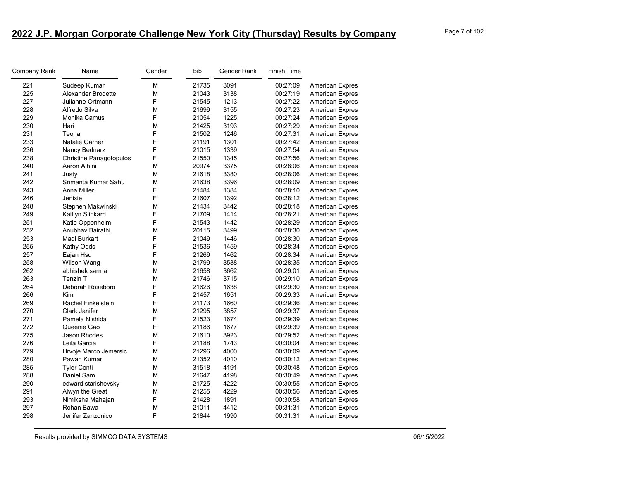| Company Rank | Name                           | Gender | Bib   | Gender Rank | <b>Finish Time</b> |                        |
|--------------|--------------------------------|--------|-------|-------------|--------------------|------------------------|
| 221          | Sudeep Kumar                   | М      | 21735 | 3091        | 00:27:09           | <b>American Expres</b> |
| 225          | Alexander Brodette             | М      | 21043 | 3138        | 00:27:19           | American Expres        |
| 227          | Julianne Ortmann               | F      | 21545 | 1213        | 00:27:22           | American Expres        |
| 228          | Alfredo Silva                  | М      | 21699 | 3155        | 00:27:23           | <b>American Expres</b> |
| 229          | Monika Camus                   | F      | 21054 | 1225        | 00:27:24           | American Expres        |
| 230          | Hari                           | М      | 21425 | 3193        | 00:27:29           | American Expres        |
| 231          | Teona                          | F      | 21502 | 1246        | 00:27:31           | <b>American Expres</b> |
| 233          | Natalie Garner                 | F      | 21191 | 1301        | 00:27:42           | <b>American Expres</b> |
| 236          | Nancy Bednarz                  | F      | 21015 | 1339        | 00:27:54           | American Expres        |
| 238          | <b>Christine Panagotopulos</b> | F      | 21550 | 1345        | 00:27:56           | <b>American Expres</b> |
| 240          | Aaron Aihini                   | М      | 20974 | 3375        | 00:28:06           | <b>American Expres</b> |
| 241          | Justy                          | М      | 21618 | 3380        | 00:28:06           | American Expres        |
| 242          | Srimanta Kumar Sahu            | M      | 21638 | 3396        | 00:28:09           | <b>American Expres</b> |
| 243          | Anna Miller                    | F      | 21484 | 1384        | 00:28:10           | <b>American Expres</b> |
| 246          | Jenixie                        | F      | 21607 | 1392        | 00:28:12           | <b>American Expres</b> |
| 248          | Stephen Makwinski              | М      | 21434 | 3442        | 00:28:18           | <b>American Expres</b> |
| 249          | Kaitlyn Slinkard               | F      | 21709 | 1414        | 00:28:21           | <b>American Expres</b> |
| 251          | Katie Oppenheim                | F      | 21543 | 1442        | 00:28:29           | <b>American Expres</b> |
| 252          | Anubhav Bairathi               | М      | 20115 | 3499        | 00:28:30           | American Expres        |
| 253          | Madi Burkart                   | F      | 21049 | 1446        | 00:28:30           | <b>American Expres</b> |
| 255          | Kathy Odds                     | F      | 21536 | 1459        | 00:28:34           | <b>American Expres</b> |
| 257          | Eajan Hsu                      | F      | 21269 | 1462        | 00:28:34           | American Expres        |
| 258          | Wilson Wang                    | М      | 21799 | 3538        | 00:28:35           | <b>American Expres</b> |
| 262          | abhishek sarma                 | M      | 21658 | 3662        | 00:29:01           | <b>American Expres</b> |
| 263          | Tenzin T                       | М      | 21746 | 3715        | 00:29:10           | <b>American Expres</b> |
| 264          | Deborah Roseboro               | F      | 21626 | 1638        | 00:29:30           | American Expres        |
| 266          | Kim                            | F      | 21457 | 1651        | 00:29:33           | <b>American Expres</b> |
| 269          | <b>Rachel Finkelstein</b>      | F      | 21173 | 1660        | 00:29:36           | <b>American Expres</b> |
| 270          | Clark Janifer                  | М      | 21295 | 3857        | 00:29:37           | American Expres        |
| 271          | Pamela Nishida                 | F      | 21523 | 1674        | 00:29:39           | <b>American Expres</b> |
| 272          | Queenie Gao                    | F      | 21186 | 1677        | 00:29:39           | <b>American Expres</b> |
| 275          | <b>Jason Rhodes</b>            | М      | 21610 | 3923        | 00:29:52           | <b>American Expres</b> |
| 276          | Leila Garcia                   | F      | 21188 | 1743        | 00:30:04           | <b>American Expres</b> |
| 279          | Hrvoje Marco Jemersic          | M      | 21296 | 4000        | 00:30:09           | <b>American Expres</b> |
| 280          | Pawan Kumar                    | М      | 21352 | 4010        | 00:30:12           | <b>American Expres</b> |
| 285          | <b>Tyler Conti</b>             | М      | 31518 | 4191        | 00:30:48           | American Expres        |
| 288          | Daniel Sam                     | M      | 21647 | 4198        | 00:30:49           | <b>American Expres</b> |
| 290          | edward starishevsky            | М      | 21725 | 4222        | 00:30:55           | <b>American Expres</b> |
| 291          | Alwyn the Great                | М      | 21255 | 4229        | 00:30:56           | American Expres        |
| 293          | Nimiksha Mahajan               | F      | 21428 | 1891        | 00:30:58           | <b>American Expres</b> |
| 297          | Rohan Bawa                     | M      | 21011 | 4412        | 00:31:31           | <b>American Expres</b> |
| 298          | Jenifer Zanzonico              | F      | 21844 | 1990        | 00:31:31           | <b>American Expres</b> |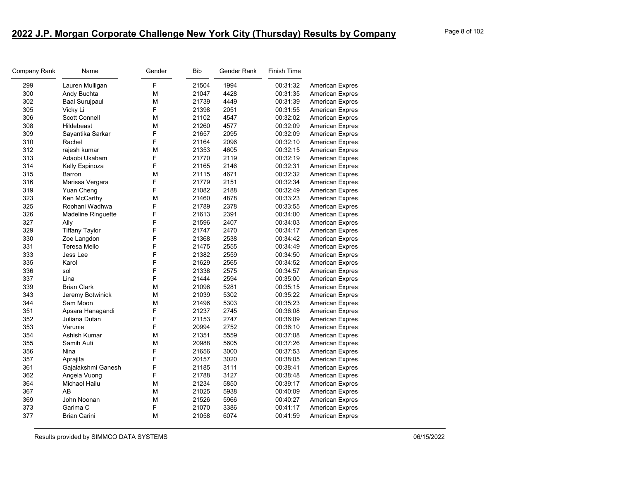| Company Rank | Name                      | Gender | <b>Bib</b> | Gender Rank | Finish Time |                        |
|--------------|---------------------------|--------|------------|-------------|-------------|------------------------|
| 299          | Lauren Mulligan           | F      | 21504      | 1994        | 00:31:32    | American Expres        |
| 300          | Andy Buchta               | M      | 21047      | 4428        | 00:31:35    | American Expres        |
| 302          | <b>Baal Surujpaul</b>     | M      | 21739      | 4449        | 00:31:39    | American Expres        |
| 305          | Vicky Li                  | F      | 21398      | 2051        | 00:31:55    | American Expres        |
| 306          | <b>Scott Connell</b>      | M      | 21102      | 4547        | 00:32:02    | American Expres        |
| 308          | Hildebeast                | M      | 21260      | 4577        | 00:32:09    | American Expres        |
| 309          | Sayantika Sarkar          | F      | 21657      | 2095        | 00:32:09    | American Expres        |
| 310          | Rachel                    | F      | 21164      | 2096        | 00:32:10    | American Expres        |
| 312          | rajesh kumar              | M      | 21353      | 4605        | 00:32:15    | American Expres        |
| 313          | Adaobi Ukabam             | F      | 21770      | 2119        | 00:32:19    | American Expres        |
| 314          | Kelly Espinoza            | F      | 21165      | 2146        | 00:32:31    | American Expres        |
| 315          | Barron                    | M      | 21115      | 4671        | 00:32:32    | American Expres        |
| 316          | Marissa Vergara           | F      | 21779      | 2151        | 00:32:34    | American Expres        |
| 319          | Yuan Cheng                | F      | 21082      | 2188        | 00:32:49    | American Expres        |
| 323          | Ken McCarthy              | М      | 21460      | 4878        | 00:33:23    | American Expres        |
| 325          | Roohani Wadhwa            | F      | 21789      | 2378        | 00:33:55    | <b>American Expres</b> |
| 326          | <b>Madeline Ringuette</b> | F      | 21613      | 2391        | 00:34:00    | American Expres        |
| 327          | Ally                      | F      | 21596      | 2407        | 00:34:03    | American Expres        |
| 329          | <b>Tiffany Taylor</b>     | F      | 21747      | 2470        | 00:34:17    | American Expres        |
| 330          | Zoe Langdon               | F      | 21368      | 2538        | 00:34:42    | American Expres        |
| 331          | Teresa Mello              | F      | 21475      | 2555        | 00:34:49    | American Expres        |
| 333          | Jess Lee                  | F      | 21382      | 2559        | 00:34:50    | American Expres        |
| 335          | Karol                     | F      | 21629      | 2565        | 00:34:52    | American Expres        |
| 336          | sol                       | F      | 21338      | 2575        | 00:34:57    | American Expres        |
| 337          | Lina                      | F      | 21444      | 2594        | 00:35:00    | American Expres        |
| 339          | <b>Brian Clark</b>        | М      | 21096      | 5281        | 00:35:15    | American Expres        |
| 343          | Jeremy Botwinick          | М      | 21039      | 5302        | 00:35:22    | American Expres        |
| 344          | Sam Moon                  | M      | 21496      | 5303        | 00:35:23    | American Expres        |
| 351          | Apsara Hanagandi          | F      | 21237      | 2745        | 00:36:08    | American Expres        |
| 352          | Juliana Dutan             | F      | 21153      | 2747        | 00:36:09    | <b>American Expres</b> |
| 353          | Varunie                   | F      | 20994      | 2752        | 00:36:10    | <b>American Expres</b> |
| 354          | Ashish Kumar              | M      | 21351      | 5559        | 00:37:08    | American Expres        |
| 355          | Samih Auti                | М      | 20988      | 5605        | 00:37:26    | <b>American Expres</b> |
| 356          | Nina                      | F      | 21656      | 3000        | 00:37:53    | <b>American Expres</b> |
| 357          | Aprajita                  | F      | 20157      | 3020        | 00:38:05    | <b>American Expres</b> |
| 361          | Gajalakshmi Ganesh        | F      | 21185      | 3111        | 00:38:41    | American Expres        |
| 362          | Angela Vuong              | F      | 21788      | 3127        | 00:38:48    | American Expres        |
| 364          | Michael Hailu             | M      | 21234      | 5850        | 00:39:17    | <b>American Expres</b> |
| 367          | AB                        | M      | 21025      | 5938        | 00:40:09    | <b>American Expres</b> |
| 369          | John Noonan               | M      | 21526      | 5966        | 00:40:27    | American Expres        |
| 373          | Garima C                  | F      | 21070      | 3386        | 00:41:17    | American Expres        |
| 377          | <b>Brian Carini</b>       | M      | 21058      | 6074        | 00:41:59    | <b>American Expres</b> |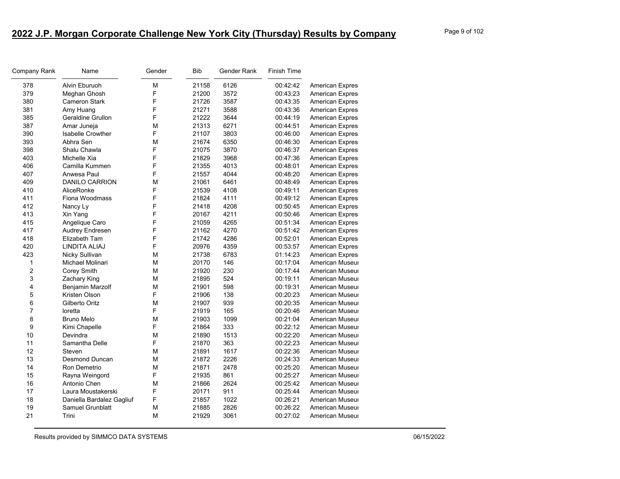| Company Rank            | Name                      | Gender | <b>Bib</b> | Gender Rank | Finish Time |                        |
|-------------------------|---------------------------|--------|------------|-------------|-------------|------------------------|
| 378                     | Alvin Eburuoh             | M      | 21158      | 6126        | 00:42:42    | <b>American Expres</b> |
| 379                     | Meghan Ghosh              | F      | 21200      | 3572        | 00:43:23    | <b>American Expres</b> |
| 380                     | <b>Cameron Stark</b>      | F      | 21726      | 3587        | 00:43:35    | American Expres        |
| 381                     | Amy Huang                 | F      | 21271      | 3588        | 00:43:36    | <b>American Expres</b> |
| 385                     | Geraldine Grullon         | F      | 21222      | 3644        | 00:44:19    | <b>American Expres</b> |
| 387                     | Amar Juneja               | M      | 21313      | 6271        | 00:44:51    | <b>American Expres</b> |
| 390                     | <b>Isabelle Crowther</b>  | F      | 21107      | 3803        | 00:46:00    | <b>American Expres</b> |
| 393                     | Abhra Sen                 | M      | 21674      | 6350        | 00:46:30    | <b>American Expres</b> |
| 398                     | Shalu Chawla              | F      | 21075      | 3870        | 00:46:37    | <b>American Expres</b> |
| 403                     | Michelle Xia              | F      | 21829      | 3968        | 00:47:36    | <b>American Expres</b> |
| 406                     | Camilla Kummen            | F      | 21355      | 4013        | 00:48:01    | <b>American Expres</b> |
| 407                     | Anwesa Paul               | F      | 21557      | 4044        | 00:48:20    | <b>American Expres</b> |
| 409                     | <b>DANILO CARRION</b>     | M      | 21061      | 6461        | 00:48:49    | American Expres        |
| 410                     | AliceRonke                | F      | 21539      | 4108        | 00:49:11    | <b>American Expres</b> |
| 411                     | Fiona Woodmass            | F      | 21824      | 4111        | 00:49:12    | <b>American Expres</b> |
| 412                     | Nancy Ly                  | F      | 21418      | 4208        | 00:50:45    | American Expres        |
| 413                     | Xin Yang                  | F      | 20167      | 4211        | 00:50:46    | <b>American Expres</b> |
| 415                     | Angelique Caro            | F      | 21059      | 4265        | 00:51:34    | <b>American Expres</b> |
| 417                     | Audrey Endresen           | F      | 21162      | 4270        | 00:51:42    | American Expres        |
| 418                     | Elizabeth Tam             | F      | 21742      | 4286        | 00:52:01    | <b>American Expres</b> |
| 420                     | LINDITA ALIAJ             | F      | 20976      | 4359        | 00:53:57    | <b>American Expres</b> |
| 423                     | Nicky Sullivan            | M      | 21738      | 6783        | 01:14:23    | American Expres        |
| 1                       | Michael Molinari          | M      | 20170      | 146         | 00:17:04    | American Museur        |
| $\overline{\mathbf{c}}$ | Corey Smith               | M      | 21920      | 230         | 00:17:44    | American Museur        |
| 3                       | Zachary King              | M      | 21895      | 524         | 00:19:11    | American Museur        |
| 4                       | <b>Benjamin Marzolf</b>   | M      | 21901      | 598         | 00:19:31    | American Museur        |
| 5                       | Kristen Olson             | F      | 21906      | 138         | 00:20:23    | American Museur        |
| 6                       | Gilberto Oritz            | M      | 21907      | 939         | 00:20:35    | American Museur        |
| $\overline{7}$          | loretta                   | F      | 21919      | 165         | 00:20:46    | American Museur        |
| 8                       | <b>Bruno Melo</b>         | M      | 21903      | 1099        | 00:21:04    | American Museur        |
| 9                       | Kimi Chapelle             | F      | 21864      | 333         | 00:22:12    | American Museur        |
| 10                      | Devindra                  | M      | 21890      | 1513        | 00:22:20    | American Museur        |
| 11                      | Samantha Delle            | F      | 21870      | 363         | 00:22:23    | American Museur        |
| 12                      | Steven                    | М      | 21891      | 1617        | 00:22:36    | American Museur        |
| 13                      | <b>Desmond Duncan</b>     | M      | 21872      | 2226        | 00:24:33    | American Museur        |
| 14                      | Ron Demetrio              | M      | 21871      | 2478        | 00:25:20    | American Museur        |
| 15                      | Rayna Weingord            | F      | 21935      | 861         | 00:25:27    | American Museur        |
| 16                      | Antonio Chen              | M      | 21866      | 2624        | 00:25:42    | American Museur        |
| 17                      | Laura Moustakerski        | F      | 20171      | 911         | 00:25:44    | American Museur        |
| 18                      | Daniella Bardalez Gagliuf | F      | 21857      | 1022        | 00:26:21    | American Museur        |
| 19                      | Samuel Grunblatt          | M      | 21885      | 2826        | 00:26:22    | American Museur        |
| 21                      | Trini                     | M      | 21929      | 3061        | 00:27:02    | American Museur        |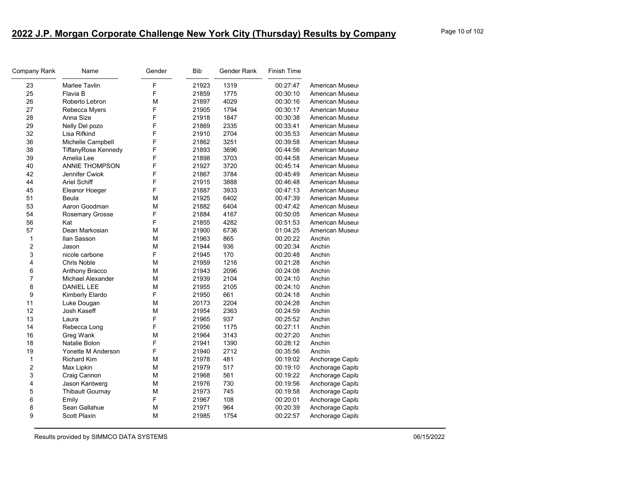| Company Rank            | Name                    | Gender | <b>Bib</b> | Gender Rank | <b>Finish Time</b> |                  |
|-------------------------|-------------------------|--------|------------|-------------|--------------------|------------------|
| 23                      | <b>Marlee Tavlin</b>    | F      | 21923      | 1319        | 00:27:47           | American Museur  |
| 25                      | Flavia B                | F      | 21859      | 1775        | 00:30:10           | American Museur  |
| 26                      | Roberto Lebron          | M      | 21897      | 4029        | 00:30:16           | American Museur  |
| 27                      | Rebecca Myers           | F      | 21905      | 1794        | 00:30:17           | American Museur  |
| 28                      | Anna Size               | F      | 21918      | 1847        | 00:30:38           | American Museur  |
| 29                      | Nelly Del pozo          | F      | 21869      | 2335        | 00:33:41           | American Museur  |
| 32                      | Lisa Rifkind            | F      | 21910      | 2704        | 00:35:53           | American Museur  |
| 36                      | Michelle Campbell       | F      | 21862      | 3251        | 00:39:58           | American Museur  |
| 38                      | TiffanyRose Kennedy     | F      | 21893      | 3696        | 00:44:56           | American Museur  |
| 39                      | Amelia Lee              | F      | 21898      | 3703        | 00:44:58           | American Museur  |
| 40                      | <b>ANNIE THOMPSON</b>   | F      | 21927      | 3720        | 00:45:14           | American Museur  |
| 42                      | Jennifer Cwiok          | F      | 21867      | 3784        | 00:45:49           | American Museur  |
| 44                      | <b>Ariel Schiff</b>     | F      | 21915      | 3888        | 00:46:48           | American Museur  |
| 45                      | Eleanor Hoeger          | F      | 21887      | 3933        | 00:47:13           | American Museur  |
| 51                      | Beula                   | M      | 21925      | 6402        | 00:47:39           | American Museur  |
| 53                      | Aaron Goodman           | M      | 21882      | 6404        | 00:47:42           | American Museur  |
| 54                      | <b>Rosemary Grosse</b>  | F      | 21884      | 4167        | 00:50:05           | American Museur  |
| 56                      | Kat                     | F      | 21855      | 4282        | 00:51:53           | American Museur  |
| 57                      | Dean Markosian          | M      | 21900      | 6736        | 01:04:25           | American Museur  |
| 1                       | Ilan Sasson             | M      | 21963      | 865         | 00:20:22           | Anchin           |
| $\overline{\mathbf{c}}$ | Jason                   | M      | 21944      | 936         | 00:20:34           | Anchin           |
| 3                       | nicole carbone          | F      | 21945      | 170         | 00:20:48           | Anchin           |
| 4                       | <b>Chris Noble</b>      | M      | 21959      | 1216        | 00:21:28           | Anchin           |
| 6                       | Anthony Bracco          | M      | 21943      | 2096        | 00:24:08           | Anchin           |
| $\overline{7}$          | Michael Alexander       | M      | 21939      | 2104        | 00:24:10           | Anchin           |
| 8                       | <b>DANIEL LEE</b>       | M      | 21955      | 2105        | 00:24:10           | Anchin           |
| 9                       | Kimberly Elardo         | F      | 21950      | 661         | 00:24:18           | Anchin           |
| 11                      | Luke Dougan             | M      | 20173      | 2204        | 00:24:28           | Anchin           |
| 12                      | Josh Kaseff             | M      | 21954      | 2363        | 00:24:59           | Anchin           |
| 13                      | Laura                   | F      | 21965      | 937         | 00:25:52           | Anchin           |
| 14                      | Rebecca Long            | F      | 21956      | 1175        | 00:27:11           | Anchin           |
| 16                      | Greg Wank               | M      | 21964      | 3143        | 00:27:20           | Anchin           |
| 18                      | Natalie Bolon           | F      | 21941      | 1390        | 00:28:12           | Anchin           |
| 19                      | Yonette M Anderson      | F      | 21940      | 2712        | 00:35:56           | Anchin           |
| 1                       | <b>Richard Kim</b>      | М      | 21978      | 481         | 00:19:02           | Anchorage Capita |
| 2                       | Max Lipkin              | M      | 21979      | 517         | 00:19:10           | Anchorage Capita |
| 3                       | Craig Cannon            | M      | 21968      | 561         | 00:19:22           | Anchorage Capita |
| 4                       | Jason Kantwerg          | M      | 21976      | 730         | 00:19:56           | Anchorage Capita |
| 5                       | <b>Thibault Gournay</b> | M      | 21973      | 745         | 00:19:58           | Anchorage Capita |
| 6                       | Emily                   | F      | 21967      | 108         | 00:20:01           | Anchorage Capita |
| 8                       | Sean Gallahue           | M      | 21971      | 964         | 00:20:39           | Anchorage Capita |
| 9                       | Scott Plaxin            | M      | 21985      | 1754        | 00:22:57           | Anchorage Capita |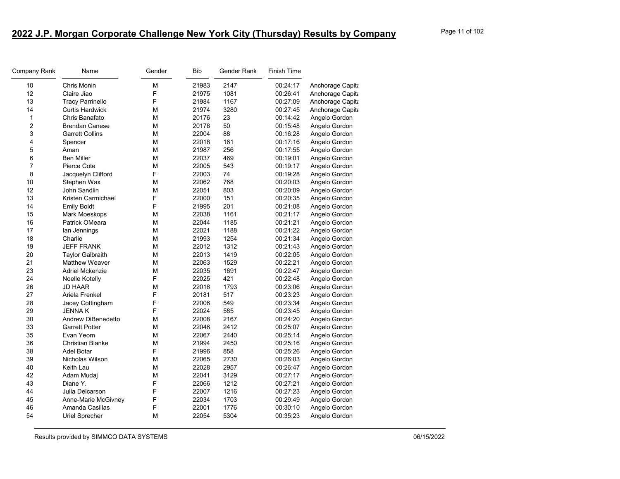| Company Rank   | Name                    | Gender | <b>Bib</b> | Gender Rank | <b>Finish Time</b> |                  |
|----------------|-------------------------|--------|------------|-------------|--------------------|------------------|
| 10             | Chris Monin             | M      | 21983      | 2147        | 00:24:17           | Anchorage Capita |
| 12             | Claire Jiao             | F      | 21975      | 1081        | 00:26:41           | Anchorage Capita |
| 13             | <b>Tracy Parrinello</b> | F      | 21984      | 1167        | 00:27:09           | Anchorage Capita |
| 14             | <b>Curtis Hardwick</b>  | M      | 21974      | 3280        | 00:27:45           | Anchorage Capita |
| $\mathbf{1}$   | Chris Banafato          | М      | 20176      | 23          | 00:14:42           | Angelo Gordon    |
| 2              | <b>Brendan Canese</b>   | М      | 20178      | 50          | 00:15:48           | Angelo Gordon    |
| 3              | <b>Garrett Collins</b>  | M      | 22004      | 88          | 00:16:28           | Angelo Gordon    |
| 4              | Spencer                 | М      | 22018      | 161         | 00:17:16           | Angelo Gordon    |
| 5              | Aman                    | M      | 21987      | 256         | 00:17:55           | Angelo Gordon    |
| 6              | <b>Ben Miller</b>       | M      | 22037      | 469         | 00:19:01           | Angelo Gordon    |
| $\overline{7}$ | Pierce Cote             | M      | 22005      | 543         | 00:19:17           | Angelo Gordon    |
| 8              | Jacquelyn Clifford      | F      | 22003      | 74          | 00:19:28           | Angelo Gordon    |
| 10             | Stephen Wax             | M      | 22062      | 768         | 00:20:03           | Angelo Gordon    |
| 12             | John Sandlin            | M      | 22051      | 803         | 00:20:09           | Angelo Gordon    |
| 13             | Kristen Carmichael      | F      | 22000      | 151         | 00:20:35           | Angelo Gordon    |
| 14             | <b>Emily Boldt</b>      | F      | 21995      | 201         | 00:21:08           | Angelo Gordon    |
| 15             | Mark Moeskops           | M      | 22038      | 1161        | 00:21:17           | Angelo Gordon    |
| 16             | Patrick OMeara          | М      | 22044      | 1185        | 00:21:21           | Angelo Gordon    |
| 17             | lan Jennings            | M      | 22021      | 1188        | 00:21:22           | Angelo Gordon    |
| 18             | Charlie                 | M      | 21993      | 1254        | 00:21:34           | Angelo Gordon    |
| 19             | <b>JEFF FRANK</b>       | M      | 22012      | 1312        | 00:21:43           | Angelo Gordon    |
| 20             | <b>Taylor Galbraith</b> | M      | 22013      | 1419        | 00:22:05           | Angelo Gordon    |
| 21             | <b>Matthew Weaver</b>   | М      | 22063      | 1529        | 00:22:21           | Angelo Gordon    |
| 23             | Adriel Mckenzie         | M      | 22035      | 1691        | 00:22:47           | Angelo Gordon    |
| 24             | Noelle Kotelly          | F      | 22025      | 421         | 00:22:48           | Angelo Gordon    |
| 26             | <b>JD HAAR</b>          | M      | 22016      | 1793        | 00:23:06           | Angelo Gordon    |
| 27             | Ariela Frenkel          | F      | 20181      | 517         | 00:23:23           | Angelo Gordon    |
| 28             | Jacey Cottingham        | F      | 22006      | 549         | 00:23:34           | Angelo Gordon    |
| 29             | <b>JENNAK</b>           | F      | 22024      | 585         | 00:23:45           | Angelo Gordon    |
| 30             | Andrew DiBenedetto      | M      | 22008      | 2167        | 00:24:20           | Angelo Gordon    |
| 33             | <b>Garrett Potter</b>   | М      | 22046      | 2412        | 00:25:07           | Angelo Gordon    |
| 35             | Evan Yeom               | M      | 22067      | 2440        | 00:25:14           | Angelo Gordon    |
| 36             | <b>Christian Blanke</b> | М      | 21994      | 2450        | 00:25:16           | Angelo Gordon    |
| 38             | Adel Botar              | F      | 21996      | 858         | 00:25:26           | Angelo Gordon    |
| 39             | Nicholas Wilson         | М      | 22065      | 2730        | 00:26:03           | Angelo Gordon    |
| 40             | Keith Lau               | М      | 22028      | 2957        | 00:26:47           | Angelo Gordon    |
| 42             | Adam Mudaj              | M      | 22041      | 3129        | 00:27:17           | Angelo Gordon    |
| 43             | Diane Y.                | F      | 22066      | 1212        | 00:27:21           | Angelo Gordon    |
| 44             | Julia Delcarson         | F      | 22007      | 1216        | 00:27:23           | Angelo Gordon    |
| 45             | Anne-Marie McGivney     | F      | 22034      | 1703        | 00:29:49           | Angelo Gordon    |
| 46             | Amanda Casillas         | F      | 22001      | 1776        | 00:30:10           | Angelo Gordon    |
| 54             | Uriel Sprecher          | M      | 22054      | 5304        | 00:35:23           | Angelo Gordon    |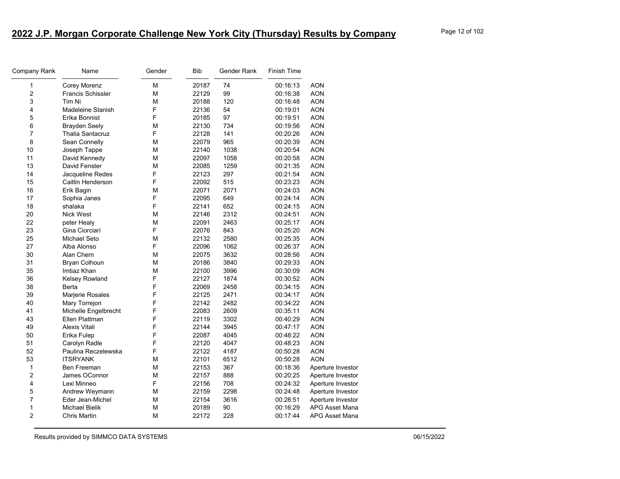| Company Rank            | Name                     | Gender | <b>Bib</b> | Gender Rank | Finish Time |                       |
|-------------------------|--------------------------|--------|------------|-------------|-------------|-----------------------|
| 1                       | Corey Morenz             | M      | 20187      | 74          | 00:16:13    | <b>AON</b>            |
| $\overline{\mathbf{c}}$ | <b>Francis Schissler</b> | M      | 22129      | 99          | 00:16:38    | <b>AON</b>            |
| 3                       | Tim Ni                   | M      | 20188      | 120         | 00:16:48    | <b>AON</b>            |
| 4                       | Madeleine Stanish        | F      | 22136      | 54          | 00:19:01    | <b>AON</b>            |
| 5                       | Erika Bonnist            | F      | 20185      | 97          | 00:19:51    | <b>AON</b>            |
| 6                       | <b>Brayden Seely</b>     | M      | 22130      | 734         | 00:19:56    | <b>AON</b>            |
| $\overline{7}$          | <b>Thalia Santacruz</b>  | F      | 22128      | 141         | 00:20:26    | <b>AON</b>            |
| 8                       | Sean Connelly            | M      | 22079      | 965         | 00:20:39    | <b>AON</b>            |
| 10                      | Joseph Tappe             | M      | 22140      | 1038        | 00:20:54    | <b>AON</b>            |
| 11                      | David Kennedy            | M      | 22097      | 1058        | 00:20:58    | <b>AON</b>            |
| 13                      | David Fenster            | M      | 22085      | 1259        | 00:21:35    | <b>AON</b>            |
| 14                      | Jacqueline Redes         | F      | 22123      | 297         | 00:21:54    | <b>AON</b>            |
| 15                      | Caitlin Henderson        | F      | 22092      | 515         | 00:23:23    | <b>AON</b>            |
| 16                      | Erik Bagin               | M      | 22071      | 2071        | 00:24:03    | <b>AON</b>            |
| 17                      | Sophia Janes             | F      | 22095      | 649         | 00:24:14    | <b>AON</b>            |
| 18                      | shalaka                  | F      | 22141      | 652         | 00:24:15    | <b>AON</b>            |
| 20                      | Nick West                | M      | 22146      | 2312        | 00:24:51    | <b>AON</b>            |
| 22                      | peter Healy              | M      | 22091      | 2463        | 00:25:17    | <b>AON</b>            |
| 23                      | Gina Ciorciari           | F      | 22076      | 843         | 00:25:20    | <b>AON</b>            |
| 25                      | Michael Seto             | M      | 22132      | 2580        | 00:25:35    | <b>AON</b>            |
| 27                      | Alba Alonso              | F      | 22096      | 1062        | 00:26:37    | <b>AON</b>            |
| 30                      | Alan Chern               | M      | 22075      | 3632        | 00:28:56    | <b>AON</b>            |
| 31                      | <b>Bryan Colhoun</b>     | M      | 20186      | 3840        | 00:29:33    | <b>AON</b>            |
| 35                      | Imtiaz Khan              | M      | 22100      | 3996        | 00:30:09    | <b>AON</b>            |
| 36                      | Kelsey Rowland           | F      | 22127      | 1874        | 00:30:52    | <b>AON</b>            |
| 38                      | Berta                    | F      | 22069      | 2458        | 00:34:15    | <b>AON</b>            |
| 39                      | Marjerie Rosales         | F      | 22125      | 2471        | 00:34:17    | <b>AON</b>            |
| 40                      | Mary Torrejon            | F      | 22142      | 2482        | 00:34:22    | <b>AON</b>            |
| 41                      | Michelle Engelbrecht     | F      | 22083      | 2609        | 00:35:11    | <b>AON</b>            |
| 43                      | Ellen Plattman           | F      | 22119      | 3302        | 00:40:29    | <b>AON</b>            |
| 49                      | Alexis Vitali            | F      | 22144      | 3945        | 00:47:17    | <b>AON</b>            |
| 50                      | Erika Fulep              | F      | 22087      | 4045        | 00:48:22    | <b>AON</b>            |
| 51                      | Carolyn Radle            | F      | 22120      | 4047        | 00:48:23    | <b>AON</b>            |
| 52                      | Paulina Reczelewska      | F      | 22122      | 4187        | 00:50:28    | <b>AON</b>            |
| 53                      | <b>ITSRYANK</b>          | M      | 22101      | 6512        | 00:50:28    | <b>AON</b>            |
| $\mathbf{1}$            | Ben Freeman              | М      | 22153      | 367         | 00:18:36    | Aperture Investor     |
| 2                       | James OConnor            | M      | 22157      | 888         | 00:20:25    | Aperture Investor     |
| 4                       | Lexi Minneo              | F      | 22156      | 708         | 00:24:32    | Aperture Investor     |
| 5                       | Andrew Weymann           | М      | 22159      | 2298        | 00:24:48    | Aperture Investor     |
| 7                       | Eder Jean-Michel         | M      | 22154      | 3616        | 00:28:51    | Aperture Investor     |
| 1                       | Michael Bielik           | M      | 20189      | 90          | 00:16:29    | APG Asset Mana        |
| $\overline{2}$          | Chris Martin             | M      | 22172      | 228         | 00:17:44    | <b>APG Asset Mana</b> |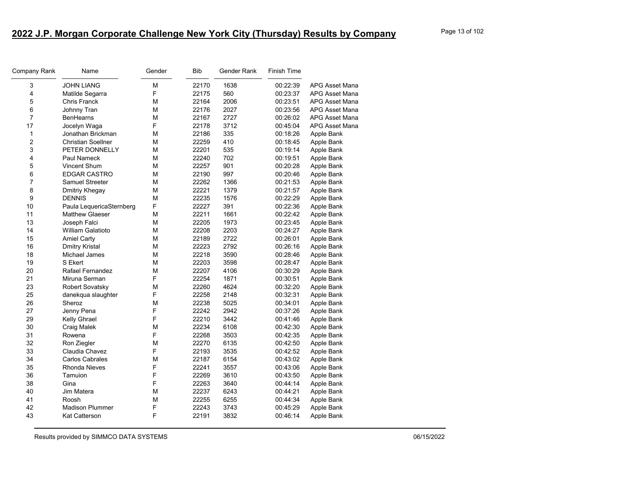| Company Rank   | Name                      | Gender | <b>Bib</b> | Gender Rank | Finish Time |                       |
|----------------|---------------------------|--------|------------|-------------|-------------|-----------------------|
| 3              | <b>JOHN LIANG</b>         | М      | 22170      | 1638        | 00:22:39    | <b>APG Asset Mana</b> |
| 4              | Matilde Segarra           | F      | 22175      | 560         | 00:23:37    | APG Asset Mana        |
| 5              | <b>Chris Franck</b>       | M      | 22164      | 2006        | 00:23:51    | <b>APG Asset Mana</b> |
| 6              | Johnny Tran               | М      | 22176      | 2027        | 00:23:56    | APG Asset Mana        |
| $\overline{7}$ | <b>BenHearns</b>          | M      | 22167      | 2727        | 00:26:02    | <b>APG Asset Mana</b> |
| 17             | Jocelyn Waga              | F      | 22178      | 3712        | 00:45:04    | <b>APG Asset Mana</b> |
| 1              | Jonathan Brickman         | M      | 22186      | 335         | 00:18:26    | Apple Bank            |
| 2              | <b>Christian Soellner</b> | М      | 22259      | 410         | 00:18:45    | Apple Bank            |
| 3              | PETER DONNELLY            | M      | 22201      | 535         | 00:19:14    | Apple Bank            |
| 4              | Paul Nameck               | M      | 22240      | 702         | 00:19:51    | Apple Bank            |
| 5              | <b>Vincent Shum</b>       | M      | 22257      | 901         | 00:20:28    | Apple Bank            |
| 6              | <b>EDGAR CASTRO</b>       | M      | 22190      | 997         | 00:20:46    | Apple Bank            |
| 7              | <b>Samuel Streeter</b>    | M      | 22262      | 1366        | 00:21:53    | Apple Bank            |
| 8              | Dmitriy Khegay            | M      | 22221      | 1379        | 00:21:57    | Apple Bank            |
| 9              | <b>DENNIS</b>             | M      | 22235      | 1576        | 00:22:29    | Apple Bank            |
| 10             | Paula LequericaSternberg  | F      | 22227      | 391         | 00:22:36    | Apple Bank            |
| 11             | <b>Matthew Glaeser</b>    | M      | 22211      | 1661        | 00:22:42    | Apple Bank            |
| 13             | Joseph Falci              | M      | 22205      | 1973        | 00:23:45    | Apple Bank            |
| 14             | William Galatioto         | M      | 22208      | 2203        | 00:24:27    | Apple Bank            |
| 15             | <b>Amiel Carty</b>        | M      | 22189      | 2722        | 00:26:01    | Apple Bank            |
| 16             | Dmitry Kristal            | M      | 22223      | 2792        | 00:26:16    | Apple Bank            |
| 18             | Michael James             | M      | 22218      | 3590        | 00:28:46    | Apple Bank            |
| 19             | S Ekert                   | М      | 22203      | 3598        | 00:28:47    | Apple Bank            |
| 20             | Rafael Fernandez          | M      | 22207      | 4106        | 00:30:29    | Apple Bank            |
| 21             | Miruna Serman             | F      | 22254      | 1871        | 00:30:51    | Apple Bank            |
| 23             | Robert Sovatsky           | М      | 22260      | 4624        | 00:32:20    | Apple Bank            |
| 25             | danekqua slaughter        | F      | 22258      | 2148        | 00:32:31    | Apple Bank            |
| 26             | Sheroz                    | M      | 22238      | 5025        | 00:34:01    | Apple Bank            |
| 27             | Jenny Pena                | F      | 22242      | 2942        | 00:37:26    | Apple Bank            |
| 29             | Kelly Ghrael              | F      | 22210      | 3442        | 00:41:46    | Apple Bank            |
| 30             | Craig Malek               | M      | 22234      | 6108        | 00:42:30    | Apple Bank            |
| 31             | Rowena                    | F      | 22268      | 3503        | 00:42:35    | Apple Bank            |
| 32             | Ron Ziegler               | M      | 22270      | 6135        | 00:42:50    | Apple Bank            |
| 33             | Claudia Chavez            | F      | 22193      | 3535        | 00:42:52    | Apple Bank            |
| 34             | <b>Carlos Cabrales</b>    | M      | 22187      | 6154        | 00:43:02    | Apple Bank            |
| 35             | Rhonda Nieves             | F      | 22241      | 3557        | 00:43:06    | Apple Bank            |
| 36             | Tamuion                   | F      | 22269      | 3610        | 00:43:50    | Apple Bank            |
| 38             | Gina                      | F      | 22263      | 3640        | 00:44:14    | Apple Bank            |
| 40             | Jim Matera                | M      | 22237      | 6243        | 00:44:21    | Apple Bank            |
| 41             | Roosh                     | M      | 22255      | 6255        | 00:44:34    | Apple Bank            |
| 42             | <b>Madison Plummer</b>    | F      | 22243      | 3743        | 00:45:29    | Apple Bank            |
| 43             | Kat Catterson             | F      | 22191      | 3832        | 00:46:14    | Apple Bank            |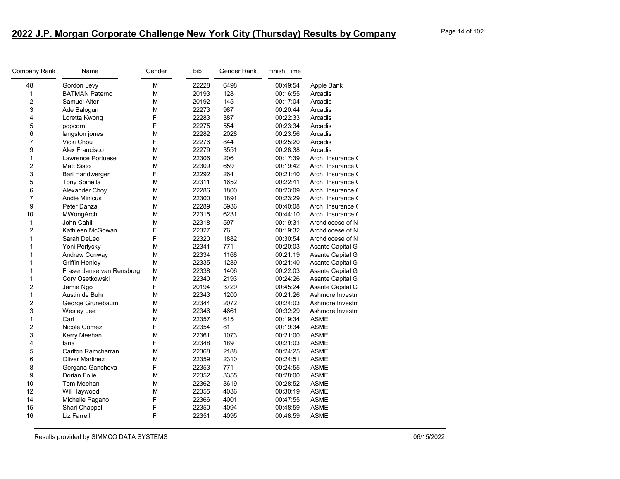| Company Rank            | Name                      | Gender | Bib   | Gender Rank | Finish Time |                  |
|-------------------------|---------------------------|--------|-------|-------------|-------------|------------------|
| 48                      | Gordon Levy               | М      | 22228 | 6498        | 00:49:54    | Apple Bank       |
| 1                       | <b>BATMAN Paterno</b>     | М      | 20193 | 128         | 00:16:55    | Arcadis          |
| 2                       | Samuel Alter              | M      | 20192 | 145         | 00:17:04    | Arcadis          |
| 3                       | Ade Balogun               | M      | 22273 | 987         | 00:20:44    | Arcadis          |
| 4                       | Loretta Kwong             | F      | 22283 | 387         | 00:22:33    | Arcadis          |
| 5                       | popcorn                   | F      | 22275 | 554         | 00:23:34    | Arcadis          |
| 6                       | langston jones            | M      | 22282 | 2028        | 00:23:56    | Arcadis          |
| $\overline{7}$          | Vicki Chou                | F      | 22276 | 844         | 00:25:20    | Arcadis          |
| 9                       | Alex Francisco            | M      | 22279 | 3551        | 00:28:38    | Arcadis          |
| 1                       | Lawrence Portuese         | M      | 22306 | 206         | 00:17:39    | Arch Insurance ( |
| 2                       | <b>Matt Sisto</b>         | M      | 22309 | 659         | 00:19:42    | Arch Insurance ( |
| 3                       | Bari Handwerger           | F      | 22292 | 264         | 00:21:40    | Arch Insurance ( |
| 5                       | <b>Tony Spinella</b>      | M      | 22311 | 1652        | 00:22:41    | Arch Insurance ( |
| 6                       | Alexander Choy            | M      | 22286 | 1800        | 00:23:09    | Arch Insurance ( |
| 7                       | <b>Andie Minicus</b>      | М      | 22300 | 1891        | 00:23:29    | Arch Insurance ( |
| 9                       | Peter Danza               | M      | 22289 | 5936        | 00:40:08    | Arch Insurance ( |
| 10                      | MWongArch                 | М      | 22315 | 6231        | 00:44:10    | Arch Insurance ( |
| $\mathbf{1}$            | John Cahill               | M      | 22318 | 597         | 00:19:31    | Archdiocese of N |
| $\overline{c}$          | Kathleen McGowan          | F      | 22327 | 76          | 00:19:32    | Archdiocese of N |
| 1                       | Sarah DeLeo               | F      | 22320 | 1882        | 00:30:54    | Archdiocese of N |
| 1                       | Yoni Perlysky             | M      | 22341 | 771         | 00:20:03    | Asante Capital G |
| 1                       | Andrew Conway             | M      | 22334 | 1168        | 00:21:19    | Asante Capital G |
| 1                       | <b>Griffin Henley</b>     | M      | 22335 | 1289        | 00:21:40    | Asante Capital G |
| 1                       | Fraser Janse van Rensburg | М      | 22338 | 1406        | 00:22:03    | Asante Capital G |
| 1                       | Cory Osetkowski           | М      | 22340 | 2193        | 00:24:26    | Asante Capital G |
| $\overline{c}$          | Jamie Ngo                 | F      | 20194 | 3729        | 00:45:24    | Asante Capital G |
| 1                       | Austin de Buhr            | M      | 22343 | 1200        | 00:21:26    | Ashmore Investm  |
| $\overline{\mathbf{c}}$ | George Grunebaum          | M      | 22344 | 2072        | 00:24:03    | Ashmore Investm  |
| 3                       | Wesley Lee                | M      | 22346 | 4661        | 00:32:29    | Ashmore Investm  |
| 1                       | Carl                      | M      | 22357 | 615         | 00:19:34    | <b>ASME</b>      |
| $\overline{c}$          | Nicole Gomez              | F      | 22354 | 81          | 00:19:34    | <b>ASME</b>      |
| 3                       | Kerry Meehan              | M      | 22361 | 1073        | 00:21:00    | <b>ASME</b>      |
| 4                       | lana                      | F      | 22348 | 189         | 00:21:03    | <b>ASME</b>      |
| 5                       | Carlton Ramcharran        | M      | 22368 | 2188        | 00:24:25    | <b>ASME</b>      |
| 6                       | <b>Oliver Martinez</b>    | M      | 22359 | 2310        | 00:24:51    | <b>ASME</b>      |
| 8                       | Gergana Gancheva          | F      | 22353 | 771         | 00:24:55    | ASME             |
| 9                       | Dorian Folie              | M      | 22352 | 3355        | 00:28:00    | <b>ASME</b>      |
| 10                      | Tom Meehan                | M      | 22362 | 3619        | 00:28:52    | <b>ASME</b>      |
| 12                      | Wil Haywood               | M      | 22355 | 4036        | 00:30:19    | <b>ASME</b>      |
| 14                      | Michelle Pagano           | F      | 22366 | 4001        | 00:47:55    | <b>ASME</b>      |
| 15                      | Shari Chappell            | F      | 22350 | 4094        | 00:48:59    | <b>ASME</b>      |
| 16                      | Liz Farrell               | F      | 22351 | 4095        | 00:48:59    | <b>ASME</b>      |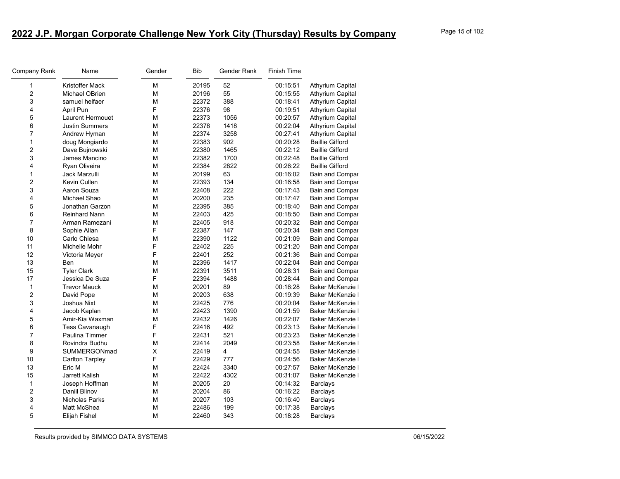| Company Rank            | Name                   | Gender | <b>Bib</b> | Gender Rank | <b>Finish Time</b> |                         |
|-------------------------|------------------------|--------|------------|-------------|--------------------|-------------------------|
| 1                       | Kristoffer Mack        | М      | 20195      | 52          | 00:15:51           | <b>Athyrium Capital</b> |
| $\overline{\mathbf{c}}$ | Michael OBrien         | M      | 20196      | 55          | 00:15:55           | <b>Athyrium Capital</b> |
| 3                       | samuel helfaer         | M      | 22372      | 388         | 00:18:41           | <b>Athyrium Capital</b> |
| 4                       | April Pun              | F      | 22376      | 98          | 00:19:51           | <b>Athyrium Capital</b> |
| 5                       | Laurent Hermouet       | М      | 22373      | 1056        | 00:20:57           | <b>Athyrium Capital</b> |
| 6                       | <b>Justin Summers</b>  | М      | 22378      | 1418        | 00:22:04           | <b>Athyrium Capital</b> |
| 7                       | Andrew Hyman           | М      | 22374      | 3258        | 00:27:41           | <b>Athyrium Capital</b> |
| 1                       | doug Mongiardo         | М      | 22383      | 902         | 00:20:28           | <b>Baillie Gifford</b>  |
| $\overline{\mathbf{c}}$ | Dave Bujnowski         | М      | 22380      | 1465        | 00:22:12           | <b>Baillie Gifford</b>  |
| 3                       | James Mancino          | М      | 22382      | 1700        | 00:22:48           | <b>Baillie Gifford</b>  |
| 4                       | Ryan Oliveira          | М      | 22384      | 2822        | 00:26:22           | <b>Baillie Gifford</b>  |
| 1                       | Jack Marzulli          | М      | 20199      | 63          | 00:16:02           | Bain and Compar         |
| 2                       | Kevin Cullen           | М      | 22393      | 134         | 00:16:58           | Bain and Compar         |
| 3                       | Aaron Souza            | М      | 22408      | 222         | 00:17:43           | Bain and Compar         |
| 4                       | Michael Shao           | M      | 20200      | 235         | 00:17:47           | Bain and Compar         |
| 5                       | Jonathan Garzon        | М      | 22395      | 385         | 00:18:40           | Bain and Compar         |
| 6                       | <b>Reinhard Nann</b>   | М      | 22403      | 425         | 00:18:50           | Bain and Compar         |
| $\overline{7}$          | Arman Ramezani         | М      | 22405      | 918         | 00:20:32           | Bain and Compar         |
| 8                       | Sophie Allan           | F      | 22387      | 147         | 00:20:34           | Bain and Compar         |
| 10                      | Carlo Chiesa           | М      | 22390      | 1122        | 00:21:09           | Bain and Compar         |
| 11                      | Michelle Mohr          | F      | 22402      | 225         | 00:21:20           | Bain and Compar         |
| 12                      | Victoria Meyer         | F      | 22401      | 252         | 00:21:36           | Bain and Compar         |
| 13                      | Ben                    | М      | 22396      | 1417        | 00:22:04           | Bain and Compar         |
| 15                      | <b>Tyler Clark</b>     | M      | 22391      | 3511        | 00:28:31           | Bain and Compar         |
| 17                      | Jessica De Suza        | F      | 22394      | 1488        | 00:28:44           | Bain and Compar         |
| 1                       | <b>Trevor Mauck</b>    | М      | 20201      | 89          | 00:16:28           | Baker McKenzie I        |
| $\overline{c}$          | David Pope             | М      | 20203      | 638         | 00:19:39           | Baker McKenzie I        |
| 3                       | Joshua Nixt            | M      | 22425      | 776         | 00:20:04           | Baker McKenzie I        |
| 4                       | Jacob Kaplan           | М      | 22423      | 1390        | 00:21:59           | Baker McKenzie I        |
| 5                       | Amir-Kia Waxman        | М      | 22432      | 1426        | 00:22:07           | Baker McKenzie I        |
| 6                       | <b>Tess Cavanaugh</b>  | F      | 22416      | 492         | 00:23:13           | Baker McKenzie I        |
| $\overline{7}$          | Paulina Timmer         | F      | 22431      | 521         | 00:23:23           | Baker McKenzie I        |
| 8                       | Rovindra Budhu         | М      | 22414      | 2049        | 00:23:58           | Baker McKenzie I        |
| 9                       | SUMMERGONmad           | Χ      | 22419      | 4           | 00:24:55           | Baker McKenzie          |
| 10                      | <b>Carlton Tarpley</b> | F      | 22429      | 777         | 00:24:56           | Baker McKenzie I        |
| 13                      | Eric M                 | М      | 22424      | 3340        | 00:27:57           | Baker McKenzie I        |
| 15                      | Jarrett Kalish         | М      | 22422      | 4302        | 00:31:07           | Baker McKenzie I        |
| 1                       | Joseph Hoffman         | M      | 20205      | 20          | 00:14:32           | <b>Barclays</b>         |
| $\overline{c}$          | Daniil Blinov          | М      | 20204      | 86          | 00:16:22           | <b>Barclays</b>         |
| 3                       | Nicholas Parks         | М      | 20207      | 103         | 00:16:40           | <b>Barclays</b>         |
| 4                       | Matt McShea            | М      | 22486      | 199         | 00:17:38           | <b>Barclays</b>         |
| 5                       | Elijah Fishel          | М      | 22460      | 343         | 00:18:28           | Barclays                |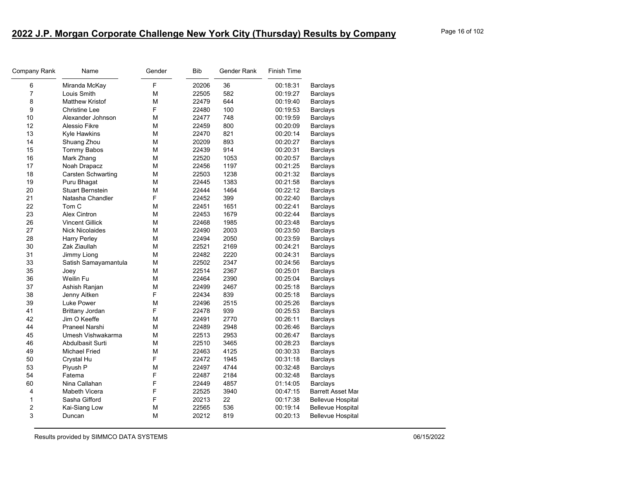| Company Rank | Name                      | Gender                                                                                | <b>Bib</b> | Gender Rank | Finish Time |                          |
|--------------|---------------------------|---------------------------------------------------------------------------------------|------------|-------------|-------------|--------------------------|
| 6            | Miranda McKay             | F                                                                                     | 20206      | 36          | 00:18:31    | <b>Barclays</b>          |
| 7            | Louis Smith               | M                                                                                     | 22505      | 582         | 00:19:27    | <b>Barclays</b>          |
| 8            | <b>Matthew Kristof</b>    | М                                                                                     | 22479      | 644         | 00:19:40    | Barclays                 |
| 9            | <b>Christine Lee</b>      | F                                                                                     | 22480      | 100         | 00:19:53    | Barclays                 |
| 10           | Alexander Johnson         | M                                                                                     | 22477      | 748         | 00:19:59    | <b>Barclays</b>          |
| 12           | Alessio Fikre             | M                                                                                     | 22459      | 800         | 00:20:09    | <b>Barclays</b>          |
| 13           | Kyle Hawkins              | M                                                                                     | 22470      | 821         | 00:20:14    | <b>Barclays</b>          |
| 14           | Shuang Zhou               | M                                                                                     | 20209      | 893         | 00:20:27    | Barclays                 |
| 15           | <b>Tommy Babos</b>        | M                                                                                     | 22439      | 914         | 00:20:31    | <b>Barclays</b>          |
| 16           | Mark Zhang                | M                                                                                     | 22520      | 1053        | 00:20:57    | <b>Barclays</b>          |
| 17           | Noah Drapacz              | $\mathsf{M}% _{T}=\mathsf{M}_{T}\!\left( a,b\right) ,\ \mathsf{M}_{T}=\mathsf{M}_{T}$ | 22456      | 1197        | 00:21:25    | <b>Barclays</b>          |
| 18           | <b>Carsten Schwarting</b> | M                                                                                     | 22503      | 1238        | 00:21:32    | <b>Barclays</b>          |
| 19           | Puru Bhagat               | M                                                                                     | 22445      | 1383        | 00:21:58    | <b>Barclays</b>          |
| 20           | <b>Stuart Bernstein</b>   | M                                                                                     | 22444      | 1464        | 00:22:12    | <b>Barclays</b>          |
| 21           | Natasha Chandler          | F                                                                                     | 22452      | 399         | 00:22:40    | <b>Barclays</b>          |
| 22           | Tom C                     | M                                                                                     | 22451      | 1651        | 00:22:41    | Barclays                 |
| 23           | <b>Alex Cintron</b>       | M                                                                                     | 22453      | 1679        | 00:22:44    | Barclays                 |
| 26           | <b>Vincent Gillick</b>    | M                                                                                     | 22468      | 1985        | 00:23:48    | <b>Barclays</b>          |
| 27           | <b>Nick Nicolaides</b>    | $\mathsf{M}% _{T}=\mathsf{M}_{T}\!\left( a,b\right) ,\ \mathsf{M}_{T}=\mathsf{M}_{T}$ | 22490      | 2003        | 00:23:50    | <b>Barclays</b>          |
| 28           | <b>Harry Perley</b>       | М                                                                                     | 22494      | 2050        | 00:23:59    | <b>Barclays</b>          |
| 30           | Zak Ziaullah              | M                                                                                     | 22521      | 2169        | 00:24:21    | <b>Barclays</b>          |
| 31           | Jimmy Liong               | M                                                                                     | 22482      | 2220        | 00:24:31    | <b>Barclays</b>          |
| 33           | Satish Samayamantula      | М                                                                                     | 22502      | 2347        | 00:24:56    | <b>Barclays</b>          |
| 35           | Joey                      | M                                                                                     | 22514      | 2367        | 00:25:01    | Barclays                 |
| 36           | Weilin Fu                 | M                                                                                     | 22464      | 2390        | 00:25:04    | Barclays                 |
| 37           | Ashish Ranjan             | M                                                                                     | 22499      | 2467        | 00:25:18    | <b>Barclays</b>          |
| 38           | Jenny Aitken              | F                                                                                     | 22434      | 839         | 00:25:18    | <b>Barclays</b>          |
| 39           | Luke Power                | M                                                                                     | 22496      | 2515        | 00:25:26    | Barclays                 |
| 41           | <b>Brittany Jordan</b>    | F                                                                                     | 22478      | 939         | 00:25:53    | <b>Barclays</b>          |
| 42           | Jim O Keeffe              | M                                                                                     | 22491      | 2770        | 00:26:11    | <b>Barclays</b>          |
| 44           | Praneel Narshi            | M                                                                                     | 22489      | 2948        | 00:26:46    | <b>Barclays</b>          |
| 45           | Umesh Vishwakarma         | M                                                                                     | 22513      | 2953        | 00:26:47    | <b>Barclays</b>          |
| 46           | Abdulbasit Surti          | M                                                                                     | 22510      | 3465        | 00:28:23    | <b>Barclays</b>          |
| 49           | <b>Michael Fried</b>      | M                                                                                     | 22463      | 4125        | 00:30:33    | <b>Barclays</b>          |
| 50           | Crystal Hu                | F                                                                                     | 22472      | 1945        | 00:31:18    | <b>Barclays</b>          |
| 53           | Piyush P                  | М                                                                                     | 22497      | 4744        | 00:32:48    | <b>Barclays</b>          |
| 54           | Fatema                    | F                                                                                     | 22487      | 2184        | 00:32:48    | Barclays                 |
| 60           | Nina Callahan             | F                                                                                     | 22449      | 4857        | 01:14:05    | <b>Barclays</b>          |
| 4            | Mabeth Vicera             | F                                                                                     | 22525      | 3940        | 00:47:15    | <b>Barrett Asset Mar</b> |
| 1            | Sasha Gifford             | F                                                                                     | 20213      | 22          | 00:17:38    | <b>Bellevue Hospital</b> |
| 2            | Kai-Siang Low             | M                                                                                     | 22565      | 536         | 00:19:14    | <b>Bellevue Hospital</b> |
| 3            | Duncan                    | М                                                                                     | 20212      | 819         | 00:20:13    | Bellevue Hospital        |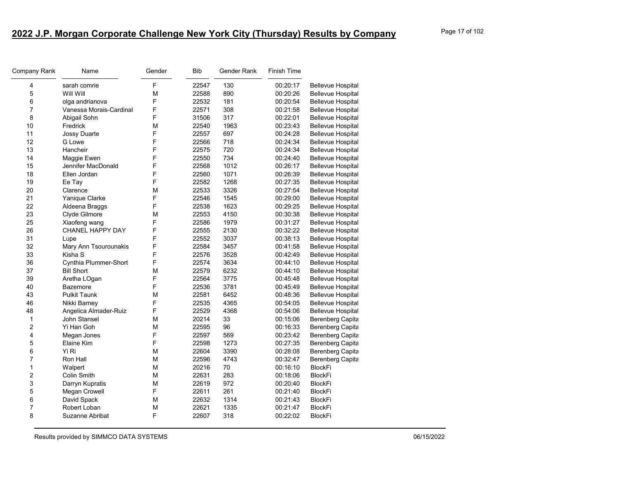| Company Rank   | Name                    | Gender | Bib   | Gender Rank | Finish Time |                          |
|----------------|-------------------------|--------|-------|-------------|-------------|--------------------------|
| 4              | sarah comrie            | F      | 22547 | 130         | 00:20:17    | <b>Bellevue Hospital</b> |
| 5              | Will Will               | M      | 22588 | 890         | 00:20:26    | <b>Bellevue Hospital</b> |
| 6              | olga andrianova         | F      | 22532 | 181         | 00:20:54    | <b>Bellevue Hospital</b> |
| 7              | Vanessa Morais-Cardinal | F      | 22571 | 308         | 00:21:58    | <b>Bellevue Hospital</b> |
| 8              | Abigail Sohn            | F      | 31506 | 317         | 00:22:01    | <b>Bellevue Hospital</b> |
| 10             | Fredrick                | M      | 22540 | 1963        | 00:23:43    | <b>Bellevue Hospital</b> |
| 11             | Jossy Duarte            | F      | 22557 | 697         | 00:24:28    | <b>Bellevue Hospital</b> |
| 12             | G Lowe                  | F      | 22566 | 718         | 00:24:34    | <b>Bellevue Hospital</b> |
| 13             | Hancheir                | F      | 22575 | 720         | 00:24:34    | <b>Bellevue Hospital</b> |
| 14             | Maggie Ewen             | F      | 22550 | 734         | 00:24:40    | <b>Bellevue Hospital</b> |
| 15             | Jennifer MacDonald      | F      | 22568 | 1012        | 00:26:17    | <b>Bellevue Hospital</b> |
| 18             | Ellen Jordan            | F      | 22560 | 1071        | 00:26:39    | <b>Bellevue Hospital</b> |
| 19             | Ee Tay                  | F      | 22582 | 1268        | 00:27:35    | <b>Bellevue Hospital</b> |
| 20             | Clarence                | M      | 22533 | 3326        | 00:27:54    | <b>Bellevue Hospital</b> |
| 21             | Yanique Clarke          | F      | 22546 | 1545        | 00:29:00    | <b>Bellevue Hospital</b> |
| 22             | Aldeena Braggs          | F      | 22538 | 1623        | 00:29:25    | <b>Bellevue Hospital</b> |
| 23             | Clyde Gilmore           | M      | 22553 | 4150        | 00:30:38    | <b>Bellevue Hospital</b> |
| 25             | Xiaofeng wang           | F      | 22586 | 1979        | 00:31:27    | <b>Bellevue Hospital</b> |
| 26             | CHANEL HAPPY DAY        | F      | 22555 | 2130        | 00:32:22    | <b>Bellevue Hospital</b> |
| 31             | Lupe                    | F      | 22552 | 3037        | 00:38:13    | <b>Bellevue Hospital</b> |
| 32             | Mary Ann Tsourounakis   | F      | 22584 | 3457        | 00:41:58    | <b>Bellevue Hospital</b> |
| 33             | Kisha S                 | F      | 22576 | 3528        | 00:42:49    | <b>Bellevue Hospital</b> |
| 36             | Cynthia Plummer-Short   | F      | 22574 | 3634        | 00:44:10    | <b>Bellevue Hospital</b> |
| 37             | <b>Bill Short</b>       | M      | 22579 | 6232        | 00:44:10    | <b>Bellevue Hospital</b> |
| 39             | Aretha LOgan            | F      | 22564 | 3775        | 00:45:48    | <b>Bellevue Hospital</b> |
| 40             | <b>Bazemore</b>         | F      | 22536 | 3781        | 00:45:49    | <b>Bellevue Hospital</b> |
| 43             | <b>Pulkit Taunk</b>     | M      | 22581 | 6452        | 00:48:36    | <b>Bellevue Hospital</b> |
| 46             | Nikki Barney            | F      | 22535 | 4365        | 00:54:05    | <b>Bellevue Hospital</b> |
| 48             | Angelica Almader-Ruiz   | F      | 22529 | 4368        | 00:54:06    | <b>Bellevue Hospital</b> |
| 1              | John Stansel            | M      | 20214 | 33          | 00:15:06    | <b>Berenberg Capita</b>  |
| 2              | Yi Han Goh              | M      | 22595 | 96          | 00:16:33    | <b>Berenberg Capita</b>  |
| 4              | Megan Jones             | F      | 22597 | 569         | 00:23:42    | <b>Berenberg Capita</b>  |
| 5              | Elaine Kim              | F      | 22598 | 1273        | 00:27:35    | <b>Berenberg Capita</b>  |
| 6              | Yi Ri                   | M      | 22604 | 3390        | 00:28:08    | <b>Berenberg Capita</b>  |
| $\overline{7}$ | Ron Hall                | M      | 22596 | 4743        | 00:32:47    | <b>Berenberg Capita</b>  |
| 1              | Walpert                 | M      | 20216 | 70          | 00:16:10    | <b>BlockFi</b>           |
| 2              | Colin Smith             | M      | 22631 | 283         | 00:18:06    | <b>BlockFi</b>           |
| 3              | Darryn Kupratis         | M      | 22619 | 972         | 00:20:40    | <b>BlockFi</b>           |
| 5              | Megan Crowell           | F      | 22611 | 261         | 00:21:40    | <b>BlockFi</b>           |
| 6              | David Spack             | M      | 22632 | 1314        | 00:21:43    | <b>BlockFi</b>           |
| 7              | Robert Loban            | M      | 22621 | 1335        | 00:21:47    | <b>BlockFi</b>           |
| 8              | Suzanne Abribat         | F      | 22607 | 318         | 00:22:02    | <b>BlockFi</b>           |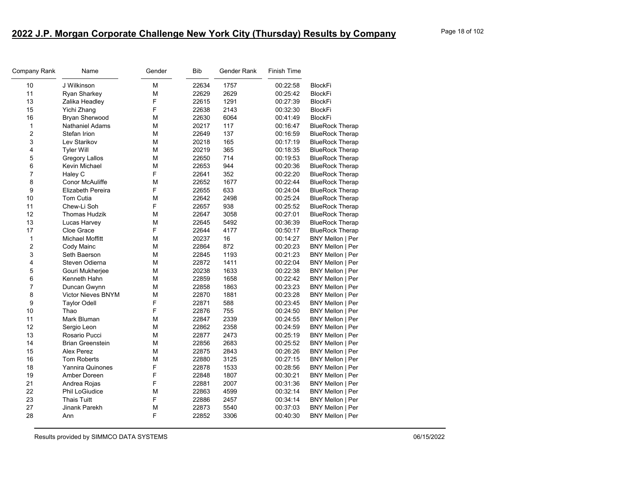| Company Rank     | Name                    | Gender | <b>Bib</b> | Gender Rank | Finish Time |                        |
|------------------|-------------------------|--------|------------|-------------|-------------|------------------------|
| 10               | J Wilkinson             | M      | 22634      | 1757        | 00:22:58    | <b>BlockFi</b>         |
| 11               | Ryan Sharkey            | М      | 22629      | 2629        | 00:25:42    | <b>BlockFi</b>         |
| 13               | Zalika Headley          | F      | 22615      | 1291        | 00:27:39    | <b>BlockFi</b>         |
| 15               | Yichi Zhang             | F      | 22638      | 2143        | 00:32:30    | <b>BlockFi</b>         |
| 16               | Bryan Sherwood          | M      | 22630      | 6064        | 00:41:49    | <b>BlockFi</b>         |
| $\mathbf{1}$     | <b>Nathaniel Adams</b>  | M      | 20217      | 117         | 00:16:47    | <b>BlueRock Therap</b> |
| $\boldsymbol{2}$ | Stefan Irion            | М      | 22649      | 137         | 00:16:59    | <b>BlueRock Therap</b> |
| 3                | Lev Starikov            | М      | 20218      | 165         | 00:17:19    | <b>BlueRock Therap</b> |
| $\overline{4}$   | <b>Tyler Will</b>       | М      | 20219      | 365         | 00:18:35    | <b>BlueRock Therap</b> |
| 5                | <b>Gregory Lallos</b>   | М      | 22650      | 714         | 00:19:53    | <b>BlueRock Therap</b> |
| 6                | Kevin Michael           | М      | 22653      | 944         | 00:20:36    | <b>BlueRock Therap</b> |
| $\overline{7}$   | Haley C                 | F      | 22641      | 352         | 00:22:20    | <b>BlueRock Therap</b> |
| 8                | Conor McAuliffe         | М      | 22652      | 1677        | 00:22:44    | <b>BlueRock Therap</b> |
| 9                | Elizabeth Pereira       | F      | 22655      | 633         | 00:24:04    | <b>BlueRock Therap</b> |
| 10               | Tom Cutia               | М      | 22642      | 2498        | 00:25:24    | <b>BlueRock Therap</b> |
| 11               | Chew-Li Soh             | F      | 22657      | 938         | 00:25:52    | <b>BlueRock Therap</b> |
| 12               | <b>Thomas Hudzik</b>    | М      | 22647      | 3058        | 00:27:01    | <b>BlueRock Therap</b> |
| 13               | Lucas Harvey            | М      | 22645      | 5492        | 00:36:39    | <b>BlueRock Therap</b> |
| 17               | Cloe Grace              | F      | 22644      | 4177        | 00:50:17    | <b>BlueRock Therap</b> |
| $\mathbf{1}$     | Michael Moffitt         | М      | 20237      | 16          | 00:14:27    | BNY Mellon   Per       |
| $\boldsymbol{2}$ | Cody Mainc              | М      | 22864      | 872         | 00:20:23    | BNY Mellon   Per       |
| 3                | Seth Baerson            | М      | 22845      | 1193        | 00:21:23    | BNY Mellon   Per       |
| $\overline{4}$   | Steven Odierna          | М      | 22872      | 1411        | 00:22:04    | BNY Mellon   Per       |
| 5                | Gouri Mukherjee         | М      | 20238      | 1633        | 00:22:38    | BNY Mellon   Per       |
| 6                | Kenneth Hahn            | M      | 22859      | 1658        | 00:22:42    | BNY Mellon   Per       |
| $\overline{7}$   | Duncan Gwynn            | М      | 22858      | 1863        | 00:23:23    | BNY Mellon   Per       |
| 8                | Victor Nieves BNYM      | M      | 22870      | 1881        | 00:23:28    | BNY Mellon   Per       |
| 9                | <b>Taylor Odell</b>     | F      | 22871      | 588         | 00:23:45    | BNY Mellon   Per       |
| 10               | Thao                    | F      | 22876      | 755         | 00:24:50    | BNY Mellon   Per       |
| 11               | Mark Bluman             | М      | 22847      | 2339        | 00:24:55    | BNY Mellon   Per       |
| 12               | Sergio Leon             | М      | 22862      | 2358        | 00:24:59    | BNY Mellon   Per       |
| 13               | Rosario Pucci           | M      | 22877      | 2473        | 00:25:19    | BNY Mellon   Per       |
| 14               | <b>Brian Greenstein</b> | М      | 22856      | 2683        | 00:25:52    | BNY Mellon   Per       |
| 15               | Alex Perez              | М      | 22875      | 2843        | 00:26:26    | BNY Mellon   Per       |
| 16               | <b>Tom Roberts</b>      | М      | 22880      | 3125        | 00:27:15    | BNY Mellon   Per       |
| 18               | <b>Yannira Quinones</b> | F      | 22878      | 1533        | 00:28:56    | BNY Mellon   Per       |
| 19               | Amber Doreen            | F      | 22848      | 1807        | 00:30:21    | BNY Mellon   Per       |
| 21               | Andrea Rojas            | F      | 22881      | 2007        | 00:31:36    | BNY Mellon   Per       |
| 22               | <b>Phil LoGiudice</b>   | M      | 22863      | 4599        | 00:32:14    | BNY Mellon   Per       |
| 23               | <b>Thais Tuitt</b>      | F      | 22886      | 2457        | 00:34:14    | BNY Mellon   Per       |
| 27               | Jinank Parekh           | M      | 22873      | 5540        | 00:37:03    | BNY Mellon   Per       |
| 28               | Ann                     | F      | 22852      | 3306        | 00:40:30    | BNY Mellon   Per       |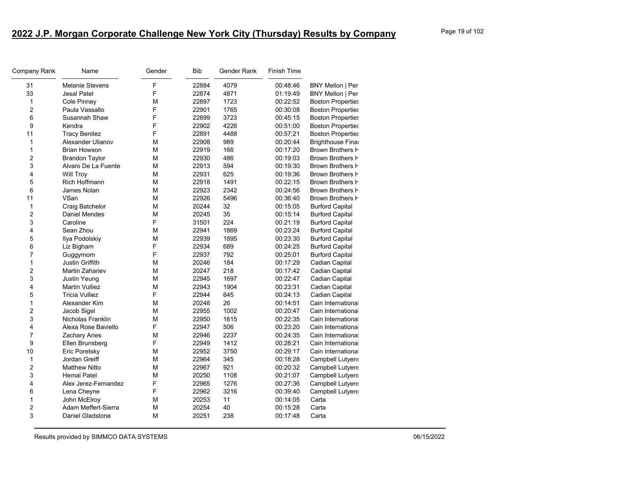| Company Rank     | Name                   | Gender | <b>Bib</b> | Gender Rank | <b>Finish Time</b> |                          |
|------------------|------------------------|--------|------------|-------------|--------------------|--------------------------|
| 31               | <b>Melanie Stevens</b> | F      | 22884      | 4079        | 00:48:46           | BNY Mellon   Per         |
| 33               | <b>Jesal Patel</b>     | F      | 22874      | 4871        | 01:19:49           | BNY Mellon   Per         |
| $\mathbf{1}$     | Cole Pinney            | M      | 22897      | 1723        | 00:22:52           | <b>Boston Properties</b> |
| $\overline{2}$   | Paula Vassallo         | F      | 22901      | 1765        | 00:30:08           | <b>Boston Properties</b> |
| 6                | Susannah Shaw          | F      | 22899      | 3723        | 00:45:15           | <b>Boston Properties</b> |
| 9                | Kendra                 | F      | 22902      | 4226        | 00:51:00           | <b>Boston Properties</b> |
| 11               | <b>Tracy Benitez</b>   | F      | 22891      | 4488        | 00:57:21           | <b>Boston Properties</b> |
| $\mathbf{1}$     | Alexander Ulianov      | М      | 22908      | 989         | 00:20:44           | <b>Brighthouse Final</b> |
| $\mathbf{1}$     | <b>Brian Howson</b>    | М      | 22919      | 166         | 00:17:20           | Brown Brothers H         |
| $\boldsymbol{2}$ | <b>Brandon Taylor</b>  | М      | 22930      | 486         | 00:19:03           | Brown Brothers H         |
| 3                | Alvaro De La Fuente    | М      | 22913      | 594         | 00:19:30           | Brown Brothers F         |
| $\overline{4}$   | <b>Will Troy</b>       | M      | 22931      | 625         | 00:19:36           | Brown Brothers H         |
| 5                | Rich Hoffmann          | М      | 22918      | 1491        | 00:22:15           | Brown Brothers H         |
| 6                | James Nolan            | M      | 22923      | 2342        | 00:24:56           | Brown Brothers H         |
| 11               | VSan                   | M      | 22926      | 5496        | 00:36:40           | Brown Brothers <b>H</b>  |
| $\mathbf{1}$     | Craig Batchelor        | М      | 20244      | 32          | 00:15:05           | <b>Burford Capital</b>   |
| $\overline{c}$   | Daniel Mendes          | М      | 20245      | 35          | 00:15:14           | <b>Burford Capital</b>   |
| 3                | Caroline               | F      | 31501      | 224         | 00:21:19           | <b>Burford Capital</b>   |
| 4                | Sean Zhou              | M      | 22941      | 1869        | 00:23:24           | <b>Burford Capital</b>   |
| 5                | Ilya Podolskiy         | М      | 22939      | 1895        | 00:23:30           | <b>Burford Capital</b>   |
| 6                | Liz Bigham             | F      | 22934      | 689         | 00:24:25           | <b>Burford Capital</b>   |
| $\overline{7}$   | Guggymom               | F      | 22937      | 792         | 00:25:01           | <b>Burford Capital</b>   |
| $\mathbf{1}$     | Justin Griffith        | M      | 20246      | 184         | 00:17:29           | Cadian Capital           |
| $\overline{c}$   | Martin Zahariev        | М      | 20247      | 218         | 00:17:42           | Cadian Capital           |
| 3                | Justin Yeung           | М      | 22945      | 1697        | 00:22:47           | Cadian Capital           |
| 4                | <b>Martin Vulliez</b>  | M      | 22943      | 1904        | 00:23:31           | Cadian Capital           |
| 5                | <b>Tricia Vulliez</b>  | F      | 22944      | 645         | 00:24:13           | Cadian Capital           |
| $\mathbf{1}$     | Alexander Kim          | M      | 20248      | 26          | 00:14:51           | Cain International       |
| $\overline{c}$   | Jacob Sigel            | М      | 22955      | 1002        | 00:20:47           | Cain Internationa        |
| 3                | Nicholas Franklin      | M      | 22950      | 1615        | 00:22:35           | Cain International       |
| 4                | Alexa Rose Baviello    | F      | 22947      | 506         | 00:23:20           | Cain Internationa        |
| $\overline{7}$   | <b>Zachary Aries</b>   | М      | 22946      | 2237        | 00:24:35           | Cain International       |
| 9                | Ellen Brunsberg        | F      | 22949      | 1412        | 00:28:21           | Cain International       |
| 10               | Eric Poretsky          | M      | 22952      | 3750        | 00:29:17           | Cain International       |
| $\mathbf{1}$     | Jordan Greiff          | М      | 22964      | 345         | 00:18:28           | Campbell Lutyens         |
| $\overline{2}$   | <b>Matthew Nitto</b>   | M      | 22967      | 921         | 00:20:32           | Campbell Lutyen:         |
| 3                | <b>Hemal Patel</b>     | M      | 20250      | 1108        | 00:21:07           | Campbell Lutyen:         |
| 4                | Alex Jerez-Fernandez   | F      | 22965      | 1276        | 00:27:36           | Campbell Lutyens         |
| 6                | Lena Cheyne            | F      | 22962      | 3216        | 00:39:40           | Campbell Lutyens         |
| $\mathbf{1}$     | John McElroy           | M      | 20253      | 11          | 00:14:05           | Carta                    |
| $\overline{2}$   | Adam Meffert-Sierra    | M      | 20254      | 40          | 00:15:28           | Carta                    |
| 3                | Daniel Gladstone       | M      | 20251      | 238         | 00:17:48           | Carta                    |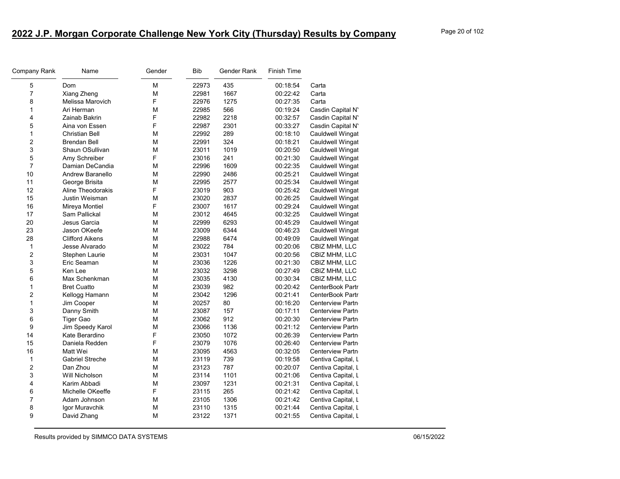| Company Rank            | Name                   | Gender | Bib   | Gender Rank | <b>Finish Time</b> |                         |
|-------------------------|------------------------|--------|-------|-------------|--------------------|-------------------------|
| 5                       | Dom                    | М      | 22973 | 435         | 00:18:54           | Carta                   |
| 7                       | Xiang Zheng            | M      | 22981 | 1667        | 00:22:42           | Carta                   |
| 8                       | Melissa Marovich       | F      | 22976 | 1275        | 00:27:35           | Carta                   |
| $\mathbf{1}$            | Ari Herman             | M      | 22985 | 566         | 00:19:24           | Casdin Capital N'       |
| 4                       | Zainab Bakrin          | F      | 22982 | 2218        | 00:32:57           | Casdin Capital N'       |
| 5                       | Aina von Essen         | F      | 22987 | 2301        | 00:33:27           | Casdin Capital N'       |
| 1                       | <b>Christian Bell</b>  | M      | 22992 | 289         | 00:18:10           | Cauldwell Wingat        |
| $\overline{c}$          | <b>Brendan Bell</b>    | M      | 22991 | 324         | 00:18:21           | Cauldwell Wingat        |
| 3                       | Shaun OSullivan        | M      | 23011 | 1019        | 00:20:50           | Cauldwell Wingat        |
| 5                       | Amy Schreiber          | F      | 23016 | 241         | 00:21:30           | Cauldwell Wingat        |
| $\overline{7}$          | Damian DeCandia        | M      | 22996 | 1609        | 00:22:35           | <b>Cauldwell Wingat</b> |
| 10                      | Andrew Baranello       | М      | 22990 | 2486        | 00:25:21           | <b>Cauldwell Wingat</b> |
| 11                      | George Brisita         | M      | 22995 | 2577        | 00:25:34           | Cauldwell Wingat        |
| 12                      | Aline Theodorakis      | F      | 23019 | 903         | 00:25:42           | Cauldwell Wingat        |
| 15                      | <b>Justin Weisman</b>  | M      | 23020 | 2837        | 00:26:25           | Cauldwell Wingat        |
| 16                      | Mireya Montiel         | F      | 23007 | 1617        | 00:29:24           | Cauldwell Wingat        |
| 17                      | Sam Pallickal          | М      | 23012 | 4645        | 00:32:25           | Cauldwell Wingat        |
| 20                      | Jesus Garcia           | М      | 22999 | 6293        | 00:45:29           | Cauldwell Wingat        |
| 23                      | Jason OKeefe           | M      | 23009 | 6344        | 00:46:23           | <b>Cauldwell Wingat</b> |
| 28                      | <b>Clifford Aikens</b> | М      | 22988 | 6474        | 00:49:09           | Cauldwell Wingat        |
| $\mathbf{1}$            | Jesse Alvarado         | M      | 23022 | 784         | 00:20:06           | CBIZ MHM, LLC           |
| $\overline{\mathbf{c}}$ | Stephen Laurie         | М      | 23031 | 1047        | 00:20:56           | CBIZ MHM, LLC           |
| 3                       | Eric Seaman            | М      | 23036 | 1226        | 00:21:30           | CBIZ MHM, LLC           |
| 5                       | Ken Lee                | М      | 23032 | 3298        | 00:27:49           | CBIZ MHM, LLC           |
| 6                       | Max Schenkman          | М      | 23035 | 4130        | 00:30:34           | CBIZ MHM, LLC           |
| 1                       | <b>Bret Cuatto</b>     | M      | 23039 | 982         | 00:20:42           | CenterBook Partr        |
| $\overline{2}$          | Kellogg Hamann         | М      | 23042 | 1296        | 00:21:41           | CenterBook Partr        |
| 1                       | Jim Cooper             | M      | 20257 | 80          | 00:16:20           | <b>Centerview Partn</b> |
| 3                       | Danny Smith            | М      | 23087 | 157         | 00:17:11           | Centerview Partn        |
| 6                       | <b>Tiger Gao</b>       | M      | 23062 | 912         | 00:20:30           | <b>Centerview Partn</b> |
| 9                       | Jim Speedy Karol       | М      | 23066 | 1136        | 00:21:12           | <b>Centerview Partn</b> |
| 14                      | Kate Berardino         | F      | 23050 | 1072        | 00:26:39           | <b>Centerview Partn</b> |
| 15                      | Daniela Redden         | F      | 23079 | 1076        | 00:26:40           | <b>Centerview Partn</b> |
| 16                      | Matt Wei               | M      | 23095 | 4563        | 00:32:05           | <b>Centerview Partn</b> |
| 1                       | <b>Gabriel Streche</b> | М      | 23119 | 739         | 00:19:58           | Centiva Capital, L      |
| $\overline{c}$          | Dan Zhou               | M      | 23123 | 787         | 00:20:07           | Centiva Capital, L      |
| 3                       | Will Nicholson         | M      | 23114 | 1101        | 00:21:06           | Centiva Capital, L      |
| 4                       | Karim Abbadi           | М      | 23097 | 1231        | 00:21:31           | Centiva Capital, L      |
| 6                       | Michelle OKeeffe       | F      | 23115 | 265         | 00:21:42           | Centiva Capital, L      |
| $\overline{7}$          | Adam Johnson           | M      | 23105 | 1306        | 00:21:42           | Centiva Capital, L      |
| 8                       | Igor Muravchik         | М      | 23110 | 1315        | 00:21:44           | Centiva Capital, L      |
| 9                       | David Zhang            | М      | 23122 | 1371        | 00:21:55           | Centiva Capital, L      |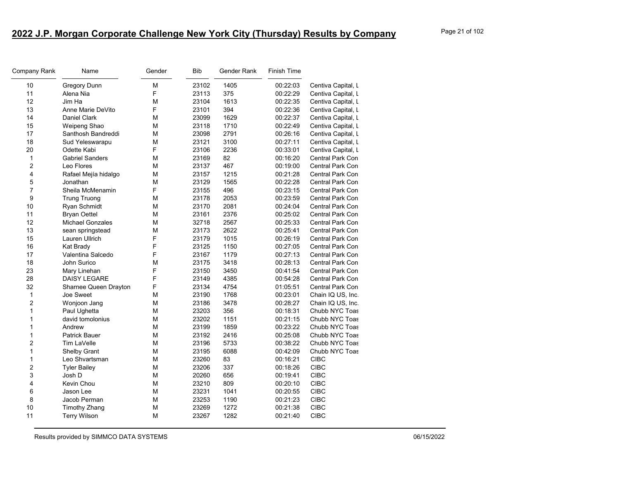| Company Rank            | Name                    | Gender | <b>Bib</b> | Gender Rank | <b>Finish Time</b> |                         |
|-------------------------|-------------------------|--------|------------|-------------|--------------------|-------------------------|
| 10                      | <b>Gregory Dunn</b>     | M      | 23102      | 1405        | 00:22:03           | Centiva Capital, L      |
| 11                      | Alena Nia               | F      | 23113      | 375         | 00:22:29           | Centiva Capital, L      |
| 12                      | Jim Ha                  | M      | 23104      | 1613        | 00:22:35           | Centiva Capital, L      |
| 13                      | Anne Marie DeVito       | F      | 23101      | 394         | 00:22:36           | Centiva Capital, L      |
| 14                      | Daniel Clark            | M      | 23099      | 1629        | 00:22:37           | Centiva Capital, L      |
| 15                      | Weipeng Shao            | M      | 23118      | 1710        | 00:22:49           | Centiva Capital, L      |
| 17                      | Santhosh Bandreddi      | М      | 23098      | 2791        | 00:26:16           | Centiva Capital, L      |
| 18                      | Sud Yeleswarapu         | M      | 23121      | 3100        | 00:27:11           | Centiva Capital, L      |
| 20                      | Odette Kabi             | F      | 23106      | 2236        | 00:33:01           | Centiva Capital, L      |
| $\mathbf{1}$            | <b>Gabriel Sanders</b>  | М      | 23169      | 82          | 00:16:20           | Central Park Con        |
| $\overline{2}$          | Leo Flores              | M      | 23137      | 467         | 00:19:00           | Central Park Con        |
| $\overline{\mathbf{4}}$ | Rafael Mejía hidalgo    | М      | 23157      | 1215        | 00:21:28           | Central Park Con        |
| 5                       | Jonathan                | M      | 23129      | 1565        | 00:22:28           | <b>Central Park Con</b> |
| $\overline{7}$          | Sheila McMenamin        | F      | 23155      | 496         | 00:23:15           | Central Park Con        |
| 9                       | <b>Trung Truong</b>     | М      | 23178      | 2053        | 00:23:59           | Central Park Con        |
| 10                      | Ryan Schmidt            | М      | 23170      | 2081        | 00:24:04           | Central Park Con        |
| 11                      | <b>Bryan Oettel</b>     | М      | 23161      | 2376        | 00:25:02           | Central Park Con        |
| 12                      | <b>Michael Gonzales</b> | M      | 32718      | 2567        | 00:25:33           | Central Park Con        |
| 13                      | sean springstead        | M      | 23173      | 2622        | 00:25:41           | Central Park Con        |
| 15                      | Lauren Ullrich          | F      | 23179      | 1015        | 00:26:19           | <b>Central Park Con</b> |
| 16                      | Kat Brady               | F      | 23125      | 1150        | 00:27:05           | Central Park Con        |
| 17                      | Valentina Salcedo       | F      | 23167      | 1179        | 00:27:13           | Central Park Con        |
| 18                      | John Surico             | M      | 23175      | 3418        | 00:28:13           | <b>Central Park Con</b> |
| 23                      | Mary Linehan            | F      | 23150      | 3450        | 00:41:54           | Central Park Con        |
| 28                      | <b>DAISY LEGARE</b>     | F      | 23149      | 4385        | 00:54:28           | <b>Central Park Con</b> |
| 32                      | Sharnee Queen Drayton   | F      | 23134      | 4754        | 01:05:51           | Central Park Con        |
| $\mathbf{1}$            | Joe Sweet               | М      | 23190      | 1768        | 00:23:01           | Chain IQ US, Inc.       |
| $\overline{c}$          | Wonjoon Jang            | М      | 23186      | 3478        | 00:28:27           | Chain IQ US, Inc.       |
| 1                       | Paul Ughetta            | M      | 23203      | 356         | 00:18:31           | Chubb NYC Toas          |
| $\mathbf{1}$            | david tomolonius        | М      | 23202      | 1151        | 00:21:15           | Chubb NYC Toas          |
| $\mathbf{1}$            | Andrew                  | M      | 23199      | 1859        | 00:23:22           | Chubb NYC Toas          |
| $\mathbf{1}$            | <b>Patrick Bauer</b>    | M      | 23192      | 2416        | 00:25:08           | Chubb NYC Toas          |
| $\overline{c}$          | Tim LaVelle             | M      | 23196      | 5733        | 00:38:22           | Chubb NYC Toas          |
| $\mathbf{1}$            | Shelby Grant            | M      | 23195      | 6088        | 00:42:09           | Chubb NYC Toas          |
| 1                       | Leo Shvartsman          | М      | 23260      | 83          | 00:16:21           | <b>CIBC</b>             |
| $\overline{c}$          | <b>Tyler Bailey</b>     | M      | 23206      | 337         | 00:18:26           | <b>CIBC</b>             |
| $\mathfrak{S}$          | Josh D                  | М      | 20260      | 656         | 00:19:41           | <b>CIBC</b>             |
| 4                       | Kevin Chou              | M      | 23210      | 809         | 00:20:10           | <b>CIBC</b>             |
| 6                       | Jason Lee               | M      | 23231      | 1041        | 00:20:55           | <b>CIBC</b>             |
| 8                       | Jacob Perman            | М      | 23253      | 1190        | 00:21:23           | <b>CIBC</b>             |
| 10                      | <b>Timothy Zhang</b>    | M      | 23269      | 1272        | 00:21:38           | <b>CIBC</b>             |
| 11                      | <b>Terry Wilson</b>     | M      | 23267      | 1282        | 00:21:40           | <b>CIBC</b>             |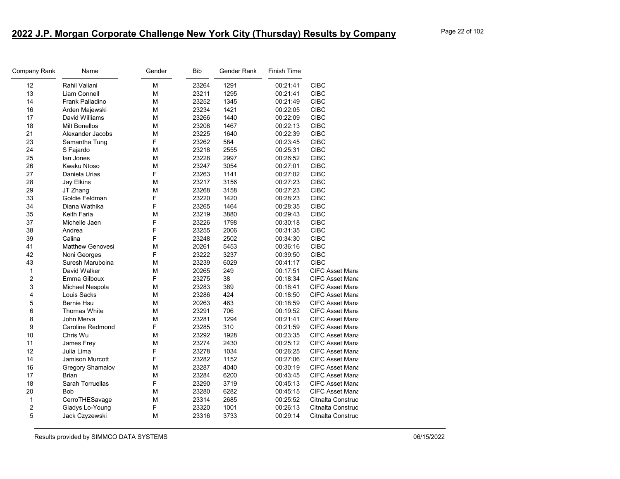| Company Rank   | Name                    | Gender | <b>Bib</b> | Gender Rank | <b>Finish Time</b> |                        |
|----------------|-------------------------|--------|------------|-------------|--------------------|------------------------|
| 12             | Rahil Valiani           | М      | 23264      | 1291        | 00:21:41           | <b>CIBC</b>            |
| 13             | Liam Connell            | М      | 23211      | 1295        | 00:21:41           | <b>CIBC</b>            |
| 14             | Frank Palladino         | М      | 23252      | 1345        | 00:21:49           | <b>CIBC</b>            |
| 16             | Arden Majewski          | М      | 23234      | 1421        | 00:22:05           | <b>CIBC</b>            |
| 17             | David Williams          | М      | 23266      | 1440        | 00:22:09           | <b>CIBC</b>            |
| 18             | <b>Milt Bonellos</b>    | М      | 23208      | 1467        | 00:22:13           | <b>CIBC</b>            |
| 21             | Alexander Jacobs        | М      | 23225      | 1640        | 00:22:39           | <b>CIBC</b>            |
| 23             | Samantha Tung           | F      | 23262      | 584         | 00:23:45           | <b>CIBC</b>            |
| 24             | S Fajardo               | М      | 23218      | 2555        | 00:25:31           | <b>CIBC</b>            |
| 25             | lan Jones               | М      | 23228      | 2997        | 00:26:52           | <b>CIBC</b>            |
| 26             | <b>Kwaku Ntoso</b>      | М      | 23247      | 3054        | 00:27:01           | <b>CIBC</b>            |
| 27             | Daniela Urias           | F      | 23263      | 1141        | 00:27:02           | <b>CIBC</b>            |
| 28             | Jay Elkins              | М      | 23217      | 3156        | 00:27:23           | <b>CIBC</b>            |
| 29             | JT Zhang                | М      | 23268      | 3158        | 00:27:23           | <b>CIBC</b>            |
| 33             | Goldie Feldman          | F      | 23220      | 1420        | 00:28:23           | <b>CIBC</b>            |
| 34             | Diana Wathika           | F      | 23265      | 1464        | 00:28:35           | <b>CIBC</b>            |
| 35             | Keith Faria             | M      | 23219      | 3880        | 00:29:43           | <b>CIBC</b>            |
| 37             | Michelle Jaen           | F      | 23226      | 1798        | 00:30:18           | <b>CIBC</b>            |
| 38             | Andrea                  | F      | 23255      | 2006        | 00:31:35           | <b>CIBC</b>            |
| 39             | Calina                  | F      | 23248      | 2502        | 00:34:30           | <b>CIBC</b>            |
| 41             | <b>Matthew Genovesi</b> | M      | 20261      | 5453        | 00:36:16           | <b>CIBC</b>            |
| 42             | Noni Georges            | F      | 23222      | 3237        | 00:39:50           | <b>CIBC</b>            |
| 43             | Suresh Maruboina        | М      | 23239      | 6029        | 00:41:17           | <b>CIBC</b>            |
| $\mathbf{1}$   | David Walker            | M      | 20265      | 249         | 00:17:51           | <b>CIFC Asset Mana</b> |
| $\overline{2}$ | Emma Gilboux            | F      | 23275      | 38          | 00:18:34           | <b>CIFC Asset Mana</b> |
| 3              | Michael Nespola         | М      | 23283      | 389         | 00:18:41           | <b>CIFC Asset Mana</b> |
| $\overline{4}$ | Louis Sacks             | М      | 23286      | 424         | 00:18:50           | <b>CIFC Asset Mana</b> |
| 5              | Bernie Hsu              | М      | 20263      | 463         | 00:18:59           | <b>CIFC Asset Mana</b> |
| 6              | <b>Thomas White</b>     | М      | 23291      | 706         | 00:19:52           | <b>CIFC Asset Mana</b> |
| 8              | John Merva              | М      | 23281      | 1294        | 00:21:41           | <b>CIFC Asset Mana</b> |
| 9              | <b>Caroline Redmond</b> | F      | 23285      | 310         | 00:21:59           | <b>CIFC Asset Mana</b> |
| 10             | Chris Wu                | М      | 23292      | 1928        | 00:23:35           | <b>CIFC Asset Mana</b> |
| 11             | James Frey              | М      | 23274      | 2430        | 00:25:12           | <b>CIFC Asset Mana</b> |
| 12             | Julia Lima              | F      | 23278      | 1034        | 00:26:25           | <b>CIFC Asset Mana</b> |
| 14             | <b>Jamison Murcott</b>  | F      | 23282      | 1152        | 00:27:06           | <b>CIFC Asset Mana</b> |
| 16             | Gregory Shamalov        | M      | 23287      | 4040        | 00:30:19           | <b>CIFC Asset Mana</b> |
| 17             | <b>Brian</b>            | М      | 23284      | 6200        | 00:43:45           | <b>CIFC Asset Mana</b> |
| 18             | <b>Sarah Torruellas</b> | F      | 23290      | 3719        | 00:45:13           | <b>CIFC Asset Mana</b> |
| 20             | <b>Bob</b>              | М      | 23280      | 6282        | 00:45:15           | <b>CIFC Asset Mana</b> |
| $\mathbf{1}$   | CerroTHESavage          | M      | 23314      | 2685        | 00:25:52           | Citnalta Construc      |
| $\overline{c}$ | Gladys Lo-Young         | F      | 23320      | 1001        | 00:26:13           | Citnalta Construc      |
| 5              | Jack Czyzewski          | М      | 23316      | 3733        | 00:29:14           | Citnalta Construc      |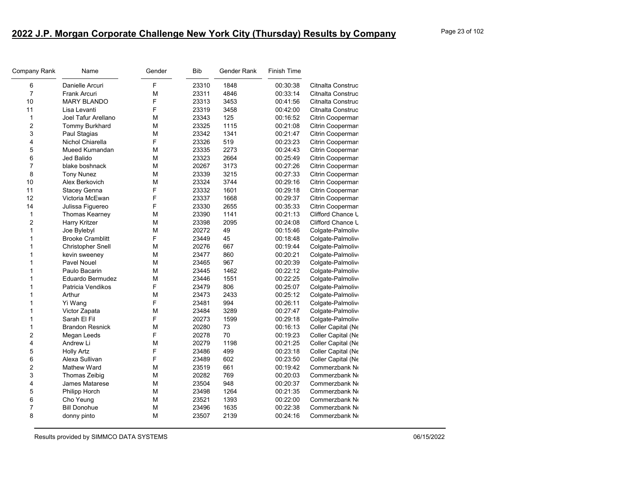| Company Rank   | Name                    | Gender | <b>Bib</b> | Gender Rank | <b>Finish Time</b> |                    |
|----------------|-------------------------|--------|------------|-------------|--------------------|--------------------|
| 6              | Danielle Arcuri         | F      | 23310      | 1848        | 00:30:38           | Citnalta Construc  |
| $\overline{7}$ | <b>Frank Arcuri</b>     | M      | 23311      | 4846        | 00:33:14           | Citnalta Construc  |
| 10             | <b>MARY BLANDO</b>      | F      | 23313      | 3453        | 00:41:56           | Citnalta Construc  |
| 11             | Lisa Levanti            | F      | 23319      | 3458        | 00:42:00           | Citnalta Construc  |
| $\mathbf{1}$   | Joel Tafur Arellano     | M      | 23343      | 125         | 00:16:52           | Citrin Coopermar   |
| $\overline{c}$ | Tommy Burkhard          | M      | 23325      | 1115        | 00:21:08           | Citrin Coopermar   |
| 3              | Paul Stagias            | M      | 23342      | 1341        | 00:21:47           | Citrin Coopermar   |
| 4              | Nichol Chiarella        | F      | 23326      | 519         | 00:23:23           | Citrin Coopermar   |
| 5              | Mueed Kumandan          | М      | 23335      | 2273        | 00:24:43           | Citrin Coopermar   |
| 6              | Jed Balido              | М      | 23323      | 2664        | 00:25:49           | Citrin Coopermar   |
| $\overline{7}$ | blake boshnack          | M      | 20267      | 3173        | 00:27:26           | Citrin Coopermar   |
| 8              | <b>Tony Nunez</b>       | M      | 23339      | 3215        | 00:27:33           | Citrin Coopermar   |
| 10             | Alex Berkovich          | M      | 23324      | 3744        | 00:29:16           | Citrin Coopermar   |
| 11             | Stacey Genna            | F      | 23332      | 1601        | 00:29:18           | Citrin Coopermar   |
| 12             | Victoria McEwan         | F      | 23337      | 1668        | 00:29:37           | Citrin Coopermar   |
| 14             | Julissa Figuereo        | F      | 23330      | 2655        | 00:35:33           | Citrin Coopermar   |
| 1              | Thomas Kearney          | M      | 23390      | 1141        | 00:21:13           | Clifford Chance L  |
| $\overline{c}$ | Harry Kritzer           | М      | 23398      | 2095        | 00:24:08           | Clifford Chance L  |
| $\mathbf{1}$   | Joe Bylebyl             | M      | 20272      | 49          | 00:15:46           | Colgate-Palmoliv   |
| $\mathbf{1}$   | <b>Brooke Cramblitt</b> | F      | 23449      | 45          | 00:18:48           | Colgate-Palmoliv   |
| $\mathbf{1}$   | Christopher Snell       | M      | 20276      | 667         | 00:19:44           | Colgate-Palmoliv   |
| $\mathbf{1}$   | kevin sweeney           | M      | 23477      | 860         | 00:20:21           | Colgate-Palmoliv   |
| $\mathbf{1}$   | Pavel Nouel             | М      | 23465      | 967         | 00:20:39           | Colgate-Palmoliv   |
| $\mathbf{1}$   | Paulo Bacarin           | M      | 23445      | 1462        | 00:22:12           | Colgate-Palmoliv   |
| $\mathbf{1}$   | Eduardo Bermudez        | M      | 23446      | 1551        | 00:22:25           | Colgate-Palmoliv   |
| $\mathbf{1}$   | Patricia Vendikos       | F      | 23479      | 806         | 00:25:07           | Colgate-Palmoliv   |
| $\mathbf{1}$   | Arthur                  | M      | 23473      | 2433        | 00:25:12           | Colgate-Palmoliv   |
| $\mathbf{1}$   | Yi Wang                 | F      | 23481      | 994         | 00:26:11           | Colgate-Palmoliv   |
| $\mathbf{1}$   | Victor Zapata           | M      | 23484      | 3289        | 00:27:47           | Colgate-Palmoliv   |
| $\mathbf{1}$   | Sarah El Fil            | F      | 20273      | 1599        | 00:29:18           | Colgate-Palmoliv   |
| $\mathbf{1}$   | <b>Brandon Resnick</b>  | M      | 20280      | 73          | 00:16:13           | Coller Capital (Ne |
| $\overline{c}$ | Megan Leeds             | F      | 20278      | 70          | 00:19:23           | Coller Capital (Ne |
| 4              | Andrew Li               | M      | 20279      | 1198        | 00:21:25           | Coller Capital (Ne |
| 5              | <b>Holly Artz</b>       | F      | 23486      | 499         | 00:23:18           | Coller Capital (Ne |
| 6              | Alexa Sullivan          | F      | 23489      | 602         | 00:23:50           | Coller Capital (Ne |
| 2              | Mathew Ward             | М      | 23519      | 661         | 00:19:42           | Commerzbank No     |
| 3              | Thomas Zeibig           | M      | 20282      | 769         | 00:20:03           | Commerzbank No     |
| 4              | James Matarese          | M      | 23504      | 948         | 00:20:37           | Commerzbank No     |
| 5              | Philipp Horch           | M      | 23498      | 1264        | 00:21:35           | Commerzbank No     |
| 6              | Cho Yeung               | М      | 23521      | 1393        | 00:22:00           | Commerzbank Ne     |
| 7              | <b>Bill Donohue</b>     | M      | 23496      | 1635        | 00:22:38           | Commerzbank No     |
| 8              | donny pinto             | M      | 23507      | 2139        | 00:24:16           | Commerzbank No     |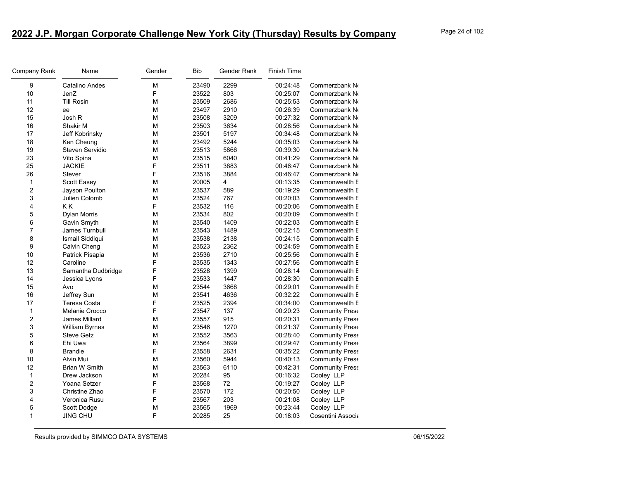| Company Rank   | Name                  | Gender | <b>Bib</b> | Gender Rank | <b>Finish Time</b> |                        |
|----------------|-----------------------|--------|------------|-------------|--------------------|------------------------|
| 9              | Catalino Andes        | M      | 23490      | 2299        | 00:24:48           | Commerzbank No         |
| 10             | JenZ                  | F      | 23522      | 803         | 00:25:07           | Commerzbank No         |
| 11             | <b>Till Rosin</b>     | M      | 23509      | 2686        | 00:25:53           | Commerzbank No         |
| 12             | ee                    | M      | 23497      | 2910        | 00:26:39           | Commerzbank No         |
| 15             | Josh R                | М      | 23508      | 3209        | 00:27:32           | Commerzbank No         |
| 16             | Shakir M              | M      | 23503      | 3634        | 00:28:56           | Commerzbank No         |
| 17             | Jeff Kobrinsky        | M      | 23501      | 5197        | 00:34:48           | Commerzbank No         |
| 18             | Ken Cheung            | M      | 23492      | 5244        | 00:35:03           | Commerzbank No         |
| 19             | Steven Servidio       | M      | 23513      | 5866        | 00:39:30           | Commerzbank No         |
| 23             | Vito Spina            | М      | 23515      | 6040        | 00:41:29           | Commerzbank No         |
| 25             | <b>JACKIE</b>         | F      | 23511      | 3883        | 00:46:47           | Commerzbank No         |
| 26             | <b>Stever</b>         | F      | 23516      | 3884        | 00:46:47           | Commerzbank No         |
| 1              | Scott Easey           | M      | 20005      | 4           | 00:13:35           | Commonwealth E         |
| $\overline{c}$ | Jayson Poulton        | M      | 23537      | 589         | 00:19:29           | Commonwealth E         |
| 3              | Julien Colomb         | M      | 23524      | 767         | 00:20:03           | Commonwealth E         |
| 4              | K K                   | F      | 23532      | 116         | 00:20:06           | Commonwealth E         |
| 5              | <b>Dylan Morris</b>   | M      | 23534      | 802         | 00:20:09           | Commonwealth E         |
| 6              | Gavin Smyth           | М      | 23540      | 1409        | 00:22:03           | Commonwealth E         |
| $\overline{7}$ | James Turnbull        | M      | 23543      | 1489        | 00:22:15           | Commonwealth E         |
| 8              | Ismail Siddiqui       | M      | 23538      | 2138        | 00:24:15           | Commonwealth E         |
| 9              | Calvin Cheng          | M      | 23523      | 2362        | 00:24:59           | Commonwealth E         |
| 10             | Patrick Pisapia       | M      | 23536      | 2710        | 00:25:56           | Commonwealth E         |
| 12             | Caroline              | F      | 23535      | 1343        | 00:27:56           | Commonwealth E         |
| 13             | Samantha Dudbridge    | F      | 23528      | 1399        | 00:28:14           | Commonwealth E         |
| 14             | Jessica Lyons         | F      | 23533      | 1447        | 00:28:30           | Commonwealth E         |
| 15             | Avo                   | М      | 23544      | 3668        | 00:29:01           | Commonwealth E         |
| 16             | Jeffrey Sun           | М      | 23541      | 4636        | 00:32:22           | Commonwealth E         |
| 17             | Teresa Costa          | F      | 23525      | 2394        | 00:34:00           | Commonwealth E         |
| $\mathbf{1}$   | Melanie Crocco        | F      | 23547      | 137         | 00:20:23           | Community Prese        |
| 2              | James Millard         | M      | 23557      | 915         | 00:20:31           | <b>Community Prese</b> |
| 3              | <b>William Byrnes</b> | M      | 23546      | 1270        | 00:21:37           | <b>Community Prese</b> |
| 5              | <b>Steve Getz</b>     | M      | 23552      | 3563        | 00:28:40           | <b>Community Prese</b> |
| 6              | Ehi Uwa               | M      | 23564      | 3899        | 00:29:47           | <b>Community Prese</b> |
| 8              | <b>Brandie</b>        | F      | 23558      | 2631        | 00:35:22           | Community Prese        |
| 10             | Alvin Mui             | M      | 23560      | 5944        | 00:40:13           | Community Prese        |
| 12             | <b>Brian W Smith</b>  | М      | 23563      | 6110        | 00:42:31           | Community Prese        |
| $\mathbf{1}$   | Drew Jackson          | M      | 20284      | 95          | 00:16:32           | Cooley LLP             |
| 2              | Yoana Setzer          | F      | 23568      | 72          | 00:19:27           | Cooley LLP             |
| 3              | Christine Zhao        | F      | 23570      | 172         | 00:20:50           | Cooley LLP             |
| 4              | Veronica Rusu         | F      | 23567      | 203         | 00:21:08           | Cooley LLP             |
| 5              | Scott Dodge           | М      | 23565      | 1969        | 00:23:44           | Cooley LLP             |
| 1              | <b>JING CHU</b>       | F      | 20285      | 25          | 00:18:03           | Cosentini Associa      |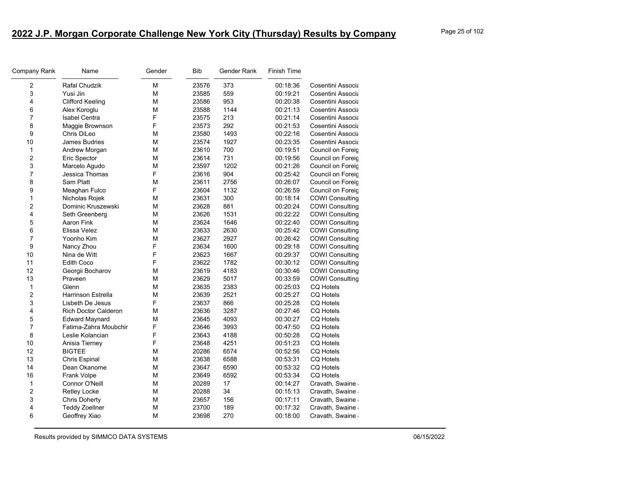| Company Rank            | Name                        | Gender | <b>Bib</b> | Gender Rank | <b>Finish Time</b> |                        |
|-------------------------|-----------------------------|--------|------------|-------------|--------------------|------------------------|
| 2                       | Rafal Chudzik               | M      | 23576      | 373         | 00:18:36           | Cosentini Associa      |
| 3                       | Yusi Jin                    | М      | 23585      | 559         | 00:19:21           | Cosentini Associa      |
| 4                       | <b>Clifford Keeling</b>     | М      | 23586      | 953         | 00:20:38           | Cosentini Associa      |
| 6                       | Alex Koroglu                | M      | 23588      | 1144        | 00:21:13           | Cosentini Associa      |
| $\overline{7}$          | <b>Isabel Centra</b>        | F      | 23575      | 213         | 00:21:14           | Cosentini Associa      |
| 8                       | Maggie Brownson             | F      | 23573      | 292         | 00:21:53           | Cosentini Associa      |
| 9                       | Chris DiLeo                 | M      | 23580      | 1493        | 00:22:16           | Cosentini Associa      |
| 10                      | <b>James Budries</b>        | M      | 23574      | 1927        | 00:23:35           | Cosentini Associa      |
| $\mathbf{1}$            | Andrew Morgan               | M      | 23610      | 700         | 00:19:51           | Council on Foreig      |
| $\overline{c}$          | <b>Eric Spector</b>         | M      | 23614      | 731         | 00:19:56           | Council on Foreig      |
| 3                       | Marcelo Agudo               | M      | 23597      | 1202        | 00:21:26           | Council on Foreic      |
| $\overline{7}$          | Jessica Thomas              | F      | 23616      | 904         | 00:25:42           | Council on Foreic      |
| 8                       | Sam Platt                   | M      | 23611      | 2756        | 00:26:07           | Council on Foreig      |
| 9                       | Meaghan Fulco               | F      | 23604      | 1132        | 00:26:59           | Council on Foreig      |
| $\mathbf{1}$            | Nicholas Rojek              | M      | 23631      | 300         | 00:18:14           | <b>COWI Consulting</b> |
| $\overline{2}$          | Dominic Kruszewski          | M      | 23628      | 881         | 00:20:24           | <b>COWI Consulting</b> |
| 4                       | Seth Greenberg              | M      | 23626      | 1531        | 00:22:22           | <b>COWI Consulting</b> |
| 5                       | Aaron Fink                  | М      | 23624      | 1646        | 00:22:40           | <b>COWI Consulting</b> |
| 6                       | Elissa Velez                | M      | 23633      | 2630        | 00:25:42           | <b>COWI Consulting</b> |
| $\overline{7}$          | Yoonho Kim                  | M      | 23627      | 2927        | 00:26:42           | <b>COWI Consulting</b> |
| 9                       | Nancy Zhou                  | F      | 23634      | 1600        | 00:29:18           | <b>COWI Consulting</b> |
| 10                      | Nina de Witt                | F      | 23623      | 1667        | 00:29:37           | <b>COWI Consulting</b> |
| 11                      | <b>Edith Coco</b>           | F      | 23622      | 1782        | 00:30:12           | <b>COWI Consulting</b> |
| 12                      | Georgii Bocharov            | M      | 23619      | 4183        | 00:30:46           | <b>COWI Consulting</b> |
| 13                      | Praveen                     | М      | 23629      | 5017        | 00:33:59           | <b>COWI Consulting</b> |
| 1                       | Glenn                       | M      | 23635      | 2383        | 00:25:03           | <b>CQ Hotels</b>       |
| $\overline{c}$          | <b>Harrinson Estrella</b>   | M      | 23639      | 2521        | 00:25:27           | <b>CQ Hotels</b>       |
| 3                       | Lisbeth De Jesus            | F      | 23637      | 866         | 00:25:28           | <b>CQ Hotels</b>       |
| 4                       | <b>Rich Doctor Calderon</b> | М      | 23636      | 3287        | 00:27:46           | <b>CQ Hotels</b>       |
| 5                       | <b>Edward Maynard</b>       | M      | 23645      | 4093        | 00:30:27           | <b>CQ Hotels</b>       |
| 7                       | Fatima-Zahra Moubchir       | F      | 23646      | 3993        | 00:47:50           | <b>CQ Hotels</b>       |
| 8                       | Leslie Kolancian            | F      | 23643      | 4188        | 00:50:28           | <b>CQ Hotels</b>       |
| 10                      | Anisia Tierney              | F      | 23648      | 4251        | 00:51:23           | <b>CQ Hotels</b>       |
| 12                      | <b>BIGTEE</b>               | M      | 20286      | 6574        | 00:52:56           | CQ Hotels              |
| 13                      | <b>Chris Espinal</b>        | M      | 23638      | 6588        | 00:53:31           | <b>CQ Hotels</b>       |
| 14                      | Dean Okanome                | М      | 23647      | 6590        | 00:53:32           | <b>CQ Hotels</b>       |
| 16                      | <b>Frank Volpe</b>          | M      | 23649      | 6592        | 00:53:34           | <b>CQ Hotels</b>       |
| 1                       | Connor O'Neill              | M      | 20289      | 17          | 00:14:27           | Cravath, Swaine        |
| $\overline{\mathbf{c}}$ | Retley Locke                | M      | 20288      | 34          | 00:15:13           | Cravath, Swaine        |
| 3                       | <b>Chris Doherty</b>        | M      | 23657      | 156         | 00:17:11           | Cravath, Swaine        |
| 4                       | <b>Teddy Zoellner</b>       | M      | 23700      | 189         | 00:17:32           | Cravath, Swaine        |
| 6                       | Geoffrey Xiao               | M      | 23698      | 270         | 00:18:00           | Cravath, Swaine        |
|                         |                             |        |            |             |                    |                        |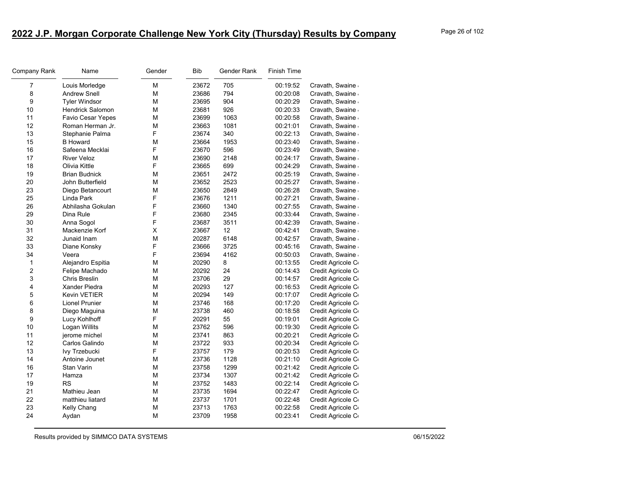| Company Rank   | Name                    | Gender | Bib   | Gender Rank | <b>Finish Time</b> |                   |
|----------------|-------------------------|--------|-------|-------------|--------------------|-------------------|
| $\overline{7}$ | Louis Morledge          | M      | 23672 | 705         | 00:19:52           | Cravath, Swaine   |
| 8              | <b>Andrew Snell</b>     | М      | 23686 | 794         | 00:20:08           | Cravath, Swaine   |
| 9              | <b>Tyler Windsor</b>    | М      | 23695 | 904         | 00:20:29           | Cravath, Swaine   |
| 10             | <b>Hendrick Salomon</b> | M      | 23681 | 926         | 00:20:33           | Cravath, Swaine   |
| 11             | Favio Cesar Yepes       | М      | 23699 | 1063        | 00:20:58           | Cravath, Swaine   |
| 12             | Roman Herman Jr.        | М      | 23663 | 1081        | 00:21:01           | Cravath, Swaine   |
| 13             | Stephanie Palma         | F      | 23674 | 340         | 00:22:13           | Cravath, Swaine   |
| 15             | <b>B</b> Howard         | М      | 23664 | 1953        | 00:23:40           | Cravath, Swaine   |
| 16             | Safeena Mecklai         | F      | 23670 | 596         | 00:23:49           | Cravath, Swaine   |
| 17             | <b>River Veloz</b>      | М      | 23690 | 2148        | 00:24:17           | Cravath, Swaine   |
| 18             | Olivia Kittle           | F      | 23665 | 699         | 00:24:29           | Cravath, Swaine   |
| 19             | <b>Brian Budnick</b>    | M      | 23651 | 2472        | 00:25:19           | Cravath, Swaine   |
| 20             | John Butterfield        | M      | 23652 | 2523        | 00:25:27           | Cravath, Swaine   |
| 23             | Diego Betancourt        | M      | 23650 | 2849        | 00:26:28           | Cravath, Swaine   |
| 25             | Linda Park              | F      | 23676 | 1211        | 00:27:21           | Cravath, Swaine   |
| 26             | Abhilasha Gokulan       | F      | 23660 | 1340        | 00:27:55           | Cravath, Swaine   |
| 29             | Dina Rule               | F      | 23680 | 2345        | 00:33:44           | Cravath, Swaine   |
| 30             | Anna Sogol              | F      | 23687 | 3511        | 00:42:39           | Cravath, Swaine   |
| 31             | Mackenzie Korf          | X      | 23667 | 12          | 00:42:41           | Cravath, Swaine   |
| 32             | Junaid Inam             | M      | 20287 | 6148        | 00:42:57           | Cravath, Swaine   |
| 33             | Diane Konsky            | F      | 23666 | 3725        | 00:45:16           | Cravath, Swaine   |
| 34             | Veera                   | F      | 23694 | 4162        | 00:50:03           | Cravath, Swaine   |
| $\mathbf{1}$   | Alejandro Espitia       | М      | 20290 | 8           | 00:13:55           | Credit Agricole C |
| $\overline{2}$ | Felipe Machado          | M      | 20292 | 24          | 00:14:43           | Credit Agricole C |
| 3              | <b>Chris Breslin</b>    | М      | 23706 | 29          | 00:14:57           | Credit Agricole C |
| 4              | Xander Piedra           | М      | 20293 | 127         | 00:16:53           | Credit Agricole C |
| 5              | Kevin VETIER            | M      | 20294 | 149         | 00:17:07           | Credit Agricole C |
| 6              | <b>Lionel Prunier</b>   | M      | 23746 | 168         | 00:17:20           | Credit Agricole C |
| 8              | Diego Maguina           | М      | 23738 | 460         | 00:18:58           | Credit Agricole C |
| 9              | Lucy Kohlhoff           | F      | 20291 | 55          | 00:19:01           | Credit Agricole C |
| 10             | Logan Willits           | M      | 23762 | 596         | 00:19:30           | Credit Agricole C |
| 11             | jerome michel           | М      | 23741 | 863         | 00:20:21           | Credit Agricole C |
| 12             | Carlos Galindo          | M      | 23722 | 933         | 00:20:34           | Credit Agricole C |
| 13             | Ivy Trzebucki           | F      | 23757 | 179         | 00:20:53           | Credit Agricole C |
| 14             | Antoine Jounet          | М      | 23736 | 1128        | 00:21:10           | Credit Agricole C |
| 16             | Stan Varin              | M      | 23758 | 1299        | 00:21:42           | Credit Agricole C |
| 17             | Hamza                   | M      | 23734 | 1307        | 00:21:42           | Credit Agricole C |
| 19             | <b>RS</b>               | М      | 23752 | 1483        | 00:22:14           | Credit Agricole C |
| 21             | Mathieu Jean            | M      | 23735 | 1694        | 00:22:47           | Credit Agricole C |
| 22             | matthieu liatard        | М      | 23737 | 1701        | 00:22:48           | Credit Agricole C |
| 23             | Kelly Chang             | М      | 23713 | 1763        | 00:22:58           | Credit Agricole C |
| 24             | Aydan                   | М      | 23709 | 1958        | 00:23:41           | Credit Agricole C |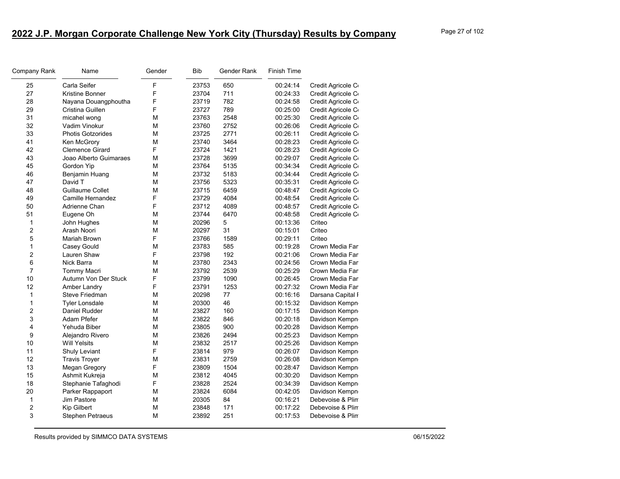| Company Rank   | Name                     | Gender | <b>Bib</b> | Gender Rank | <b>Finish Time</b> |                   |
|----------------|--------------------------|--------|------------|-------------|--------------------|-------------------|
| 25             | Carla Seifer             | F      | 23753      | 650         | 00:24:14           | Credit Agricole C |
| 27             | <b>Kristine Bonner</b>   | F      | 23704      | 711         | 00:24:33           | Credit Agricole C |
| 28             | Nayana Douangphoutha     | F      | 23719      | 782         | 00:24:58           | Credit Agricole C |
| 29             | Cristina Guillen         | F      | 23727      | 789         | 00:25:00           | Credit Agricole C |
| 31             | micahel wong             | M      | 23763      | 2548        | 00:25:30           | Credit Agricole C |
| 32             | Vadim Vinokur            | М      | 23760      | 2752        | 00:26:06           | Credit Agricole C |
| 33             | <b>Photis Gotzorides</b> | M      | 23725      | 2771        | 00:26:11           | Credit Agricole C |
| 41             | Ken McGrory              | M      | 23740      | 3464        | 00:28:23           | Credit Agricole C |
| 42             | <b>Clemence Girard</b>   | F      | 23724      | 1421        | 00:28:23           | Credit Agricole C |
| 43             | Joao Alberto Guimaraes   | М      | 23728      | 3699        | 00:29:07           | Credit Agricole C |
| 45             | Gordon Yip               | M      | 23764      | 5135        | 00:34:34           | Credit Agricole C |
| 46             | Benjamin Huang           | М      | 23732      | 5183        | 00:34:44           | Credit Agricole C |
| 47             | David T                  | M      | 23756      | 5323        | 00:35:31           | Credit Agricole C |
| 48             | Guillaume Collet         | M      | 23715      | 6459        | 00:48:47           | Credit Agricole C |
| 49             | Camille Hernandez        | F      | 23729      | 4084        | 00:48:54           | Credit Agricole C |
| 50             | Adrienne Chan            | F      | 23712      | 4089        | 00:48:57           | Credit Agricole C |
| 51             | Eugene Oh                | М      | 23744      | 6470        | 00:48:58           | Credit Agricole C |
| $\mathbf{1}$   | John Hughes              | M      | 20296      | 5           | 00:13:36           | Criteo            |
| $\overline{2}$ | Arash Noori              | М      | 20297      | 31          | 00:15:01           | Criteo            |
| 5              | Mariah Brown             | F      | 23766      | 1589        | 00:29:11           | Criteo            |
| $\mathbf{1}$   | Casey Gould              | М      | 23783      | 585         | 00:19:28           | Crown Media Far   |
| $\overline{2}$ | Lauren Shaw              | F      | 23798      | 192         | 00:21:06           | Crown Media Far   |
| 6              | Nick Barra               | М      | 23780      | 2343        | 00:24:56           | Crown Media Far   |
| $\overline{7}$ | <b>Tommy Macri</b>       | M      | 23792      | 2539        | 00:25:29           | Crown Media Far   |
| 10             | Autumn Von Der Stuck     | F      | 23799      | 1090        | 00:26:45           | Crown Media Far   |
| 12             | Amber Landry             | F      | 23791      | 1253        | 00:27:32           | Crown Media Far   |
| $\mathbf{1}$   | Steve Friedman           | M      | 20298      | 77          | 00:16:16           | Darsana Capital I |
| $\mathbf{1}$   | <b>Tyler Lonsdale</b>    | М      | 20300      | 46          | 00:15:32           | Davidson Kempn    |
| $\overline{2}$ | Daniel Rudder            | M      | 23827      | 160         | 00:17:15           | Davidson Kempn    |
| 3              | Adam Pfefer              | М      | 23822      | 846         | 00:20:18           | Davidson Kempn    |
| $\overline{4}$ | Yehuda Biber             | М      | 23805      | 900         | 00:20:28           | Davidson Kempn    |
| 9              | Alejandro Rivero         | M      | 23826      | 2494        | 00:25:23           | Davidson Kempn    |
| 10             | <b>Will Yelsits</b>      | M      | 23832      | 2517        | 00:25:26           | Davidson Kempn    |
| 11             | Shuly Leviant            | F      | 23814      | 979         | 00:26:07           | Davidson Kempn    |
| 12             | <b>Travis Troyer</b>     | M      | 23831      | 2759        | 00:26:08           | Davidson Kempn    |
| 13             | Megan Gregory            | F      | 23809      | 1504        | 00:28:47           | Davidson Kempn    |
| 15             | Ashmit Kukreja           | М      | 23812      | 4045        | 00:30:20           | Davidson Kempn    |
| 18             | Stephanie Tafaghodi      | F      | 23828      | 2524        | 00:34:39           | Davidson Kempn    |
| 20             | Parker Rappaport         | М      | 23824      | 6084        | 00:42:05           | Davidson Kempn    |
| $\mathbf{1}$   | Jim Pastore              | M      | 20305      | 84          | 00:16:21           | Debevoise & Plin  |
| $\overline{c}$ | <b>Kip Gilbert</b>       | М      | 23848      | 171         | 00:17:22           | Debevoise & Plin  |
| 3              | <b>Stephen Petraeus</b>  | М      | 23892      | 251         | 00:17:53           | Debevoise & Plin  |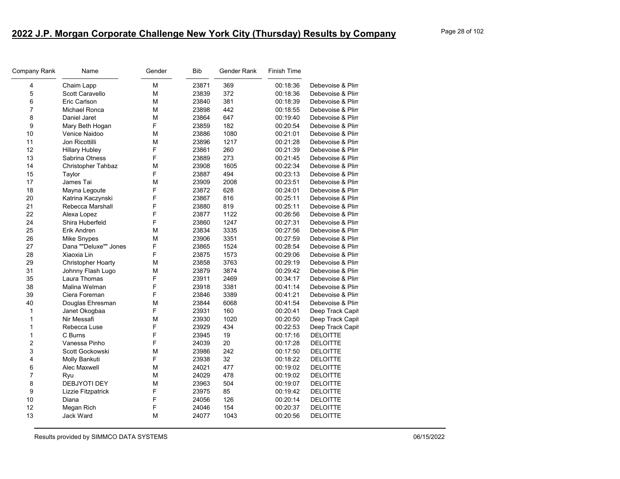| Company Rank   | Name                      | Gender | <b>Bib</b> | Gender Rank | Finish Time |                  |
|----------------|---------------------------|--------|------------|-------------|-------------|------------------|
| 4              | Chaim Lapp                | М      | 23871      | 369         | 00:18:36    | Debevoise & Plin |
| 5              | Scott Caravello           | M      | 23839      | 372         | 00:18:36    | Debevoise & Plin |
| 6              | Eric Carlson              | M      | 23840      | 381         | 00:18:39    | Debevoise & Plin |
| $\overline{7}$ | Michael Ronca             | М      | 23898      | 442         | 00:18:55    | Debevoise & Plin |
| 8              | Daniel Jaret              | M      | 23864      | 647         | 00:19:40    | Debevoise & Plin |
| 9              | Mary Beth Hogan           | F      | 23859      | 182         | 00:20:54    | Debevoise & Plin |
| 10             | Venice Naidoo             | М      | 23886      | 1080        | 00:21:01    | Debevoise & Plin |
| 11             | Jon Ricottilli            | M      | 23896      | 1217        | 00:21:28    | Debevoise & Plin |
| 12             | <b>Hillary Hubley</b>     | F      | 23861      | 260         | 00:21:39    | Debevoise & Plin |
| 13             | Sabrina Otness            | F      | 23889      | 273         | 00:21:45    | Debevoise & Plin |
| 14             | <b>Christopher Tahbaz</b> | M      | 23908      | 1605        | 00:22:34    | Debevoise & Plin |
| 15             | Taylor                    | F      | 23887      | 494         | 00:23:13    | Debevoise & Plin |
| 17             | James Tai                 | М      | 23909      | 2008        | 00:23:51    | Debevoise & Plin |
| 18             | Mayna Legoute             | F      | 23872      | 628         | 00:24:01    | Debevoise & Plin |
| 20             | Katrina Kaczynski         | F      | 23867      | 816         | 00:25:11    | Debevoise & Plin |
| 21             | Rebecca Marshall          | F      | 23880      | 819         | 00:25:11    | Debevoise & Plin |
| 22             | Alexa Lopez               | F      | 23877      | 1122        | 00:26:56    | Debevoise & Plin |
| 24             | Shira Huberfeld           | F      | 23860      | 1247        | 00:27:31    | Debevoise & Plin |
| 25             | Erik Andren               | M      | 23834      | 3335        | 00:27:56    | Debevoise & Plin |
| 26             | Mike Snypes               | М      | 23906      | 3351        | 00:27:59    | Debevoise & Plin |
| 27             | Dana ""Deluxe"" Jones     | F      | 23865      | 1524        | 00:28:54    | Debevoise & Plin |
| 28             | Xiaoxia Lin               | F      | 23875      | 1573        | 00:29:06    | Debevoise & Plin |
| 29             | Christopher Hoarty        | М      | 23858      | 3763        | 00:29:19    | Debevoise & Plin |
| 31             | Johnny Flash Lugo         | M      | 23879      | 3874        | 00:29:42    | Debevoise & Plin |
| 35             | Laura Thomas              | F      | 23911      | 2469        | 00:34:17    | Debevoise & Plin |
| 38             | Malina Welman             | F      | 23918      | 3381        | 00:41:14    | Debevoise & Plin |
| 39             | Ciera Foreman             | F      | 23846      | 3389        | 00:41:21    | Debevoise & Plin |
| 40             | Douglas Ehresman          | М      | 23844      | 6068        | 00:41:54    | Debevoise & Plin |
| $\mathbf{1}$   | Janet Okogbaa             | F      | 23931      | 160         | 00:20:41    | Deep Track Capit |
| $\mathbf{1}$   | Nir Messafi               | М      | 23930      | 1020        | 00:20:50    | Deep Track Capit |
| $\mathbf{1}$   | Rebecca Luse              | F      | 23929      | 434         | 00:22:53    | Deep Track Capit |
| 1              | C Burns                   | F      | 23945      | 19          | 00:17:16    | <b>DELOITTE</b>  |
| $\overline{c}$ | Vanessa Pinho             | F      | 24039      | 20          | 00:17:28    | <b>DELOITTE</b>  |
| 3              | Scott Gockowski           | M      | 23986      | 242         | 00:17:50    | <b>DELOITTE</b>  |
| 4              | Molly Bankuti             | F      | 23938      | 32          | 00:18:22    | <b>DELOITTE</b>  |
| 6              | Alec Maxwell              | М      | 24021      | 477         | 00:19:02    | <b>DELOITTE</b>  |
| $\overline{7}$ | Ryu                       | M      | 24029      | 478         | 00:19:02    | <b>DELOITTE</b>  |
| 8              | DEBJYOTI DEY              | М      | 23963      | 504         | 00:19:07    | <b>DELOITTE</b>  |
| 9              | Lizzie Fitzpatrick        | F      | 23975      | 85          | 00:19:42    | <b>DELOITTE</b>  |
| 10             | Diana                     | F      | 24056      | 126         | 00:20:14    | <b>DELOITTE</b>  |
| 12             | Megan Rich                | F      | 24046      | 154         | 00:20:37    | <b>DELOITTE</b>  |
| 13             | <b>Jack Ward</b>          | M      | 24077      | 1043        | 00:20:56    | <b>DELOITTE</b>  |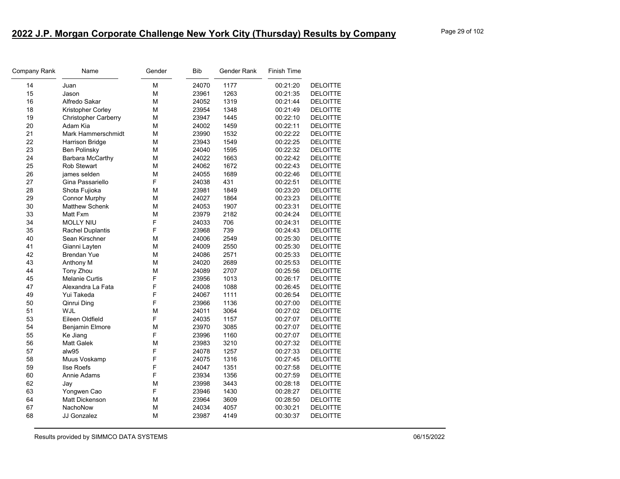| Company Rank | Name                        | Gender | <b>Bib</b> | Gender Rank | <b>Finish Time</b> |                 |
|--------------|-----------------------------|--------|------------|-------------|--------------------|-----------------|
| 14           | Juan                        | М      | 24070      | 1177        | 00:21:20           | <b>DELOITTE</b> |
| 15           | Jason                       | М      | 23961      | 1263        | 00:21:35           | <b>DELOITTE</b> |
| 16           | Alfredo Sakar               | М      | 24052      | 1319        | 00:21:44           | <b>DELOITTE</b> |
| 18           | Kristopher Corley           | M      | 23954      | 1348        | 00:21:49           | <b>DELOITTE</b> |
| 19           | <b>Christopher Carberry</b> | М      | 23947      | 1445        | 00:22:10           | <b>DELOITTE</b> |
| 20           | Adam Kia                    | М      | 24002      | 1459        | 00:22:11           | <b>DELOITTE</b> |
| 21           | <b>Mark Hammerschmidt</b>   | М      | 23990      | 1532        | 00:22:22           | <b>DELOITTE</b> |
| 22           | Harrison Bridge             | M      | 23943      | 1549        | 00:22:25           | <b>DELOITTE</b> |
| 23           | Ben Polinsky                | М      | 24040      | 1595        | 00:22:32           | <b>DELOITTE</b> |
| 24           | Barbara McCarthy            | М      | 24022      | 1663        | 00:22:42           | <b>DELOITTE</b> |
| 25           | <b>Rob Stewart</b>          | M      | 24062      | 1672        | 00:22:43           | <b>DELOITTE</b> |
| 26           | james selden                | М      | 24055      | 1689        | 00:22:46           | <b>DELOITTE</b> |
| 27           | Gina Passariello            | F      | 24038      | 431         | 00:22:51           | <b>DELOITTE</b> |
| 28           | Shota Fujioka               | M      | 23981      | 1849        | 00:23:20           | <b>DELOITTE</b> |
| 29           | <b>Connor Murphy</b>        | M      | 24027      | 1864        | 00:23:23           | <b>DELOITTE</b> |
| 30           | <b>Matthew Schenk</b>       | М      | 24053      | 1907        | 00:23:31           | <b>DELOITTE</b> |
| 33           | Matt Fxm                    | М      | 23979      | 2182        | 00:24:24           | <b>DELOITTE</b> |
| 34           | <b>MOLLY NIU</b>            | F      | 24033      | 706         | 00:24:31           | <b>DELOITTE</b> |
| 35           | <b>Rachel Duplantis</b>     | F      | 23968      | 739         | 00:24:43           | <b>DELOITTE</b> |
| 40           | Sean Kirschner              | М      | 24006      | 2549        | 00:25:30           | <b>DELOITTE</b> |
| 41           | Gianni Layten               | М      | 24009      | 2550        | 00:25:30           | <b>DELOITTE</b> |
| 42           | <b>Brendan Yue</b>          | М      | 24086      | 2571        | 00:25:33           | <b>DELOITTE</b> |
| 43           | Anthony M                   | М      | 24020      | 2689        | 00:25:53           | <b>DELOITTE</b> |
| 44           | Tony Zhou                   | M      | 24089      | 2707        | 00:25:56           | <b>DELOITTE</b> |
| 45           | <b>Melanie Curtis</b>       | F      | 23956      | 1013        | 00:26:17           | <b>DELOITTE</b> |
| 47           | Alexandra La Fata           | F      | 24008      | 1088        | 00:26:45           | <b>DELOITTE</b> |
| 49           | Yui Takeda                  | F      | 24067      | 1111        | 00:26:54           | <b>DELOITTE</b> |
| 50           | Qinrui Ding                 | F      | 23966      | 1136        | 00:27:00           | <b>DELOITTE</b> |
| 51           | WJL                         | M      | 24011      | 3064        | 00:27:02           | <b>DELOITTE</b> |
| 53           | Eileen Oldfield             | F      | 24035      | 1157        | 00:27:07           | <b>DELOITTE</b> |
| 54           | <b>Benjamin Elmore</b>      | M      | 23970      | 3085        | 00:27:07           | <b>DELOITTE</b> |
| 55           | Ke Jiang                    | F      | 23996      | 1160        | 00:27:07           | <b>DELOITTE</b> |
| 56           | Matt Galek                  | M      | 23983      | 3210        | 00:27:32           | <b>DELOITTE</b> |
| 57           | alw95                       | F      | 24078      | 1257        | 00:27:33           | <b>DELOITTE</b> |
| 58           | Muus Voskamp                | F      | 24075      | 1316        | 00:27:45           | <b>DELOITTE</b> |
| 59           | <b>Ilse Roefs</b>           | F      | 24047      | 1351        | 00:27:58           | <b>DELOITTE</b> |
| 60           | Annie Adams                 | F      | 23934      | 1356        | 00:27:59           | <b>DELOITTE</b> |
| 62           | Jay                         | M      | 23998      | 3443        | 00:28:18           | <b>DELOITTE</b> |
| 63           | Yongwen Cao                 | F      | 23946      | 1430        | 00:28:27           | <b>DELOITTE</b> |
| 64           | Matt Dickenson              | M      | 23964      | 3609        | 00:28:50           | <b>DELOITTE</b> |
| 67           | NachoNow                    | M      | 24034      | 4057        | 00:30:21           | <b>DELOITTE</b> |
| 68           | <b>JJ Gonzalez</b>          | M      | 23987      | 4149        | 00:30:37           | <b>DELOITTE</b> |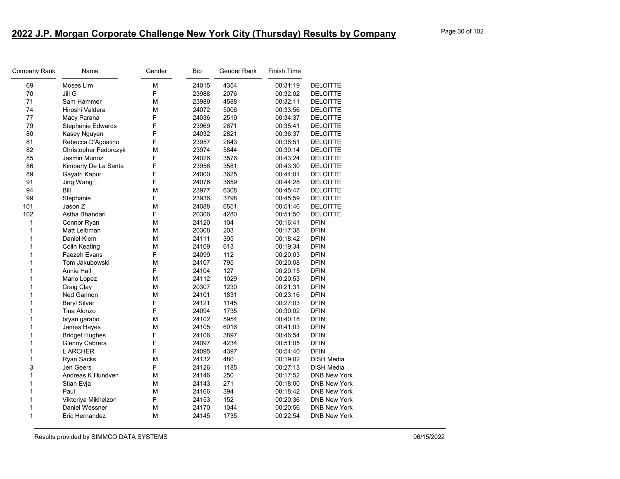| Company Rank | Name                     | Gender | <b>Bib</b> | Gender Rank | <b>Finish Time</b> |                     |
|--------------|--------------------------|--------|------------|-------------|--------------------|---------------------|
| 69           | Moses Lim                | М      | 24015      | 4354        | 00:31:19           | <b>DELOITTE</b>     |
| 70           | Jill G                   | F      | 23988      | 2076        | 00:32:02           | <b>DELOITTE</b>     |
| 71           | Sam Hammer               | М      | 23989      | 4588        | 00:32:11           | <b>DELOITTE</b>     |
| 74           | Hiroshi Valdera          | М      | 24072      | 5006        | 00:33:56           | <b>DELOITTE</b>     |
| 77           | Macy Parana              | F      | 24036      | 2519        | 00:34:37           | <b>DELOITTE</b>     |
| 79           | <b>Stephenie Edwards</b> | F      | 23969      | 2671        | 00:35:41           | <b>DELOITTE</b>     |
| 80           | Kasey Nguyen             | F      | 24032      | 2821        | 00:36:37           | <b>DELOITTE</b>     |
| 81           | Rebecca D'Agostino       | F      | 23957      | 2843        | 00:36:51           | <b>DELOITTE</b>     |
| 82           | Christopher Fedorczyk    | М      | 23974      | 5844        | 00:39:14           | <b>DELOITTE</b>     |
| 85           | Jasmin Munoz             | F      | 24026      | 3576        | 00:43:24           | <b>DELOITTE</b>     |
| 86           | Kimberly De La Santa     | F      | 23958      | 3581        | 00:43:30           | <b>DELOITTE</b>     |
| 89           | Gayatri Kapur            | F      | 24000      | 3625        | 00:44:01           | <b>DELOITTE</b>     |
| 91           | Jing Wang                | F      | 24076      | 3659        | 00:44:28           | <b>DELOITTE</b>     |
| 94           | Bill                     | М      | 23977      | 6308        | 00:45:47           | <b>DELOITTE</b>     |
| 99           | Stephanie                | F      | 23936      | 3798        | 00:45:59           | <b>DELOITTE</b>     |
| 101          | Jason Z                  | M      | 24088      | 6551        | 00:51:46           | <b>DELOITTE</b>     |
| 102          | Astha Bhandari           | F      | 20306      | 4280        | 00:51:50           | <b>DELOITTE</b>     |
| 1            | Connor Ryan              | M      | 24120      | 104         | 00:16:41           | <b>DFIN</b>         |
| $\mathbf{1}$ | Matt Leibman             | М      | 20308      | 203         | 00:17:38           | <b>DFIN</b>         |
| $\mathbf{1}$ | Daniel Klem              | М      | 24111      | 395         | 00:18:42           | <b>DFIN</b>         |
| 1            | <b>Colin Keating</b>     | M      | 24109      | 613         | 00:19:34           | <b>DFIN</b>         |
| $\mathbf{1}$ | Faezeh Evans             | F      | 24099      | 112         | 00:20:03           | <b>DFIN</b>         |
| $\mathbf{1}$ | Tom Jakubowski           | М      | 24107      | 795         | 00:20:08           | <b>DFIN</b>         |
| 1            | <b>Annie Hall</b>        | F      | 24104      | 127         | 00:20:15           | <b>DFIN</b>         |
| $\mathbf{1}$ | Mario Lopez              | М      | 24112      | 1029        | 00:20:53           | <b>DFIN</b>         |
| $\mathbf{1}$ | Craig Clay               | М      | 20307      | 1230        | 00:21:31           | <b>DFIN</b>         |
| $\mathbf{1}$ | Ned Gannon               | M      | 24101      | 1831        | 00:23:16           | <b>DFIN</b>         |
| $\mathbf{1}$ | <b>Beryl Silver</b>      | F      | 24121      | 1145        | 00:27:03           | <b>DFIN</b>         |
| 1            | Tina Alonzo              | F      | 24094      | 1735        | 00:30:02           | <b>DFIN</b>         |
| $\mathbf{1}$ | bryan garabo             | М      | 24102      | 5954        | 00:40:18           | <b>DFIN</b>         |
| $\mathbf{1}$ | James Hayes              | М      | 24105      | 6016        | 00:41:03           | <b>DFIN</b>         |
| $\mathbf{1}$ | <b>Bridget Hughes</b>    | F      | 24106      | 3897        | 00:46:54           | <b>DFIN</b>         |
| $\mathbf{1}$ | Glenny Cabrera           | F      | 24097      | 4234        | 00:51:05           | <b>DFIN</b>         |
| $\mathbf{1}$ | <b>LARCHER</b>           | F      | 24095      | 4397        | 00:54:40           | <b>DFIN</b>         |
| 1            | <b>Ryan Sacks</b>        | М      | 24132      | 480         | 00:19:02           | <b>DISH Media</b>   |
| 3            | Jen Geers                | F      | 24126      | 1185        | 00:27:13           | <b>DISH Media</b>   |
| $\mathbf{1}$ | Andreas K Hundven        | M      | 24146      | 250         | 00:17:52           | <b>DNB New York</b> |
| 1            | Stian Evja               | М      | 24143      | 271         | 00:18:00           | <b>DNB New York</b> |
| $\mathbf{1}$ | Paul                     | М      | 24166      | 394         | 00:18:42           | <b>DNB New York</b> |
| $\mathbf{1}$ | Viktoriya Mikhelzon      | F      | 24153      | 152         | 00:20:36           | <b>DNB New York</b> |
| 1            | Daniel Wessner           | M      | 24170      | 1044        | 00:20:56           | <b>DNB New York</b> |
| $\mathbf{1}$ | Eric Hernandez           | М      | 24145      | 1735        | 00:22:54           | <b>DNB New York</b> |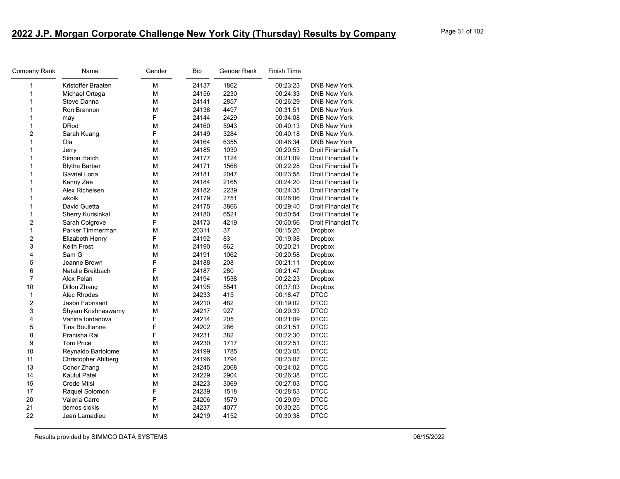| Company Rank            | Name                     | Gender | Bib   | Gender Rank | <b>Finish Time</b> |                     |
|-------------------------|--------------------------|--------|-------|-------------|--------------------|---------------------|
| 1                       | Kristoffer Braaten       | M      | 24137 | 1862        | 00:23:23           | <b>DNB New York</b> |
| 1                       | Michael Ortega           | M      | 24156 | 2230        | 00:24:33           | <b>DNB New York</b> |
| 1                       | Steve Danna              | M      | 24141 | 2857        | 00:26:29           | <b>DNB New York</b> |
| 1                       | Ron Brannon              | M      | 24138 | 4497        | 00:31:51           | <b>DNB New York</b> |
| 1                       | may                      | F      | 24144 | 2429        | 00:34:08           | <b>DNB New York</b> |
| 1                       | <b>DRod</b>              | M      | 24160 | 5943        | 00:40:13           | <b>DNB New York</b> |
| 2                       | Sarah Kuang              | F      | 24149 | 3284        | 00:40:18           | <b>DNB New York</b> |
| 1                       | Ola                      | M      | 24164 | 6355        | 00:46:34           | <b>DNB New York</b> |
| 1                       | Jerry                    | M      | 24185 | 1030        | 00:20:53           | Droit Financial Te  |
| 1                       | Simon Hatch              | M      | 24177 | 1124        | 00:21:09           | Droit Financial Te  |
| 1                       | <b>Blythe Barber</b>     | М      | 24171 | 1568        | 00:22:28           | Droit Financial Te  |
| 1                       | Gavriel Loria            | M      | 24181 | 2047        | 00:23:58           | Droit Financial Te  |
| 1                       | Kenny Zee                | М      | 24184 | 2165        | 00:24:20           | Droit Financial Te  |
| 1                       | Alex Richelsen           | М      | 24182 | 2239        | 00:24:35           | Droit Financial Te  |
| 1                       | wkolk                    | M      | 24179 | 2751        | 00:26:06           | Droit Financial Te  |
| 1                       | David Guetta             | M      | 24175 | 3866        | 00:29:40           | Droit Financial Te  |
| 1                       | <b>Sherry Kurisinkal</b> | M      | 24180 | 6521        | 00:50:54           | Droit Financial Te  |
| 2                       | Sarah Colgrove           | F      | 24173 | 4219        | 00:50:56           | Droit Financial Te  |
| 1                       | Parker Timmerman         | M      | 20311 | 37          | 00:15:20           | <b>Dropbox</b>      |
| 2                       | Elizabeth Henry          | F      | 24192 | 83          | 00:19:38           | <b>Dropbox</b>      |
| 3                       | Keith Frost              | M      | 24190 | 862         | 00:20:21           | <b>Dropbox</b>      |
| 4                       | Sam G                    | М      | 24191 | 1062        | 00:20:58           | Dropbox             |
| 5                       | Jeanne Brown             | F      | 24188 | 208         | 00:21:11           | <b>Dropbox</b>      |
| 6                       | Natalie Breitbach        | F      | 24187 | 280         | 00:21:47           | Dropbox             |
| $\overline{7}$          | Alex Pelan               | М      | 24194 | 1538        | 00:22:23           | <b>Dropbox</b>      |
| 10                      | <b>Dillon Zhang</b>      | М      | 24195 | 5541        | 00:37:03           | <b>Dropbox</b>      |
| $\mathbf{1}$            | Alec Rhodes              | M      | 24233 | 415         | 00:18:47           | <b>DTCC</b>         |
| $\overline{\mathbf{c}}$ | Jason Fabrikant          | M      | 24210 | 482         | 00:19:02           | <b>DTCC</b>         |
| 3                       | Shyam Krishnaswamy       | M      | 24217 | 927         | 00:20:33           | <b>DTCC</b>         |
| 4                       | Vanina lordanova         | F      | 24214 | 205         | 00:21:09           | <b>DTCC</b>         |
| 5                       | <b>Tina Boullianne</b>   | F      | 24202 | 286         | 00:21:51           | <b>DTCC</b>         |
| 8                       | Pranisha Rai             | F      | 24231 | 382         | 00:22:30           | <b>DTCC</b>         |
| 9                       | <b>Tom Price</b>         | М      | 24230 | 1717        | 00:22:51           | <b>DTCC</b>         |
| 10                      | Reynaldo Bartolome       | M      | 24199 | 1785        | 00:23:05           | <b>DTCC</b>         |
| 11                      | Christopher Ahlberg      | M      | 24196 | 1794        | 00:23:07           | <b>DTCC</b>         |
| 13                      | Conor Zhang              | M      | 24245 | 2068        | 00:24:02           | <b>DTCC</b>         |
| 14                      | Kautul Patel             | M      | 24229 | 2904        | 00:26:38           | <b>DTCC</b>         |
| 15                      | Crede Mtisi              | M      | 24223 | 3069        | 00:27:03           | <b>DTCC</b>         |
| 17                      | Raquel Solomon           | F      | 24239 | 1518        | 00:28:53           | <b>DTCC</b>         |
| 20                      | Valeria Carro            | F      | 24206 | 1579        | 00:29:09           | <b>DTCC</b>         |
| 21                      | demos siokis             | M      | 24237 | 4077        | 00:30:25           | <b>DTCC</b>         |
| 22                      | Jean Lamadieu            | M      | 24219 | 4152        | 00:30:38           | <b>DTCC</b>         |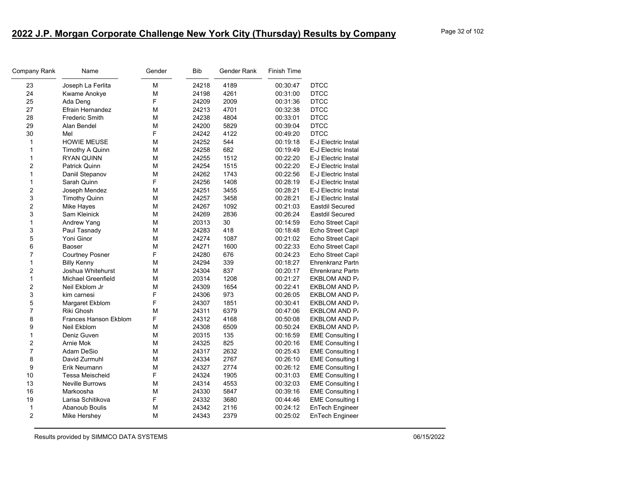| Company Rank   | Name                         | Gender | <b>Bib</b> | Gender Rank | <b>Finish Time</b> |                         |
|----------------|------------------------------|--------|------------|-------------|--------------------|-------------------------|
| 23             | Joseph La Ferlita            | M      | 24218      | 4189        | 00:30:47           | <b>DTCC</b>             |
| 24             | Kwame Anokye                 | M      | 24198      | 4261        | 00:31:00           | <b>DTCC</b>             |
| 25             | Ada Deng                     | F      | 24209      | 2009        | 00:31:36           | <b>DTCC</b>             |
| 27             | Efrain Hernandez             | M      | 24213      | 4701        | 00:32:38           | <b>DTCC</b>             |
| 28             | <b>Frederic Smith</b>        | М      | 24238      | 4804        | 00:33:01           | <b>DTCC</b>             |
| 29             | Alan Bendel                  | M      | 24200      | 5829        | 00:39:04           | <b>DTCC</b>             |
| 30             | Mel                          | F      | 24242      | 4122        | 00:49:20           | <b>DTCC</b>             |
| 1              | <b>HOWIE MEUSE</b>           | М      | 24252      | 544         | 00:19:18           | E-J Electric Instal     |
| 1              | Timothy A Quinn              | M      | 24258      | 682         | 00:19:49           | E-J Electric Instal     |
| 1              | <b>RYAN QUINN</b>            | М      | 24255      | 1512        | 00:22:20           | E-J Electric Instal     |
| 2              | Patrick Quinn                | M      | 24254      | 1515        | 00:22:20           | E-J Electric Instal     |
| 1              | Daniil Stepanov              | M      | 24262      | 1743        | 00:22:56           | E-J Electric Instal     |
| 1              | Sarah Quinn                  | F      | 24256      | 1408        | 00:28:19           | E-J Electric Instal     |
| 2              | Joseph Mendez                | M      | 24251      | 3455        | 00:28:21           | E-J Electric Instal     |
| 3              | <b>Timothy Quinn</b>         | M      | 24257      | 3458        | 00:28:21           | E-J Electric Instal     |
| 2              | Mike Hayes                   | М      | 24267      | 1092        | 00:21:03           | Eastdil Secured         |
| 3              | Sam Kleinick                 | M      | 24269      | 2836        | 00:26:24           | <b>Eastdil Secured</b>  |
| 1              | <b>Andrew Yang</b>           | М      | 20313      | 30          | 00:14:59           | Echo Street Capit       |
| 3              | Paul Tasnady                 | M      | 24283      | 418         | 00:18:48           | Echo Street Capi        |
| 5              | Yoni Ginor                   | M      | 24274      | 1087        | 00:21:02           | Echo Street Capit       |
| 6              | Baoser                       | M      | 24271      | 1600        | 00:22:33           | Echo Street Capit       |
| 7              | <b>Courtney Posner</b>       | F      | 24280      | 676         | 00:24:23           | Echo Street Capit       |
| 1              | <b>Billy Kenny</b>           | M      | 24294      | 339         | 00:18:27           | <b>Ehrenkranz Partn</b> |
| 2              | Joshua Whitehurst            | M      | 24304      | 837         | 00:20:17           | Ehrenkranz Partn        |
| 1              | <b>Michael Greenfield</b>    | M      | 20314      | 1208        | 00:21:27           | EKBLOM AND P            |
| 2              | Neil Ekblom Jr               | М      | 24309      | 1654        | 00:22:41           | EKBLOM AND P            |
| 3              | kim carnesi                  | F      | 24306      | 973         | 00:26:05           | EKBLOM AND P            |
| 5              | Margaret Ekblom              | F      | 24307      | 1851        | 00:30:41           | EKBLOM AND P            |
| $\overline{7}$ | Riki Ghosh                   | М      | 24311      | 6379        | 00:47:06           | EKBLOM AND P            |
| 8              | <b>Frances Hanson Ekblom</b> | F      | 24312      | 4168        | 00:50:08           | EKBLOM AND P            |
| 9              | Neil Ekblom                  | M      | 24308      | 6509        | 00:50:24           | EKBLOM AND P/           |
| 1              | Deniz Guven                  | M      | 20315      | 135         | 00:16:59           | <b>EME Consulting I</b> |
| 2              | Arnie Mok                    | M      | 24325      | 825         | 00:20:16           | <b>EME Consulting I</b> |
| $\overline{7}$ | Adam DeSio                   | M      | 24317      | 2632        | 00:25:43           | <b>EME Consulting I</b> |
| 8              | David Zurmuhl                | М      | 24334      | 2767        | 00:26:10           | <b>EME Consulting I</b> |
| 9              | Erik Neumann                 | M      | 24327      | 2774        | 00:26:12           | <b>EME Consulting I</b> |
| 10             | Tessa Meischeid              | F      | 24324      | 1905        | 00:31:03           | <b>EME Consulting I</b> |
| 13             | <b>Neville Burrows</b>       | M      | 24314      | 4553        | 00:32:03           | <b>EME Consulting I</b> |
| 16             | Markoosha                    | М      | 24330      | 5847        | 00:39:16           | <b>EME Consulting I</b> |
| 19             | Larisa Schitikova            | F      | 24332      | 3680        | 00:44:46           | <b>EME Consulting I</b> |
| $\mathbf{1}$   | Abanoub Boulis               | M      | 24342      | 2116        | 00:24:12           | EnTech Engineer         |
| 2              | Mike Hershey                 | М      | 24343      | 2379        | 00:25:02           | EnTech Engineer         |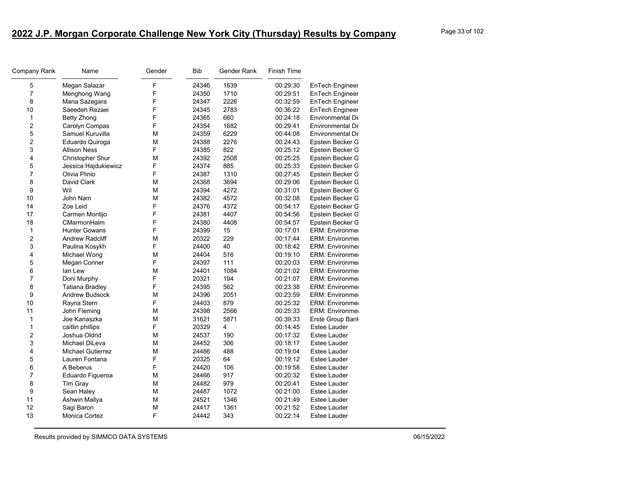| Company Rank   | Name                     | Gender | Bib   | Gender Rank    | <b>Finish Time</b> |                        |
|----------------|--------------------------|--------|-------|----------------|--------------------|------------------------|
| 5              | Megan Salazar            | F      | 24346 | 1639           | 00:29:30           | EnTech Engineer        |
| $\overline{7}$ | Menghong Wang            | F      | 24350 | 1710           | 00:29:51           | <b>EnTech Engineer</b> |
| 8              | Mana Sazegara            | F      | 24347 | 2226           | 00:32:59           | EnTech Engineer        |
| 10             | Saeedeh Rezaei           | F      | 24345 | 2783           | 00:36:22           | <b>EnTech Engineer</b> |
| $\mathbf{1}$   | Betty Zhong              | F      | 24365 | 660            | 00:24:18           | Environmental De       |
| 2              | Carolyn Compas           | F      | 24354 | 1682           | 00:29:41           | Environmental De       |
| 5              | Samuel Kuruvilla         | М      | 24359 | 6229           | 00:44:08           | Environmental De       |
| $\overline{c}$ | Eduardo Quiroga          | М      | 24388 | 2276           | 00:24:43           | Epstein Becker G       |
| 3              | <b>Allison Ness</b>      | F      | 24385 | 822            | 00:25:12           | Epstein Becker G       |
| 4              | <b>Christopher Shur</b>  | М      | 24392 | 2508           | 00:25:25           | Epstein Becker G       |
| 5              | Jessica Hajdukiewicz     | F      | 24374 | 885            | 00:25:33           | Epstein Becker G       |
| $\overline{7}$ | Olivia Plinio            | F      | 24387 | 1310           | 00:27:45           | Epstein Becker G       |
| 8              | David Clark              | М      | 24368 | 3694           | 00:29:06           | Epstein Becker G       |
| 9              | Wil                      | М      | 24394 | 4272           | 00:31:01           | Epstein Becker G       |
| 10             | John Nam                 | М      | 24382 | 4572           | 00:32:08           | Epstein Becker G       |
| 14             | Zoe Leid                 | F      | 24376 | 4372           | 00:54:17           | Epstein Becker G       |
| 17             | Carmen Montijo           | F      | 24381 | 4407           | 00:54:56           | Epstein Becker G       |
| 18             | CMarmonHalm              | F      | 24380 | 4408           | 00:54:57           | Epstein Becker G       |
| $\mathbf{1}$   | <b>Hunter Gowans</b>     | F      | 24399 | 15             | 00:17:01           | <b>ERM: Environmer</b> |
| 2              | <b>Andrew Radcliff</b>   | М      | 20322 | 229            | 00:17:44           | <b>ERM: Environmer</b> |
| 3              | Paulina Kosykh           | F      | 24400 | 40             | 00:18:42           | <b>ERM: Environmer</b> |
| 4              | Michael Wong             | М      | 24404 | 516            | 00:19:10           | <b>ERM: Environmer</b> |
| 5              | Megan Conner             | F      | 24397 | 111            | 00:20:03           | <b>ERM: Environmer</b> |
| 6              | lan Lew                  | М      | 24401 | 1084           | 00:21:02           | <b>ERM: Environmer</b> |
| $\overline{7}$ | Doni Murphy              | F      | 20321 | 194            | 00:21:07           | <b>ERM: Environmer</b> |
| 8              | Tatiana Bradley          | F      | 24395 | 562            | 00:23:38           | <b>ERM: Environmer</b> |
| 9              | <b>Andrew Budsock</b>    | M      | 24396 | 2051           | 00:23:59           | <b>ERM: Environmer</b> |
| 10             | Rayna Stern              | F      | 24403 | 879            | 00:25:32           | <b>ERM: Environmer</b> |
| 11             | John Fleming             | М      | 24398 | 2566           | 00:25:33           | <b>ERM: Environmer</b> |
| $\mathbf{1}$   | Joe Kanaszka             | М      | 31621 | 5871           | 00:39:33           | Erste Group Banl       |
| 1              | caitlin phillips         | F      | 20329 | $\overline{4}$ | 00:14:45           | <b>Estee Lauder</b>    |
| 2              | Joshua Oldrid            | M      | 24537 | 190            | 00:17:32           | Estee Lauder           |
| 3              | Michael DiLeva           | М      | 24452 | 306            | 00:18:17           | Estee Lauder           |
| 4              | <b>Michael Gutierrez</b> | M      | 24486 | 488            | 00:19:04           | <b>Estee Lauder</b>    |
| 5              | Lauren Fontana           | F      | 20325 | 64             | 00:19:12           | Estee Lauder           |
| 6              | A Beberus                | F      | 24420 | 106            | 00:19:58           | <b>Estee Lauder</b>    |
| $\overline{7}$ | Eduardo Figueroa         | M      | 24466 | 917            | 00:20:32           | Estee Lauder           |
| 8              | Tim Gray                 | М      | 24482 | 979            | 00:20:41           | <b>Estee Lauder</b>    |
| 9              | Sean Haley               | М      | 24487 | 1072           | 00:21:00           | Estee Lauder           |
| 11             | Ashwin Mallya            | М      | 24521 | 1346           | 00:21:49           | Estee Lauder           |
| 12             | Sagi Baron               | М      | 24417 | 1361           | 00:21:52           | <b>Estee Lauder</b>    |
| 13             | <b>Monica Cortez</b>     | F      | 24442 | 343            | 00:22:14           | Estee Lauder           |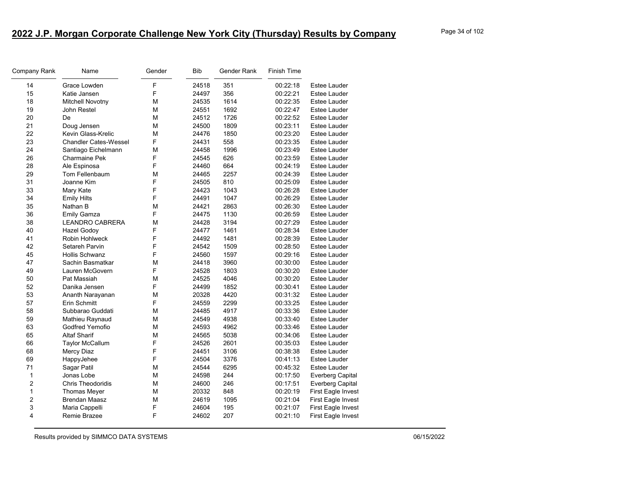| Company Rank   | Name                         | Gender | Bib   | Gender Rank | <b>Finish Time</b> |                           |
|----------------|------------------------------|--------|-------|-------------|--------------------|---------------------------|
| 14             | Grace Lowden                 | F      | 24518 | 351         | 00:22:18           | Estee Lauder              |
| 15             | Katie Jansen                 | F      | 24497 | 356         | 00:22:21           | Estee Lauder              |
| 18             | <b>Mitchell Novotny</b>      | М      | 24535 | 1614        | 00:22:35           | Estee Lauder              |
| 19             | John Restel                  | М      | 24551 | 1692        | 00:22:47           | Estee Lauder              |
| 20             | De                           | М      | 24512 | 1726        | 00:22:52           | <b>Estee Lauder</b>       |
| 21             | Doug Jensen                  | М      | 24500 | 1809        | 00:23:11           | Estee Lauder              |
| 22             | Kevin Glass-Krelic           | М      | 24476 | 1850        | 00:23:20           | Estee Lauder              |
| 23             | <b>Chandler Cates-Wessel</b> | F      | 24431 | 558         | 00:23:35           | Estee Lauder              |
| 24             | Santiago Eichelmann          | М      | 24458 | 1996        | 00:23:49           | Estee Lauder              |
| 26             | <b>Charmaine Pek</b>         | F      | 24545 | 626         | 00:23:59           | Estee Lauder              |
| 28             | Ale Espinosa                 | F      | 24460 | 664         | 00:24:19           | Estee Lauder              |
| 29             | Tom Fellenbaum               | M      | 24465 | 2257        | 00:24:39           | Estee Lauder              |
| 31             | Joanne Kim                   | F      | 24505 | 810         | 00:25:09           | Estee Lauder              |
| 33             | Mary Kate                    | F      | 24423 | 1043        | 00:26:28           | Estee Lauder              |
| 34             | <b>Emily Hilts</b>           | F      | 24491 | 1047        | 00:26:29           | Estee Lauder              |
| 35             | Nathan B                     | М      | 24421 | 2863        | 00:26:30           | Estee Lauder              |
| 36             | <b>Emily Gamza</b>           | F      | 24475 | 1130        | 00:26:59           | Estee Lauder              |
| 38             | <b>LEANDRO CABRERA</b>       | М      | 24428 | 3194        | 00:27:29           | Estee Lauder              |
| 40             | <b>Hazel Godoy</b>           | F      | 24477 | 1461        | 00:28:34           | Estee Lauder              |
| 41             | Robin Hohlweck               | F      | 24492 | 1481        | 00:28:39           | Estee Lauder              |
| 42             | Setareh Parvin               | F      | 24542 | 1509        | 00:28:50           | Estee Lauder              |
| 45             | <b>Hollis Schwanz</b>        | F      | 24560 | 1597        | 00:29:16           | Estee Lauder              |
| 47             | Sachin Basmatkar             | М      | 24418 | 3960        | 00:30:00           | Estee Lauder              |
| 49             | Lauren McGovern              | F      | 24528 | 1803        | 00:30:20           | Estee Lauder              |
| 50             | Pat Massiah                  | М      | 24525 | 4046        | 00:30:20           | Estee Lauder              |
| 52             | Danika Jensen                | F      | 24499 | 1852        | 00:30:41           | Estee Lauder              |
| 53             | Ananth Narayanan             | М      | 20328 | 4420        | 00:31:32           | <b>Estee Lauder</b>       |
| 57             | Erin Schmitt                 | F      | 24559 | 2299        | 00:33:25           | Estee Lauder              |
| 58             | Subbarao Guddati             | М      | 24485 | 4917        | 00:33:36           | Estee Lauder              |
| 59             | Mathieu Raynaud              | М      | 24549 | 4938        | 00:33:40           | Estee Lauder              |
| 63             | Godfred Yemofio              | М      | 24593 | 4962        | 00:33:46           | Estee Lauder              |
| 65             | <b>Altaf Sharif</b>          | М      | 24565 | 5038        | 00:34:06           | Estee Lauder              |
| 66             | Taylor McCallum              | F      | 24526 | 2601        | 00:35:03           | Estee Lauder              |
| 68             | Mercy Diaz                   | F      | 24451 | 3106        | 00:38:38           | Estee Lauder              |
| 69             | HappyJehee                   | F      | 24504 | 3376        | 00:41:13           | Estee Lauder              |
| 71             | Sagar Patil                  | М      | 24544 | 6295        | 00:45:32           | Estee Lauder              |
| 1              | Jonas Lobe                   | М      | 24598 | 244         | 00:17:50           | <b>Everberg Capital</b>   |
| $\overline{2}$ | <b>Chris Theodoridis</b>     | M      | 24600 | 246         | 00:17:51           | <b>Everberg Capital</b>   |
| $\mathbf{1}$   | Thomas Meyer                 | М      | 20332 | 848         | 00:20:19           | First Eagle Invest        |
| $\overline{2}$ | <b>Brendan Maasz</b>         | М      | 24619 | 1095        | 00:21:04           | First Eagle Invest        |
| 3              | Maria Cappelli               | F      | 24604 | 195         | 00:21:07           | First Eagle Invest        |
| 4              | Remie Brazee                 | F      | 24602 | 207         | 00:21:10           | <b>First Eagle Invest</b> |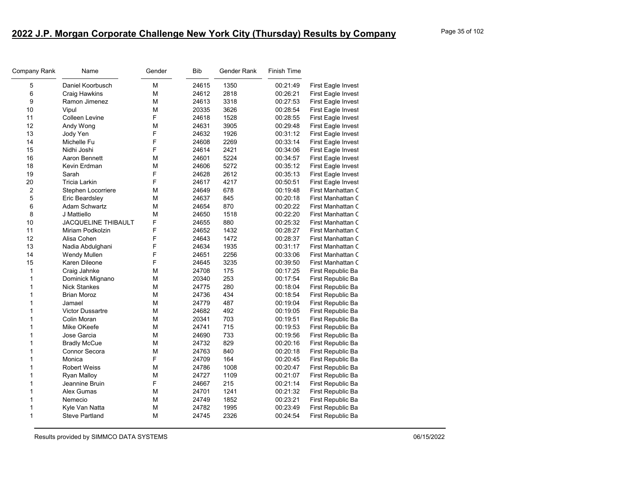| Company Rank   | Name                       | Gender | Bib   | Gender Rank | <b>Finish Time</b> |                    |
|----------------|----------------------------|--------|-------|-------------|--------------------|--------------------|
| 5              | Daniel Koorbusch           | М      | 24615 | 1350        | 00:21:49           | First Eagle Invest |
| 6              | Craig Hawkins              | M      | 24612 | 2818        | 00:26:21           | First Eagle Invest |
| 9              | Ramon Jimenez              | М      | 24613 | 3318        | 00:27:53           | First Eagle Invest |
| 10             | Vipul                      | М      | 20335 | 3626        | 00:28:54           | First Eagle Invest |
| 11             | Colleen Levine             | F      | 24618 | 1528        | 00:28:55           | First Eagle Invest |
| 12             | Andy Wong                  | М      | 24631 | 3905        | 00:29:48           | First Eagle Invest |
| 13             | Jody Yen                   | F      | 24632 | 1926        | 00:31:12           | First Eagle Invest |
| 14             | Michelle Fu                | F      | 24608 | 2269        | 00:33:14           | First Eagle Invest |
| 15             | Nidhi Joshi                | F      | 24614 | 2421        | 00:34:06           | First Eagle Invest |
| 16             | Aaron Bennett              | М      | 24601 | 5224        | 00:34:57           | First Eagle Invest |
| 18             | Kevin Erdman               | М      | 24606 | 5272        | 00:35:12           | First Eagle Invest |
| 19             | Sarah                      | F      | 24628 | 2612        | 00:35:13           | First Eagle Invest |
| 20             | <b>Tricia Larkin</b>       | F      | 24617 | 4217        | 00:50:51           | First Eagle Invest |
| $\overline{2}$ | Stephen Locorriere         | М      | 24649 | 678         | 00:19:48           | First Manhattan C  |
| 5              | Eric Beardsley             | М      | 24637 | 845         | 00:20:18           | First Manhattan C  |
| 6              | <b>Adam Schwartz</b>       | М      | 24654 | 870         | 00:20:22           | First Manhattan C  |
| 8              | J Mattiello                | М      | 24650 | 1518        | 00:22:20           | First Manhattan C  |
| 10             | <b>JACQUELINE THIBAULT</b> | F      | 24655 | 880         | 00:25:32           | First Manhattan C  |
| 11             | Miriam Podkolzin           | F      | 24652 | 1432        | 00:28:27           | First Manhattan C  |
| 12             | Alisa Cohen                | F      | 24643 | 1472        | 00:28:37           | First Manhattan C  |
| 13             | Nadia Abdulghani           | F      | 24634 | 1935        | 00:31:17           | First Manhattan C  |
| 14             | <b>Wendy Mullen</b>        | F      | 24651 | 2256        | 00:33:06           | First Manhattan C  |
| 15             | Karen Dileone              | F      | 24645 | 3235        | 00:39:50           | First Manhattan C  |
| $\mathbf{1}$   | Craig Jahnke               | м      | 24708 | 175         | 00:17:25           | First Republic Ba  |
| 1              | Dominick Mignano           | М      | 20340 | 253         | 00:17:54           | First Republic Ba  |
| 1              | <b>Nick Stankes</b>        | М      | 24775 | 280         | 00:18:04           | First Republic Ba  |
| $\mathbf 1$    | <b>Brian Moroz</b>         | М      | 24736 | 434         | 00:18:54           | First Republic Ba  |
| 1              | Jamael                     | М      | 24779 | 487         | 00:19:04           | First Republic Ba  |
| 1              | <b>Victor Dussartre</b>    | М      | 24682 | 492         | 00:19:05           | First Republic Ba  |
| 1              | Colin Moran                | М      | 20341 | 703         | 00:19:51           | First Republic Ba  |
| 1              | Mike OKeefe                | М      | 24741 | 715         | 00:19:53           | First Republic Ba  |
| 1              | Jose Garcia                | M      | 24690 | 733         | 00:19:56           | First Republic Ba  |
| 1              | <b>Bradly McCue</b>        | М      | 24732 | 829         | 00:20:16           | First Republic Ba  |
| 1              | Connor Secora              | M      | 24763 | 840         | 00:20:18           | First Republic Ba  |
| 1              | Monica                     | F      | 24709 | 164         | 00:20:45           | First Republic Ba  |
| 1              | <b>Robert Weiss</b>        | М      | 24786 | 1008        | 00:20:47           | First Republic Ba  |
| 1              | <b>Ryan Malloy</b>         | М      | 24727 | 1109        | 00:21:07           | First Republic Ba  |
| 1              | Jeannine Bruin             | F      | 24667 | 215         | 00:21:14           | First Republic Ba  |
| 1              | Alex Gumas                 | М      | 24701 | 1241        | 00:21:32           | First Republic Ba  |
| 1              | Nemecio                    | М      | 24749 | 1852        | 00:23:21           | First Republic Ba  |
| 1              | Kyle Van Natta             | M      | 24782 | 1995        | 00:23:49           | First Republic Ba  |
| 1              | <b>Steve Partland</b>      | М      | 24745 | 2326        | 00:24:54           | First Republic Ba  |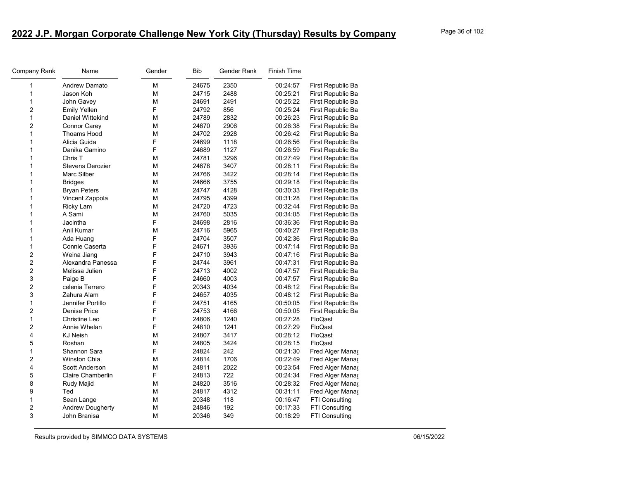| Company Rank            | Name                    | Gender | <b>Bib</b> | Gender Rank | <b>Finish Time</b> |                       |
|-------------------------|-------------------------|--------|------------|-------------|--------------------|-----------------------|
| 1                       | Andrew Damato           | M      | 24675      | 2350        | 00:24:57           | First Republic Ba     |
| 1                       | Jason Koh               | M      | 24715      | 2488        | 00:25:21           | First Republic Ba     |
| 1                       | John Gavey              | M      | 24691      | 2491        | 00:25:22           | First Republic Ba     |
| $\overline{c}$          | <b>Emily Yellen</b>     | F      | 24792      | 856         | 00:25:24           | First Republic Ba     |
| 1                       | Daniel Wittekind        | M      | 24789      | 2832        | 00:26:23           | First Republic Ba     |
| 2                       | Connor Carey            | M      | 24670      | 2906        | 00:26:38           | First Republic Ba     |
| $\mathbf{1}$            | <b>Thoams Hood</b>      | M      | 24702      | 2928        | 00:26:42           | First Republic Ba     |
| 1                       | Alicia Guida            | F      | 24699      | 1118        | 00:26:56           | First Republic Ba     |
| 1                       | Danika Gamino           | F      | 24689      | 1127        | 00:26:59           | First Republic Ba     |
| 1                       | Chris T                 | М      | 24781      | 3296        | 00:27:49           | First Republic Ba     |
| 1                       | <b>Stevens Derozier</b> | M      | 24678      | 3407        | 00:28:11           | First Republic Ba     |
| 1                       | Marc Silber             | M      | 24766      | 3422        | 00:28:14           | First Republic Ba     |
| 1                       | <b>Bridges</b>          | M      | 24666      | 3755        | 00:29:18           | First Republic Ba     |
| $\mathbf{1}$            | <b>Bryan Peters</b>     | M      | 24747      | 4128        | 00:30:33           | First Republic Ba     |
| 1                       | Vincent Zappola         | M      | 24795      | 4399        | 00:31:28           | First Republic Ba     |
| 1                       | Ricky Lam               | M      | 24720      | 4723        | 00:32:44           | First Republic Ba     |
| $\mathbf{1}$            | A Sami                  | M      | 24760      | 5035        | 00:34:05           | First Republic Ba     |
| 1                       | Jacintha                | F      | 24698      | 2816        | 00:36:36           | First Republic Ba     |
| 1                       | Anil Kumar              | M      | 24716      | 5965        | 00:40:27           | First Republic Ba     |
| 1                       | Ada Huang               | F      | 24704      | 3507        | 00:42:36           | First Republic Ba     |
| 1                       | Connie Caserta          | F      | 24671      | 3936        | 00:47:14           | First Republic Ba     |
| $\overline{\mathbf{c}}$ | Weina Jiang             | F      | 24710      | 3943        | 00:47:16           | First Republic Ba     |
| $\overline{c}$          | Alexandra Panessa       | F      | 24744      | 3961        | 00:47:31           | First Republic Ba     |
| $\overline{\mathbf{c}}$ | Melissa Julien          | F      | 24713      | 4002        | 00:47:57           | First Republic Ba     |
| 3                       | Paige B                 | F      | 24660      | 4003        | 00:47:57           | First Republic Ba     |
| $\overline{c}$          | celenia Terrero         | F      | 20343      | 4034        | 00:48:12           | First Republic Ba     |
| 3                       | Zahura Alam             | F      | 24657      | 4035        | 00:48:12           | First Republic Ba     |
| 1                       | Jennifer Portillo       | F      | 24751      | 4165        | 00:50:05           | First Republic Ba     |
| $\overline{\mathbf{c}}$ | Denise Price            | F      | 24753      | 4166        | 00:50:05           | First Republic Ba     |
| $\mathbf{1}$            | Christine Leo           | F      | 24806      | 1240        | 00:27:28           | FloQast               |
| $\overline{c}$          | Annie Whelan            | F      | 24810      | 1241        | 00:27:29           | FloQast               |
| 4                       | <b>KJ Neish</b>         | M      | 24807      | 3417        | 00:28:12           | FloQast               |
| 5                       | Roshan                  | M      | 24805      | 3424        | 00:28:15           | FloQast               |
| $\mathbf{1}$            | Shannon Sara            | F      | 24824      | 242         | 00:21:30           | Fred Alger Mana       |
| $\overline{\mathbf{c}}$ | <b>Winston Chia</b>     | M      | 24814      | 1706        | 00:22:49           | Fred Alger Manag      |
| 4                       | Scott Anderson          | M      | 24811      | 2022        | 00:23:54           | Fred Alger Mana       |
| 5                       | Claire Chamberlin       | F      | 24813      | 722         | 00:24:34           | Fred Alger Mana       |
| 8                       | Rudy Majid              | M      | 24820      | 3516        | 00:28:32           | Fred Alger Mana       |
| 9                       | Ted                     | M      | 24817      | 4312        | 00:31:11           | Fred Alger Mana       |
| 1                       | Sean Lange              | М      | 20348      | 118         | 00:16:47           | FTI Consulting        |
| 2                       | <b>Andrew Dougherty</b> | M      | 24846      | 192         | 00:17:33           | FTI Consulting        |
| 3                       | John Branisa            | M      | 20346      | 349         | 00:18:29           | <b>FTI Consulting</b> |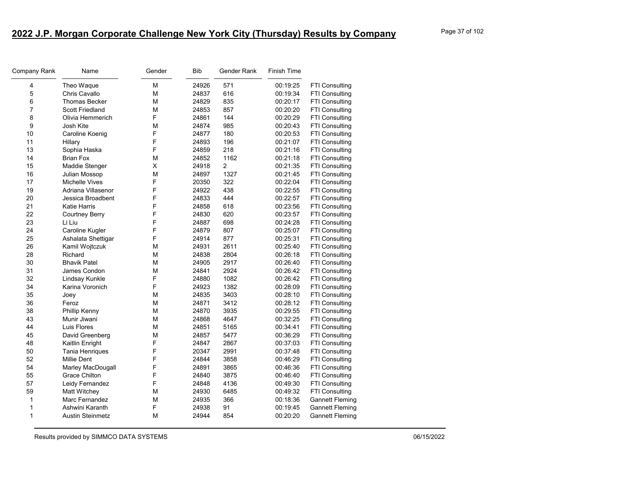| Company Rank   | Name                    | Gender | Bib   | Gender Rank    | <b>Finish Time</b> |                        |
|----------------|-------------------------|--------|-------|----------------|--------------------|------------------------|
| 4              | Theo Waque              | М      | 24926 | 571            | 00:19:25           | FTI Consulting         |
| 5              | Chris Cavallo           | M      | 24837 | 616            | 00:19:34           | FTI Consulting         |
| 6              | <b>Thomas Becker</b>    | M      | 24829 | 835            | 00:20:17           | FTI Consulting         |
| $\overline{7}$ | Scott Friedland         | М      | 24853 | 857            | 00:20:20           | FTI Consulting         |
| 8              | Olivia Hemmerich        | F      | 24861 | 144            | 00:20:29           | FTI Consulting         |
| 9              | Josh Kite               | М      | 24874 | 985            | 00:20:43           | FTI Consulting         |
| 10             | Caroline Koenig         | F      | 24877 | 180            | 00:20:53           | <b>FTI Consulting</b>  |
| 11             | Hillary                 | F      | 24893 | 196            | 00:21:07           | FTI Consulting         |
| 13             | Sophia Haska            | F      | 24859 | 218            | 00:21:16           | FTI Consulting         |
| 14             | <b>Brian Fox</b>        | М      | 24852 | 1162           | 00:21:18           | FTI Consulting         |
| 15             | Maddie Stenger          | X      | 24918 | $\overline{2}$ | 00:21:35           | FTI Consulting         |
| 16             | Julian Mossop           | М      | 24897 | 1327           | 00:21:45           | FTI Consulting         |
| 17             | <b>Michelle Vives</b>   | F      | 20350 | 322            | 00:22:04           | FTI Consulting         |
| 19             | Adriana Villasenor      | F      | 24922 | 438            | 00:22:55           | FTI Consulting         |
| 20             | Jessica Broadbent       | F      | 24833 | 444            | 00:22:57           | FTI Consulting         |
| 21             | <b>Katie Harris</b>     | F      | 24858 | 618            | 00:23:56           | FTI Consulting         |
| 22             | Courtney Berry          | F      | 24830 | 620            | 00:23:57           | FTI Consulting         |
| 23             | Li Liu                  | F      | 24887 | 698            | 00:24:28           | FTI Consulting         |
| 24             | Caroline Kugler         | F      | 24879 | 807            | 00:25:07           | FTI Consulting         |
| 25             | Ashalata Shettigar      | F      | 24914 | 877            | 00:25:31           | <b>FTI Consulting</b>  |
| 26             | Kamil Wojtczuk          | M      | 24931 | 2611           | 00:25:40           | FTI Consulting         |
| 28             | Richard                 | М      | 24838 | 2804           | 00:26:18           | FTI Consulting         |
| 30             | <b>Bhavik Patel</b>     | М      | 24905 | 2917           | 00:26:40           | FTI Consulting         |
| 31             | James Condon            | М      | 24841 | 2924           | 00:26:42           | FTI Consulting         |
| 32             | Lindsay Kunkle          | F      | 24880 | 1082           | 00:26:42           | FTI Consulting         |
| 34             | Karina Voronich         | F      | 24923 | 1382           | 00:28:09           | FTI Consulting         |
| 35             | Joey                    | М      | 24835 | 3403           | 00:28:10           | FTI Consulting         |
| 36             | Feroz                   | М      | 24871 | 3412           | 00:28:12           | FTI Consulting         |
| 38             | Phillip Kenny           | M      | 24870 | 3935           | 00:29:55           | FTI Consulting         |
| 43             | Munir Jiwani            | М      | 24868 | 4647           | 00:32:25           | FTI Consulting         |
| 44             | Luis Flores             | M      | 24851 | 5165           | 00:34:41           | FTI Consulting         |
| 45             | David Greenberg         | М      | 24857 | 5477           | 00:36:29           | FTI Consulting         |
| 48             | Kaitlin Enright         | F      | 24847 | 2867           | 00:37:03           | FTI Consulting         |
| 50             | Tania Henriques         | F      | 20347 | 2991           | 00:37:48           | FTI Consulting         |
| 52             | <b>Millie Dent</b>      | F      | 24844 | 3858           | 00:46:29           | FTI Consulting         |
| 54             | Marley MacDougall       | F      | 24891 | 3865           | 00:46:36           | <b>FTI Consulting</b>  |
| 55             | <b>Grace Chilton</b>    | F      | 24840 | 3875           | 00:46:40           | FTI Consulting         |
| 57             | Leidy Fernandez         | F      | 24848 | 4136           | 00:49:30           | <b>FTI Consulting</b>  |
| 59             | <b>Matt Witchey</b>     | М      | 24930 | 6485           | 00:49:32           | <b>FTI Consulting</b>  |
| $\mathbf{1}$   | Marc Fernandez          | М      | 24935 | 366            | 00:18:36           | <b>Gannett Fleming</b> |
| 1              | Ashwini Karanth         | F      | 24938 | 91             | 00:19:45           | <b>Gannett Fleming</b> |
| $\mathbf{1}$   | <b>Austin Steinmetz</b> | М      | 24944 | 854            | 00:20:20           | <b>Gannett Fleming</b> |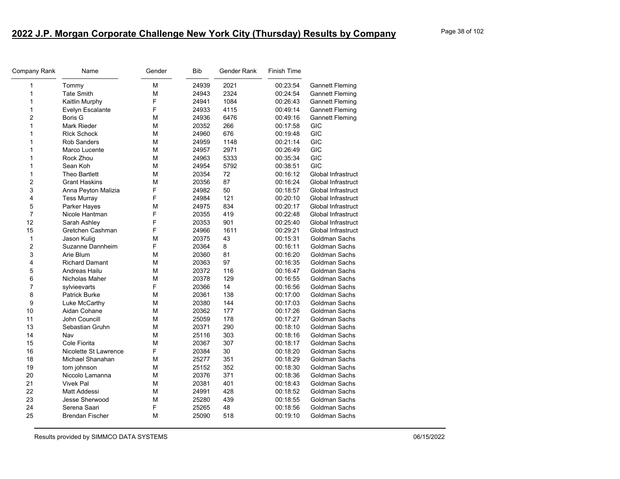| <b>Company Rank</b> | Name                   | Gender | <b>Bib</b> | Gender Rank | <b>Finish Time</b> |                        |
|---------------------|------------------------|--------|------------|-------------|--------------------|------------------------|
| 1                   | Tommy                  | М      | 24939      | 2021        | 00:23:54           | <b>Gannett Fleming</b> |
| 1                   | <b>Tate Smith</b>      | М      | 24943      | 2324        | 00:24:54           | <b>Gannett Fleming</b> |
| $\mathbf 1$         | Kaitlin Murphy         | F      | 24941      | 1084        | 00:26:43           | <b>Gannett Fleming</b> |
| $\mathbf{1}$        | Evelyn Escalante       | F      | 24933      | 4115        | 00:49:14           | <b>Gannett Fleming</b> |
| 2                   | Boris G                | М      | 24936      | 6476        | 00:49:16           | <b>Gannett Fleming</b> |
| $\mathbf{1}$        | <b>Mark Rieder</b>     | М      | 20352      | 266         | 00:17:58           | <b>GIC</b>             |
| 1                   | <b>RIck Schock</b>     | М      | 24960      | 676         | 00:19:48           | <b>GIC</b>             |
| $\mathbf{1}$        | <b>Rob Sanders</b>     | M      | 24959      | 1148        | 00:21:14           | <b>GIC</b>             |
| $\mathbf{1}$        | Marco Lucente          | М      | 24957      | 2971        | 00:26:49           | <b>GIC</b>             |
| 1                   | Rock Zhou              | М      | 24963      | 5333        | 00:35:34           | <b>GIC</b>             |
| $\mathbf{1}$        | Sean Koh               | M      | 24954      | 5792        | 00:38:51           | <b>GIC</b>             |
| $\mathbf{1}$        | <b>Theo Bartlett</b>   | М      | 20354      | 72          | 00:16:12           | Global Infrastruct     |
| $\overline{c}$      | <b>Grant Haskins</b>   | М      | 20356      | 87          | 00:16:24           | Global Infrastruct     |
| 3                   | Anna Peyton Malizia    | F      | 24982      | 50          | 00:18:57           | Global Infrastruct     |
| 4                   | <b>Tess Murray</b>     | F      | 24984      | 121         | 00:20:10           | Global Infrastruct     |
| 5                   | Parker Hayes           | М      | 24975      | 834         | 00:20:17           | Global Infrastruct     |
| $\overline{7}$      | Nicole Hantman         | F      | 20355      | 419         | 00:22:48           | Global Infrastruct     |
| 12                  | Sarah Ashley           | F      | 20353      | 901         | 00:25:40           | Global Infrastruct     |
| 15                  | Gretchen Cashman       | F      | 24966      | 1611        | 00:29:21           | Global Infrastruct     |
| $\mathbf{1}$        | Jason Kulig            | М      | 20375      | 43          | 00:15:31           | Goldman Sachs          |
| $\boldsymbol{2}$    | Suzanne Dannheim       | F      | 20364      | 8           | 00:16:11           | Goldman Sachs          |
| 3                   | Arie Blum              | М      | 20360      | 81          | 00:16:20           | Goldman Sachs          |
| 4                   | <b>Richard Damant</b>  | М      | 20363      | 97          | 00:16:35           | Goldman Sachs          |
| 5                   | Andreas Hailu          | M      | 20372      | 116         | 00:16:47           | Goldman Sachs          |
| 6                   | Nicholas Maher         | М      | 20378      | 129         | 00:16:55           | <b>Goldman Sachs</b>   |
| $\overline{7}$      | sylvieevarts           | F      | 20366      | 14          | 00:16:56           | Goldman Sachs          |
| 8                   | <b>Patrick Burke</b>   | M      | 20361      | 138         | 00:17:00           | Goldman Sachs          |
| 9                   | Luke McCarthy          | M      | 20380      | 144         | 00:17:03           | Goldman Sachs          |
| 10                  | Aidan Cohane           | М      | 20362      | 177         | 00:17:26           | Goldman Sachs          |
| 11                  | John Councill          | М      | 25059      | 178         | 00:17:27           | <b>Goldman Sachs</b>   |
| 13                  | Sebastian Gruhn        | М      | 20371      | 290         | 00:18:10           | Goldman Sachs          |
| 14                  | Nav                    | М      | 25116      | 303         | 00:18:16           | Goldman Sachs          |
| 15                  | Cole Fiorita           | М      | 20367      | 307         | 00:18:17           | Goldman Sachs          |
| 16                  | Nicolette St Lawrence  | F      | 20384      | 30          | 00:18:20           | Goldman Sachs          |
| 18                  | Michael Shanahan       | М      | 25277      | 351         | 00:18:29           | <b>Goldman Sachs</b>   |
| 19                  | tom johnson            | М      | 25152      | 352         | 00:18:30           | Goldman Sachs          |
| 20                  | Niccolo Lamanna        | М      | 20376      | 371         | 00:18:36           | Goldman Sachs          |
| 21                  | <b>Vivek Pal</b>       | М      | 20381      | 401         | 00:18:43           | Goldman Sachs          |
| 22                  | <b>Matt Addessi</b>    | М      | 24991      | 428         | 00:18:52           | Goldman Sachs          |
| 23                  | Jesse Sherwood         | М      | 25280      | 439         | 00:18:55           | Goldman Sachs          |
| 24                  | Serena Saari           | F      | 25265      | 48          | 00:18:56           | Goldman Sachs          |
| 25                  | <b>Brendan Fischer</b> | М      | 25090      | 518         | 00:19:10           | Goldman Sachs          |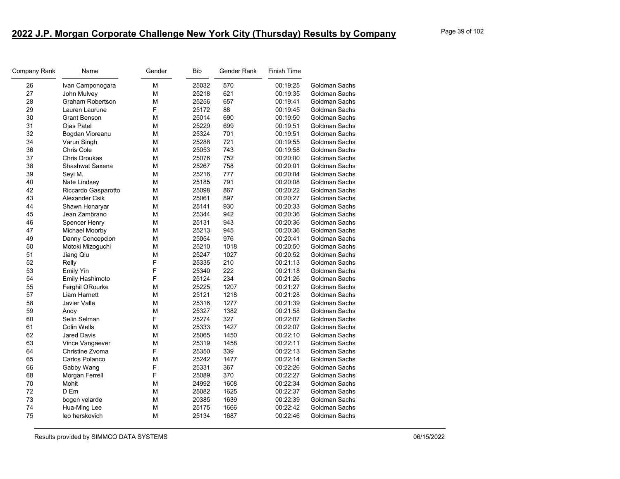| Company Rank | Name                 | Gender | Bib   | Gender Rank | Finish Time |                      |
|--------------|----------------------|--------|-------|-------------|-------------|----------------------|
| 26           | Ivan Camponogara     | М      | 25032 | 570         | 00:19:25    | <b>Goldman Sachs</b> |
| 27           | John Mulvey          | M      | 25218 | 621         | 00:19:35    | Goldman Sachs        |
| 28           | Graham Robertson     | М      | 25256 | 657         | 00:19:41    | <b>Goldman Sachs</b> |
| 29           | Lauren Laurune       | F      | 25172 | 88          | 00:19:45    | <b>Goldman Sachs</b> |
| 30           | Grant Benson         | М      | 25014 | 690         | 00:19:50    | Goldman Sachs        |
| 31           | Ojas Patel           | М      | 25229 | 699         | 00:19:51    | Goldman Sachs        |
| 32           | Bogdan Vioreanu      | М      | 25324 | 701         | 00:19:51    | Goldman Sachs        |
| 34           | Varun Singh          | М      | 25288 | 721         | 00:19:55    | Goldman Sachs        |
| 36           | Chris Cole           | М      | 25053 | 743         | 00:19:58    | Goldman Sachs        |
| 37           | <b>Chris Droukas</b> | М      | 25076 | 752         | 00:20:00    | <b>Goldman Sachs</b> |
| 38           | Shashwat Saxena      | М      | 25267 | 758         | 00:20:01    | Goldman Sachs        |
| 39           | Seyi M.              | М      | 25216 | 777         | 00:20:04    | Goldman Sachs        |
| 40           | Nate Lindsey         | М      | 25185 | 791         | 00:20:08    | Goldman Sachs        |
| 42           | Riccardo Gasparotto  | М      | 25098 | 867         | 00:20:22    | Goldman Sachs        |
| 43           | Alexander Csik       | М      | 25061 | 897         | 00:20:27    | Goldman Sachs        |
| 44           | Shawn Honaryar       | М      | 25141 | 930         | 00:20:33    | Goldman Sachs        |
| 45           | Jean Zambrano        | М      | 25344 | 942         | 00:20:36    | <b>Goldman Sachs</b> |
| 46           | Spencer Henry        | М      | 25131 | 943         | 00:20:36    | Goldman Sachs        |
| 47           | Michael Moorby       | М      | 25213 | 945         | 00:20:36    | Goldman Sachs        |
| 49           | Danny Concepcion     | М      | 25054 | 976         | 00:20:41    | Goldman Sachs        |
| 50           | Motoki Mizoguchi     | М      | 25210 | 1018        | 00:20:50    | Goldman Sachs        |
| 51           | Jiang Qiu            | M      | 25247 | 1027        | 00:20:52    | Goldman Sachs        |
| 52           | Relly                | F      | 25335 | 210         | 00:21:13    | Goldman Sachs        |
| 53           | <b>Emily Yin</b>     | F      | 25340 | 222         | 00:21:18    | Goldman Sachs        |
| 54           | Emily Hashimoto      | F      | 25124 | 234         | 00:21:26    | Goldman Sachs        |
| 55           | Ferghil ORourke      | М      | 25225 | 1207        | 00:21:27    | Goldman Sachs        |
| 57           | Liam Harnett         | М      | 25121 | 1218        | 00:21:28    | Goldman Sachs        |
| 58           | Javier Valle         | М      | 25316 | 1277        | 00:21:39    | Goldman Sachs        |
| 59           | Andy                 | М      | 25327 | 1382        | 00:21:58    | Goldman Sachs        |
| 60           | Selin Selman         | F      | 25274 | 327         | 00:22:07    | Goldman Sachs        |
| 61           | Colin Wells          | M      | 25333 | 1427        | 00:22:07    | Goldman Sachs        |
| 62           | Jared Davis          | М      | 25065 | 1450        | 00:22:10    | Goldman Sachs        |
| 63           | Vince Vangaever      | М      | 25319 | 1458        | 00:22:11    | Goldman Sachs        |
| 64           | Christine Zvoma      | F      | 25350 | 339         | 00:22:13    | Goldman Sachs        |
| 65           | Carlos Polanco       | М      | 25242 | 1477        | 00:22:14    | Goldman Sachs        |
| 66           | Gabby Wang           | F      | 25331 | 367         | 00:22:26    | Goldman Sachs        |
| 68           | Morgan Ferrell       | F      | 25089 | 370         | 00:22:27    | Goldman Sachs        |
| 70           | Mohit                | М      | 24992 | 1608        | 00:22:34    | Goldman Sachs        |
| 72           | D Em                 | М      | 25082 | 1625        | 00:22:37    | Goldman Sachs        |
| 73           | bogen velarde        | М      | 20385 | 1639        | 00:22:39    | Goldman Sachs        |
| 74           | Hua-Ming Lee         | М      | 25175 | 1666        | 00:22:42    | Goldman Sachs        |
| 75           | leo herskovich       | М      | 25134 | 1687        | 00:22:46    | Goldman Sachs        |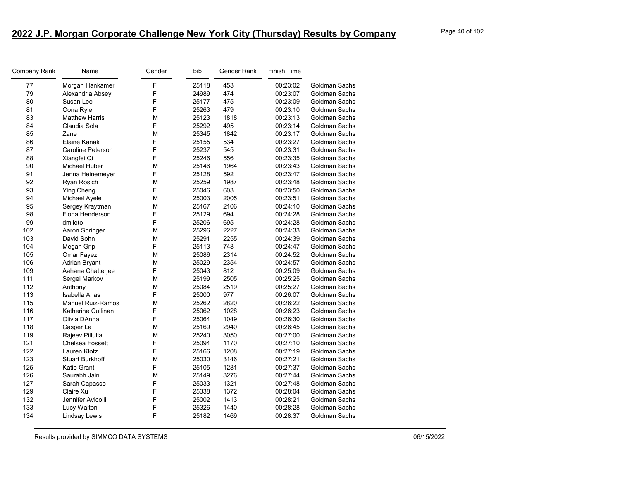| Company Rank | Name                     | Gender | <b>Bib</b> | Gender Rank | <b>Finish Time</b> |                      |
|--------------|--------------------------|--------|------------|-------------|--------------------|----------------------|
| 77           | Morgan Hankamer          | F      | 25118      | 453         | 00:23:02           | Goldman Sachs        |
| 79           | Alexandria Absey         | F      | 24989      | 474         | 00:23:07           | Goldman Sachs        |
| 80           | Susan Lee                | F      | 25177      | 475         | 00:23:09           | Goldman Sachs        |
| 81           | Oona Ryle                | F      | 25263      | 479         | 00:23:10           | Goldman Sachs        |
| 83           | <b>Matthew Harris</b>    | м      | 25123      | 1818        | 00:23:13           | Goldman Sachs        |
| 84           | Claudia Sola             | F      | 25292      | 495         | 00:23:14           | Goldman Sachs        |
| 85           | Zane                     | М      | 25345      | 1842        | 00:23:17           | Goldman Sachs        |
| 86           | Elaine Kanak             | F      | 25155      | 534         | 00:23:27           | Goldman Sachs        |
| 87           | Caroline Peterson        | F      | 25237      | 545         | 00:23:31           | Goldman Sachs        |
| 88           | Xiangfei Qi              | F      | 25246      | 556         | 00:23:35           | Goldman Sachs        |
| 90           | Michael Huber            | М      | 25146      | 1964        | 00:23:43           | Goldman Sachs        |
| 91           | Jenna Heinemeyer         | F      | 25128      | 592         | 00:23:47           | Goldman Sachs        |
| 92           | Ryan Rosich              | М      | 25259      | 1987        | 00:23:48           | Goldman Sachs        |
| 93           | Ying Cheng               | F      | 25046      | 603         | 00:23:50           | Goldman Sachs        |
| 94           | Michael Ayele            | м      | 25003      | 2005        | 00:23:51           | Goldman Sachs        |
| 95           | Sergey Kraytman          | м      | 25167      | 2106        | 00:24:10           | Goldman Sachs        |
| 98           | Fiona Henderson          | F      | 25129      | 694         | 00:24:28           | Goldman Sachs        |
| 99           | dmileto                  | F      | 25206      | 695         | 00:24:28           | Goldman Sachs        |
| 102          | Aaron Springer           | М      | 25296      | 2227        | 00:24:33           | Goldman Sachs        |
| 103          | David Sohn               | М      | 25291      | 2255        | 00:24:39           | Goldman Sachs        |
| 104          | Megan Grip               | F      | 25113      | 748         | 00:24:47           | Goldman Sachs        |
| 105          | Omar Fayez               | М      | 25086      | 2314        | 00:24:52           | Goldman Sachs        |
| 106          | <b>Adrian Bryant</b>     | М      | 25029      | 2354        | 00:24:57           | Goldman Sachs        |
| 109          | Aahana Chatterjee        | F      | 25043      | 812         | 00:25:09           | Goldman Sachs        |
| 111          | Sergei Markov            | м      | 25199      | 2505        | 00:25:25           | Goldman Sachs        |
| 112          | Anthony                  | м      | 25084      | 2519        | 00:25:27           | Goldman Sachs        |
| 113          | <b>Isabella Arias</b>    | F      | 25000      | 977         | 00:26:07           | Goldman Sachs        |
| 115          | <b>Manuel Ruiz-Ramos</b> | М      | 25262      | 2820        | 00:26:22           | Goldman Sachs        |
| 116          | Katherine Cullinan       | F      | 25062      | 1028        | 00:26:23           | Goldman Sachs        |
| 117          | Olivia DAnna             | F      | 25064      | 1049        | 00:26:30           | Goldman Sachs        |
| 118          | Casper La                | м      | 25169      | 2940        | 00:26:45           | Goldman Sachs        |
| 119          | Rajeev Pillutla          | М      | 25240      | 3050        | 00:27:00           | Goldman Sachs        |
| 121          | Chelsea Fossett          | F      | 25094      | 1170        | 00:27:10           | Goldman Sachs        |
| 122          | Lauren Klotz             | F      | 25166      | 1208        | 00:27:19           | Goldman Sachs        |
| 123          | <b>Stuart Burkhoff</b>   | м      | 25030      | 3146        | 00:27:21           | Goldman Sachs        |
| 125          | <b>Katie Grant</b>       | F      | 25105      | 1281        | 00:27:37           | Goldman Sachs        |
| 126          | Saurabh Jain             | М      | 25149      | 3276        | 00:27:44           | Goldman Sachs        |
| 127          | Sarah Capasso            | F      | 25033      | 1321        | 00:27:48           | Goldman Sachs        |
| 129          | Claire Xu                | F      | 25338      | 1372        | 00:28:04           | <b>Goldman Sachs</b> |
| 132          | Jennifer Avicolli        | F      | 25002      | 1413        | 00:28:21           | <b>Goldman Sachs</b> |
| 133          | Lucy Walton              | F      | 25326      | 1440        | 00:28:28           | Goldman Sachs        |
| 134          | Lindsay Lewis            | F      | 25182      | 1469        | 00:28:37           | Goldman Sachs        |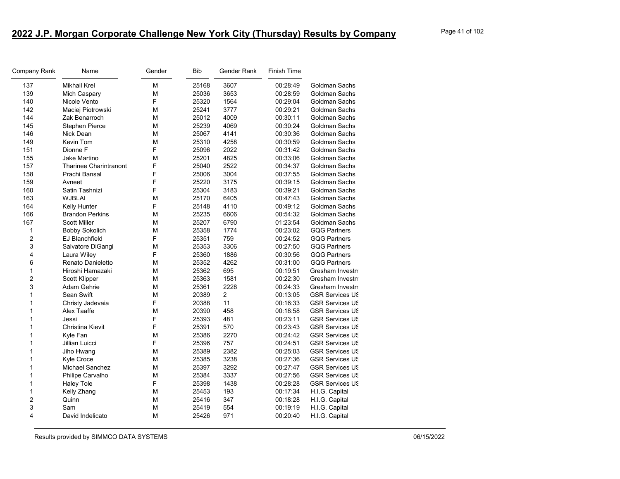| Company Rank | Name                          | Gender | Bib   | Gender Rank    | <b>Finish Time</b> |                        |
|--------------|-------------------------------|--------|-------|----------------|--------------------|------------------------|
| 137          | Mikhail Krel                  | М      | 25168 | 3607           | 00:28:49           | Goldman Sachs          |
| 139          | Mich Caspary                  | М      | 25036 | 3653           | 00:28:59           | Goldman Sachs          |
| 140          | Nicole Vento                  | F      | 25320 | 1564           | 00:29:04           | Goldman Sachs          |
| 142          | Maciej Piotrowski             | М      | 25241 | 3777           | 00:29:21           | Goldman Sachs          |
| 144          | Zak Benarroch                 | М      | 25012 | 4009           | 00:30:11           | Goldman Sachs          |
| 145          | <b>Stephen Pierce</b>         | М      | 25239 | 4069           | 00:30:24           | Goldman Sachs          |
| 146          | Nick Dean                     | M      | 25067 | 4141           | 00:30:36           | Goldman Sachs          |
| 149          | Kevin Tom                     | М      | 25310 | 4258           | 00:30:59           | Goldman Sachs          |
| 151          | Dionne F                      | F      | 25096 | 2022           | 00:31:42           | Goldman Sachs          |
| 155          | Jake Martino                  | M      | 25201 | 4825           | 00:33:06           | Goldman Sachs          |
| 157          | <b>Tharinee Charintranont</b> | F      | 25040 | 2522           | 00:34:37           | Goldman Sachs          |
| 158          | Prachi Bansal                 | F      | 25006 | 3004           | 00:37:55           | Goldman Sachs          |
| 159          | Avneet                        | F      | 25220 | 3175           | 00:39:15           | Goldman Sachs          |
| 160          | Satin Tashnizi                | F      | 25304 | 3183           | 00:39:21           | Goldman Sachs          |
| 163          | <b>WJBLAI</b>                 | М      | 25170 | 6405           | 00:47:43           | Goldman Sachs          |
| 164          | Kelly Hunter                  | F      | 25148 | 4110           | 00:49:12           | Goldman Sachs          |
| 166          | <b>Brandon Perkins</b>        | M      | 25235 | 6606           | 00:54:32           | Goldman Sachs          |
| 167          | <b>Scott Miller</b>           | М      | 25207 | 6790           | 01:23:54           | Goldman Sachs          |
| 1            | <b>Bobby Sokolich</b>         | М      | 25358 | 1774           | 00:23:02           | <b>GQG Partners</b>    |
| 2            | EJ Blanchfield                | F      | 25351 | 759            | 00:24:52           | <b>GQG Partners</b>    |
| 3            | Salvatore DiGangi             | M      | 25353 | 3306           | 00:27:50           | <b>GQG Partners</b>    |
| 4            | Laura Wiley                   | F      | 25360 | 1886           | 00:30:56           | <b>GQG Partners</b>    |
| 6            | Renato Danieletto             | М      | 25352 | 4262           | 00:31:00           | <b>GQG Partners</b>    |
| 1            | Hiroshi Hamazaki              | М      | 25362 | 695            | 00:19:51           | Gresham Investn        |
| 2            | Scott Klipper                 | M      | 25363 | 1581           | 00:22:30           | Gresham Investn        |
| 3            | Adam Gehrie                   | М      | 25361 | 2228           | 00:24:33           | Gresham Investn        |
| 1            | Sean Swift                    | M      | 20389 | $\overline{2}$ | 00:13:05           | <b>GSR Services US</b> |
| 1            | Christy Jadevaia              | F      | 20388 | 11             | 00:16:33           | <b>GSR Services US</b> |
| 1            | Alex Taaffe                   | М      | 20390 | 458            | 00:18:58           | <b>GSR Services US</b> |
| 1            | Jessi                         | F      | 25393 | 481            | 00:23:11           | <b>GSR Services US</b> |
| 1            | Christina Kievit              | F      | 25391 | 570            | 00:23:43           | <b>GSR Services US</b> |
| 1            | Kyle Fan                      | М      | 25386 | 2270           | 00:24:42           | <b>GSR Services US</b> |
| 1            | Jillian Luicci                | F      | 25396 | 757            | 00:24:51           | <b>GSR Services US</b> |
| 1            | Jiho Hwang                    | М      | 25389 | 2382           | 00:25:03           | <b>GSR Services US</b> |
| 1            | <b>Kyle Croce</b>             | М      | 25385 | 3238           | 00:27:36           | <b>GSR Services US</b> |
| 1            | Michael Sanchez               | М      | 25397 | 3292           | 00:27:47           | <b>GSR Services US</b> |
| 1            | Philipe Carvalho              | M      | 25384 | 3337           | 00:27:56           | <b>GSR Services US</b> |
| 1            | <b>Haley Tole</b>             | F      | 25398 | 1438           | 00:28:28           | <b>GSR Services US</b> |
| 1            | Kelly Zhang                   | М      | 25453 | 193            | 00:17:34           | H.I.G. Capital         |
| 2            | Quinn                         | M      | 25416 | 347            | 00:18:28           | H.I.G. Capital         |
| 3            | Sam                           | М      | 25419 | 554            | 00:19:19           | H.I.G. Capital         |
| 4            | David Indelicato              | М      | 25426 | 971            | 00:20:40           | H.I.G. Capital         |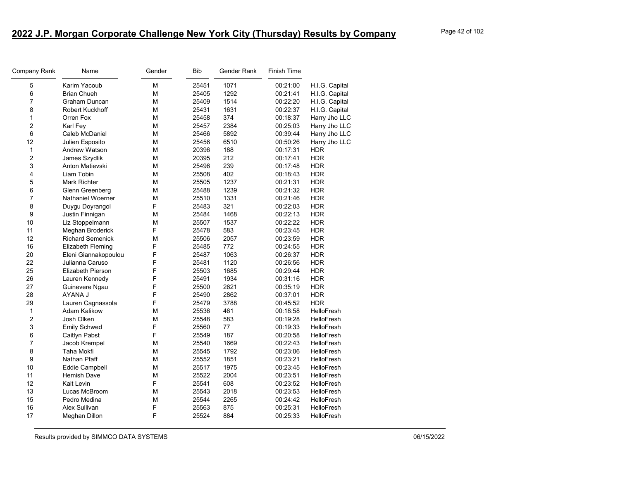| Company Rank   | Name                     | Gender | <b>Bib</b> | Gender Rank | Finish Time |                   |
|----------------|--------------------------|--------|------------|-------------|-------------|-------------------|
| 5              | Karim Yacoub             | M      | 25451      | 1071        | 00:21:00    | H.I.G. Capital    |
| 6              | <b>Brian Chueh</b>       | M      | 25405      | 1292        | 00:21:41    | H.I.G. Capital    |
| $\overline{7}$ | Graham Duncan            | M      | 25409      | 1514        | 00:22:20    | H.I.G. Capital    |
| 8              | Robert Kuckhoff          | M      | 25431      | 1631        | 00:22:37    | H.I.G. Capital    |
| $\mathbf{1}$   | Orren Fox                | M      | 25458      | 374         | 00:18:37    | Harry Jho LLC     |
| $\overline{c}$ | Karl Fey                 | M      | 25457      | 2384        | 00:25:03    | Harry Jho LLC     |
| 6              | Caleb McDaniel           | M      | 25466      | 5892        | 00:39:44    | Harry Jho LLC     |
| 12             | Julien Esposito          | M      | 25456      | 6510        | 00:50:26    | Harry Jho LLC     |
| $\mathbf{1}$   | Andrew Watson            | M      | 20396      | 188         | 00:17:31    | <b>HDR</b>        |
| $\overline{c}$ | James Szydlik            | M      | 20395      | 212         | 00:17:41    | <b>HDR</b>        |
| 3              | Anton Matievski          | M      | 25496      | 239         | 00:17:48    | <b>HDR</b>        |
| 4              | Liam Tobin               | M      | 25508      | 402         | 00:18:43    | <b>HDR</b>        |
| 5              | <b>Mark Richter</b>      | M      | 25505      | 1237        | 00:21:31    | <b>HDR</b>        |
| $\,6\,$        | Glenn Greenberg          | M      | 25488      | 1239        | 00:21:32    | <b>HDR</b>        |
| $\overline{7}$ | Nathaniel Woerner        | М      | 25510      | 1331        | 00:21:46    | <b>HDR</b>        |
| 8              | Duygu Doyrangol          | F      | 25483      | 321         | 00:22:03    | <b>HDR</b>        |
| 9              | Justin Finnigan          | M      | 25484      | 1468        | 00:22:13    | <b>HDR</b>        |
| 10             | Liz Stoppelmann          | M      | 25507      | 1537        | 00:22:22    | <b>HDR</b>        |
| 11             | Meghan Broderick         | F      | 25478      | 583         | 00:23:45    | <b>HDR</b>        |
| 12             | <b>Richard Semenick</b>  | M      | 25506      | 2057        | 00:23:59    | <b>HDR</b>        |
| 16             | Elizabeth Fleming        | F      | 25485      | 772         | 00:24:55    | <b>HDR</b>        |
| 20             | Eleni Giannakopoulou     | F      | 25487      | 1063        | 00:26:37    | <b>HDR</b>        |
| 22             | Julianna Caruso          | F      | 25481      | 1120        | 00:26:56    | <b>HDR</b>        |
| 25             | <b>Elizabeth Pierson</b> | F      | 25503      | 1685        | 00:29:44    | <b>HDR</b>        |
| 26             | Lauren Kennedy           | F      | 25491      | 1934        | 00:31:16    | <b>HDR</b>        |
| 27             | Guinevere Ngau           | F      | 25500      | 2621        | 00:35:19    | <b>HDR</b>        |
| 28             | AYANA J                  | F      | 25490      | 2862        | 00:37:01    | <b>HDR</b>        |
| 29             | Lauren Cagnassola        | F      | 25479      | 3788        | 00:45:52    | <b>HDR</b>        |
| 1              | Adam Kalikow             | M      | 25536      | 461         | 00:18:58    | <b>HelloFresh</b> |
| $\overline{c}$ | Josh Olken               | M      | 25548      | 583         | 00:19:28    | <b>HelloFresh</b> |
| 3              | <b>Emily Schwed</b>      | F      | 25560      | 77          | 00:19:33    | <b>HelloFresh</b> |
| $\,6$          | Caitlyn Pabst            | F      | 25549      | 187         | 00:20:58    | <b>HelloFresh</b> |
| 7              | Jacob Krempel            | M      | 25540      | 1669        | 00:22:43    | HelloFresh        |
| 8              | Taha Mokfi               | M      | 25545      | 1792        | 00:23:06    | <b>HelloFresh</b> |
| 9              | Nathan Pfaff             | M      | 25552      | 1851        | 00:23:21    | HelloFresh        |
| 10             | Eddie Campbell           | M      | 25517      | 1975        | 00:23:45    | HelloFresh        |
| 11             | <b>Hemish Dave</b>       | M      | 25522      | 2004        | 00:23:51    | <b>HelloFresh</b> |
| 12             | Kait Levin               | F      | 25541      | 608         | 00:23:52    | HelloFresh        |
| 13             | Lucas McBroom            | M      | 25543      | 2018        | 00:23:53    | <b>HelloFresh</b> |
| 15             | Pedro Medina             | M      | 25544      | 2265        | 00:24:42    | HelloFresh        |
| 16             | Alex Sullivan            | F      | 25563      | 875         | 00:25:31    | HelloFresh        |
| 17             | Meghan Dillon            | F      | 25524      | 884         | 00:25:33    | <b>HelloFresh</b> |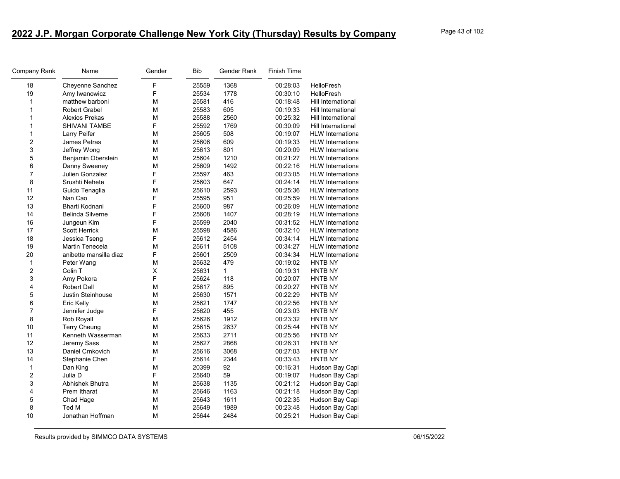| Company Rank   | Name                    | Gender | <b>Bib</b> | Gender Rank | <b>Finish Time</b> |                           |
|----------------|-------------------------|--------|------------|-------------|--------------------|---------------------------|
| 18             | Cheyenne Sanchez        | F      | 25559      | 1368        | 00:28:03           | HelloFresh                |
| 19             | Amy Iwanowicz           | F      | 25534      | 1778        | 00:30:10           | <b>HelloFresh</b>         |
| $\mathbf{1}$   | matthew barboni         | М      | 25581      | 416         | 00:18:48           | <b>Hill International</b> |
| 1              | <b>Robert Grabel</b>    | М      | 25583      | 605         | 00:19:33           | Hill International        |
| 1              | Alexios Prekas          | M      | 25588      | 2560        | 00:25:32           | Hill International        |
| 1              | SHIVANI TAMBE           | F      | 25592      | 1769        | 00:30:09           | Hill International        |
| 1              | Larry Peifer            | М      | 25605      | 508         | 00:19:07           | <b>HLW</b> Internationa   |
| $\overline{2}$ | <b>James Petras</b>     | M      | 25606      | 609         | 00:19:33           | <b>HLW</b> Internationa   |
| 3              | Jeffrey Wong            | M      | 25613      | 801         | 00:20:09           | <b>HLW</b> Internationa   |
| 5              | Benjamin Oberstein      | M      | 25604      | 1210        | 00:21:27           | <b>HLW</b> Internationa   |
| 6              | Danny Sweeney           | М      | 25609      | 1492        | 00:22:16           | <b>HLW</b> Internationa   |
| $\overline{7}$ | Julien Gonzalez         | F      | 25597      | 463         | 00:23:05           | <b>HLW</b> Internationa   |
| 8              | Srushti Nehete          | F      | 25603      | 647         | 00:24:14           | <b>HLW</b> Internationa   |
| 11             | Guido Tenaglia          | M      | 25610      | 2593        | 00:25:36           | <b>HLW</b> Internationa   |
| 12             | Nan Cao                 | F      | 25595      | 951         | 00:25:59           | <b>HLW</b> Internationa   |
| 13             | Bharti Kodnani          | F      | 25600      | 987         | 00:26:09           | <b>HLW</b> Internationa   |
| 14             | <b>Belinda Silverne</b> | F      | 25608      | 1407        | 00:28:19           | <b>HLW</b> Internationa   |
| 16             | Jungeun Kim             | F      | 25599      | 2040        | 00:31:52           | <b>HLW</b> Internationa   |
| 17             | <b>Scott Herrick</b>    | M      | 25598      | 4586        | 00:32:10           | <b>HLW</b> Internationa   |
| 18             | Jessica Tseng           | F      | 25612      | 2454        | 00:34:14           | <b>HLW</b> Internationa   |
| 19             | Martin Tenecela         | М      | 25611      | 5108        | 00:34:27           | <b>HLW</b> Internationa   |
| 20             | anibette mansilla diaz  | F      | 25601      | 2509        | 00:34:34           | <b>HLW</b> Internationa   |
| 1              | Peter Wang              | М      | 25632      | 479         | 00:19:02           | HNTB NY                   |
| $\overline{c}$ | Colin T                 | Χ      | 25631      | 1           | 00:19:31           | HNTB NY                   |
| 3              | Amy Pokora              | F      | 25624      | 118         | 00:20:07           | HNTB NY                   |
| 4              | <b>Robert Dall</b>      | М      | 25617      | 895         | 00:20:27           | HNTB NY                   |
| 5              | Justin Steinhouse       | M      | 25630      | 1571        | 00:22:29           | HNTB NY                   |
| 6              | Eric Kelly              | М      | 25621      | 1747        | 00:22:56           | HNTB NY                   |
| $\overline{7}$ | Jennifer Judge          | F      | 25620      | 455         | 00:23:03           | HNTB NY                   |
| 8              | Rob Royall              | M      | 25626      | 1912        | 00:23:32           | HNTB NY                   |
| 10             | <b>Terry Cheung</b>     | М      | 25615      | 2637        | 00:25:44           | HNTB NY                   |
| 11             | Kenneth Wasserman       | M      | 25633      | 2711        | 00:25:56           | <b>HNTB NY</b>            |
| 12             | Jeremy Sass             | М      | 25627      | 2868        | 00:26:31           | HNTB NY                   |
| 13             | Daniel Crnkovich        | M      | 25616      | 3068        | 00:27:03           | HNTB NY                   |
| 14             | Stephanie Chen          | F      | 25614      | 2344        | 00:33:43           | <b>HNTB NY</b>            |
| 1              | Dan King                | М      | 20399      | 92          | 00:16:31           | Hudson Bay Capi           |
| $\overline{c}$ | Julia D                 | F      | 25640      | 59          | 00:19:07           | Hudson Bay Capi           |
| 3              | Abhishek Bhutra         | М      | 25638      | 1135        | 00:21:12           | Hudson Bay Capi           |
| 4              | Prem Itharat            | M      | 25646      | 1163        | 00:21:18           | Hudson Bay Capi           |
| 5              | Chad Hage               | M      | 25643      | 1611        | 00:22:35           | Hudson Bay Capi           |
| 8              | Ted M                   | М      | 25649      | 1989        | 00:23:48           | Hudson Bay Capi           |
| 10             | Jonathan Hoffman        | M      | 25644      | 2484        | 00:25:21           | Hudson Bay Capi           |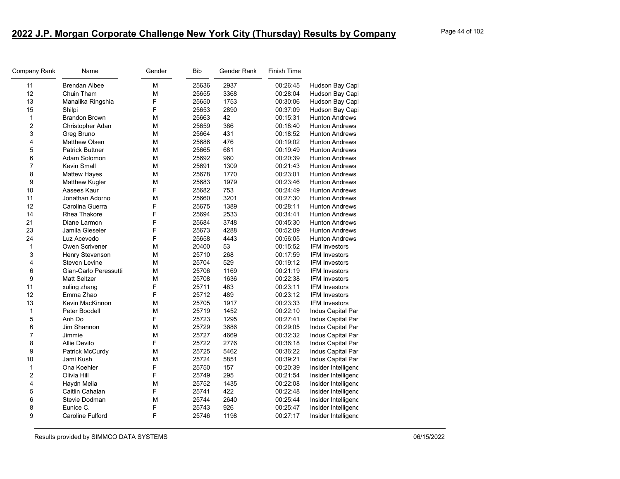| Company Rank   | Name                    | Gender | <b>Bib</b> | Gender Rank | <b>Finish Time</b> |                       |
|----------------|-------------------------|--------|------------|-------------|--------------------|-----------------------|
| 11             | <b>Brendan Albee</b>    | M      | 25636      | 2937        | 00:26:45           | Hudson Bay Capi       |
| 12             | Chuin Tham              | M      | 25655      | 3368        | 00:28:04           | Hudson Bay Capi       |
| 13             | Manalika Ringshia       | F      | 25650      | 1753        | 00:30:06           | Hudson Bay Capi       |
| 15             | Shilpi                  | F      | 25653      | 2890        | 00:37:09           | Hudson Bay Capi       |
| $\mathbf{1}$   | Brandon Brown           | M      | 25663      | 42          | 00:15:31           | <b>Hunton Andrews</b> |
| 2              | Christopher Adan        | M      | 25659      | 386         | 00:18:40           | <b>Hunton Andrews</b> |
| 3              | Greg Bruno              | M      | 25664      | 431         | 00:18:52           | <b>Hunton Andrews</b> |
| 4              | <b>Matthew Olsen</b>    | M      | 25686      | 476         | 00:19:02           | <b>Hunton Andrews</b> |
| 5              | <b>Patrick Buttner</b>  | М      | 25665      | 681         | 00:19:49           | <b>Hunton Andrews</b> |
| 6              | Adam Solomon            | М      | 25692      | 960         | 00:20:39           | <b>Hunton Andrews</b> |
| $\overline{7}$ | Kevin Small             | M      | 25691      | 1309        | 00:21:43           | <b>Hunton Andrews</b> |
| 8              | <b>Mattew Hayes</b>     | M      | 25678      | 1770        | 00:23:01           | <b>Hunton Andrews</b> |
| 9              | Matthew Kugler          | М      | 25683      | 1979        | 00:23:46           | Hunton Andrews        |
| 10             | Aasees Kaur             | F      | 25682      | 753         | 00:24:49           | <b>Hunton Andrews</b> |
| 11             | Jonathan Adorno         | M      | 25660      | 3201        | 00:27:30           | <b>Hunton Andrews</b> |
| 12             | Carolina Guerra         | F      | 25675      | 1389        | 00:28:11           | <b>Hunton Andrews</b> |
| 14             | <b>Rhea Thakore</b>     | F      | 25694      | 2533        | 00:34:41           | <b>Hunton Andrews</b> |
| 21             | Diane Larmon            | F      | 25684      | 3748        | 00:45:30           | <b>Hunton Andrews</b> |
| 23             | Jamila Gieseler         | F      | 25673      | 4288        | 00:52:09           | <b>Hunton Andrews</b> |
| 24             | Luz Acevedo             | F      | 25658      | 4443        | 00:56:05           | Hunton Andrews        |
| 1              | Owen Scrivener          | M      | 20400      | 53          | 00:15:52           | <b>IFM Investors</b>  |
| 3              | Henry Stevenson         | M      | 25710      | 268         | 00:17:59           | <b>IFM Investors</b>  |
| 4              | <b>Steven Levine</b>    | М      | 25704      | 529         | 00:19:12           | <b>IFM Investors</b>  |
| 6              | Gian-Carlo Peressutti   | M      | 25706      | 1169        | 00:21:19           | <b>IFM Investors</b>  |
| 9              | <b>Matt Seltzer</b>     | M      | 25708      | 1636        | 00:22:38           | <b>IFM Investors</b>  |
| 11             | xuling zhang            | F      | 25711      | 483         | 00:23:11           | <b>IFM Investors</b>  |
| 12             | Emma Zhao               | F      | 25712      | 489         | 00:23:12           | <b>IFM Investors</b>  |
| 13             | Kevin MacKinnon         | M      | 25705      | 1917        | 00:23:33           | <b>IFM Investors</b>  |
| 1              | Peter Boodell           | M      | 25719      | 1452        | 00:22:10           | Indus Capital Par     |
| 5              | Anh Do                  | F      | 25723      | 1295        | 00:27:41           | Indus Capital Par     |
| 6              | Jim Shannon             | M      | 25729      | 3686        | 00:29:05           | Indus Capital Par     |
| $\overline{7}$ | Jimmie                  | M      | 25727      | 4669        | 00:32:32           | Indus Capital Par     |
| 8              | Allie Devito            | F      | 25722      | 2776        | 00:36:18           | Indus Capital Par     |
| 9              | Patrick McCurdy         | M      | 25725      | 5462        | 00:36:22           | Indus Capital Par     |
| 10             | Jami Kush               | M      | 25724      | 5851        | 00:39:21           | Indus Capital Par     |
| 1              | Ona Koehler             | F      | 25750      | 157         | 00:20:39           | Insider Intelligenc   |
| 2              | Olivia Hill             | F      | 25749      | 295         | 00:21:54           | Insider Intelligenc   |
| 4              | Haydn Melia             | M      | 25752      | 1435        | 00:22:08           | Insider Intelligenc   |
| 5              | Caitlin Cahalan         | F      | 25741      | 422         | 00:22:48           | Insider Intelligenc   |
| 6              | Stevie Dodman           | М      | 25744      | 2640        | 00:25:44           | Insider Intelligenc   |
| 8              | Eunice C.               | F      | 25743      | 926         | 00:25:47           | Insider Intelligenc   |
| 9              | <b>Caroline Fulford</b> | F      | 25746      | 1198        | 00:27:17           | Insider Intelligenc   |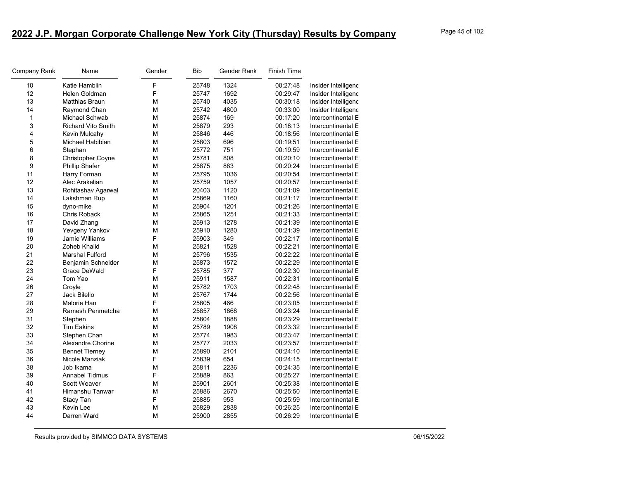| Company Rank | Name                      | Gender | <b>Bib</b> | Gender Rank | <b>Finish Time</b> |                     |
|--------------|---------------------------|--------|------------|-------------|--------------------|---------------------|
| 10           | Katie Hamblin             | F      | 25748      | 1324        | 00:27:48           | Insider Intelligenc |
| 12           | Helen Goldman             | F      | 25747      | 1692        | 00:29:47           | Insider Intelligenc |
| 13           | <b>Matthias Braun</b>     | м      | 25740      | 4035        | 00:30:18           | Insider Intelligenc |
| 14           | Raymond Chan              | M      | 25742      | 4800        | 00:33:00           | Insider Intelligenc |
| 1            | Michael Schwab            | M      | 25874      | 169         | 00:17:20           | Intercontinental E  |
| 3            | <b>Richard Vito Smith</b> | M      | 25879      | 293         | 00:18:13           | Intercontinental E  |
| 4            | Kevin Mulcahy             | M      | 25846      | 446         | 00:18:56           | Intercontinental E  |
| 5            | Michael Habibian          | м      | 25803      | 696         | 00:19:51           | Intercontinental E  |
| 6            | Stephan                   | M      | 25772      | 751         | 00:19:59           | Intercontinental E  |
| 8            | Christopher Coyne         | M      | 25781      | 808         | 00:20:10           | Intercontinental E  |
| 9            | <b>Phillip Shafer</b>     | M      | 25875      | 883         | 00:20:24           | Intercontinental E  |
| 11           | Harry Forman              | M      | 25795      | 1036        | 00:20:54           | Intercontinental E  |
| 12           | Alec Arakelian            | М      | 25759      | 1057        | 00:20:57           | Intercontinental E  |
| 13           | Rohitashav Agarwal        | M      | 20403      | 1120        | 00:21:09           | Intercontinental E  |
| 14           | Lakshman Rup              | M      | 25869      | 1160        | 00:21:17           | Intercontinental E  |
| 15           | dyno-mike                 | М      | 25904      | 1201        | 00:21:26           | Intercontinental E  |
| 16           | Chris Roback              | M      | 25865      | 1251        | 00:21:33           | Intercontinental E  |
| 17           | David Zhang               | М      | 25913      | 1278        | 00:21:39           | Intercontinental E  |
| 18           | Yevgeny Yankov            | M      | 25910      | 1280        | 00:21:39           | Intercontinental E  |
| 19           | Jamie Williams            | F      | 25903      | 349         | 00:22:17           | Intercontinental E  |
| 20           | <b>Zoheb Khalid</b>       | М      | 25821      | 1528        | 00:22:21           | Intercontinental E  |
| 21           | <b>Marshal Fulford</b>    | М      | 25796      | 1535        | 00:22:22           | Intercontinental E  |
| 22           | Benjamin Schneider        | M      | 25873      | 1572        | 00:22:29           | Intercontinental E  |
| 23           | Grace DeWald              | F      | 25785      | 377         | 00:22:30           | Intercontinental E  |
| 24           | Tom Yao                   | M      | 25911      | 1587        | 00:22:31           | Intercontinental E  |
| 26           | Croyle                    | м      | 25782      | 1703        | 00:22:48           | Intercontinental E  |
| 27           | Jack Bilello              | M      | 25767      | 1744        | 00:22:56           | Intercontinental E  |
| 28           | Malorie Han               | F      | 25805      | 466         | 00:23:05           | Intercontinental E  |
| 29           | Ramesh Penmetcha          | M      | 25857      | 1868        | 00:23:24           | Intercontinental E  |
| 31           | Stephen                   | M      | 25804      | 1888        | 00:23:29           | Intercontinental E  |
| 32           | <b>Tim Eakins</b>         | М      | 25789      | 1908        | 00:23:32           | Intercontinental E  |
| 33           | Stephen Chan              | M      | 25774      | 1983        | 00:23:47           | Intercontinental E  |
| 34           | Alexandre Chorine         | M      | 25777      | 2033        | 00:23:57           | Intercontinental E  |
| 35           | <b>Bennet Tierney</b>     | М      | 25890      | 2101        | 00:24:10           | Intercontinental E  |
| 36           | Nicole Manziak            | F      | 25839      | 654         | 00:24:15           | Intercontinental E  |
| 38           | Job Ikama                 | M      | 25811      | 2236        | 00:24:35           | Intercontinental E  |
| 39           | Annabel Tidmus            | F      | 25889      | 863         | 00:25:27           | Intercontinental E  |
| 40           | <b>Scott Weaver</b>       | M      | 25901      | 2601        | 00:25:38           | Intercontinental E  |
| 41           | Himanshu Tanwar           | M      | 25886      | 2670        | 00:25:50           | Intercontinental E  |
| 42           | Stacy Tan                 | F      | 25885      | 953         | 00:25:59           | Intercontinental E  |
| 43           | Kevin Lee                 | M      | 25829      | 2838        | 00:26:25           | Intercontinental E  |
| 44           | Darren Ward               | M      | 25900      | 2855        | 00:26:29           | Intercontinental E  |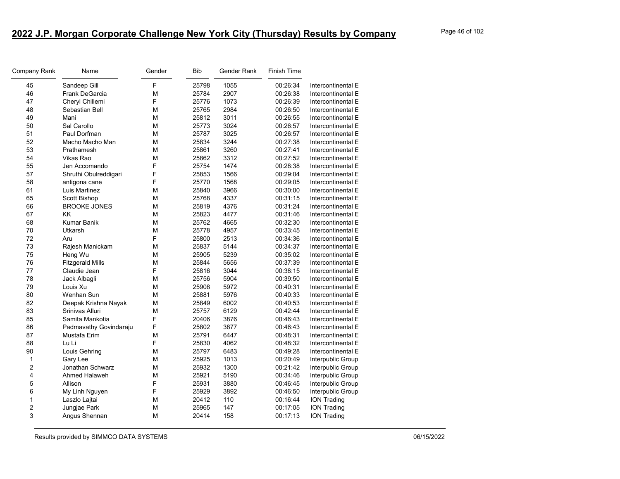| Company Rank | Name                    | Gender | <b>Bib</b> | Gender Rank | <b>Finish Time</b> |                    |
|--------------|-------------------------|--------|------------|-------------|--------------------|--------------------|
| 45           | Sandeep Gill            | F      | 25798      | 1055        | 00:26:34           | Intercontinental E |
| 46           | Frank DeGarcia          | M      | 25784      | 2907        | 00:26:38           | Intercontinental E |
| 47           | Cheryl Chillemi         | F      | 25776      | 1073        | 00:26:39           | Intercontinental E |
| 48           | Sebastian Bell          | M      | 25765      | 2984        | 00:26:50           | Intercontinental E |
| 49           | Mani                    | м      | 25812      | 3011        | 00:26:55           | Intercontinental E |
| 50           | Sal Carollo             | М      | 25773      | 3024        | 00:26:57           | Intercontinental E |
| 51           | Paul Dorfman            | M      | 25787      | 3025        | 00:26:57           | Intercontinental E |
| 52           | Macho Macho Man         | M      | 25834      | 3244        | 00:27:38           | Intercontinental E |
| 53           | Prathamesh              | M      | 25861      | 3260        | 00:27:41           | Intercontinental E |
| 54           | Vikas Rao               | M      | 25862      | 3312        | 00:27:52           | Intercontinental E |
| 55           | Jen Accomando           | F      | 25754      | 1474        | 00:28:38           | Intercontinental E |
| 57           | Shruthi Obulreddigari   | F      | 25853      | 1566        | 00:29:04           | Intercontinental E |
| 58           | antigona cane           | F      | 25770      | 1568        | 00:29:05           | Intercontinental E |
| 61           | Luis Martinez           | М      | 25840      | 3966        | 00:30:00           | Intercontinental E |
| 65           | Scott Bishop            | M      | 25768      | 4337        | 00:31:15           | Intercontinental E |
| 66           | <b>BROOKE JONES</b>     | M      | 25819      | 4376        | 00:31:24           | Intercontinental E |
| 67           | <b>KK</b>               | M      | 25823      | 4477        | 00:31:46           | Intercontinental E |
| 68           | <b>Kumar Banik</b>      | M      | 25762      | 4665        | 00:32:30           | Intercontinental E |
| 70           | <b>Utkarsh</b>          | M      | 25778      | 4957        | 00:33:45           | Intercontinental E |
| 72           | Aru                     | F      | 25800      | 2513        | 00:34:36           | Intercontinental E |
| 73           | Rajesh Manickam         | M      | 25837      | 5144        | 00:34:37           | Intercontinental E |
| 75           | Heng Wu                 | М      | 25905      | 5239        | 00:35:02           | Intercontinental E |
| 76           | <b>Fitzgerald Mills</b> | M      | 25844      | 5656        | 00:37:39           | Intercontinental E |
| 77           | Claudie Jean            | F      | 25816      | 3044        | 00:38:15           | Intercontinental E |
| 78           | Jack Albagli            | M      | 25756      | 5904        | 00:39:50           | Intercontinental E |
| 79           | Louis Xu                | м      | 25908      | 5972        | 00:40:31           | Intercontinental E |
| 80           | Wenhan Sun              | М      | 25881      | 5976        | 00:40:33           | Intercontinental E |
| 82           | Deepak Krishna Nayak    | M      | 25849      | 6002        | 00:40:53           | Intercontinental E |
| 83           | Srinivas Alluri         | M      | 25757      | 6129        | 00:42:44           | Intercontinental E |
| 85           | Samita Mankotia         | F      | 20406      | 3876        | 00:46:43           | Intercontinental E |
| 86           | Padmavathy Govindaraju  | F      | 25802      | 3877        | 00:46:43           | Intercontinental E |
| 87           | Mustafa Erim            | M      | 25791      | 6447        | 00:48:31           | Intercontinental E |
| 88           | Lu Li                   | F      | 25830      | 4062        | 00:48:32           | Intercontinental E |
| 90           | Louis Gehring           | M      | 25797      | 6483        | 00:49:28           | Intercontinental E |
| 1            | Gary Lee                | M      | 25925      | 1013        | 00:20:49           | Interpublic Group  |
| 2            | Jonathan Schwarz        | м      | 25932      | 1300        | 00:21:42           | Interpublic Group  |
| 4            | Ahmed Halaweh           | M      | 25921      | 5190        | 00:34:46           | Interpublic Group  |
| 5            | Allison                 | F      | 25931      | 3880        | 00:46:45           | Interpublic Group  |
| 6            | My Linh Nguyen          | F      | 25929      | 3892        | 00:46:50           | Interpublic Group  |
| 1            | Laszlo Lajtai           | M      | 20412      | 110         | 00:16:44           | <b>ION Trading</b> |
| 2            | Jungjae Park            | м      | 25965      | 147         | 00:17:05           | ION Trading        |
| 3            | Angus Shennan           | M      | 20414      | 158         | 00:17:13           | <b>ION Trading</b> |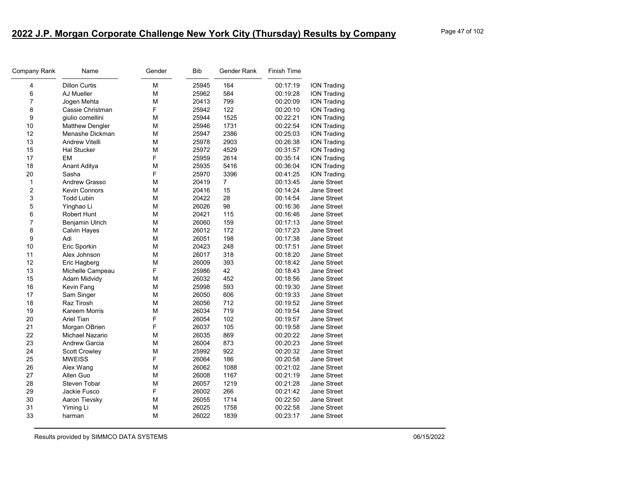| Company Rank     | Name                   | Gender | <b>Bib</b> | Gender Rank | <b>Finish Time</b> |                    |
|------------------|------------------------|--------|------------|-------------|--------------------|--------------------|
| 4                | <b>Dillon Curtis</b>   | M      | 25945      | 164         | 00:17:19           | <b>ION Trading</b> |
| 6                | AJ Mueller             | M      | 25962      | 584         | 00:19:28           | <b>ION Trading</b> |
| 7                | Jogen Mehta            | M      | 20413      | 799         | 00:20:09           | <b>ION Trading</b> |
| 8                | Cassie Christman       | F      | 25942      | 122         | 00:20:10           | <b>ION Trading</b> |
| $\boldsymbol{9}$ | giulio comellini       | M      | 25944      | 1525        | 00:22:21           | <b>ION Trading</b> |
| 10               | <b>Matthew Dengler</b> | M      | 25946      | 1731        | 00:22:54           | <b>ION Trading</b> |
| 12               | Menashe Dickman        | M      | 25947      | 2386        | 00:25:03           | <b>ION Trading</b> |
| 13               | <b>Andrew Vitelli</b>  | M      | 25978      | 2903        | 00:26:38           | <b>ION Trading</b> |
| 15               | <b>Hal Stucker</b>     | М      | 25972      | 4529        | 00:31:57           | <b>ION Trading</b> |
| 17               | EM                     | F      | 25959      | 2614        | 00:35:14           | <b>ION Trading</b> |
| 18               | Anant Aditya           | M      | 25935      | 5416        | 00:36:04           | <b>ION Trading</b> |
| 20               | Sasha                  | F      | 25970      | 3396        | 00:41:25           | <b>ION Trading</b> |
| 1                | <b>Andrew Grasso</b>   | M      | 20419      | 7           | 00:13:45           | Jane Street        |
| $\overline{c}$   | <b>Kevin Connors</b>   | M      | 20416      | 15          | 00:14:24           | Jane Street        |
| 3                | <b>Todd Lubin</b>      | М      | 20422      | 28          | 00:14:54           | <b>Jane Street</b> |
| 5                | Yinghao Li             | M      | 26026      | 98          | 00:16:36           | <b>Jane Street</b> |
| 6                | <b>Robert Hunt</b>     | M      | 20421      | 115         | 00:16:46           | <b>Jane Street</b> |
| $\overline{7}$   | Benjamin Ulrich        | M      | 26060      | 159         | 00:17:13           | <b>Jane Street</b> |
| 8                | Calvin Hayes           | M      | 26012      | 172         | 00:17:23           | Jane Street        |
| 9                | Adi                    | M      | 26051      | 198         | 00:17:38           | <b>Jane Street</b> |
| 10               | Eric Sporkin           | M      | 20423      | 248         | 00:17:51           | <b>Jane Street</b> |
| 11               | Alex Johnson           | М      | 26017      | 318         | 00:18:20           | Jane Street        |
| 12               | Eric Hagberg           | M      | 26009      | 393         | 00:18:42           | <b>Jane Street</b> |
| 13               | Michelle Campeau       | F      | 25986      | 42          | 00:18:43           | <b>Jane Street</b> |
| 15               | Adam Midvidy           | М      | 26032      | 452         | 00:18:56           | <b>Jane Street</b> |
| 16               | Kevin Fang             | M      | 25998      | 593         | 00:19:30           | <b>Jane Street</b> |
| 17               | Sam Singer             | M      | 26050      | 606         | 00:19:33           | Jane Street        |
| 18               | Raz Tirosh             | M      | 26056      | 712         | 00:19:52           | <b>Jane Street</b> |
| 19               | Kareem Morris          | M      | 26034      | 719         | 00:19:54           | <b>Jane Street</b> |
| 20               | <b>Ariel Tian</b>      | F      | 26054      | 102         | 00:19:57           | <b>Jane Street</b> |
| 21               | Morgan OBrien          | F      | 26037      | 105         | 00:19:58           | <b>Jane Street</b> |
| 22               | Michael Nazario        | M      | 26035      | 869         | 00:20:22           | <b>Jane Street</b> |
| 23               | <b>Andrew Garcia</b>   | M      | 26004      | 873         | 00:20:23           | <b>Jane Street</b> |
| 24               | <b>Scott Crowley</b>   | M      | 25992      | 922         | 00:20:32           | <b>Jane Street</b> |
| 25               | <b>MWEISS</b>          | F      | 26064      | 186         | 00:20:58           | Jane Street        |
| 26               | Alex Wang              | М      | 26062      | 1088        | 00:21:02           | <b>Jane Street</b> |
| 27               | Allen Guo              | M      | 26008      | 1167        | 00:21:19           | <b>Jane Street</b> |
| 28               | Steven Tobar           | M      | 26057      | 1219        | 00:21:28           | <b>Jane Street</b> |
| 29               | Jackie Fusco           | F      | 26002      | 266         | 00:21:42           | <b>Jane Street</b> |
| 30               | Aaron Tievsky          | M      | 26055      | 1714        | 00:22:50           | Jane Street        |
| 31               | Yiming Li              | М      | 26025      | 1758        | 00:22:58           | Jane Street        |
| 33               | harman                 | M      | 26022      | 1839        | 00:23:17           | <b>Jane Street</b> |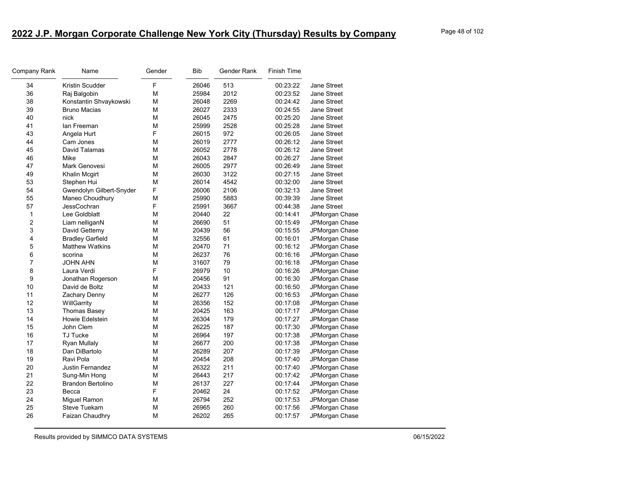| Company Rank            | Name                     | Gender | <b>Bib</b> | Gender Rank | <b>Finish Time</b> |                    |
|-------------------------|--------------------------|--------|------------|-------------|--------------------|--------------------|
| 34                      | Kristin Scudder          | F      | 26046      | 513         | 00:23:22           | <b>Jane Street</b> |
| 36                      | Raj Balgobin             | М      | 25984      | 2012        | 00:23:52           | <b>Jane Street</b> |
| 38                      | Konstantin Shvaykowski   | М      | 26048      | 2269        | 00:24:42           | <b>Jane Street</b> |
| 39                      | <b>Bruno Macias</b>      | М      | 26027      | 2333        | 00:24:55           | <b>Jane Street</b> |
| 40                      | nick                     | M      | 26045      | 2475        | 00:25:20           | Jane Street        |
| 41                      | lan Freeman              | М      | 25999      | 2528        | 00:25:28           | Jane Street        |
| 43                      | Angela Hurt              | F      | 26015      | 972         | 00:26:05           | Jane Street        |
| 44                      | Cam Jones                | М      | 26019      | 2777        | 00:26:12           | <b>Jane Street</b> |
| 45                      | David Talamas            | М      | 26052      | 2778        | 00:26:12           | <b>Jane Street</b> |
| 46                      | Mike                     | M      | 26043      | 2847        | 00:26:27           | Jane Street        |
| 47                      | Mark Genovesi            | М      | 26005      | 2977        | 00:26:49           | <b>Jane Street</b> |
| 49                      | <b>Khalin Mcgirt</b>     | М      | 26030      | 3122        | 00:27:15           | Jane Street        |
| 53                      | Stephen Hui              | M      | 26014      | 4542        | 00:32:00           | <b>Jane Street</b> |
| 54                      | Gwendolyn Gilbert-Snyder | F      | 26006      | 2106        | 00:32:13           | <b>Jane Street</b> |
| 55                      | Maneo Choudhury          | М      | 25990      | 5883        | 00:39:39           | <b>Jane Street</b> |
| 57                      | JessCochran              | F      | 25991      | 3667        | 00:44:38           | Jane Street        |
| 1                       | Lee Goldblatt            | М      | 20440      | 22          | 00:14:41           | JPMorgan Chase     |
| 2                       | Liam nelliganN           | М      | 26690      | 51          | 00:15:49           | JPMorgan Chase     |
| 3                       | David Gettemy            | М      | 20439      | 56          | 00:15:55           | JPMorgan Chase     |
| $\overline{\mathbf{4}}$ | <b>Bradley Garfield</b>  | M      | 32556      | 61          | 00:16:01           | JPMorgan Chase     |
| 5                       | <b>Matthew Watkins</b>   | M      | 20470      | 71          | 00:16:12           | JPMorgan Chase     |
| 6                       | scorina                  | M      | 26237      | 76          | 00:16:16           | JPMorgan Chase     |
| 7                       | <b>JOHN AHN</b>          | M      | 31607      | 79          | 00:16:18           | JPMorgan Chase     |
| 8                       | Laura Verdi              | F      | 26979      | 10          | 00:16:26           | JPMorgan Chase     |
| 9                       | Jonathan Rogerson        | M      | 20456      | 91          | 00:16:30           | JPMorgan Chase     |
| 10                      | David de Boltz           | М      | 20433      | 121         | 00:16:50           | JPMorgan Chase     |
| 11                      | Zachary Denny            | М      | 26277      | 126         | 00:16:53           | JPMorgan Chase     |
| 12                      | WillGarrity              | M      | 26356      | 152         | 00:17:08           | JPMorgan Chase     |
| 13                      | <b>Thomas Basey</b>      | M      | 20425      | 163         | 00:17:17           | JPMorgan Chase     |
| 14                      | Howie Edelstein          | M      | 26304      | 179         | 00:17:27           | JPMorgan Chase     |
| 15                      | John Clem                | М      | 26225      | 187         | 00:17:30           | JPMorgan Chase     |
| 16                      | <b>TJ Tucke</b>          | M      | 26964      | 197         | 00:17:38           | JPMorgan Chase     |
| 17                      | <b>Ryan Mullaly</b>      | М      | 26677      | 200         | 00:17:38           | JPMorgan Chase     |
| 18                      | Dan DiBartolo            | M      | 26289      | 207         | 00:17:39           | JPMorgan Chase     |
| 19                      | Ravi Pola                | M      | 20454      | 208         | 00:17:40           | JPMorgan Chase     |
| 20                      | Justin Fernandez         | М      | 26322      | 211         | 00:17:40           | JPMorgan Chase     |
| 21                      | Sung-Min Hong            | M      | 26443      | 217         | 00:17:42           | JPMorgan Chase     |
| 22                      | <b>Brandon Bertolino</b> | М      | 26137      | 227         | 00:17:44           | JPMorgan Chase     |
| 23                      | Becca                    | F      | 20462      | 24          | 00:17:52           | JPMorgan Chase     |
| 24                      | Miguel Ramon             | М      | 26794      | 252         | 00:17:53           | JPMorgan Chase     |
| 25                      | <b>Steve Tuekam</b>      | М      | 26965      | 260         | 00:17:56           | JPMorgan Chase     |
| 26                      | Faizan Chaudhry          | М      | 26202      | 265         | 00:17:57           | JPMorgan Chase     |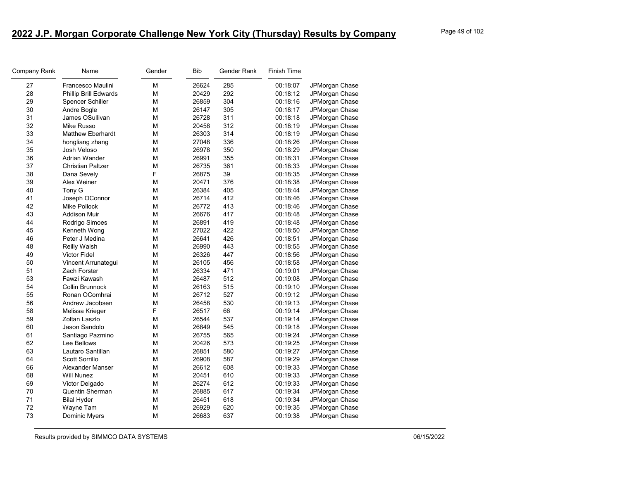| Company Rank | Name                         | Gender | Bib   | Gender Rank | <b>Finish Time</b> |                       |
|--------------|------------------------------|--------|-------|-------------|--------------------|-----------------------|
| 27           | Francesco Maulini            | M      | 26624 | 285         | 00:18:07           | JPMorgan Chase        |
| 28           | <b>Phillip Brill Edwards</b> | M      | 20429 | 292         | 00:18:12           | JPMorgan Chase        |
| 29           | <b>Spencer Schiller</b>      | M      | 26859 | 304         | 00:18:16           | JPMorgan Chase        |
| 30           | Andre Bogle                  | M      | 26147 | 305         | 00:18:17           | <b>JPMorgan Chase</b> |
| 31           | James OSullivan              | М      | 26728 | 311         | 00:18:18           | JPMorgan Chase        |
| 32           | Mike Russo                   | M      | 20458 | 312         | 00:18:19           | JPMorgan Chase        |
| 33           | <b>Matthew Eberhardt</b>     | M      | 26303 | 314         | 00:18:19           | JPMorgan Chase        |
| 34           | hongliang zhang              | M      | 27048 | 336         | 00:18:26           | JPMorgan Chase        |
| 35           | Josh Veloso                  | M      | 26978 | 350         | 00:18:29           | JPMorgan Chase        |
| 36           | Adrian Wander                | M      | 26991 | 355         | 00:18:31           | JPMorgan Chase        |
| 37           | <b>Christian Paltzer</b>     | M      | 26735 | 361         | 00:18:33           | JPMorgan Chase        |
| 38           | Dana Sevely                  | F      | 26875 | 39          | 00:18:35           | JPMorgan Chase        |
| 39           | Alex Weiner                  | M      | 20471 | 376         | 00:18:38           | JPMorgan Chase        |
| 40           | Tony G                       | M      | 26384 | 405         | 00:18:44           | JPMorgan Chase        |
| 41           | Joseph OConnor               | М      | 26714 | 412         | 00:18:46           | JPMorgan Chase        |
| 42           | Mike Pollock                 | M      | 26772 | 413         | 00:18:46           | JPMorgan Chase        |
| 43           | <b>Addison Muir</b>          | M      | 26676 | 417         | 00:18:48           | JPMorgan Chase        |
| 44           | Rodrigo Simoes               | M      | 26891 | 419         | 00:18:48           | JPMorgan Chase        |
| 45           | Kenneth Wong                 | M      | 27022 | 422         | 00:18:50           | JPMorgan Chase        |
| 46           | Peter J Medina               | М      | 26641 | 426         | 00:18:51           | JPMorgan Chase        |
| 48           | <b>Reilly Walsh</b>          | M      | 26990 | 443         | 00:18:55           | JPMorgan Chase        |
| 49           | Victor Fidel                 | M      | 26326 | 447         | 00:18:56           | JPMorgan Chase        |
| 50           | Vincent Arrunategui          | М      | 26105 | 456         | 00:18:58           | JPMorgan Chase        |
| 51           | Zach Forster                 | M      | 26334 | 471         | 00:19:01           | JPMorgan Chase        |
| 53           | Fawzi Kawash                 | М      | 26487 | 512         | 00:19:08           | JPMorgan Chase        |
| 54           | Collin Brunnock              | M      | 26163 | 515         | 00:19:10           | JPMorgan Chase        |
| 55           | Ronan OComhrai               | M      | 26712 | 527         | 00:19:12           | JPMorgan Chase        |
| 56           | Andrew Jacobsen              | М      | 26458 | 530         | 00:19:13           | JPMorgan Chase        |
| 58           | Melissa Krieger              | F      | 26517 | 66          | 00:19:14           | JPMorgan Chase        |
| 59           | Zoltan Laszlo                | М      | 26544 | 537         | 00:19:14           | JPMorgan Chase        |
| 60           | Jason Sandolo                | M      | 26849 | 545         | 00:19:18           | JPMorgan Chase        |
| 61           | Santiago Pazmino             | M      | 26755 | 565         | 00:19:24           | JPMorgan Chase        |
| 62           | Lee Bellows                  | M      | 20426 | 573         | 00:19:25           | JPMorgan Chase        |
| 63           | Lautaro Santillan            | M      | 26851 | 580         | 00:19:27           | JPMorgan Chase        |
| 64           | Scott Sorrillo               | М      | 26908 | 587         | 00:19:29           | JPMorgan Chase        |
| 66           | Alexander Manser             | M      | 26612 | 608         | 00:19:33           | JPMorgan Chase        |
| 68           | <b>Will Nunez</b>            | M      | 20451 | 610         | 00:19:33           | JPMorgan Chase        |
| 69           | Victor Delgado               | М      | 26274 | 612         | 00:19:33           | JPMorgan Chase        |
| 70           | Quentin Sherman              | M      | 26885 | 617         | 00:19:34           | JPMorgan Chase        |
| 71           | <b>Bilal Hyder</b>           | M      | 26451 | 618         | 00:19:34           | JPMorgan Chase        |
| 72           | Wayne Tam                    | М      | 26929 | 620         | 00:19:35           | JPMorgan Chase        |
| 73           | Dominic Myers                | M      | 26683 | 637         | 00:19:38           | JPMorgan Chase        |
|              |                              |        |       |             |                    |                       |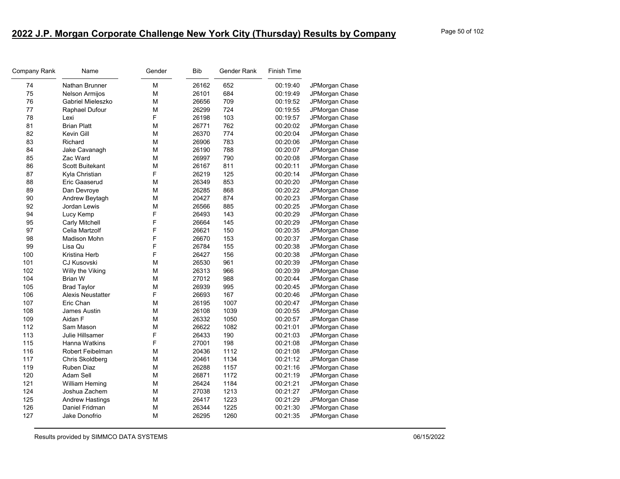| 74<br><b>Nathan Brunner</b><br>М<br>26162<br>652<br>00:19:40<br>JPMorgan Chase<br>75<br>М<br>684<br>Nelson Armijos<br>26101<br>00:19:49<br>709<br>76<br>М<br>Gabriel Mieleszko<br>26656<br>00:19:52<br>JPMorgan Chase<br>724<br>77<br>Raphael Dufour<br>м<br>26299<br>00:19:55<br>F<br>103<br>78<br>Lexi<br>26198<br>00:19:57<br>762<br>81<br><b>Brian Platt</b><br>м<br>26771<br>00:20:02<br>JPMorgan Chase<br>774<br>82<br>Kevin Gill<br>м<br>26370<br>00:20:04<br>83<br>М<br>783<br>26906<br>00:20:06<br>Richard<br>788<br>84<br>М<br>00:20:07<br>Jake Cavanagh<br>26190<br>JPMorgan Chase<br>790<br>85<br>Zac Ward<br>м<br>26997<br>00:20:08<br>JPMorgan Chase<br>M<br>811<br>86<br>Scott Buitekant<br>26167<br>00:20:11<br>F<br>87<br>125<br>Kyla Christian<br>26219<br>00:20:14<br>JPMorgan Chase<br>853<br>88<br>М<br>26349<br>00:20:20<br>Eric Gaaserud<br>JPMorgan Chase<br>89<br>868<br>М<br>26285<br>00:20:22<br>JPMorgan Chase<br>Dan Devroye<br>90<br>м<br>20427<br>874<br>Andrew Beytagh<br>00:20:23<br>JPMorgan Chase<br>885<br>92<br><b>Jordan Lewis</b><br>м<br>26566<br>00:20:25<br>JPMorgan Chase<br>F<br>94<br>26493<br>143<br>Lucy Kemp<br>00:20:29<br>F<br>95<br>26664<br>145<br>Carly Mitchell<br>00:20:29<br>F<br>150<br>97<br>Celia Martzolf<br>26621<br>00:20:35<br>JPMorgan Chase<br>F<br>153<br>98<br><b>Madison Mohn</b><br>26670<br>00:20:37<br>JPMorgan Chase<br>F<br>99<br>155<br>Lisa Qu<br>26784<br>00:20:38<br>F<br>156<br>100<br>Kristina Herb<br>26427<br>00:20:38<br>JPMorgan Chase<br>961<br>101<br>м<br>26530<br>00:20:39<br>CJ Kusovski<br>JPMorgan Chase<br>102<br>26313<br>966<br>Willy the Viking<br>М<br>00:20:39<br>JPMorgan Chase<br>М<br>988<br>104<br>Brian W<br>27012<br>00:20:44<br>JPMorgan Chase<br>995<br>105<br><b>Brad Taylor</b><br>м<br>26939<br>00:20:45<br>JPMorgan Chase<br>F<br>106<br>167<br><b>Alexis Neustatter</b><br>26693<br>JPMorgan Chase<br>00:20:46<br>1007<br>107<br>М<br>00:20:47<br>Eric Chan<br>26195<br>JPMorgan Chase<br>1039<br>108<br>М<br>26108<br>00:20:55<br>James Austin<br>JPMorgan Chase<br>Aidan F<br>109<br>М<br>26332<br>1050<br>00:20:57<br>112<br>M<br>26622<br>1082<br>Sam Mason<br>00:21:01<br>F<br>190<br>113<br>Julie Hillsamer<br>26433<br>00:21:03<br>JPMorgan Chase<br>F<br>198<br>115<br>Hanna Watkins<br>27001<br>00:21:08<br>JPMorgan Chase<br>116<br>M<br>20436<br>1112<br>Robert Feibelman<br>00:21:08<br>JPMorgan Chase<br>117<br>М<br>20461<br>Chris Skoldberg<br>1134<br>00:21:12<br>JPMorgan Chase<br>119<br>Ruben Diaz<br>М<br>26288<br>1157<br>00:21:16<br>JPMorgan Chase<br>120<br>26871<br>1172<br>Adam Sell<br>М<br>00:21:19<br>JPMorgan Chase<br>121<br>М<br>26424<br>1184<br>00:21:21<br>William Heming<br>1213<br>124<br>Joshua Zachem<br>М<br>27038<br>00:21:27<br>JPMorgan Chase<br>1223<br>125<br><b>Andrew Hastings</b><br>м<br>26417<br>00:21:29<br>1225<br>126<br>М<br>26344<br>Daniel Fridman<br>00:21:30<br>JPMorgan Chase | Company Rank | Name          | Gender | Bib   | Gender Rank | Finish Time |                |
|-------------------------------------------------------------------------------------------------------------------------------------------------------------------------------------------------------------------------------------------------------------------------------------------------------------------------------------------------------------------------------------------------------------------------------------------------------------------------------------------------------------------------------------------------------------------------------------------------------------------------------------------------------------------------------------------------------------------------------------------------------------------------------------------------------------------------------------------------------------------------------------------------------------------------------------------------------------------------------------------------------------------------------------------------------------------------------------------------------------------------------------------------------------------------------------------------------------------------------------------------------------------------------------------------------------------------------------------------------------------------------------------------------------------------------------------------------------------------------------------------------------------------------------------------------------------------------------------------------------------------------------------------------------------------------------------------------------------------------------------------------------------------------------------------------------------------------------------------------------------------------------------------------------------------------------------------------------------------------------------------------------------------------------------------------------------------------------------------------------------------------------------------------------------------------------------------------------------------------------------------------------------------------------------------------------------------------------------------------------------------------------------------------------------------------------------------------------------------------------------------------------------------------------------------------------------------------------------------------------------------------------------------------------------------------------------------------------------------------------------------------------------------------------------------------------------------------------------------------------------------------------------------------------------------------------------------------|--------------|---------------|--------|-------|-------------|-------------|----------------|
|                                                                                                                                                                                                                                                                                                                                                                                                                                                                                                                                                                                                                                                                                                                                                                                                                                                                                                                                                                                                                                                                                                                                                                                                                                                                                                                                                                                                                                                                                                                                                                                                                                                                                                                                                                                                                                                                                                                                                                                                                                                                                                                                                                                                                                                                                                                                                                                                                                                                                                                                                                                                                                                                                                                                                                                                                                                                                                                                                       |              |               |        |       |             |             |                |
|                                                                                                                                                                                                                                                                                                                                                                                                                                                                                                                                                                                                                                                                                                                                                                                                                                                                                                                                                                                                                                                                                                                                                                                                                                                                                                                                                                                                                                                                                                                                                                                                                                                                                                                                                                                                                                                                                                                                                                                                                                                                                                                                                                                                                                                                                                                                                                                                                                                                                                                                                                                                                                                                                                                                                                                                                                                                                                                                                       |              |               |        |       |             |             | JPMorgan Chase |
|                                                                                                                                                                                                                                                                                                                                                                                                                                                                                                                                                                                                                                                                                                                                                                                                                                                                                                                                                                                                                                                                                                                                                                                                                                                                                                                                                                                                                                                                                                                                                                                                                                                                                                                                                                                                                                                                                                                                                                                                                                                                                                                                                                                                                                                                                                                                                                                                                                                                                                                                                                                                                                                                                                                                                                                                                                                                                                                                                       |              |               |        |       |             |             |                |
|                                                                                                                                                                                                                                                                                                                                                                                                                                                                                                                                                                                                                                                                                                                                                                                                                                                                                                                                                                                                                                                                                                                                                                                                                                                                                                                                                                                                                                                                                                                                                                                                                                                                                                                                                                                                                                                                                                                                                                                                                                                                                                                                                                                                                                                                                                                                                                                                                                                                                                                                                                                                                                                                                                                                                                                                                                                                                                                                                       |              |               |        |       |             |             | JPMorgan Chase |
|                                                                                                                                                                                                                                                                                                                                                                                                                                                                                                                                                                                                                                                                                                                                                                                                                                                                                                                                                                                                                                                                                                                                                                                                                                                                                                                                                                                                                                                                                                                                                                                                                                                                                                                                                                                                                                                                                                                                                                                                                                                                                                                                                                                                                                                                                                                                                                                                                                                                                                                                                                                                                                                                                                                                                                                                                                                                                                                                                       |              |               |        |       |             |             | JPMorgan Chase |
|                                                                                                                                                                                                                                                                                                                                                                                                                                                                                                                                                                                                                                                                                                                                                                                                                                                                                                                                                                                                                                                                                                                                                                                                                                                                                                                                                                                                                                                                                                                                                                                                                                                                                                                                                                                                                                                                                                                                                                                                                                                                                                                                                                                                                                                                                                                                                                                                                                                                                                                                                                                                                                                                                                                                                                                                                                                                                                                                                       |              |               |        |       |             |             |                |
|                                                                                                                                                                                                                                                                                                                                                                                                                                                                                                                                                                                                                                                                                                                                                                                                                                                                                                                                                                                                                                                                                                                                                                                                                                                                                                                                                                                                                                                                                                                                                                                                                                                                                                                                                                                                                                                                                                                                                                                                                                                                                                                                                                                                                                                                                                                                                                                                                                                                                                                                                                                                                                                                                                                                                                                                                                                                                                                                                       |              |               |        |       |             |             | JPMorgan Chase |
|                                                                                                                                                                                                                                                                                                                                                                                                                                                                                                                                                                                                                                                                                                                                                                                                                                                                                                                                                                                                                                                                                                                                                                                                                                                                                                                                                                                                                                                                                                                                                                                                                                                                                                                                                                                                                                                                                                                                                                                                                                                                                                                                                                                                                                                                                                                                                                                                                                                                                                                                                                                                                                                                                                                                                                                                                                                                                                                                                       |              |               |        |       |             |             | JPMorgan Chase |
|                                                                                                                                                                                                                                                                                                                                                                                                                                                                                                                                                                                                                                                                                                                                                                                                                                                                                                                                                                                                                                                                                                                                                                                                                                                                                                                                                                                                                                                                                                                                                                                                                                                                                                                                                                                                                                                                                                                                                                                                                                                                                                                                                                                                                                                                                                                                                                                                                                                                                                                                                                                                                                                                                                                                                                                                                                                                                                                                                       |              |               |        |       |             |             |                |
|                                                                                                                                                                                                                                                                                                                                                                                                                                                                                                                                                                                                                                                                                                                                                                                                                                                                                                                                                                                                                                                                                                                                                                                                                                                                                                                                                                                                                                                                                                                                                                                                                                                                                                                                                                                                                                                                                                                                                                                                                                                                                                                                                                                                                                                                                                                                                                                                                                                                                                                                                                                                                                                                                                                                                                                                                                                                                                                                                       |              |               |        |       |             |             |                |
|                                                                                                                                                                                                                                                                                                                                                                                                                                                                                                                                                                                                                                                                                                                                                                                                                                                                                                                                                                                                                                                                                                                                                                                                                                                                                                                                                                                                                                                                                                                                                                                                                                                                                                                                                                                                                                                                                                                                                                                                                                                                                                                                                                                                                                                                                                                                                                                                                                                                                                                                                                                                                                                                                                                                                                                                                                                                                                                                                       |              |               |        |       |             |             | JPMorgan Chase |
|                                                                                                                                                                                                                                                                                                                                                                                                                                                                                                                                                                                                                                                                                                                                                                                                                                                                                                                                                                                                                                                                                                                                                                                                                                                                                                                                                                                                                                                                                                                                                                                                                                                                                                                                                                                                                                                                                                                                                                                                                                                                                                                                                                                                                                                                                                                                                                                                                                                                                                                                                                                                                                                                                                                                                                                                                                                                                                                                                       |              |               |        |       |             |             |                |
|                                                                                                                                                                                                                                                                                                                                                                                                                                                                                                                                                                                                                                                                                                                                                                                                                                                                                                                                                                                                                                                                                                                                                                                                                                                                                                                                                                                                                                                                                                                                                                                                                                                                                                                                                                                                                                                                                                                                                                                                                                                                                                                                                                                                                                                                                                                                                                                                                                                                                                                                                                                                                                                                                                                                                                                                                                                                                                                                                       |              |               |        |       |             |             |                |
|                                                                                                                                                                                                                                                                                                                                                                                                                                                                                                                                                                                                                                                                                                                                                                                                                                                                                                                                                                                                                                                                                                                                                                                                                                                                                                                                                                                                                                                                                                                                                                                                                                                                                                                                                                                                                                                                                                                                                                                                                                                                                                                                                                                                                                                                                                                                                                                                                                                                                                                                                                                                                                                                                                                                                                                                                                                                                                                                                       |              |               |        |       |             |             |                |
|                                                                                                                                                                                                                                                                                                                                                                                                                                                                                                                                                                                                                                                                                                                                                                                                                                                                                                                                                                                                                                                                                                                                                                                                                                                                                                                                                                                                                                                                                                                                                                                                                                                                                                                                                                                                                                                                                                                                                                                                                                                                                                                                                                                                                                                                                                                                                                                                                                                                                                                                                                                                                                                                                                                                                                                                                                                                                                                                                       |              |               |        |       |             |             |                |
|                                                                                                                                                                                                                                                                                                                                                                                                                                                                                                                                                                                                                                                                                                                                                                                                                                                                                                                                                                                                                                                                                                                                                                                                                                                                                                                                                                                                                                                                                                                                                                                                                                                                                                                                                                                                                                                                                                                                                                                                                                                                                                                                                                                                                                                                                                                                                                                                                                                                                                                                                                                                                                                                                                                                                                                                                                                                                                                                                       |              |               |        |       |             |             |                |
|                                                                                                                                                                                                                                                                                                                                                                                                                                                                                                                                                                                                                                                                                                                                                                                                                                                                                                                                                                                                                                                                                                                                                                                                                                                                                                                                                                                                                                                                                                                                                                                                                                                                                                                                                                                                                                                                                                                                                                                                                                                                                                                                                                                                                                                                                                                                                                                                                                                                                                                                                                                                                                                                                                                                                                                                                                                                                                                                                       |              |               |        |       |             |             | JPMorgan Chase |
|                                                                                                                                                                                                                                                                                                                                                                                                                                                                                                                                                                                                                                                                                                                                                                                                                                                                                                                                                                                                                                                                                                                                                                                                                                                                                                                                                                                                                                                                                                                                                                                                                                                                                                                                                                                                                                                                                                                                                                                                                                                                                                                                                                                                                                                                                                                                                                                                                                                                                                                                                                                                                                                                                                                                                                                                                                                                                                                                                       |              |               |        |       |             |             | JPMorgan Chase |
|                                                                                                                                                                                                                                                                                                                                                                                                                                                                                                                                                                                                                                                                                                                                                                                                                                                                                                                                                                                                                                                                                                                                                                                                                                                                                                                                                                                                                                                                                                                                                                                                                                                                                                                                                                                                                                                                                                                                                                                                                                                                                                                                                                                                                                                                                                                                                                                                                                                                                                                                                                                                                                                                                                                                                                                                                                                                                                                                                       |              |               |        |       |             |             |                |
|                                                                                                                                                                                                                                                                                                                                                                                                                                                                                                                                                                                                                                                                                                                                                                                                                                                                                                                                                                                                                                                                                                                                                                                                                                                                                                                                                                                                                                                                                                                                                                                                                                                                                                                                                                                                                                                                                                                                                                                                                                                                                                                                                                                                                                                                                                                                                                                                                                                                                                                                                                                                                                                                                                                                                                                                                                                                                                                                                       |              |               |        |       |             |             |                |
|                                                                                                                                                                                                                                                                                                                                                                                                                                                                                                                                                                                                                                                                                                                                                                                                                                                                                                                                                                                                                                                                                                                                                                                                                                                                                                                                                                                                                                                                                                                                                                                                                                                                                                                                                                                                                                                                                                                                                                                                                                                                                                                                                                                                                                                                                                                                                                                                                                                                                                                                                                                                                                                                                                                                                                                                                                                                                                                                                       |              |               |        |       |             |             | JPMorgan Chase |
|                                                                                                                                                                                                                                                                                                                                                                                                                                                                                                                                                                                                                                                                                                                                                                                                                                                                                                                                                                                                                                                                                                                                                                                                                                                                                                                                                                                                                                                                                                                                                                                                                                                                                                                                                                                                                                                                                                                                                                                                                                                                                                                                                                                                                                                                                                                                                                                                                                                                                                                                                                                                                                                                                                                                                                                                                                                                                                                                                       |              |               |        |       |             |             |                |
|                                                                                                                                                                                                                                                                                                                                                                                                                                                                                                                                                                                                                                                                                                                                                                                                                                                                                                                                                                                                                                                                                                                                                                                                                                                                                                                                                                                                                                                                                                                                                                                                                                                                                                                                                                                                                                                                                                                                                                                                                                                                                                                                                                                                                                                                                                                                                                                                                                                                                                                                                                                                                                                                                                                                                                                                                                                                                                                                                       |              |               |        |       |             |             |                |
|                                                                                                                                                                                                                                                                                                                                                                                                                                                                                                                                                                                                                                                                                                                                                                                                                                                                                                                                                                                                                                                                                                                                                                                                                                                                                                                                                                                                                                                                                                                                                                                                                                                                                                                                                                                                                                                                                                                                                                                                                                                                                                                                                                                                                                                                                                                                                                                                                                                                                                                                                                                                                                                                                                                                                                                                                                                                                                                                                       |              |               |        |       |             |             |                |
|                                                                                                                                                                                                                                                                                                                                                                                                                                                                                                                                                                                                                                                                                                                                                                                                                                                                                                                                                                                                                                                                                                                                                                                                                                                                                                                                                                                                                                                                                                                                                                                                                                                                                                                                                                                                                                                                                                                                                                                                                                                                                                                                                                                                                                                                                                                                                                                                                                                                                                                                                                                                                                                                                                                                                                                                                                                                                                                                                       |              |               |        |       |             |             |                |
|                                                                                                                                                                                                                                                                                                                                                                                                                                                                                                                                                                                                                                                                                                                                                                                                                                                                                                                                                                                                                                                                                                                                                                                                                                                                                                                                                                                                                                                                                                                                                                                                                                                                                                                                                                                                                                                                                                                                                                                                                                                                                                                                                                                                                                                                                                                                                                                                                                                                                                                                                                                                                                                                                                                                                                                                                                                                                                                                                       |              |               |        |       |             |             |                |
|                                                                                                                                                                                                                                                                                                                                                                                                                                                                                                                                                                                                                                                                                                                                                                                                                                                                                                                                                                                                                                                                                                                                                                                                                                                                                                                                                                                                                                                                                                                                                                                                                                                                                                                                                                                                                                                                                                                                                                                                                                                                                                                                                                                                                                                                                                                                                                                                                                                                                                                                                                                                                                                                                                                                                                                                                                                                                                                                                       |              |               |        |       |             |             |                |
|                                                                                                                                                                                                                                                                                                                                                                                                                                                                                                                                                                                                                                                                                                                                                                                                                                                                                                                                                                                                                                                                                                                                                                                                                                                                                                                                                                                                                                                                                                                                                                                                                                                                                                                                                                                                                                                                                                                                                                                                                                                                                                                                                                                                                                                                                                                                                                                                                                                                                                                                                                                                                                                                                                                                                                                                                                                                                                                                                       |              |               |        |       |             |             |                |
|                                                                                                                                                                                                                                                                                                                                                                                                                                                                                                                                                                                                                                                                                                                                                                                                                                                                                                                                                                                                                                                                                                                                                                                                                                                                                                                                                                                                                                                                                                                                                                                                                                                                                                                                                                                                                                                                                                                                                                                                                                                                                                                                                                                                                                                                                                                                                                                                                                                                                                                                                                                                                                                                                                                                                                                                                                                                                                                                                       |              |               |        |       |             |             |                |
|                                                                                                                                                                                                                                                                                                                                                                                                                                                                                                                                                                                                                                                                                                                                                                                                                                                                                                                                                                                                                                                                                                                                                                                                                                                                                                                                                                                                                                                                                                                                                                                                                                                                                                                                                                                                                                                                                                                                                                                                                                                                                                                                                                                                                                                                                                                                                                                                                                                                                                                                                                                                                                                                                                                                                                                                                                                                                                                                                       |              |               |        |       |             |             | JPMorgan Chase |
|                                                                                                                                                                                                                                                                                                                                                                                                                                                                                                                                                                                                                                                                                                                                                                                                                                                                                                                                                                                                                                                                                                                                                                                                                                                                                                                                                                                                                                                                                                                                                                                                                                                                                                                                                                                                                                                                                                                                                                                                                                                                                                                                                                                                                                                                                                                                                                                                                                                                                                                                                                                                                                                                                                                                                                                                                                                                                                                                                       |              |               |        |       |             |             | JPMorgan Chase |
|                                                                                                                                                                                                                                                                                                                                                                                                                                                                                                                                                                                                                                                                                                                                                                                                                                                                                                                                                                                                                                                                                                                                                                                                                                                                                                                                                                                                                                                                                                                                                                                                                                                                                                                                                                                                                                                                                                                                                                                                                                                                                                                                                                                                                                                                                                                                                                                                                                                                                                                                                                                                                                                                                                                                                                                                                                                                                                                                                       |              |               |        |       |             |             |                |
|                                                                                                                                                                                                                                                                                                                                                                                                                                                                                                                                                                                                                                                                                                                                                                                                                                                                                                                                                                                                                                                                                                                                                                                                                                                                                                                                                                                                                                                                                                                                                                                                                                                                                                                                                                                                                                                                                                                                                                                                                                                                                                                                                                                                                                                                                                                                                                                                                                                                                                                                                                                                                                                                                                                                                                                                                                                                                                                                                       |              |               |        |       |             |             |                |
|                                                                                                                                                                                                                                                                                                                                                                                                                                                                                                                                                                                                                                                                                                                                                                                                                                                                                                                                                                                                                                                                                                                                                                                                                                                                                                                                                                                                                                                                                                                                                                                                                                                                                                                                                                                                                                                                                                                                                                                                                                                                                                                                                                                                                                                                                                                                                                                                                                                                                                                                                                                                                                                                                                                                                                                                                                                                                                                                                       |              |               |        |       |             |             |                |
|                                                                                                                                                                                                                                                                                                                                                                                                                                                                                                                                                                                                                                                                                                                                                                                                                                                                                                                                                                                                                                                                                                                                                                                                                                                                                                                                                                                                                                                                                                                                                                                                                                                                                                                                                                                                                                                                                                                                                                                                                                                                                                                                                                                                                                                                                                                                                                                                                                                                                                                                                                                                                                                                                                                                                                                                                                                                                                                                                       |              |               |        |       |             |             |                |
|                                                                                                                                                                                                                                                                                                                                                                                                                                                                                                                                                                                                                                                                                                                                                                                                                                                                                                                                                                                                                                                                                                                                                                                                                                                                                                                                                                                                                                                                                                                                                                                                                                                                                                                                                                                                                                                                                                                                                                                                                                                                                                                                                                                                                                                                                                                                                                                                                                                                                                                                                                                                                                                                                                                                                                                                                                                                                                                                                       |              |               |        |       |             |             |                |
|                                                                                                                                                                                                                                                                                                                                                                                                                                                                                                                                                                                                                                                                                                                                                                                                                                                                                                                                                                                                                                                                                                                                                                                                                                                                                                                                                                                                                                                                                                                                                                                                                                                                                                                                                                                                                                                                                                                                                                                                                                                                                                                                                                                                                                                                                                                                                                                                                                                                                                                                                                                                                                                                                                                                                                                                                                                                                                                                                       |              |               |        |       |             |             |                |
|                                                                                                                                                                                                                                                                                                                                                                                                                                                                                                                                                                                                                                                                                                                                                                                                                                                                                                                                                                                                                                                                                                                                                                                                                                                                                                                                                                                                                                                                                                                                                                                                                                                                                                                                                                                                                                                                                                                                                                                                                                                                                                                                                                                                                                                                                                                                                                                                                                                                                                                                                                                                                                                                                                                                                                                                                                                                                                                                                       |              |               |        |       |             |             | JPMorgan Chase |
|                                                                                                                                                                                                                                                                                                                                                                                                                                                                                                                                                                                                                                                                                                                                                                                                                                                                                                                                                                                                                                                                                                                                                                                                                                                                                                                                                                                                                                                                                                                                                                                                                                                                                                                                                                                                                                                                                                                                                                                                                                                                                                                                                                                                                                                                                                                                                                                                                                                                                                                                                                                                                                                                                                                                                                                                                                                                                                                                                       |              |               |        |       |             |             |                |
|                                                                                                                                                                                                                                                                                                                                                                                                                                                                                                                                                                                                                                                                                                                                                                                                                                                                                                                                                                                                                                                                                                                                                                                                                                                                                                                                                                                                                                                                                                                                                                                                                                                                                                                                                                                                                                                                                                                                                                                                                                                                                                                                                                                                                                                                                                                                                                                                                                                                                                                                                                                                                                                                                                                                                                                                                                                                                                                                                       |              |               |        |       |             |             | JPMorgan Chase |
|                                                                                                                                                                                                                                                                                                                                                                                                                                                                                                                                                                                                                                                                                                                                                                                                                                                                                                                                                                                                                                                                                                                                                                                                                                                                                                                                                                                                                                                                                                                                                                                                                                                                                                                                                                                                                                                                                                                                                                                                                                                                                                                                                                                                                                                                                                                                                                                                                                                                                                                                                                                                                                                                                                                                                                                                                                                                                                                                                       |              |               |        |       |             |             |                |
|                                                                                                                                                                                                                                                                                                                                                                                                                                                                                                                                                                                                                                                                                                                                                                                                                                                                                                                                                                                                                                                                                                                                                                                                                                                                                                                                                                                                                                                                                                                                                                                                                                                                                                                                                                                                                                                                                                                                                                                                                                                                                                                                                                                                                                                                                                                                                                                                                                                                                                                                                                                                                                                                                                                                                                                                                                                                                                                                                       | 127          | Jake Donofrio | м      | 26295 | 1260        | 00:21:35    | JPMorgan Chase |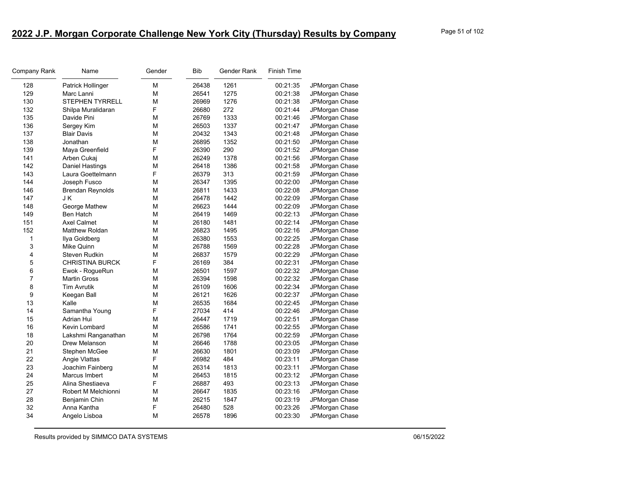| Company Rank   | Name                    | Gender | <b>Bib</b> | Gender Rank | <b>Finish Time</b> |                |
|----------------|-------------------------|--------|------------|-------------|--------------------|----------------|
| 128            | Patrick Hollinger       | M      | 26438      | 1261        | 00:21:35           | JPMorgan Chase |
| 129            | Marc Lanni              | M      | 26541      | 1275        | 00:21:38           | JPMorgan Chase |
| 130            | STEPHEN TYRRELL         | M      | 26969      | 1276        | 00:21:38           | JPMorgan Chase |
| 132            | Shilpa Muralidaran      | F      | 26680      | 272         | 00:21:44           | JPMorgan Chase |
| 135            | Davide Pini             | M      | 26769      | 1333        | 00:21:46           | JPMorgan Chase |
| 136            | Sergey Kim              | M      | 26503      | 1337        | 00:21:47           | JPMorgan Chase |
| 137            | <b>Blair Davis</b>      | M      | 20432      | 1343        | 00:21:48           | JPMorgan Chase |
| 138            | Jonathan                | M      | 26895      | 1352        | 00:21:50           | JPMorgan Chase |
| 139            | Maya Greenfield         | F      | 26390      | 290         | 00:21:52           | JPMorgan Chase |
| 141            | Arben Cukaj             | M      | 26249      | 1378        | 00:21:56           | JPMorgan Chase |
| 142            | <b>Daniel Hastings</b>  | М      | 26418      | 1386        | 00:21:58           | JPMorgan Chase |
| 143            | Laura Goettelmann       | F      | 26379      | 313         | 00:21:59           | JPMorgan Chase |
| 144            | Joseph Fusco            | M      | 26347      | 1395        | 00:22:00           | JPMorgan Chase |
| 146            | <b>Brendan Reynolds</b> | М      | 26811      | 1433        | 00:22:08           | JPMorgan Chase |
| 147            | J K                     | M      | 26478      | 1442        | 00:22:09           | JPMorgan Chase |
| 148            | George Mathew           | М      | 26623      | 1444        | 00:22:09           | JPMorgan Chase |
| 149            | <b>Ben Hatch</b>        | M      | 26419      | 1469        | 00:22:13           | JPMorgan Chase |
| 151            | <b>Axel Calmet</b>      | M      | 26180      | 1481        | 00:22:14           | JPMorgan Chase |
| 152            | Matthew Roldan          | М      | 26823      | 1495        | 00:22:16           | JPMorgan Chase |
| 1              | Ilya Goldberg           | M      | 26380      | 1553        | 00:22:25           | JPMorgan Chase |
| 3              | Mike Quinn              | M      | 26788      | 1569        | 00:22:28           | JPMorgan Chase |
| 4              | <b>Steven Rudkin</b>    | M      | 26837      | 1579        | 00:22:29           | JPMorgan Chase |
| 5              | <b>CHRISTINA BURCK</b>  | F      | 26169      | 384         | 00:22:31           | JPMorgan Chase |
| 6              | Ewok - RogueRun         | M      | 26501      | 1597        | 00:22:32           | JPMorgan Chase |
| $\overline{7}$ | <b>Martin Gross</b>     | M      | 26394      | 1598        | 00:22:32           | JPMorgan Chase |
| 8              | <b>Tim Avrutik</b>      | M      | 26109      | 1606        | 00:22:34           | JPMorgan Chase |
| 9              | Keegan Ball             | M      | 26121      | 1626        | 00:22:37           | JPMorgan Chase |
| 13             | Kalle                   | M      | 26535      | 1684        | 00:22:45           | JPMorgan Chase |
| 14             | Samantha Young          | F      | 27034      | 414         | 00:22:46           | JPMorgan Chase |
| 15             | Adrian Hui              | M      | 26447      | 1719        | 00:22:51           | JPMorgan Chase |
| 16             | Kevin Lombard           | М      | 26586      | 1741        | 00:22:55           | JPMorgan Chase |
| 18             | Lakshmi Ranganathan     | M      | 26798      | 1764        | 00:22:59           | JPMorgan Chase |
| 20             | Drew Melanson           | M      | 26646      | 1788        | 00:23:05           | JPMorgan Chase |
| 21             | Stephen McGee           | M      | 26630      | 1801        | 00:23:09           | JPMorgan Chase |
| 22             | Angie Vlattas           | F      | 26982      | 484         | 00:23:11           | JPMorgan Chase |
| 23             | Joachim Fainberg        | М      | 26314      | 1813        | 00:23:11           | JPMorgan Chase |
| 24             | Marcus Imbert           | M      | 26453      | 1815        | 00:23:12           | JPMorgan Chase |
| 25             | Alina Shestiaeva        | F      | 26887      | 493         | 00:23:13           | JPMorgan Chase |
| 27             | Robert M Melchionni     | M      | 26647      | 1835        | 00:23:16           | JPMorgan Chase |
| 28             | Benjamin Chin           | M      | 26215      | 1847        | 00:23:19           | JPMorgan Chase |
| 32             | Anna Kantha             | F      | 26480      | 528         | 00:23:26           | JPMorgan Chase |
| 34             | Angelo Lisboa           | M      | 26578      | 1896        | 00:23:30           | JPMorgan Chase |
|                |                         |        |            |             |                    |                |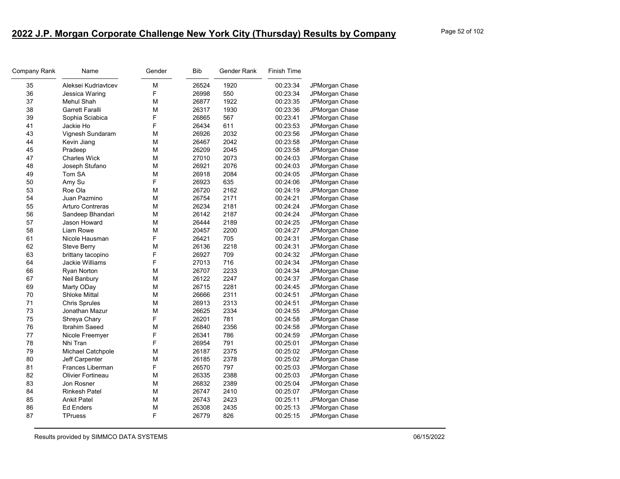| Company Rank | Name                    | Gender | Bib   | Gender Rank | <b>Finish Time</b> |                |
|--------------|-------------------------|--------|-------|-------------|--------------------|----------------|
| 35           | Aleksei Kudriavtcev     | M      | 26524 | 1920        | 00:23:34           | JPMorgan Chase |
| 36           | Jessica Waring          | F      | 26998 | 550         | 00:23:34           | JPMorgan Chase |
| 37           | Mehul Shah              | M      | 26877 | 1922        | 00:23:35           | JPMorgan Chase |
| 38           | <b>Garrett Faralli</b>  | M      | 26317 | 1930        | 00:23:36           | JPMorgan Chase |
| 39           | Sophia Sciabica         | F      | 26865 | 567         | 00:23:41           | JPMorgan Chase |
| 41           | Jackie Ho               | F      | 26434 | 611         | 00:23:53           | JPMorgan Chase |
| 43           | Vignesh Sundaram        | M      | 26926 | 2032        | 00:23:56           | JPMorgan Chase |
| 44           | Kevin Jiang             | M      | 26467 | 2042        | 00:23:58           | JPMorgan Chase |
| 45           | Pradeep                 | M      | 26209 | 2045        | 00:23:58           | JPMorgan Chase |
| 47           | <b>Charles Wick</b>     | М      | 27010 | 2073        | 00:24:03           | JPMorgan Chase |
| 48           | Joseph Stufano          | M      | 26921 | 2076        | 00:24:03           | JPMorgan Chase |
| 49           | Tom SA                  | M      | 26918 | 2084        | 00:24:05           | JPMorgan Chase |
| 50           | Amy Su                  | F      | 26923 | 635         | 00:24:06           | JPMorgan Chase |
| 53           | Roe Ola                 | M      | 26720 | 2162        | 00:24:19           | JPMorgan Chase |
| 54           | Juan Pazmino            | M      | 26754 | 2171        | 00:24:21           | JPMorgan Chase |
| 55           | <b>Arturo Contreras</b> | М      | 26234 | 2181        | 00:24:24           | JPMorgan Chase |
| 56           | Sandeep Bhandari        | M      | 26142 | 2187        | 00:24:24           | JPMorgan Chase |
| 57           | Jason Howard            | М      | 26444 | 2189        | 00:24:25           | JPMorgan Chase |
| 58           | Liam Rowe               | M      | 20457 | 2200        | 00:24:27           | JPMorgan Chase |
| 61           | Nicole Hausman          | F      | 26421 | 705         | 00:24:31           | JPMorgan Chase |
| 62           | <b>Steve Berry</b>      | M      | 26136 | 2218        | 00:24:31           | JPMorgan Chase |
| 63           | brittany tacopino       | F      | 26927 | 709         | 00:24:32           | JPMorgan Chase |
| 64           | Jackie Williams         | F      | 27013 | 716         | 00:24:34           | JPMorgan Chase |
| 66           | Ryan Norton             | M      | 26707 | 2233        | 00:24:34           | JPMorgan Chase |
| 67           | Neil Banbury            | М      | 26122 | 2247        | 00:24:37           | JPMorgan Chase |
| 69           | Marty ODay              | M      | 26715 | 2281        | 00:24:45           | JPMorgan Chase |
| 70           | <b>Shloke Mittal</b>    | M      | 26666 | 2311        | 00:24:51           | JPMorgan Chase |
| 71           | <b>Chris Sprules</b>    | М      | 26913 | 2313        | 00:24:51           | JPMorgan Chase |
| 73           | Jonathan Mazur          | M      | 26625 | 2334        | 00:24:55           | JPMorgan Chase |
| 75           | Shreya Chary            | F      | 26201 | 781         | 00:24:58           | JPMorgan Chase |
| 76           | Ibrahim Saeed           | M      | 26840 | 2356        | 00:24:58           | JPMorgan Chase |
| 77           | Nicole Freemyer         | F      | 26341 | 786         | 00:24:59           | JPMorgan Chase |
| 78           | Nhi Tran                | F      | 26954 | 791         | 00:25:01           | JPMorgan Chase |
| 79           | Michael Catchpole       | M      | 26187 | 2375        | 00:25:02           | JPMorgan Chase |
| 80           | Jeff Carpenter          | М      | 26185 | 2378        | 00:25:02           | JPMorgan Chase |
| 81           | Frances Liberman        | F      | 26570 | 797         | 00:25:03           | JPMorgan Chase |
| 82           | Olivier Fortineau       | M      | 26335 | 2388        | 00:25:03           | JPMorgan Chase |
| 83           | Jon Rosner              | M      | 26832 | 2389        | 00:25:04           | JPMorgan Chase |
| 84           | <b>Rinkesh Patel</b>    | M      | 26747 | 2410        | 00:25:07           | JPMorgan Chase |
| 85           | <b>Ankit Patel</b>      | М      | 26743 | 2423        | 00:25:11           | JPMorgan Chase |
| 86           | <b>Ed Enders</b>        | M      | 26308 | 2435        | 00:25:13           | JPMorgan Chase |
| 87           | <b>TPruess</b>          | F      | 26779 | 826         | 00:25:15           | JPMorgan Chase |
|              |                         |        |       |             |                    |                |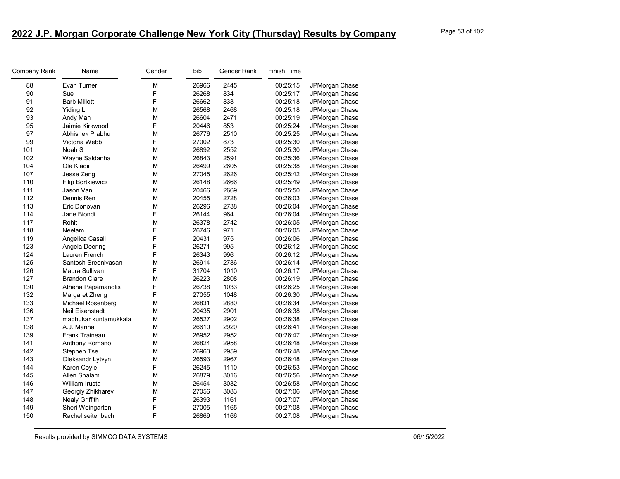| <b>Company Rank</b> | Name                     | Gender | Bib   | Gender Rank | <b>Finish Time</b> |                |
|---------------------|--------------------------|--------|-------|-------------|--------------------|----------------|
| 88                  | Evan Turner              | М      | 26966 | 2445        | 00:25:15           | JPMorgan Chase |
| 90                  | Sue                      | F      | 26268 | 834         | 00:25:17           | JPMorgan Chase |
| 91                  | <b>Barb Millott</b>      | F      | 26662 | 838         | 00:25:18           | JPMorgan Chase |
| 92                  | Yiding Li                | M      | 26568 | 2468        | 00:25:18           | JPMorgan Chase |
| 93                  | Andy Man                 | М      | 26604 | 2471        | 00:25:19           | JPMorgan Chase |
| 95                  | Jaimie Kirkwood          | F      | 20446 | 853         | 00:25:24           | JPMorgan Chase |
| 97                  | Abhishek Prabhu          | M      | 26776 | 2510        | 00:25:25           | JPMorgan Chase |
| 99                  | Victoria Webb            | F      | 27002 | 873         | 00:25:30           | JPMorgan Chase |
| 101                 | Noah S                   | М      | 26892 | 2552        | 00:25:30           | JPMorgan Chase |
| 102                 | Wayne Saldanha           | М      | 26843 | 2591        | 00:25:36           | JPMorgan Chase |
| 104                 | Ola Kiadii               | М      | 26499 | 2605        | 00:25:38           | JPMorgan Chase |
| 107                 | Jesse Zeng               | М      | 27045 | 2626        | 00:25:42           | JPMorgan Chase |
| 110                 | <b>Filip Bortkiewicz</b> | М      | 26148 | 2666        | 00:25:49           | JPMorgan Chase |
| 111                 | Jason Van                | M      | 20466 | 2669        | 00:25:50           | JPMorgan Chase |
| 112                 | Dennis Ren               | М      | 20455 | 2728        | 00:26:03           | JPMorgan Chase |
| 113                 | Eric Donovan             | М      | 26296 | 2738        | 00:26:04           | JPMorgan Chase |
| 114                 | Jane Biondi              | F      | 26144 | 964         | 00:26:04           | JPMorgan Chase |
| 117                 | Rohit                    | M      | 26378 | 2742        | 00:26:05           | JPMorgan Chase |
| 118                 | Neelam                   | F      | 26746 | 971         | 00:26:05           | JPMorgan Chase |
| 119                 | Angelica Casali          | F      | 20431 | 975         | 00:26:06           | JPMorgan Chase |
| 123                 | Angela Deering           | F      | 26271 | 995         | 00:26:12           | JPMorgan Chase |
| 124                 | Lauren French            | F      | 26343 | 996         | 00:26:12           | JPMorgan Chase |
| 125                 | Santosh Sreenivasan      | М      | 26914 | 2786        | 00:26:14           | JPMorgan Chase |
| 126                 | Maura Sullivan           | F      | 31704 | 1010        | 00:26:17           | JPMorgan Chase |
| 127                 | <b>Brandon Clare</b>     | M      | 26223 | 2808        | 00:26:19           | JPMorgan Chase |
| 130                 | Athena Papamanolis       | F      | 26738 | 1033        | 00:26:25           | JPMorgan Chase |
| 132                 | Margaret Zheng           | F      | 27055 | 1048        | 00:26:30           | JPMorgan Chase |
| 133                 | Michael Rosenberg        | М      | 26831 | 2880        | 00:26:34           | JPMorgan Chase |
| 136                 | <b>Neil Eisenstadt</b>   | М      | 20435 | 2901        | 00:26:38           | JPMorgan Chase |
| 137                 | madhukar kuntamukkala    | М      | 26527 | 2902        | 00:26:38           | JPMorgan Chase |
| 138                 | A.J. Manna               | М      | 26610 | 2920        | 00:26:41           | JPMorgan Chase |
| 139                 | <b>Frank Traineau</b>    | М      | 26952 | 2952        | 00:26:47           | JPMorgan Chase |
| 141                 | Anthony Romano           | М      | 26824 | 2958        | 00:26:48           | JPMorgan Chase |
| 142                 | Stephen Tse              | M      | 26963 | 2959        | 00:26:48           | JPMorgan Chase |
| 143                 | Oleksandr Lytvyn         | М      | 26593 | 2967        | 00:26:48           | JPMorgan Chase |
| 144                 | Karen Coyle              | F      | 26245 | 1110        | 00:26:53           | JPMorgan Chase |
| 145                 | Allen Shalam             | M      | 26879 | 3016        | 00:26:56           | JPMorgan Chase |
| 146                 | William Irusta           | M      | 26454 | 3032        | 00:26:58           | JPMorgan Chase |
| 147                 | Georgiy Zhikharev        | M      | 27056 | 3083        | 00:27:06           | JPMorgan Chase |
| 148                 | <b>Nealy Griffith</b>    | F      | 26393 | 1161        | 00:27:07           | JPMorgan Chase |
| 149                 | Sheri Weingarten         | F      | 27005 | 1165        | 00:27:08           | JPMorgan Chase |
| 150                 | Rachel seitenbach        | F      | 26869 | 1166        | 00:27:08           | JPMorgan Chase |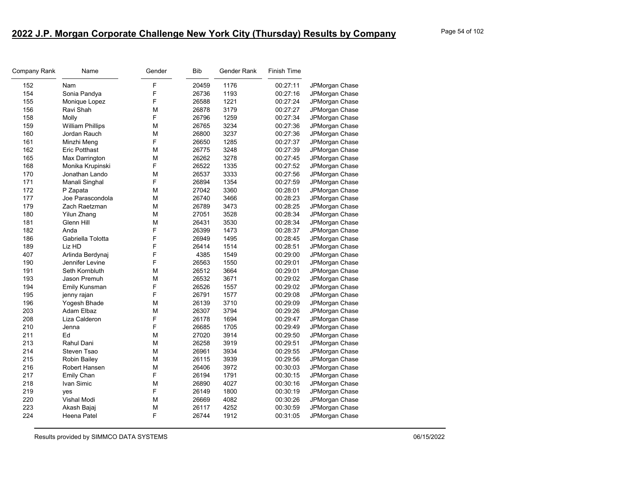| Company Rank | Name                    | Gender      | <b>Bib</b> | Gender Rank | <b>Finish Time</b> |                |
|--------------|-------------------------|-------------|------------|-------------|--------------------|----------------|
| 152          | Nam                     | $\mathsf F$ | 20459      | 1176        | 00:27:11           | JPMorgan Chase |
| 154          | Sonia Pandya            | $\mathsf F$ | 26736      | 1193        | 00:27:16           | JPMorgan Chase |
| 155          | Monique Lopez           | $\mathsf F$ | 26588      | 1221        | 00:27:24           | JPMorgan Chase |
| 156          | Ravi Shah               | M           | 26878      | 3179        | 00:27:27           | JPMorgan Chase |
| 158          | Molly                   | F           | 26796      | 1259        | 00:27:34           | JPMorgan Chase |
| 159          | <b>William Phillips</b> | M           | 26765      | 3234        | 00:27:36           | JPMorgan Chase |
| 160          | Jordan Rauch            | M           | 26800      | 3237        | 00:27:36           | JPMorgan Chase |
| 161          | Minzhi Meng             | F           | 26650      | 1285        | 00:27:37           | JPMorgan Chase |
| 162          | <b>Eric Potthast</b>    | M           | 26775      | 3248        | 00:27:39           | JPMorgan Chase |
| 165          | Max Darrington          | M           | 26262      | 3278        | 00:27:45           | JPMorgan Chase |
| 168          | Monika Krupinski        | F           | 26522      | 1335        | 00:27:52           | JPMorgan Chase |
| 170          | Jonathan Lando          | M           | 26537      | 3333        | 00:27:56           | JPMorgan Chase |
| 171          | Manali Singhal          | F           | 26894      | 1354        | 00:27:59           | JPMorgan Chase |
| 172          | P Zapata                | M           | 27042      | 3360        | 00:28:01           | JPMorgan Chase |
| 177          | Joe Parascondola        | M           | 26740      | 3466        | 00:28:23           | JPMorgan Chase |
| 179          | Zach Raetzman           | M           | 26789      | 3473        | 00:28:25           | JPMorgan Chase |
| 180          | <b>Yilun Zhang</b>      | M           | 27051      | 3528        | 00:28:34           | JPMorgan Chase |
| 181          | Glenn Hill              | M           | 26431      | 3530        | 00:28:34           | JPMorgan Chase |
| 182          | Anda                    | $\mathsf F$ | 26399      | 1473        | 00:28:37           | JPMorgan Chase |
| 186          | Gabriella Tolotta       | $\mathsf F$ | 26949      | 1495        | 00:28:45           | JPMorgan Chase |
| 189          | Liz HD                  | F           | 26414      | 1514        | 00:28:51           | JPMorgan Chase |
| 407          | Arlinda Berdynaj        | F           | 4385       | 1549        | 00:29:00           | JPMorgan Chase |
| 190          | Jennifer Levine         | F           | 26563      | 1550        | 00:29:01           | JPMorgan Chase |
| 191          | Seth Kornbluth          | M           | 26512      | 3664        | 00:29:01           | JPMorgan Chase |
| 193          | Jason Premuh            | M           | 26532      | 3671        | 00:29:02           | JPMorgan Chase |
| 194          | Emily Kunsman           | $\mathsf F$ | 26526      | 1557        | 00:29:02           | JPMorgan Chase |
| 195          | jenny rajan             | F           | 26791      | 1577        | 00:29:08           | JPMorgan Chase |
| 196          | Yogesh Bhade            | M           | 26139      | 3710        | 00:29:09           | JPMorgan Chase |
| 203          | Adam Elbaz              | M           | 26307      | 3794        | 00:29:26           | JPMorgan Chase |
| 208          | Liza Calderon           | $\mathsf F$ | 26178      | 1694        | 00:29:47           | JPMorgan Chase |
| 210          | Jenna                   | F           | 26685      | 1705        | 00:29:49           | JPMorgan Chase |
| 211          | Ed                      | M           | 27020      | 3914        | 00:29:50           | JPMorgan Chase |
| 213          | Rahul Dani              | M           | 26258      | 3919        | 00:29:51           | JPMorgan Chase |
| 214          | Steven Tsao             | M           | 26961      | 3934        | 00:29:55           | JPMorgan Chase |
| 215          | Robin Bailey            | M           | 26115      | 3939        | 00:29:56           | JPMorgan Chase |
| 216          | Robert Hansen           | M           | 26406      | 3972        | 00:30:03           | JPMorgan Chase |
| 217          | Emily Chan              | F           | 26194      | 1791        | 00:30:15           | JPMorgan Chase |
| 218          | Ivan Simic              | M           | 26890      | 4027        | 00:30:16           | JPMorgan Chase |
| 219          | yes                     | F           | 26149      | 1800        | 00:30:19           | JPMorgan Chase |
| 220          | Vishal Modi             | M           | 26669      | 4082        | 00:30:26           | JPMorgan Chase |
| 223          | Akash Bajaj             | M           | 26117      | 4252        | 00:30:59           | JPMorgan Chase |
| 224          | Heena Patel             | F           | 26744      | 1912        | 00:31:05           | JPMorgan Chase |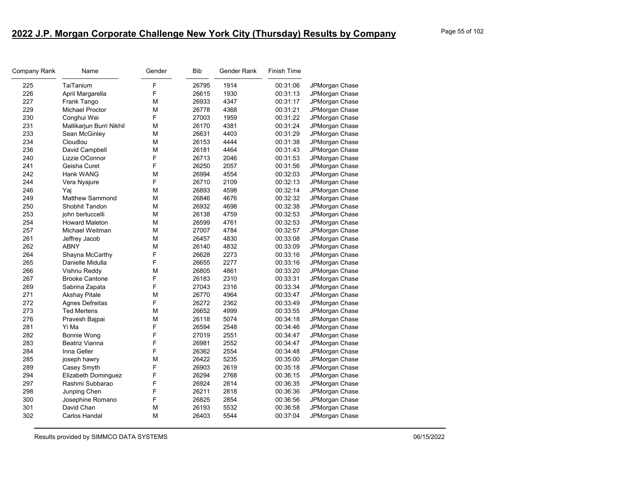| Company Rank | Name                     | Gender | Bib   | Gender Rank | <b>Finish Time</b> |                |
|--------------|--------------------------|--------|-------|-------------|--------------------|----------------|
| 225          | TaiTanium                | F      | 26795 | 1914        | 00:31:06           | JPMorgan Chase |
| 226          | April Margarella         | F      | 26615 | 1930        | 00:31:13           | JPMorgan Chase |
| 227          | Frank Tango              | М      | 26933 | 4347        | 00:31:17           | JPMorgan Chase |
| 229          | Michael Proctor          | M      | 26778 | 4368        | 00:31:21           | JPMorgan Chase |
| 230          | Conghui Wei              | F      | 27003 | 1959        | 00:31:22           | JPMorgan Chase |
| 231          | Mallikarjun Burri Nikhil | M      | 26170 | 4381        | 00:31:24           | JPMorgan Chase |
| 233          | Sean McGinley            | M      | 26631 | 4403        | 00:31:29           | JPMorgan Chase |
| 234          | Cloudlou                 | M      | 26153 | 4444        | 00:31:38           | JPMorgan Chase |
| 236          | David Campbell           | M      | 26181 | 4464        | 00:31:43           | JPMorgan Chase |
| 240          | Lizzie OConnor           | F      | 26713 | 2046        | 00:31:53           | JPMorgan Chase |
| 241          | Geisha Curet             | F      | 26250 | 2057        | 00:31:56           | JPMorgan Chase |
| 242          | Hank WANG                | M      | 26994 | 4554        | 00:32:03           | JPMorgan Chase |
| 244          | Vera Nyajure             | F      | 26710 | 2109        | 00:32:13           | JPMorgan Chase |
| 246          | Yaj                      | M      | 26893 | 4598        | 00:32:14           | JPMorgan Chase |
| 249          | <b>Matthew Sammond</b>   | М      | 26846 | 4676        | 00:32:32           | JPMorgan Chase |
| 250          | Shobhit Tandon           | М      | 26932 | 4698        | 00:32:38           | JPMorgan Chase |
| 253          | john bertuccelli         | M      | 26138 | 4759        | 00:32:53           | JPMorgan Chase |
| 254          | <b>Howard Maleton</b>    | M      | 26599 | 4761        | 00:32:53           | JPMorgan Chase |
| 257          | Michael Weitman          | M      | 27007 | 4784        | 00:32:57           | JPMorgan Chase |
| 261          | Jeffrey Jacob            | М      | 26457 | 4830        | 00:33:08           | JPMorgan Chase |
| 262          | <b>ABNY</b>              | M      | 26140 | 4832        | 00:33:09           | JPMorgan Chase |
| 264          | Shayna McCarthy          | F      | 26628 | 2273        | 00:33:16           | JPMorgan Chase |
| 265          | Danielle Midulla         | F      | 26655 | 2277        | 00:33:16           | JPMorgan Chase |
| 266          | Vishnu Reddy             | M      | 26805 | 4861        | 00:33:20           | JPMorgan Chase |
| 267          | <b>Brooke Cantone</b>    | F      | 26183 | 2310        | 00:33:31           | JPMorgan Chase |
| 269          | Sabrina Zapata           | F      | 27043 | 2316        | 00:33:34           | JPMorgan Chase |
| 271          | <b>Akshay Pitale</b>     | M      | 26770 | 4964        | 00:33:47           | JPMorgan Chase |
| 272          | Agnes Defreitas          | F      | 26272 | 2362        | 00:33:49           | JPMorgan Chase |
| 273          | <b>Ted Mertens</b>       | М      | 26652 | 4999        | 00:33:55           | JPMorgan Chase |
| 276          | Pravesh Bajpai           | M      | 26118 | 5074        | 00:34:18           | JPMorgan Chase |
| 281          | Yi Ma                    | F      | 26594 | 2548        | 00:34:46           | JPMorgan Chase |
| 282          | <b>Bonnie Wong</b>       | F      | 27019 | 2551        | 00:34:47           | JPMorgan Chase |
| 283          | Beatriz Vianna           | F      | 26981 | 2552        | 00:34:47           | JPMorgan Chase |
| 284          | Inna Geller              | F      | 26362 | 2554        | 00:34:48           | JPMorgan Chase |
| 285          | joseph hawry             | M      | 26422 | 5235        | 00:35:00           | JPMorgan Chase |
| 289          | Casey Smyth              | F      | 26903 | 2619        | 00:35:18           | JPMorgan Chase |
| 294          | Elizabeth Dominguez      | F      | 26294 | 2768        | 00:36:15           | JPMorgan Chase |
| 297          | Rashmi Subbarao          | F      | 26924 | 2814        | 00:36:35           | JPMorgan Chase |
| 298          | Junping Chen             | F      | 26211 | 2818        | 00:36:36           | JPMorgan Chase |
| 300          | Josephine Romano         | F      | 26825 | 2854        | 00:36:56           | JPMorgan Chase |
| 301          | David Chan               | M      | 26193 | 5532        | 00:36:58           | JPMorgan Chase |
| 302          | Carlos Handal            | M      | 26403 | 5544        | 00:37:04           | JPMorgan Chase |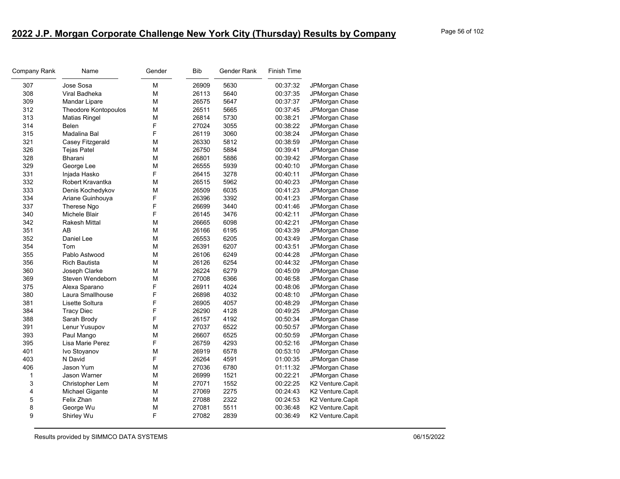| Company Rank | Name                        | Gender | <b>Bib</b> | Gender Rank | <b>Finish Time</b> |                  |
|--------------|-----------------------------|--------|------------|-------------|--------------------|------------------|
| 307          | Jose Sosa                   | M      | 26909      | 5630        | 00:37:32           | JPMorgan Chase   |
| 308          | Viral Badheka               | M      | 26113      | 5640        | 00:37:35           | JPMorgan Chase   |
| 309          | Mandar Lipare               | M      | 26575      | 5647        | 00:37:37           | JPMorgan Chase   |
| 312          | <b>Theodore Kontopoulos</b> | M      | 26511      | 5665        | 00:37:45           | JPMorgan Chase   |
| 313          | <b>Matias Ringel</b>        | M      | 26814      | 5730        | 00:38:21           | JPMorgan Chase   |
| 314          | Belen                       | F      | 27024      | 3055        | 00:38:22           | JPMorgan Chase   |
| 315          | Madalina Bal                | F      | 26119      | 3060        | 00:38:24           | JPMorgan Chase   |
| 321          | Casey Fitzgerald            | M      | 26330      | 5812        | 00:38:59           | JPMorgan Chase   |
| 326          | <b>Tejas Patel</b>          | M      | 26750      | 5884        | 00:39:41           | JPMorgan Chase   |
| 328          | <b>Bharani</b>              | M      | 26801      | 5886        | 00:39:42           | JPMorgan Chase   |
| 329          | George Lee                  | М      | 26555      | 5939        | 00:40:10           | JPMorgan Chase   |
| 331          | Injada Hasko                | F      | 26415      | 3278        | 00:40:11           | JPMorgan Chase   |
| 332          | Robert Kravantka            | M      | 26515      | 5962        | 00:40:23           | JPMorgan Chase   |
| 333          | Denis Kochedykov            | M      | 26509      | 6035        | 00:41:23           | JPMorgan Chase   |
| 334          | Ariane Guinhouya            | F      | 26396      | 3392        | 00:41:23           | JPMorgan Chase   |
| 337          | Therese Ngo                 | F      | 26699      | 3440        | 00:41:46           | JPMorgan Chase   |
| 340          | Michele Blair               | F      | 26145      | 3476        | 00:42:11           | JPMorgan Chase   |
| 342          | Rakesh Mittal               | М      | 26665      | 6098        | 00:42:21           | JPMorgan Chase   |
| 351          | AB                          | M      | 26166      | 6195        | 00:43:39           | JPMorgan Chase   |
| 352          | Daniel Lee                  | M      | 26553      | 6205        | 00:43:49           | JPMorgan Chase   |
| 354          | Tom                         | M      | 26391      | 6207        | 00:43:51           | JPMorgan Chase   |
| 355          | Pablo Astwood               | M      | 26106      | 6249        | 00:44:28           | JPMorgan Chase   |
| 356          | <b>Rich Bautista</b>        | М      | 26126      | 6254        | 00:44:32           | JPMorgan Chase   |
| 360          | Joseph Clarke               | M      | 26224      | 6279        | 00:45:09           | JPMorgan Chase   |
| 369          | Steven Wendeborn            | M      | 27008      | 6366        | 00:46:58           | JPMorgan Chase   |
| 375          | Alexa Sparano               | F      | 26911      | 4024        | 00:48:06           | JPMorgan Chase   |
| 380          | Laura Smallhouse            | F      | 26898      | 4032        | 00:48:10           | JPMorgan Chase   |
| 381          | Lisette Soltura             | F      | 26905      | 4057        | 00:48:29           | JPMorgan Chase   |
| 384          | <b>Tracy Diec</b>           | F      | 26290      | 4128        | 00:49:25           | JPMorgan Chase   |
| 388          | Sarah Brody                 | F      | 26157      | 4192        | 00:50:34           | JPMorgan Chase   |
| 391          | Lenur Yusupov               | М      | 27037      | 6522        | 00:50:57           | JPMorgan Chase   |
| 393          | Paul Mango                  | M      | 26607      | 6525        | 00:50:59           | JPMorgan Chase   |
| 395          | Lisa Marie Perez            | F      | 26759      | 4293        | 00:52:16           | JPMorgan Chase   |
| 401          | Ivo Stoyanov                | M      | 26919      | 6578        | 00:53:10           | JPMorgan Chase   |
| 403          | N David                     | F      | 26264      | 4591        | 01:00:35           | JPMorgan Chase   |
| 406          | Jason Yum                   | М      | 27036      | 6780        | 01:11:32           | JPMorgan Chase   |
| 1            | Jason Warner                | M      | 26999      | 1521        | 00:22:21           | JPMorgan Chase   |
| 3            | Christopher Lem             | M      | 27071      | 1552        | 00:22:25           | K2 Venture.Capit |
| 4            | <b>Michael Gigante</b>      | M      | 27069      | 2275        | 00:24:43           | K2 Venture.Capit |
| 5            | Felix Zhan                  | M      | 27088      | 2322        | 00:24:53           | K2 Venture.Capit |
| 8            | George Wu                   | М      | 27081      | 5511        | 00:36:48           | K2 Venture.Capit |
| 9            | Shirley Wu                  | F      | 27082      | 2839        | 00:36:49           | K2 Venture.Capit |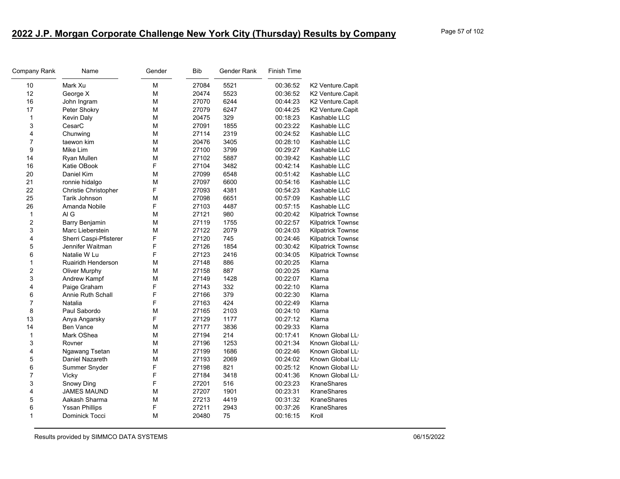| Company Rank   | Name                        | Gender | Bib   | Gender Rank | Finish Time |                    |
|----------------|-----------------------------|--------|-------|-------------|-------------|--------------------|
| 10             | Mark Xu                     | М      | 27084 | 5521        | 00:36:52    | K2 Venture.Capit   |
| 12             | George X                    | M      | 20474 | 5523        | 00:36:52    | K2 Venture.Capit   |
| 16             | John Ingram                 | M      | 27070 | 6244        | 00:44:23    | K2 Venture.Capit   |
| 17             | Peter Shokry                | М      | 27079 | 6247        | 00:44:25    | K2 Venture.Capit   |
| 1              | <b>Kevin Daly</b>           | М      | 20475 | 329         | 00:18:23    | Kashable LLC       |
| 3              | CesarC                      | М      | 27091 | 1855        | 00:23:22    | Kashable LLC       |
| 4              | Chunwing                    | М      | 27114 | 2319        | 00:24:52    | Kashable LLC       |
| $\overline{7}$ | taewon kim                  | M      | 20476 | 3405        | 00:28:10    | Kashable LLC       |
| 9              | Mike Lim                    | М      | 27100 | 3799        | 00:29:27    | Kashable LLC       |
| 14             | Ryan Mullen                 | М      | 27102 | 5887        | 00:39:42    | Kashable LLC       |
| 16             | Katie OBook                 | F      | 27104 | 3482        | 00:42:14    | Kashable LLC       |
| 20             | Daniel Kim                  | М      | 27099 | 6548        | 00:51:42    | Kashable LLC       |
| 21             | ronnie hidalgo              | М      | 27097 | 6600        | 00:54:16    | Kashable LLC       |
| 22             | <b>Christie Christopher</b> | F      | 27093 | 4381        | 00:54:23    | Kashable LLC       |
| 25             | Tarik Johnson               | M      | 27098 | 6651        | 00:57:09    | Kashable LLC       |
| 26             | Amanda Nobile               | F      | 27103 | 4487        | 00:57:15    | Kashable LLC       |
| 1              | AI G                        | М      | 27121 | 980         | 00:20:42    | Kilpatrick Townse  |
| $\overline{c}$ | Barry Benjamin              | М      | 27119 | 1755        | 00:22:57    | Kilpatrick Townse  |
| 3              | Marc Lieberstein            | М      | 27122 | 2079        | 00:24:03    | Kilpatrick Townse  |
| 4              | Sherri Caspi-Pfisterer      | F      | 27120 | 745         | 00:24:46    | Kilpatrick Townse  |
| 5              | Jennifer Waitman            | F      | 27126 | 1854        | 00:30:42    | Kilpatrick Townse  |
| 6              | Natalie W Lu                | F      | 27123 | 2416        | 00:34:05    | Kilpatrick Townse  |
| 1              | Ruairidh Henderson          | М      | 27148 | 886         | 00:20:25    | Klarna             |
| $\overline{c}$ | Oliver Murphy               | М      | 27158 | 887         | 00:20:25    | Klarna             |
| 3              | Andrew Kampf                | M      | 27149 | 1428        | 00:22:07    | Klarna             |
| 4              | Paige Graham                | F      | 27143 | 332         | 00:22:10    | Klarna             |
| 6              | Annie Ruth Schall           | F      | 27166 | 379         | 00:22:30    | Klarna             |
| $\overline{7}$ | Natalia                     | F      | 27163 | 424         | 00:22:49    | Klarna             |
| 8              | Paul Sabordo                | М      | 27165 | 2103        | 00:24:10    | Klarna             |
| 13             | Anya Angarsky               | F      | 27129 | 1177        | 00:27:12    | Klarna             |
| 14             | <b>Ben Vance</b>            | М      | 27177 | 3836        | 00:29:33    | Klarna             |
| 1              | Mark OShea                  | М      | 27194 | 214         | 00:17:41    | Known Global LL    |
| 3              | Rovner                      | М      | 27196 | 1253        | 00:21:34    | Known Global LL    |
| 4              | Ngawang Tsetan              | М      | 27199 | 1686        | 00:22:46    | Known Global LL    |
| 5              | Daniel Nazareth             | M      | 27193 | 2069        | 00:24:02    | Known Global LL    |
| 6              | Summer Snyder               | F      | 27198 | 821         | 00:25:12    | Known Global LL    |
| $\overline{7}$ | Vicky                       | F      | 27184 | 3418        | 00:41:36    | Known Global LL    |
| 3              | Snowy Ding                  | F      | 27201 | 516         | 00:23:23    | <b>KraneShares</b> |
| 4              | <b>JAMES MAUND</b>          | M      | 27207 | 1901        | 00:23:31    | <b>KraneShares</b> |
| 5              | Aakash Sharma               | М      | 27213 | 4419        | 00:31:32    | KraneShares        |
| 6              | <b>Yssan Phillips</b>       | F      | 27211 | 2943        | 00:37:26    | KraneShares        |
| $\mathbf{1}$   | Dominick Tocci              | М      | 20480 | 75          | 00:16:15    | Kroll              |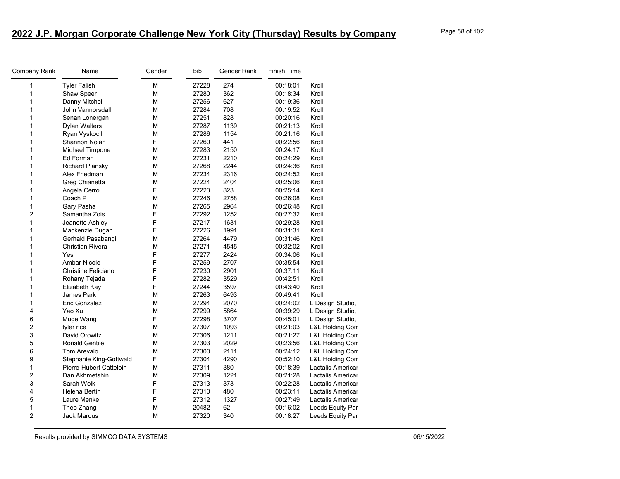| Company Rank   | Name                       | Gender | Bib   | Gender Rank | <b>Finish Time</b> |                   |
|----------------|----------------------------|--------|-------|-------------|--------------------|-------------------|
| 1              | <b>Tyler Falish</b>        | М      | 27228 | 274         | 00:18:01           | Kroll             |
| 1              | Shaw Speer                 | M      | 27280 | 362         | 00:18:34           | Kroll             |
| 1              | Danny Mitchell             | M      | 27256 | 627         | 00:19:36           | Kroll             |
| 1              | John Vannorsdall           | M      | 27284 | 708         | 00:19:52           | Kroll             |
| 1              | Senan Lonergan             | M      | 27251 | 828         | 00:20:16           | Kroll             |
| 1              | <b>Dylan Walters</b>       | M      | 27287 | 1139        | 00:21:13           | Kroll             |
| 1              | Ryan Vyskocil              | M      | 27286 | 1154        | 00:21:16           | Kroll             |
| 1              | Shannon Nolan              | F      | 27260 | 441         | 00:22:56           | Kroll             |
| 1              | Michael Timpone            | М      | 27283 | 2150        | 00:24:17           | Kroll             |
| 1              | Ed Forman                  | M      | 27231 | 2210        | 00:24:29           | Kroll             |
| 1              | <b>Richard Plansky</b>     | М      | 27268 | 2244        | 00:24:36           | Kroll             |
| 1              | Alex Friedman              | M      | 27234 | 2316        | 00:24:52           | Kroll             |
| 1              | Greg Chianetta             | М      | 27224 | 2404        | 00:25:06           | Kroll             |
| 1              | Angela Cerro               | F      | 27223 | 823         | 00:25:14           | Kroll             |
| 1              | Coach P                    | M      | 27246 | 2758        | 00:26:08           | Kroll             |
| 1              | Gary Pasha                 | М      | 27265 | 2964        | 00:26:48           | Kroll             |
| $\overline{c}$ | Samantha Zois              | F      | 27292 | 1252        | 00:27:32           | Kroll             |
| 1              | Jeanette Ashley            | F      | 27217 | 1631        | 00:29:28           | Kroll             |
| 1              | Mackenzie Dugan            | F      | 27226 | 1991        | 00:31:31           | Kroll             |
| 1              | Gerhald Pasabangi          | M      | 27264 | 4479        | 00:31:46           | Kroll             |
| 1              | Christian Rivera           | М      | 27271 | 4545        | 00:32:02           | Kroll             |
| 1              | Yes                        | F      | 27277 | 2424        | 00:34:06           | Kroll             |
| 1              | <b>Ambar Nicole</b>        | F      | 27259 | 2707        | 00:35:54           | Kroll             |
| 1              | <b>Christine Feliciano</b> | F      | 27230 | 2901        | 00:37:11           | Kroll             |
| 1              | Rohany Tejada              | F      | 27282 | 3529        | 00:42:51           | Kroll             |
| 1              | Elizabeth Kay              | F      | 27244 | 3597        | 00:43:40           | Kroll             |
| 1              | James Park                 | M      | 27263 | 6493        | 00:49:41           | Kroll             |
| 1              | Eric Gonzalez              | М      | 27294 | 2070        | 00:24:02           | L Design Studio,  |
| 4              | Yao Xu                     | M      | 27299 | 5864        | 00:39:29           | L Design Studio,  |
| 6              | Muge Wang                  | F      | 27298 | 3707        | 00:45:01           | L Design Studio,  |
| $\overline{c}$ | tyler rice                 | М      | 27307 | 1093        | 00:21:03           | L&L Holding Com   |
| 3              | David Orowitz              | M      | 27306 | 1211        | 00:21:27           | L&L Holding Com   |
| 5              | <b>Ronald Gentile</b>      | M      | 27303 | 2029        | 00:23:56           | L&L Holding Com   |
| 6              | Tom Arevalo                | M      | 27300 | 2111        | 00:24:12           | L&L Holding Com   |
| 9              | Stephanie King-Gottwald    | F      | 27304 | 4290        | 00:52:10           | L&L Holding Com   |
| 1              | Pierre-Hubert Catteloin    | М      | 27311 | 380         | 00:18:39           | Lactalis Americar |
| $\overline{c}$ | Dan Akhmetshin             | M      | 27309 | 1221        | 00:21:28           | Lactalis Americar |
| 3              | Sarah Wolk                 | F      | 27313 | 373         | 00:22:28           | Lactalis Americar |
| 4              | Helena Bertin              | F      | 27310 | 480         | 00:23:11           | Lactalis Americar |
| 5              | Laure Menke                | F      | 27312 | 1327        | 00:27:49           | Lactalis Americar |
| 1              | Theo Zhang                 | M      | 20482 | 62          | 00:16:02           | Leeds Equity Par  |
| $\overline{c}$ | <b>Jack Marous</b>         | M      | 27320 | 340         | 00:18:27           | Leeds Equity Par  |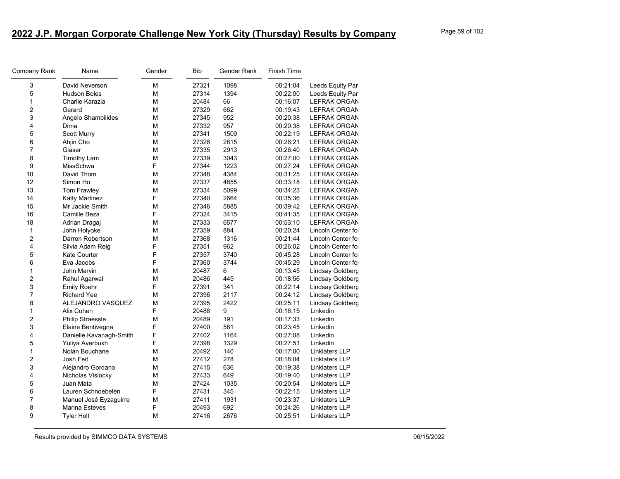| Company Rank            | Name                    | Gender | <b>Bib</b> | Gender Rank | <b>Finish Time</b> |                     |
|-------------------------|-------------------------|--------|------------|-------------|--------------------|---------------------|
| 3                       | David Neverson          | М      | 27321      | 1098        | 00:21:04           | Leeds Equity Par    |
| 5                       | <b>Hudson Boles</b>     | M      | 27314      | 1394        | 00:22:00           | Leeds Equity Par    |
| $\mathbf{1}$            | Charlie Karazia         | M      | 20484      | 66          | 00:16:07           | LEFRAK ORGAN        |
| $\overline{c}$          | Gerard                  | M      | 27329      | 662         | 00:19:43           | LEFRAK ORGAN        |
| 3                       | Angelo Shambilides      | М      | 27345      | 952         | 00:20:38           | LEFRAK ORGAN        |
| 4                       | Dima                    | M      | 27332      | 957         | 00:20:38           | LEFRAK ORGAN        |
| 5                       | Scott Murry             | M      | 27341      | 1509        | 00:22:19           | LEFRAK ORGAN        |
| 6                       | Ahjin Cho               | M      | 27326      | 2815        | 00:26:21           | LEFRAK ORGAN        |
| $\overline{7}$          | Glaser                  | М      | 27335      | 2913        | 00:26:40           | LEFRAK ORGAN        |
| 8                       | <b>Timothy Lam</b>      | M      | 27339      | 3043        | 00:27:00           | LEFRAK ORGAN        |
| 9                       | MissSchwa               | F      | 27344      | 1223        | 00:27:24           | LEFRAK ORGAN        |
| 10                      | David Thom              | M      | 27348      | 4384        | 00:31:25           | <b>LEFRAK ORGAN</b> |
| 12                      | Simon Ho                | М      | 27337      | 4855        | 00:33:18           | LEFRAK ORGAN        |
| 13                      | Tom Frawley             | M      | 27334      | 5099        | 00:34:23           | LEFRAK ORGAN        |
| 14                      | <b>Katty Martinez</b>   | F      | 27340      | 2664        | 00:35:36           | <b>LEFRAK ORGAN</b> |
| 15                      | Mr Jackie Smith         | M      | 27346      | 5885        | 00:39:42           | <b>LEFRAK ORGAN</b> |
| 16                      | Camille Beza            | F      | 27324      | 3415        | 00:41:35           | LEFRAK ORGAN        |
| 18                      | Adrian Dragaj           | М      | 27333      | 6577        | 00:53:10           | LEFRAK ORGAN        |
| $\mathbf{1}$            | John Holyoke            | M      | 27359      | 884         | 00:20:24           | Lincoln Center for  |
| 2                       | Darren Robertson        | M      | 27368      | 1316        | 00:21:44           | Lincoln Center for  |
| 4                       | Silvia Adam Reig        | F      | 27351      | 962         | 00:26:02           | Lincoln Center for  |
| 5                       | <b>Kate Courter</b>     | F      | 27357      | 3740        | 00:45:28           | Lincoln Center for  |
| 6                       | Eva Jacobs              | F      | 27360      | 3744        | 00:45:29           | Lincoln Center for  |
| $\mathbf{1}$            | John Marvin             | M      | 20487      | 6           | 00:13:45           | Lindsay Goldberg    |
| 2                       | Rahul Agarwal           | M      | 20486      | 445         | 00:18:56           | Lindsay Goldberg    |
| 3                       | <b>Emily Roehr</b>      | F      | 27391      | 341         | 00:22:14           | Lindsay Goldberg    |
| $\overline{7}$          | <b>Richard Yee</b>      | M      | 27396      | 2117        | 00:24:12           | Lindsay Goldberg    |
| 8                       | ALEJANDRO VASQUEZ       | M      | 27395      | 2422        | 00:25:11           | Lindsay Goldberg    |
| 1                       | Alix Cohen              | F      | 20488      | 9           | 00:16:15           | Linkedin            |
| $\overline{\mathbf{c}}$ | <b>Philip Straessle</b> | M      | 20489      | 191         | 00:17:33           | Linkedin            |
| 3                       | Elaine Bentivegna       | F      | 27400      | 581         | 00:23:45           | Linkedin            |
| 4                       | Danielle Kavanagh-Smith | F      | 27402      | 1164        | 00:27:08           | Linkedin            |
| 5                       | Yuliya Averbukh         | F      | 27398      | 1329        | 00:27:51           | Linkedin            |
| $\mathbf{1}$            | Nolan Bouchane          | M      | 20492      | 140         | 00:17:00           | Linklaters LLP      |
| 2                       | Josh Feit               | М      | 27412      | 278         | 00:18:04           | Linklaters LLP      |
| 3                       | Alejandro Gordano       | M      | 27415      | 636         | 00:19:38           | Linklaters LLP      |
| 4                       | Nicholas Vislocky       | M      | 27433      | 649         | 00:19:40           | Linklaters LLP      |
| 5                       | Juan Mata               | M      | 27424      | 1035        | 00:20:54           | Linklaters LLP      |
| 6                       | Lauren Schnoebelen      | F      | 27431      | 345         | 00:22:15           | Linklaters LLP      |
| 7                       | Manuel José Eyzaguirre  | M      | 27411      | 1931        | 00:23:37           | Linklaters LLP      |
| 8                       | <b>Marina Esteves</b>   | F      | 20493      | 692         | 00:24:26           | Linklaters LLP      |
| 9                       | <b>Tyler Holt</b>       | M      | 27416      | 2676        | 00:25:51           | Linklaters LLP      |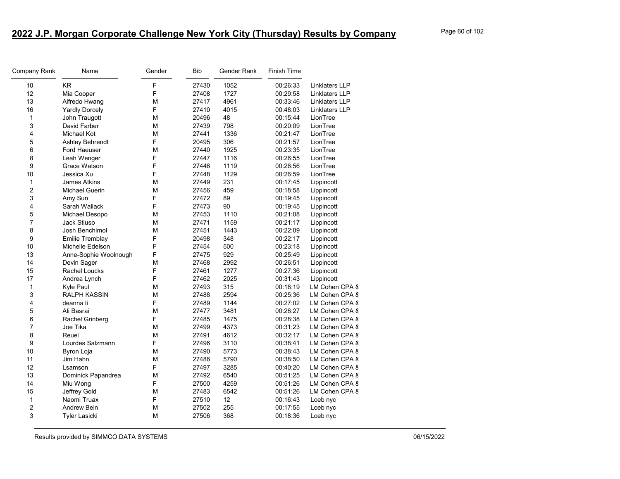| Company Rank   | Name                  | Gender | <b>Bib</b> | Gender Rank | <b>Finish Time</b> |                       |
|----------------|-----------------------|--------|------------|-------------|--------------------|-----------------------|
| 10             | KR                    | F      | 27430      | 1052        | 00:26:33           | Linklaters LLP        |
| 12             | Mia Cooper            | F      | 27408      | 1727        | 00:29:58           | <b>Linklaters LLP</b> |
| 13             | Alfredo Hwang         | М      | 27417      | 4961        | 00:33:46           | Linklaters LLP        |
| 16             | <b>Yardly Dorcely</b> | F      | 27410      | 4015        | 00:48:03           | Linklaters LLP        |
| $\mathbf{1}$   | John Traugott         | M      | 20496      | 48          | 00:15:44           | LionTree              |
| 3              | David Farber          | М      | 27439      | 798         | 00:20:09           | LionTree              |
| 4              | <b>Michael Kot</b>    | M      | 27441      | 1336        | 00:21:47           | LionTree              |
| 5              | Ashley Behrendt       | F      | 20495      | 306         | 00:21:57           | LionTree              |
| 6              | Ford Haeuser          | М      | 27440      | 1925        | 00:23:35           | LionTree              |
| 8              | Leah Wenger           | F      | 27447      | 1116        | 00:26:55           | LionTree              |
| 9              | Grace Watson          | F      | 27446      | 1119        | 00:26:56           | LionTree              |
| 10             | Jessica Xu            | F      | 27448      | 1129        | 00:26:59           | LionTree              |
| $\mathbf{1}$   | <b>James Atkins</b>   | М      | 27449      | 231         | 00:17:45           | Lippincott            |
| $\overline{2}$ | <b>Michael Guerin</b> | M      | 27456      | 459         | 00:18:58           | Lippincott            |
| 3              | Amy Sun               | F      | 27472      | 89          | 00:19:45           | Lippincott            |
| 4              | Sarah Wallack         | F      | 27473      | 90          | 00:19:45           | Lippincott            |
| 5              | Michael Desopo        | М      | 27453      | 1110        | 00:21:08           | Lippincott            |
| $\overline{7}$ | Jack Stiuso           | M      | 27471      | 1159        | 00:21:17           | Lippincott            |
| 8              | Josh Benchimol        | M      | 27451      | 1443        | 00:22:09           | Lippincott            |
| 9              | Emilie Tremblay       | F      | 20498      | 348         | 00:22:17           | Lippincott            |
| 10             | Michelle Edelson      | F      | 27454      | 500         | 00:23:18           | Lippincott            |
| 13             | Anne-Sophie Woolnough | F      | 27475      | 929         | 00:25:49           | Lippincott            |
| 14             | Devin Sager           | M      | 27468      | 2992        | 00:26:51           | Lippincott            |
| 15             | Rachel Loucks         | F      | 27461      | 1277        | 00:27:36           | Lippincott            |
| 17             | Andrea Lynch          | F      | 27462      | 2025        | 00:31:43           | Lippincott            |
| $\mathbf{1}$   | Kyle Paul             | М      | 27493      | 315         | 00:18:19           | LM Cohen CPA 8        |
| 3              | <b>RALPH KASSIN</b>   | М      | 27488      | 2594        | 00:25:36           | LM Cohen CPA 8        |
| 4              | deanna li             | F      | 27489      | 1144        | 00:27:02           | LM Cohen CPA 8        |
| 5              | Ali Basrai            | М      | 27477      | 3481        | 00:28:27           | LM Cohen CPA 8        |
| 6              | Rachel Grinberg       | F      | 27485      | 1475        | 00:28:38           | LM Cohen CPA 8        |
| $\overline{7}$ | Joe Tika              | М      | 27499      | 4373        | 00:31:23           | LM Cohen CPA 8        |
| 8              | Reuel                 | M      | 27491      | 4612        | 00:32:17           | LM Cohen CPA 8        |
| 9              | Lourdes Salzmann      | F      | 27496      | 3110        | 00:38:41           | LM Cohen CPA 8        |
| 10             | Byron Loja            | M      | 27490      | 5773        | 00:38:43           | LM Cohen CPA 8        |
| 11             | Jim Hahn              | M      | 27486      | 5790        | 00:38:50           | LM Cohen CPA 8        |
| 12             | Lsamson               | F      | 27497      | 3285        | 00:40:20           | LM Cohen CPA 8        |
| 13             | Dominick Papandrea    | M      | 27492      | 6540        | 00:51:25           | LM Cohen CPA 8        |
| 14             | Miu Wong              | F      | 27500      | 4259        | 00:51:26           | LM Cohen CPA 8        |
| 15             | Jeffrey Gold          | М      | 27483      | 6542        | 00:51:26           | LM Cohen CPA 8        |
| 1              | Naomi Truax           | F      | 27510      | 12          | 00:16:43           | Loeb nyc              |
| 2              | <b>Andrew Bein</b>    | М      | 27502      | 255         | 00:17:55           | Loeb nyc              |
| 3              | <b>Tyler Lasicki</b>  | М      | 27506      | 368         | 00:18:36           | Loeb nyc              |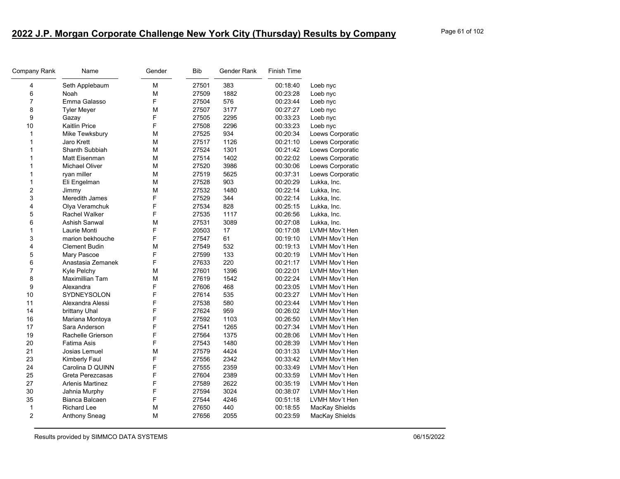| Company Rank            | Name                    | Gender | <b>Bib</b> | Gender Rank | Finish Time |                  |
|-------------------------|-------------------------|--------|------------|-------------|-------------|------------------|
| 4                       | Seth Applebaum          | M      | 27501      | 383         | 00:18:40    | Loeb nyc         |
| 6                       | Noah                    | M      | 27509      | 1882        | 00:23:28    | Loeb nyc         |
| $\overline{7}$          | Emma Galasso            | F      | 27504      | 576         | 00:23:44    | Loeb nyc         |
| 8                       | <b>Tyler Meyer</b>      | M      | 27507      | 3177        | 00:27:27    | Loeb nyc         |
| 9                       | Gazay                   | F      | 27505      | 2295        | 00:33:23    | Loeb nyc         |
| 10                      | <b>Kaitlin Price</b>    | F      | 27508      | 2296        | 00:33:23    | Loeb nyc         |
| $\mathbf{1}$            | Mike Tewksbury          | M      | 27525      | 934         | 00:20:34    | Loews Corporatic |
| $\mathbf{1}$            | Jaro Krett              | М      | 27517      | 1126        | 00:21:10    | Loews Corporatic |
| $\mathbf{1}$            | Shanth Subbiah          | M      | 27524      | 1301        | 00:21:42    | Loews Corporatic |
| $\mathbf{1}$            | Matt Eisenman           | М      | 27514      | 1402        | 00:22:02    | Loews Corporatic |
| $\mathbf{1}$            | <b>Michael Oliver</b>   | M      | 27520      | 3986        | 00:30:06    | Loews Corporatic |
| $\mathbf{1}$            | ryan miller             | М      | 27519      | 5625        | 00:37:31    | Loews Corporatic |
| 1                       | Eli Engelman            | M      | 27528      | 903         | 00:20:29    | Lukka, Inc.      |
| $\boldsymbol{2}$        | Jimmy                   | M      | 27532      | 1480        | 00:22:14    | Lukka, Inc.      |
| $\mathsf 3$             | <b>Meredith James</b>   | F      | 27529      | 344         | 00:22:14    | Lukka, Inc.      |
| 4                       | Olya Veramchuk          | F      | 27534      | 828         | 00:25:15    | Lukka, Inc.      |
| 5                       | Rachel Walker           | F      | 27535      | 1117        | 00:26:56    | Lukka, Inc.      |
| 6                       | Ashish Sanwal           | M      | 27531      | 3089        | 00:27:08    | Lukka, Inc.      |
| $\mathbf{1}$            | Laurie Monti            | F      | 20503      | 17          | 00:17:08    | LVMH Mov't Hen   |
| 3                       | marion bekhouche        | F      | 27547      | 61          | 00:19:10    | LVMH Mov't Hen   |
| $\overline{\mathbf{4}}$ | <b>Clement Budin</b>    | M      | 27549      | 532         | 00:19:13    | LVMH Mov't Hen   |
| 5                       | Mary Pascoe             | F      | 27599      | 133         | 00:20:19    | LVMH Mov't Hen   |
| 6                       | Anastasia Zemanek       | F      | 27633      | 220         | 00:21:17    | LVMH Mov't Hen   |
| $\overline{7}$          | Kyle Pelchy             | М      | 27601      | 1396        | 00:22:01    | LVMH Mov't Hen   |
| 8                       | Maximillian Tam         | М      | 27619      | 1542        | 00:22:24    | LVMH Mov't Hen   |
| 9                       | Alexandra               | F      | 27606      | 468         | 00:23:05    | LVMH Mov't Hen   |
| 10                      | SYDNEYSOLON             | F      | 27614      | 535         | 00:23:27    | LVMH Mov't Hen   |
| 11                      | Alexandra Alessi        | F      | 27538      | 580         | 00:23:44    | LVMH Mov't Hen   |
| 14                      | brittany Uhal           | F      | 27624      | 959         | 00:26:02    | LVMH Mov't Hen   |
| 16                      | Mariana Montoya         | F      | 27592      | 1103        | 00:26:50    | LVMH Mov't Hen   |
| 17                      | Sara Anderson           | F      | 27541      | 1265        | 00:27:34    | LVMH Mov't Hen   |
| 19                      | Rachelle Grierson       | F      | 27564      | 1375        | 00:28:06    | LVMH Mov't Hen   |
| 20                      | Fatima Asis             | F      | 27543      | 1480        | 00:28:39    | LVMH Mov't Hen   |
| 21                      | Josias Lemuel           | M      | 27579      | 4424        | 00:31:33    | LVMH Mov't Hen   |
| 23                      | Kimberly Faul           | F      | 27556      | 2342        | 00:33:42    | LVMH Mov't Hen   |
| 24                      | Carolina D QUINN        | F      | 27555      | 2359        | 00:33:49    | LVMH Mov't Hen   |
| 25                      | Greta Perezcasas        | F      | 27604      | 2389        | 00:33:59    | LVMH Mov't Hen   |
| 27                      | <b>Arlenis Martinez</b> | F      | 27589      | 2622        | 00:35:19    | LVMH Mov't Hen   |
| 30                      | Jahnia Murphy           | F      | 27594      | 3024        | 00:38:07    | LVMH Mov't Hen   |
| 35                      | Bianca Balcaen          | F      | 27544      | 4246        | 00:51:18    | LVMH Mov't Hen   |
| $\mathbf{1}$            | Richard Lee             | M      | 27650      | 440         | 00:18:55    | MacKay Shields   |
| $\overline{2}$          | Anthony Sneag           | М      | 27656      | 2055        | 00:23:59    | MacKay Shields   |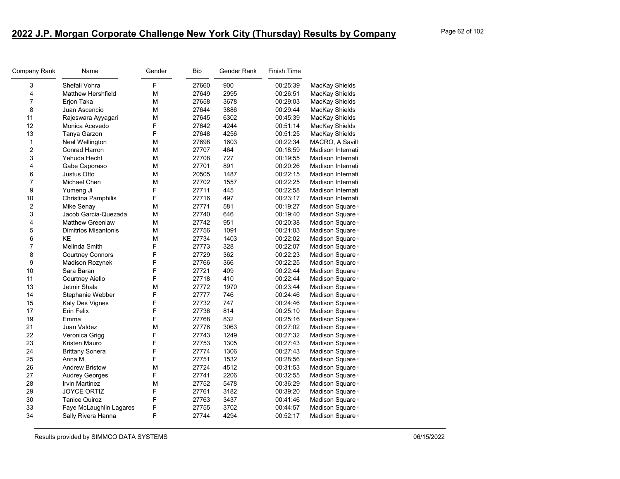| Company Rank     | Name                        | Gender | <b>Bib</b> | Gender Rank | <b>Finish Time</b> |                   |
|------------------|-----------------------------|--------|------------|-------------|--------------------|-------------------|
| 3                | Shefali Vohra               | F      | 27660      | 900         | 00:25:39           | MacKay Shields    |
| 4                | <b>Matthew Hershfield</b>   | М      | 27649      | 2995        | 00:26:51           | MacKay Shields    |
| $\overline{7}$   | Erion Taka                  | М      | 27658      | 3678        | 00:29:03           | MacKay Shields    |
| 8                | Juan Ascencio               | М      | 27644      | 3886        | 00:29:44           | MacKay Shields    |
| 11               | Rajeswara Ayyagari          | M      | 27645      | 6302        | 00:45:39           | MacKay Shields    |
| 12               | Monica Acevedo              | F      | 27642      | 4244        | 00:51:14           | MacKay Shields    |
| 13               | Tanya Garzon                | F      | 27648      | 4256        | 00:51:25           | MacKay Shields    |
| $\mathbf{1}$     | Neal Wellington             | М      | 27698      | 1603        | 00:22:34           | MACRO, A Savill   |
| $\overline{c}$   | Conrad Harron               | M      | 27707      | 464         | 00:18:59           | Madison Internati |
| 3                | Yehuda Hecht                | М      | 27708      | 727         | 00:19:55           | Madison Internati |
| 4                | Gabe Caporaso               | М      | 27701      | 891         | 00:20:26           | Madison Internati |
| 6                | Justus Otto                 | М      | 20505      | 1487        | 00:22:15           | Madison Internati |
| $\overline{7}$   | Michael Chen                | M      | 27702      | 1557        | 00:22:25           | Madison Internati |
| 9                | Yumeng Ji                   | F      | 27711      | 445         | 00:22:58           | Madison Internati |
| 10               | Christina Pamphilis         | F      | 27716      | 497         | 00:23:17           | Madison Internati |
| $\boldsymbol{2}$ | Mike Senay                  | М      | 27771      | 581         | 00:19:27           | Madison Square    |
| 3                | Jacob Garcia-Quezada        | M      | 27740      | 646         | 00:19:40           | Madison Square    |
| 4                | <b>Matthew Greenlaw</b>     | M      | 27742      | 951         | 00:20:38           | Madison Square    |
| 5                | <b>Dimitrios Misantonis</b> | M      | 27756      | 1091        | 00:21:03           | Madison Square    |
| 6                | <b>KE</b>                   | M      | 27734      | 1403        | 00:22:02           | Madison Square    |
| $\overline{7}$   | Melinda Smith               | F      | 27773      | 328         | 00:22:07           | Madison Square    |
| 8                | <b>Courtney Connors</b>     | F      | 27729      | 362         | 00:22:23           | Madison Square    |
| 9                | Madison Rozynek             | F      | 27766      | 366         | 00:22:25           | Madison Square    |
| 10               | Sara Baran                  | F      | 27721      | 409         | 00:22:44           | Madison Square    |
| 11               | Courtney Aiello             | F      | 27718      | 410         | 00:22:44           | Madison Square    |
| 13               | Jetmir Shala                | М      | 27772      | 1970        | 00:23:44           | Madison Square    |
| 14               | Stephanie Webber            | F      | 27777      | 746         | 00:24:46           | Madison Square    |
| 15               | Kaly Des Vignes             | F      | 27732      | 747         | 00:24:46           | Madison Square    |
| 17               | Erin Felix                  | F      | 27736      | 814         | 00:25:10           | Madison Square    |
| 19               | Emma                        | F      | 27768      | 832         | 00:25:16           | Madison Square    |
| 21               | Juan Valdez                 | M      | 27776      | 3063        | 00:27:02           | Madison Square    |
| 22               | Veronica Grigg              | F      | 27743      | 1249        | 00:27:32           | Madison Square    |
| 23               | Kristen Mauro               | F      | 27753      | 1305        | 00:27:43           | Madison Square    |
| 24               | <b>Brittany Sonera</b>      | F      | 27774      | 1306        | 00:27:43           | Madison Square    |
| 25               | Anna M.                     | F      | 27751      | 1532        | 00:28:56           | Madison Square    |
| 26               | <b>Andrew Bristow</b>       | M      | 27724      | 4512        | 00:31:53           | Madison Square    |
| 27               | <b>Audrey Georges</b>       | F      | 27741      | 2206        | 00:32:55           | Madison Square    |
| 28               | <b>Irvin Martinez</b>       | M      | 27752      | 5478        | 00:36:29           | Madison Square    |
| 29               | <b>JOYCE ORTIZ</b>          | F      | 27761      | 3182        | 00:39:20           | Madison Square    |
| 30               | <b>Tanice Quiroz</b>        | F      | 27763      | 3437        | 00:41:46           | Madison Square    |
| 33               | Faye McLaughlin Lagares     | F      | 27755      | 3702        | 00:44:57           | Madison Square    |
| 34               | Sally Rivera Hanna          | F      | 27744      | 4294        | 00:52:17           | Madison Square    |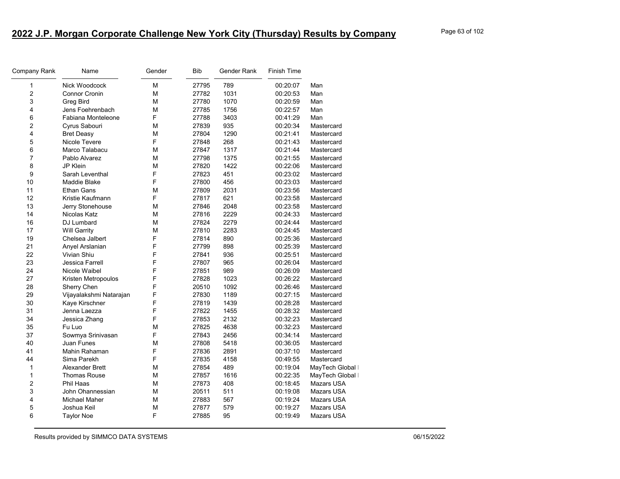| Company Rank   | Name                    | Gender | <b>Bib</b> | Gender Rank | Finish Time |                  |
|----------------|-------------------------|--------|------------|-------------|-------------|------------------|
| 1              | Nick Woodcock           | М      | 27795      | 789         | 00:20:07    | Man              |
| 2              | Connor Cronin           | M      | 27782      | 1031        | 00:20:53    | Man              |
| 3              | <b>Greg Bird</b>        | M      | 27780      | 1070        | 00:20:59    | Man              |
| 4              | Jens Foehrenbach        | М      | 27785      | 1756        | 00:22:57    | Man              |
| 6              | Fabiana Monteleone      | F      | 27788      | 3403        | 00:41:29    | Man              |
| 2              | Cyrus Sabouri           | M      | 27839      | 935         | 00:20:34    | Mastercard       |
| 4              | <b>Bret Deasy</b>       | M      | 27804      | 1290        | 00:21:41    | Mastercard       |
| 5              | Nicole Tevere           | F      | 27848      | 268         | 00:21:43    | Mastercard       |
| 6              | Marco Talabacu          | М      | 27847      | 1317        | 00:21:44    | Mastercard       |
| $\overline{7}$ | Pablo Alvarez           | M      | 27798      | 1375        | 00:21:55    | Mastercard       |
| 8              | JP Klein                | M      | 27820      | 1422        | 00:22:06    | Mastercard       |
| 9              | Sarah Leventhal         | F      | 27823      | 451         | 00:23:02    | Mastercard       |
| 10             | Maddie Blake            | F      | 27800      | 456         | 00:23:03    | Mastercard       |
| 11             | Ethan Gans              | M      | 27809      | 2031        | 00:23:56    | Mastercard       |
| 12             | Kristie Kaufmann        | F      | 27817      | 621         | 00:23:58    | Mastercard       |
| 13             | Jerry Stonehouse        | M      | 27846      | 2048        | 00:23:58    | Mastercard       |
| 14             | Nicolas Katz            | М      | 27816      | 2229        | 00:24:33    | Mastercard       |
| 16             | DJ Lumbard              | M      | 27824      | 2279        | 00:24:44    | Mastercard       |
| 17             | <b>Will Garrity</b>     | M      | 27810      | 2283        | 00:24:45    | Mastercard       |
| 19             | Chelsea Jalbert         | F      | 27814      | 890         | 00:25:36    | Mastercard       |
| 21             | Anyel Arslanian         | F      | 27799      | 898         | 00:25:39    | Mastercard       |
| 22             | Vivian Shiu             | F      | 27841      | 936         | 00:25:51    | Mastercard       |
| 23             | Jessica Farrell         | F      | 27807      | 965         | 00:26:04    | Mastercard       |
| 24             | Nicole Waibel           | F      | 27851      | 989         | 00:26:09    | Mastercard       |
| 27             | Kristen Metropoulos     | F      | 27828      | 1023        | 00:26:22    | Mastercard       |
| 28             | Sherry Chen             | F      | 20510      | 1092        | 00:26:46    | Mastercard       |
| 29             | Vijayalakshmi Natarajan | F      | 27830      | 1189        | 00:27:15    | Mastercard       |
| 30             | Kaye Kirschner          | F      | 27819      | 1439        | 00:28:28    | Mastercard       |
| 31             | Jenna Laezza            | F      | 27822      | 1455        | 00:28:32    | Mastercard       |
| 34             | Jessica Zhang           | F      | 27853      | 2132        | 00:32:23    | Mastercard       |
| 35             | Fu Luo                  | M      | 27825      | 4638        | 00:32:23    | Mastercard       |
| 37             | Sowmya Srinivasan       | F      | 27843      | 2456        | 00:34:14    | Mastercard       |
| 40             | <b>Juan Funes</b>       | M      | 27808      | 5418        | 00:36:05    | Mastercard       |
| 41             | Mahin Rahaman           | F      | 27836      | 2891        | 00:37:10    | Mastercard       |
| 44             | Sima Parekh             | F      | 27835      | 4158        | 00:49:55    | Mastercard       |
| 1              | Alexander Brett         | М      | 27854      | 489         | 00:19:04    | MayTech Global ∣ |
| 1              | <b>Thomas Rouse</b>     | M      | 27857      | 1616        | 00:22:35    | MayTech Global   |
| 2              | Phil Haas               | М      | 27873      | 408         | 00:18:45    | Mazars USA       |
| 3              | John Ohannessian        | M      | 20511      | 511         | 00:19:08    | Mazars USA       |
| 4              | <b>Michael Maher</b>    | М      | 27883      | 567         | 00:19:24    | Mazars USA       |
| 5              | Joshua Keil             | M      | 27877      | 579         | 00:19:27    | Mazars USA       |
| 6              | Taylor Noe              | F      | 27885      | 95          | 00:19:49    | Mazars USA       |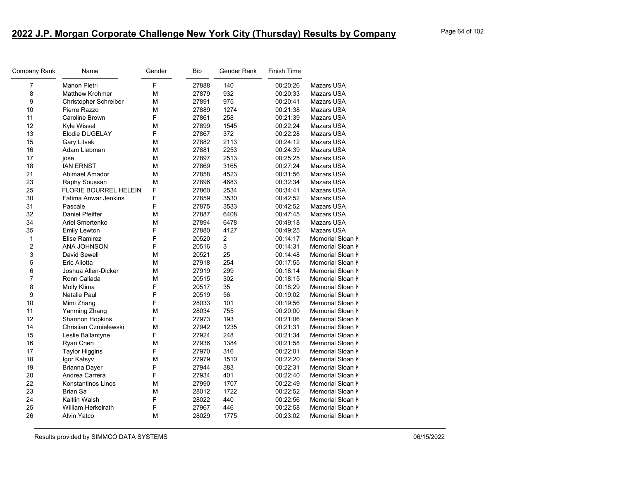| Company Rank   | Name                         | Gender | <b>Bib</b> | Gender Rank    | <b>Finish Time</b> |                   |
|----------------|------------------------------|--------|------------|----------------|--------------------|-------------------|
| 7              | Manon Pietri                 | F      | 27888      | 140            | 00:20:26           | Mazars USA        |
| 8              | <b>Matthew Krohmer</b>       | M      | 27879      | 932            | 00:20:33           | Mazars USA        |
| 9              | <b>Christopher Schreiber</b> | M      | 27891      | 975            | 00:20:41           | <b>Mazars USA</b> |
| 10             | Pierre Razzo                 | M      | 27889      | 1274           | 00:21:38           | Mazars USA        |
| 11             | Caroline Brown               | F      | 27861      | 258            | 00:21:39           | Mazars USA        |
| 12             | Kyle Wissel                  | M      | 27899      | 1545           | 00:22:24           | Mazars USA        |
| 13             | Elodie DUGELAY               | F      | 27867      | 372            | 00:22:28           | Mazars USA        |
| 15             | Gary Litvak                  | M      | 27882      | 2113           | 00:24:12           | <b>Mazars USA</b> |
| 16             | Adam Liebman                 | М      | 27881      | 2253           | 00:24:39           | <b>Mazars USA</b> |
| 17             | jose                         | М      | 27897      | 2513           | 00:25:25           | Mazars USA        |
| 18             | <b>IAN ERNST</b>             | M      | 27869      | 3165           | 00:27:24           | Mazars USA        |
| 21             | Abimael Amador               | M      | 27858      | 4523           | 00:31:56           | Mazars USA        |
| 23             | Raphy Soussan                | M      | 27896      | 4683           | 00:32:34           | Mazars USA        |
| 25             | <b>FLORIE BOURREL HELEIN</b> | F      | 27860      | 2534           | 00:34:41           | Mazars USA        |
| 30             | <b>Fatima Anwar Jenkins</b>  | F      | 27859      | 3530           | 00:42:52           | Mazars USA        |
| 31             | Pascale                      | F      | 27875      | 3533           | 00:42:52           | Mazars USA        |
| 32             | Daniel Pfeiffer              | M      | 27887      | 6408           | 00:47:45           | <b>Mazars USA</b> |
| 34             | Ariel Smertenko              | M      | 27894      | 6478           | 00:49:18           | Mazars USA        |
| 35             | <b>Emily Lewton</b>          | F      | 27880      | 4127           | 00:49:25           | <b>Mazars USA</b> |
| $\mathbf{1}$   | <b>Elise Ramirez</b>         | F      | 20520      | $\overline{2}$ | 00:14:17           | Memorial Sloan K  |
| $\overline{2}$ | ANA JOHNSON                  | F      | 20516      | 3              | 00:14:31           | Memorial Sloan K  |
| 3              | David Sewell                 | М      | 20521      | 25             | 00:14:48           | Memorial Sloan K  |
| 5              | Eric Aliotta                 | M      | 27918      | 254            | 00:17:55           | Memorial Sloan K  |
| 6              | Joshua Allen-Dicker          | M      | 27919      | 299            | 00:18:14           | Memorial Sloan K  |
| $\overline{7}$ | Ronn Callada                 | M      | 20515      | 302            | 00:18:15           | Memorial Sloan K  |
| 8              | Molly Klima                  | F      | 20517      | 35             | 00:18:29           | Memorial Sloan K  |
| 9              | <b>Natalie Paul</b>          | F      | 20519      | 56             | 00:19:02           | Memorial Sloan k  |
| 10             | Mimi Zhang                   | F      | 28033      | 101            | 00:19:56           | Memorial Sloan K  |
| 11             | Yanming Zhang                | М      | 28034      | 755            | 00:20:00           | Memorial Sloan K  |
| 12             | Shannon Hopkins              | F      | 27973      | 193            | 00:21:06           | Memorial Sloan K  |
| 14             | Christian Czmielewski        | M      | 27942      | 1235           | 00:21:31           | Memorial Sloan K  |
| 15             | Leslie Ballantyne            | F      | 27924      | 248            | 00:21:34           | Memorial Sloan K  |
| 16             | Ryan Chen                    | М      | 27936      | 1384           | 00:21:58           | Memorial Sloan K  |
| 17             | <b>Taylor Higgins</b>        | F      | 27970      | 316            | 00:22:01           | Memorial Sloan K  |
| 18             | Igor Katsyv                  | М      | 27979      | 1510           | 00:22:20           | Memorial Sloan K  |
| 19             | <b>Brianna Dayer</b>         | F      | 27944      | 383            | 00:22:31           | Memorial Sloan K  |
| 20             | Andrea Carrera               | F      | 27934      | 401            | 00:22:40           | Memorial Sloan k  |
| 22             | Konstantinos Linos           | М      | 27990      | 1707           | 00:22:49           | Memorial Sloan K  |
| 23             | <b>Brian Sa</b>              | M      | 28012      | 1722           | 00:22:52           | Memorial Sloan K  |
| 24             | Kaitlin Walsh                | F      | 28022      | 440            | 00:22:56           | Memorial Sloan K  |
| 25             | William Herkelrath           | F      | 27967      | 446            | 00:22:58           | Memorial Sloan K  |
| 26             | <b>Alvin Yatco</b>           | M      | 28029      | 1775           | 00:23:02           | Memorial Sloan K  |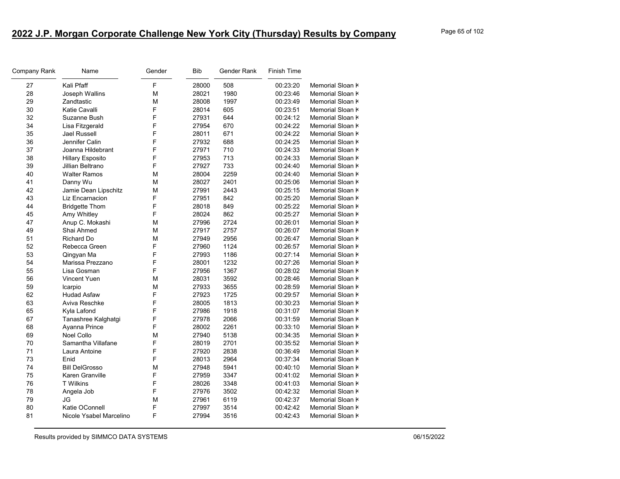| F<br>28000<br>27<br>Kali Pfaff<br>508<br>00:23:20<br>Memorial Sloan K<br>28<br>28021<br>1980<br>Joseph Wallins<br>М<br>00:23:46<br>Memorial Sloan K<br>29<br>Zandtastic<br>М<br>28008<br>1997<br>00:23:49<br>Memorial Sloan K<br>F<br>30<br>Katie Cavalli<br>28014<br>605<br>00:23:51<br>Memorial Sloan K<br>F<br>32<br>27931<br>644<br>00:24:12<br>Memorial Sloan K<br>Suzanne Bush<br>34<br>F<br>27954<br>Lisa Fitzgerald<br>670<br>00:24:22<br>Memorial Sloan k<br>F<br>35<br><b>Jael Russell</b><br>28011<br>671<br>00:24:22<br>Memorial Sloan K<br>F<br>36<br>Jennifer Calin<br>27932<br>688<br>00:24:25<br>Memorial Sloan K<br>F<br>37<br>27971<br>710<br>Joanna Hildebrant<br>00:24:33<br>Memorial Sloan K<br>F<br>38<br>713<br><b>Hillary Esposito</b><br>27953<br>00:24:33<br>Memorial Sloan K<br>F<br>733<br>39<br>27927<br>00:24:40<br>Memorial Sloan K<br>Jillian Beltrano<br>40<br>28004<br>2259<br><b>Walter Ramos</b><br>M<br>00:24:40<br>Memorial Sloan K<br>41<br>2401<br>Danny Wu<br>M<br>28027<br>00:25:06<br>Memorial Sloan K<br>42<br>M<br>27991<br>2443<br>Jamie Dean Lipschitz<br>00:25:15<br>Memorial Sloan K<br>43<br>F<br>27951<br>842<br>00:25:20<br>Memorial Sloan K<br>Liz Encarnacion<br>F<br>44<br>28018<br>849<br>00:25:22<br>Memorial Sloan K<br><b>Bridgette Thom</b><br>F<br>45<br>28024<br>862<br>Amy Whitley<br>00:25:27<br>Memorial Sloan K<br>47<br>27996<br>2724<br>Anup C. Mokashi<br>М<br>00:26:01<br>Memorial Sloan K<br>49<br>Shai Ahmed<br>М<br>27917<br>2757<br>Memorial Sloan K<br>00:26:07<br>51<br><b>Richard Do</b><br>M<br>27949<br>2956<br>00:26:47<br>Memorial Sloan K<br>F<br>52<br>27960<br>1124<br>Memorial Sloan K<br>Rebecca Green<br>00:26:57<br>F<br>53<br>27993<br>1186<br>00:27:14<br>Memorial Sloan K<br>Qingyan Ma<br>F<br>54<br>28001<br>00:27:26<br>Marissa Prezzano<br>1232<br>Memorial Sloan K<br>F<br>55<br>Lisa Gosman<br>27956<br>1367<br>00:28:02<br>Memorial Sloan K<br>56<br>28031<br>3592<br>00:28:46<br>Vincent Yuen<br>М<br>Memorial Sloan K<br>59<br>M<br>27933<br>3655<br>00:28:59<br>Memorial Sloan K<br>Icarpio<br>F<br>62<br>1725<br><b>Hudad Asfaw</b><br>27923<br>00:29:57<br>Memorial Sloan K<br>F<br>63<br>Aviva Reschke<br>28005<br>1813<br>00:30:23<br>Memorial Sloan K<br>F<br>65<br>27986<br>1918<br>Kyla Lafond<br>00:31:07<br>Memorial Sloan K<br>F<br>67<br>27978<br>2066<br>Tanashree Kalghatgi<br>00:31:59<br>Memorial Sloan K<br>F<br>68<br>28002<br>2261<br>Ayanna Prince<br>00:33:10<br>Memorial Sloan K<br>69<br><b>Noel Collo</b><br>27940<br>5138<br>М<br>00:34:35<br>Memorial Sloan K<br>F<br>70<br>Samantha Villafane<br>28019<br>2701<br>00:35:52<br>Memorial Sloan K<br>F<br>71<br>Laura Antoine<br>27920<br>2838<br>00:36:49<br>Memorial Sloan K<br>F<br>73<br>2964<br>Enid<br>28013<br>00:37:34<br>Memorial Sloan K<br>74<br><b>Bill DelGrosso</b><br>27948<br>5941<br>М<br>00:40:10<br>Memorial Sloan K<br>F<br>75<br>Karen Granville<br>27959<br>3347<br>Memorial Sloan K<br>00:41:02<br>F<br>76<br><b>T</b> Wilkins<br>28026<br>3348<br>00:41:03<br>Memorial Sloan K<br>78<br>F<br>27976<br>3502<br>00:42:32<br>Memorial Sloan k<br>Angela Job<br>79<br>M<br>JG<br>27961<br>6119<br>00:42:37<br>Memorial Sloan K<br>80<br>Katie OConnell<br>F<br>27997<br>3514<br>00:42:42<br>Memorial Sloan K<br>F<br>81<br>Nicole Ysabel Marcelino<br>27994<br>3516<br>00:42:43<br>Memorial Sloan K | Company Rank | Name | Gender | <b>Bib</b> | Gender Rank | <b>Finish Time</b> |  |
|-----------------------------------------------------------------------------------------------------------------------------------------------------------------------------------------------------------------------------------------------------------------------------------------------------------------------------------------------------------------------------------------------------------------------------------------------------------------------------------------------------------------------------------------------------------------------------------------------------------------------------------------------------------------------------------------------------------------------------------------------------------------------------------------------------------------------------------------------------------------------------------------------------------------------------------------------------------------------------------------------------------------------------------------------------------------------------------------------------------------------------------------------------------------------------------------------------------------------------------------------------------------------------------------------------------------------------------------------------------------------------------------------------------------------------------------------------------------------------------------------------------------------------------------------------------------------------------------------------------------------------------------------------------------------------------------------------------------------------------------------------------------------------------------------------------------------------------------------------------------------------------------------------------------------------------------------------------------------------------------------------------------------------------------------------------------------------------------------------------------------------------------------------------------------------------------------------------------------------------------------------------------------------------------------------------------------------------------------------------------------------------------------------------------------------------------------------------------------------------------------------------------------------------------------------------------------------------------------------------------------------------------------------------------------------------------------------------------------------------------------------------------------------------------------------------------------------------------------------------------------------------------------------------------------------------------------------------------------------------------------------------------------------------------------------------------------------------------------------------------------------------------------------------------------------------------------------------------------------------------------------------------------------------------------------------------------------------------------------------------------------------------------------|--------------|------|--------|------------|-------------|--------------------|--|
|                                                                                                                                                                                                                                                                                                                                                                                                                                                                                                                                                                                                                                                                                                                                                                                                                                                                                                                                                                                                                                                                                                                                                                                                                                                                                                                                                                                                                                                                                                                                                                                                                                                                                                                                                                                                                                                                                                                                                                                                                                                                                                                                                                                                                                                                                                                                                                                                                                                                                                                                                                                                                                                                                                                                                                                                                                                                                                                                                                                                                                                                                                                                                                                                                                                                                                                                                                                                     |              |      |        |            |             |                    |  |
|                                                                                                                                                                                                                                                                                                                                                                                                                                                                                                                                                                                                                                                                                                                                                                                                                                                                                                                                                                                                                                                                                                                                                                                                                                                                                                                                                                                                                                                                                                                                                                                                                                                                                                                                                                                                                                                                                                                                                                                                                                                                                                                                                                                                                                                                                                                                                                                                                                                                                                                                                                                                                                                                                                                                                                                                                                                                                                                                                                                                                                                                                                                                                                                                                                                                                                                                                                                                     |              |      |        |            |             |                    |  |
|                                                                                                                                                                                                                                                                                                                                                                                                                                                                                                                                                                                                                                                                                                                                                                                                                                                                                                                                                                                                                                                                                                                                                                                                                                                                                                                                                                                                                                                                                                                                                                                                                                                                                                                                                                                                                                                                                                                                                                                                                                                                                                                                                                                                                                                                                                                                                                                                                                                                                                                                                                                                                                                                                                                                                                                                                                                                                                                                                                                                                                                                                                                                                                                                                                                                                                                                                                                                     |              |      |        |            |             |                    |  |
|                                                                                                                                                                                                                                                                                                                                                                                                                                                                                                                                                                                                                                                                                                                                                                                                                                                                                                                                                                                                                                                                                                                                                                                                                                                                                                                                                                                                                                                                                                                                                                                                                                                                                                                                                                                                                                                                                                                                                                                                                                                                                                                                                                                                                                                                                                                                                                                                                                                                                                                                                                                                                                                                                                                                                                                                                                                                                                                                                                                                                                                                                                                                                                                                                                                                                                                                                                                                     |              |      |        |            |             |                    |  |
|                                                                                                                                                                                                                                                                                                                                                                                                                                                                                                                                                                                                                                                                                                                                                                                                                                                                                                                                                                                                                                                                                                                                                                                                                                                                                                                                                                                                                                                                                                                                                                                                                                                                                                                                                                                                                                                                                                                                                                                                                                                                                                                                                                                                                                                                                                                                                                                                                                                                                                                                                                                                                                                                                                                                                                                                                                                                                                                                                                                                                                                                                                                                                                                                                                                                                                                                                                                                     |              |      |        |            |             |                    |  |
|                                                                                                                                                                                                                                                                                                                                                                                                                                                                                                                                                                                                                                                                                                                                                                                                                                                                                                                                                                                                                                                                                                                                                                                                                                                                                                                                                                                                                                                                                                                                                                                                                                                                                                                                                                                                                                                                                                                                                                                                                                                                                                                                                                                                                                                                                                                                                                                                                                                                                                                                                                                                                                                                                                                                                                                                                                                                                                                                                                                                                                                                                                                                                                                                                                                                                                                                                                                                     |              |      |        |            |             |                    |  |
|                                                                                                                                                                                                                                                                                                                                                                                                                                                                                                                                                                                                                                                                                                                                                                                                                                                                                                                                                                                                                                                                                                                                                                                                                                                                                                                                                                                                                                                                                                                                                                                                                                                                                                                                                                                                                                                                                                                                                                                                                                                                                                                                                                                                                                                                                                                                                                                                                                                                                                                                                                                                                                                                                                                                                                                                                                                                                                                                                                                                                                                                                                                                                                                                                                                                                                                                                                                                     |              |      |        |            |             |                    |  |
|                                                                                                                                                                                                                                                                                                                                                                                                                                                                                                                                                                                                                                                                                                                                                                                                                                                                                                                                                                                                                                                                                                                                                                                                                                                                                                                                                                                                                                                                                                                                                                                                                                                                                                                                                                                                                                                                                                                                                                                                                                                                                                                                                                                                                                                                                                                                                                                                                                                                                                                                                                                                                                                                                                                                                                                                                                                                                                                                                                                                                                                                                                                                                                                                                                                                                                                                                                                                     |              |      |        |            |             |                    |  |
|                                                                                                                                                                                                                                                                                                                                                                                                                                                                                                                                                                                                                                                                                                                                                                                                                                                                                                                                                                                                                                                                                                                                                                                                                                                                                                                                                                                                                                                                                                                                                                                                                                                                                                                                                                                                                                                                                                                                                                                                                                                                                                                                                                                                                                                                                                                                                                                                                                                                                                                                                                                                                                                                                                                                                                                                                                                                                                                                                                                                                                                                                                                                                                                                                                                                                                                                                                                                     |              |      |        |            |             |                    |  |
|                                                                                                                                                                                                                                                                                                                                                                                                                                                                                                                                                                                                                                                                                                                                                                                                                                                                                                                                                                                                                                                                                                                                                                                                                                                                                                                                                                                                                                                                                                                                                                                                                                                                                                                                                                                                                                                                                                                                                                                                                                                                                                                                                                                                                                                                                                                                                                                                                                                                                                                                                                                                                                                                                                                                                                                                                                                                                                                                                                                                                                                                                                                                                                                                                                                                                                                                                                                                     |              |      |        |            |             |                    |  |
|                                                                                                                                                                                                                                                                                                                                                                                                                                                                                                                                                                                                                                                                                                                                                                                                                                                                                                                                                                                                                                                                                                                                                                                                                                                                                                                                                                                                                                                                                                                                                                                                                                                                                                                                                                                                                                                                                                                                                                                                                                                                                                                                                                                                                                                                                                                                                                                                                                                                                                                                                                                                                                                                                                                                                                                                                                                                                                                                                                                                                                                                                                                                                                                                                                                                                                                                                                                                     |              |      |        |            |             |                    |  |
|                                                                                                                                                                                                                                                                                                                                                                                                                                                                                                                                                                                                                                                                                                                                                                                                                                                                                                                                                                                                                                                                                                                                                                                                                                                                                                                                                                                                                                                                                                                                                                                                                                                                                                                                                                                                                                                                                                                                                                                                                                                                                                                                                                                                                                                                                                                                                                                                                                                                                                                                                                                                                                                                                                                                                                                                                                                                                                                                                                                                                                                                                                                                                                                                                                                                                                                                                                                                     |              |      |        |            |             |                    |  |
|                                                                                                                                                                                                                                                                                                                                                                                                                                                                                                                                                                                                                                                                                                                                                                                                                                                                                                                                                                                                                                                                                                                                                                                                                                                                                                                                                                                                                                                                                                                                                                                                                                                                                                                                                                                                                                                                                                                                                                                                                                                                                                                                                                                                                                                                                                                                                                                                                                                                                                                                                                                                                                                                                                                                                                                                                                                                                                                                                                                                                                                                                                                                                                                                                                                                                                                                                                                                     |              |      |        |            |             |                    |  |
|                                                                                                                                                                                                                                                                                                                                                                                                                                                                                                                                                                                                                                                                                                                                                                                                                                                                                                                                                                                                                                                                                                                                                                                                                                                                                                                                                                                                                                                                                                                                                                                                                                                                                                                                                                                                                                                                                                                                                                                                                                                                                                                                                                                                                                                                                                                                                                                                                                                                                                                                                                                                                                                                                                                                                                                                                                                                                                                                                                                                                                                                                                                                                                                                                                                                                                                                                                                                     |              |      |        |            |             |                    |  |
|                                                                                                                                                                                                                                                                                                                                                                                                                                                                                                                                                                                                                                                                                                                                                                                                                                                                                                                                                                                                                                                                                                                                                                                                                                                                                                                                                                                                                                                                                                                                                                                                                                                                                                                                                                                                                                                                                                                                                                                                                                                                                                                                                                                                                                                                                                                                                                                                                                                                                                                                                                                                                                                                                                                                                                                                                                                                                                                                                                                                                                                                                                                                                                                                                                                                                                                                                                                                     |              |      |        |            |             |                    |  |
|                                                                                                                                                                                                                                                                                                                                                                                                                                                                                                                                                                                                                                                                                                                                                                                                                                                                                                                                                                                                                                                                                                                                                                                                                                                                                                                                                                                                                                                                                                                                                                                                                                                                                                                                                                                                                                                                                                                                                                                                                                                                                                                                                                                                                                                                                                                                                                                                                                                                                                                                                                                                                                                                                                                                                                                                                                                                                                                                                                                                                                                                                                                                                                                                                                                                                                                                                                                                     |              |      |        |            |             |                    |  |
|                                                                                                                                                                                                                                                                                                                                                                                                                                                                                                                                                                                                                                                                                                                                                                                                                                                                                                                                                                                                                                                                                                                                                                                                                                                                                                                                                                                                                                                                                                                                                                                                                                                                                                                                                                                                                                                                                                                                                                                                                                                                                                                                                                                                                                                                                                                                                                                                                                                                                                                                                                                                                                                                                                                                                                                                                                                                                                                                                                                                                                                                                                                                                                                                                                                                                                                                                                                                     |              |      |        |            |             |                    |  |
|                                                                                                                                                                                                                                                                                                                                                                                                                                                                                                                                                                                                                                                                                                                                                                                                                                                                                                                                                                                                                                                                                                                                                                                                                                                                                                                                                                                                                                                                                                                                                                                                                                                                                                                                                                                                                                                                                                                                                                                                                                                                                                                                                                                                                                                                                                                                                                                                                                                                                                                                                                                                                                                                                                                                                                                                                                                                                                                                                                                                                                                                                                                                                                                                                                                                                                                                                                                                     |              |      |        |            |             |                    |  |
|                                                                                                                                                                                                                                                                                                                                                                                                                                                                                                                                                                                                                                                                                                                                                                                                                                                                                                                                                                                                                                                                                                                                                                                                                                                                                                                                                                                                                                                                                                                                                                                                                                                                                                                                                                                                                                                                                                                                                                                                                                                                                                                                                                                                                                                                                                                                                                                                                                                                                                                                                                                                                                                                                                                                                                                                                                                                                                                                                                                                                                                                                                                                                                                                                                                                                                                                                                                                     |              |      |        |            |             |                    |  |
|                                                                                                                                                                                                                                                                                                                                                                                                                                                                                                                                                                                                                                                                                                                                                                                                                                                                                                                                                                                                                                                                                                                                                                                                                                                                                                                                                                                                                                                                                                                                                                                                                                                                                                                                                                                                                                                                                                                                                                                                                                                                                                                                                                                                                                                                                                                                                                                                                                                                                                                                                                                                                                                                                                                                                                                                                                                                                                                                                                                                                                                                                                                                                                                                                                                                                                                                                                                                     |              |      |        |            |             |                    |  |
|                                                                                                                                                                                                                                                                                                                                                                                                                                                                                                                                                                                                                                                                                                                                                                                                                                                                                                                                                                                                                                                                                                                                                                                                                                                                                                                                                                                                                                                                                                                                                                                                                                                                                                                                                                                                                                                                                                                                                                                                                                                                                                                                                                                                                                                                                                                                                                                                                                                                                                                                                                                                                                                                                                                                                                                                                                                                                                                                                                                                                                                                                                                                                                                                                                                                                                                                                                                                     |              |      |        |            |             |                    |  |
|                                                                                                                                                                                                                                                                                                                                                                                                                                                                                                                                                                                                                                                                                                                                                                                                                                                                                                                                                                                                                                                                                                                                                                                                                                                                                                                                                                                                                                                                                                                                                                                                                                                                                                                                                                                                                                                                                                                                                                                                                                                                                                                                                                                                                                                                                                                                                                                                                                                                                                                                                                                                                                                                                                                                                                                                                                                                                                                                                                                                                                                                                                                                                                                                                                                                                                                                                                                                     |              |      |        |            |             |                    |  |
|                                                                                                                                                                                                                                                                                                                                                                                                                                                                                                                                                                                                                                                                                                                                                                                                                                                                                                                                                                                                                                                                                                                                                                                                                                                                                                                                                                                                                                                                                                                                                                                                                                                                                                                                                                                                                                                                                                                                                                                                                                                                                                                                                                                                                                                                                                                                                                                                                                                                                                                                                                                                                                                                                                                                                                                                                                                                                                                                                                                                                                                                                                                                                                                                                                                                                                                                                                                                     |              |      |        |            |             |                    |  |
|                                                                                                                                                                                                                                                                                                                                                                                                                                                                                                                                                                                                                                                                                                                                                                                                                                                                                                                                                                                                                                                                                                                                                                                                                                                                                                                                                                                                                                                                                                                                                                                                                                                                                                                                                                                                                                                                                                                                                                                                                                                                                                                                                                                                                                                                                                                                                                                                                                                                                                                                                                                                                                                                                                                                                                                                                                                                                                                                                                                                                                                                                                                                                                                                                                                                                                                                                                                                     |              |      |        |            |             |                    |  |
|                                                                                                                                                                                                                                                                                                                                                                                                                                                                                                                                                                                                                                                                                                                                                                                                                                                                                                                                                                                                                                                                                                                                                                                                                                                                                                                                                                                                                                                                                                                                                                                                                                                                                                                                                                                                                                                                                                                                                                                                                                                                                                                                                                                                                                                                                                                                                                                                                                                                                                                                                                                                                                                                                                                                                                                                                                                                                                                                                                                                                                                                                                                                                                                                                                                                                                                                                                                                     |              |      |        |            |             |                    |  |
|                                                                                                                                                                                                                                                                                                                                                                                                                                                                                                                                                                                                                                                                                                                                                                                                                                                                                                                                                                                                                                                                                                                                                                                                                                                                                                                                                                                                                                                                                                                                                                                                                                                                                                                                                                                                                                                                                                                                                                                                                                                                                                                                                                                                                                                                                                                                                                                                                                                                                                                                                                                                                                                                                                                                                                                                                                                                                                                                                                                                                                                                                                                                                                                                                                                                                                                                                                                                     |              |      |        |            |             |                    |  |
|                                                                                                                                                                                                                                                                                                                                                                                                                                                                                                                                                                                                                                                                                                                                                                                                                                                                                                                                                                                                                                                                                                                                                                                                                                                                                                                                                                                                                                                                                                                                                                                                                                                                                                                                                                                                                                                                                                                                                                                                                                                                                                                                                                                                                                                                                                                                                                                                                                                                                                                                                                                                                                                                                                                                                                                                                                                                                                                                                                                                                                                                                                                                                                                                                                                                                                                                                                                                     |              |      |        |            |             |                    |  |
|                                                                                                                                                                                                                                                                                                                                                                                                                                                                                                                                                                                                                                                                                                                                                                                                                                                                                                                                                                                                                                                                                                                                                                                                                                                                                                                                                                                                                                                                                                                                                                                                                                                                                                                                                                                                                                                                                                                                                                                                                                                                                                                                                                                                                                                                                                                                                                                                                                                                                                                                                                                                                                                                                                                                                                                                                                                                                                                                                                                                                                                                                                                                                                                                                                                                                                                                                                                                     |              |      |        |            |             |                    |  |
|                                                                                                                                                                                                                                                                                                                                                                                                                                                                                                                                                                                                                                                                                                                                                                                                                                                                                                                                                                                                                                                                                                                                                                                                                                                                                                                                                                                                                                                                                                                                                                                                                                                                                                                                                                                                                                                                                                                                                                                                                                                                                                                                                                                                                                                                                                                                                                                                                                                                                                                                                                                                                                                                                                                                                                                                                                                                                                                                                                                                                                                                                                                                                                                                                                                                                                                                                                                                     |              |      |        |            |             |                    |  |
|                                                                                                                                                                                                                                                                                                                                                                                                                                                                                                                                                                                                                                                                                                                                                                                                                                                                                                                                                                                                                                                                                                                                                                                                                                                                                                                                                                                                                                                                                                                                                                                                                                                                                                                                                                                                                                                                                                                                                                                                                                                                                                                                                                                                                                                                                                                                                                                                                                                                                                                                                                                                                                                                                                                                                                                                                                                                                                                                                                                                                                                                                                                                                                                                                                                                                                                                                                                                     |              |      |        |            |             |                    |  |
|                                                                                                                                                                                                                                                                                                                                                                                                                                                                                                                                                                                                                                                                                                                                                                                                                                                                                                                                                                                                                                                                                                                                                                                                                                                                                                                                                                                                                                                                                                                                                                                                                                                                                                                                                                                                                                                                                                                                                                                                                                                                                                                                                                                                                                                                                                                                                                                                                                                                                                                                                                                                                                                                                                                                                                                                                                                                                                                                                                                                                                                                                                                                                                                                                                                                                                                                                                                                     |              |      |        |            |             |                    |  |
|                                                                                                                                                                                                                                                                                                                                                                                                                                                                                                                                                                                                                                                                                                                                                                                                                                                                                                                                                                                                                                                                                                                                                                                                                                                                                                                                                                                                                                                                                                                                                                                                                                                                                                                                                                                                                                                                                                                                                                                                                                                                                                                                                                                                                                                                                                                                                                                                                                                                                                                                                                                                                                                                                                                                                                                                                                                                                                                                                                                                                                                                                                                                                                                                                                                                                                                                                                                                     |              |      |        |            |             |                    |  |
|                                                                                                                                                                                                                                                                                                                                                                                                                                                                                                                                                                                                                                                                                                                                                                                                                                                                                                                                                                                                                                                                                                                                                                                                                                                                                                                                                                                                                                                                                                                                                                                                                                                                                                                                                                                                                                                                                                                                                                                                                                                                                                                                                                                                                                                                                                                                                                                                                                                                                                                                                                                                                                                                                                                                                                                                                                                                                                                                                                                                                                                                                                                                                                                                                                                                                                                                                                                                     |              |      |        |            |             |                    |  |
|                                                                                                                                                                                                                                                                                                                                                                                                                                                                                                                                                                                                                                                                                                                                                                                                                                                                                                                                                                                                                                                                                                                                                                                                                                                                                                                                                                                                                                                                                                                                                                                                                                                                                                                                                                                                                                                                                                                                                                                                                                                                                                                                                                                                                                                                                                                                                                                                                                                                                                                                                                                                                                                                                                                                                                                                                                                                                                                                                                                                                                                                                                                                                                                                                                                                                                                                                                                                     |              |      |        |            |             |                    |  |
|                                                                                                                                                                                                                                                                                                                                                                                                                                                                                                                                                                                                                                                                                                                                                                                                                                                                                                                                                                                                                                                                                                                                                                                                                                                                                                                                                                                                                                                                                                                                                                                                                                                                                                                                                                                                                                                                                                                                                                                                                                                                                                                                                                                                                                                                                                                                                                                                                                                                                                                                                                                                                                                                                                                                                                                                                                                                                                                                                                                                                                                                                                                                                                                                                                                                                                                                                                                                     |              |      |        |            |             |                    |  |
|                                                                                                                                                                                                                                                                                                                                                                                                                                                                                                                                                                                                                                                                                                                                                                                                                                                                                                                                                                                                                                                                                                                                                                                                                                                                                                                                                                                                                                                                                                                                                                                                                                                                                                                                                                                                                                                                                                                                                                                                                                                                                                                                                                                                                                                                                                                                                                                                                                                                                                                                                                                                                                                                                                                                                                                                                                                                                                                                                                                                                                                                                                                                                                                                                                                                                                                                                                                                     |              |      |        |            |             |                    |  |
|                                                                                                                                                                                                                                                                                                                                                                                                                                                                                                                                                                                                                                                                                                                                                                                                                                                                                                                                                                                                                                                                                                                                                                                                                                                                                                                                                                                                                                                                                                                                                                                                                                                                                                                                                                                                                                                                                                                                                                                                                                                                                                                                                                                                                                                                                                                                                                                                                                                                                                                                                                                                                                                                                                                                                                                                                                                                                                                                                                                                                                                                                                                                                                                                                                                                                                                                                                                                     |              |      |        |            |             |                    |  |
|                                                                                                                                                                                                                                                                                                                                                                                                                                                                                                                                                                                                                                                                                                                                                                                                                                                                                                                                                                                                                                                                                                                                                                                                                                                                                                                                                                                                                                                                                                                                                                                                                                                                                                                                                                                                                                                                                                                                                                                                                                                                                                                                                                                                                                                                                                                                                                                                                                                                                                                                                                                                                                                                                                                                                                                                                                                                                                                                                                                                                                                                                                                                                                                                                                                                                                                                                                                                     |              |      |        |            |             |                    |  |
|                                                                                                                                                                                                                                                                                                                                                                                                                                                                                                                                                                                                                                                                                                                                                                                                                                                                                                                                                                                                                                                                                                                                                                                                                                                                                                                                                                                                                                                                                                                                                                                                                                                                                                                                                                                                                                                                                                                                                                                                                                                                                                                                                                                                                                                                                                                                                                                                                                                                                                                                                                                                                                                                                                                                                                                                                                                                                                                                                                                                                                                                                                                                                                                                                                                                                                                                                                                                     |              |      |        |            |             |                    |  |
|                                                                                                                                                                                                                                                                                                                                                                                                                                                                                                                                                                                                                                                                                                                                                                                                                                                                                                                                                                                                                                                                                                                                                                                                                                                                                                                                                                                                                                                                                                                                                                                                                                                                                                                                                                                                                                                                                                                                                                                                                                                                                                                                                                                                                                                                                                                                                                                                                                                                                                                                                                                                                                                                                                                                                                                                                                                                                                                                                                                                                                                                                                                                                                                                                                                                                                                                                                                                     |              |      |        |            |             |                    |  |
|                                                                                                                                                                                                                                                                                                                                                                                                                                                                                                                                                                                                                                                                                                                                                                                                                                                                                                                                                                                                                                                                                                                                                                                                                                                                                                                                                                                                                                                                                                                                                                                                                                                                                                                                                                                                                                                                                                                                                                                                                                                                                                                                                                                                                                                                                                                                                                                                                                                                                                                                                                                                                                                                                                                                                                                                                                                                                                                                                                                                                                                                                                                                                                                                                                                                                                                                                                                                     |              |      |        |            |             |                    |  |
|                                                                                                                                                                                                                                                                                                                                                                                                                                                                                                                                                                                                                                                                                                                                                                                                                                                                                                                                                                                                                                                                                                                                                                                                                                                                                                                                                                                                                                                                                                                                                                                                                                                                                                                                                                                                                                                                                                                                                                                                                                                                                                                                                                                                                                                                                                                                                                                                                                                                                                                                                                                                                                                                                                                                                                                                                                                                                                                                                                                                                                                                                                                                                                                                                                                                                                                                                                                                     |              |      |        |            |             |                    |  |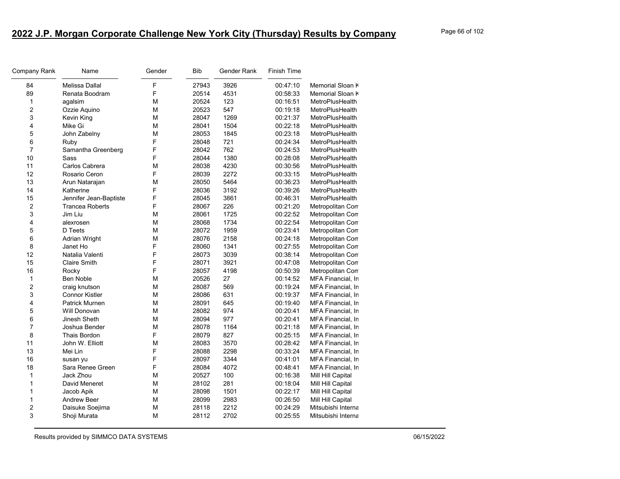| Company Rank     | Name                   | Gender | <b>Bib</b> | Gender Rank | Finish Time |                    |
|------------------|------------------------|--------|------------|-------------|-------------|--------------------|
| 84               | Melissa Dallal         | F      | 27943      | 3926        | 00:47:10    | Memorial Sloan K   |
| 89               | Renata Boodram         | F      | 20514      | 4531        | 00:58:33    | Memorial Sloan k   |
| $\mathbf{1}$     | agalsim                | М      | 20524      | 123         | 00:16:51    | MetroPlusHealth    |
| $\boldsymbol{2}$ | Ozzie Aquino           | M      | 20523      | 547         | 00:19:18    | MetroPlusHealth    |
| 3                | Kevin King             | М      | 28047      | 1269        | 00:21:37    | MetroPlusHealth    |
| 4                | Mike Gi                | М      | 28041      | 1504        | 00:22:18    | MetroPlusHealth    |
| 5                | John Zabelny           | M      | 28053      | 1845        | 00:23:18    | MetroPlusHealth    |
| $\,6$            | Ruby                   | F      | 28048      | 721         | 00:24:34    | MetroPlusHealth    |
| $\overline{7}$   | Samantha Greenberg     | F      | 28042      | 762         | 00:24:53    | MetroPlusHealth    |
| 10               | Sass                   | F      | 28044      | 1380        | 00:28:08    | MetroPlusHealth    |
| 11               | Carlos Cabrera         | М      | 28038      | 4230        | 00:30:56    | MetroPlusHealth    |
| 12               | Rosario Ceron          | F      | 28039      | 2272        | 00:33:15    | MetroPlusHealth    |
| 13               | Arun Natarajan         | M      | 28050      | 5464        | 00:36:23    | MetroPlusHealth    |
| 14               | Katherine              | F      | 28036      | 3192        | 00:39:26    | MetroPlusHealth    |
| 15               | Jennifer Jean-Baptiste | F      | 28045      | 3861        | 00:46:31    | MetroPlusHealth    |
| $\boldsymbol{2}$ | <b>Trancea Roberts</b> | F      | 28067      | 226         | 00:21:20    | Metropolitan Com   |
| 3                | Jim Liu                | M      | 28061      | 1725        | 00:22:52    | Metropolitan Com   |
| 4                | alexrosen              | М      | 28068      | 1734        | 00:22:54    | Metropolitan Com   |
| 5                | D Teets                | M      | 28072      | 1959        | 00:23:41    | Metropolitan Con   |
| 6                | Adrian Wright          | M      | 28076      | 2158        | 00:24:18    | Metropolitan Com   |
| 8                | Janet Ho               | F      | 28060      | 1341        | 00:27:55    | Metropolitan Com   |
| 12               | Natalia Valenti        | F      | 28073      | 3039        | 00:38:14    | Metropolitan Com   |
| 15               | <b>Claire Smith</b>    | F      | 28071      | 3921        | 00:47:08    | Metropolitan Com   |
| 16               | Rocky                  | F      | 28057      | 4198        | 00:50:39    | Metropolitan Con   |
| $\mathbf{1}$     | Ben Noble              | М      | 20526      | 27          | 00:14:52    | MFA Financial, In  |
| $\overline{c}$   | craig knutson          | M      | 28087      | 569         | 00:19:24    | MFA Financial, In  |
| 3                | <b>Connor Kistler</b>  | М      | 28086      | 631         | 00:19:37    | MFA Financial, In  |
| 4                | Patrick Murnen         | M      | 28091      | 645         | 00:19:40    | MFA Financial, In  |
| 5                | Will Donovan           | M      | 28082      | 974         | 00:20:41    | MFA Financial, In  |
| 6                | Jinesh Sheth           | М      | 28094      | 977         | 00:20:41    | MFA Financial, In  |
| $\overline{7}$   | Joshua Bender          | М      | 28078      | 1164        | 00:21:18    | MFA Financial, In  |
| 8                | <b>Thais Bordon</b>    | F      | 28079      | 827         | 00:25:15    | MFA Financial, In  |
| 11               | John W. Elliott        | М      | 28083      | 3570        | 00:28:42    | MFA Financial, In  |
| 13               | Mei Lin                | F      | 28088      | 2298        | 00:33:24    | MFA Financial, In  |
| 16               | susan yu               | F      | 28097      | 3344        | 00:41:01    | MFA Financial, In  |
| 18               | Sara Renee Green       | F      | 28084      | 4072        | 00:48:41    | MFA Financial, In  |
| $\mathbf{1}$     | Jack Zhou              | M      | 20527      | 100         | 00:16:38    | Mill Hill Capital  |
| 1                | David Meneret          | М      | 28102      | 281         | 00:18:04    | Mill Hill Capital  |
| 1                | Jacob Apik             | M      | 28098      | 1501        | 00:22:17    | Mill Hill Capital  |
| $\mathbf{1}$     | Andrew Beer            | M      | 28099      | 2983        | 00:26:50    | Mill Hill Capital  |
| 2                | Daisuke Soejima        | М      | 28118      | 2212        | 00:24:29    | Mitsubishi Interna |
| 3                | Shoji Murata           | M      | 28112      | 2702        | 00:25:55    | Mitsubishi Interna |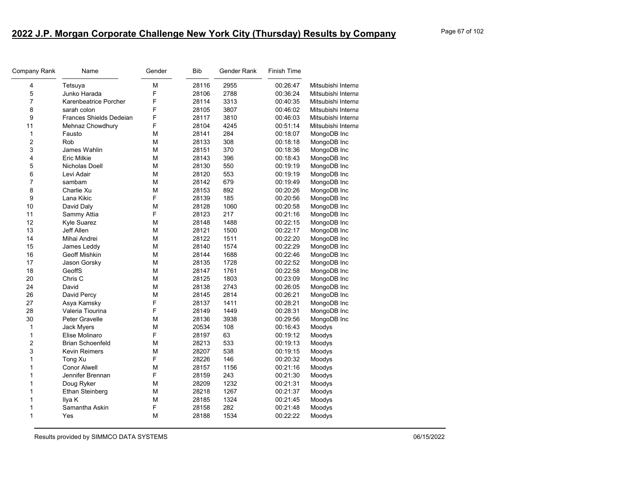| Company Rank   | Name                    | Gender | <b>Bib</b> | Gender Rank | Finish Time |                    |
|----------------|-------------------------|--------|------------|-------------|-------------|--------------------|
| 4              | Tetsuya                 | M      | 28116      | 2955        | 00:26:47    | Mitsubishi Interna |
| 5              | Junko Harada            | F      | 28106      | 2788        | 00:36:24    | Mitsubishi Interna |
| $\overline{7}$ | Karenbeatrice Porcher   | F      | 28114      | 3313        | 00:40:35    | Mitsubishi Interna |
| 8              | sarah colon             | F      | 28105      | 3807        | 00:46:02    | Mitsubishi Interna |
| 9              | Frances Shields Dedeian | F      | 28117      | 3810        | 00:46:03    | Mitsubishi Interna |
| 11             | Mehnaz Chowdhury        | F      | 28104      | 4245        | 00:51:14    | Mitsubishi Interna |
| $\mathbf{1}$   | Fausto                  | M      | 28141      | 284         | 00:18:07    | MongoDB Inc        |
| 2              | Rob                     | M      | 28133      | 308         | 00:18:18    | MongoDB Inc        |
| 3              | James Wahlin            | M      | 28151      | 370         | 00:18:36    | MongoDB Inc        |
| 4              | <b>Eric Milkie</b>      | M      | 28143      | 396         | 00:18:43    | MongoDB Inc        |
| 5              | Nicholas Doell          | М      | 28130      | 550         | 00:19:19    | MongoDB Inc        |
| 6              | Levi Adair              | М      | 28120      | 553         | 00:19:19    | MongoDB Inc        |
| $\overline{7}$ | sambam                  | M      | 28142      | 679         | 00:19:49    | MongoDB Inc        |
| 8              | Charlie Xu              | M      | 28153      | 892         | 00:20:26    | MongoDB Inc        |
| 9              | Lana Kikic              | F      | 28139      | 185         | 00:20:56    | MongoDB Inc        |
| 10             | David Daly              | M      | 28128      | 1060        | 00:20:58    | MongoDB Inc        |
| 11             | Sammy Attia             | F      | 28123      | 217         | 00:21:16    | MongoDB Inc        |
| 12             | Kyle Suarez             | M      | 28148      | 1488        | 00:22:15    | MongoDB Inc        |
| 13             | Jeff Allen              | M      | 28121      | 1500        | 00:22:17    | MongoDB Inc        |
| 14             | Mihai Andrei            | M      | 28122      | 1511        | 00:22:20    | MongoDB Inc        |
| 15             | James Leddy             | M      | 28140      | 1574        | 00:22:29    | MongoDB Inc        |
| 16             | <b>Geoff Mishkin</b>    | M      | 28144      | 1688        | 00:22:46    | MongoDB Inc        |
| 17             | Jason Gorsky            | М      | 28135      | 1728        | 00:22:52    | MongoDB Inc        |
| 18             | GeoffS                  | M      | 28147      | 1761        | 00:22:58    | MongoDB Inc        |
| 20             | Chris C                 | M      | 28125      | 1803        | 00:23:09    | MongoDB Inc        |
| 24             | David                   | M      | 28138      | 2743        | 00:26:05    | MongoDB Inc        |
| 26             | David Percy             | M      | 28145      | 2814        | 00:26:21    | MongoDB Inc        |
| 27             | Asya Kamsky             | F      | 28137      | 1411        | 00:28:21    | MongoDB Inc        |
| 28             | Valeria Tiourina        | F      | 28149      | 1449        | 00:28:31    | MongoDB Inc        |
| 30             | Peter Gravelle          | M      | 28136      | 3938        | 00:29:56    | MongoDB Inc        |
| 1              | Jack Myers              | M      | 20534      | 108         | 00:16:43    | Moodys             |
| $\mathbf{1}$   | Elise Molinaro          | F      | 28197      | 63          | 00:19:12    | Moodys             |
| $\overline{c}$ | <b>Brian Schoenfeld</b> | M      | 28213      | 533         | 00:19:13    | Moodys             |
| 3              | <b>Kevin Reimers</b>    | M      | 28207      | 538         | 00:19:15    | Moodys             |
| 1              | Tong Xu                 | F      | 28226      | 146         | 00:20:32    | Moodys             |
| 1              | <b>Conor Alwell</b>     | M      | 28157      | 1156        | 00:21:16    | Moodys             |
| 1              | Jennifer Brennan        | F      | 28159      | 243         | 00:21:30    | Moodys             |
| 1              | Doug Ryker              | M      | 28209      | 1232        | 00:21:31    | Moodys             |
| 1              | <b>Ethan Steinberg</b>  | M      | 28218      | 1267        | 00:21:37    | Moodys             |
| 1              | Ilya K                  | M      | 28185      | 1324        | 00:21:45    | Moodys             |
| 1              | Samantha Askin          | F      | 28158      | 282         | 00:21:48    | Moodys             |
| 1              | Yes                     | M      | 28188      | 1534        | 00:22:22    | Moodys             |
|                |                         |        |            |             |             |                    |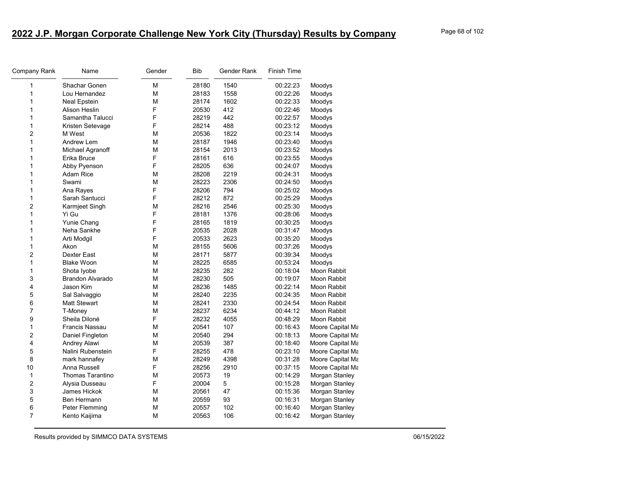| Company Rank            | Name                    | Gender | Bib   | Gender Rank | Finish Time |                  |
|-------------------------|-------------------------|--------|-------|-------------|-------------|------------------|
| 1                       | Shachar Gonen           | M      | 28180 | 1540        | 00:22:23    | Moodys           |
| 1                       | Lou Hernandez           | M      | 28183 | 1558        | 00:22:26    | Moodys           |
| 1                       | <b>Neal Epstein</b>     | M      | 28174 | 1602        | 00:22:33    | Moodys           |
| 1                       | <b>Alison Heslin</b>    | F      | 20530 | 412         | 00:22:46    | Moodys           |
| 1                       | Samantha Talucci        | F      | 28219 | 442         | 00:22:57    | Moodys           |
| 1                       | Kristen Setevage        | F      | 28214 | 488         | 00:23:12    | Moodys           |
| 2                       | M West                  | М      | 20536 | 1822        | 00:23:14    | Moodys           |
| 1                       | Andrew Lem              | M      | 28187 | 1946        | 00:23:40    | Moodys           |
| 1                       | Michael Agranoff        | M      | 28154 | 2013        | 00:23:52    | Moodys           |
| 1                       | Erika Bruce             | F      | 28161 | 616         | 00:23:55    | Moodys           |
| 1                       | Abby Pyenson            | F      | 28205 | 636         | 00:24:07    | Moodys           |
| 1                       | <b>Adam Rice</b>        | М      | 28208 | 2219        | 00:24:31    | Moodys           |
| 1                       | Swami                   | M      | 28223 | 2306        | 00:24:50    | Moodys           |
| 1                       | Ana Rayes               | F      | 28206 | 794         | 00:25:02    | Moodys           |
| 1                       | Sarah Santucci          | F      | 28212 | 872         | 00:25:29    | Moodys           |
| $\overline{c}$          | Karmjeet Singh          | M      | 28216 | 2546        | 00:25:30    | Moodys           |
| $\mathbf{1}$            | Yi Gu                   | F      | 28181 | 1376        | 00:28:06    | Moodys           |
| 1                       | Yunie Chang             | F      | 28165 | 1819        | 00:30:25    | Moodys           |
| 1                       | Neha Sankhe             | F      | 20535 | 2028        | 00:31:47    | Moodys           |
| 1                       | Arti Modgil             | F      | 20533 | 2623        | 00:35:20    | Moodys           |
| 1                       | Akon                    | М      | 28155 | 5606        | 00:37:26    | Moodys           |
| $\overline{c}$          | Dexter East             | M      | 28171 | 5877        | 00:39:34    | Moodys           |
| $\mathbf{1}$            | <b>Blake Woon</b>       | М      | 28225 | 6585        | 00:53:24    | Moodys           |
| 1                       | Shota Iyobe             | M      | 28235 | 282         | 00:18:04    | Moon Rabbit      |
| 3                       | Brandon Alvarado        | M      | 28230 | 505         | 00:19:07    | Moon Rabbit      |
| 4                       | Jason Kim               | М      | 28236 | 1485        | 00:22:14    | Moon Rabbit      |
| 5                       | Sal Salvaggio           | M      | 28240 | 2235        | 00:24:35    | Moon Rabbit      |
| 6                       | <b>Matt Stewart</b>     | М      | 28241 | 2330        | 00:24:54    | Moon Rabbit      |
| $\overline{7}$          | T-Money                 | M      | 28237 | 6234        | 00:44:12    | Moon Rabbit      |
| $\boldsymbol{9}$        | Sheila Diloné           | F      | 28232 | 4055        | 00:48:29    | Moon Rabbit      |
| 1                       | Francis Nassau          | M      | 20541 | 107         | 00:16:43    | Moore Capital Ma |
| 2                       | Daniel Fingleton        | M      | 20540 | 294         | 00:18:13    | Moore Capital Ma |
| 4                       | Andrey Alawi            | М      | 20539 | 387         | 00:18:40    | Moore Capital Ma |
| 5                       | Nalini Rubenstein       | F      | 28255 | 478         | 00:23:10    | Moore Capital Ma |
| 8                       | mark hannafey           | M      | 28249 | 4398        | 00:31:28    | Moore Capital Ma |
| 10                      | Anna Russell            | F      | 28256 | 2910        | 00:37:15    | Moore Capital Ma |
| $\mathbf{1}$            | <b>Thomas Tarantino</b> | M      | 20573 | 19          | 00:14:29    | Morgan Stanley   |
| $\overline{\mathbf{c}}$ | Alysia Dusseau          | F      | 20004 | 5           | 00:15:28    | Morgan Stanley   |
| 3                       | James Hickok            | M      | 20561 | 47          | 00:15:36    | Morgan Stanley   |
| 5                       | Ben Hermann             | M      | 20559 | 93          | 00:16:31    | Morgan Stanley   |
| 6                       | Peter Flemming          | M      | 20557 | 102         | 00:16:40    | Morgan Stanley   |
| $\overline{7}$          | Kento Kaijima           | M      | 20563 | 106         | 00:16:42    | Morgan Stanley   |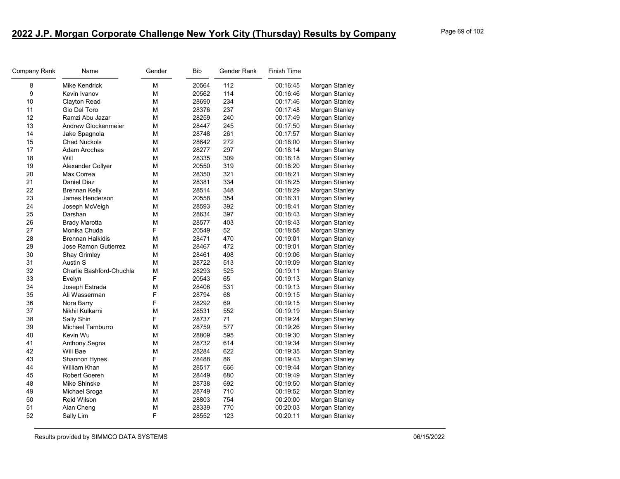| Company Rank     | Name                        | Gender | <b>Bib</b> | Gender Rank | <b>Finish Time</b> |                |
|------------------|-----------------------------|--------|------------|-------------|--------------------|----------------|
| 8                | Mike Kendrick               | М      | 20564      | 112         | 00:16:45           | Morgan Stanley |
| $\boldsymbol{9}$ | Kevin Ivanov                | М      | 20562      | 114         | 00:16:46           | Morgan Stanley |
| 10               | Clayton Read                | М      | 28690      | 234         | 00:17:46           | Morgan Stanley |
| 11               | Gio Del Toro                | М      | 28376      | 237         | 00:17:48           | Morgan Stanley |
| 12               | Ramzi Abu Jazar             | М      | 28259      | 240         | 00:17:49           | Morgan Stanley |
| 13               | Andrew Glockenmeier         | М      | 28447      | 245         | 00:17:50           | Morgan Stanley |
| 14               | Jake Spagnola               | м      | 28748      | 261         | 00:17:57           | Morgan Stanley |
| 15               | <b>Chad Nuckols</b>         | М      | 28642      | 272         | 00:18:00           | Morgan Stanley |
| 17               | Adam Arochas                | М      | 28277      | 297         | 00:18:14           | Morgan Stanley |
| 18               | Will                        | М      | 28335      | 309         | 00:18:18           | Morgan Stanley |
| 19               | Alexander Collyer           | М      | 20550      | 319         | 00:18:20           | Morgan Stanley |
| 20               | Max Correa                  | М      | 28350      | 321         | 00:18:21           | Morgan Stanley |
| 21               | Daniel Diaz                 | М      | 28381      | 334         | 00:18:25           | Morgan Stanley |
| 22               | <b>Brennan Kelly</b>        | М      | 28514      | 348         | 00:18:29           | Morgan Stanley |
| 23               | James Henderson             | М      | 20558      | 354         | 00:18:31           | Morgan Stanley |
| 24               | Joseph McVeigh              | М      | 28593      | 392         | 00:18:41           | Morgan Stanley |
| 25               | Darshan                     | М      | 28634      | 397         | 00:18:43           | Morgan Stanley |
| 26               | <b>Brady Marotta</b>        | М      | 28577      | 403         | 00:18:43           | Morgan Stanley |
| 27               | Monika Chuda                | F      | 20549      | 52          | 00:18:58           | Morgan Stanley |
| 28               | <b>Brennan Halkidis</b>     | М      | 28471      | 470         | 00:19:01           | Morgan Stanley |
| 29               | <b>Jose Ramon Gutierrez</b> | М      | 28467      | 472         | 00:19:01           | Morgan Stanley |
| 30               | <b>Shay Grimley</b>         | M      | 28461      | 498         | 00:19:06           | Morgan Stanley |
| 31               | Austin S                    | М      | 28722      | 513         | 00:19:09           | Morgan Stanley |
| 32               | Charlie Bashford-Chuchla    | M      | 28293      | 525         | 00:19:11           | Morgan Stanley |
| 33               | Evelyn                      | F      | 20543      | 65          | 00:19:13           | Morgan Stanley |
| 34               | Joseph Estrada              | М      | 28408      | 531         | 00:19:13           | Morgan Stanley |
| 35               | Ali Wasserman               | F      | 28794      | 68          | 00:19:15           | Morgan Stanley |
| 36               | Nora Barry                  | F      | 28292      | 69          | 00:19:15           | Morgan Stanley |
| 37               | Nikhil Kulkarni             | М      | 28531      | 552         | 00:19:19           | Morgan Stanley |
| 38               | Sally Shin                  | F      | 28737      | 71          | 00:19:24           | Morgan Stanley |
| 39               | Michael Tamburro            | М      | 28759      | 577         | 00:19:26           | Morgan Stanley |
| 40               | Kevin Wu                    | M      | 28809      | 595         | 00:19:30           | Morgan Stanley |
| 41               | Anthony Segna               | М      | 28732      | 614         | 00:19:34           | Morgan Stanley |
| 42               | Will Bae                    | M      | 28284      | 622         | 00:19:35           | Morgan Stanley |
| 43               | Shannon Hynes               | F      | 28488      | 86          | 00:19:43           | Morgan Stanley |
| 44               | William Khan                | М      | 28517      | 666         | 00:19:44           | Morgan Stanley |
| 45               | Robert Goeren               | М      | 28449      | 680         | 00:19:49           | Morgan Stanley |
| 48               | Mike Shinske                | М      | 28738      | 692         | 00:19:50           | Morgan Stanley |
| 49               | Michael Sroga               | М      | 28749      | 710         | 00:19:52           | Morgan Stanley |
| 50               | Reid Wilson                 | M      | 28803      | 754         | 00:20:00           | Morgan Stanley |
| 51               | Alan Cheng                  | М      | 28339      | 770         | 00:20:03           | Morgan Stanley |
| 52               | Sally Lim                   | F      | 28552      | 123         | 00:20:11           | Morgan Stanley |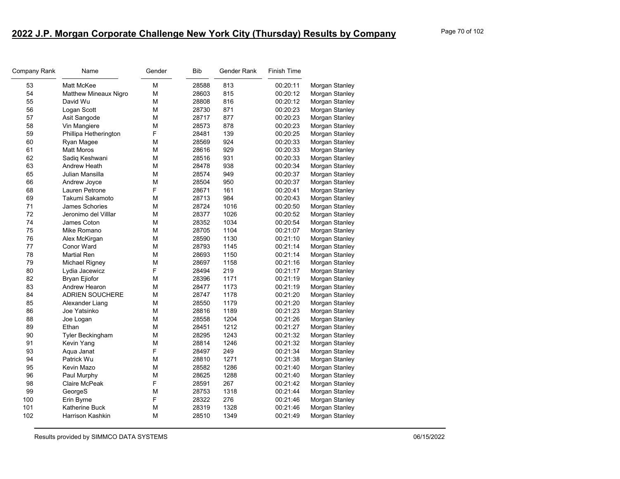| Company Rank | Name                   | Gender | <b>Bib</b> | Gender Rank | <b>Finish Time</b> |                |
|--------------|------------------------|--------|------------|-------------|--------------------|----------------|
| 53           | Matt McKee             | M      | 28588      | 813         | 00:20:11           | Morgan Stanley |
| 54           | Matthew Mineaux Nigro  | M      | 28603      | 815         | 00:20:12           | Morgan Stanley |
| 55           | David Wu               | M      | 28808      | 816         | 00:20:12           | Morgan Stanley |
| 56           | Logan Scott            | M      | 28730      | 871         | 00:20:23           | Morgan Stanley |
| 57           | Asit Sangode           | M      | 28717      | 877         | 00:20:23           | Morgan Stanley |
| 58           | Vin Mangiere           | M      | 28573      | 878         | 00:20:23           | Morgan Stanley |
| 59           | Phillipa Hetherington  | F      | 28481      | 139         | 00:20:25           | Morgan Stanley |
| 60           | Ryan Magee             | М      | 28569      | 924         | 00:20:33           | Morgan Stanley |
| 61           | <b>Matt Moros</b>      | M      | 28616      | 929         | 00:20:33           | Morgan Stanley |
| 62           | Sadiq Keshwani         | M      | 28516      | 931         | 00:20:33           | Morgan Stanley |
| 63           | Andrew Heath           | M      | 28478      | 938         | 00:20:34           | Morgan Stanley |
| 65           | Julian Mansilla        | M      | 28574      | 949         | 00:20:37           | Morgan Stanley |
| 66           | Andrew Joyce           | M      | 28504      | 950         | 00:20:37           | Morgan Stanley |
| 68           | Lauren Petrone         | F      | 28671      | 161         | 00:20:41           | Morgan Stanley |
| 69           | Takumi Sakamoto        | M      | 28713      | 984         | 00:20:43           | Morgan Stanley |
| 71           | James Schories         | М      | 28724      | 1016        | 00:20:50           | Morgan Stanley |
| 72           | Jeronimo del Villlar   | M      | 28377      | 1026        | 00:20:52           | Morgan Stanley |
| 74           | James Coton            | M      | 28352      | 1034        | 00:20:54           | Morgan Stanley |
| 75           | Mike Romano            | M      | 28705      | 1104        | 00:21:07           | Morgan Stanley |
| 76           | Alex McKirgan          | M      | 28590      | 1130        | 00:21:10           | Morgan Stanley |
| 77           | <b>Conor Ward</b>      | M      | 28793      | 1145        | 00:21:14           | Morgan Stanley |
| 78           | <b>Martial Ren</b>     | M      | 28693      | 1150        | 00:21:14           | Morgan Stanley |
| 79           | Michael Rigney         | M      | 28697      | 1158        | 00:21:16           | Morgan Stanley |
| 80           | Lydia Jacewicz         | F      | 28494      | 219         | 00:21:17           | Morgan Stanley |
| 82           | <b>Bryan Ejiofor</b>   | M      | 28396      | 1171        | 00:21:19           | Morgan Stanley |
| 83           | Andrew Hearon          | M      | 28477      | 1173        | 00:21:19           | Morgan Stanley |
| 84           | <b>ADRIEN SOUCHERE</b> | M      | 28747      | 1178        | 00:21:20           | Morgan Stanley |
| 85           | Alexander Liang        | M      | 28550      | 1179        | 00:21:20           | Morgan Stanley |
| 86           | Joe Yatsinko           | M      | 28816      | 1189        | 00:21:23           | Morgan Stanley |
| 88           | Joe Logan              | M      | 28558      | 1204        | 00:21:26           | Morgan Stanley |
| 89           | Ethan                  | M      | 28451      | 1212        | 00:21:27           | Morgan Stanley |
| 90           | Tyler Beckingham       | M      | 28295      | 1243        | 00:21:32           | Morgan Stanley |
| 91           | Kevin Yang             | M      | 28814      | 1246        | 00:21:32           | Morgan Stanley |
| 93           | Aqua Janat             | F      | 28497      | 249         | 00:21:34           | Morgan Stanley |
| 94           | Patrick Wu             | M      | 28810      | 1271        | 00:21:38           | Morgan Stanley |
| 95           | Kevin Mazo             | M      | 28582      | 1286        | 00:21:40           | Morgan Stanley |
| 96           | Paul Murphy            | М      | 28625      | 1288        | 00:21:40           | Morgan Stanley |
| 98           | Claire McPeak          | F      | 28591      | 267         | 00:21:42           | Morgan Stanley |
| 99           | GeorgeS                | M      | 28753      | 1318        | 00:21:44           | Morgan Stanley |
| 100          | Erin Byrne             | F      | 28322      | 276         | 00:21:46           | Morgan Stanley |
| 101          | Katherine Buck         | M      | 28319      | 1328        | 00:21:46           | Morgan Stanley |
| 102          | Harrison Kashkin       | M      | 28510      | 1349        | 00:21:49           | Morgan Stanley |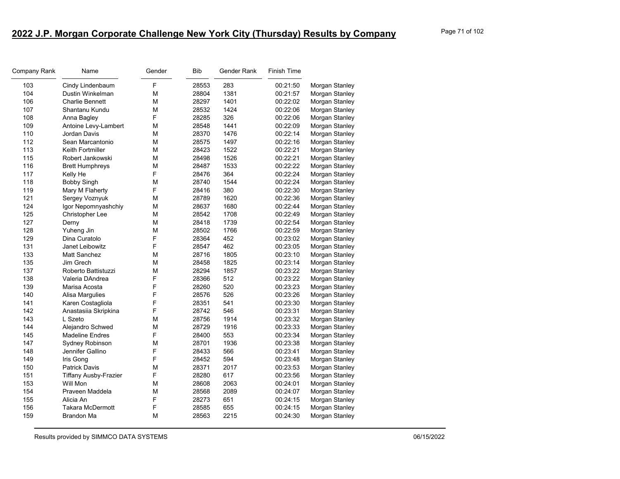| Company Rank | Name                         | Gender | <b>Bib</b> | Gender Rank | <b>Finish Time</b> |                |
|--------------|------------------------------|--------|------------|-------------|--------------------|----------------|
| 103          | Cindy Lindenbaum             | F      | 28553      | 283         | 00:21:50           | Morgan Stanley |
| 104          | Dustin Winkelman             | М      | 28804      | 1381        | 00:21:57           | Morgan Stanley |
| 106          | <b>Charlie Bennett</b>       | М      | 28297      | 1401        | 00:22:02           | Morgan Stanley |
| 107          | Shantanu Kundu               | М      | 28532      | 1424        | 00:22:06           | Morgan Stanley |
| 108          | Anna Bagley                  | F      | 28285      | 326         | 00:22:06           | Morgan Stanley |
| 109          | Antoine Levy-Lambert         | М      | 28548      | 1441        | 00:22:09           | Morgan Stanley |
| 110          | Jordan Davis                 | М      | 28370      | 1476        | 00:22:14           | Morgan Stanley |
| 112          | Sean Marcantonio             | М      | 28575      | 1497        | 00:22:16           | Morgan Stanley |
| 113          | Keith Fortmiller             | M      | 28423      | 1522        | 00:22:21           | Morgan Stanley |
| 115          | Robert Jankowski             | M      | 28498      | 1526        | 00:22:21           | Morgan Stanley |
| 116          | <b>Brett Humphreys</b>       | М      | 28487      | 1533        | 00:22:22           | Morgan Stanley |
| 117          | Kelly He                     | F      | 28476      | 364         | 00:22:24           | Morgan Stanley |
| 118          | <b>Bobby Singh</b>           | М      | 28740      | 1544        | 00:22:24           | Morgan Stanley |
| 119          | Mary M Flaherty              | F      | 28416      | 380         | 00:22:30           | Morgan Stanley |
| 121          | Sergey Voznyuk               | M      | 28789      | 1620        | 00:22:36           | Morgan Stanley |
| 124          | Igor Nepomnyashchiy          | M      | 28637      | 1680        | 00:22:44           | Morgan Stanley |
| 125          | Christopher Lee              | М      | 28542      | 1708        | 00:22:49           | Morgan Stanley |
| 127          | Derny                        | M      | 28418      | 1739        | 00:22:54           | Morgan Stanley |
| 128          | Yuheng Jin                   | M      | 28502      | 1766        | 00:22:59           | Morgan Stanley |
| 129          | Dina Curatolo                | F      | 28364      | 452         | 00:23:02           | Morgan Stanley |
| 131          | Janet Leibowitz              | F      | 28547      | 462         | 00:23:05           | Morgan Stanley |
| 133          | Matt Sanchez                 | М      | 28716      | 1805        | 00:23:10           | Morgan Stanley |
| 135          | Jim Grech                    | М      | 28458      | 1825        | 00:23:14           | Morgan Stanley |
| 137          | Roberto Battistuzzi          | M      | 28294      | 1857        | 00:23:22           | Morgan Stanley |
| 138          | Valeria DAndrea              | F      | 28366      | 512         | 00:23:22           | Morgan Stanley |
| 139          | Marisa Acosta                | F      | 28260      | 520         | 00:23:23           | Morgan Stanley |
| 140          | Alisa Margulies              | F      | 28576      | 526         | 00:23:26           | Morgan Stanley |
| 141          | Karen Costagliola            | F      | 28351      | 541         | 00:23:30           | Morgan Stanley |
| 142          | Anastasiia Skripkina         | F      | 28742      | 546         | 00:23:31           | Morgan Stanley |
| 143          | L Szeto                      | М      | 28756      | 1914        | 00:23:32           | Morgan Stanley |
| 144          | Alejandro Schwed             | М      | 28729      | 1916        | 00:23:33           | Morgan Stanley |
| 145          | <b>Madeline Endres</b>       | F      | 28400      | 553         | 00:23:34           | Morgan Stanley |
| 147          | Sydney Robinson              | М      | 28701      | 1936        | 00:23:38           | Morgan Stanley |
| 148          | Jennifer Gallino             | F      | 28433      | 566         | 00:23:41           | Morgan Stanley |
| 149          | Iris Gong                    | F      | 28452      | 594         | 00:23:48           | Morgan Stanley |
| 150          | <b>Patrick Davis</b>         | М      | 28371      | 2017        | 00:23:53           | Morgan Stanley |
| 151          | <b>Tiffany Ausby-Frazier</b> | F      | 28280      | 617         | 00:23:56           | Morgan Stanley |
| 153          | Will Mon                     | М      | 28608      | 2063        | 00:24:01           | Morgan Stanley |
| 154          | Praveen Maddela              | М      | 28568      | 2089        | 00:24:07           | Morgan Stanley |
| 155          | Alicia An                    | F      | 28273      | 651         | 00:24:15           | Morgan Stanley |
| 156          | Takara McDermott             | F      | 28585      | 655         | 00:24:15           | Morgan Stanley |
| 159          | <b>Brandon Ma</b>            | М      | 28563      | 2215        | 00:24:30           | Morgan Stanley |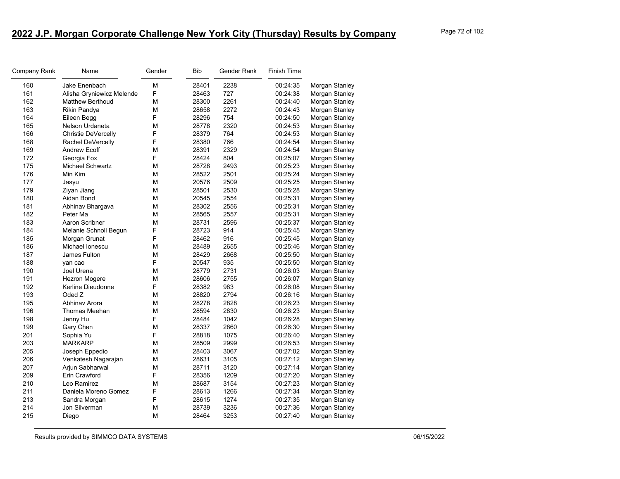| Page 72 of 102 |  |  |
|----------------|--|--|
|                |  |  |

| Company Rank | Name                      | Gender | <b>Bib</b> | Gender Rank | <b>Finish Time</b> |                |
|--------------|---------------------------|--------|------------|-------------|--------------------|----------------|
| 160          | Jake Enenbach             | M      | 28401      | 2238        | 00:24:35           | Morgan Stanley |
| 161          | Alisha Gryniewicz Melende | F      | 28463      | 727         | 00:24:38           | Morgan Stanley |
| 162          | Matthew Berthoud          | М      | 28300      | 2261        | 00:24:40           | Morgan Stanley |
| 163          | Rikin Pandya              | М      | 28658      | 2272        | 00:24:43           | Morgan Stanley |
| 164          | Eileen Begg               | F      | 28296      | 754         | 00:24:50           | Morgan Stanley |
| 165          | Nelson Urdaneta           | М      | 28778      | 2320        | 00:24:53           | Morgan Stanley |
| 166          | Christie DeVercelly       | F      | 28379      | 764         | 00:24:53           | Morgan Stanley |
| 168          | Rachel DeVercelly         | F      | 28380      | 766         | 00:24:54           | Morgan Stanley |
| 169          | <b>Andrew Ecoff</b>       | М      | 28391      | 2329        | 00:24:54           | Morgan Stanley |
| 172          | Georgia Fox               | F      | 28424      | 804         | 00:25:07           | Morgan Stanley |
| 175          | <b>Michael Schwartz</b>   | M      | 28728      | 2493        | 00:25:23           | Morgan Stanley |
| 176          | Min Kim                   | М      | 28522      | 2501        | 00:25:24           | Morgan Stanley |
| 177          | Jasyu                     | М      | 20576      | 2509        | 00:25:25           | Morgan Stanley |
| 179          | Ziyan Jiang               | М      | 28501      | 2530        | 00:25:28           | Morgan Stanley |
| 180          | Aidan Bond                | М      | 20545      | 2554        | 00:25:31           | Morgan Stanley |
| 181          | Abhinav Bhargava          | М      | 28302      | 2556        | 00:25:31           | Morgan Stanley |
| 182          | Peter Ma                  | M      | 28565      | 2557        | 00:25:31           | Morgan Stanley |
| 183          | Aaron Scribner            | М      | 28731      | 2596        | 00:25:37           | Morgan Stanley |
| 184          | Melanie Schnoll Begun     | F      | 28723      | 914         | 00:25:45           | Morgan Stanley |
| 185          | Morgan Grunat             | F      | 28462      | 916         | 00:25:45           | Morgan Stanley |
| 186          | Michael Ionescu           | М      | 28489      | 2655        | 00:25:46           | Morgan Stanley |
| 187          | James Fulton              | М      | 28429      | 2668        | 00:25:50           | Morgan Stanley |
| 188          | yan cao                   | F      | 20547      | 935         | 00:25:50           | Morgan Stanley |
| 190          | Joel Urena                | М      | 28779      | 2731        | 00:26:03           | Morgan Stanley |
| 191          | <b>Hezron Mogere</b>      | М      | 28606      | 2755        | 00:26:07           | Morgan Stanley |
| 192          | Kerline Dieudonne         | F      | 28382      | 983         | 00:26:08           | Morgan Stanley |
| 193          | Oded Z                    | М      | 28820      | 2794        | 00:26:16           | Morgan Stanley |
| 195          | Abhinav Arora             | М      | 28278      | 2828        | 00:26:23           | Morgan Stanley |
| 196          | Thomas Meehan             | М      | 28594      | 2830        | 00:26:23           | Morgan Stanley |
| 198          | Jenny Hu                  | F      | 28484      | 1042        | 00:26:28           | Morgan Stanley |
| 199          | Gary Chen                 | М      | 28337      | 2860        | 00:26:30           | Morgan Stanley |
| 201          | Sophia Yu                 | F      | 28818      | 1075        | 00:26:40           | Morgan Stanley |
| 203          | <b>MARKARP</b>            | М      | 28509      | 2999        | 00:26:53           | Morgan Stanley |
| 205          | Joseph Eppedio            | M      | 28403      | 3067        | 00:27:02           | Morgan Stanley |
| 206          | Venkatesh Nagarajan       | M      | 28631      | 3105        | 00:27:12           | Morgan Stanley |
| 207          | Arjun Sabharwal           | М      | 28711      | 3120        | 00:27:14           | Morgan Stanley |
| 209          | Erin Crawford             | F      | 28356      | 1209        | 00:27:20           | Morgan Stanley |
| 210          | Leo Ramirez               | М      | 28687      | 3154        | 00:27:23           | Morgan Stanley |
| 211          | Daniela Moreno Gomez      | F      | 28613      | 1266        | 00:27:34           | Morgan Stanley |
| 213          | Sandra Morgan             | F      | 28615      | 1274        | 00:27:35           | Morgan Stanley |
| 214          | Jon Silverman             | М      | 28739      | 3236        | 00:27:36           | Morgan Stanley |
| 215          | Diego                     | М      | 28464      | 3253        | 00:27:40           | Morgan Stanley |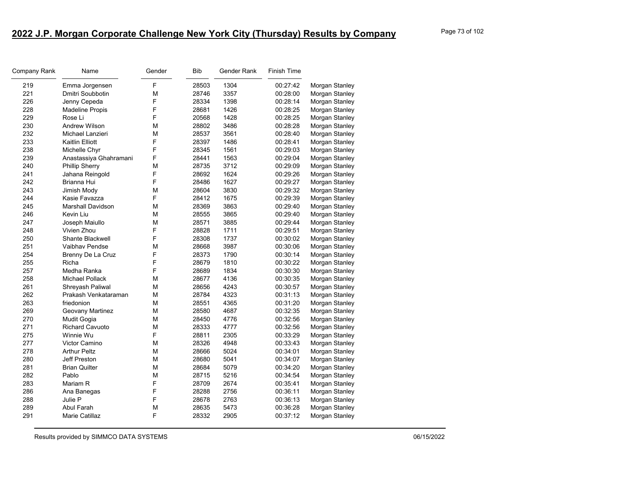| Company Rank | Name                     | Gender | <b>Bib</b> | Gender Rank | Finish Time |                |
|--------------|--------------------------|--------|------------|-------------|-------------|----------------|
| 219          | Emma Jorgensen           | F      | 28503      | 1304        | 00:27:42    | Morgan Stanley |
| 221          | Dmitri Soubbotin         | M      | 28746      | 3357        | 00:28:00    | Morgan Stanley |
| 226          | Jenny Cepeda             | F      | 28334      | 1398        | 00:28:14    | Morgan Stanley |
| 228          | <b>Madeline Propis</b>   | F      | 28681      | 1426        | 00:28:25    | Morgan Stanley |
| 229          | Rose Li                  | F      | 20568      | 1428        | 00:28:25    | Morgan Stanley |
| 230          | <b>Andrew Wilson</b>     | М      | 28802      | 3486        | 00:28:28    | Morgan Stanley |
| 232          | Michael Lanzieri         | М      | 28537      | 3561        | 00:28:40    | Morgan Stanley |
| 233          | Kaitlin Elliott          | F      | 28397      | 1486        | 00:28:41    | Morgan Stanley |
| 238          | Michelle Chyr            | F      | 28345      | 1561        | 00:29:03    | Morgan Stanley |
| 239          | Anastassiya Ghahramani   | F      | 28441      | 1563        | 00:29:04    | Morgan Stanley |
| 240          | <b>Phillip Sherry</b>    | M      | 28735      | 3712        | 00:29:09    | Morgan Stanley |
| 241          | Jahana Reingold          | F      | 28692      | 1624        | 00:29:26    | Morgan Stanley |
| 242          | Brianna Hui              | F      | 28486      | 1627        | 00:29:27    | Morgan Stanley |
| 243          | Jimish Mody              | M      | 28604      | 3830        | 00:29:32    | Morgan Stanley |
| 244          | Kasie Favazza            | F      | 28412      | 1675        | 00:29:39    | Morgan Stanley |
| 245          | <b>Marshall Davidson</b> | М      | 28369      | 3863        | 00:29:40    | Morgan Stanley |
| 246          | Kevin Liu                | М      | 28555      | 3865        | 00:29:40    | Morgan Stanley |
| 247          | Joseph Maiullo           | М      | 28571      | 3885        | 00:29:44    | Morgan Stanley |
| 248          | Vivien Zhou              | F      | 28828      | 1711        | 00:29:51    | Morgan Stanley |
| 250          | <b>Shante Blackwell</b>  | F      | 28308      | 1737        | 00:30:02    | Morgan Stanley |
| 251          | Vaibhav Pendse           | М      | 28668      | 3987        | 00:30:06    | Morgan Stanley |
| 254          | Brenny De La Cruz        | F      | 28373      | 1790        | 00:30:14    | Morgan Stanley |
| 255          | Richa                    | F      | 28679      | 1810        | 00:30:22    | Morgan Stanley |
| 257          | Medha Ranka              | F      | 28689      | 1834        | 00:30:30    | Morgan Stanley |
| 258          | <b>Michael Pollack</b>   | М      | 28677      | 4136        | 00:30:35    | Morgan Stanley |
| 261          | Shreyash Paliwal         | M      | 28656      | 4243        | 00:30:57    | Morgan Stanley |
| 262          | Prakash Venkataraman     | M      | 28784      | 4323        | 00:31:13    | Morgan Stanley |
| 263          | friedonion               | M      | 28551      | 4365        | 00:31:20    | Morgan Stanley |
| 269          | Geovany Martinez         | М      | 28580      | 4687        | 00:32:35    | Morgan Stanley |
| 270          | <b>Mudit Gogia</b>       | М      | 28450      | 4776        | 00:32:56    | Morgan Stanley |
| 271          | <b>Richard Cavuoto</b>   | М      | 28333      | 4777        | 00:32:56    | Morgan Stanley |
| 275          | Winnie Wu                | F      | 28811      | 2305        | 00:33:29    | Morgan Stanley |
| 277          | Victor Camino            | М      | 28326      | 4948        | 00:33:43    | Morgan Stanley |
| 278          | <b>Arthur Peltz</b>      | М      | 28666      | 5024        | 00:34:01    | Morgan Stanley |
| 280          | Jeff Preston             | М      | 28680      | 5041        | 00:34:07    | Morgan Stanley |
| 281          | <b>Brian Quilter</b>     | М      | 28684      | 5079        | 00:34:20    | Morgan Stanley |
| 282          | Pablo                    | M      | 28715      | 5216        | 00:34:54    | Morgan Stanley |
| 283          | Mariam R                 | F      | 28709      | 2674        | 00:35:41    | Morgan Stanley |
| 286          | Ana Banegas              | F      | 28288      | 2756        | 00:36:11    | Morgan Stanley |
| 288          | Julie P                  | F      | 28678      | 2763        | 00:36:13    | Morgan Stanley |
| 289          | Abul Farah               | M      | 28635      | 5473        | 00:36:28    | Morgan Stanley |
| 291          | Marie Catillaz           | F      | 28332      | 2905        | 00:37:12    | Morgan Stanley |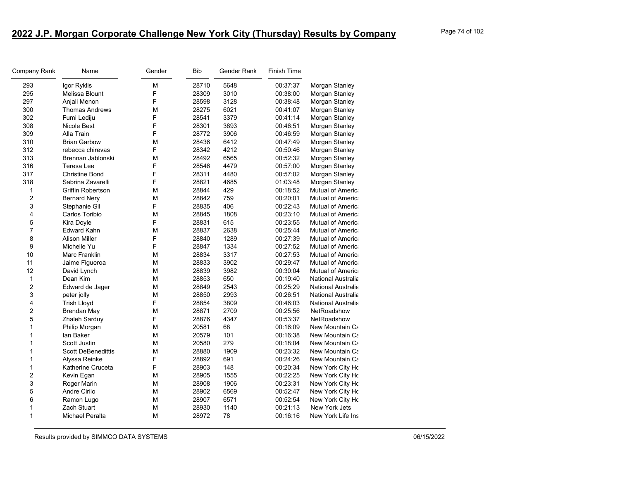| Company Rank            | Name                      | Gender | <b>Bib</b> | Gender Rank | <b>Finish Time</b> |                           |
|-------------------------|---------------------------|--------|------------|-------------|--------------------|---------------------------|
| 293                     | Igor Ryklis               | М      | 28710      | 5648        | 00:37:37           | Morgan Stanley            |
| 295                     | Melissa Blount            | F      | 28309      | 3010        | 00:38:00           | Morgan Stanley            |
| 297                     | Anjali Menon              | F      | 28598      | 3128        | 00:38:48           | Morgan Stanley            |
| 300                     | <b>Thomas Andrews</b>     | М      | 28275      | 6021        | 00:41:07           | Morgan Stanley            |
| 302                     | Fumi Lediju               | F      | 28541      | 3379        | 00:41:14           | Morgan Stanley            |
| 308                     | Nicole Best               | F      | 28301      | 3893        | 00:46:51           | Morgan Stanley            |
| 309                     | Alla Train                | F      | 28772      | 3906        | 00:46:59           | Morgan Stanley            |
| 310                     | <b>Brian Garbow</b>       | М      | 28436      | 6412        | 00:47:49           | Morgan Stanley            |
| 312                     | rebecca chirevas          | F      | 28342      | 4212        | 00:50:46           | Morgan Stanley            |
| 313                     | Brennan Jablonski         | М      | 28492      | 6565        | 00:52:32           | Morgan Stanley            |
| 316                     | Teresa Lee                | F      | 28546      | 4479        | 00:57:00           | Morgan Stanley            |
| 317                     | <b>Christine Bond</b>     | F      | 28311      | 4480        | 00:57:02           | Morgan Stanley            |
| 318                     | Sabrina Zavarelli         | F      | 28821      | 4685        | 01:03:48           | Morgan Stanley            |
| 1                       | Griffin Robertson         | М      | 28844      | 429         | 00:18:52           | Mutual of America         |
| $\overline{\mathbf{c}}$ | <b>Bernard Nery</b>       | М      | 28842      | 759         | 00:20:01           | <b>Mutual of America</b>  |
| 3                       | Stephanie Gil             | F      | 28835      | 406         | 00:22:43           | Mutual of America         |
| 4                       | Carlos Toribio            | М      | 28845      | 1808        | 00:23:10           | <b>Mutual of America</b>  |
| 5                       | Kira Doyle                | F      | 28831      | 615         | 00:23:55           | <b>Mutual of America</b>  |
| $\overline{7}$          | Edward Kahn               | М      | 28837      | 2638        | 00:25:44           | <b>Mutual of America</b>  |
| 8                       | <b>Alison Miller</b>      | F      | 28840      | 1289        | 00:27:39           | <b>Mutual of America</b>  |
| 9                       | Michelle Yu               | F      | 28847      | 1334        | 00:27:52           | <b>Mutual of America</b>  |
| 10                      | Marc Franklin             | М      | 28834      | 3317        | 00:27:53           | <b>Mutual of America</b>  |
| 11                      | Jaime Figueroa            | М      | 28833      | 3902        | 00:29:47           | <b>Mutual of America</b>  |
| 12                      | David Lynch               | М      | 28839      | 3982        | 00:30:04           | <b>Mutual of America</b>  |
| $\mathbf{1}$            | Dean Kim                  | М      | 28853      | 650         | 00:19:40           | <b>National Australia</b> |
| 2                       | Edward de Jager           | М      | 28849      | 2543        | 00:25:29           | <b>National Australia</b> |
| 3                       | peter jolly               | М      | 28850      | 2993        | 00:26:51           | <b>National Australia</b> |
| 4                       | <b>Trish Lloyd</b>        | F      | 28854      | 3809        | 00:46:03           | <b>National Australia</b> |
| $\overline{c}$          | <b>Brendan May</b>        | М      | 28871      | 2709        | 00:25:56           | NetRoadshow               |
| 5                       | Zhaleh Sarduy             | F      | 28876      | 4347        | 00:53:37           | NetRoadshow               |
| $\mathbf{1}$            | Philip Morgan             | М      | 20581      | 68          | 00:16:09           | New Mountain Ca           |
| 1                       | lan Baker                 | М      | 20579      | 101         | 00:16:38           | New Mountain Ca           |
| 1                       | Scott Justin              | М      | 20580      | 279         | 00:18:04           | New Mountain Ca           |
| 1                       | <b>Scott DeBenedittis</b> | М      | 28880      | 1909        | 00:23:32           | New Mountain Ca           |
| 1                       | Alyssa Reinke             | F      | 28892      | 691         | 00:24:26           | New Mountain Ca           |
| 1                       | Katherine Cruceta         | F      | 28903      | 148         | 00:20:34           | New York City Ho          |
| $\overline{c}$          | Kevin Egan                | М      | 28905      | 1555        | 00:22:25           | New York City Ho          |
| 3                       | Roger Marin               | М      | 28908      | 1906        | 00:23:31           | New York City Ho          |
| 5                       | Andre Cirilo              | М      | 28902      | 6569        | 00:52:47           | New York City Ho          |
| 6                       | Ramon Lugo                | М      | 28907      | 6571        | 00:52:54           | New York City Ho          |
| 1                       | Zach Stuart               | М      | 28930      | 1140        | 00:21:13           | New York Jets             |
| 1                       | Michael Peralta           | М      | 28972      | 78          | 00:16:16           | New York Life Ins         |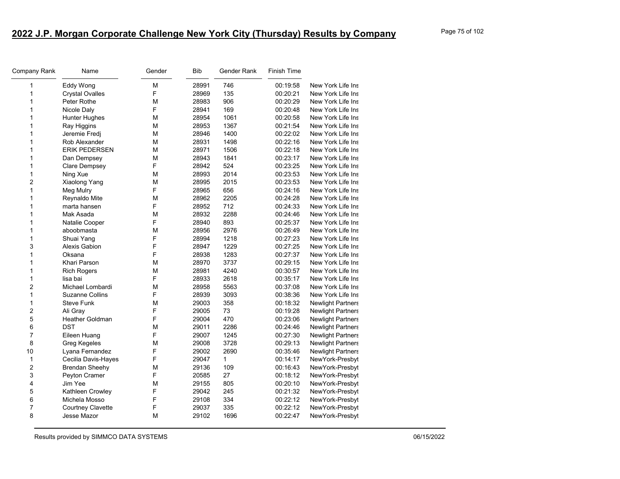| Company Rank   | Name                   | Gender | Bib   | Gender Rank  | <b>Finish Time</b> |                          |
|----------------|------------------------|--------|-------|--------------|--------------------|--------------------------|
| 1              | Eddy Wong              | М      | 28991 | 746          | 00:19:58           | New York Life Ins        |
| 1              | <b>Crystal Ovalles</b> | F      | 28969 | 135          | 00:20:21           | New York Life Ins        |
| 1              | Peter Rothe            | М      | 28983 | 906          | 00:20:29           | New York Life Ins        |
| 1              | Nicole Daly            | F      | 28941 | 169          | 00:20:48           | New York Life Ins        |
| 1              | Hunter Hughes          | М      | 28954 | 1061         | 00:20:58           | New York Life Ins        |
| 1              | Ray Higgins            | М      | 28953 | 1367         | 00:21:54           | New York Life Ins        |
| 1              | Jeremie Fredj          | М      | 28946 | 1400         | 00:22:02           | New York Life Ins        |
| 1              | Rob Alexander          | М      | 28931 | 1498         | 00:22:16           | New York Life Ins        |
| 1              | <b>ERIK PEDERSEN</b>   | М      | 28971 | 1506         | 00:22:18           | New York Life Ins        |
| 1              | Dan Dempsey            | М      | 28943 | 1841         | 00:23:17           | New York Life Ins        |
| 1              | Clare Dempsey          | F      | 28942 | 524          | 00:23:25           | New York Life Ins        |
| 1              | Ning Xue               | М      | 28993 | 2014         | 00:23:53           | New York Life Ins        |
| 2              | Xiaolong Yang          | М      | 28995 | 2015         | 00:23:53           | New York Life Ins        |
| 1              | Meg Mulry              | F      | 28965 | 656          | 00:24:16           | New York Life Ins        |
| 1              | Reynaldo Mite          | М      | 28962 | 2205         | 00:24:28           | New York Life Ins        |
| 1              | marta hansen           | F      | 28952 | 712          | 00:24:33           | New York Life Ins        |
| 1              | Mak Asada              | M      | 28932 | 2288         | 00:24:46           | New York Life Ins        |
| 1              | Natalie Cooper         | F      | 28940 | 893          | 00:25:37           | New York Life Ins        |
| 1              | aboobmasta             | М      | 28956 | 2976         | 00:26:49           | New York Life Ins        |
| $\mathbf{1}$   | Shuai Yang             | F      | 28994 | 1218         | 00:27:23           | New York Life Ins        |
| 3              | Alexis Gabion          | F      | 28947 | 1229         | 00:27:25           | New York Life Ins        |
| 1              | Oksana                 | F      | 28938 | 1283         | 00:27:37           | New York Life Ins        |
| 1              | Khari Parson           | M      | 28970 | 3737         | 00:29:15           | New York Life Ins        |
| 1              | <b>Rich Rogers</b>     | М      | 28981 | 4240         | 00:30:57           | New York Life Ins        |
| 1              | lisa bai               | F      | 28933 | 2618         | 00:35:17           | New York Life Ins        |
| 2              | Michael Lombardi       | М      | 28958 | 5563         | 00:37:08           | New York Life Ins        |
| 1              | <b>Suzanne Collins</b> | F      | 28939 | 3093         | 00:38:36           | New York Life Ins        |
| 1              | <b>Steve Funk</b>      | М      | 29003 | 358          | 00:18:32           | <b>Newlight Partners</b> |
| $\overline{2}$ | Ali Gray               | F      | 29005 | 73           | 00:19:28           | <b>Newlight Partners</b> |
| 5              | Heather Goldman        | F      | 29004 | 470          | 00:23:06           | <b>Newlight Partners</b> |
| 6              | <b>DST</b>             | М      | 29011 | 2286         | 00:24:46           | <b>Newlight Partners</b> |
| 7              | Eileen Huang           | F      | 29007 | 1245         | 00:27:30           | <b>Newlight Partners</b> |
| 8              | Greg Kegeles           | М      | 29008 | 3728         | 00:29:13           | <b>Newlight Partners</b> |
| 10             | Lyana Fernandez        | F      | 29002 | 2690         | 00:35:46           | <b>Newlight Partners</b> |
| 1              | Cecilia Davis-Hayes    | F      | 29047 | $\mathbf{1}$ | 00:14:17           | NewYork-Presbyt          |
| 2              | <b>Brendan Sheehy</b>  | М      | 29136 | 109          | 00:16:43           | NewYork-Presbyt          |
| 3              | Peyton Cramer          | F      | 20585 | 27           | 00:18:12           | NewYork-Presbyt          |
| 4              | Jim Yee                | М      | 29155 | 805          | 00:20:10           | NewYork-Presbyt          |
| 5              | Kathleen Crowley       | F      | 29042 | 245          | 00:21:32           | NewYork-Presbyt          |
| 6              | Michela Mosso          | F      | 29108 | 334          | 00:22:12           | NewYork-Presbyt          |
| $\overline{7}$ | Courtney Clavette      | F      | 29037 | 335          | 00:22:12           | NewYork-Presbyt          |
| 8              | Jesse Mazor            | M      | 29102 | 1696         | 00:22:47           | NewYork-Presbyt          |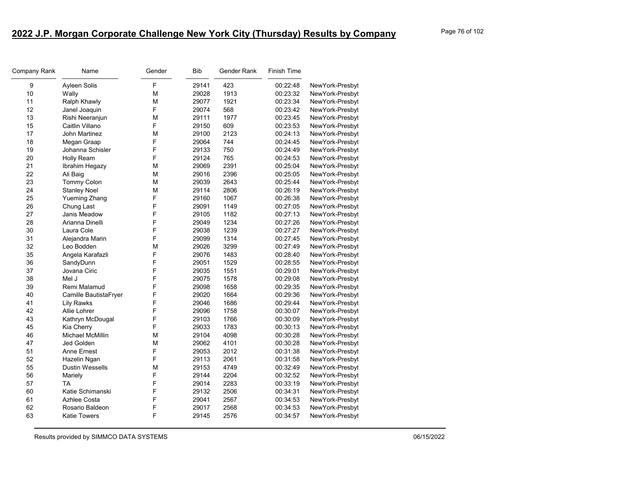| Name                    | Gender | <b>Bib</b> | Gender Rank | Finish Time |                 |
|-------------------------|--------|------------|-------------|-------------|-----------------|
| Ayleen Solis            | F      | 29141      | 423         | 00:22:48    | NewYork-Presbyt |
| Wally                   | M      | 29028      | 1913        | 00:23:32    | NewYork-Presbyt |
| Ralph Khawly            | M      | 29077      | 1921        | 00:23:34    | NewYork-Presbyt |
| Janel Joaquin           | F      | 29074      | 568         | 00:23:42    | NewYork-Presbyt |
| Rishi Neeranjun         | М      | 29111      | 1977        | 00:23:45    | NewYork-Presbyt |
| Caitlin Villano         | F      | 29150      | 609         | 00:23:53    | NewYork-Presbyt |
| John Martinez           | M      | 29100      | 2123        | 00:24:13    | NewYork-Presbyt |
| Megan Graap             | F      | 29064      | 744         | 00:24:45    | NewYork-Presbyt |
| Johanna Schisler        | F      | 29133      | 750         | 00:24:49    | NewYork-Presbyt |
| Holly Ream              | F      | 29124      | 765         | 00:24:53    | NewYork-Presbyt |
| Ibrahim Hegazy          | M      | 29069      | 2391        | 00:25:04    | NewYork-Presbyt |
| Ali Baig                | M      | 29016      | 2396        | 00:25:05    | NewYork-Presbyt |
| <b>Tommy Colon</b>      | M      | 29039      | 2643        | 00:25:44    | NewYork-Presbyt |
| <b>Stanley Noel</b>     | M      | 29114      | 2806        | 00:26:19    | NewYork-Presbyt |
| <b>Yueming Zhang</b>    | F      | 29160      | 1067        | 00:26:38    | NewYork-Presbyt |
| Chung Last              | F      | 29091      | 1149        | 00:27:05    | NewYork-Presbyt |
| Janis Meadow            | F      | 29105      | 1182        | 00:27:13    | NewYork-Presbyt |
| Arianna Dinelli         | F      | 29049      | 1234        | 00:27:26    | NewYork-Presbyt |
| Laura Cole              | F      | 29038      | 1239        | 00:27:27    | NewYork-Presbyt |
| Alejandra Marin         | F      | 29099      | 1314        | 00:27:45    | NewYork-Presbyt |
| Leo Bodden              | M      | 29026      | 3299        | 00:27:49    | NewYork-Presbyt |
| Angela Karafazli        | F      | 29076      | 1483        | 00:28:40    | NewYork-Presbyt |
| SandyDunn               | F      | 29051      | 1529        | 00:28:55    | NewYork-Presbyt |
| Jovana Ciric            | F      | 29035      | 1551        | 00:29:01    | NewYork-Presbyt |
| Mel J                   | F      | 29075      | 1578        | 00:29:08    | NewYork-Presbyt |
| Remi Malamud            | F      | 29098      | 1658        | 00:29:35    | NewYork-Presbyt |
| Camille BautistaFryer   |        | 29020      | 1664        | 00:29:36    | NewYork-Presbyt |
| <b>Lily Rawks</b>       | F      | 29046      | 1686        | 00:29:44    | NewYork-Presbyt |
| Allie Lohrer            | F      | 29096      | 1758        | 00:30:07    | NewYork-Presbyt |
| Kathryn McDougal        | F      | 29103      | 1766        | 00:30:09    | NewYork-Presbyt |
| Kia Cherry              | F      | 29033      | 1783        | 00:30:13    | NewYork-Presbyt |
| <b>Michael McMillin</b> | M      | 29104      | 4098        | 00:30:28    | NewYork-Presbyt |
| Jed Golden              | M      | 29062      | 4101        | 00:30:28    | NewYork-Presbyt |
| Anne Ernest             | F      | 29053      | 2012        | 00:31:38    | NewYork-Presbyt |
| Hazelin Ngan            | F      | 29113      | 2061        | 00:31:58    | NewYork-Presbyt |
| <b>Dustin Wessells</b>  | м      | 29153      | 4749        | 00:32:49    | NewYork-Presbyt |
| Mariely                 | F      | 29144      | 2204        | 00:32:52    | NewYork-Presbyt |
| TA                      | F      | 29014      | 2283        | 00:33:19    | NewYork-Presbyt |
| Katie Schimanski        | F      | 29132      | 2506        | 00:34:31    | NewYork-Presbyt |
| Azhlee Costa            | F      | 29041      | 2567        | 00:34:53    | NewYork-Presbyt |
| Rosario Baldeon         | F      | 29017      | 2568        | 00:34:53    | NewYork-Presbyt |
| <b>Katie Towers</b>     | F      | 29145      | 2576        | 00:34:57    | NewYork-Presbyt |
|                         |        | F          |             |             |                 |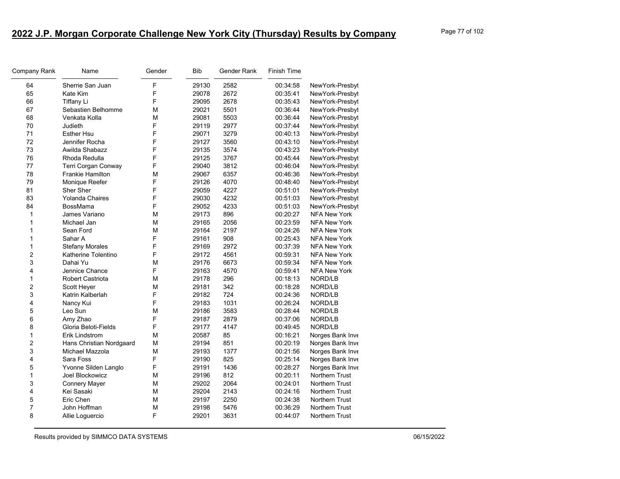| Company Rank            | Name                     | Gender | <b>Bib</b> | Gender Rank | Finish Time |                       |
|-------------------------|--------------------------|--------|------------|-------------|-------------|-----------------------|
| 64                      | Sherrie San Juan         | F      | 29130      | 2582        | 00:34:58    | NewYork-Presbyt       |
| 65                      | Kate Kim                 | F      | 29078      | 2672        | 00:35:41    | NewYork-Presbyt       |
| 66                      | <b>Tiffany Li</b>        | F      | 29095      | 2678        | 00:35:43    | NewYork-Presbyt       |
| 67                      | Sebastien Belhomme       | M      | 29021      | 5501        | 00:36:44    | NewYork-Presbyt       |
| 68                      | Venkata Kolla            | M      | 29081      | 5503        | 00:36:44    | NewYork-Presbyt       |
| 70                      | Judieth                  | F      | 29119      | 2977        | 00:37:44    | NewYork-Presbyt       |
| 71                      | <b>Esther Hsu</b>        | F      | 29071      | 3279        | 00:40:13    | NewYork-Presbyt       |
| 72                      | Jennifer Rocha           | F      | 29127      | 3560        | 00:43:10    | NewYork-Presbyt       |
| 73                      | Awilda Shabazz           | F      | 29135      | 3574        | 00:43:23    | NewYork-Presbyt       |
| 76                      | Rhoda Redulla            | F      | 29125      | 3767        | 00:45:44    | NewYork-Presbyt       |
| 77                      | Terri Corgan Conway      | F      | 29040      | 3812        | 00:46:04    | NewYork-Presbyt       |
| 78                      | Frankie Hamilton         | M      | 29067      | 6357        | 00:46:36    | NewYork-Presbyt       |
| 79                      | Monique Reefer           | F      | 29126      | 4070        | 00:48:40    | NewYork-Presbyt       |
| 81                      | Sher Sher                | F      | 29059      | 4227        | 00:51:01    | NewYork-Presbyt       |
| 83                      | Yolanda Chaires          | F      | 29030      | 4232        | 00:51:03    | NewYork-Presbyt       |
| 84                      | BossMama                 | F      | 29052      | 4233        | 00:51:03    | NewYork-Presbyt       |
| 1                       | James Variano            | M      | 29173      | 896         | 00:20:27    | <b>NFA New York</b>   |
| 1                       | Michael Jan              | M      | 29165      | 2056        | 00:23:59    | <b>NFA New York</b>   |
| 1                       | Sean Ford                | M      | 29164      | 2197        | 00:24:26    | <b>NFA New York</b>   |
| 1                       | Sahar A                  | F      | 29161      | 908         | 00:25:43    | <b>NFA New York</b>   |
| $\mathbf{1}$            | <b>Stefany Morales</b>   | F      | 29169      | 2972        | 00:37:39    | <b>NFA New York</b>   |
| $\overline{\mathbf{c}}$ | Katherine Tolentino      | F      | 29172      | 4561        | 00:59:31    | <b>NFA New York</b>   |
| 3                       | Dahai Yu                 | M      | 29176      | 6673        | 00:59:34    | <b>NFA New York</b>   |
| 4                       | Jennice Chance           | F      | 29163      | 4570        | 00:59:41    | <b>NFA New York</b>   |
| 1                       | Robert Castriota         | M      | 29178      | 296         | 00:18:13    | NORD/LB               |
| $\overline{\mathbf{c}}$ | Scott Heyer              | M      | 29181      | 342         | 00:18:28    | NORD/LB               |
| 3                       | Katrin Kalberlah         | F      | 29182      | 724         | 00:24:36    | NORD/LB               |
| 4                       | Nancy Kui                | F      | 29183      | 1031        | 00:26:24    | NORD/LB               |
| 5                       | Leo Sun                  | M      | 29186      | 3583        | 00:28:44    | NORD/LB               |
| 6                       | Amy Zhao                 | F      | 29187      | 2879        | 00:37:06    | NORD/LB               |
| 8                       | Gloria Beloti-Fields     | F      | 29177      | 4147        | 00:49:45    | NORD/LB               |
| $\mathbf{1}$            | Erik Lindstrom           | M      | 20587      | 85          | 00:16:21    | Norges Bank Inve      |
| 2                       | Hans Christian Nordgaard | M      | 29194      | 851         | 00:20:19    | Norges Bank Inve      |
| 3                       | Michael Mazzola          | M      | 29193      | 1377        | 00:21:56    | Norges Bank Inve      |
| 4                       | Sara Foss                | F      | 29190      | 825         | 00:25:14    | Norges Bank Inve      |
| 5                       | Yvonne Silden Langlo     | F      | 29191      | 1436        | 00:28:27    | Norges Bank Inve      |
| $\mathbf{1}$            | Joel Blockowicz          | M      | 29196      | 812         | 00:20:11    | <b>Northern Trust</b> |
| 3                       | <b>Connery Mayer</b>     | M      | 29202      | 2064        | 00:24:01    | Northern Trust        |
| 4                       | Kei Sasaki               | M      | 29204      | 2143        | 00:24:16    | Northern Trust        |
| 5                       | Eric Chen                | M      | 29197      | 2250        | 00:24:38    | Northern Trust        |
| 7                       | John Hoffman             | M      | 29198      | 5476        | 00:36:29    | Northern Trust        |
| 8                       | Allie Loguercio          | F      | 29201      | 3631        | 00:44:07    | Northern Trust        |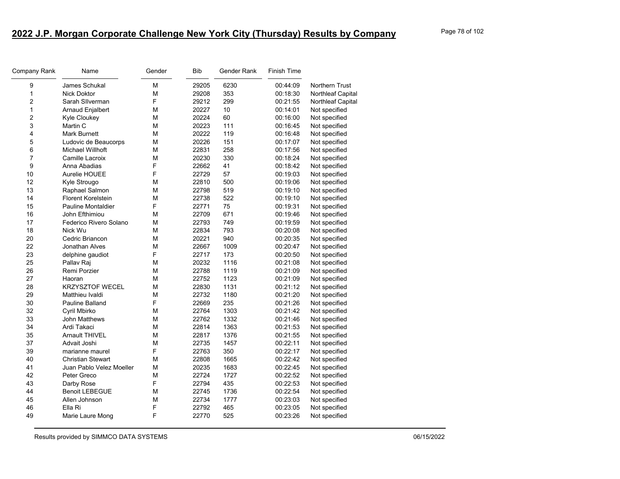| 9<br>M<br>James Schukal<br>29205<br>00:44:09<br>6230<br>Northern Trust<br>1<br>353<br>М<br>29208<br>00:18:30<br>Northleaf Capital<br><b>Nick Doktor</b><br>$\overline{c}$<br>F<br>29212<br>299<br>Sarah Sllverman<br>00:21:55<br><b>Northleaf Capital</b><br>$\mathbf{1}$<br>М<br>20227<br>10<br>Not specified<br>Arnaud Enjalbert<br>00:14:01<br>$\overline{2}$<br>60<br>М<br>20224<br>Kyle Cloukey<br>00:16:00<br>Not specified<br>3<br>20223<br>111<br>Martin C<br>М<br>00:16:45<br>Not specified<br>$\overline{\mathbf{4}}$<br>20222<br>119<br><b>Mark Burnett</b><br>М<br>00:16:48<br>Not specified<br>$\sqrt{5}$<br>151<br>М<br>20226<br>Ludovic de Beaucorps<br>00:17:07<br>Not specified<br>6<br>258<br>Michael Willhoft<br>М<br>22831<br>00:17:56<br>Not specified<br>$\overline{7}$<br>М<br>20230<br>330<br>Camille Lacroix<br>00:18:24<br>Not specified<br>9<br>F<br>41<br>Anna Abadias<br>22662<br>00:18:42<br>Not specified<br>F<br>10<br>57<br>Aurelie HOUEE<br>22729<br>00:19:03<br>Not specified<br>12<br>500<br>Kyle Strougo<br>М<br>22810<br>00:19:06<br>Not specified<br>13<br>22798<br>519<br>Raphael Salmon<br>М<br>00:19:10<br>Not specified<br>14<br><b>Florent Korelstein</b><br>М<br>22738<br>522<br>00:19:10<br>Not specified<br>F<br>22771<br>75<br>15<br><b>Pauline Montaldier</b><br>00:19:31<br>Not specified<br>16<br>М<br>22709<br>671<br>John Efthimiou<br>00:19:46<br>Not specified<br>17<br>Federico Rivero Solano<br>М<br>22793<br>749<br>00:19:59<br>Not specified<br>18<br>793<br>Nick Wu<br>М<br>22834<br>00:20:08<br>Not specified<br>20<br>940<br>Cedric Briancon<br>М<br>20221<br>00:20:35<br>Not specified<br>22<br>М<br>22667<br>1009<br>Jonathan Alves<br>00:20:47<br>Not specified<br>F<br>23<br>173<br>22717<br>00:20:50<br>delphine gaudiot<br>Not specified<br>25<br>Pallav Raj<br>М<br>20232<br>1116<br>00:21:08<br>Not specified<br>26<br>Remi Porzier<br>М<br>22788<br>1119<br>00:21:09<br>Not specified<br>27<br>М<br>22752<br>1123<br>Haoran<br>00:21:09<br>Not specified<br>28<br>KRZYSZTOF WECEL<br>22830<br>1131<br>М<br>00:21:12<br>Not specified<br>29<br>22732<br>1180<br>Matthieu Ivaldi<br>М<br>00:21:20<br>Not specified<br>F<br>30<br>22669<br>235<br>00:21:26<br><b>Pauline Balland</b><br>Not specified<br>32<br>22764<br>1303<br>00:21:42<br>Cyril Mbirko<br>М<br>Not specified<br>33<br>22762<br>John Matthews<br>М<br>1332<br>00:21:46<br>Not specified<br>34<br>Ardi Takaci<br>M<br>22814<br>1363<br>00:21:53<br>Not specified<br>35<br>1376<br><b>Arnault THIVEL</b><br>M<br>22817<br>00:21:55<br>Not specified<br>37<br>Advait Joshi<br>М<br>22735<br>1457<br>00:22:11<br>Not specified<br>F<br>39<br>350<br>marianne maurel<br>22763<br>00:22:17<br>Not specified<br>40<br>М<br>22808<br>1665<br>00:22:42<br><b>Christian Stewart</b><br>Not specified<br>41<br>Juan Pablo Velez Moeller<br>М<br>20235<br>1683<br>00:22:45<br>Not specified<br>42<br>M<br>22724<br>1727<br>Peter Greco<br>00:22:52<br>Not specified<br>F<br>43<br>22794<br>435<br>00:22:53<br>Darby Rose<br>Not specified<br>1736<br>44<br><b>Benoit LEBEGUE</b><br>22745<br>00:22:54<br>М<br>Not specified<br>45<br>М<br>22734<br>1777<br>00:23:03<br>Allen Johnson<br>Not specified<br>46<br>F<br>22792<br>465<br>00:23:05<br>Ella Ri<br>Not specified<br>F<br>49<br>525<br>Marie Laure Mong<br>22770<br>00:23:26<br>Not specified | Company Rank | Name | Gender | Bib | Gender Rank | <b>Finish Time</b> |  |
|-------------------------------------------------------------------------------------------------------------------------------------------------------------------------------------------------------------------------------------------------------------------------------------------------------------------------------------------------------------------------------------------------------------------------------------------------------------------------------------------------------------------------------------------------------------------------------------------------------------------------------------------------------------------------------------------------------------------------------------------------------------------------------------------------------------------------------------------------------------------------------------------------------------------------------------------------------------------------------------------------------------------------------------------------------------------------------------------------------------------------------------------------------------------------------------------------------------------------------------------------------------------------------------------------------------------------------------------------------------------------------------------------------------------------------------------------------------------------------------------------------------------------------------------------------------------------------------------------------------------------------------------------------------------------------------------------------------------------------------------------------------------------------------------------------------------------------------------------------------------------------------------------------------------------------------------------------------------------------------------------------------------------------------------------------------------------------------------------------------------------------------------------------------------------------------------------------------------------------------------------------------------------------------------------------------------------------------------------------------------------------------------------------------------------------------------------------------------------------------------------------------------------------------------------------------------------------------------------------------------------------------------------------------------------------------------------------------------------------------------------------------------------------------------------------------------------------------------------------------------------------------------------------------------------------------------------------------------------------------------------------------------------------------------------------------------------------------------------------------------------------------------------------------------------------------------------------------------------------------------------------------------------------------------------------------------------------------------------------------------------------|--------------|------|--------|-----|-------------|--------------------|--|
|                                                                                                                                                                                                                                                                                                                                                                                                                                                                                                                                                                                                                                                                                                                                                                                                                                                                                                                                                                                                                                                                                                                                                                                                                                                                                                                                                                                                                                                                                                                                                                                                                                                                                                                                                                                                                                                                                                                                                                                                                                                                                                                                                                                                                                                                                                                                                                                                                                                                                                                                                                                                                                                                                                                                                                                                                                                                                                                                                                                                                                                                                                                                                                                                                                                                                                                                                                               |              |      |        |     |             |                    |  |
|                                                                                                                                                                                                                                                                                                                                                                                                                                                                                                                                                                                                                                                                                                                                                                                                                                                                                                                                                                                                                                                                                                                                                                                                                                                                                                                                                                                                                                                                                                                                                                                                                                                                                                                                                                                                                                                                                                                                                                                                                                                                                                                                                                                                                                                                                                                                                                                                                                                                                                                                                                                                                                                                                                                                                                                                                                                                                                                                                                                                                                                                                                                                                                                                                                                                                                                                                                               |              |      |        |     |             |                    |  |
|                                                                                                                                                                                                                                                                                                                                                                                                                                                                                                                                                                                                                                                                                                                                                                                                                                                                                                                                                                                                                                                                                                                                                                                                                                                                                                                                                                                                                                                                                                                                                                                                                                                                                                                                                                                                                                                                                                                                                                                                                                                                                                                                                                                                                                                                                                                                                                                                                                                                                                                                                                                                                                                                                                                                                                                                                                                                                                                                                                                                                                                                                                                                                                                                                                                                                                                                                                               |              |      |        |     |             |                    |  |
|                                                                                                                                                                                                                                                                                                                                                                                                                                                                                                                                                                                                                                                                                                                                                                                                                                                                                                                                                                                                                                                                                                                                                                                                                                                                                                                                                                                                                                                                                                                                                                                                                                                                                                                                                                                                                                                                                                                                                                                                                                                                                                                                                                                                                                                                                                                                                                                                                                                                                                                                                                                                                                                                                                                                                                                                                                                                                                                                                                                                                                                                                                                                                                                                                                                                                                                                                                               |              |      |        |     |             |                    |  |
|                                                                                                                                                                                                                                                                                                                                                                                                                                                                                                                                                                                                                                                                                                                                                                                                                                                                                                                                                                                                                                                                                                                                                                                                                                                                                                                                                                                                                                                                                                                                                                                                                                                                                                                                                                                                                                                                                                                                                                                                                                                                                                                                                                                                                                                                                                                                                                                                                                                                                                                                                                                                                                                                                                                                                                                                                                                                                                                                                                                                                                                                                                                                                                                                                                                                                                                                                                               |              |      |        |     |             |                    |  |
|                                                                                                                                                                                                                                                                                                                                                                                                                                                                                                                                                                                                                                                                                                                                                                                                                                                                                                                                                                                                                                                                                                                                                                                                                                                                                                                                                                                                                                                                                                                                                                                                                                                                                                                                                                                                                                                                                                                                                                                                                                                                                                                                                                                                                                                                                                                                                                                                                                                                                                                                                                                                                                                                                                                                                                                                                                                                                                                                                                                                                                                                                                                                                                                                                                                                                                                                                                               |              |      |        |     |             |                    |  |
|                                                                                                                                                                                                                                                                                                                                                                                                                                                                                                                                                                                                                                                                                                                                                                                                                                                                                                                                                                                                                                                                                                                                                                                                                                                                                                                                                                                                                                                                                                                                                                                                                                                                                                                                                                                                                                                                                                                                                                                                                                                                                                                                                                                                                                                                                                                                                                                                                                                                                                                                                                                                                                                                                                                                                                                                                                                                                                                                                                                                                                                                                                                                                                                                                                                                                                                                                                               |              |      |        |     |             |                    |  |
|                                                                                                                                                                                                                                                                                                                                                                                                                                                                                                                                                                                                                                                                                                                                                                                                                                                                                                                                                                                                                                                                                                                                                                                                                                                                                                                                                                                                                                                                                                                                                                                                                                                                                                                                                                                                                                                                                                                                                                                                                                                                                                                                                                                                                                                                                                                                                                                                                                                                                                                                                                                                                                                                                                                                                                                                                                                                                                                                                                                                                                                                                                                                                                                                                                                                                                                                                                               |              |      |        |     |             |                    |  |
|                                                                                                                                                                                                                                                                                                                                                                                                                                                                                                                                                                                                                                                                                                                                                                                                                                                                                                                                                                                                                                                                                                                                                                                                                                                                                                                                                                                                                                                                                                                                                                                                                                                                                                                                                                                                                                                                                                                                                                                                                                                                                                                                                                                                                                                                                                                                                                                                                                                                                                                                                                                                                                                                                                                                                                                                                                                                                                                                                                                                                                                                                                                                                                                                                                                                                                                                                                               |              |      |        |     |             |                    |  |
|                                                                                                                                                                                                                                                                                                                                                                                                                                                                                                                                                                                                                                                                                                                                                                                                                                                                                                                                                                                                                                                                                                                                                                                                                                                                                                                                                                                                                                                                                                                                                                                                                                                                                                                                                                                                                                                                                                                                                                                                                                                                                                                                                                                                                                                                                                                                                                                                                                                                                                                                                                                                                                                                                                                                                                                                                                                                                                                                                                                                                                                                                                                                                                                                                                                                                                                                                                               |              |      |        |     |             |                    |  |
|                                                                                                                                                                                                                                                                                                                                                                                                                                                                                                                                                                                                                                                                                                                                                                                                                                                                                                                                                                                                                                                                                                                                                                                                                                                                                                                                                                                                                                                                                                                                                                                                                                                                                                                                                                                                                                                                                                                                                                                                                                                                                                                                                                                                                                                                                                                                                                                                                                                                                                                                                                                                                                                                                                                                                                                                                                                                                                                                                                                                                                                                                                                                                                                                                                                                                                                                                                               |              |      |        |     |             |                    |  |
|                                                                                                                                                                                                                                                                                                                                                                                                                                                                                                                                                                                                                                                                                                                                                                                                                                                                                                                                                                                                                                                                                                                                                                                                                                                                                                                                                                                                                                                                                                                                                                                                                                                                                                                                                                                                                                                                                                                                                                                                                                                                                                                                                                                                                                                                                                                                                                                                                                                                                                                                                                                                                                                                                                                                                                                                                                                                                                                                                                                                                                                                                                                                                                                                                                                                                                                                                                               |              |      |        |     |             |                    |  |
|                                                                                                                                                                                                                                                                                                                                                                                                                                                                                                                                                                                                                                                                                                                                                                                                                                                                                                                                                                                                                                                                                                                                                                                                                                                                                                                                                                                                                                                                                                                                                                                                                                                                                                                                                                                                                                                                                                                                                                                                                                                                                                                                                                                                                                                                                                                                                                                                                                                                                                                                                                                                                                                                                                                                                                                                                                                                                                                                                                                                                                                                                                                                                                                                                                                                                                                                                                               |              |      |        |     |             |                    |  |
|                                                                                                                                                                                                                                                                                                                                                                                                                                                                                                                                                                                                                                                                                                                                                                                                                                                                                                                                                                                                                                                                                                                                                                                                                                                                                                                                                                                                                                                                                                                                                                                                                                                                                                                                                                                                                                                                                                                                                                                                                                                                                                                                                                                                                                                                                                                                                                                                                                                                                                                                                                                                                                                                                                                                                                                                                                                                                                                                                                                                                                                                                                                                                                                                                                                                                                                                                                               |              |      |        |     |             |                    |  |
|                                                                                                                                                                                                                                                                                                                                                                                                                                                                                                                                                                                                                                                                                                                                                                                                                                                                                                                                                                                                                                                                                                                                                                                                                                                                                                                                                                                                                                                                                                                                                                                                                                                                                                                                                                                                                                                                                                                                                                                                                                                                                                                                                                                                                                                                                                                                                                                                                                                                                                                                                                                                                                                                                                                                                                                                                                                                                                                                                                                                                                                                                                                                                                                                                                                                                                                                                                               |              |      |        |     |             |                    |  |
|                                                                                                                                                                                                                                                                                                                                                                                                                                                                                                                                                                                                                                                                                                                                                                                                                                                                                                                                                                                                                                                                                                                                                                                                                                                                                                                                                                                                                                                                                                                                                                                                                                                                                                                                                                                                                                                                                                                                                                                                                                                                                                                                                                                                                                                                                                                                                                                                                                                                                                                                                                                                                                                                                                                                                                                                                                                                                                                                                                                                                                                                                                                                                                                                                                                                                                                                                                               |              |      |        |     |             |                    |  |
|                                                                                                                                                                                                                                                                                                                                                                                                                                                                                                                                                                                                                                                                                                                                                                                                                                                                                                                                                                                                                                                                                                                                                                                                                                                                                                                                                                                                                                                                                                                                                                                                                                                                                                                                                                                                                                                                                                                                                                                                                                                                                                                                                                                                                                                                                                                                                                                                                                                                                                                                                                                                                                                                                                                                                                                                                                                                                                                                                                                                                                                                                                                                                                                                                                                                                                                                                                               |              |      |        |     |             |                    |  |
|                                                                                                                                                                                                                                                                                                                                                                                                                                                                                                                                                                                                                                                                                                                                                                                                                                                                                                                                                                                                                                                                                                                                                                                                                                                                                                                                                                                                                                                                                                                                                                                                                                                                                                                                                                                                                                                                                                                                                                                                                                                                                                                                                                                                                                                                                                                                                                                                                                                                                                                                                                                                                                                                                                                                                                                                                                                                                                                                                                                                                                                                                                                                                                                                                                                                                                                                                                               |              |      |        |     |             |                    |  |
|                                                                                                                                                                                                                                                                                                                                                                                                                                                                                                                                                                                                                                                                                                                                                                                                                                                                                                                                                                                                                                                                                                                                                                                                                                                                                                                                                                                                                                                                                                                                                                                                                                                                                                                                                                                                                                                                                                                                                                                                                                                                                                                                                                                                                                                                                                                                                                                                                                                                                                                                                                                                                                                                                                                                                                                                                                                                                                                                                                                                                                                                                                                                                                                                                                                                                                                                                                               |              |      |        |     |             |                    |  |
|                                                                                                                                                                                                                                                                                                                                                                                                                                                                                                                                                                                                                                                                                                                                                                                                                                                                                                                                                                                                                                                                                                                                                                                                                                                                                                                                                                                                                                                                                                                                                                                                                                                                                                                                                                                                                                                                                                                                                                                                                                                                                                                                                                                                                                                                                                                                                                                                                                                                                                                                                                                                                                                                                                                                                                                                                                                                                                                                                                                                                                                                                                                                                                                                                                                                                                                                                                               |              |      |        |     |             |                    |  |
|                                                                                                                                                                                                                                                                                                                                                                                                                                                                                                                                                                                                                                                                                                                                                                                                                                                                                                                                                                                                                                                                                                                                                                                                                                                                                                                                                                                                                                                                                                                                                                                                                                                                                                                                                                                                                                                                                                                                                                                                                                                                                                                                                                                                                                                                                                                                                                                                                                                                                                                                                                                                                                                                                                                                                                                                                                                                                                                                                                                                                                                                                                                                                                                                                                                                                                                                                                               |              |      |        |     |             |                    |  |
|                                                                                                                                                                                                                                                                                                                                                                                                                                                                                                                                                                                                                                                                                                                                                                                                                                                                                                                                                                                                                                                                                                                                                                                                                                                                                                                                                                                                                                                                                                                                                                                                                                                                                                                                                                                                                                                                                                                                                                                                                                                                                                                                                                                                                                                                                                                                                                                                                                                                                                                                                                                                                                                                                                                                                                                                                                                                                                                                                                                                                                                                                                                                                                                                                                                                                                                                                                               |              |      |        |     |             |                    |  |
|                                                                                                                                                                                                                                                                                                                                                                                                                                                                                                                                                                                                                                                                                                                                                                                                                                                                                                                                                                                                                                                                                                                                                                                                                                                                                                                                                                                                                                                                                                                                                                                                                                                                                                                                                                                                                                                                                                                                                                                                                                                                                                                                                                                                                                                                                                                                                                                                                                                                                                                                                                                                                                                                                                                                                                                                                                                                                                                                                                                                                                                                                                                                                                                                                                                                                                                                                                               |              |      |        |     |             |                    |  |
|                                                                                                                                                                                                                                                                                                                                                                                                                                                                                                                                                                                                                                                                                                                                                                                                                                                                                                                                                                                                                                                                                                                                                                                                                                                                                                                                                                                                                                                                                                                                                                                                                                                                                                                                                                                                                                                                                                                                                                                                                                                                                                                                                                                                                                                                                                                                                                                                                                                                                                                                                                                                                                                                                                                                                                                                                                                                                                                                                                                                                                                                                                                                                                                                                                                                                                                                                                               |              |      |        |     |             |                    |  |
|                                                                                                                                                                                                                                                                                                                                                                                                                                                                                                                                                                                                                                                                                                                                                                                                                                                                                                                                                                                                                                                                                                                                                                                                                                                                                                                                                                                                                                                                                                                                                                                                                                                                                                                                                                                                                                                                                                                                                                                                                                                                                                                                                                                                                                                                                                                                                                                                                                                                                                                                                                                                                                                                                                                                                                                                                                                                                                                                                                                                                                                                                                                                                                                                                                                                                                                                                                               |              |      |        |     |             |                    |  |
|                                                                                                                                                                                                                                                                                                                                                                                                                                                                                                                                                                                                                                                                                                                                                                                                                                                                                                                                                                                                                                                                                                                                                                                                                                                                                                                                                                                                                                                                                                                                                                                                                                                                                                                                                                                                                                                                                                                                                                                                                                                                                                                                                                                                                                                                                                                                                                                                                                                                                                                                                                                                                                                                                                                                                                                                                                                                                                                                                                                                                                                                                                                                                                                                                                                                                                                                                                               |              |      |        |     |             |                    |  |
|                                                                                                                                                                                                                                                                                                                                                                                                                                                                                                                                                                                                                                                                                                                                                                                                                                                                                                                                                                                                                                                                                                                                                                                                                                                                                                                                                                                                                                                                                                                                                                                                                                                                                                                                                                                                                                                                                                                                                                                                                                                                                                                                                                                                                                                                                                                                                                                                                                                                                                                                                                                                                                                                                                                                                                                                                                                                                                                                                                                                                                                                                                                                                                                                                                                                                                                                                                               |              |      |        |     |             |                    |  |
|                                                                                                                                                                                                                                                                                                                                                                                                                                                                                                                                                                                                                                                                                                                                                                                                                                                                                                                                                                                                                                                                                                                                                                                                                                                                                                                                                                                                                                                                                                                                                                                                                                                                                                                                                                                                                                                                                                                                                                                                                                                                                                                                                                                                                                                                                                                                                                                                                                                                                                                                                                                                                                                                                                                                                                                                                                                                                                                                                                                                                                                                                                                                                                                                                                                                                                                                                                               |              |      |        |     |             |                    |  |
|                                                                                                                                                                                                                                                                                                                                                                                                                                                                                                                                                                                                                                                                                                                                                                                                                                                                                                                                                                                                                                                                                                                                                                                                                                                                                                                                                                                                                                                                                                                                                                                                                                                                                                                                                                                                                                                                                                                                                                                                                                                                                                                                                                                                                                                                                                                                                                                                                                                                                                                                                                                                                                                                                                                                                                                                                                                                                                                                                                                                                                                                                                                                                                                                                                                                                                                                                                               |              |      |        |     |             |                    |  |
|                                                                                                                                                                                                                                                                                                                                                                                                                                                                                                                                                                                                                                                                                                                                                                                                                                                                                                                                                                                                                                                                                                                                                                                                                                                                                                                                                                                                                                                                                                                                                                                                                                                                                                                                                                                                                                                                                                                                                                                                                                                                                                                                                                                                                                                                                                                                                                                                                                                                                                                                                                                                                                                                                                                                                                                                                                                                                                                                                                                                                                                                                                                                                                                                                                                                                                                                                                               |              |      |        |     |             |                    |  |
|                                                                                                                                                                                                                                                                                                                                                                                                                                                                                                                                                                                                                                                                                                                                                                                                                                                                                                                                                                                                                                                                                                                                                                                                                                                                                                                                                                                                                                                                                                                                                                                                                                                                                                                                                                                                                                                                                                                                                                                                                                                                                                                                                                                                                                                                                                                                                                                                                                                                                                                                                                                                                                                                                                                                                                                                                                                                                                                                                                                                                                                                                                                                                                                                                                                                                                                                                                               |              |      |        |     |             |                    |  |
|                                                                                                                                                                                                                                                                                                                                                                                                                                                                                                                                                                                                                                                                                                                                                                                                                                                                                                                                                                                                                                                                                                                                                                                                                                                                                                                                                                                                                                                                                                                                                                                                                                                                                                                                                                                                                                                                                                                                                                                                                                                                                                                                                                                                                                                                                                                                                                                                                                                                                                                                                                                                                                                                                                                                                                                                                                                                                                                                                                                                                                                                                                                                                                                                                                                                                                                                                                               |              |      |        |     |             |                    |  |
|                                                                                                                                                                                                                                                                                                                                                                                                                                                                                                                                                                                                                                                                                                                                                                                                                                                                                                                                                                                                                                                                                                                                                                                                                                                                                                                                                                                                                                                                                                                                                                                                                                                                                                                                                                                                                                                                                                                                                                                                                                                                                                                                                                                                                                                                                                                                                                                                                                                                                                                                                                                                                                                                                                                                                                                                                                                                                                                                                                                                                                                                                                                                                                                                                                                                                                                                                                               |              |      |        |     |             |                    |  |
|                                                                                                                                                                                                                                                                                                                                                                                                                                                                                                                                                                                                                                                                                                                                                                                                                                                                                                                                                                                                                                                                                                                                                                                                                                                                                                                                                                                                                                                                                                                                                                                                                                                                                                                                                                                                                                                                                                                                                                                                                                                                                                                                                                                                                                                                                                                                                                                                                                                                                                                                                                                                                                                                                                                                                                                                                                                                                                                                                                                                                                                                                                                                                                                                                                                                                                                                                                               |              |      |        |     |             |                    |  |
|                                                                                                                                                                                                                                                                                                                                                                                                                                                                                                                                                                                                                                                                                                                                                                                                                                                                                                                                                                                                                                                                                                                                                                                                                                                                                                                                                                                                                                                                                                                                                                                                                                                                                                                                                                                                                                                                                                                                                                                                                                                                                                                                                                                                                                                                                                                                                                                                                                                                                                                                                                                                                                                                                                                                                                                                                                                                                                                                                                                                                                                                                                                                                                                                                                                                                                                                                                               |              |      |        |     |             |                    |  |
|                                                                                                                                                                                                                                                                                                                                                                                                                                                                                                                                                                                                                                                                                                                                                                                                                                                                                                                                                                                                                                                                                                                                                                                                                                                                                                                                                                                                                                                                                                                                                                                                                                                                                                                                                                                                                                                                                                                                                                                                                                                                                                                                                                                                                                                                                                                                                                                                                                                                                                                                                                                                                                                                                                                                                                                                                                                                                                                                                                                                                                                                                                                                                                                                                                                                                                                                                                               |              |      |        |     |             |                    |  |
|                                                                                                                                                                                                                                                                                                                                                                                                                                                                                                                                                                                                                                                                                                                                                                                                                                                                                                                                                                                                                                                                                                                                                                                                                                                                                                                                                                                                                                                                                                                                                                                                                                                                                                                                                                                                                                                                                                                                                                                                                                                                                                                                                                                                                                                                                                                                                                                                                                                                                                                                                                                                                                                                                                                                                                                                                                                                                                                                                                                                                                                                                                                                                                                                                                                                                                                                                                               |              |      |        |     |             |                    |  |
|                                                                                                                                                                                                                                                                                                                                                                                                                                                                                                                                                                                                                                                                                                                                                                                                                                                                                                                                                                                                                                                                                                                                                                                                                                                                                                                                                                                                                                                                                                                                                                                                                                                                                                                                                                                                                                                                                                                                                                                                                                                                                                                                                                                                                                                                                                                                                                                                                                                                                                                                                                                                                                                                                                                                                                                                                                                                                                                                                                                                                                                                                                                                                                                                                                                                                                                                                                               |              |      |        |     |             |                    |  |
|                                                                                                                                                                                                                                                                                                                                                                                                                                                                                                                                                                                                                                                                                                                                                                                                                                                                                                                                                                                                                                                                                                                                                                                                                                                                                                                                                                                                                                                                                                                                                                                                                                                                                                                                                                                                                                                                                                                                                                                                                                                                                                                                                                                                                                                                                                                                                                                                                                                                                                                                                                                                                                                                                                                                                                                                                                                                                                                                                                                                                                                                                                                                                                                                                                                                                                                                                                               |              |      |        |     |             |                    |  |
|                                                                                                                                                                                                                                                                                                                                                                                                                                                                                                                                                                                                                                                                                                                                                                                                                                                                                                                                                                                                                                                                                                                                                                                                                                                                                                                                                                                                                                                                                                                                                                                                                                                                                                                                                                                                                                                                                                                                                                                                                                                                                                                                                                                                                                                                                                                                                                                                                                                                                                                                                                                                                                                                                                                                                                                                                                                                                                                                                                                                                                                                                                                                                                                                                                                                                                                                                                               |              |      |        |     |             |                    |  |
|                                                                                                                                                                                                                                                                                                                                                                                                                                                                                                                                                                                                                                                                                                                                                                                                                                                                                                                                                                                                                                                                                                                                                                                                                                                                                                                                                                                                                                                                                                                                                                                                                                                                                                                                                                                                                                                                                                                                                                                                                                                                                                                                                                                                                                                                                                                                                                                                                                                                                                                                                                                                                                                                                                                                                                                                                                                                                                                                                                                                                                                                                                                                                                                                                                                                                                                                                                               |              |      |        |     |             |                    |  |
|                                                                                                                                                                                                                                                                                                                                                                                                                                                                                                                                                                                                                                                                                                                                                                                                                                                                                                                                                                                                                                                                                                                                                                                                                                                                                                                                                                                                                                                                                                                                                                                                                                                                                                                                                                                                                                                                                                                                                                                                                                                                                                                                                                                                                                                                                                                                                                                                                                                                                                                                                                                                                                                                                                                                                                                                                                                                                                                                                                                                                                                                                                                                                                                                                                                                                                                                                                               |              |      |        |     |             |                    |  |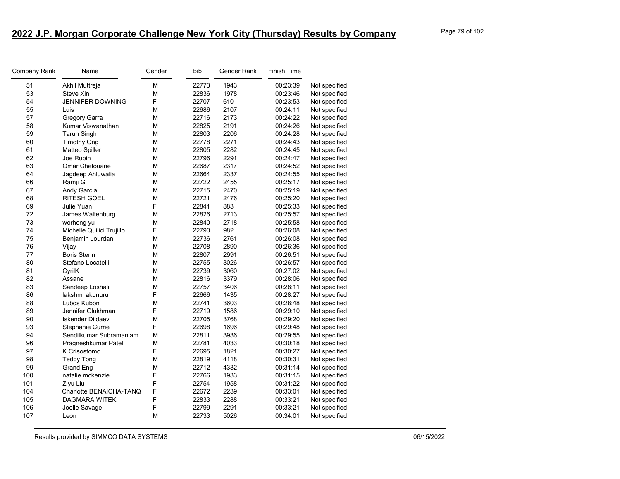| Company Rank | Name                      | Gender | <b>Bib</b> | Gender Rank | Finish Time |               |
|--------------|---------------------------|--------|------------|-------------|-------------|---------------|
| 51           | Akhil Muttreja            | м      | 22773      | 1943        | 00:23:39    | Not specified |
| 53           | Steve Xin                 | М      | 22836      | 1978        | 00:23:46    | Not specified |
| 54           | <b>JENNIFER DOWNING</b>   | F      | 22707      | 610         | 00:23:53    | Not specified |
| 55           | Luis                      | М      | 22686      | 2107        | 00:24:11    | Not specified |
| 57           | Gregory Garra             | М      | 22716      | 2173        | 00:24:22    | Not specified |
| 58           | Kumar Viswanathan         | M      | 22825      | 2191        | 00:24:26    | Not specified |
| 59           | <b>Tarun Singh</b>        | M      | 22803      | 2206        | 00:24:28    | Not specified |
| 60           | <b>Timothy Ong</b>        | M      | 22778      | 2271        | 00:24:43    | Not specified |
| 61           | Matteo Spiller            | м      | 22805      | 2282        | 00:24:45    | Not specified |
| 62           | Joe Rubin                 | М      | 22796      | 2291        | 00:24:47    | Not specified |
| 63           | Omar Chetouane            | М      | 22687      | 2317        | 00:24:52    | Not specified |
| 64           | Jagdeep Ahluwalia         | М      | 22664      | 2337        | 00:24:55    | Not specified |
| 66           | Ramji G                   | М      | 22722      | 2455        | 00:25:17    | Not specified |
| 67           | Andy Garcia               | М      | 22715      | 2470        | 00:25:19    | Not specified |
| 68           | <b>RITESH GOEL</b>        | м      | 22721      | 2476        | 00:25:20    | Not specified |
| 69           | Julie Yuan                | F      | 22841      | 883         | 00:25:33    | Not specified |
| 72           | James Waltenburg          | М      | 22826      | 2713        | 00:25:57    | Not specified |
| 73           | worhong yu                | М      | 22840      | 2718        | 00:25:58    | Not specified |
| 74           | Michelle Quilici Trujillo | F      | 22790      | 982         | 00:26:08    | Not specified |
| 75           | Benjamin Jourdan          | м      | 22736      | 2761        | 00:26:08    | Not specified |
| 76           | Vijay                     | М      | 22708      | 2890        | 00:26:36    | Not specified |
| 77           | <b>Boris Sterin</b>       | м      | 22807      | 2991        | 00:26:51    | Not specified |
| 80           | Stefano Locatelli         | М      | 22755      | 3026        | 00:26:57    | Not specified |
| 81           | CyrilK                    | М      | 22739      | 3060        | 00:27:02    | Not specified |
| 82           | Assane                    | м      | 22816      | 3379        | 00:28:06    | Not specified |
| 83           | Sandeep Loshali           | м      | 22757      | 3406        | 00:28:11    | Not specified |
| 86           | lakshmi akunuru           | F      | 22666      | 1435        | 00:28:27    | Not specified |
| 88           | Lubos Kubon               | М      | 22741      | 3603        | 00:28:48    | Not specified |
| 89           | Jennifer Glukhman         | F      | 22719      | 1586        | 00:29:10    | Not specified |
| 90           | <b>Iskender Dildaev</b>   | М      | 22705      | 3768        | 00:29:20    | Not specified |
| 93           | Stephanie Currie          | F      | 22698      | 1696        | 00:29:48    | Not specified |
| 94           | Sendilkumar Subramaniam   | м      | 22811      | 3936        | 00:29:55    | Not specified |
| 96           | Pragneshkumar Patel       | M      | 22781      | 4033        | 00:30:18    | Not specified |
| 97           | K Crisostomo              | F      | 22695      | 1821        | 00:30:27    | Not specified |
| 98           | <b>Teddy Tong</b>         | м      | 22819      | 4118        | 00:30:31    | Not specified |
| 99           | Grand Eng                 | м      | 22712      | 4332        | 00:31:14    | Not specified |
| 100          | natalie mckenzie          | F      | 22766      | 1933        | 00:31:15    | Not specified |
| 101          | Ziyu Liu                  | F      | 22754      | 1958        | 00:31:22    | Not specified |
| 104          | Charlotte BENAICHA-TANQ   | F      | 22672      | 2239        | 00:33:01    | Not specified |
| 105          | <b>DAGMARA WITEK</b>      | F      | 22833      | 2288        | 00:33:21    | Not specified |
| 106          | Joelle Savage             | F      | 22799      | 2291        | 00:33:21    | Not specified |
| 107          | Leon                      | М      | 22733      | 5026        | 00:34:01    | Not specified |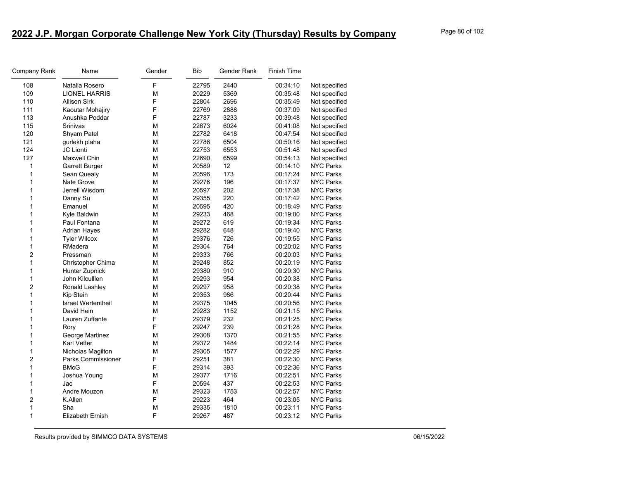| Company Rank   | Name                      | Gender | Bib   | Gender Rank | Finish Time |                  |
|----------------|---------------------------|--------|-------|-------------|-------------|------------------|
| 108            | Natalia Rosero            | F      | 22795 | 2440        | 00:34:10    | Not specified    |
| 109            | <b>LIONEL HARRIS</b>      | М      | 20229 | 5369        | 00:35:48    | Not specified    |
| 110            | <b>Allison Sirk</b>       | F      | 22804 | 2696        | 00:35:49    | Not specified    |
| 111            | Kaoutar Mohajiry          | F      | 22769 | 2888        | 00:37:09    | Not specified    |
| 113            | Anushka Poddar            | F      | 22787 | 3233        | 00:39:48    | Not specified    |
| 115            | Srinivas                  | М      | 22673 | 6024        | 00:41:08    | Not specified    |
| 120            | Shyam Patel               | М      | 22782 | 6418        | 00:47:54    | Not specified    |
| 121            | gurlekh plaha             | M      | 22786 | 6504        | 00:50:16    | Not specified    |
| 124            | <b>JC Lionti</b>          | М      | 22753 | 6553        | 00:51:48    | Not specified    |
| 127            | Maxwell Chin              | М      | 22690 | 6599        | 00:54:13    | Not specified    |
| 1              | Garrett Burger            | М      | 20589 | 12          | 00:14:10    | <b>NYC Parks</b> |
| 1              | Sean Quealy               | М      | 20596 | 173         | 00:17:24    | <b>NYC Parks</b> |
| 1              | Nate Grove                | M      | 29276 | 196         | 00:17:37    | <b>NYC Parks</b> |
| 1              | Jerrell Wisdom            | М      | 20597 | 202         | 00:17:38    | <b>NYC Parks</b> |
| 1              | Danny Su                  | М      | 29355 | 220         | 00:17:42    | <b>NYC Parks</b> |
| 1              | Emanuel                   | М      | 20595 | 420         | 00:18:49    | <b>NYC Parks</b> |
| 1              | Kyle Baldwin              | М      | 29233 | 468         | 00:19:00    | <b>NYC Parks</b> |
| 1              | Paul Fontana              | M      | 29272 | 619         | 00:19:34    | <b>NYC Parks</b> |
| 1              | <b>Adrian Hayes</b>       | M      | 29282 | 648         | 00:19:40    | <b>NYC Parks</b> |
| 1              | <b>Tyler Wilcox</b>       | М      | 29376 | 726         | 00:19:55    | <b>NYC Parks</b> |
| 1              | RMadera                   | М      | 29304 | 764         | 00:20:02    | <b>NYC Parks</b> |
| $\overline{2}$ | Pressman                  | М      | 29333 | 766         | 00:20:03    | <b>NYC Parks</b> |
| 1              | Christopher Chima         | М      | 29248 | 852         | 00:20:19    | <b>NYC Parks</b> |
| 1              | Hunter Zupnick            | М      | 29380 | 910         | 00:20:30    | <b>NYC Parks</b> |
| 1              | John Kilculllen           | М      | 29293 | 954         | 00:20:38    | <b>NYC Parks</b> |
| $\overline{c}$ | Ronald Lashley            | M      | 29297 | 958         | 00:20:38    | <b>NYC Parks</b> |
| 1              | Kip Stein                 | М      | 29353 | 986         | 00:20:44    | <b>NYC Parks</b> |
| 1              | <b>Israel Wertentheil</b> | М      | 29375 | 1045        | 00:20:56    | <b>NYC Parks</b> |
| 1              | David Hein                | М      | 29283 | 1152        | 00:21:15    | <b>NYC Parks</b> |
| 1              | Lauren Zuffante           | F      | 29379 | 232         | 00:21:25    | <b>NYC Parks</b> |
| 1              | Rory                      | F      | 29247 | 239         | 00:21:28    | <b>NYC Parks</b> |
| 1              | George Martinez           | M      | 29308 | 1370        | 00:21:55    | <b>NYC Parks</b> |
| 1              | <b>Karl Vetter</b>        | M      | 29372 | 1484        | 00:22:14    | <b>NYC Parks</b> |
| 1              | Nicholas Magilton         | M      | 29305 | 1577        | 00:22:29    | <b>NYC Parks</b> |
| $\overline{2}$ | <b>Parks Commissioner</b> | F      | 29251 | 381         | 00:22:30    | <b>NYC Parks</b> |
| 1              | <b>BMcG</b>               | F      | 29314 | 393         | 00:22:36    | <b>NYC Parks</b> |
| 1              | Joshua Young              | M      | 29377 | 1716        | 00:22:51    | <b>NYC Parks</b> |
| 1              | Jac                       | F      | 20594 | 437         | 00:22:53    | <b>NYC Parks</b> |
| 1              | Andre Mouzon              | М      | 29323 | 1753        | 00:22:57    | <b>NYC Parks</b> |
| 2              | K.Allen                   | F      | 29223 | 464         | 00:23:05    | <b>NYC Parks</b> |
| 1              | Sha                       | M      | 29335 | 1810        | 00:23:11    | <b>NYC Parks</b> |
| 1              | <b>Elizabeth Ernish</b>   | F      | 29267 | 487         | 00:23:12    | <b>NYC Parks</b> |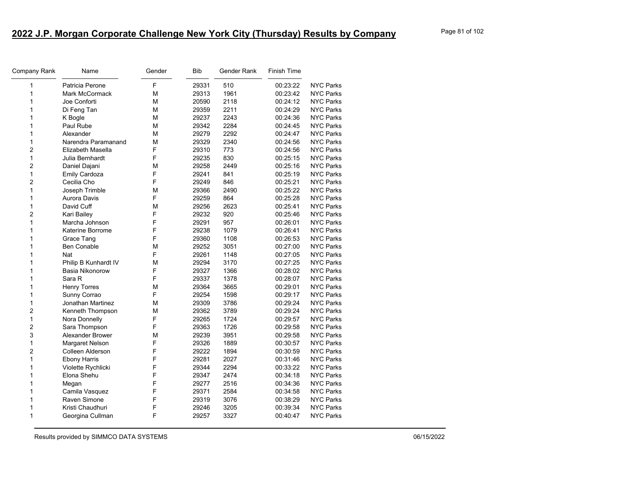| Company Rank   | Name                  | Gender | <b>Bib</b> | Gender Rank | Finish Time |                  |
|----------------|-----------------------|--------|------------|-------------|-------------|------------------|
| 1              | Patricia Perone       | F      | 29331      | 510         | 00:23:22    | <b>NYC Parks</b> |
| 1              | <b>Mark McCormack</b> | М      | 29313      | 1961        | 00:23:42    | <b>NYC Parks</b> |
| 1              | Joe Conforti          | М      | 20590      | 2118        | 00:24:12    | <b>NYC Parks</b> |
| 1              | Di Feng Tan           | М      | 29359      | 2211        | 00:24:29    | <b>NYC Parks</b> |
| 1              | K Bogle               | М      | 29237      | 2243        | 00:24:36    | <b>NYC Parks</b> |
| 1              | Paul Rube             | M      | 29342      | 2284        | 00:24:45    | <b>NYC Parks</b> |
| 1              | Alexander             | M      | 29279      | 2292        | 00:24:47    | <b>NYC Parks</b> |
| $\mathbf{1}$   | Narendra Paramanand   | M      | 29329      | 2340        | 00:24:56    | <b>NYC Parks</b> |
| 2              | Elizabeth Masella     | F      | 29310      | 773         | 00:24:56    | <b>NYC Parks</b> |
| 1              | Julia Bernhardt       | F      | 29235      | 830         | 00:25:15    | <b>NYC Parks</b> |
| 2              | Daniel Dajani         | M      | 29258      | 2449        | 00:25:16    | <b>NYC Parks</b> |
| $\mathbf{1}$   | <b>Emily Cardoza</b>  | F      | 29241      | 841         | 00:25:19    | <b>NYC Parks</b> |
| $\overline{c}$ | Cecilia Cho           | F      | 29249      | 846         | 00:25:21    | <b>NYC Parks</b> |
| 1              | Joseph Trimble        | M      | 29366      | 2490        | 00:25:22    | <b>NYC Parks</b> |
| 1              | Aurora Davis          | F      | 29259      | 864         | 00:25:28    | NYC Parks        |
| 1              | David Cuff            | M      | 29256      | 2623        | 00:25:41    | <b>NYC Parks</b> |
| $\overline{c}$ | Kari Bailey           | F      | 29232      | 920         | 00:25:46    | <b>NYC Parks</b> |
| $\mathbf 1$    | Marcha Johnson        | F      | 29291      | 957         | 00:26:01    | <b>NYC Parks</b> |
| 1              | Katerine Borrome      | F      | 29238      | 1079        | 00:26:41    | <b>NYC Parks</b> |
| 1              | Grace Tang            | F      | 29360      | 1108        | 00:26:53    | <b>NYC Parks</b> |
| 1              | <b>Ben Conable</b>    | M      | 29252      | 3051        | 00:27:00    | <b>NYC Parks</b> |
| 1              | Nat                   | F      | 29261      | 1148        | 00:27:05    | <b>NYC Parks</b> |
| 1              | Philip B Kunhardt IV  | M      | 29294      | 3170        | 00:27:25    | <b>NYC Parks</b> |
| 1              | Basia Nikonorow       | F      | 29327      | 1366        | 00:28:02    | <b>NYC Parks</b> |
| 1              | Sara R                | F      | 29337      | 1378        | 00:28:07    | <b>NYC Parks</b> |
| 1              | <b>Henry Torres</b>   | M      | 29364      | 3665        | 00:29:01    | <b>NYC Parks</b> |
| 1              | Sunny Corrao          | F      | 29254      | 1598        | 00:29:17    | <b>NYC Parks</b> |
| $\mathbf 1$    | Jonathan Martinez     | М      | 29309      | 3786        | 00:29:24    | <b>NYC Parks</b> |
| 2              | Kenneth Thompson      | М      | 29362      | 3789        | 00:29:24    | <b>NYC Parks</b> |
| 1              | Nora Donnelly         | F      | 29265      | 1724        | 00:29:57    | <b>NYC Parks</b> |
| 2              | Sara Thompson         | F      | 29363      | 1726        | 00:29:58    | <b>NYC Parks</b> |
| 3              | Alexander Brower      | M      | 29239      | 3951        | 00:29:58    | <b>NYC Parks</b> |
| 1              | Margaret Nelson       | F      | 29326      | 1889        | 00:30:57    | <b>NYC Parks</b> |
| 2              | Colleen Alderson      | F      | 29222      | 1894        | 00:30:59    | <b>NYC Parks</b> |
| 1              | <b>Ebony Harris</b>   | F      | 29281      | 2027        | 00:31:46    | NYC Parks        |
| 1              | Violette Rychlicki    | F      | 29344      | 2294        | 00:33:22    | <b>NYC Parks</b> |
| 1              | Elona Shehu           | F      | 29347      | 2474        | 00:34:18    | <b>NYC Parks</b> |
| 1              | Megan                 | F      | 29277      | 2516        | 00:34:36    | <b>NYC Parks</b> |
| 1              | Camila Vasquez        | F      | 29371      | 2584        | 00:34:58    | <b>NYC Parks</b> |
| 1              | Raven Simone          | F      | 29319      | 3076        | 00:38:29    | <b>NYC Parks</b> |
| 1              | Kristi Chaudhuri      | F      | 29246      | 3205        | 00:39:34    | <b>NYC Parks</b> |
| 1              | Georgina Cullman      | F      | 29257      | 3327        | 00:40:47    | <b>NYC Parks</b> |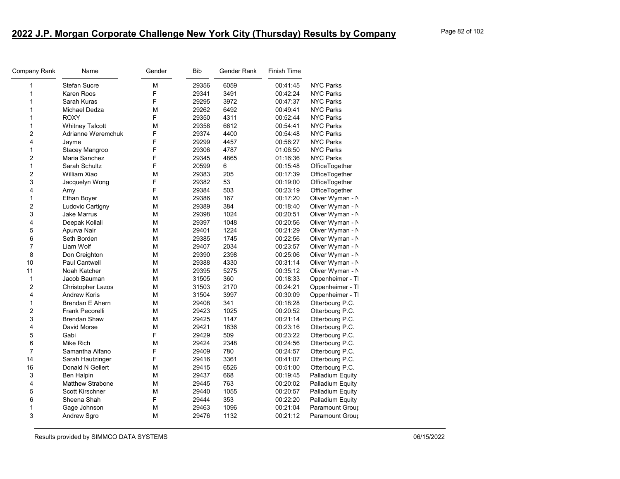| Company Rank            | Name                    | Gender | <b>Bib</b> | Gender Rank | Finish Time |                  |
|-------------------------|-------------------------|--------|------------|-------------|-------------|------------------|
| 1                       | Stefan Sucre            | M      | 29356      | 6059        | 00:41:45    | <b>NYC Parks</b> |
| $\mathbf{1}$            | Karen Roos              | F      | 29341      | 3491        | 00:42:24    | <b>NYC Parks</b> |
| $\mathbf{1}$            | Sarah Kuras             | F      | 29295      | 3972        | 00:47:37    | <b>NYC Parks</b> |
| 1                       | Michael Dedza           | M      | 29262      | 6492        | 00:49:41    | <b>NYC Parks</b> |
| 1                       | <b>ROXY</b>             | F      | 29350      | 4311        | 00:52:44    | <b>NYC Parks</b> |
| 1                       | <b>Whitney Talcott</b>  | M      | 29358      | 6612        | 00:54:41    | <b>NYC Parks</b> |
| $\overline{c}$          | Adrianne Weremchuk      | F      | 29374      | 4400        | 00:54:48    | <b>NYC Parks</b> |
| 4                       | Jayme                   | F      | 29299      | 4457        | 00:56:27    | <b>NYC Parks</b> |
| 1                       | Stacey Mangroo          | F      | 29306      | 4787        | 01:06:50    | <b>NYC Parks</b> |
| $\overline{c}$          | Maria Sanchez           | F      | 29345      | 4865        | 01:16:36    | <b>NYC Parks</b> |
| $\mathbf{1}$            | Sarah Schultz           | F      | 20599      | 6           | 00:15:48    | OfficeTogether   |
| $\overline{\mathbf{c}}$ | William Xiao            | М      | 29383      | 205         | 00:17:39    | OfficeTogether   |
| 3                       | Jacquelyn Wong          | F      | 29382      | 53          | 00:19:00    | OfficeTogether   |
| 4                       | Amy                     | F      | 29384      | 503         | 00:23:19    | OfficeTogether   |
| $\mathbf{1}$            | Ethan Boyer             | M      | 29386      | 167         | 00:17:20    | Oliver Wyman - N |
| $\boldsymbol{2}$        | Ludovic Cartigny        | М      | 29389      | 384         | 00:18:40    | Oliver Wyman - N |
| 3                       | <b>Jake Marrus</b>      | M      | 29398      | 1024        | 00:20:51    | Oliver Wyman - N |
| 4                       | Deepak Kollali          | M      | 29397      | 1048        | 00:20:56    | Oliver Wyman - N |
| 5                       | Apurva Nair             | М      | 29401      | 1224        | 00:21:29    | Oliver Wyman - N |
| 6                       | Seth Borden             | M      | 29385      | 1745        | 00:22:56    | Oliver Wyman - N |
| $\overline{7}$          | Liam Wolf               | M      | 29407      | 2034        | 00:23:57    | Oliver Wyman - N |
| 8                       | Don Creighton           | M      | 29390      | 2398        | 00:25:06    | Oliver Wyman - N |
| 10                      | Paul Cantwell           | М      | 29388      | 4330        | 00:31:14    | Oliver Wyman - N |
| 11                      | Noah Katcher            | M      | 29395      | 5275        | 00:35:12    | Oliver Wyman - N |
| $\mathbf{1}$            | Jacob Bauman            | M      | 31505      | 360         | 00:18:33    | Oppenheimer - TI |
| 2                       | Christopher Lazos       | M      | 31503      | 2170        | 00:24:21    | Oppenheimer - TI |
| 4                       | <b>Andrew Koris</b>     | M      | 31504      | 3997        | 00:30:09    | Oppenheimer - TI |
| 1                       | <b>Brendan E Ahern</b>  | M      | 29408      | 341         | 00:18:28    | Otterbourg P.C.  |
| $\overline{c}$          | <b>Frank Pecorelli</b>  | M      | 29423      | 1025        | 00:20:52    | Otterbourg P.C.  |
| 3                       | <b>Brendan Shaw</b>     | М      | 29425      | 1147        | 00:21:14    | Otterbourg P.C.  |
| 4                       | David Morse             | M      | 29421      | 1836        | 00:23:16    | Otterbourg P.C.  |
| 5                       | Gabi                    | F      | 29429      | 509         | 00:23:22    | Otterbourg P.C.  |
| 6                       | Mike Rich               | M      | 29424      | 2348        | 00:24:56    | Otterbourg P.C.  |
| $\overline{7}$          | Samantha Alfano         | F      | 29409      | 780         | 00:24:57    | Otterbourg P.C.  |
| 14                      | Sarah Hautzinger        | F      | 29416      | 3361        | 00:41:07    | Otterbourg P.C.  |
| 16                      | Donald N Gellert        | M      | 29415      | 6526        | 00:51:00    | Otterbourg P.C.  |
| 3                       | <b>Ben Halpin</b>       | M      | 29437      | 668         | 00:19:45    | Palladium Equity |
| 4                       | <b>Matthew Strabone</b> | M      | 29445      | 763         | 00:20:02    | Palladium Equity |
| 5                       | <b>Scott Kirschner</b>  | M      | 29440      | 1055        | 00:20:57    | Palladium Equity |
| 6                       | Sheena Shah             | F      | 29444      | 353         | 00:22:20    | Palladium Equity |
| 1                       | Gage Johnson            | M      | 29463      | 1096        | 00:21:04    | Paramount Group  |
| 3                       | Andrew Sgro             | M      | 29476      | 1132        | 00:21:12    | Paramount Grour  |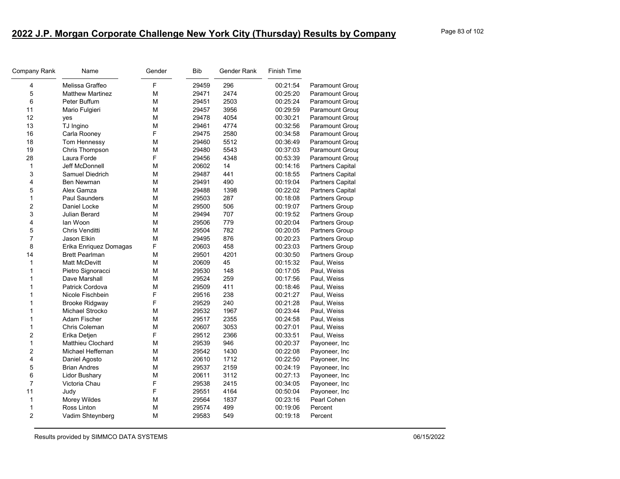| Company Rank   | Name                     | Gender | Bib   | Gender Rank | <b>Finish Time</b> |                         |
|----------------|--------------------------|--------|-------|-------------|--------------------|-------------------------|
| 4              | Melissa Graffeo          | F      | 29459 | 296         | 00:21:54           | Paramount Group         |
| 5              | <b>Matthew Martinez</b>  | M      | 29471 | 2474        | 00:25:20           | <b>Paramount Group</b>  |
| 6              | Peter Buffum             | М      | 29451 | 2503        | 00:25:24           | Paramount Group         |
| 11             | Mario Fulgieri           | M      | 29457 | 3956        | 00:29:59           | Paramount Group         |
| 12             | yes                      | M      | 29478 | 4054        | 00:30:21           | Paramount Grour         |
| 13             | TJ Ingino                | M      | 29461 | 4774        | 00:32:56           | Paramount Group         |
| 16             | Carla Rooney             | F      | 29475 | 2580        | 00:34:58           | Paramount Group         |
| 18             | Tom Hennessy             | M      | 29460 | 5512        | 00:36:49           | Paramount Group         |
| 19             | Chris Thompson           | M      | 29480 | 5543        | 00:37:03           | Paramount Group         |
| 28             | Laura Forde              | F      | 29456 | 4348        | 00:53:39           | Paramount Group         |
| 1              | <b>Jeff McDonnell</b>    | M      | 20602 | 14          | 00:14:16           | Partners Capital        |
| 3              | Samuel Diedrich          | М      | 29487 | 441         | 00:18:55           | <b>Partners Capital</b> |
| 4              | <b>Ben Newman</b>        | M      | 29491 | 490         | 00:19:04           | <b>Partners Capital</b> |
| 5              | Alex Gamza               | м      | 29488 | 1398        | 00:22:02           | <b>Partners Capital</b> |
| $\mathbf{1}$   | <b>Paul Saunders</b>     | M      | 29503 | 287         | 00:18:08           | Partners Group          |
| 2              | Daniel Locke             | M      | 29500 | 506         | 00:19:07           | Partners Group          |
| 3              | Julian Berard            | М      | 29494 | 707         | 00:19:52           | Partners Group          |
| 4              | lan Woon                 | M      | 29506 | 779         | 00:20:04           | Partners Group          |
| 5              | Chris Venditti           | м      | 29504 | 782         | 00:20:05           | <b>Partners Group</b>   |
| 7              | Jason Elkin              | M      | 29495 | 876         | 00:20:23           | Partners Group          |
| 8              | Erika Enriquez Domagas   | F      | 20603 | 458         | 00:23:03           | <b>Partners Group</b>   |
| 14             | <b>Brett Pearlman</b>    | M      | 29501 | 4201        | 00:30:50           | Partners Group          |
| 1              | <b>Matt McDevitt</b>     | M      | 20609 | 45          | 00:15:32           | Paul, Weiss             |
| 1              | Pietro Signoracci        | M      | 29530 | 148         | 00:17:05           | Paul, Weiss             |
| 1              | Dave Marshall            | M      | 29524 | 259         | 00:17:56           | Paul, Weiss             |
| 1              | Patrick Cordova          | M      | 29509 | 411         | 00:18:46           | Paul, Weiss             |
| 1              | Nicole Fischbein         | F      | 29516 | 238         | 00:21:27           | Paul, Weiss             |
| 1              | <b>Brooke Ridgway</b>    | F      | 29529 | 240         | 00:21:28           | Paul, Weiss             |
| 1              | Michael Strocko          | M      | 29532 | 1967        | 00:23:44           | Paul, Weiss             |
| 1              | Adam Fischer             | M      | 29517 | 2355        | 00:24:58           | Paul, Weiss             |
| 1              | Chris Coleman            | M      | 20607 | 3053        | 00:27:01           | Paul, Weiss             |
| 2              | Erika Detjen             | F      | 29512 | 2366        | 00:33:51           | Paul, Weiss             |
| 1              | <b>Matthieu Clochard</b> | м      | 29539 | 946         | 00:20:37           | Payoneer, Inc           |
| $\overline{2}$ | Michael Heffernan        | M      | 29542 | 1430        | 00:22:08           | Payoneer, Inc           |
| 4              | Daniel Agosto            | М      | 20610 | 1712        | 00:22:50           | Payoneer, Inc           |
| 5              | <b>Brian Andres</b>      | М      | 29537 | 2159        | 00:24:19           | Payoneer, Inc           |
| 6              | <b>Lidor Bushary</b>     | M      | 20611 | 3112        | 00:27:13           | Payoneer, Inc           |
| $\overline{7}$ | Victoria Chau            | F      | 29538 | 2415        | 00:34:05           | Payoneer, Inc           |
| 11             | Judy                     | F      | 29551 | 4164        | 00:50:04           | Payoneer, Inc           |
| 1              | Morey Wildes             | м      | 29564 | 1837        | 00:23:16           | Pearl Cohen             |
| 1              | Ross Linton              | м      | 29574 | 499         | 00:19:06           | Percent                 |
| $\overline{2}$ | Vadim Shteynberg         | м      | 29583 | 549         | 00:19:18           | Percent                 |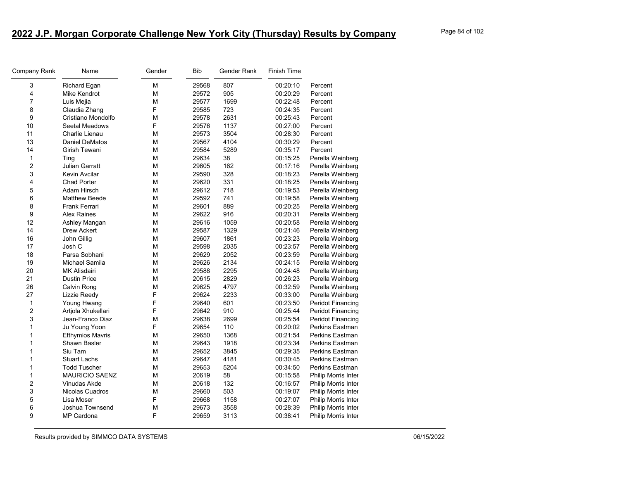| Company Rank            | Name                    | Gender | <b>Bib</b> | Gender Rank | <b>Finish Time</b> |                          |
|-------------------------|-------------------------|--------|------------|-------------|--------------------|--------------------------|
| 3                       | Richard Egan            | M      | 29568      | 807         | 00:20:10           | Percent                  |
| 4                       | Mike Kendrot            | M      | 29572      | 905         | 00:20:29           | Percent                  |
| $\overline{7}$          | Luis Mejia              | M      | 29577      | 1699        | 00:22:48           | Percent                  |
| 8                       | Claudia Zhang           | F      | 29585      | 723         | 00:24:35           | Percent                  |
| 9                       | Cristiano Mondolfo      | M      | 29578      | 2631        | 00:25:43           | Percent                  |
| 10                      | Seetal Meadows          | F      | 29576      | 1137        | 00:27:00           | Percent                  |
| 11                      | Charlie Lienau          | M      | 29573      | 3504        | 00:28:30           | Percent                  |
| 13                      | <b>Daniel DeMatos</b>   | M      | 29567      | 4104        | 00:30:29           | Percent                  |
| 14                      | Girish Tewani           | М      | 29584      | 5289        | 00:35:17           | Percent                  |
| 1                       | Ting                    | M      | 29634      | 38          | 00:15:25           | Perella Weinberg         |
| $\overline{2}$          | <b>Julian Garratt</b>   | M      | 29605      | 162         | 00:17:16           | Perella Weinberg         |
| 3                       | Kevin Avcilar           | М      | 29590      | 328         | 00:18:23           | Perella Weinberg         |
| 4                       | <b>Chad Porter</b>      | M      | 29620      | 331         | 00:18:25           | Perella Weinberg         |
| 5                       | Adam Hirsch             | М      | 29612      | 718         | 00:19:53           | Perella Weinberg         |
| 6                       | <b>Matthew Beede</b>    | M      | 29592      | 741         | 00:19:58           | Perella Weinberg         |
| 8                       | <b>Frank Ferrari</b>    | M      | 29601      | 889         | 00:20:25           | Perella Weinberg         |
| 9                       | <b>Alex Raines</b>      | М      | 29622      | 916         | 00:20:31           | Perella Weinberg         |
| 12                      | Ashley Mangan           | M      | 29616      | 1059        | 00:20:58           | Perella Weinberg         |
| 14                      | Drew Ackert             | M      | 29587      | 1329        | 00:21:46           | Perella Weinberg         |
| 16                      | John Gillig             | М      | 29607      | 1861        | 00:23:23           | Perella Weinberg         |
| 17                      | Josh C                  | M      | 29598      | 2035        | 00:23:57           | Perella Weinberg         |
| 18                      | Parsa Sobhani           | М      | 29629      | 2052        | 00:23:59           | Perella Weinberg         |
| 19                      | Michael Samila          | M      | 29626      | 2134        | 00:24:15           | Perella Weinberg         |
| 20                      | <b>MK Alisdairi</b>     | M      | 29588      | 2295        | 00:24:48           | Perella Weinberg         |
| 21                      | <b>Dustin Price</b>     | М      | 20615      | 2829        | 00:26:23           | Perella Weinberg         |
| 26                      | Calvin Rong             | M      | 29625      | 4797        | 00:32:59           | Perella Weinberg         |
| 27                      | Lizzie Reedy            | F      | 29624      | 2233        | 00:33:00           | Perella Weinberg         |
| 1                       | Young Hwang             | F      | 29640      | 601         | 00:23:50           | Peridot Financing        |
| $\overline{c}$          | Artjola Xhukellari      | F      | 29642      | 910         | 00:25:44           | <b>Peridot Financing</b> |
| 3                       | Jean-Franco Diaz        | М      | 29638      | 2699        | 00:25:54           | Peridot Financing        |
| $\mathbf{1}$            | Ju Young Yoon           | F      | 29654      | 110         | 00:20:02           | Perkins Eastman          |
| $\mathbf{1}$            | <b>Efthymios Mavris</b> | M      | 29650      | 1368        | 00:21:54           | <b>Perkins Eastman</b>   |
| 1                       | Shawn Basler            | М      | 29643      | 1918        | 00:23:34           | Perkins Eastman          |
| 1                       | Siu Tam                 | M      | 29652      | 3845        | 00:29:35           | Perkins Eastman          |
| $\mathbf{1}$            | <b>Stuart Lachs</b>     | М      | 29647      | 4181        | 00:30:45           | Perkins Eastman          |
| 1                       | <b>Todd Tuscher</b>     | M      | 29653      | 5204        | 00:34:50           | Perkins Eastman          |
| 1                       | <b>MAURICIO SAENZ</b>   | M      | 20619      | 58          | 00:15:58           | Philip Morris Inter      |
| $\overline{\mathbf{c}}$ | Vinudas Akde            | М      | 20618      | 132         | 00:16:57           | Philip Morris Inter      |
| 3                       | Nicolas Cuadros         | M      | 29660      | 503         | 00:19:07           | Philip Morris Inter      |
| 5                       | Lisa Moser              | F      | 29668      | 1158        | 00:27:07           | Philip Morris Inter      |
| 6                       | Joshua Townsend         | M      | 29673      | 3558        | 00:28:39           | Philip Morris Inter      |
| 9                       | <b>MP Cardona</b>       | F      | 29659      | 3113        | 00:38:41           | Philip Morris Inter      |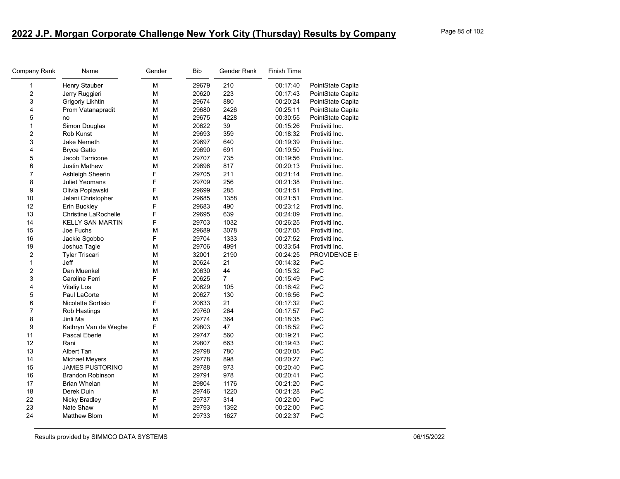| Company Rank            | Name                        | Gender | <b>Bib</b> | Gender Rank    | Finish Time |                     |
|-------------------------|-----------------------------|--------|------------|----------------|-------------|---------------------|
| 1                       | Henry Stauber               | M      | 29679      | 210            | 00:17:40    | PointState Capita   |
| $\overline{\mathbf{c}}$ | Jerry Ruggieri              | M      | 20620      | 223            | 00:17:43    | PointState Capita   |
| 3                       | Grigoriy Likhtin            | М      | 29674      | 880            | 00:20:24    | PointState Capita   |
| 4                       | Prom Vatanapradit           | М      | 29680      | 2426           | 00:25:11    | PointState Capita   |
| 5                       | no                          | М      | 29675      | 4228           | 00:30:55    | PointState Capita   |
| 1                       | Simon Douglas               | М      | 20622      | 39             | 00:15:26    | Protiviti Inc.      |
| $\overline{c}$          | <b>Rob Kunst</b>            | М      | 29693      | 359            | 00:18:32    | Protiviti Inc.      |
| 3                       | Jake Nemeth                 | M      | 29697      | 640            | 00:19:39    | Protiviti Inc.      |
| 4                       | <b>Bryce Gatto</b>          | M      | 29690      | 691            | 00:19:50    | Protiviti Inc.      |
| 5                       | Jacob Tarricone             | M      | 29707      | 735            | 00:19:56    | Protiviti Inc.      |
| 6                       | <b>Justin Mathew</b>        | М      | 29696      | 817            | 00:20:13    | Protiviti Inc.      |
| $\overline{7}$          | Ashleigh Sheerin            | F      | 29705      | 211            | 00:21:14    | Protiviti Inc.      |
| 8                       | <b>Juliet Yeomans</b>       | F      | 29709      | 256            | 00:21:38    | Protiviti Inc.      |
| 9                       | Olivia Poplawski            | F      | 29699      | 285            | 00:21:51    | Protiviti Inc.      |
| 10                      | Jelani Christopher          | M      | 29685      | 1358           | 00:21:51    | Protiviti Inc.      |
| 12                      | Erin Buckley                | F      | 29683      | 490            | 00:23:12    | Protiviti Inc.      |
| 13                      | <b>Christine LaRochelle</b> | F      | 29695      | 639            | 00:24:09    | Protiviti Inc.      |
| 14                      | <b>KELLY SAN MARTIN</b>     | F      | 29703      | 1032           | 00:26:25    | Protiviti Inc.      |
| 15                      | Joe Fuchs                   | M      | 29689      | 3078           | 00:27:05    | Protiviti Inc.      |
| 16                      | Jackie Sgobbo               | F      | 29704      | 1333           | 00:27:52    | Protiviti Inc.      |
| 19                      | Joshua Tagle                | М      | 29706      | 4991           | 00:33:54    | Protiviti Inc.      |
| 2                       | <b>Tyler Triscari</b>       | M      | 32001      | 2190           | 00:24:25    | <b>PROVIDENCE E</b> |
| 1                       | Jeff                        | M      | 20624      | 21             | 00:14:32    | PwC                 |
| $\overline{\mathbf{c}}$ | Dan Muenkel                 | M      | 20630      | 44             | 00:15:32    | PwC                 |
| 3                       | Caroline Ferri              | F      | 20625      | $\overline{7}$ | 00:15:49    | PwC                 |
| 4                       | <b>Vitaliy Los</b>          | М      | 20629      | 105            | 00:16:42    | PwC                 |
| 5                       | Paul LaCorte                | M      | 20627      | 130            | 00:16:56    | PwC                 |
| 6                       | Nicolette Sortisio          | F      | 20633      | 21             | 00:17:32    | PwC                 |
| $\overline{7}$          | Rob Hastings                | M      | 29760      | 264            | 00:17:57    | PwC                 |
| 8                       | Jinli Ma                    | М      | 29774      | 364            | 00:18:35    | PwC                 |
| 9                       | Kathryn Van de Weghe        | F      | 29803      | 47             | 00:18:52    | PwC                 |
| 11                      | Pascal Eberle               | M      | 29747      | 560            | 00:19:21    | PwC                 |
| 12                      | Rani                        | М      | 29807      | 663            | 00:19:43    | PwC                 |
| 13                      | Albert Tan                  | М      | 29798      | 780            | 00:20:05    | PwC                 |
| 14                      | <b>Michael Meyers</b>       | М      | 29778      | 898            | 00:20:27    | PwC                 |
| 15                      | <b>JAMES PUSTORINO</b>      | М      | 29788      | 973            | 00:20:40    | PwC                 |
| 16                      | <b>Brandon Robinson</b>     | M      | 29791      | 978            | 00:20:41    | PwC                 |
| 17                      | <b>Brian Whelan</b>         | М      | 29804      | 1176           | 00:21:20    | PwC                 |
| 18                      | Derek Duin                  | М      | 29746      | 1220           | 00:21:28    | PwC                 |
| 22                      | Nicky Bradley               | F      | 29737      | 314            | 00:22:00    | PwC                 |
| 23                      | Nate Shaw                   | М      | 29793      | 1392           | 00:22:00    | PwC                 |
| 24                      | <b>Matthew Blom</b>         | М      | 29733      | 1627           | 00:22:37    | PwC                 |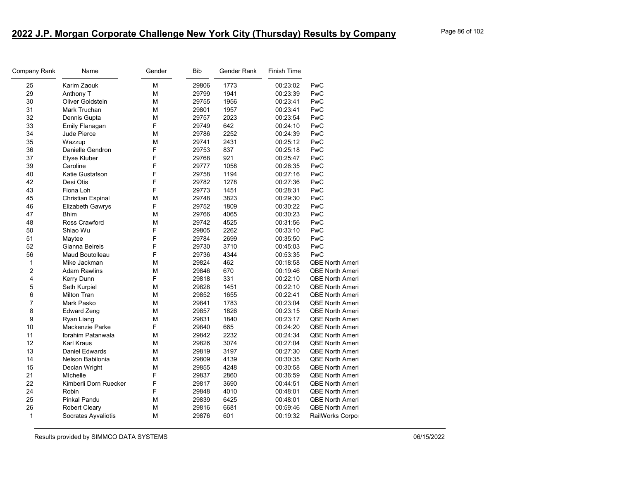| Company Rank   | Name                  | Gender | <b>Bib</b> | Gender Rank | Finish Time |                        |
|----------------|-----------------------|--------|------------|-------------|-------------|------------------------|
| 25             | Karim Zaouk           | M      | 29806      | 1773        | 00:23:02    | PwC                    |
| 29             | Anthony T             | M      | 29799      | 1941        | 00:23:39    | PwC                    |
| 30             | Oliver Goldstein      | М      | 29755      | 1956        | 00:23:41    | PwC                    |
| 31             | Mark Truchan          | М      | 29801      | 1957        | 00:23:41    | PwC                    |
| 32             | Dennis Gupta          | M      | 29757      | 2023        | 00:23:54    | PwC                    |
| 33             | Emily Flanagan        | F      | 29749      | 642         | 00:24:10    | PwC                    |
| 34             | <b>Jude Pierce</b>    | M      | 29786      | 2252        | 00:24:39    | PwC                    |
| 35             | Wazzup                | M      | 29741      | 2431        | 00:25:12    | PwC                    |
| 36             | Danielle Gendron      | F      | 29753      | 837         | 00:25:18    | PwC                    |
| 37             | Elyse Kluber          | F      | 29768      | 921         | 00:25:47    | PwC                    |
| 39             | Caroline              | F      | 29777      | 1058        | 00:26:35    | PwC                    |
| 40             | Katie Gustafson       | F      | 29758      | 1194        | 00:27:16    | PwC                    |
| 42             | Desi Otis             | F      | 29782      | 1278        | 00:27:36    | PwC                    |
| 43             | Fiona Loh             | F      | 29773      | 1451        | 00:28:31    | PwC                    |
| 45             | Christian Espinal     | М      | 29748      | 3823        | 00:29:30    | PwC                    |
| 46             | Elizabeth Gawrys      | F      | 29752      | 1809        | 00:30:22    | PwC                    |
| 47             | <b>Bhim</b>           | M      | 29766      | 4065        | 00:30:23    | PwC                    |
| 48             | Ross Crawford         | M      | 29742      | 4525        | 00:31:56    | PwC                    |
| 50             | Shiao Wu              | F      | 29805      | 2262        | 00:33:10    | PwC                    |
| 51             | Maytee                | F      | 29784      | 2699        | 00:35:50    | PwC                    |
| 52             | Gianna Beireis        | F      | 29730      | 3710        | 00:45:03    | PwC                    |
| 56             | Maud Boutolleau       | F      | 29736      | 4344        | 00:53:35    | PwC                    |
| 1              | Mike Jackman          | M      | 29824      | 462         | 00:18:58    | <b>QBE North Ameri</b> |
| $\overline{c}$ | <b>Adam Rawlins</b>   | M      | 29846      | 670         | 00:19:46    | <b>QBE North Ameri</b> |
| 4              | Kerry Dunn            | F      | 29818      | 331         | 00:22:10    | <b>QBE North Ameri</b> |
| 5              | Seth Kurpiel          | M      | 29828      | 1451        | 00:22:10    | QBE North Ameri        |
| 6              | <b>Milton Tran</b>    | М      | 29852      | 1655        | 00:22:41    | <b>QBE North Ameri</b> |
| 7              | Mark Pasko            | М      | 29841      | 1783        | 00:23:04    | <b>QBE North Ameri</b> |
| 8              | <b>Edward Zeng</b>    | М      | 29857      | 1826        | 00:23:15    | <b>QBE North Ameri</b> |
| 9              | Ryan Liang            | M      | 29831      | 1840        | 00:23:17    | <b>QBE North Ameri</b> |
| 10             | Mackenzie Parke       | F      | 29840      | 665         | 00:24:20    | <b>QBE North Ameri</b> |
| 11             | Ibrahim Patanwala     | М      | 29842      | 2232        | 00:24:34    | <b>QBE North Ameri</b> |
| 12             | Karl Kraus            | М      | 29826      | 3074        | 00:27:04    | <b>QBE North Ameri</b> |
| 13             | <b>Daniel Edwards</b> | M      | 29819      | 3197        | 00:27:30    | <b>QBE North Ameri</b> |
| 14             | Nelson Babilonia      | M      | 29809      | 4139        | 00:30:35    | <b>QBE North Ameri</b> |
| 15             | Declan Wright         | M      | 29855      | 4248        | 00:30:58    | <b>QBE North Ameri</b> |
| 21             | <b>MIchelle</b>       | F      | 29837      | 2860        | 00:36:59    | <b>QBE North Ameri</b> |
| 22             | Kimberli Dorn Ruecker | F      | 29817      | 3690        | 00:44:51    | <b>QBE North Ameri</b> |
| 24             | Robin                 | F      | 29848      | 4010        | 00:48:01    | <b>QBE North Ameri</b> |
| 25             | <b>Pinkal Pandu</b>   | M      | 29839      | 6425        | 00:48:01    | <b>QBE North Ameri</b> |
| 26             | Robert Cleary         | М      | 29816      | 6681        | 00:59:46    | <b>QBE North Ameri</b> |
| 1              | Socrates Ayvaliotis   | М      | 29876      | 601         | 00:19:32    | RailWorks Corpo        |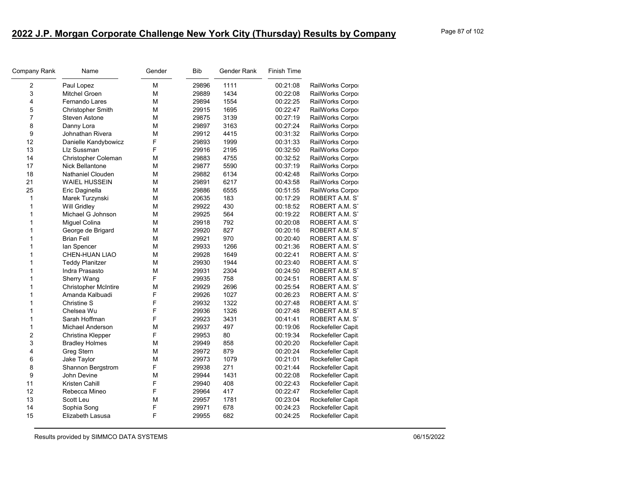| Company Rank   | Name                        | Gender | Bib   | Gender Rank | <b>Finish Time</b> |                   |
|----------------|-----------------------------|--------|-------|-------------|--------------------|-------------------|
| 2              | Paul Lopez                  | М      | 29896 | 1111        | 00:21:08           | RailWorks Corpo   |
| 3              | <b>Mitchel Groen</b>        | M      | 29889 | 1434        | 00:22:08           | RailWorks Corpo   |
| 4              | <b>Fernando Lares</b>       | М      | 29894 | 1554        | 00:22:25           | RailWorks Corpo   |
| 5              | <b>Christopher Smith</b>    | M      | 29915 | 1695        | 00:22:47           | RailWorks Corpo   |
| $\overline{7}$ | Steven Astone               | М      | 29875 | 3139        | 00:27:19           | RailWorks Corpo   |
| 8              | Danny Lora                  | М      | 29897 | 3163        | 00:27:24           | RailWorks Corpo   |
| 9              | Johnathan Rivera            | M      | 29912 | 4415        | 00:31:32           | RailWorks Corpo   |
| 12             | Danielle Kandybowicz        | F      | 29893 | 1999        | 00:31:33           | RailWorks Corpo   |
| 13             | LIz Sussman                 | F      | 29916 | 2195        | 00:32:50           | RailWorks Corpo   |
| 14             | Christopher Coleman         | М      | 29883 | 4755        | 00:32:52           | RailWorks Corpo   |
| 17             | Nick Bellantone             | М      | 29877 | 5590        | 00:37:19           | RailWorks Corpo   |
| 18             | Nathaniel Clouden           | M      | 29882 | 6134        | 00:42:48           | RailWorks Corpo   |
| 21             | <b>WAIEL HUSSEIN</b>        | М      | 29891 | 6217        | 00:43:58           | RailWorks Corpo   |
| 25             | Eric Daginella              | М      | 29886 | 6555        | 00:51:55           | RailWorks Corpo   |
| 1              | Marek Turzynski             | М      | 20635 | 183         | 00:17:29           | ROBERT A.M. ST    |
| 1              | Will Gridley                | M      | 29922 | 430         | 00:18:52           | ROBERT A.M. ST    |
| 1              | Michael G Johnson           | M      | 29925 | 564         | 00:19:22           | ROBERT A.M. ST    |
| 1              | Miguel Colina               | М      | 29918 | 792         | 00:20:08           | ROBERT A.M. ST    |
| 1              | George de Brigard           | М      | 29920 | 827         | 00:20:16           | ROBERT A.M. ST    |
| 1              | <b>Brian Fell</b>           | M      | 29921 | 970         | 00:20:40           | ROBERT A.M. ST    |
| 1              | lan Spencer                 | М      | 29933 | 1266        | 00:21:36           | ROBERT A.M. ST    |
| 1              | CHEN-HUAN LIAO              | М      | 29928 | 1649        | 00:22:41           | ROBERT A.M. ST    |
| 1              | <b>Teddy Planitzer</b>      | М      | 29930 | 1944        | 00:23:40           | ROBERT A.M. ST    |
| 1              | Indra Prasasto              | М      | 29931 | 2304        | 00:24:50           | ROBERT A.M. ST    |
| 1              | Sherry Wang                 | F      | 29935 | 758         | 00:24:51           | ROBERT A.M. ST    |
| 1              | <b>Christopher McIntire</b> | М      | 29929 | 2696        | 00:25:54           | ROBERT A.M. ST    |
| 1              | Amanda Kalbuadi             | F      | 29926 | 1027        | 00:26:23           | ROBERT A.M. ST    |
| 1              | Christine S                 | F      | 29932 | 1322        | 00:27:48           | ROBERT A.M. ST    |
| 1              | Chelsea Wu                  | F      | 29936 | 1326        | 00:27:48           | ROBERT A.M. ST    |
| 1              | Sarah Hoffman               | F      | 29923 | 3431        | 00:41:41           | ROBERT A.M. ST    |
| 1              | <b>Michael Anderson</b>     | М      | 29937 | 497         | 00:19:06           | Rockefeller Capit |
| 2              | Christina Klepper           | F      | 29953 | 80          | 00:19:34           | Rockefeller Capit |
| 3              | <b>Bradley Holmes</b>       | M      | 29949 | 858         | 00:20:20           | Rockefeller Capit |
| 4              | <b>Greg Stern</b>           | М      | 29972 | 879         | 00:20:24           | Rockefeller Capit |
| 6              | Jake Taylor                 | М      | 29973 | 1079        | 00:21:01           | Rockefeller Capit |
| 8              | Shannon Bergstrom           | F      | 29938 | 271         | 00:21:44           | Rockefeller Capit |
| 9              | John Devine                 | М      | 29944 | 1431        | 00:22:08           | Rockefeller Capit |
| 11             | Kristen Cahill              | F      | 29940 | 408         | 00:22:43           | Rockefeller Capit |
| 12             | Rebecca Mineo               | F      | 29964 | 417         | 00:22:47           | Rockefeller Capit |
| 13             | Scott Leu                   | M      | 29957 | 1781        | 00:23:04           | Rockefeller Capit |
| 14             | Sophia Song                 | F      | 29971 | 678         | 00:24:23           | Rockefeller Capit |
| 15             | Elizabeth Lasusa            | F      | 29955 | 682         | 00:24:25           | Rockefeller Capit |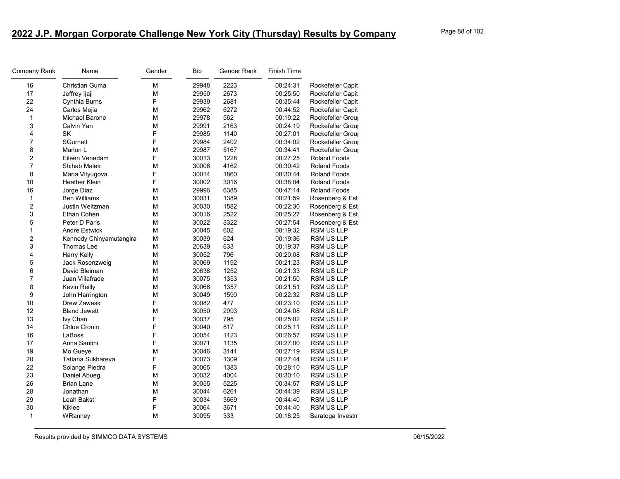| Company Rank   | Name                    | Gender | <b>Bib</b> | Gender Rank | <b>Finish Time</b> |                     |
|----------------|-------------------------|--------|------------|-------------|--------------------|---------------------|
| 16             | Christian Guma          | M      | 29948      | 2223        | 00:24:31           | Rockefeller Capit   |
| 17             | Jeffrey Ijaji           | M      | 29950      | 2673        | 00:25:50           | Rockefeller Capit   |
| 22             | Cynthia Burns           | F      | 29939      | 2681        | 00:35:44           | Rockefeller Capit   |
| 24             | Carlos Mejia            | M      | 29962      | 6272        | 00:44:52           | Rockefeller Capit   |
| $\mathbf{1}$   | Michael Barone          | M      | 29978      | 562         | 00:19:22           | Rockefeller Group   |
| 3              | Calvin Yan              | M      | 29991      | 2163        | 00:24:19           | Rockefeller Group   |
| 4              | SK                      | F      | 29985      | 1140        | 00:27:01           | Rockefeller Group   |
| $\overline{7}$ | <b>SGurnett</b>         | F      | 29984      | 2402        | 00:34:02           | Rockefeller Group   |
| 8              | Marlon L                | М      | 29987      | 5167        | 00:34:41           | Rockefeller Group   |
| 2              | Eileen Venedam          | F      | 30013      | 1228        | 00:27:25           | <b>Roland Foods</b> |
| $\overline{7}$ | Shihab Malek            | M      | 30006      | 4162        | 00:30:42           | <b>Roland Foods</b> |
| 8              | Maria Vityugova         | F      | 30014      | 1860        | 00:30:44           | <b>Roland Foods</b> |
| 10             | <b>Heather Klein</b>    | F      | 30002      | 3016        | 00:38:04           | <b>Roland Foods</b> |
| 16             | Jorge Diaz              | M      | 29996      | 6385        | 00:47:14           | <b>Roland Foods</b> |
| $\mathbf{1}$   | <b>Ben Williams</b>     | M      | 30031      | 1389        | 00:21:59           | Rosenberg & Est     |
| $\overline{c}$ | Justin Weitzman         | M      | 30030      | 1582        | 00:22:30           | Rosenberg & Esti    |
| 3              | Ethan Cohen             | M      | 30016      | 2522        | 00:25:27           | Rosenberg & Est     |
| 5              | Peter D Paris           | M      | 30022      | 3322        | 00:27:54           | Rosenberg & Est     |
| $\mathbf{1}$   | <b>Andre Estwick</b>    | M      | 30045      | 602         | 00:19:32           | RSM US LLP          |
| 2              | Kennedy Chinyamutangira | M      | 30039      | 624         | 00:19:36           | RSM US LLP          |
| 3              | Thomas Lee              | M      | 20639      | 633         | 00:19:37           | <b>RSM US LLP</b>   |
| 4              | <b>Harry Kelly</b>      | M      | 30052      | 796         | 00:20:08           | <b>RSM US LLP</b>   |
| 5              | Jack Rosenzweig         | M      | 30069      | 1192        | 00:21:23           | RSM US LLP          |
| 6              | David Bleiman           | M      | 20638      | 1252        | 00:21:33           | <b>RSM US LLP</b>   |
| 7              | Juan Villafrade         | M      | 30075      | 1353        | 00:21:50           | <b>RSM US LLP</b>   |
| 8              | Kevin Reilly            | M      | 30066      | 1357        | 00:21:51           | RSM US LLP          |
| 9              | John Harrington         | M      | 30049      | 1590        | 00:22:32           | <b>RSM US LLP</b>   |
| 10             | Drew Zaweski            | F      | 30082      | 477         | 00:23:10           | <b>RSM US LLP</b>   |
| 12             | <b>Bland Jewett</b>     | M      | 30050      | 2093        | 00:24:08           | RSM US LLP          |
| 13             | Ivy Chan                | F      | 30037      | 795         | 00:25:02           | RSM US LLP          |
| 14             | Chloe Cronin            | F      | 30040      | 817         | 00:25:11           | <b>RSM US LLP</b>   |
| 16             | LaBoss                  | F      | 30054      | 1123        | 00:26:57           | <b>RSM US LLP</b>   |
| 17             | Anna Santini            | F      | 30071      | 1135        | 00:27:00           | RSM US LLP          |
| 19             | Mo Gueye                | M      | 30046      | 3141        | 00:27:19           | <b>RSM US LLP</b>   |
| 20             | Tatiana Sukhareva       | F      | 30073      | 1309        | 00:27:44           | <b>RSM US LLP</b>   |
| 22             | Solange Piedra          | F      | 30065      | 1383        | 00:28:10           | RSM US LLP          |
| 23             | Daniel Abueg            | M      | 30032      | 4004        | 00:30:10           | <b>RSM US LLP</b>   |
| 26             | <b>Brian Lane</b>       | M      | 30055      | 5225        | 00:34:57           | <b>RSM US LLP</b>   |
| 28             | Jonathan                | M      | 30044      | 6261        | 00:44:39           | <b>RSM US LLP</b>   |
| 29             | Leah Bakst              | F      | 30034      | 3669        | 00:44:40           | RSM US LLP          |
| 30             | Kikiee                  | F      | 30064      | 3671        | 00:44:40           | <b>RSM US LLP</b>   |
| $\mathbf{1}$   | WRanney                 | M      | 30095      | 333         | 00:18:25           | Saratoga Investm    |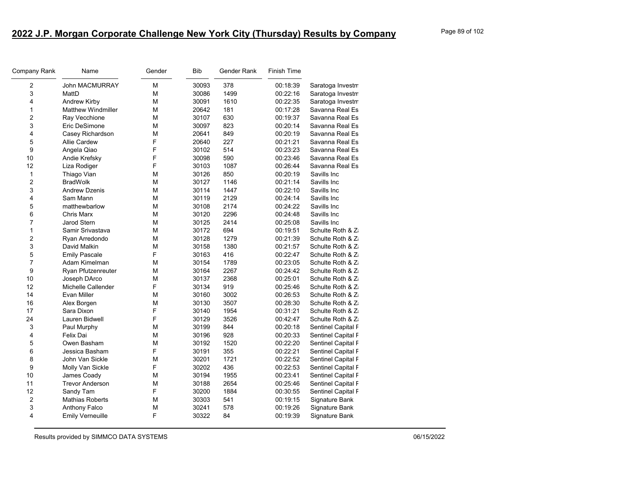| Company Rank            | Name                      | Gender | <b>Bib</b> | Gender Rank | Finish Time |                    |
|-------------------------|---------------------------|--------|------------|-------------|-------------|--------------------|
| 2                       | <b>John MACMURRAY</b>     | M      | 30093      | 378         | 00:18:39    | Saratoga Investm   |
| 3                       | MattD                     | M      | 30086      | 1499        | 00:22:16    | Saratoga Investm   |
| $\overline{\mathbf{4}}$ | Andrew Kirby              | М      | 30091      | 1610        | 00:22:35    | Saratoga Investm   |
| $\mathbf{1}$            | <b>Matthew Windmiller</b> | M      | 20642      | 181         | 00:17:28    | Savanna Real Es    |
| $\overline{c}$          | Ray Vecchione             | M      | 30107      | 630         | 00:19:37    | Savanna Real Es    |
| 3                       | Eric DeSimone             | M      | 30097      | 823         | 00:20:14    | Savanna Real Es    |
| 4                       | Casey Richardson          | M      | 20641      | 849         | 00:20:19    | Savanna Real Es    |
| 5                       | <b>Allie Cardew</b>       | F      | 20640      | 227         | 00:21:21    | Savanna Real Es    |
| 9                       | Angela Qiao               | F      | 30102      | 514         | 00:23:23    | Savanna Real Es    |
| 10                      | Andie Krefsky             | F      | 30098      | 590         | 00:23:46    | Savanna Real Es    |
| 12                      | Liza Rodiger              | F      | 30103      | 1087        | 00:26:44    | Savanna Real Es    |
| $\mathbf{1}$            | Thiago Vian               | M      | 30126      | 850         | 00:20:19    | Savills Inc        |
| $\overline{c}$          | <b>BradWolk</b>           | M      | 30127      | 1146        | 00:21:14    | Savills Inc        |
| 3                       | <b>Andrew Dzenis</b>      | M      | 30114      | 1447        | 00:22:10    | Savills Inc        |
| 4                       | Sam Mann                  | M      | 30119      | 2129        | 00:24:14    | Savills Inc        |
| 5                       | matthewbarlow             | M      | 30108      | 2174        | 00:24:22    | Savills Inc        |
| 6                       | Chris Marx                | M      | 30120      | 2296        | 00:24:48    | Savills Inc        |
| $\overline{7}$          | <b>Jarod Stern</b>        | М      | 30125      | 2414        | 00:25:08    | Savills Inc        |
| $\mathbf{1}$            | Samir Srivastava          | M      | 30172      | 694         | 00:19:51    | Schulte Roth & Z   |
| $\overline{c}$          | Ryan Arredondo            | M      | 30128      | 1279        | 00:21:39    | Schulte Roth & Z   |
| 3                       | David Malkin              | M      | 30158      | 1380        | 00:21:57    | Schulte Roth & Z   |
| 5                       | <b>Emily Pascale</b>      | F      | 30163      | 416         | 00:22:47    | Schulte Roth & Z   |
| $\overline{7}$          | Adam Kimelman             | М      | 30154      | 1789        | 00:23:05    | Schulte Roth & Z   |
| 9                       | Ryan Pfutzenreuter        | M      | 30164      | 2267        | 00:24:42    | Schulte Roth & Z   |
| 10                      | Joseph DArco              | M      | 30137      | 2368        | 00:25:01    | Schulte Roth & Z   |
| 12                      | Michelle Callender        | F      | 30134      | 919         | 00:25:46    | Schulte Roth & Z   |
| 14                      | Evan Miller               | M      | 30160      | 3002        | 00:26:53    | Schulte Roth & Z   |
| 16                      | Alex Borgen               | M      | 30130      | 3507        | 00:28:30    | Schulte Roth & Z   |
| 17                      | Sara Dixon                | F      | 30140      | 1954        | 00:31:21    | Schulte Roth & Z   |
| 24                      | Lauren Bidwell            | F      | 30129      | 3526        | 00:42:47    | Schulte Roth & Z   |
| 3                       | Paul Murphy               | M      | 30199      | 844         | 00:20:18    | Sentinel Capital F |
| 4                       | Felix Dai                 | M      | 30196      | 928         | 00:20:33    | Sentinel Capital F |
| 5                       | Owen Basham               | M      | 30192      | 1520        | 00:22:20    | Sentinel Capital F |
| 6                       | Jessica Basham            | F      | 30191      | 355         | 00:22:21    | Sentinel Capital F |
| 8                       | John Van Sickle           | М      | 30201      | 1721        | 00:22:52    | Sentinel Capital F |
| 9                       | Molly Van Sickle          | F      | 30202      | 436         | 00:22:53    | Sentinel Capital F |
| 10                      | James Coady               | M      | 30194      | 1955        | 00:23:41    | Sentinel Capital F |
| 11                      | <b>Trevor Anderson</b>    | M      | 30188      | 2654        | 00:25:46    | Sentinel Capital F |
| 12                      | Sandy Tam                 | F      | 30200      | 1884        | 00:30:55    | Sentinel Capital F |
| 2                       | <b>Mathias Roberts</b>    | М      | 30303      | 541         | 00:19:15    | Signature Bank     |
| 3                       | Anthony Falco             | M      | 30241      | 578         | 00:19:26    | Signature Bank     |
| 4                       | <b>Emily Verneuille</b>   | F      | 30322      | 84          | 00:19:39    | Signature Bank     |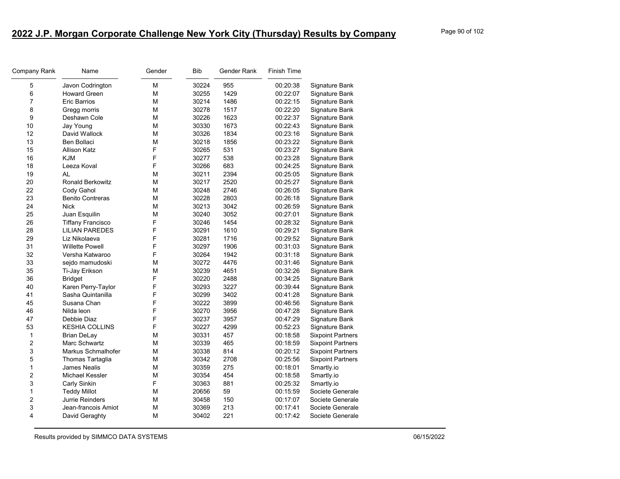| Company Rank     | Name                     | Gender | Bib   | Gender Rank | <b>Finish Time</b> |                          |
|------------------|--------------------------|--------|-------|-------------|--------------------|--------------------------|
| 5                | Javon Codrington         | М      | 30224 | 955         | 00:20:38           | Signature Bank           |
| 6                | <b>Howard Green</b>      | М      | 30255 | 1429        | 00:22:07           | Signature Bank           |
| $\overline{7}$   | Eric Barrios             | М      | 30214 | 1486        | 00:22:15           | Signature Bank           |
| 8                | Gregg morris             | М      | 30278 | 1517        | 00:22:20           | Signature Bank           |
| 9                | Deshawn Cole             | М      | 30226 | 1623        | 00:22:37           | Signature Bank           |
| 10               | Jay Young                | М      | 30330 | 1673        | 00:22:43           | Signature Bank           |
| 12               | David Wallock            | M      | 30326 | 1834        | 00:23:16           | Signature Bank           |
| 13               | Ben Bollaci              | М      | 30218 | 1856        | 00:23:22           | Signature Bank           |
| 15               | Allison Katz             | F      | 30265 | 531         | 00:23:27           | Signature Bank           |
| 16               | <b>KJM</b>               | F      | 30277 | 538         | 00:23:28           | Signature Bank           |
| 18               | Leeza Koval              | F      | 30266 | 683         | 00:24:25           | Signature Bank           |
| 19               | AL                       | М      | 30211 | 2394        | 00:25:05           | Signature Bank           |
| 20               | <b>Ronald Berkowitz</b>  | М      | 30217 | 2520        | 00:25:27           | Signature Bank           |
| 22               | Cody Gahol               | М      | 30248 | 2746        | 00:26:05           | Signature Bank           |
| 23               | <b>Benito Contreras</b>  | м      | 30228 | 2803        | 00:26:18           | Signature Bank           |
| 24               | <b>Nick</b>              | М      | 30213 | 3042        | 00:26:59           | Signature Bank           |
| 25               | Juan Esquilin            | М      | 30240 | 3052        | 00:27:01           | Signature Bank           |
| 26               | <b>Tiffany Francisco</b> | F      | 30246 | 1454        | 00:28:32           | Signature Bank           |
| 28               | <b>LILIAN PAREDES</b>    | F      | 30291 | 1610        | 00:29:21           | Signature Bank           |
| 29               | Liz Nikolaeva            | F      | 30281 | 1716        | 00:29:52           | Signature Bank           |
| 31               | <b>Willette Powell</b>   | F      | 30297 | 1906        | 00:31:03           | Signature Bank           |
| 32               | Versha Katwaroo          | F      | 30264 | 1942        | 00:31:18           | Signature Bank           |
| 33               | sejdo mamudoski          | М      | 30272 | 4476        | 00:31:46           | Signature Bank           |
| 35               | Ti-Jay Erikson           | M      | 30239 | 4651        | 00:32:26           | Signature Bank           |
| 36               | <b>Bridget</b>           | F      | 30220 | 2488        | 00:34:25           | Signature Bank           |
| 40               | Karen Perry-Taylor       | F      | 30293 | 3227        | 00:39:44           | Signature Bank           |
| 41               | Sasha Quintanilla        | F      | 30299 | 3402        | 00:41:28           | Signature Bank           |
| 45               | Susana Chan              | F      | 30222 | 3899        | 00:46:56           | Signature Bank           |
| 46               | Nilda leon               | F      | 30270 | 3956        | 00:47:28           | Signature Bank           |
| 47               | Debbie Diaz              | F      | 30237 | 3957        | 00:47:29           | Signature Bank           |
| 53               | <b>KESHIA COLLINS</b>    | F      | 30227 | 4299        | 00:52:23           | Signature Bank           |
| $\mathbf{1}$     | <b>Brian DeLay</b>       | м      | 30331 | 457         | 00:18:58           | <b>Sixpoint Partners</b> |
| $\overline{c}$   | Marc Schwartz            | М      | 30339 | 465         | 00:18:59           | <b>Sixpoint Partners</b> |
| 3                | Markus Schmalhofer       | М      | 30338 | 814         | 00:20:12           | <b>Sixpoint Partners</b> |
| 5                | Thomas Tartaglia         | м      | 30342 | 2708        | 00:25:56           | <b>Sixpoint Partners</b> |
| 1                | James Nealis             | М      | 30359 | 275         | 00:18:01           | Smartly.io               |
| $\overline{c}$   | Michael Kessler          | M      | 30354 | 454         | 00:18:58           | Smartly.io               |
| 3                | Carly Sinkin             | F      | 30363 | 881         | 00:25:32           | Smartly.io               |
| 1                | <b>Teddy Millot</b>      | М      | 20656 | 59          | 00:15:59           | Societe Generale         |
| $\boldsymbol{2}$ | Jurrie Reinders          | М      | 30458 | 150         | 00:17:07           | Societe Generale         |
| 3                | Jean-francois Amiot      | M      | 30369 | 213         | 00:17:41           | Societe Generale         |
| 4                | David Geraghty           | М      | 30402 | 221         | 00:17:42           | Societe Generale         |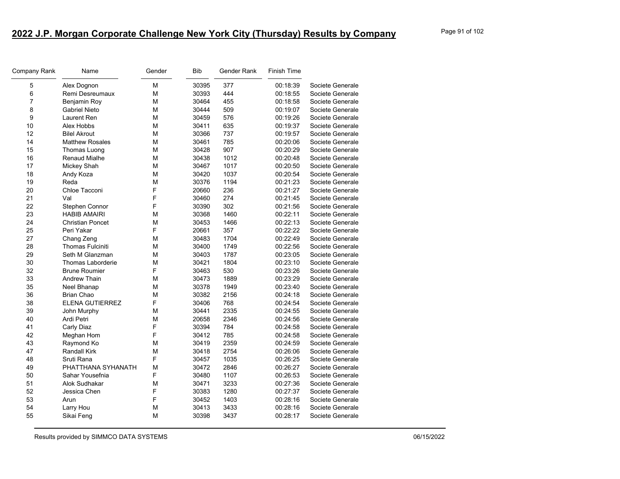| Company Rank | Name                     | Gender | Bib   | Gender Rank | <b>Finish Time</b> |                  |
|--------------|--------------------------|--------|-------|-------------|--------------------|------------------|
| $\,$ 5 $\,$  | Alex Dognon              | М      | 30395 | 377         | 00:18:39           | Societe Generale |
| 6            | Remi Desreumaux          | M      | 30393 | 444         | 00:18:55           | Societe Generale |
| 7            | Benjamin Roy             | M      | 30464 | 455         | 00:18:58           | Societe Generale |
| 8            | <b>Gabriel Nieto</b>     | М      | 30444 | 509         | 00:19:07           | Societe Generale |
| 9            | Laurent Ren              | M      | 30459 | 576         | 00:19:26           | Societe Generale |
| 10           | Alex Hobbs               | М      | 30411 | 635         | 00:19:37           | Societe Generale |
| 12           | <b>Bilel Akrout</b>      | M      | 30366 | 737         | 00:19:57           | Societe Generale |
| 14           | <b>Matthew Rosales</b>   | М      | 30461 | 785         | 00:20:06           | Societe Generale |
| 15           | Thomas Luong             | M      | 30428 | 907         | 00:20:29           | Societe Generale |
| 16           | <b>Renaud Mialhe</b>     | М      | 30438 | 1012        | 00:20:48           | Societe Generale |
| 17           | Mickey Shah              | M      | 30467 | 1017        | 00:20:50           | Societe Generale |
| 18           | Andy Koza                | M      | 30420 | 1037        | 00:20:54           | Societe Generale |
| 19           | Reda                     | M      | 30376 | 1194        | 00:21:23           | Societe Generale |
| 20           | Chloe Tacconi            | F      | 20660 | 236         | 00:21:27           | Societe Generale |
| 21           | Val                      | F      | 30460 | 274         | 00:21:45           | Societe Generale |
| 22           | Stephen Connor           | F      | 30390 | 302         | 00:21:56           | Societe Generale |
| 23           | <b>HABIB AMAIRI</b>      | M      | 30368 | 1460        | 00:22:11           | Societe Generale |
| 24           | <b>Christian Poncet</b>  | M      | 30453 | 1466        | 00:22:13           | Societe Generale |
| 25           | Peri Yakar               | F      | 20661 | 357         | 00:22:22           | Societe Generale |
| 27           | Chang Zeng               | M      | 30483 | 1704        | 00:22:49           | Societe Generale |
| 28           | <b>Thomas Fulciniti</b>  | М      | 30400 | 1749        | 00:22:56           | Societe Generale |
| 29           | Seth M Glanzman          | М      | 30403 | 1787        | 00:23:05           | Societe Generale |
| 30           | <b>Thomas Laborderie</b> | M      | 30421 | 1804        | 00:23:10           | Societe Generale |
| 32           | <b>Brune Roumier</b>     | F      | 30463 | 530         | 00:23:26           | Societe Generale |
| 33           | <b>Andrew Thain</b>      | М      | 30473 | 1889        | 00:23:29           | Societe Generale |
| 35           | Neel Bhanap              | M      | 30378 | 1949        | 00:23:40           | Societe Generale |
| 36           | <b>Brian Chao</b>        | M      | 30382 | 2156        | 00:24:18           | Societe Generale |
| 38           | <b>ELENA GUTIERREZ</b>   | F      | 30406 | 768         | 00:24:54           | Societe Generale |
| 39           | John Murphy              | M      | 30441 | 2335        | 00:24:55           | Societe Generale |
| 40           | Ardi Petri               | M      | 20658 | 2346        | 00:24:56           | Societe Generale |
| 41           | Carly Diaz               | F      | 30394 | 784         | 00:24:58           | Societe Generale |
| 42           | Meghan Hom               | F      | 30412 | 785         | 00:24:58           | Societe Generale |
| 43           | Raymond Ko               | M      | 30419 | 2359        | 00:24:59           | Societe Generale |
| 47           | <b>Randall Kirk</b>      | M      | 30418 | 2754        | 00:26:06           | Societe Generale |
| 48           | Sruti Rana               | F      | 30457 | 1035        | 00:26:25           | Societe Generale |
| 49           | PHATTHANA SYHANATH       | M      | 30472 | 2846        | 00:26:27           | Societe Generale |
| 50           | Sahar Yousefnia          | F      | 30480 | 1107        | 00:26:53           | Societe Generale |
| 51           | Alok Sudhakar            | M      | 30471 | 3233        | 00:27:36           | Societe Generale |
| 52           | Jessica Chen             | F      | 30383 | 1280        | 00:27:37           | Societe Generale |
| 53           | Arun                     | F      | 30452 | 1403        | 00:28:16           | Societe Generale |
| 54           | Larry Hou                | M      | 30413 | 3433        | 00:28:16           | Societe Generale |
| 55           | Sikai Feng               | M      | 30398 | 3437        | 00:28:17           | Societe Generale |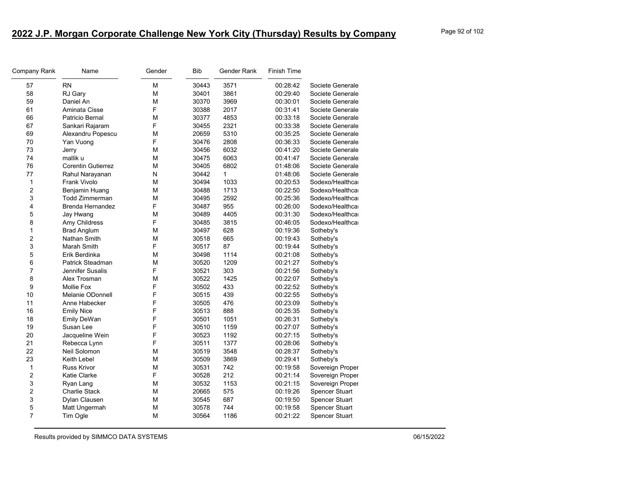| Company Rank   | Name                      | Gender | <b>Bib</b> | Gender Rank | <b>Finish Time</b> |                       |
|----------------|---------------------------|--------|------------|-------------|--------------------|-----------------------|
| 57             | <b>RN</b>                 | M      | 30443      | 3571        | 00:28:42           | Societe Generale      |
| 58             | RJ Gary                   | M      | 30401      | 3861        | 00:29:40           | Societe Generale      |
| 59             | Daniel An                 | M      | 30370      | 3969        | 00:30:01           | Societe Generale      |
| 61             | Aminata Cisse             | F      | 30388      | 2017        | 00:31:41           | Societe Generale      |
| 66             | Patricio Bernal           | М      | 30377      | 4853        | 00:33:18           | Societe Generale      |
| 67             | Sankari Rajaram           | F      | 30455      | 2321        | 00:33:38           | Societe Generale      |
| 69             | Alexandru Popescu         | M      | 20659      | 5310        | 00:35:25           | Societe Generale      |
| 70             | Yan Vuong                 | F      | 30476      | 2808        | 00:36:33           | Societe Generale      |
| 73             | Jerry                     | M      | 30456      | 6032        | 00:41:20           | Societe Generale      |
| 74             | mallik u                  | М      | 30475      | 6063        | 00:41:47           | Societe Generale      |
| 76             | <b>Corentin Gutierrez</b> | М      | 30405      | 6802        | 01:48:06           | Societe Generale      |
| 77             | Rahul Narayanan           | N      | 30442      | 1           | 01:48:06           | Societe Generale      |
| $\mathbf{1}$   | Frank Vivolo              | М      | 30494      | 1033        | 00:20:53           | Sodexo/Healthca       |
| $\overline{2}$ | Benjamin Huang            | М      | 30488      | 1713        | 00:22:50           | Sodexo/Healthca       |
| 3              | <b>Todd Zimmerman</b>     | M      | 30495      | 2592        | 00:25:36           | Sodexo/Healthca       |
| 4              | Brenda Hernandez          | F      | 30487      | 955         | 00:26:00           | Sodexo/Healthca       |
| 5              | Jay Hwang                 | M      | 30489      | 4405        | 00:31:30           | Sodexo/Healthca       |
| 8              | Amy Childress             | F      | 30485      | 3815        | 00:46:05           | Sodexo/Healthca       |
| 1              | <b>Brad Anglum</b>        | М      | 30497      | 628         | 00:19:36           | Sotheby's             |
| $\overline{c}$ | Nathan Smith              | М      | 30518      | 665         | 00:19:43           | Sotheby's             |
| 3              | Marah Smith               | F      | 30517      | 87          | 00:19:44           | Sotheby's             |
| 5              | Erik Berdinka             | М      | 30498      | 1114        | 00:21:08           | Sotheby's             |
| 6              | Patrick Steadman          | М      | 30520      | 1209        | 00:21:27           | Sotheby's             |
| $\overline{7}$ | Jennifer Susalis          | F      | 30521      | 303         | 00:21:56           | Sotheby's             |
| 8              | Alex Trosman              | М      | 30522      | 1425        | 00:22:07           | Sotheby's             |
| 9              | <b>Mollie Fox</b>         | F      | 30502      | 433         | 00:22:52           | Sotheby's             |
| 10             | <b>Melanie ODonnell</b>   | F      | 30515      | 439         | 00:22:55           | Sotheby's             |
| 11             | Anne Habecker             | F      | 30505      | 476         | 00:23:09           | Sotheby's             |
| 16             | <b>Emily Nice</b>         | F      | 30513      | 888         | 00:25:35           | Sotheby's             |
| 18             | Emily DeWan               | F      | 30501      | 1051        | 00:26:31           | Sotheby's             |
| 19             | Susan Lee                 | F      | 30510      | 1159        | 00:27:07           | Sotheby's             |
| 20             | Jacqueline Wein           | F      | 30523      | 1192        | 00:27:15           | Sotheby's             |
| 21             | Rebecca Lynn              | F      | 30511      | 1377        | 00:28:06           | Sotheby's             |
| 22             | Neil Solomon              | М      | 30519      | 3548        | 00:28:37           | Sotheby's             |
| 23             | Keith Lebel               | М      | 30509      | 3869        | 00:29:41           | Sotheby's             |
| 1              | <b>Russ Krivor</b>        | M      | 30531      | 742         | 00:19:58           | Sovereign Proper      |
| $\overline{c}$ | Katie Clarke              | F      | 30528      | 212         | 00:21:14           | Sovereign Proper      |
| 3              | Ryan Lang                 | M      | 30532      | 1153        | 00:21:15           | Sovereign Proper      |
| $\overline{2}$ | Charlie Stack             | М      | 20665      | 575         | 00:19:26           | <b>Spencer Stuart</b> |
| 3              | Dylan Clausen             | М      | 30545      | 687         | 00:19:50           | Spencer Stuart        |
| 5              | Matt Ungermah             | М      | 30578      | 744         | 00:19:58           | <b>Spencer Stuart</b> |
| $\overline{7}$ | Tim Ogle                  | М      | 30564      | 1186        | 00:21:22           | <b>Spencer Stuart</b> |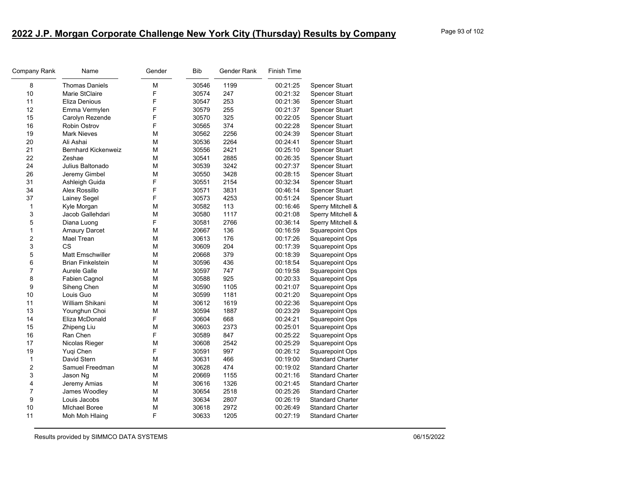| Company Rank   | Name                       | Gender | <b>Bib</b> | Gender Rank | Finish Time |                         |
|----------------|----------------------------|--------|------------|-------------|-------------|-------------------------|
| 8              | <b>Thomas Daniels</b>      | М      | 30546      | 1199        | 00:21:25    | Spencer Stuart          |
| 10             | Marie StClaire             | F      | 30574      | 247         | 00:21:32    | Spencer Stuart          |
| 11             | Eliza Denious              | F      | 30547      | 253         | 00:21:36    | Spencer Stuart          |
| 12             | Emma Vermylen              | F      | 30579      | 255         | 00:21:37    | Spencer Stuart          |
| 15             | Carolyn Rezende            | F      | 30570      | 325         | 00:22:05    | Spencer Stuart          |
| 16             | Robin Ostrov               | F      | 30565      | 374         | 00:22:28    | Spencer Stuart          |
| 19             | <b>Mark Nieves</b>         | М      | 30562      | 2256        | 00:24:39    | <b>Spencer Stuart</b>   |
| 20             | Ali Ashai                  | М      | 30536      | 2264        | 00:24:41    | Spencer Stuart          |
| 21             | <b>Bernhard Kickenweiz</b> | М      | 30556      | 2421        | 00:25:10    | Spencer Stuart          |
| 22             | Zeshae                     | М      | 30541      | 2885        | 00:26:35    | Spencer Stuart          |
| 24             | Julius Baltonado           | М      | 30539      | 3242        | 00:27:37    | Spencer Stuart          |
| 26             | Jeremy Gimbel              | M      | 30550      | 3428        | 00:28:15    | Spencer Stuart          |
| 31             | Ashleigh Guida             | F      | 30551      | 2154        | 00:32:34    | Spencer Stuart          |
| 34             | Alex Rossillo              | F      | 30571      | 3831        | 00:46:14    | <b>Spencer Stuart</b>   |
| 37             | Lainey Segel               | F      | 30573      | 4253        | 00:51:24    | Spencer Stuart          |
| 1              | Kyle Morgan                | М      | 30582      | 113         | 00:16:46    | Sperry Mitchell &       |
| 3              | Jacob Gallehdari           | M      | 30580      | 1117        | 00:21:08    | Sperry Mitchell &       |
| 5              | Diana Luong                | F      | 30581      | 2766        | 00:36:14    | Sperry Mitchell &       |
| 1              | <b>Amaury Darcet</b>       | M      | 20667      | 136         | 00:16:59    | <b>Squarepoint Ops</b>  |
| $\overline{c}$ | Mael Trean                 | М      | 30613      | 176         | 00:17:26    | Squarepoint Ops         |
| 3              | <b>CS</b>                  | M      | 30609      | 204         | 00:17:39    | <b>Squarepoint Ops</b>  |
| 5              | <b>Matt Emschwiller</b>    | М      | 20668      | 379         | 00:18:39    | <b>Squarepoint Ops</b>  |
| 6              | <b>Brian Finkelstein</b>   | М      | 30596      | 436         | 00:18:54    | Squarepoint Ops         |
| 7              | Aurele Galle               | M      | 30597      | 747         | 00:19:58    | Squarepoint Ops         |
| 8              | Fabien Cagnol              | M      | 30588      | 925         | 00:20:33    | <b>Squarepoint Ops</b>  |
| 9              | Siheng Chen                | М      | 30590      | 1105        | 00:21:07    | Squarepoint Ops         |
| 10             | Louis Guo                  | М      | 30599      | 1181        | 00:21:20    | Squarepoint Ops         |
| 11             | William Shikani            | M      | 30612      | 1619        | 00:22:36    | Squarepoint Ops         |
| 13             | Younghun Choi              | M      | 30594      | 1887        | 00:23:29    | <b>Squarepoint Ops</b>  |
| 14             | Eliza McDonald             | F      | 30604      | 668         | 00:24:21    | Squarepoint Ops         |
| 15             | Zhipeng Liu                | M      | 30603      | 2373        | 00:25:01    | Squarepoint Ops         |
| 16             | Ran Chen                   | F      | 30589      | 847         | 00:25:22    | Squarepoint Ops         |
| 17             | Nicolas Rieger             | М      | 30608      | 2542        | 00:25:29    | Squarepoint Ops         |
| 19             | Yugi Chen                  | F      | 30591      | 997         | 00:26:12    | Squarepoint Ops         |
| $\mathbf{1}$   | David Stern                | М      | 30631      | 466         | 00:19:00    | <b>Standard Charter</b> |
| 2              | Samuel Freedman            | М      | 30628      | 474         | 00:19:02    | <b>Standard Charter</b> |
| 3              | Jason Ng                   | M      | 20669      | 1155        | 00:21:16    | <b>Standard Charter</b> |
| 4              | Jeremy Amias               | M      | 30616      | 1326        | 00:21:45    | <b>Standard Charter</b> |
| 7              | James Woodley              | М      | 30654      | 2518        | 00:25:26    | <b>Standard Charter</b> |
| 9              | Louis Jacobs               | М      | 30634      | 2807        | 00:26:19    | <b>Standard Charter</b> |
| 10             | <b>MIchael Boree</b>       | М      | 30618      | 2972        | 00:26:49    | <b>Standard Charter</b> |
| 11             | Moh Moh Hlaing             | F      | 30633      | 1205        | 00:27:19    | <b>Standard Charter</b> |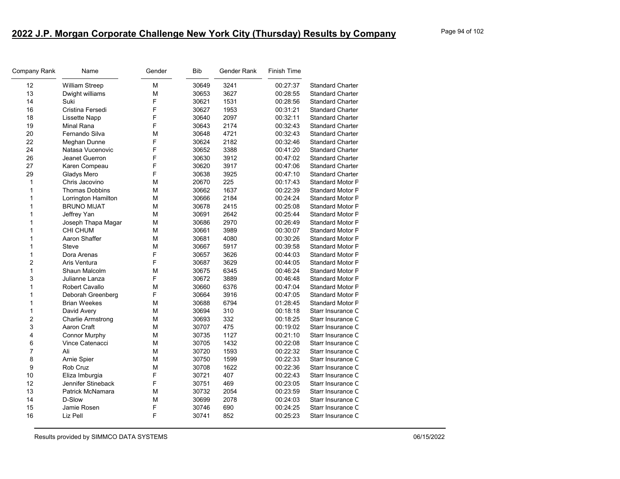| Company Rank   | Name                     | Gender | Bib   | Gender Rank | <b>Finish Time</b> |                         |
|----------------|--------------------------|--------|-------|-------------|--------------------|-------------------------|
| 12             | William Streep           | М      | 30649 | 3241        | 00:27:37           | <b>Standard Charter</b> |
| 13             | Dwight williams          | M      | 30653 | 3627        | 00:28:55           | <b>Standard Charter</b> |
| 14             | Suki                     | F      | 30621 | 1531        | 00:28:56           | <b>Standard Charter</b> |
| 16             | Cristina Fersedi         | F      | 30627 | 1953        | 00:31:21           | <b>Standard Charter</b> |
| 18             | Lissette Napp            | F      | 30640 | 2097        | 00:32:11           | <b>Standard Charter</b> |
| 19             | Minal Rana               | F      | 30643 | 2174        | 00:32:43           | <b>Standard Charter</b> |
| 20             | Fernando Silva           | M      | 30648 | 4721        | 00:32:43           | <b>Standard Charter</b> |
| 22             | Meghan Dunne             | F      | 30624 | 2182        | 00:32:46           | <b>Standard Charter</b> |
| 24             | Natasa Vucenovic         | F      | 30652 | 3388        | 00:41:20           | <b>Standard Charter</b> |
| 26             | Jeanet Guerron           | F      | 30630 | 3912        | 00:47:02           | <b>Standard Charter</b> |
| 27             | Karen Compeau            | F      | 30620 | 3917        | 00:47:06           | <b>Standard Charter</b> |
| 29             | Gladys Mero              | F      | 30638 | 3925        | 00:47:10           | <b>Standard Charter</b> |
| $\mathbf{1}$   | Chris Jacovino           | M      | 20670 | 225         | 00:17:43           | <b>Standard Motor F</b> |
| $\mathbf{1}$   | <b>Thomas Dobbins</b>    | M      | 30662 | 1637        | 00:22:39           | <b>Standard Motor F</b> |
| $\mathbf{1}$   | Lorrington Hamilton      | M      | 30666 | 2184        | 00:24:24           | <b>Standard Motor F</b> |
| $\mathbf{1}$   | <b>BRUNO MIJAT</b>       | M      | 30678 | 2415        | 00:25:08           | <b>Standard Motor F</b> |
| $\mathbf{1}$   | Jeffrey Yan              | M      | 30691 | 2642        | 00:25:44           | <b>Standard Motor F</b> |
| 1              | Joseph Thapa Magar       | M      | 30686 | 2970        | 00:26:49           | <b>Standard Motor F</b> |
| $\mathbf{1}$   | <b>CHI CHUM</b>          | M      | 30661 | 3989        | 00:30:07           | <b>Standard Motor F</b> |
| $\mathbf{1}$   | Aaron Shaffer            | M      | 30681 | 4080        | 00:30:26           | <b>Standard Motor F</b> |
| 1              | <b>Steve</b>             | M      | 30667 | 5917        | 00:39:58           | <b>Standard Motor F</b> |
| $\mathbf{1}$   | Dora Arenas              | F      | 30657 | 3626        | 00:44:03           | <b>Standard Motor F</b> |
| $\overline{c}$ | Aris Ventura             | F      | 30687 | 3629        | 00:44:05           | <b>Standard Motor F</b> |
| $\mathbf 1$    | Shaun Malcolm            | М      | 30675 | 6345        | 00:46:24           | <b>Standard Motor F</b> |
| 3              | Julianne Lanza           | F      | 30672 | 3889        | 00:46:48           | <b>Standard Motor F</b> |
| $\mathbf{1}$   | Robert Cavallo           | M      | 30660 | 6376        | 00:47:04           | <b>Standard Motor F</b> |
| $\mathbf{1}$   | Deborah Greenberg        | F      | 30664 | 3916        | 00:47:05           | <b>Standard Motor F</b> |
| $\mathbf{1}$   | <b>Brian Weekes</b>      | M      | 30688 | 6794        | 01:28:45           | <b>Standard Motor F</b> |
| $\mathbf{1}$   | David Avery              | M      | 30694 | 310         | 00:18:18           | Starr Insurance C       |
| $\overline{c}$ | <b>Charlie Armstrong</b> | M      | 30693 | 332         | 00:18:25           | Starr Insurance C       |
| 3              | Aaron Craft              | M      | 30707 | 475         | 00:19:02           | Starr Insurance C       |
| 4              | <b>Connor Murphy</b>     | M      | 30735 | 1127        | 00:21:10           | Starr Insurance C       |
| 6              | Vince Catenacci          | M      | 30705 | 1432        | 00:22:08           | Starr Insurance C       |
| $\overline{7}$ | Ali                      | M      | 30720 | 1593        | 00:22:32           | Starr Insurance C       |
| 8              | Arnie Spier              | M      | 30750 | 1599        | 00:22:33           | Starr Insurance C       |
| 9              | Rob Cruz                 | M      | 30708 | 1622        | 00:22:36           | Starr Insurance C       |
| 10             | Eliza Imburgia           | F      | 30721 | 407         | 00:22:43           | Starr Insurance C       |
| 12             | Jennifer Stineback       | F      | 30751 | 469         | 00:23:05           | Starr Insurance C       |
| 13             | Patrick McNamara         | М      | 30732 | 2054        | 00:23:59           | Starr Insurance C       |
| 14             | D-Slow                   | M      | 30699 | 2078        | 00:24:03           | Starr Insurance C       |
| 15             | Jamie Rosen              | F      | 30746 | 690         | 00:24:25           | Starr Insurance C       |
| 16             | Liz Pell                 | F      | 30741 | 852         | 00:25:23           | Starr Insurance C       |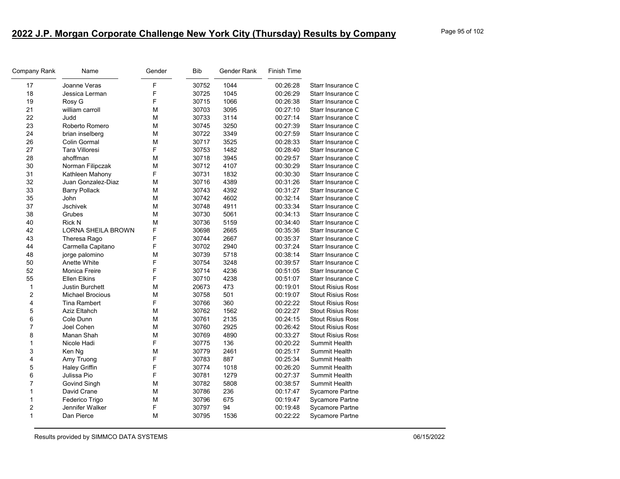| Company Rank            | Name                      | Gender | <b>Bib</b> | Gender Rank | <b>Finish Time</b> |                          |
|-------------------------|---------------------------|--------|------------|-------------|--------------------|--------------------------|
| 17                      | Joanne Veras              | F      | 30752      | 1044        | 00:26:28           | Starr Insurance C        |
| 18                      | Jessica Lerman            | F      | 30725      | 1045        | 00:26:29           | Starr Insurance C        |
| 19                      | Rosy G                    | F      | 30715      | 1066        | 00:26:38           | Starr Insurance C        |
| 21                      | william carroll           | M      | 30703      | 3095        | 00:27:10           | Starr Insurance C        |
| 22                      | Judd                      | M      | 30733      | 3114        | 00:27:14           | Starr Insurance C        |
| 23                      | Roberto Romero            | M      | 30745      | 3250        | 00:27:39           | Starr Insurance C        |
| 24                      | brian inselberg           | M      | 30722      | 3349        | 00:27:59           | Starr Insurance C        |
| 26                      | Colin Gormal              | M      | 30717      | 3525        | 00:28:33           | Starr Insurance C        |
| 27                      | <b>Tara Villoresi</b>     | F      | 30753      | 1482        | 00:28:40           | Starr Insurance C        |
| 28                      | ahoffman                  | М      | 30718      | 3945        | 00:29:57           | Starr Insurance C        |
| 30                      | Norman Filipczak          | M      | 30712      | 4107        | 00:30:29           | Starr Insurance C        |
| 31                      | Kathleen Mahony           | F      | 30731      | 1832        | 00:30:30           | Starr Insurance C        |
| 32                      | Juan Gonzalez-Diaz        | М      | 30716      | 4389        | 00:31:26           | Starr Insurance C        |
| 33                      | <b>Barry Pollack</b>      | M      | 30743      | 4392        | 00:31:27           | Starr Insurance C        |
| 35                      | John                      | M      | 30742      | 4602        | 00:32:14           | Starr Insurance C        |
| 37                      | <b>Jschivek</b>           | M      | 30748      | 4911        | 00:33:34           | Starr Insurance C        |
| 38                      | Grubes                    | M      | 30730      | 5061        | 00:34:13           | Starr Insurance C        |
| 40                      | Rick N                    | M      | 30736      | 5159        | 00:34:40           | Starr Insurance C        |
| 42                      | <b>LORNA SHEILA BROWN</b> | F      | 30698      | 2665        | 00:35:36           | Starr Insurance C        |
| 43                      | Theresa Rago              | F      | 30744      | 2667        | 00:35:37           | Starr Insurance C        |
| 44                      | Carmella Capitano         | F      | 30702      | 2940        | 00:37:24           | Starr Insurance C        |
| 48                      | jorge palomino            | M      | 30739      | 5718        | 00:38:14           | Starr Insurance C        |
| 50                      | Anette White              | F      | 30754      | 3248        | 00:39:57           | Starr Insurance C        |
| 52                      | Monica Freire             | F      | 30714      | 4236        | 00:51:05           | Starr Insurance C        |
| 55                      | <b>Ellen Elkins</b>       | F      | 30710      | 4238        | 00:51:07           | Starr Insurance C        |
| $\mathbf{1}$            | <b>Justin Burchett</b>    | M      | 20673      | 473         | 00:19:01           | <b>Stout Risius Ross</b> |
| 2                       | <b>Michael Brocious</b>   | M      | 30758      | 501         | 00:19:07           | <b>Stout Risius Ross</b> |
| $\overline{\mathbf{4}}$ | Tina Rambert              | F      | 30766      | 360         | 00:22:22           | <b>Stout Risius Ross</b> |
| 5                       | <b>Aziz Eltahch</b>       | M      | 30762      | 1562        | 00:22:27           | <b>Stout Risius Ross</b> |
| 6                       | Cole Dunn                 | M      | 30761      | 2135        | 00:24:15           | <b>Stout Risius Ross</b> |
| 7                       | Joel Cohen                | M      | 30760      | 2925        | 00:26:42           | <b>Stout Risius Ross</b> |
| 8                       | Manan Shah                | M      | 30769      | 4890        | 00:33:27           | <b>Stout Risius Ross</b> |
| $\mathbf{1}$            | Nicole Hadi               | F      | 30775      | 136         | 00:20:22           | Summit Health            |
| 3                       | Ken Ng                    | M      | 30779      | 2461        | 00:25:17           | Summit Health            |
| $\overline{\mathbf{4}}$ | Amy Truong                | F      | 30783      | 887         | 00:25:34           | Summit Health            |
| 5                       | <b>Haley Griffin</b>      | F      | 30774      | 1018        | 00:26:20           | Summit Health            |
| 6                       | Julissa Pio               | F      | 30781      | 1279        | 00:27:37           | Summit Health            |
| 7                       | Govind Singh              | M      | 30782      | 5808        | 00:38:57           | Summit Health            |
| $\mathbf{1}$            | David Crane               | M      | 30786      | 236         | 00:17:47           | Sycamore Partne          |
| $\mathbf{1}$            | Federico Trigo            | M      | 30796      | 675         | 00:19:47           | Sycamore Partne          |
| $\overline{c}$          | Jennifer Walker           | F      | 30797      | 94          | 00:19:48           | <b>Sycamore Partne</b>   |
| $\mathbf{1}$            | Dan Pierce                | M      | 30795      | 1536        | 00:22:22           | Sycamore Partne          |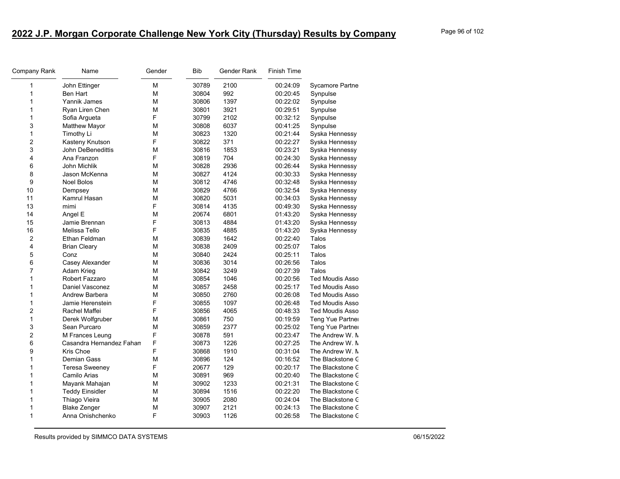| Company Rank            | Name                     | Gender | Bib   | Gender Rank | Finish Time |                        |
|-------------------------|--------------------------|--------|-------|-------------|-------------|------------------------|
| 1                       | John Ettinger            | М      | 30789 | 2100        | 00:24:09    | <b>Sycamore Partne</b> |
| 1                       | Ben Hart                 | М      | 30804 | 992         | 00:20:45    | Synpulse               |
| 1                       | Yannik James             | М      | 30806 | 1397        | 00:22:02    | Synpulse               |
| 1                       | Ryan Liren Chen          | М      | 30801 | 3921        | 00:29:51    | Synpulse               |
| 1                       | Sofia Argueta            | F      | 30799 | 2102        | 00:32:12    | Synpulse               |
| 3                       | <b>Matthew Mayor</b>     | М      | 30808 | 6037        | 00:41:25    | Synpulse               |
| 1                       | Timothy Li               | M      | 30823 | 1320        | 00:21:44    | Syska Hennessy         |
| $\overline{\mathbf{c}}$ | Kasteny Knutson          | F      | 30822 | 371         | 00:22:27    | Syska Hennessy         |
| 3                       | John DeBenedittis        | М      | 30816 | 1853        | 00:23:21    | Syska Hennessy         |
| 4                       | Ana Franzon              | F      | 30819 | 704         | 00:24:30    | Syska Hennessy         |
| 6                       | John Michlik             | M      | 30828 | 2936        | 00:26:44    | Syska Hennessy         |
| 8                       | Jason McKenna            | М      | 30827 | 4124        | 00:30:33    | Syska Hennessy         |
| 9                       | Noel Bolos               | М      | 30812 | 4746        | 00:32:48    | Syska Hennessy         |
| 10                      | Dempsey                  | М      | 30829 | 4766        | 00:32:54    | Syska Hennessy         |
| 11                      | Kamrul Hasan             | М      | 30820 | 5031        | 00:34:03    | Syska Hennessy         |
| 13                      | mimi                     | F      | 30814 | 4135        | 00:49:30    | Syska Hennessy         |
| 14                      | Angel E                  | M      | 20674 | 6801        | 01:43:20    | Syska Hennessy         |
| 15                      | Jamie Brennan            | F      | 30813 | 4884        | 01:43:20    | Syska Hennessy         |
| 16                      | Melissa Tello            | F      | 30835 | 4885        | 01:43:20    | Syska Hennessy         |
| $\boldsymbol{2}$        | Ethan Feldman            | М      | 30839 | 1642        | 00:22:40    | Talos                  |
| 4                       | <b>Brian Cleary</b>      | М      | 30838 | 2409        | 00:25:07    | Talos                  |
| 5                       | Conz                     | М      | 30840 | 2424        | 00:25:11    | Talos                  |
| 6                       | Casey Alexander          | М      | 30836 | 3014        | 00:26:56    | Talos                  |
| 7                       | Adam Krieg               | М      | 30842 | 3249        | 00:27:39    | Talos                  |
| 1                       | Robert Fazzaro           | М      | 30854 | 1046        | 00:20:56    | <b>Ted Moudis Asso</b> |
| 1                       | Daniel Vasconez          | M      | 30857 | 2458        | 00:25:17    | <b>Ted Moudis Asso</b> |
| 1                       | Andrew Barbera           | М      | 30850 | 2760        | 00:26:08    | <b>Ted Moudis Asso</b> |
| 1                       | Jamie Herenstein         | F      | 30855 | 1097        | 00:26:48    | <b>Ted Moudis Asso</b> |
| 2                       | Rachel Maffei            | F      | 30856 | 4065        | 00:48:33    | <b>Ted Moudis Asso</b> |
| 1                       | Derek Wolfgruber         | M      | 30861 | 750         | 00:19:59    | Teng Yue Partner       |
| 3                       | Sean Purcaro             | М      | 30859 | 2377        | 00:25:02    | Teng Yue Partner       |
| $\overline{2}$          | M Frances Leung          | F      | 30878 | 591         | 00:23:47    | The Andrew W. N        |
| 6                       | Casandra Hernandez Fahan | F      | 30873 | 1226        | 00:27:25    | The Andrew W. N        |
| 9                       | Kris Choe                | F      | 30868 | 1910        | 00:31:04    | The Andrew W. N        |
| 1                       | <b>Demian Gass</b>       | М      | 30896 | 124         | 00:16:52    | The Blackstone C       |
| 1                       | <b>Teresa Sweeney</b>    | F      | 20677 | 129         | 00:20:17    | The Blackstone C       |
| 1                       | Camilo Arias             | М      | 30891 | 969         | 00:20:40    | The Blackstone C       |
| 1                       | Mayank Mahajan           | М      | 30902 | 1233        | 00:21:31    | The Blackstone C       |
| 1                       | <b>Teddy Einsidler</b>   | М      | 30894 | 1516        | 00:22:20    | The Blackstone C       |
| 1                       | Thiago Vieira            | М      | 30905 | 2080        | 00:24:04    | The Blackstone C       |
| 1                       | <b>Blake Zenger</b>      | М      | 30907 | 2121        | 00:24:13    | The Blackstone C       |
| 1                       | Anna Onishchenko         | F      | 30903 | 1126        | 00:26:58    | The Blackstone C       |
|                         |                          |        |       |             |             |                        |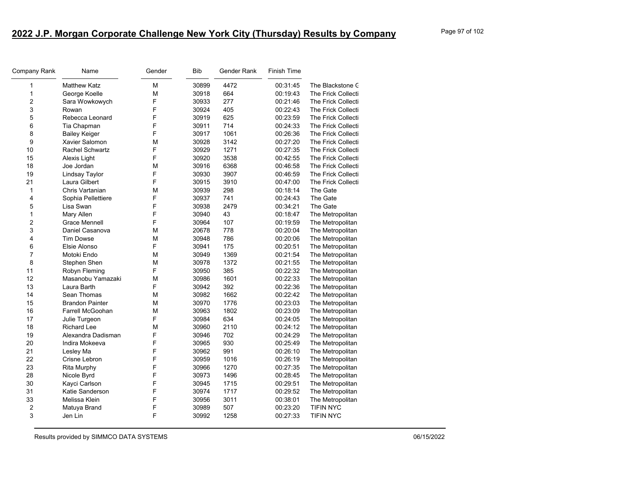| Company Rank     | Name                   | Gender | Bib   | Gender Rank | Finish Time |                           |
|------------------|------------------------|--------|-------|-------------|-------------|---------------------------|
| 1                | <b>Matthew Katz</b>    | M      | 30899 | 4472        | 00:31:45    | The Blackstone C          |
| 1                | George Koelle          | M      | 30918 | 664         | 00:19:43    | <b>The Frick Collecti</b> |
| 2                | Sara Wowkowych         | F      | 30933 | 277         | 00:21:46    | The Frick Collecti        |
| 3                | Rowan                  | F      | 30924 | 405         | 00:22:43    | The Frick Collecti        |
| 5                | Rebecca Leonard        | F      | 30919 | 625         | 00:23:59    | The Frick Collecti        |
| 6                | Tia Chapman            | F      | 30911 | 714         | 00:24:33    | The Frick Collecti        |
| 8                | <b>Bailey Keiger</b>   | F      | 30917 | 1061        | 00:26:36    | <b>The Frick Collecti</b> |
| 9                | Xavier Salomon         | М      | 30928 | 3142        | 00:27:20    | The Frick Collecti        |
| 10               | <b>Rachel Schwartz</b> | F      | 30929 | 1271        | 00:27:35    | The Frick Collecti        |
| 15               | Alexis Light           | F      | 30920 | 3538        | 00:42:55    | <b>The Frick Collecti</b> |
| 18               | Joe Jordan             | M      | 30916 | 6368        | 00:46:58    | The Frick Collecti        |
| 19               | Lindsay Taylor         | F      | 30930 | 3907        | 00:46:59    | The Frick Collecti        |
| 21               | Laura Gilbert          | F      | 30915 | 3910        | 00:47:00    | <b>The Frick Collecti</b> |
| $\mathbf{1}$     | Chris Vartanian        | M      | 30939 | 298         | 00:18:14    | The Gate                  |
| 4                | Sophia Pellettiere     | F      | 30937 | 741         | 00:24:43    | The Gate                  |
| 5                | Lisa Swan              | F      | 30938 | 2479        | 00:34:21    | The Gate                  |
| 1                | Mary Allen             | F      | 30940 | 43          | 00:18:47    | The Metropolitan          |
| 2                | Grace Mennell          | F      | 30964 | 107         | 00:19:59    | The Metropolitan          |
| 3                | Daniel Casanova        | M      | 20678 | 778         | 00:20:04    | The Metropolitan          |
| 4                | <b>Tim Dowse</b>       | M      | 30948 | 786         | 00:20:06    | The Metropolitan          |
| 6                | Elsie Alonso           | F      | 30941 | 175         | 00:20:51    | The Metropolitan          |
| 7                | Motoki Endo            | M      | 30949 | 1369        | 00:21:54    | The Metropolitan          |
| 8                | Stephen Shen           | M      | 30978 | 1372        | 00:21:55    | The Metropolitan          |
| 11               | Robyn Fleming          | F      | 30950 | 385         | 00:22:32    | The Metropolitan          |
| 12               | Masanobu Yamazaki      | M      | 30986 | 1601        | 00:22:33    | The Metropolitan          |
| 13               | Laura Barth            | F      | 30942 | 392         | 00:22:36    | The Metropolitan          |
| 14               | Sean Thomas            | M      | 30982 | 1662        | 00:22:42    | The Metropolitan          |
| 15               | <b>Brandon Painter</b> | M      | 30970 | 1776        | 00:23:03    | The Metropolitan          |
| 16               | Farrell McGoohan       | M      | 30963 | 1802        | 00:23:09    | The Metropolitan          |
| 17               | Julie Turgeon          | F      | 30984 | 634         | 00:24:05    | The Metropolitan          |
| 18               | <b>Richard Lee</b>     | M      | 30960 | 2110        | 00:24:12    | The Metropolitan          |
| 19               | Alexandra Dadisman     | F      | 30946 | 702         | 00:24:29    | The Metropolitan          |
| 20               | Indira Mokeeva         | F      | 30965 | 930         | 00:25:49    | The Metropolitan          |
| 21               | Lesley Ma              | F      | 30962 | 991         | 00:26:10    | The Metropolitan          |
| 22               | Crisne Lebron          | F      | 30959 | 1016        | 00:26:19    | The Metropolitan          |
| 23               | <b>Rita Murphy</b>     | F      | 30966 | 1270        | 00:27:35    | The Metropolitan          |
| 28               | Nicole Byrd            | F      | 30973 | 1496        | 00:28:45    | The Metropolitan          |
| 30               | Kayci Carlson          | F      | 30945 | 1715        | 00:29:51    | The Metropolitan          |
| 31               | Katie Sanderson        | F      | 30974 | 1717        | 00:29:52    | The Metropolitan          |
| 33               | Melissa Klein          | F      | 30956 | 3011        | 00:38:01    | The Metropolitan          |
| $\boldsymbol{2}$ | Matuya Brand           | F      | 30989 | 507         | 00:23:20    | <b>TIFIN NYC</b>          |
| 3                | Jen Lin                | F      | 30992 | 1258        | 00:27:33    | <b>TIFIN NYC</b>          |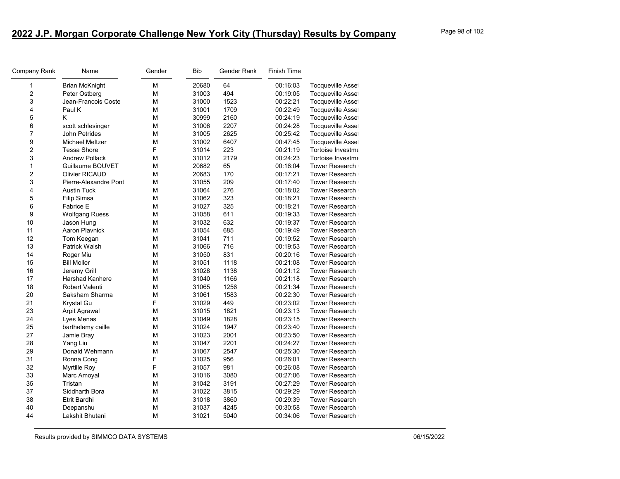| Company Rank   | Name                   | Gender | Bib   | Gender Rank | <b>Finish Time</b> |                          |
|----------------|------------------------|--------|-------|-------------|--------------------|--------------------------|
| 1              | <b>Brian McKnight</b>  | M      | 20680 | 64          | 00:16:03           | <b>Tocqueville Asset</b> |
| 2              | Peter Ostberg          | М      | 31003 | 494         | 00:19:05           | Tocqueville Asset        |
| 3              | Jean-Francois Coste    | М      | 31000 | 1523        | 00:22:21           | Tocqueville Asset        |
| 4              | Paul K                 | М      | 31001 | 1709        | 00:22:49           | Tocqueville Asset        |
| 5              | K                      | М      | 30999 | 2160        | 00:24:19           | Tocqueville Asset        |
| 6              | scott schlesinger      | М      | 31006 | 2207        | 00:24:28           | Tocqueville Asset        |
| $\overline{7}$ | John Petrides          | M      | 31005 | 2625        | 00:25:42           | <b>Tocqueville Asset</b> |
| 9              | <b>Michael Meltzer</b> | М      | 31002 | 6407        | 00:47:45           | Tocqueville Asset        |
| $\overline{c}$ | <b>Tessa Shore</b>     | F      | 31014 | 223         | 00:21:19           | Tortoise Investme        |
| 3              | <b>Andrew Pollack</b>  | М      | 31012 | 2179        | 00:24:23           | Tortoise Investme        |
| 1              | Guillaume BOUVET       | М      | 20682 | 65          | 00:16:04           | Tower Research           |
| 2              | <b>Olivier RICAUD</b>  | M      | 20683 | 170         | 00:17:21           | <b>Tower Research</b>    |
| 3              | Pierre-Alexandre Pont  | М      | 31055 | 209         | 00:17:40           | Tower Research           |
| 4              | <b>Austin Tuck</b>     | M      | 31064 | 276         | 00:18:02           | <b>Tower Research</b>    |
| 5              | Filip Simsa            | М      | 31062 | 323         | 00:18:21           | <b>Tower Research</b>    |
| 6              | <b>Fabrice E</b>       | М      | 31027 | 325         | 00:18:21           | <b>Tower Research</b>    |
| 9              | <b>Wolfgang Ruess</b>  | М      | 31058 | 611         | 00:19:33           | <b>Tower Research</b>    |
| 10             | Jason Hung             | М      | 31032 | 632         | 00:19:37           | <b>Tower Research</b>    |
| 11             | Aaron Playnick         | М      | 31054 | 685         | 00:19:49           | <b>Tower Research</b>    |
| 12             | Tom Keegan             | М      | 31041 | 711         | 00:19:52           | <b>Tower Research</b>    |
| 13             | Patrick Walsh          | M      | 31066 | 716         | 00:19:53           | <b>Tower Research</b>    |
| 14             | Roger Miu              | M      | 31050 | 831         | 00:20:16           | <b>Tower Research</b>    |
| 15             | <b>Bill Moller</b>     | М      | 31051 | 1118        | 00:21:08           | <b>Tower Research</b>    |
| 16             | Jeremy Grill           | М      | 31028 | 1138        | 00:21:12           | <b>Tower Research</b>    |
| 17             | <b>Harshad Kanhere</b> | M      | 31040 | 1166        | 00:21:18           | <b>Tower Research</b>    |
| 18             | <b>Robert Valenti</b>  | М      | 31065 | 1256        | 00:21:34           | <b>Tower Research</b>    |
| 20             | Saksham Sharma         | M      | 31061 | 1583        | 00:22:30           | <b>Tower Research</b>    |
| 21             | Krystal Gu             | F      | 31029 | 449         | 00:23:02           | <b>Tower Research</b>    |
| 23             | <b>Arpit Agrawal</b>   | М      | 31015 | 1821        | 00:23:13           | <b>Tower Research</b>    |
| 24             | Lyes Menas             | М      | 31049 | 1828        | 00:23:15           | <b>Tower Research</b>    |
| 25             | barthelemy caille      | М      | 31024 | 1947        | 00:23:40           | <b>Tower Research</b>    |
| 27             | Jamie Bray             | М      | 31023 | 2001        | 00:23:50           | <b>Tower Research</b>    |
| 28             | Yang Liu               | М      | 31047 | 2201        | 00:24:27           | <b>Tower Research</b>    |
| 29             | Donald Wehmann         | М      | 31067 | 2547        | 00:25:30           | <b>Tower Research</b>    |
| 31             | Ronna Cong             | F      | 31025 | 956         | 00:26:01           | <b>Tower Research</b>    |
| 32             | <b>Myrtille Roy</b>    | F      | 31057 | 981         | 00:26:08           | <b>Tower Research</b>    |
| 33             | Marc Amoyal            | M      | 31016 | 3080        | 00:27:06           | <b>Tower Research</b>    |
| 35             | Tristan                | М      | 31042 | 3191        | 00:27:29           | <b>Tower Research</b>    |
| 37             | Siddharth Bora         | М      | 31022 | 3815        | 00:29:29           | Tower Research           |
| 38             | Etrit Bardhi           | M      | 31018 | 3860        | 00:29:39           | <b>Tower Research</b>    |
| 40             | Deepanshu              | М      | 31037 | 4245        | 00:30:58           | <b>Tower Research</b>    |
| 44             | Lakshit Bhutani        | М      | 31021 | 5040        | 00:34:06           | <b>Tower Research</b>    |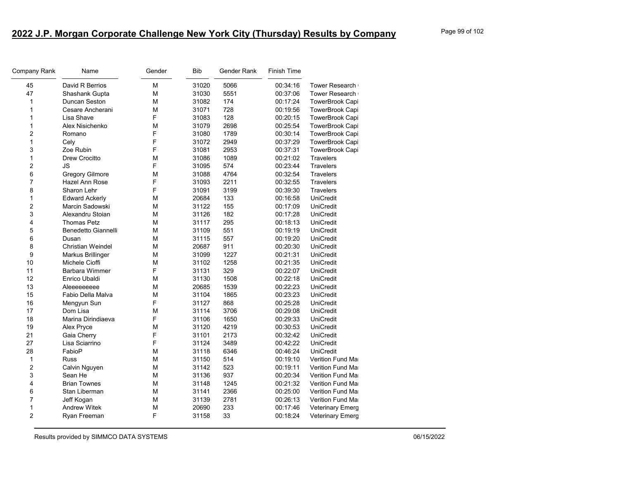| Company Rank            | Name                     | Gender | <b>Bib</b> | Gender Rank | <b>Finish Time</b> |                         |
|-------------------------|--------------------------|--------|------------|-------------|--------------------|-------------------------|
| 45                      | David R Berrios          | M      | 31020      | 5066        | 00:34:16           | Tower Research          |
| 47                      | Shashank Gupta           | M      | 31030      | 5551        | 00:37:06           | Tower Research          |
| 1                       | Duncan Seston            | M      | 31082      | 174         | 00:17:24           | TowerBrook Capi         |
| 1                       | Cesare Ancherani         | M      | 31071      | 728         | 00:19:56           | TowerBrook Capi         |
| 1                       | Lisa Shave               | F      | 31083      | 128         | 00:20:15           | TowerBrook Capi         |
| $\mathbf{1}$            | Alex Nisichenko          | M      | 31079      | 2698        | 00:25:54           | TowerBrook Capi         |
| $\overline{\mathbf{c}}$ | Romano                   | F      | 31080      | 1789        | 00:30:14           | TowerBrook Capi         |
| 1                       | Cely                     | F      | 31072      | 2949        | 00:37:29           | TowerBrook Capi         |
| 3                       | Zoe Rubin                | F      | 31081      | 2953        | 00:37:31           | TowerBrook Capi         |
| $\mathbf{1}$            | <b>Drew Crocitto</b>     | M      | 31086      | 1089        | 00:21:02           | Travelers               |
| $\overline{\mathbf{c}}$ | JS                       | F      | 31095      | 574         | 00:23:44           | <b>Travelers</b>        |
| 6                       | <b>Gregory Gilmore</b>   | M      | 31088      | 4764        | 00:32:54           | <b>Travelers</b>        |
| $\overline{7}$          | Hazel Ann Rose           | F      | 31093      | 2211        | 00:32:55           | Travelers               |
| 8                       | Sharon Lehr              | F      | 31091      | 3199        | 00:39:30           | Travelers               |
| 1                       | <b>Edward Ackerly</b>    | M      | 20684      | 133         | 00:16:58           | <b>UniCredit</b>        |
| $\overline{c}$          | Marcin Sadowski          | М      | 31122      | 155         | 00:17:09           | UniCredit               |
| 3                       | Alexandru Stoian         | M      | 31126      | 182         | 00:17:28           | UniCredit               |
| 4                       | <b>Thomas Petz</b>       | M      | 31117      | 295         | 00:18:13           | UniCredit               |
| 5                       | Benedetto Giannelli      | M      | 31109      | 551         | 00:19:19           | <b>UniCredit</b>        |
| 6                       | Dusan                    | M      | 31115      | 557         | 00:19:20           | <b>UniCredit</b>        |
| 8                       | <b>Christian Weindel</b> | M      | 20687      | 911         | 00:20:30           | <b>UniCredit</b>        |
| 9                       | Markus Brillinger        | M      | 31099      | 1227        | 00:21:31           | <b>UniCredit</b>        |
| 10                      | Michele Cioffi           | M      | 31102      | 1258        | 00:21:35           | UniCredit               |
| 11                      | <b>Barbara Wimmer</b>    | F      | 31131      | 329         | 00:22:07           | UniCredit               |
| 12                      | Enrico Ubaldi            | M      | 31130      | 1508        | 00:22:18           | UniCredit               |
| 13                      | Aleeeeeeeee              | M      | 20685      | 1539        | 00:22:23           | <b>UniCredit</b>        |
| 15                      | Fabio Della Malva        | M      | 31104      | 1865        | 00:23:23           | UniCredit               |
| 16                      | Mengyun Sun              | F      | 31127      | 868         | 00:25:28           | UniCredit               |
| 17                      | Dom Lisa                 | M      | 31114      | 3706        | 00:29:08           | <b>UniCredit</b>        |
| 18                      | Marina Dirindiaeva       | F      | 31106      | 1650        | 00:29:33           | UniCredit               |
| 19                      | Alex Pryce               | M      | 31120      | 4219        | 00:30:53           | <b>UniCredit</b>        |
| 21                      | Gaia Cherry              | F      | 31101      | 2173        | 00:32:42           | UniCredit               |
| 27                      | Lisa Sciarrino           | F      | 31124      | 3489        | 00:42:22           | UniCredit               |
| 28                      | FabioP                   | M      | 31118      | 6346        | 00:46:24           | <b>UniCredit</b>        |
| 1                       | <b>Russ</b>              | M      | 31150      | 514         | 00:19:10           | Verition Fund Ma        |
| $\overline{c}$          | Calvin Nguyen            | М      | 31142      | 523         | 00:19:11           | Verition Fund Ma        |
| 3                       | Sean He                  | M      | 31136      | 937         | 00:20:34           | <b>Verition Fund Ma</b> |
| 4                       | <b>Brian Townes</b>      | M      | 31148      | 1245        | 00:21:32           | Verition Fund Ma        |
| 6                       | Stan Liberman            | M      | 31141      | 2366        | 00:25:00           | Verition Fund Ma        |
| $\overline{7}$          | Jeff Kogan               | M      | 31139      | 2781        | 00:26:13           | Verition Fund Ma        |
| 1                       | <b>Andrew Witek</b>      | M      | 20690      | 233         | 00:17:46           | <b>Veterinary Emerg</b> |
| $\overline{2}$          | Ryan Freeman             | F      | 31158      | 33          | 00:18:24           | <b>Veterinary Emerg</b> |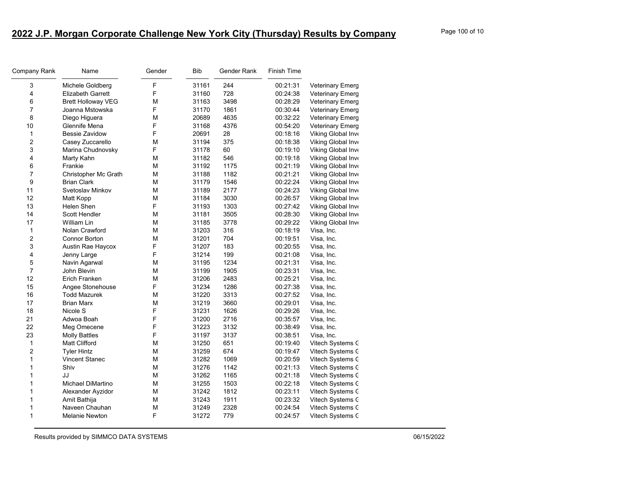| Company Rank            | Name                      | Gender | <b>Bib</b> | Gender Rank | Finish Time |                         |
|-------------------------|---------------------------|--------|------------|-------------|-------------|-------------------------|
| 3                       | Michele Goldberg          | F      | 31161      | 244         | 00:21:31    | <b>Veterinary Emerg</b> |
| 4                       | <b>Elizabeth Garrett</b>  | F      | 31160      | 728         | 00:24:38    | <b>Veterinary Emerg</b> |
| 6                       | <b>Brett Holloway VEG</b> | М      | 31163      | 3498        | 00:28:29    | <b>Veterinary Emerg</b> |
| $\overline{7}$          | Joanna Mstowska           | F      | 31170      | 1861        | 00:30:44    | <b>Veterinary Emerg</b> |
| 8                       | Diego Higuera             | M      | 20689      | 4635        | 00:32:22    | <b>Veterinary Emerg</b> |
| 10                      | Glennife Mena             | F      | 31168      | 4376        | 00:54:20    | <b>Veterinary Emerg</b> |
| $\mathbf{1}$            | <b>Bessie Zavidow</b>     | F      | 20691      | 28          | 00:18:16    | Viking Global Inve      |
| $\overline{\mathbf{c}}$ | Casey Zuccarello          | М      | 31194      | 375         | 00:18:38    | Viking Global Inve      |
| 3                       | Marina Chudnovsky         | F      | 31178      | 60          | 00:19:10    | Viking Global Inve      |
| 4                       | Marty Kahn                | M      | 31182      | 546         | 00:19:18    | Viking Global Inve      |
| 6                       | Frankie                   | M      | 31192      | 1175        | 00:21:19    | Viking Global Inve      |
| $\overline{7}$          | Christopher Mc Grath      | M      | 31188      | 1182        | 00:21:21    | Viking Global Inve      |
| 9                       | <b>Brian Clark</b>        | M      | 31179      | 1546        | 00:22:24    | Viking Global Inve      |
| 11                      | Svetoslav Minkov          | M      | 31189      | 2177        | 00:24:23    | Viking Global Inve      |
| 12                      | Matt Kopp                 | M      | 31184      | 3030        | 00:26:57    | Viking Global Inve      |
| 13                      | Helen Shen                | F      | 31193      | 1303        | 00:27:42    | Viking Global Inve      |
| 14                      | Scott Hendler             | M      | 31181      | 3505        | 00:28:30    | Viking Global Inve      |
| 17                      | William Lin               | M      | 31185      | 3778        | 00:29:22    | Viking Global Inve      |
| $\mathbf{1}$            | Nolan Crawford            | M      | 31203      | 316         | 00:18:19    | Visa, Inc.              |
| 2                       | Connor Borton             | M      | 31201      | 704         | 00:19:51    | Visa, Inc.              |
| 3                       | Austin Rae Haycox         | F      | 31207      | 183         | 00:20:55    | Visa, Inc.              |
| 4                       | Jenny Large               | F      | 31214      | 199         | 00:21:08    | Visa, Inc.              |
| 5                       | Navin Agarwal             | М      | 31195      | 1234        | 00:21:31    | Visa, Inc.              |
| $\overline{7}$          | John Blevin               | M      | 31199      | 1905        | 00:23:31    | Visa, Inc.              |
| 12                      | Erich Franken             | M      | 31206      | 2483        | 00:25:21    | Visa, Inc.              |
| 15                      | Angee Stonehouse          | F      | 31234      | 1286        | 00:27:38    | Visa, Inc.              |
| 16                      | <b>Todd Mazurek</b>       | M      | 31220      | 3313        | 00:27:52    | Visa, Inc.              |
| 17                      | Brian Marx                | M      | 31219      | 3660        | 00:29:01    | Visa, Inc.              |
| 18                      | Nicole S                  | F      | 31231      | 1626        | 00:29:26    | Visa, Inc.              |
| 21                      | Adwoa Boah                | F      | 31200      | 2716        | 00:35:57    | Visa, Inc.              |
| 22                      | Meg Omecene               | F      | 31223      | 3132        | 00:38:49    | Visa, Inc.              |
| 23                      | <b>Molly Battles</b>      | F      | 31197      | 3137        | 00:38:51    | Visa, Inc.              |
| $\mathbf{1}$            | Matt Clifford             | М      | 31250      | 651         | 00:19:40    | Vitech Systems C        |
| $\overline{c}$          | <b>Tyler Hintz</b>        | M      | 31259      | 674         | 00:19:47    | Vitech Systems C        |
| 1                       | Vincent Stanec            | M      | 31282      | 1069        | 00:20:59    | Vitech Systems C        |
| 1                       | Shiv                      | M      | 31276      | 1142        | 00:21:13    | Vitech Systems C        |
| 1                       | JJ                        | M      | 31262      | 1165        | 00:21:18    | Vitech Systems C        |
| 1                       | Michael DiMartino         | M      | 31255      | 1503        | 00:22:18    | Vitech Systems C        |
| 1                       | Alexander Ayzidor         | M      | 31242      | 1812        | 00:23:11    | Vitech Systems C        |
| 1                       | Amit Bathija              | М      | 31243      | 1911        | 00:23:32    | Vitech Systems C        |
| 1                       | Naveen Chauhan            | M      | 31249      | 2328        | 00:24:54    | Vitech Systems C        |
| 1                       | Melanie Newton            | F      | 31272      | 779         | 00:24:57    | Vitech Systems C        |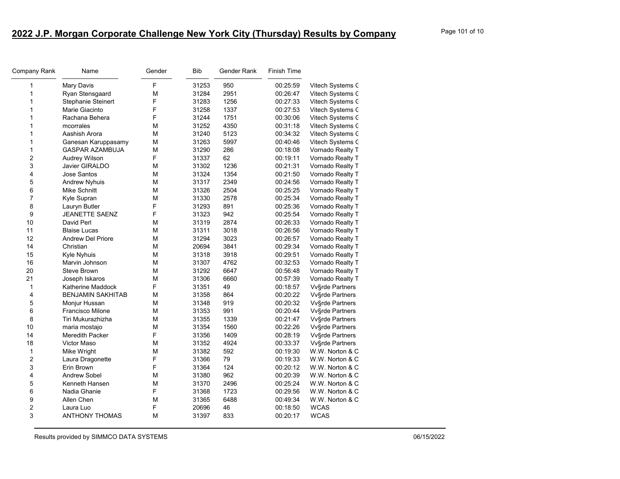| Company Rank   | Name                     | Gender | <b>Bib</b> | Gender Rank | <b>Finish Time</b> |                  |
|----------------|--------------------------|--------|------------|-------------|--------------------|------------------|
| 1              | Mary Davis               | F      | 31253      | 950         | 00:25:59           | Vitech Systems C |
| 1              | Ryan Stensgaard          | M      | 31284      | 2951        | 00:26:47           | Vitech Systems C |
| 1              | Stephanie Steinert       | F      | 31283      | 1256        | 00:27:33           | Vitech Systems C |
| 1              | Marie Giacinto           | F      | 31258      | 1337        | 00:27:53           | Vitech Systems C |
| 1              | Rachana Behera           | F      | 31244      | 1751        | 00:30:06           | Vitech Systems C |
| 1              | mcorrales                | М      | 31252      | 4350        | 00:31:18           | Vitech Systems C |
| $\mathbf{1}$   | Aashish Arora            | М      | 31240      | 5123        | 00:34:32           | Vitech Systems C |
| $\mathbf{1}$   | Ganesan Karuppasamy      | М      | 31263      | 5997        | 00:40:46           | Vitech Systems C |
| $\mathbf{1}$   | <b>GASPAR AZAMBUJA</b>   | M      | 31290      | 286         | 00:18:08           | Vornado Realty T |
| $\overline{c}$ | Audrey Wilson            | F      | 31337      | 62          | 00:19:11           | Vornado Realty T |
| 3              | Javier GIRALDO           | M      | 31302      | 1236        | 00:21:31           | Vornado Realty T |
| 4              | Jose Santos              | М      | 31324      | 1354        | 00:21:50           | Vornado Realty T |
| 5              | <b>Andrew Nyhuis</b>     | M      | 31317      | 2349        | 00:24:56           | Vornado Realty T |
| $\,6$          | <b>Mike Schnitt</b>      | М      | 31326      | 2504        | 00:25:25           | Vornado Realty T |
| $\overline{7}$ | Kyle Supran              | M      | 31330      | 2578        | 00:25:34           | Vornado Realty T |
| 8              | Lauryn Butler            | F      | 31293      | 891         | 00:25:36           | Vornado Realty T |
| 9              | <b>JEANETTE SAENZ</b>    | F      | 31323      | 942         | 00:25:54           | Vornado Realty T |
| 10             | David Perl               | M      | 31319      | 2874        | 00:26:33           | Vornado Realty T |
| 11             | <b>Blaise Lucas</b>      | M      | 31311      | 3018        | 00:26:56           | Vornado Realty T |
| 12             | <b>Andrew Del Priore</b> | М      | 31294      | 3023        | 00:26:57           | Vornado Realty T |
| 14             | Christian                | M      | 20694      | 3841        | 00:29:34           | Vornado Realty T |
| 15             | Kyle Nyhuis              | М      | 31318      | 3918        | 00:29:51           | Vornado Realty T |
| 16             | Marvin Johnson           | М      | 31307      | 4762        | 00:32:53           | Vornado Realty T |
| 20             | <b>Steve Brown</b>       | М      | 31292      | 6647        | 00:56:48           | Vornado Realty T |
| 21             | Joseph Iskaros           | M      | 31306      | 6660        | 00:57:39           | Vornado Realty T |
| $\mathbf{1}$   | Katherine Maddock        | F      | 31351      | 49          | 00:18:57           | Vv§rde Partners  |
| $\overline{4}$ | <b>BENJAMIN SAKHITAB</b> | M      | 31358      | 864         | 00:20:22           | Vv§rde Partners  |
| 5              | Monjur Hussan            | М      | 31348      | 919         | 00:20:32           | Vv§rde Partners  |
| 6              | Francisco Milone         | M      | 31353      | 991         | 00:20:44           | Vv§rde Partners  |
| 8              | Tiri Mukurazhizha        | М      | 31355      | 1339        | 00:21:47           | Vv§rde Partners  |
| 10             | maria mostajo            | M      | 31354      | 1560        | 00:22:26           | Vv§rde Partners  |
| 14             | Meredith Packer          | F      | 31356      | 1409        | 00:28:19           | Vv§rde Partners  |
| 18             | Victor Maso              | М      | 31352      | 4924        | 00:33:37           | Vv§rde Partners  |
| 1              | Mike Wright              | М      | 31382      | 592         | 00:19:30           | W.W. Norton & C  |
| $\overline{c}$ | Laura Dragonette         | F      | 31366      | 79          | 00:19:33           | W.W. Norton & C  |
| 3              | Erin Brown               | F      | 31364      | 124         | 00:20:12           | W.W. Norton & C  |
| 4              | <b>Andrew Sobel</b>      | М      | 31380      | 962         | 00:20:39           | W.W. Norton & C  |
| 5              | Kenneth Hansen           | M      | 31370      | 2496        | 00:25:24           | W.W. Norton & C  |
| 6              | Nadia Ghanie             | F      | 31368      | 1723        | 00:29:56           | W.W. Norton & C  |
| 9              | Allen Chen               | M      | 31365      | 6488        | 00:49:34           | W.W. Norton & C  |
| 2              | Laura Luo                | F      | 20696      | 46          | 00:18:50           | <b>WCAS</b>      |
| 3              | <b>ANTHONY THOMAS</b>    | M      | 31397      | 833         | 00:20:17           | <b>WCAS</b>      |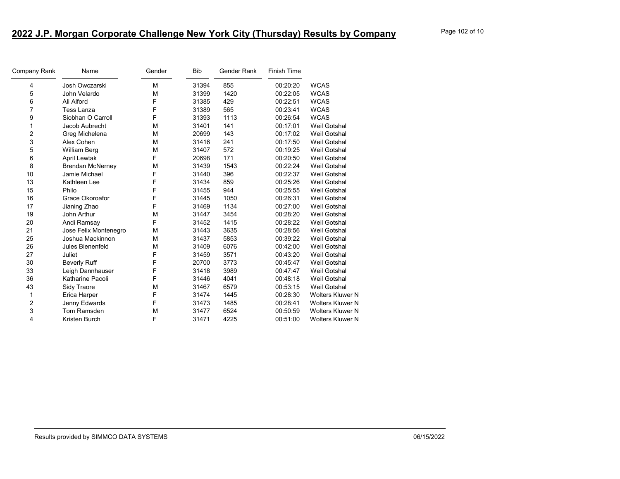| Company Rank | Name                    | Gender | Bib   | Gender Rank | <b>Finish Time</b> |                         |
|--------------|-------------------------|--------|-------|-------------|--------------------|-------------------------|
| 4            | Josh Owczarski          | M      | 31394 | 855         | 00:20:20           | <b>WCAS</b>             |
| 5            | John Velardo            | M      | 31399 | 1420        | 00:22:05           | <b>WCAS</b>             |
| 6            | Ali Alford              | F      | 31385 | 429         | 00:22:51           | <b>WCAS</b>             |
| 7            | <b>Tess Lanza</b>       | F      | 31389 | 565         | 00:23:41           | <b>WCAS</b>             |
| 9            | Siobhan O Carroll       | F      | 31393 | 1113        | 00:26:54           | <b>WCAS</b>             |
| 1            | Jacob Aubrecht          | M      | 31401 | 141         | 00:17:01           | <b>Weil Gotshal</b>     |
| 2            | Greg Michelena          | M      | 20699 | 143         | 00:17:02           | <b>Weil Gotshal</b>     |
| 3            | Alex Cohen              | M      | 31416 | 241         | 00:17:50           | <b>Weil Gotshal</b>     |
| 5            | William Berg            | M      | 31407 | 572         | 00:19:25           | <b>Weil Gotshal</b>     |
| 6            | <b>April Lewtak</b>     | F      | 20698 | 171         | 00:20:50           | Weil Gotshal            |
| 8            | <b>Brendan McNerney</b> | M      | 31439 | 1543        | 00:22:24           | <b>Weil Gotshal</b>     |
| 10           | Jamie Michael           | F      | 31440 | 396         | 00:22:37           | <b>Weil Gotshal</b>     |
| 13           | Kathleen Lee            | F      | 31434 | 859         | 00:25:26           | <b>Weil Gotshal</b>     |
| 15           | Philo                   | F      | 31455 | 944         | 00:25:55           | <b>Weil Gotshal</b>     |
| 16           | Grace Okoroafor         | F      | 31445 | 1050        | 00:26:31           | <b>Weil Gotshal</b>     |
| 17           | Jianing Zhao            | F      | 31469 | 1134        | 00:27:00           | <b>Weil Gotshal</b>     |
| 19           | John Arthur             | M      | 31447 | 3454        | 00:28:20           | <b>Weil Gotshal</b>     |
| 20           | Andi Ramsay             | F      | 31452 | 1415        | 00:28:22           | <b>Weil Gotshal</b>     |
| 21           | Jose Felix Montenegro   | M      | 31443 | 3635        | 00:28:56           | <b>Weil Gotshal</b>     |
| 25           | Joshua Mackinnon        | M      | 31437 | 5853        | 00:39:22           | Weil Gotshal            |
| 26           | Jules Bienenfeld        | M      | 31409 | 6076        | 00:42:00           | <b>Weil Gotshal</b>     |
| 27           | Juliet                  | F      | 31459 | 3571        | 00:43:20           | <b>Weil Gotshal</b>     |
| 30           | <b>Beverly Ruff</b>     | F      | 20700 | 3773        | 00:45:47           | <b>Weil Gotshal</b>     |
| 33           | Leigh Dannhauser        | F      | 31418 | 3989        | 00:47:47           | <b>Weil Gotshal</b>     |
| 36           | Katharine Pacoli        | F      | 31446 | 4041        | 00:48:18           | <b>Weil Gotshal</b>     |
| 43           | Sidy Traore             | M      | 31467 | 6579        | 00:53:15           | <b>Weil Gotshal</b>     |
| 1            | Erica Harper            | F      | 31474 | 1445        | 00:28:30           | <b>Wolters Kluwer N</b> |
| 2            | Jenny Edwards           | F      | 31473 | 1485        | 00:28:41           | <b>Wolters Kluwer N</b> |
| 3            | Tom Ramsden             | M      | 31477 | 6524        | 00:50:59           | <b>Wolters Kluwer N</b> |
| 4            | Kristen Burch           | F      | 31471 | 4225        | 00:51:00           | <b>Wolters Kluwer N</b> |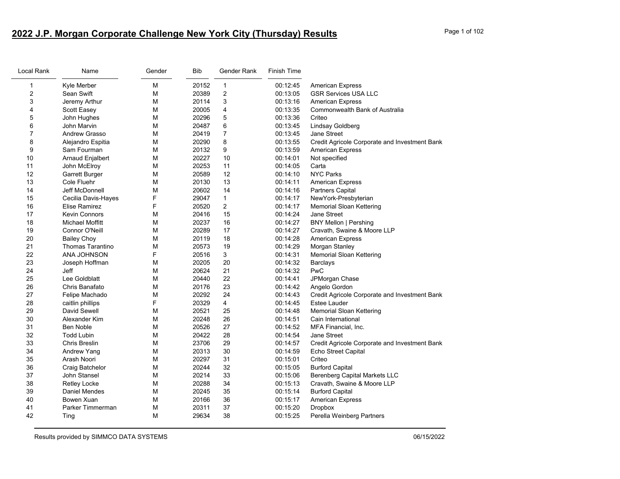## **2022 J.P. Morgan Corporate Challenge New York City (Thursday) Results** Page 1 of 102

| Local Rank     | Name                    | Gender | Bib   | Gender Rank    | <b>Finish Time</b> |                                               |
|----------------|-------------------------|--------|-------|----------------|--------------------|-----------------------------------------------|
| 1              | Kyle Merber             | M      | 20152 | $\mathbf{1}$   | 00:12:45           | <b>American Express</b>                       |
| 2              | Sean Swift              | M      | 20389 | 2              | 00:13:05           | <b>GSR Services USA LLC</b>                   |
| 3              | Jeremy Arthur           | М      | 20114 | 3              | 00:13:16           | <b>American Express</b>                       |
| 4              | Scott Easey             | M      | 20005 | 4              | 00:13:35           | Commonwealth Bank of Australia                |
| 5              | John Hughes             | M      | 20296 | 5              | 00:13:36           | Criteo                                        |
| 6              | John Marvin             | М      | 20487 | 6              | 00:13:45           | Lindsay Goldberg                              |
| $\overline{7}$ | Andrew Grasso           | M      | 20419 | $\overline{7}$ | 00:13:45           | Jane Street                                   |
| 8              | Alejandro Espitia       | M      | 20290 | 8              | 00:13:55           | Credit Agricole Corporate and Investment Bank |
| 9              | Sam Fourman             | М      | 20132 | 9              | 00:13:59           | <b>American Express</b>                       |
| 10             | <b>Arnaud Enjalbert</b> | M      | 20227 | 10             | 00:14:01           | Not specified                                 |
| 11             | John McElroy            | М      | 20253 | 11             | 00:14:05           | Carta                                         |
| 12             | Garrett Burger          | M      | 20589 | 12             | 00:14:10           | <b>NYC Parks</b>                              |
| 13             | Cole Fluehr             | M      | 20130 | 13             | 00:14:11           | <b>American Express</b>                       |
| 14             | Jeff McDonnell          | М      | 20602 | 14             | 00:14:16           | <b>Partners Capital</b>                       |
| 15             | Cecilia Davis-Hayes     | F      | 29047 | $\mathbf{1}$   | 00:14:17           | NewYork-Presbyterian                          |
| 16             | Elise Ramirez           | F      | 20520 | 2              | 00:14:17           | Memorial Sloan Kettering                      |
| 17             | <b>Kevin Connors</b>    | M      | 20416 | 15             | 00:14:24           | Jane Street                                   |
| 18             | Michael Moffitt         | M      | 20237 | 16             | 00:14:27           | <b>BNY Mellon   Pershing</b>                  |
| 19             | Connor O'Neill          | М      | 20289 | 17             | 00:14:27           | Cravath, Swaine & Moore LLP                   |
| 20             | <b>Bailey Choy</b>      | M      | 20119 | 18             | 00:14:28           | <b>American Express</b>                       |
| 21             | <b>Thomas Tarantino</b> | М      | 20573 | 19             | 00:14:29           | Morgan Stanley                                |
| 22             | ANA JOHNSON             | F      | 20516 | 3              | 00:14:31           | <b>Memorial Sloan Kettering</b>               |
| 23             | Joseph Hoffman          | M      | 20205 | 20             | 00:14:32           | <b>Barclays</b>                               |
| 24             | <b>Jeff</b>             | М      | 20624 | 21             | 00:14:32           | PwC                                           |
| 25             | Lee Goldblatt           | M      | 20440 | 22             | 00:14:41           | JPMorgan Chase                                |
| 26             | Chris Banafato          | М      | 20176 | 23             | 00:14:42           | Angelo Gordon                                 |
| 27             | Felipe Machado          | M      | 20292 | 24             | 00:14:43           | Credit Agricole Corporate and Investment Bank |
| 28             | caitlin phillips        | F      | 20329 | 4              | 00:14:45           | <b>Estee Lauder</b>                           |
| 29             | David Sewell            | М      | 20521 | 25             | 00:14:48           | <b>Memorial Sloan Kettering</b>               |
| 30             | Alexander Kim           | M      | 20248 | 26             | 00:14:51           | Cain International                            |
| 31             | Ben Noble               | M      | 20526 | 27             | 00:14:52           | MFA Financial, Inc.                           |
| 32             | <b>Todd Lubin</b>       | М      | 20422 | 28             | 00:14:54           | Jane Street                                   |
| 33             | <b>Chris Breslin</b>    | М      | 23706 | 29             | 00:14:57           | Credit Agricole Corporate and Investment Bank |
| 34             | Andrew Yang             | M      | 20313 | 30             | 00:14:59           | <b>Echo Street Capital</b>                    |
| 35             | Arash Noori             | M      | 20297 | 31             | 00:15:01           | Criteo                                        |
| 36             | Craig Batchelor         | М      | 20244 | 32             | 00:15:05           | <b>Burford Capital</b>                        |
| 37             | John Stansel            | M      | 20214 | 33             | 00:15:06           | <b>Berenberg Capital Markets LLC</b>          |
| 38             | <b>Retley Locke</b>     | М      | 20288 | 34             | 00:15:13           | Cravath, Swaine & Moore LLP                   |
| 39             | Daniel Mendes           | М      | 20245 | 35             | 00:15:14           | <b>Burford Capital</b>                        |
| 40             | Bowen Xuan              | M      | 20166 | 36             | 00:15:17           | <b>American Express</b>                       |
| 41             | Parker Timmerman        | M      | 20311 | 37             | 00:15:20           | <b>Dropbox</b>                                |
| 42             | Ting                    | М      | 29634 | 38             | 00:15:25           | Perella Weinberg Partners                     |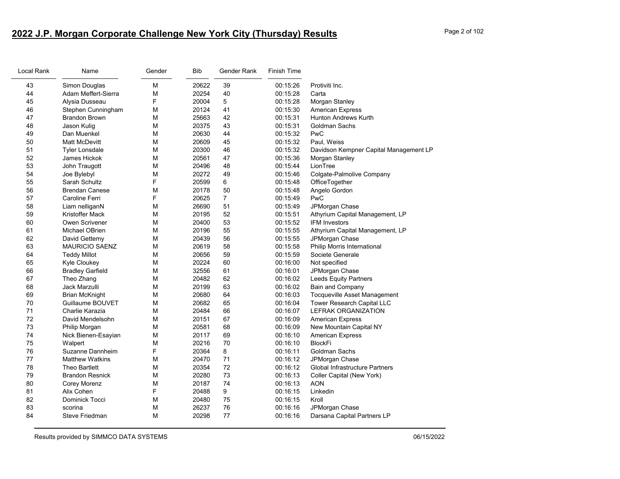## **2022 J.P. Morgan Corporate Challenge New York City (Thursday) Results** Page 2 of 102

| Local Rank | Name                    | Gender | Bib   | Gender Rank | Finish Time |                                        |
|------------|-------------------------|--------|-------|-------------|-------------|----------------------------------------|
| 43         | Simon Douglas           | M      | 20622 | 39          | 00:15:26    | Protiviti Inc.                         |
| 44         | Adam Meffert-Sierra     | M      | 20254 | 40          | 00:15:28    | Carta                                  |
| 45         | Alysia Dusseau          | F      | 20004 | 5           | 00:15:28    | Morgan Stanley                         |
| 46         | Stephen Cunningham      | M      | 20124 | 41          | 00:15:30    | <b>American Express</b>                |
| 47         | Brandon Brown           | м      | 25663 | 42          | 00:15:31    | <b>Hunton Andrews Kurth</b>            |
| 48         | Jason Kulig             | M      | 20375 | 43          | 00:15:31    | <b>Goldman Sachs</b>                   |
| 49         | Dan Muenkel             | M      | 20630 | 44          | 00:15:32    | PwC                                    |
| 50         | Matt McDevitt           | M      | 20609 | 45          | 00:15:32    | Paul, Weiss                            |
| 51         | <b>Tyler Lonsdale</b>   | M      | 20300 | 46          | 00:15:32    | Davidson Kempner Capital Management LP |
| 52         | James Hickok            | M      | 20561 | 47          | 00:15:36    | Morgan Stanley                         |
| 53         | John Traugott           | M      | 20496 | 48          | 00:15:44    | LionTree                               |
| 54         | Joe Bylebyl             | M      | 20272 | 49          | 00:15:46    | Colgate-Palmolive Company              |
| 55         | Sarah Schultz           | F      | 20599 | 6           | 00:15:48    | OfficeTogether                         |
| 56         | <b>Brendan Canese</b>   | M      | 20178 | 50          | 00:15:48    | Angelo Gordon                          |
| 57         | Caroline Ferri          | F      | 20625 | 7           | 00:15:49    | PwC                                    |
| 58         | Liam nelliganN          | M      | 26690 | 51          | 00:15:49    | JPMorgan Chase                         |
| 59         | Kristoffer Mack         | M      | 20195 | 52          | 00:15:51    | Athyrium Capital Management, LP        |
| 60         | Owen Scrivener          | M      | 20400 | 53          | 00:15:52    | <b>IFM Investors</b>                   |
| 61         | Michael OBrien          | M      | 20196 | 55          | 00:15:55    | Athyrium Capital Management, LP        |
| 62         | David Gettemy           | M      | 20439 | 56          | 00:15:55    | JPMorgan Chase                         |
| 63         | <b>MAURICIO SAENZ</b>   | M      | 20619 | 58          | 00:15:58    | Philip Morris International            |
| 64         | <b>Teddy Millot</b>     | M      | 20656 | 59          | 00:15:59    | Societe Generale                       |
| 65         | <b>Kyle Cloukey</b>     | M      | 20224 | 60          | 00:16:00    | Not specified                          |
| 66         | <b>Bradley Garfield</b> | M      | 32556 | 61          | 00:16:01    | JPMorgan Chase                         |
| 67         | Theo Zhang              | M      | 20482 | 62          | 00:16:02    | <b>Leeds Equity Partners</b>           |
| 68         | Jack Marzulli           | M      | 20199 | 63          | 00:16:02    | Bain and Company                       |
| 69         | Brian McKnight          | M      | 20680 | 64          | 00:16:03    | Tocqueville Asset Management           |
| 70         | Guillaume BOUVET        | M      | 20682 | 65          | 00:16:04    | Tower Research Capital LLC             |
| 71         | Charlie Karazia         | M      | 20484 | 66          | 00:16:07    | <b>LEFRAK ORGANIZATION</b>             |
| 72         | David Mendelsohn        | M      | 20151 | 67          | 00:16:09    | <b>American Express</b>                |
| 73         | Philip Morgan           | M      | 20581 | 68          | 00:16:09    | New Mountain Capital NY                |
| 74         | Nick Bienen-Esayian     | M      | 20117 | 69          | 00:16:10    | <b>American Express</b>                |
| 75         | Walpert                 | M      | 20216 | 70          | 00:16:10    | <b>BlockFi</b>                         |
| 76         | Suzanne Dannheim        | F      | 20364 | 8           | 00:16:11    | Goldman Sachs                          |
| 77         | <b>Matthew Watkins</b>  | M      | 20470 | 71          | 00:16:12    | JPMorgan Chase                         |
| 78         | Theo Bartlett           | M      | 20354 | 72          | 00:16:12    | <b>Global Infrastructure Partners</b>  |
| 79         | <b>Brandon Resnick</b>  | M      | 20280 | 73          | 00:16:13    | Coller Capital (New York)              |
| 80         | Corey Morenz            | M      | 20187 | 74          | 00:16:13    | <b>AON</b>                             |
| 81         | Alix Cohen              | F      | 20488 | 9           | 00:16:15    | Linkedin                               |
| 82         | Dominick Tocci          | M      | 20480 | 75          | 00:16:15    | Kroll                                  |
| 83         | scorina                 | M      | 26237 | 76          | 00:16:16    | JPMorgan Chase                         |
| 84         | Steve Friedman          | M      | 20298 | 77          | 00:16:16    | Darsana Capital Partners LP            |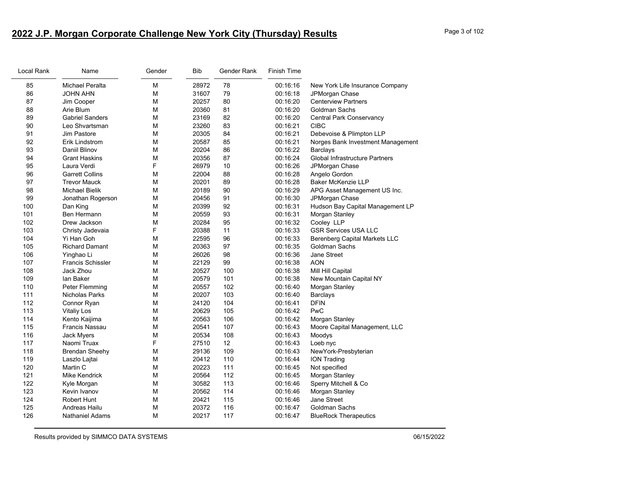# **2022 J.P. Morgan Corporate Challenge New York City (Thursday) Results** Page 3 of 102

| Local Rank | Name                     | Gender | Bib   | Gender Rank | Finish Time |                                      |
|------------|--------------------------|--------|-------|-------------|-------------|--------------------------------------|
| 85         | <b>Michael Peralta</b>   | М      | 28972 | 78          | 00:16:16    | New York Life Insurance Company      |
| 86         | <b>JOHN AHN</b>          | М      | 31607 | 79          | 00:16:18    | JPMorgan Chase                       |
| 87         | Jim Cooper               | М      | 20257 | 80          | 00:16:20    | <b>Centerview Partners</b>           |
| 88         | Arie Blum                | М      | 20360 | 81          | 00:16:20    | <b>Goldman Sachs</b>                 |
| 89         | <b>Gabriel Sanders</b>   | М      | 23169 | 82          | 00:16:20    | <b>Central Park Conservancy</b>      |
| 90         | Leo Shvartsman           | M      | 23260 | 83          | 00:16:21    | <b>CIBC</b>                          |
| 91         | Jim Pastore              | М      | 20305 | 84          | 00:16:21    | Debevoise & Plimpton LLP             |
| 92         | Erik Lindstrom           | M      | 20587 | 85          | 00:16:21    | Norges Bank Investment Management    |
| 93         | Daniil Blinov            | М      | 20204 | 86          | 00:16:22    | <b>Barclays</b>                      |
| 94         | <b>Grant Haskins</b>     | М      | 20356 | 87          | 00:16:24    | Global Infrastructure Partners       |
| 95         | Laura Verdi              | F      | 26979 | 10          | 00:16:26    | JPMorgan Chase                       |
| 96         | <b>Garrett Collins</b>   | M      | 22004 | 88          | 00:16:28    | Angelo Gordon                        |
| 97         | <b>Trevor Mauck</b>      | М      | 20201 | 89          | 00:16:28    | <b>Baker McKenzie LLP</b>            |
| 98         | <b>Michael Bielik</b>    | М      | 20189 | 90          | 00:16:29    | APG Asset Management US Inc.         |
| 99         | Jonathan Rogerson        | М      | 20456 | 91          | 00:16:30    | JPMorgan Chase                       |
| 100        | Dan King                 | М      | 20399 | 92          | 00:16:31    | Hudson Bay Capital Management LP     |
| 101        | Ben Hermann              | М      | 20559 | 93          | 00:16:31    | Morgan Stanley                       |
| 102        | Drew Jackson             | М      | 20284 | 95          | 00:16:32    | Cooley LLP                           |
| 103        | Christy Jadevaia         | F      | 20388 | 11          | 00:16:33    | <b>GSR Services USA LLC</b>          |
| 104        | Yi Han Goh               | М      | 22595 | 96          | 00:16:33    | <b>Berenberg Capital Markets LLC</b> |
| 105        | <b>Richard Damant</b>    | М      | 20363 | 97          | 00:16:35    | Goldman Sachs                        |
| 106        | Yinghao Li               | М      | 26026 | 98          | 00:16:36    | Jane Street                          |
| 107        | <b>Francis Schissler</b> | М      | 22129 | 99          | 00:16:38    | <b>AON</b>                           |
| 108        | Jack Zhou                | M      | 20527 | 100         | 00:16:38    | Mill Hill Capital                    |
| 109        | lan Baker                | M      | 20579 | 101         | 00:16:38    | New Mountain Capital NY              |
| 110        | Peter Flemming           | М      | 20557 | 102         | 00:16:40    | Morgan Stanley                       |
| 111        | Nicholas Parks           | М      | 20207 | 103         | 00:16:40    | <b>Barclays</b>                      |
| 112        | Connor Ryan              | М      | 24120 | 104         | 00:16:41    | <b>DFIN</b>                          |
| 113        | <b>Vitaliy Los</b>       | М      | 20629 | 105         | 00:16:42    | PwC                                  |
| 114        | Kento Kaijima            | М      | 20563 | 106         | 00:16:42    | Morgan Stanley                       |
| 115        | Francis Nassau           | М      | 20541 | 107         | 00:16:43    | Moore Capital Management, LLC        |
| 116        | Jack Myers               | М      | 20534 | 108         | 00:16:43    | Moodys                               |
| 117        | Naomi Truax              | F      | 27510 | 12          | 00:16:43    | Loeb nyc                             |
| 118        | <b>Brendan Sheehy</b>    | M      | 29136 | 109         | 00:16:43    | NewYork-Presbyterian                 |
| 119        | Laszlo Lajtai            | М      | 20412 | 110         | 00:16:44    | <b>ION Trading</b>                   |
| 120        | Martin C                 | М      | 20223 | 111         | 00:16:45    | Not specified                        |
| 121        | Mike Kendrick            | М      | 20564 | 112         | 00:16:45    | Morgan Stanley                       |
| 122        | Kyle Morgan              | М      | 30582 | 113         | 00:16:46    | Sperry Mitchell & Co                 |
| 123        | Kevin Ivanov             | M      | 20562 | 114         | 00:16:46    | Morgan Stanley                       |
| 124        | <b>Robert Hunt</b>       | М      | 20421 | 115         | 00:16:46    | Jane Street                          |
| 125        | Andreas Hailu            | М      | 20372 | 116         | 00:16:47    | Goldman Sachs                        |
| 126        | <b>Nathaniel Adams</b>   | М      | 20217 | 117         | 00:16:47    | <b>BlueRock Therapeutics</b>         |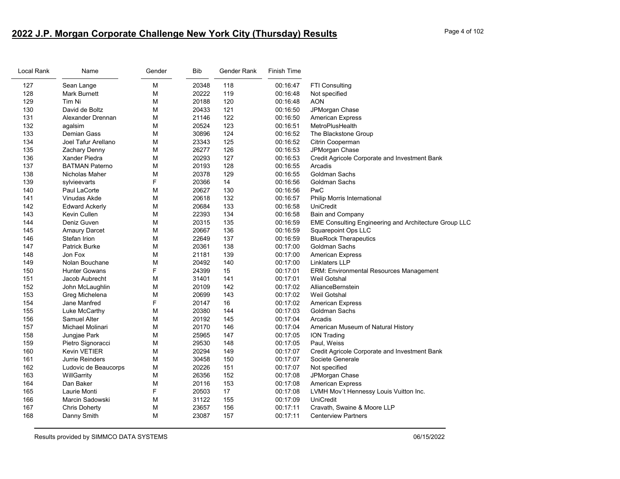# **2022 J.P. Morgan Corporate Challenge New York City (Thursday) Results** Page 4 of 102

| Local Rank | Name                  | Gender | Bib   | Gender Rank | <b>Finish Time</b> |                                                       |
|------------|-----------------------|--------|-------|-------------|--------------------|-------------------------------------------------------|
| 127        | Sean Lange            | М      | 20348 | 118         | 00:16:47           | FTI Consulting                                        |
| 128        | <b>Mark Burnett</b>   | М      | 20222 | 119         | 00:16:48           | Not specified                                         |
| 129        | Tim Ni                | М      | 20188 | 120         | 00:16:48           | AON                                                   |
| 130        | David de Boltz        | М      | 20433 | 121         | 00:16:50           | JPMorgan Chase                                        |
| 131        | Alexander Drennan     | М      | 21146 | 122         | 00:16:50           | <b>American Express</b>                               |
| 132        | agalsim               | М      | 20524 | 123         | 00:16:51           | MetroPlusHealth                                       |
| 133        | Demian Gass           | М      | 30896 | 124         | 00:16:52           | The Blackstone Group                                  |
| 134        | Joel Tafur Arellano   | М      | 23343 | 125         | 00:16:52           | Citrin Cooperman                                      |
| 135        | Zachary Denny         | М      | 26277 | 126         | 00:16:53           | JPMorgan Chase                                        |
| 136        | Xander Piedra         | М      | 20293 | 127         | 00:16:53           | Credit Agricole Corporate and Investment Bank         |
| 137        | <b>BATMAN Paterno</b> | М      | 20193 | 128         | 00:16:55           | Arcadis                                               |
| 138        | Nicholas Maher        | М      | 20378 | 129         | 00:16:55           | <b>Goldman Sachs</b>                                  |
| 139        | sylvieevarts          | F      | 20366 | 14          | 00:16:56           | Goldman Sachs                                         |
| 140        | Paul LaCorte          | M      | 20627 | 130         | 00:16:56           | PwC                                                   |
| 141        | Vinudas Akde          | М      | 20618 | 132         | 00:16:57           | Philip Morris International                           |
| 142        | <b>Edward Ackerly</b> | М      | 20684 | 133         | 00:16:58           | UniCredit                                             |
| 143        | Kevin Cullen          | М      | 22393 | 134         | 00:16:58           | <b>Bain and Company</b>                               |
| 144        | Deniz Guven           | M      | 20315 | 135         | 00:16:59           | EME Consulting Engineering and Architecture Group LLC |
| 145        | <b>Amaury Darcet</b>  | М      | 20667 | 136         | 00:16:59           | Squarepoint Ops LLC                                   |
| 146        | Stefan Irion          | М      | 22649 | 137         | 00:16:59           | <b>BlueRock Therapeutics</b>                          |
| 147        | <b>Patrick Burke</b>  | М      | 20361 | 138         | 00:17:00           | <b>Goldman Sachs</b>                                  |
| 148        | Jon Fox               | М      | 21181 | 139         | 00:17:00           | <b>American Express</b>                               |
| 149        | Nolan Bouchane        | М      | 20492 | 140         | 00:17:00           | <b>Linklaters LLP</b>                                 |
| 150        | <b>Hunter Gowans</b>  | F.     | 24399 | 15          | 00:17:01           | ERM: Environmental Resources Management               |
| 151        | Jacob Aubrecht        | М      | 31401 | 141         | 00:17:01           | <b>Weil Gotshal</b>                                   |
| 152        | John McLaughlin       | М      | 20109 | 142         | 00:17:02           | AllianceBernstein                                     |
| 153        | Greg Michelena        | М      | 20699 | 143         | 00:17:02           | Weil Gotshal                                          |
| 154        | Jane Manfred          | F      | 20147 | 16          | 00:17:02           | <b>American Express</b>                               |
| 155        | Luke McCarthy         | М      | 20380 | 144         | 00:17:03           | <b>Goldman Sachs</b>                                  |
| 156        | <b>Samuel Alter</b>   | М      | 20192 | 145         | 00:17:04           | Arcadis                                               |
| 157        | Michael Molinari      | М      | 20170 | 146         | 00:17:04           | American Museum of Natural History                    |
| 158        | Jungjae Park          | М      | 25965 | 147         | 00:17:05           | <b>ION Trading</b>                                    |
| 159        | Pietro Signoracci     | М      | 29530 | 148         | 00:17:05           | Paul, Weiss                                           |
| 160        | <b>Kevin VETIER</b>   | М      | 20294 | 149         | 00:17:07           | Credit Agricole Corporate and Investment Bank         |
| 161        | Jurrie Reinders       | М      | 30458 | 150         | 00:17:07           | Societe Generale                                      |
| 162        | Ludovic de Beaucorps  | М      | 20226 | 151         | 00:17:07           | Not specified                                         |
| 163        | WillGarrity           | М      | 26356 | 152         | 00:17:08           | JPMorgan Chase                                        |
| 164        | Dan Baker             | М      | 20116 | 153         | 00:17:08           | <b>American Express</b>                               |
| 165        | Laurie Monti          | F      | 20503 | $17$        | 00:17:08           | LVMH Mov't Hennessy Louis Vuitton Inc.                |
| 166        | Marcin Sadowski       | М      | 31122 | 155         | 00:17:09           | UniCredit                                             |
| 167        | Chris Doherty         | M      | 23657 | 156         | 00:17:11           | Cravath, Swaine & Moore LLP                           |
| 168        | Danny Smith           | М      | 23087 | 157         | 00:17:11           | <b>Centerview Partners</b>                            |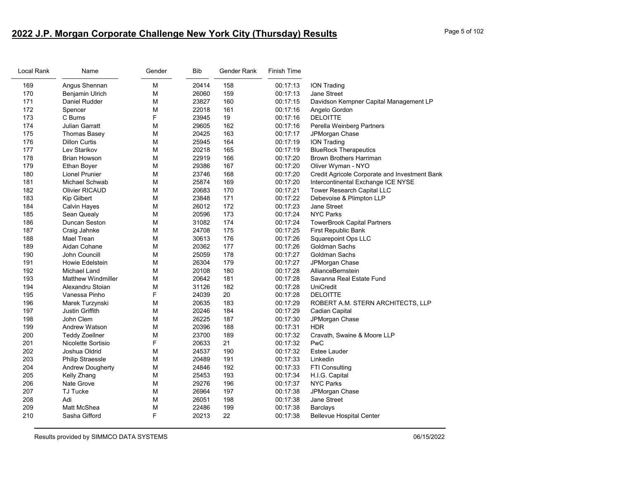# **2022 J.P. Morgan Corporate Challenge New York City (Thursday) Results** Page 5 of 102

| Local Rank | Name                      | Gender | <b>Bib</b> | Gender Rank | Finish Time |                                               |
|------------|---------------------------|--------|------------|-------------|-------------|-----------------------------------------------|
| 169        | Angus Shennan             | M      | 20414      | 158         | 00:17:13    | <b>ION Trading</b>                            |
| 170        | <b>Benjamin Ulrich</b>    | М      | 26060      | 159         | 00:17:13    | Jane Street                                   |
| 171        | Daniel Rudder             | M      | 23827      | 160         | 00:17:15    | Davidson Kempner Capital Management LP        |
| 172        | Spencer                   | M      | 22018      | 161         | 00:17:16    | Angelo Gordon                                 |
| 173        | C Burns                   | F      | 23945      | 19          | 00:17:16    | <b>DELOITTE</b>                               |
| 174        | <b>Julian Garratt</b>     | M      | 29605      | 162         | 00:17:16    | Perella Weinberg Partners                     |
| 175        | <b>Thomas Basey</b>       | M      | 20425      | 163         | 00:17:17    | JPMorgan Chase                                |
| 176        | <b>Dillon Curtis</b>      | М      | 25945      | 164         | 00:17:19    | <b>ION Trading</b>                            |
| 177        | Lev Starikov              | M      | 20218      | 165         | 00:17:19    | <b>BlueRock Therapeutics</b>                  |
| 178        | Brian Howson              | M      | 22919      | 166         | 00:17:20    | <b>Brown Brothers Harriman</b>                |
| 179        | <b>Ethan Boyer</b>        | M      | 29386      | 167         | 00:17:20    | Oliver Wyman - NYO                            |
| 180        | <b>Lionel Prunier</b>     | M      | 23746      | 168         | 00:17:20    | Credit Agricole Corporate and Investment Bank |
| 181        | Michael Schwab            | М      | 25874      | 169         | 00:17:20    | Intercontinental Exchange ICE NYSE            |
| 182        | <b>Olivier RICAUD</b>     | М      | 20683      | 170         | 00:17:21    | Tower Research Capital LLC                    |
| 183        | Kip Gilbert               | М      | 23848      | 171         | 00:17:22    | Debevoise & Plimpton LLP                      |
| 184        | <b>Calvin Hayes</b>       | M      | 26012      | 172         | 00:17:23    | Jane Street                                   |
| 185        | Sean Quealy               | M      | 20596      | 173         | 00:17:24    | <b>NYC Parks</b>                              |
| 186        | Duncan Seston             | M      | 31082      | 174         | 00:17:24    | <b>TowerBrook Capital Partners</b>            |
| 187        | Craig Jahnke              | M      | 24708      | 175         | 00:17:25    | First Republic Bank                           |
| 188        | Mael Trean                | M      | 30613      | 176         | 00:17:26    | Squarepoint Ops LLC                           |
| 189        | Aidan Cohane              | М      | 20362      | 177         | 00:17:26    | Goldman Sachs                                 |
| 190        | John Councill             | M      | 25059      | 178         | 00:17:27    | Goldman Sachs                                 |
| 191        | Howie Edelstein           | M      | 26304      | 179         | 00:17:27    | JPMorgan Chase                                |
| 192        | <b>Michael Land</b>       | М      | 20108      | 180         | 00:17:28    | AllianceBernstein                             |
| 193        | <b>Matthew Windmiller</b> | M      | 20642      | 181         | 00:17:28    | Savanna Real Estate Fund                      |
| 194        | Alexandru Stoian          | M      | 31126      | 182         | 00:17:28    | <b>UniCredit</b>                              |
| 195        | Vanessa Pinho             | F      | 24039      | 20          | 00:17:28    | <b>DELOITTE</b>                               |
| 196        | Marek Turzynski           | M      | 20635      | 183         | 00:17:29    | ROBERT A.M. STERN ARCHITECTS, LLP             |
| 197        | <b>Justin Griffith</b>    | M      | 20246      | 184         | 00:17:29    | Cadian Capital                                |
| 198        | John Clem                 | M      | 26225      | 187         | 00:17:30    | JPMorgan Chase                                |
| 199        | <b>Andrew Watson</b>      | M      | 20396      | 188         | 00:17:31    | <b>HDR</b>                                    |
| 200        | <b>Teddy Zoellner</b>     | M      | 23700      | 189         | 00:17:32    | Cravath, Swaine & Moore LLP                   |
| 201        | Nicolette Sortisio        | F      | 20633      | 21          | 00:17:32    | PwC                                           |
| 202        | Joshua Oldrid             | M      | 24537      | 190         | 00:17:32    | <b>Estee Lauder</b>                           |
| 203        | <b>Philip Straessle</b>   | M      | 20489      | 191         | 00:17:33    | Linkedin                                      |
| 204        | <b>Andrew Dougherty</b>   | M      | 24846      | 192         | 00:17:33    | FTI Consulting                                |
| 205        | Kelly Zhang               | М      | 25453      | 193         | 00:17:34    | H.I.G. Capital                                |
| 206        | <b>Nate Grove</b>         | М      | 29276      | 196         | 00:17:37    | <b>NYC Parks</b>                              |
| 207        | <b>TJ Tucke</b>           | M      | 26964      | 197         | 00:17:38    | JPMorgan Chase                                |
| 208        | Adi                       | M      | 26051      | 198         | 00:17:38    | Jane Street                                   |
| 209        | <b>Matt McShea</b>        | M      | 22486      | 199         | 00:17:38    | <b>Barclays</b>                               |
| 210        | Sasha Gifford             | F      | 20213      | 22          | 00:17:38    | <b>Bellevue Hospital Center</b>               |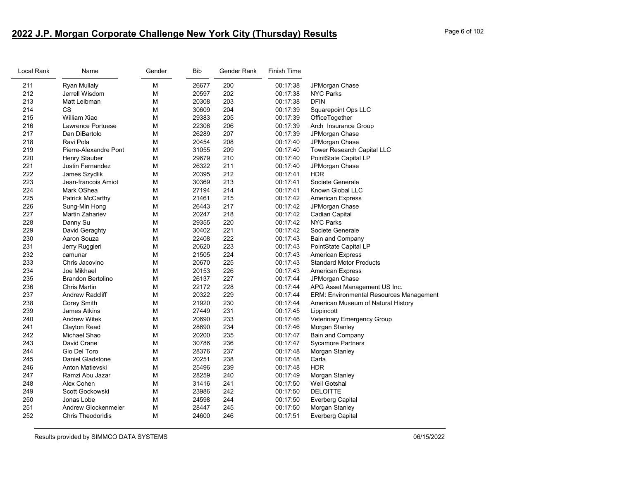# **2022 J.P. Morgan Corporate Challenge New York City (Thursday) Results** Page 6 of 102

| Name                     | Gender                                                                                                      | Bib                                  | Gender Rank                                                                                                                         | <b>Finish Time</b>                                                                                                         |                                                                                                          |
|--------------------------|-------------------------------------------------------------------------------------------------------------|--------------------------------------|-------------------------------------------------------------------------------------------------------------------------------------|----------------------------------------------------------------------------------------------------------------------------|----------------------------------------------------------------------------------------------------------|
|                          | M                                                                                                           | 26677                                |                                                                                                                                     |                                                                                                                            | JPMorgan Chase                                                                                           |
| Jerrell Wisdom           | M                                                                                                           | 20597                                | 202                                                                                                                                 | 00:17:38                                                                                                                   | <b>NYC Parks</b>                                                                                         |
| Matt Leibman             | M                                                                                                           | 20308                                | 203                                                                                                                                 | 00:17:38                                                                                                                   | <b>DFIN</b>                                                                                              |
| CS                       | M                                                                                                           | 30609                                | 204                                                                                                                                 | 00:17:39                                                                                                                   | <b>Squarepoint Ops LLC</b>                                                                               |
| William Xiao             | M                                                                                                           | 29383                                | 205                                                                                                                                 | 00:17:39                                                                                                                   | OfficeTogether                                                                                           |
| Lawrence Portuese        | М                                                                                                           | 22306                                | 206                                                                                                                                 | 00:17:39                                                                                                                   | Arch Insurance Group                                                                                     |
| Dan DiBartolo            | M                                                                                                           | 26289                                | 207                                                                                                                                 | 00:17:39                                                                                                                   | JPMorgan Chase                                                                                           |
| Ravi Pola                | M                                                                                                           | 20454                                | 208                                                                                                                                 | 00:17:40                                                                                                                   | JPMorgan Chase                                                                                           |
| Pierre-Alexandre Pont    | M                                                                                                           | 31055                                | 209                                                                                                                                 | 00:17:40                                                                                                                   | Tower Research Capital LLC                                                                               |
| Henry Stauber            | M                                                                                                           | 29679                                | 210                                                                                                                                 | 00:17:40                                                                                                                   | PointState Capital LP                                                                                    |
| Justin Fernandez         | М                                                                                                           | 26322                                | 211                                                                                                                                 | 00:17:40                                                                                                                   | JPMorgan Chase                                                                                           |
| James Szydlik            | M                                                                                                           | 20395                                | 212                                                                                                                                 | 00:17:41                                                                                                                   | <b>HDR</b>                                                                                               |
| Jean-francois Amiot      | M                                                                                                           | 30369                                | 213                                                                                                                                 | 00:17:41                                                                                                                   | Societe Generale                                                                                         |
| Mark OShea               | М                                                                                                           | 27194                                | 214                                                                                                                                 | 00:17:41                                                                                                                   | Known Global LLC                                                                                         |
| Patrick McCarthy         | M                                                                                                           | 21461                                | 215                                                                                                                                 | 00:17:42                                                                                                                   | <b>American Express</b>                                                                                  |
| Sung-Min Hong            | M                                                                                                           | 26443                                | 217                                                                                                                                 | 00:17:42                                                                                                                   | JPMorgan Chase                                                                                           |
| Martin Zahariev          | M                                                                                                           | 20247                                | 218                                                                                                                                 | 00:17:42                                                                                                                   | Cadian Capital                                                                                           |
| Danny Su                 | M                                                                                                           | 29355                                | 220                                                                                                                                 | 00:17:42                                                                                                                   | <b>NYC Parks</b>                                                                                         |
| David Geraghty           | M                                                                                                           | 30402                                | 221                                                                                                                                 | 00:17:42                                                                                                                   | Societe Generale                                                                                         |
| Aaron Souza              | M                                                                                                           | 22408                                | 222                                                                                                                                 | 00:17:43                                                                                                                   | Bain and Company                                                                                         |
| Jerry Ruggieri           | M                                                                                                           | 20620                                | 223                                                                                                                                 | 00:17:43                                                                                                                   | PointState Capital LP                                                                                    |
| camunar                  | M                                                                                                           | 21505                                |                                                                                                                                     | 00:17:43                                                                                                                   | <b>American Express</b>                                                                                  |
| Chris Jacovino           | м                                                                                                           | 20670                                | 225                                                                                                                                 | 00:17:43                                                                                                                   | <b>Standard Motor Products</b>                                                                           |
| Joe Mikhael              | M                                                                                                           | 20153                                |                                                                                                                                     | 00:17:43                                                                                                                   | <b>American Express</b>                                                                                  |
| <b>Brandon Bertolino</b> | M                                                                                                           | 26137                                | 227                                                                                                                                 | 00:17:44                                                                                                                   | JPMorgan Chase                                                                                           |
| <b>Chris Martin</b>      | M                                                                                                           | 22172                                |                                                                                                                                     | 00:17:44                                                                                                                   | APG Asset Management US Inc.                                                                             |
| <b>Andrew Radcliff</b>   | М                                                                                                           |                                      |                                                                                                                                     | 00:17:44                                                                                                                   | <b>ERM: Environmental Resources Management</b>                                                           |
| Corey Smith              | M                                                                                                           |                                      |                                                                                                                                     | 00:17:44                                                                                                                   | American Museum of Natural History                                                                       |
| <b>James Atkins</b>      |                                                                                                             |                                      |                                                                                                                                     |                                                                                                                            | Lippincott                                                                                               |
| <b>Andrew Witek</b>      |                                                                                                             |                                      |                                                                                                                                     | 00:17:46                                                                                                                   | Veterinary Emergency Group                                                                               |
|                          |                                                                                                             |                                      |                                                                                                                                     |                                                                                                                            | Morgan Stanley                                                                                           |
| Michael Shao             | M                                                                                                           |                                      |                                                                                                                                     | 00:17:47                                                                                                                   | <b>Bain and Company</b>                                                                                  |
| David Crane              |                                                                                                             |                                      |                                                                                                                                     | 00:17:47                                                                                                                   | <b>Sycamore Partners</b>                                                                                 |
| Gio Del Toro             | M                                                                                                           |                                      |                                                                                                                                     | 00:17:48                                                                                                                   | Morgan Stanley                                                                                           |
|                          |                                                                                                             |                                      |                                                                                                                                     |                                                                                                                            | Carta                                                                                                    |
|                          |                                                                                                             |                                      |                                                                                                                                     |                                                                                                                            | <b>HDR</b>                                                                                               |
|                          |                                                                                                             |                                      |                                                                                                                                     |                                                                                                                            | Morgan Stanley                                                                                           |
|                          |                                                                                                             |                                      |                                                                                                                                     |                                                                                                                            | Weil Gotshal                                                                                             |
| Scott Gockowski          | M                                                                                                           |                                      |                                                                                                                                     | 00:17:50                                                                                                                   | <b>DELOITTE</b>                                                                                          |
| Jonas Lobe               | M                                                                                                           |                                      |                                                                                                                                     |                                                                                                                            | <b>Everberg Capital</b>                                                                                  |
| Andrew Glockenmeier      | M                                                                                                           | 28447                                | 245                                                                                                                                 | 00:17:50                                                                                                                   | Morgan Stanley                                                                                           |
| <b>Chris Theodoridis</b> | M                                                                                                           |                                      | 246                                                                                                                                 |                                                                                                                            | Everberg Capital                                                                                         |
|                          | <b>Ryan Mullaly</b><br>Clayton Read<br>Daniel Gladstone<br>Anton Matievski<br>Ramzi Abu Jazar<br>Alex Cohen | M<br>M<br>M<br>M<br>M<br>M<br>M<br>M | 20322<br>21920<br>27449<br>20690<br>28690<br>20200<br>30786<br>28376<br>20251<br>25496<br>28259<br>31416<br>23986<br>24598<br>24600 | 200<br>224<br>226<br>228<br>229<br>230<br>231<br>233<br>234<br>235<br>236<br>237<br>238<br>239<br>240<br>241<br>242<br>244 | 00:17:38<br>00:17:45<br>00:17:46<br>00:17:48<br>00:17:48<br>00:17:49<br>00:17:50<br>00:17:50<br>00:17:51 |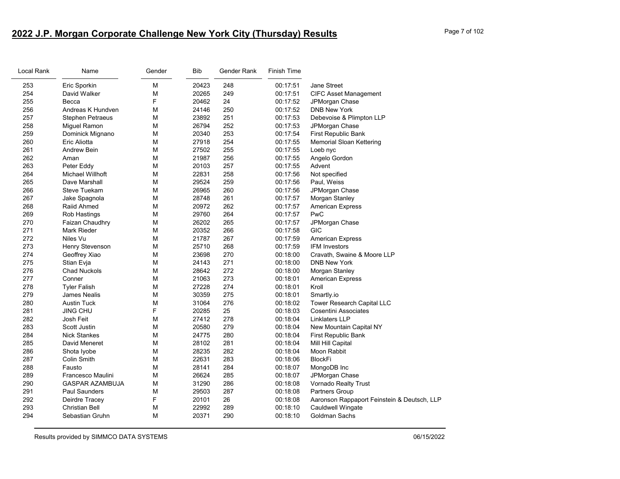| Local Rank | Name                    | Gender | Bib   | Gender Rank | Finish Time |                                             |
|------------|-------------------------|--------|-------|-------------|-------------|---------------------------------------------|
| 253        | Eric Sporkin            | M      | 20423 | 248         | 00:17:51    | Jane Street                                 |
| 254        | David Walker            | M      | 20265 | 249         | 00:17:51    | <b>CIFC Asset Management</b>                |
| 255        | Becca                   | F      | 20462 | 24          | 00:17:52    | JPMorgan Chase                              |
| 256        | Andreas K Hundven       | M      | 24146 | 250         | 00:17:52    | <b>DNB New York</b>                         |
| 257        | <b>Stephen Petraeus</b> | М      | 23892 | 251         | 00:17:53    | Debevoise & Plimpton LLP                    |
| 258        | Miguel Ramon            | M      | 26794 | 252         | 00:17:53    | JPMorgan Chase                              |
| 259        | Dominick Mignano        | M      | 20340 | 253         | 00:17:54    | First Republic Bank                         |
| 260        | Eric Aliotta            | M      | 27918 | 254         | 00:17:55    | <b>Memorial Sloan Kettering</b>             |
| 261        | <b>Andrew Bein</b>      | M      | 27502 | 255         | 00:17:55    | Loeb nyc                                    |
| 262        | Aman                    | М      | 21987 | 256         | 00:17:55    | Angelo Gordon                               |
| 263        | Peter Eddy              | M      | 20103 | 257         | 00:17:55    | Advent                                      |
| 264        | Michael Willhoft        | М      | 22831 | 258         | 00:17:56    | Not specified                               |
| 265        | Dave Marshall           | M      | 29524 | 259         | 00:17:56    | Paul, Weiss                                 |
| 266        | <b>Steve Tuekam</b>     | M      | 26965 | 260         | 00:17:56    | JPMorgan Chase                              |
| 267        | Jake Spagnola           | М      | 28748 | 261         | 00:17:57    | Morgan Stanley                              |
| 268        | Raiid Ahmed             | М      | 20972 | 262         | 00:17:57    | American Express                            |
| 269        | Rob Hastings            | M      | 29760 | 264         | 00:17:57    | PwC                                         |
| 270        | Faizan Chaudhry         | M      | 26202 | 265         | 00:17:57    | JPMorgan Chase                              |
| 271        | Mark Rieder             | M      | 20352 | 266         | 00:17:58    | <b>GIC</b>                                  |
| 272        | Niles Vu                | M      | 21787 | 267         | 00:17:59    | <b>American Express</b>                     |
| 273        | Henry Stevenson         | М      | 25710 | 268         | 00:17:59    | <b>IFM Investors</b>                        |
| 274        | Geoffrey Xiao           | М      | 23698 | 270         | 00:18:00    | Cravath, Swaine & Moore LLP                 |
| 275        | Stian Evja              | M      | 24143 | 271         | 00:18:00    | <b>DNB New York</b>                         |
| 276        | <b>Chad Nuckols</b>     | M      | 28642 | 272         | 00:18:00    | Morgan Stanley                              |
| 277        | Conner                  | M      | 21063 | 273         | 00:18:01    | <b>American Express</b>                     |
| 278        | <b>Tyler Falish</b>     | М      | 27228 | 274         | 00:18:01    | Kroll                                       |
| 279        | James Nealis            | М      | 30359 | 275         | 00:18:01    | Smartly.io                                  |
| 280        | <b>Austin Tuck</b>      | M      | 31064 | 276         | 00:18:02    | Tower Research Capital LLC                  |
| 281        | <b>JING CHU</b>         | F      | 20285 | 25          | 00:18:03    | Cosentini Associates                        |
| 282        | Josh Feit               | M      | 27412 | 278         | 00:18:04    | Linklaters LLP                              |
| 283        | Scott Justin            | M      | 20580 | 279         | 00:18:04    | New Mountain Capital NY                     |
| 284        | <b>Nick Stankes</b>     | М      | 24775 | 280         | 00:18:04    | First Republic Bank                         |
| 285        | David Meneret           | М      | 28102 | 281         | 00:18:04    | Mill Hill Capital                           |
| 286        | Shota Iyobe             | M      | 28235 | 282         | 00:18:04    | Moon Rabbit                                 |
| 287        | Colin Smith             | M      | 22631 | 283         | 00:18:06    | <b>BlockFi</b>                              |
| 288        | Fausto                  | М      | 28141 | 284         | 00:18:07    | MongoDB Inc                                 |
| 289        | Francesco Maulini       | М      | 26624 | 285         | 00:18:07    | JPMorgan Chase                              |
| 290        | <b>GASPAR AZAMBUJA</b>  | М      | 31290 | 286         | 00:18:08    | Vornado Realty Trust                        |
| 291        | Paul Saunders           | M      | 29503 | 287         | 00:18:08    | Partners Group                              |
| 292        | Deirdre Tracey          | F      | 20101 | 26          | 00:18:08    | Aaronson Rappaport Feinstein & Deutsch, LLP |
| 293        | <b>Christian Bell</b>   | M      | 22992 | 289         | 00:18:10    | Cauldwell Wingate                           |
| 294        | Sebastian Gruhn         | M      | 20371 | 290         | 00:18:10    | Goldman Sachs                               |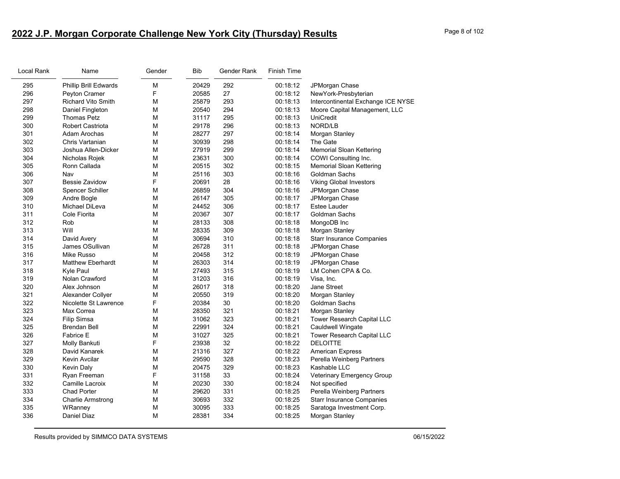# **2022 J.P. Morgan Corporate Challenge New York City (Thursday) Results** Page 8 of 102

| Local Rank | Name                         | Gender | Bib   | Gender Rank | <b>Finish Time</b> |                                    |
|------------|------------------------------|--------|-------|-------------|--------------------|------------------------------------|
| 295        | <b>Phillip Brill Edwards</b> | М      | 20429 | 292         | 00:18:12           | JPMorgan Chase                     |
| 296        | Peyton Cramer                | F      | 20585 | 27          | 00:18:12           | NewYork-Presbyterian               |
| 297        | <b>Richard Vito Smith</b>    | м      | 25879 | 293         | 00:18:13           | Intercontinental Exchange ICE NYSE |
| 298        | Daniel Fingleton             | M      | 20540 | 294         | 00:18:13           | Moore Capital Management, LLC      |
| 299        | <b>Thomas Petz</b>           | М      | 31117 | 295         | 00:18:13           | <b>UniCredit</b>                   |
| 300        | Robert Castriota             | М      | 29178 | 296         | 00:18:13           | NORD/LB                            |
| 301        | Adam Arochas                 | м      | 28277 | 297         | 00:18:14           | Morgan Stanley                     |
| 302        | Chris Vartanian              | M      | 30939 | 298         | 00:18:14           | The Gate                           |
| 303        | Joshua Allen-Dicker          | M      | 27919 | 299         | 00:18:14           | <b>Memorial Sloan Kettering</b>    |
| 304        | Nicholas Rojek               | м      | 23631 | 300         | 00:18:14           | COWI Consulting Inc.               |
| 305        | Ronn Callada                 | М      | 20515 | 302         | 00:18:15           | <b>Memorial Sloan Kettering</b>    |
| 306        | Nav                          | M      | 25116 | 303         | 00:18:16           | <b>Goldman Sachs</b>               |
| 307        | Bessie Zavidow               | F      | 20691 | 28          | 00:18:16           | <b>Viking Global Investors</b>     |
| 308        | <b>Spencer Schiller</b>      | M      | 26859 | 304         | 00:18:16           | JPMorgan Chase                     |
| 309        | Andre Bogle                  | м      | 26147 | 305         | 00:18:17           | JPMorgan Chase                     |
| 310        | Michael DiLeva               | М      | 24452 | 306         | 00:18:17           | <b>Estee Lauder</b>                |
| 311        | Cole Fiorita                 | М      | 20367 | 307         | 00:18:17           | Goldman Sachs                      |
| 312        | Rob                          | м      | 28133 | 308         | 00:18:18           | MongoDB Inc                        |
| 313        | Will                         | M      | 28335 | 309         | 00:18:18           | Morgan Stanley                     |
| 314        | David Avery                  | М      | 30694 | 310         | 00:18:18           | <b>Starr Insurance Companies</b>   |
| 315        | James OSullivan              | м      | 26728 | 311         | 00:18:18           | JPMorgan Chase                     |
| 316        | Mike Russo                   | М      | 20458 | 312         | 00:18:19           | JPMorgan Chase                     |
| 317        | <b>Matthew Eberhardt</b>     | м      | 26303 | 314         | 00:18:19           | JPMorgan Chase                     |
| 318        | Kyle Paul                    | M      | 27493 | 315         | 00:18:19           | LM Cohen CPA & Co.                 |
| 319        | Nolan Crawford               | м      | 31203 | 316         | 00:18:19           | Visa, Inc.                         |
| 320        | Alex Johnson                 | M      | 26017 | 318         | 00:18:20           | Jane Street                        |
| 321        | Alexander Collyer            | M      | 20550 | 319         | 00:18:20           | Morgan Stanley                     |
| 322        | Nicolette St Lawrence        | F      | 20384 | 30          | 00:18:20           | Goldman Sachs                      |
| 323        | Max Correa                   | М      | 28350 | 321         | 00:18:21           | Morgan Stanley                     |
| 324        | <b>Filip Simsa</b>           | м      | 31062 | 323         | 00:18:21           | Tower Research Capital LLC         |
| 325        | <b>Brendan Bell</b>          | М      | 22991 | 324         | 00:18:21           | Cauldwell Wingate                  |
| 326        | <b>Fabrice E</b>             | М      | 31027 | 325         | 00:18:21           | Tower Research Capital LLC         |
| 327        | Molly Bankuti                | F      | 23938 | 32          | 00:18:22           | <b>DELOITTE</b>                    |
| 328        | David Kanarek                | M      | 21316 | 327         | 00:18:22           | <b>American Express</b>            |
| 329        | Kevin Avcilar                | М      | 29590 | 328         | 00:18:23           | Perella Weinberg Partners          |
| 330        | <b>Kevin Daly</b>            | м      | 20475 | 329         | 00:18:23           | Kashable LLC                       |
| 331        | Ryan Freeman                 | F      | 31158 | 33          | 00:18:24           | Veterinary Emergency Group         |
| 332        | Camille Lacroix              | М      | 20230 | 330         | 00:18:24           | Not specified                      |
| 333        | <b>Chad Porter</b>           | М      | 29620 | 331         | 00:18:25           | Perella Weinberg Partners          |
| 334        | <b>Charlie Armstrong</b>     | м      | 30693 | 332         | 00:18:25           | <b>Starr Insurance Companies</b>   |
| 335        | WRanney                      | м      | 30095 | 333         | 00:18:25           | Saratoga Investment Corp.          |
| 336        | Daniel Diaz                  | м      | 28381 | 334         | 00:18:25           | Morgan Stanley                     |
|            |                              |        |       |             |                    |                                    |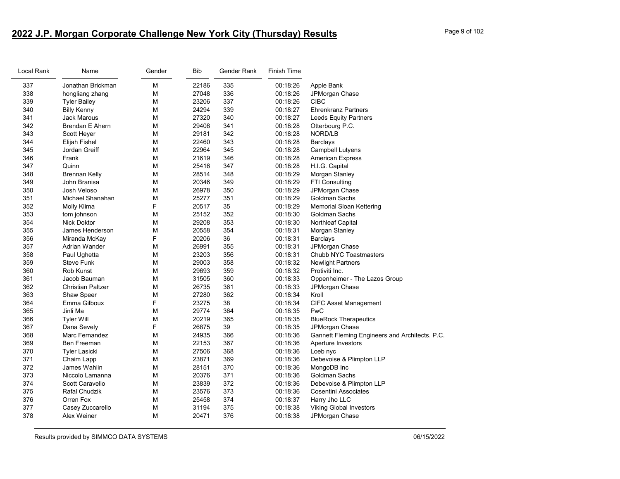| Local Rank | Name                     | Gender | <b>Bib</b> | Gender Rank | Finish Time |                                                |
|------------|--------------------------|--------|------------|-------------|-------------|------------------------------------------------|
| 337        | Jonathan Brickman        | M      | 22186      | 335         | 00:18:26    | Apple Bank                                     |
| 338        | hongliang zhang          | М      | 27048      | 336         | 00:18:26    | JPMorgan Chase                                 |
| 339        | <b>Tyler Bailey</b>      | М      | 23206      | 337         | 00:18:26    | <b>CIBC</b>                                    |
| 340        | <b>Billy Kenny</b>       | M      | 24294      | 339         | 00:18:27    | <b>Ehrenkranz Partners</b>                     |
| 341        | <b>Jack Marous</b>       | M      | 27320      | 340         | 00:18:27    | <b>Leeds Equity Partners</b>                   |
| 342        | <b>Brendan E Ahern</b>   | М      | 29408      | 341         | 00:18:28    | Otterbourg P.C.                                |
| 343        | Scott Heyer              | M      | 29181      | 342         | 00:18:28    | NORD/LB                                        |
| 344        | Elijah Fishel            | M      | 22460      | 343         | 00:18:28    | <b>Barclays</b>                                |
| 345        | Jordan Greiff            | М      | 22964      | 345         | 00:18:28    | Campbell Lutyens                               |
| 346        | Frank                    | М      | 21619      | 346         | 00:18:28    | <b>American Express</b>                        |
| 347        | Quinn                    | M      | 25416      | 347         | 00:18:28    | H.I.G. Capital                                 |
| 348        | <b>Brennan Kelly</b>     | М      | 28514      | 348         | 00:18:29    | Morgan Stanley                                 |
| 349        | John Branisa             | М      | 20346      | 349         | 00:18:29    | FTI Consulting                                 |
| 350        | Josh Veloso              | M      | 26978      | 350         | 00:18:29    | JPMorgan Chase                                 |
| 351        | Michael Shanahan         | M      | 25277      | 351         | 00:18:29    | Goldman Sachs                                  |
| 352        | Molly Klima              | F      | 20517      | 35          | 00:18:29    | <b>Memorial Sloan Kettering</b>                |
| 353        | tom johnson              | M      | 25152      | 352         | 00:18:30    | Goldman Sachs                                  |
| 354        | <b>Nick Doktor</b>       | M      | 29208      | 353         | 00:18:30    | <b>Northleaf Capital</b>                       |
| 355        | James Henderson          | М      | 20558      | 354         | 00:18:31    | Morgan Stanley                                 |
| 356        | Miranda McKay            | F      | 20206      | 36          | 00:18:31    | <b>Barclays</b>                                |
| 357        | Adrian Wander            | M      | 26991      | 355         | 00:18:31    | JPMorgan Chase                                 |
| 358        | Paul Ughetta             | M      | 23203      | 356         | 00:18:31    | Chubb NYC Toastmasters                         |
| 359        | Steve Funk               | М      | 29003      | 358         | 00:18:32    | <b>Newlight Partners</b>                       |
| 360        | Rob Kunst                | M      | 29693      | 359         | 00:18:32    | Protiviti Inc.                                 |
| 361        | Jacob Bauman             | M      | 31505      | 360         | 00:18:33    | Oppenheimer - The Lazos Group                  |
| 362        | <b>Christian Paltzer</b> | М      | 26735      | 361         | 00:18:33    | JPMorgan Chase                                 |
| 363        | Shaw Speer               | M      | 27280      | 362         | 00:18:34    | Kroll                                          |
| 364        | Emma Gilboux             | F      | 23275      | 38          | 00:18:34    | <b>CIFC Asset Management</b>                   |
| 365        | Jinli Ma                 | М      | 29774      | 364         | 00:18:35    | PwC                                            |
| 366        | Tyler Will               | М      | 20219      | 365         | 00:18:35    | <b>BlueRock Therapeutics</b>                   |
| 367        | Dana Sevely              | F      | 26875      | 39          | 00:18:35    | JPMorgan Chase                                 |
| 368        | Marc Fernandez           | М      | 24935      | 366         | 00:18:36    | Gannett Fleming Engineers and Architects, P.C. |
| 369        | Ben Freeman              | М      | 22153      | 367         | 00:18:36    | Aperture Investors                             |
| 370        | <b>Tyler Lasicki</b>     | M      | 27506      | 368         | 00:18:36    | Loeb nyc                                       |
| 371        | Chaim Lapp               | M      | 23871      | 369         | 00:18:36    | Debevoise & Plimpton LLP                       |
| 372        | James Wahlin             | М      | 28151      | 370         | 00:18:36    | MongoDB Inc                                    |
| 373        | Niccolo Lamanna          | M      | 20376      | 371         | 00:18:36    | Goldman Sachs                                  |
| 374        | Scott Caravello          | M      | 23839      | 372         | 00:18:36    | Debevoise & Plimpton LLP                       |
| 375        | Rafal Chudzik            | M      | 23576      | 373         | 00:18:36    | Cosentini Associates                           |
| 376        | Orren Fox                | М      | 25458      | 374         | 00:18:37    | Harry Jho LLC                                  |
| 377        | Casey Zuccarello         | М      | 31194      | 375         | 00:18:38    | Viking Global Investors                        |
| 378        | Alex Weiner              | М      | 20471      | 376         | 00:18:38    | JPMorgan Chase                                 |
|            |                          |        |            |             |             |                                                |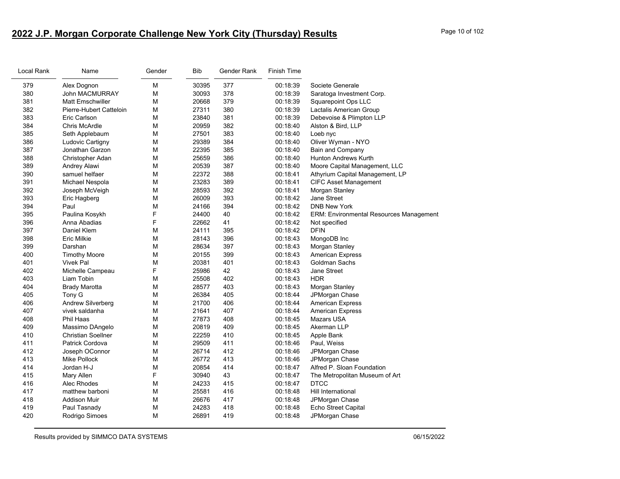# **2022 J.P. Morgan Corporate Challenge New York City (Thursday) Results** Page 10 of 102

| Local Rank | Name                      | Gender | <b>Bib</b> | Gender Rank | <b>Finish Time</b> |                                                |
|------------|---------------------------|--------|------------|-------------|--------------------|------------------------------------------------|
| 379        | Alex Dognon               | M      | 30395      | 377         | 00:18:39           | Societe Generale                               |
| 380        | <b>John MACMURRAY</b>     | М      | 30093      | 378         | 00:18:39           | Saratoga Investment Corp.                      |
| 381        | <b>Matt Emschwiller</b>   | M      | 20668      | 379         | 00:18:39           | <b>Squarepoint Ops LLC</b>                     |
| 382        | Pierre-Hubert Catteloin   | M      | 27311      | 380         | 00:18:39           | Lactalis American Group                        |
| 383        | Eric Carlson              | M      | 23840      | 381         | 00:18:39           | Debevoise & Plimpton LLP                       |
| 384        | Chris McArdle             | М      | 20959      | 382         | 00:18:40           | Alston & Bird, LLP                             |
| 385        | Seth Applebaum            | M      | 27501      | 383         | 00:18:40           | Loeb nyc                                       |
| 386        | Ludovic Cartigny          | M      | 29389      | 384         | 00:18:40           | Oliver Wyman - NYO                             |
| 387        | Jonathan Garzon           | М      | 22395      | 385         | 00:18:40           | Bain and Company                               |
| 388        | Christopher Adan          | M      | 25659      | 386         | 00:18:40           | Hunton Andrews Kurth                           |
| 389        | Andrey Alawi              | M      | 20539      | 387         | 00:18:40           | Moore Capital Management, LLC                  |
| 390        | samuel helfaer            | М      | 22372      | 388         | 00:18:41           | Athyrium Capital Management, LP                |
| 391        | Michael Nespola           | M      | 23283      | 389         | 00:18:41           | <b>CIFC Asset Management</b>                   |
| 392        | Joseph McVeigh            | M      | 28593      | 392         | 00:18:41           | Morgan Stanley                                 |
| 393        | Eric Hagberg              | M      | 26009      | 393         | 00:18:42           | Jane Street                                    |
| 394        | Paul                      | M      | 24166      | 394         | 00:18:42           | <b>DNB New York</b>                            |
| 395        | Paulina Kosykh            | F      | 24400      | 40          | 00:18:42           | <b>ERM: Environmental Resources Management</b> |
| 396        | Anna Abadias              | F      | 22662      | 41          | 00:18:42           | Not specified                                  |
| 397        | Daniel Klem               | M      | 24111      | 395         | 00:18:42           | <b>DFIN</b>                                    |
| 398        | Eric Milkie               | М      | 28143      | 396         | 00:18:43           | MongoDB Inc                                    |
| 399        | Darshan                   | M      | 28634      | 397         | 00:18:43           | Morgan Stanley                                 |
| 400        | <b>Timothy Moore</b>      | M      | 20155      | 399         | 00:18:43           | <b>American Express</b>                        |
| 401        | <b>Vivek Pal</b>          | M      | 20381      | 401         | 00:18:43           | Goldman Sachs                                  |
| 402        | Michelle Campeau          | F      | 25986      | 42          | 00:18:43           | Jane Street                                    |
| 403        | Liam Tobin                | M      | 25508      | 402         | 00:18:43           | <b>HDR</b>                                     |
| 404        | <b>Brady Marotta</b>      | M      | 28577      | 403         | 00:18:43           | Morgan Stanley                                 |
| 405        | Tony G                    | M      | 26384      | 405         | 00:18:44           | JPMorgan Chase                                 |
| 406        | <b>Andrew Silverberg</b>  | M      | 21700      | 406         | 00:18:44           | <b>American Express</b>                        |
| 407        | vivek saldanha            | М      | 21641      | 407         | 00:18:44           | <b>American Express</b>                        |
| 408        | Phil Haas                 | M      | 27873      | 408         | 00:18:45           | Mazars USA                                     |
| 409        | Massimo DAngelo           | M      | 20819      | 409         | 00:18:45           | Akerman LLP                                    |
| 410        | <b>Christian Soellner</b> | M      | 22259      | 410         | 00:18:45           | Apple Bank                                     |
| 411        | Patrick Cordova           | M      | 29509      | 411         | 00:18:46           | Paul, Weiss                                    |
| 412        | Joseph OConnor            | M      | 26714      | 412         | 00:18:46           | JPMorgan Chase                                 |
| 413        | Mike Pollock              | M      | 26772      | 413         | 00:18:46           | JPMorgan Chase                                 |
| 414        | Jordan H-J                | M      | 20854      | 414         | 00:18:47           | Alfred P. Sloan Foundation                     |
| 415        | <b>Mary Allen</b>         | F      | 30940      | 43          | 00:18:47           | The Metropolitan Museum of Art                 |
| 416        | Alec Rhodes               | M      | 24233      | 415         | 00:18:47           | <b>DTCC</b>                                    |
| 417        | matthew barboni           | M      | 25581      | 416         | 00:18:48           | Hill International                             |
| 418        | <b>Addison Muir</b>       | M      | 26676      | 417         | 00:18:48           | JPMorgan Chase                                 |
| 419        | Paul Tasnady              | M      | 24283      | 418         | 00:18:48           | Echo Street Capital                            |
| 420        | Rodrigo Simoes            | M      | 26891      | 419         | 00:18:48           | JPMorgan Chase                                 |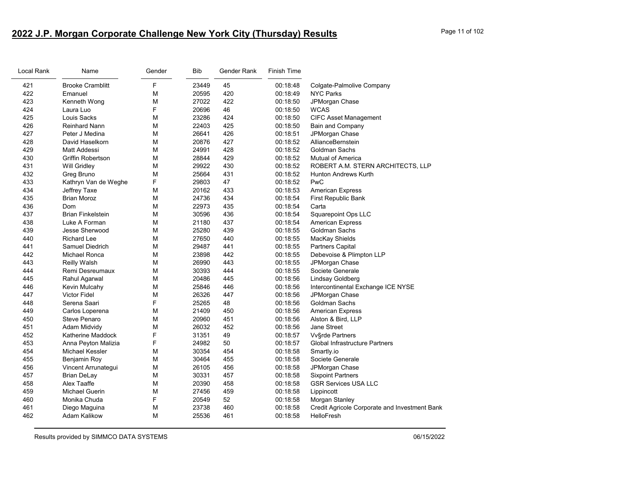# **2022 J.P. Morgan Corporate Challenge New York City (Thursday) Results** Page 11 of 102

| Local Rank | Name                     | Gender | <b>Bib</b> | Gender Rank | <b>Finish Time</b> |                                               |
|------------|--------------------------|--------|------------|-------------|--------------------|-----------------------------------------------|
| 421        | <b>Brooke Cramblitt</b>  | F      | 23449      | 45          | 00:18:48           | Colgate-Palmolive Company                     |
| 422        | Emanuel                  | M      | 20595      | 420         | 00:18:49           | <b>NYC Parks</b>                              |
| 423        | Kenneth Wong             | M      | 27022      | 422         | 00:18:50           | JPMorgan Chase                                |
| 424        | Laura Luo                | F      | 20696      | 46          | 00:18:50           | <b>WCAS</b>                                   |
| 425        | Louis Sacks              | М      | 23286      | 424         | 00:18:50           | <b>CIFC Asset Management</b>                  |
| 426        | Reinhard Nann            | M      | 22403      | 425         | 00:18:50           | <b>Bain and Company</b>                       |
| 427        | Peter J Medina           | M      | 26641      | 426         | 00:18:51           | JPMorgan Chase                                |
| 428        | David Haselkorn          | M      | 20876      | 427         | 00:18:52           | AllianceBernstein                             |
| 429        | Matt Addessi             | М      | 24991      | 428         | 00:18:52           | Goldman Sachs                                 |
| 430        | Griffin Robertson        | M      | 28844      | 429         | 00:18:52           | <b>Mutual of America</b>                      |
| 431        | Will Gridley             | M      | 29922      | 430         | 00:18:52           | ROBERT A.M. STERN ARCHITECTS, LLP             |
| 432        | Greg Bruno               | M      | 25664      | 431         | 00:18:52           | <b>Hunton Andrews Kurth</b>                   |
| 433        | Kathryn Van de Weghe     | F      | 29803      | 47          | 00:18:52           | PwC                                           |
| 434        | Jeffrey Taxe             | М      | 20162      | 433         | 00:18:53           | <b>American Express</b>                       |
| 435        | <b>Brian Moroz</b>       | М      | 24736      | 434         | 00:18:54           | First Republic Bank                           |
| 436        | Dom                      | M      | 22973      | 435         | 00:18:54           | Carta                                         |
| 437        | <b>Brian Finkelstein</b> | М      | 30596      | 436         | 00:18:54           | <b>Squarepoint Ops LLC</b>                    |
| 438        | Luke A Forman            | M      | 21180      | 437         | 00:18:54           | <b>American Express</b>                       |
| 439        | Jesse Sherwood           | М      | 25280      | 439         | 00:18:55           | Goldman Sachs                                 |
| 440        | <b>Richard Lee</b>       | M      | 27650      | 440         | 00:18:55           | MacKay Shields                                |
| 441        | Samuel Diedrich          | M      | 29487      | 441         | 00:18:55           | <b>Partners Capital</b>                       |
| 442        | Michael Ronca            | M      | 23898      | 442         | 00:18:55           | Debevoise & Plimpton LLP                      |
| 443        | Reilly Walsh             | М      | 26990      | 443         | 00:18:55           | JPMorgan Chase                                |
| 444        | Remi Desreumaux          | М      | 30393      | 444         | 00:18:55           | Societe Generale                              |
| 445        | Rahul Agarwal            | М      | 20486      | 445         | 00:18:56           | Lindsay Goldberg                              |
| 446        | Kevin Mulcahy            | М      | 25846      | 446         | 00:18:56           | Intercontinental Exchange ICE NYSE            |
| 447        | <b>Victor Fidel</b>      | M      | 26326      | 447         | 00:18:56           | JPMorgan Chase                                |
| 448        | Serena Saari             | F      | 25265      | 48          | 00:18:56           | Goldman Sachs                                 |
| 449        | Carlos Loperena          | М      | 21409      | 450         | 00:18:56           | <b>American Express</b>                       |
| 450        | <b>Steve Penaro</b>      | M      | 20960      | 451         | 00:18:56           | Alston & Bird, LLP                            |
| 451        | Adam Midvidy             | М      | 26032      | 452         | 00:18:56           | Jane Street                                   |
| 452        | Katherine Maddock        | F      | 31351      | 49          | 00:18:57           | <b>Vv</b> §rde Partners                       |
| 453        | Anna Peyton Malizia      | F      | 24982      | 50          | 00:18:57           | Global Infrastructure Partners                |
| 454        | Michael Kessler          | M      | 30354      | 454         | 00:18:58           | Smartly.io                                    |
| 455        | Benjamin Roy             | M      | 30464      | 455         | 00:18:58           | Societe Generale                              |
| 456        | Vincent Arrunategui      | М      | 26105      | 456         | 00:18:58           | JPMorgan Chase                                |
| 457        | <b>Brian DeLay</b>       | M      | 30331      | 457         | 00:18:58           | <b>Sixpoint Partners</b>                      |
| 458        | Alex Taaffe              | M      | 20390      | 458         | 00:18:58           | <b>GSR Services USA LLC</b>                   |
| 459        | <b>Michael Guerin</b>    | М      | 27456      | 459         | 00:18:58           | Lippincott                                    |
| 460        | Monika Chuda             | F      | 20549      | 52          | 00:18:58           | Morgan Stanley                                |
| 461        | Diego Maguina            | M      | 23738      | 460         | 00:18:58           | Credit Agricole Corporate and Investment Bank |
| 462        | <b>Adam Kalikow</b>      | М      | 25536      | 461         | 00:18:58           | <b>HelloFresh</b>                             |
|            |                          |        |            |             |                    |                                               |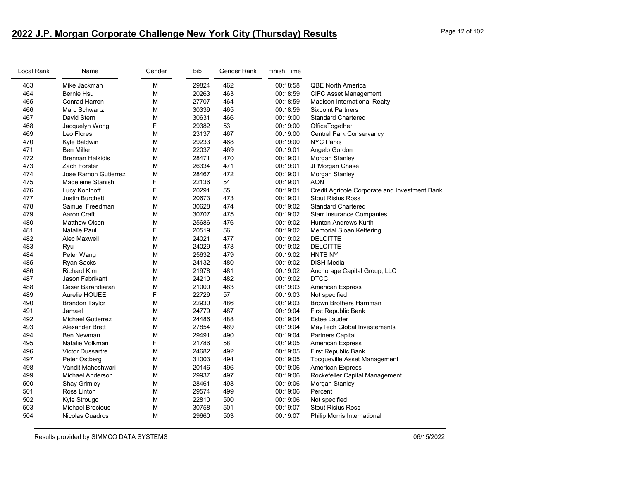# **2022 J.P. Morgan Corporate Challenge New York City (Thursday) Results** Page 12 of 102

| Local Rank | Name                     | Gender | Bib   | Gender Rank | Finish Time |                                               |
|------------|--------------------------|--------|-------|-------------|-------------|-----------------------------------------------|
| 463        | Mike Jackman             | M      | 29824 | 462         | 00:18:58    | <b>QBE North America</b>                      |
| 464        | <b>Bernie Hsu</b>        | M      | 20263 | 463         | 00:18:59    | <b>CIFC Asset Management</b>                  |
| 465        | Conrad Harron            | M      | 27707 | 464         | 00:18:59    | <b>Madison International Realty</b>           |
| 466        | Marc Schwartz            | M      | 30339 | 465         | 00:18:59    | <b>Sixpoint Partners</b>                      |
| 467        | David Stern              | M      | 30631 | 466         | 00:19:00    | <b>Standard Chartered</b>                     |
| 468        | Jacquelyn Wong           | F      | 29382 | 53          | 00:19:00    | OfficeTogether                                |
| 469        | Leo Flores               | M      | 23137 | 467         | 00:19:00    | <b>Central Park Conservancy</b>               |
| 470        | Kyle Baldwin             | M      | 29233 | 468         | 00:19:00    | <b>NYC Parks</b>                              |
| 471        | <b>Ben Miller</b>        | M      | 22037 | 469         | 00:19:01    | Angelo Gordon                                 |
| 472        | <b>Brennan Halkidis</b>  | M      | 28471 | 470         | 00:19:01    | Morgan Stanley                                |
| 473        | <b>Zach Forster</b>      | M      | 26334 | 471         | 00:19:01    | JPMorgan Chase                                |
| 474        | Jose Ramon Gutierrez     | M      | 28467 | 472         | 00:19:01    | Morgan Stanley                                |
| 475        | Madeleine Stanish        | F      | 22136 | 54          | 00:19:01    | <b>AON</b>                                    |
| 476        | Lucy Kohlhoff            | F      | 20291 | 55          | 00:19:01    | Credit Agricole Corporate and Investment Bank |
| 477        | <b>Justin Burchett</b>   | M      | 20673 | 473         | 00:19:01    | <b>Stout Risius Ross</b>                      |
| 478        | Samuel Freedman          | M      | 30628 | 474         | 00:19:02    | <b>Standard Chartered</b>                     |
| 479        | Aaron Craft              | M      | 30707 | 475         | 00:19:02    | <b>Starr Insurance Companies</b>              |
| 480        | <b>Matthew Olsen</b>     | M      | 25686 | 476         | 00:19:02    | Hunton Andrews Kurth                          |
| 481        | <b>Natalie Paul</b>      | F      | 20519 | 56          | 00:19:02    | <b>Memorial Sloan Kettering</b>               |
| 482        | Alec Maxwell             | M      | 24021 | 477         | 00:19:02    | <b>DELOITTE</b>                               |
| 483        | Ryu                      | M      | 24029 | 478         | 00:19:02    | <b>DELOITTE</b>                               |
| 484        | Peter Wang               | M      | 25632 | 479         | 00:19:02    | <b>HNTB NY</b>                                |
| 485        | <b>Ryan Sacks</b>        | M      | 24132 | 480         | 00:19:02    | <b>DISH Media</b>                             |
| 486        | <b>Richard Kim</b>       | M      | 21978 | 481         | 00:19:02    | Anchorage Capital Group, LLC                  |
| 487        | Jason Fabrikant          | M      | 24210 | 482         | 00:19:02    | <b>DTCC</b>                                   |
| 488        | Cesar Barandiaran        | M      | 21000 | 483         | 00:19:03    | <b>American Express</b>                       |
| 489        | Aurelie HOUEE            | F      | 22729 | 57          | 00:19:03    | Not specified                                 |
| 490        | <b>Brandon Taylor</b>    | M      | 22930 | 486         | 00:19:03    | <b>Brown Brothers Harriman</b>                |
| 491        | Jamael                   | M      | 24779 | 487         | 00:19:04    | First Republic Bank                           |
| 492        | <b>Michael Gutierrez</b> | M      | 24486 | 488         | 00:19:04    | Estee Lauder                                  |
| 493        | Alexander Brett          | M      | 27854 | 489         | 00:19:04    | MayTech Global Investements                   |
| 494        | <b>Ben Newman</b>        | M      | 29491 | 490         | 00:19:04    | <b>Partners Capital</b>                       |
| 495        | Natalie Volkman          | F      | 21786 | 58          | 00:19:05    | <b>American Express</b>                       |
| 496        | <b>Victor Dussartre</b>  | M      | 24682 | 492         | 00:19:05    | First Republic Bank                           |
| 497        | Peter Ostberg            | M      | 31003 | 494         | 00:19:05    | <b>Tocqueville Asset Management</b>           |
| 498        | Vandit Maheshwari        | M      | 20146 | 496         | 00:19:06    | <b>American Express</b>                       |
| 499        | <b>Michael Anderson</b>  | M      | 29937 | 497         | 00:19:06    | Rockefeller Capital Management                |
| 500        | <b>Shay Grimley</b>      | M      | 28461 | 498         | 00:19:06    | Morgan Stanley                                |
| 501        | Ross Linton              | M      | 29574 | 499         | 00:19:06    | Percent                                       |
| 502        | Kyle Strougo             | M      | 22810 | 500         | 00:19:06    | Not specified                                 |
| 503        | <b>Michael Brocious</b>  | M      | 30758 | 501         | 00:19:07    | <b>Stout Risius Ross</b>                      |
| 504        | Nicolas Cuadros          | M      | 29660 | 503         | 00:19:07    | Philip Morris International                   |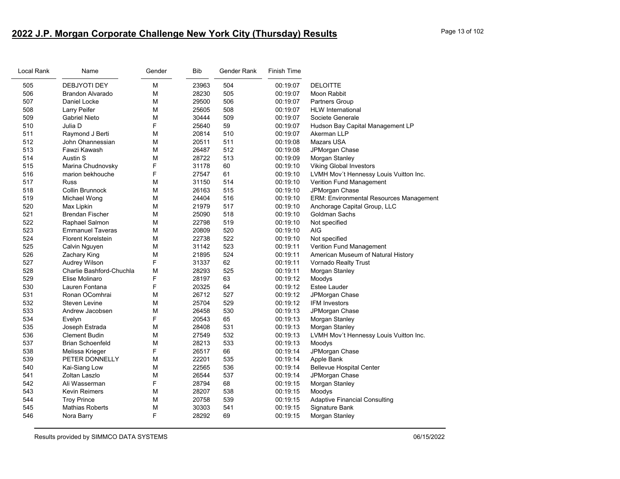# **2022 J.P. Morgan Corporate Challenge New York City (Thursday) Results** Page 13 of 102

| Local Rank | Name                      | Gender | <b>Bib</b> | Gender Rank | <b>Finish Time</b> |                                                |
|------------|---------------------------|--------|------------|-------------|--------------------|------------------------------------------------|
| 505        | <b>DEBJYOTI DEY</b>       | М      | 23963      | 504         | 00:19:07           | <b>DELOITTE</b>                                |
| 506        | <b>Brandon Alvarado</b>   | М      | 28230      | 505         | 00:19:07           | Moon Rabbit                                    |
| 507        | Daniel Locke              | М      | 29500      | 506         | 00:19:07           | Partners Group                                 |
| 508        | Larry Peifer              | М      | 25605      | 508         | 00:19:07           | <b>HLW</b> International                       |
| 509        | <b>Gabriel Nieto</b>      | М      | 30444      | 509         | 00:19:07           | Societe Generale                               |
| 510        | Julia D                   | F      | 25640      | 59          | 00:19:07           | Hudson Bay Capital Management LP               |
| 511        | Raymond J Berti           | М      | 20814      | 510         | 00:19:07           | Akerman LLP                                    |
| 512        | John Ohannessian          | М      | 20511      | 511         | 00:19:08           | <b>Mazars USA</b>                              |
| 513        | Fawzi Kawash              | М      | 26487      | 512         | 00:19:08           | JPMorgan Chase                                 |
| 514        | Austin S                  | М      | 28722      | 513         | 00:19:09           | Morgan Stanley                                 |
| 515        | Marina Chudnovsky         | F      | 31178      | 60          | 00:19:10           | <b>Viking Global Investors</b>                 |
| 516        | marion bekhouche          | F      | 27547      | 61          | 00:19:10           | LVMH Mov't Hennessy Louis Vuitton Inc.         |
| 517        | <b>Russ</b>               | М      | 31150      | 514         | 00:19:10           | Verition Fund Management                       |
| 518        | Collin Brunnock           | М      | 26163      | 515         | 00:19:10           | JPMorgan Chase                                 |
| 519        | Michael Wong              | М      | 24404      | 516         | 00:19:10           | <b>ERM: Environmental Resources Management</b> |
| 520        | Max Lipkin                | М      | 21979      | 517         | 00:19:10           | Anchorage Capital Group, LLC                   |
| 521        | <b>Brendan Fischer</b>    | М      | 25090      | 518         | 00:19:10           | <b>Goldman Sachs</b>                           |
| 522        | Raphael Salmon            | М      | 22798      | 519         | 00:19:10           | Not specified                                  |
| 523        | <b>Emmanuel Taveras</b>   | М      | 20809      | 520         | 00:19:10           | <b>AIG</b>                                     |
| 524        | <b>Florent Korelstein</b> | М      | 22738      | 522         | 00:19:10           | Not specified                                  |
| 525        | Calvin Nguyen             | М      | 31142      | 523         | 00:19:11           | Verition Fund Management                       |
| 526        | Zachary King              | М      | 21895      | 524         | 00:19:11           | American Museum of Natural History             |
| 527        | Audrey Wilson             | F      | 31337      | 62          | 00:19:11           | Vornado Realty Trust                           |
| 528        | Charlie Bashford-Chuchla  | М      | 28293      | 525         | 00:19:11           | Morgan Stanley                                 |
| 529        | Elise Molinaro            | F      | 28197      | 63          | 00:19:12           | Moodys                                         |
| 530        | Lauren Fontana            | F      | 20325      | 64          | 00:19:12           | Estee Lauder                                   |
| 531        | Ronan OComhrai            | M      | 26712      | 527         | 00:19:12           | JPMorgan Chase                                 |
| 532        | <b>Steven Levine</b>      | М      | 25704      | 529         | 00:19:12           | <b>IFM Investors</b>                           |
| 533        | Andrew Jacobsen           | М      | 26458      | 530         | 00:19:13           | JPMorgan Chase                                 |
| 534        | Evelyn                    | F      | 20543      | 65          | 00:19:13           | Morgan Stanley                                 |
| 535        | Joseph Estrada            | М      | 28408      | 531         | 00:19:13           | Morgan Stanley                                 |
| 536        | <b>Clement Budin</b>      | М      | 27549      | 532         | 00:19:13           | LVMH Mov't Hennessy Louis Vuitton Inc.         |
| 537        | Brian Schoenfeld          | М      | 28213      | 533         | 00:19:13           | Moodys                                         |
| 538        | Melissa Krieger           | F      | 26517      | 66          | 00:19:14           | JPMorgan Chase                                 |
| 539        | PETER DONNELLY            | М      | 22201      | 535         | 00:19:14           | Apple Bank                                     |
| 540        | Kai-Siang Low             | М      | 22565      | 536         | 00:19:14           | <b>Bellevue Hospital Center</b>                |
| 541        | Zoltan Laszlo             | М      | 26544      | 537         | 00:19:14           | JPMorgan Chase                                 |
| 542        | Ali Wasserman             | F      | 28794      | 68          | 00:19:15           | Morgan Stanley                                 |
| 543        | <b>Kevin Reimers</b>      | М      | 28207      | 538         | 00:19:15           | Moodys                                         |
| 544        | <b>Troy Prince</b>        | М      | 20758      | 539         | 00:19:15           | <b>Adaptive Financial Consulting</b>           |
| 545        | <b>Mathias Roberts</b>    | М      | 30303      | 541         | 00:19:15           | Signature Bank                                 |
| 546        | Nora Barry                | F      | 28292      | 69          | 00:19:15           | Morgan Stanley                                 |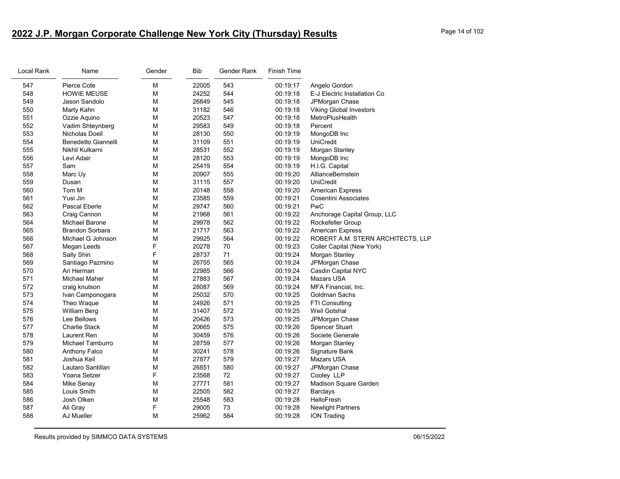# **2022 J.P. Morgan Corporate Challenge New York City (Thursday) Results** Page 14 of 102

| Name                   | Gender     | Bib   | Gender Rank | Finish Time |                                   |
|------------------------|------------|-------|-------------|-------------|-----------------------------------|
| Pierce Cote            | М          | 22005 | 543         | 00:19:17    | Angelo Gordon                     |
| <b>HOWIE MEUSE</b>     | М          | 24252 | 544         | 00:19:18    | E-J Electric Installation Co      |
| Jason Sandolo          | M          | 26849 | 545         | 00:19:18    | JPMorgan Chase                    |
|                        | М          | 31182 | 546         | 00:19:18    | <b>Viking Global Investors</b>    |
| Ozzie Aquino           | М          | 20523 | 547         | 00:19:18    | MetroPlusHealth                   |
| Vadim Shteynberg       | M          | 29583 | 549         | 00:19:18    | Percent                           |
| Nicholas Doell         | М          | 28130 | 550         | 00:19:19    | MongoDB Inc                       |
| Benedetto Giannelli    | M          | 31109 | 551         | 00:19:19    | <b>UniCredit</b>                  |
| Nikhil Kulkarni        | M          | 28531 | 552         | 00:19:19    | Morgan Stanley                    |
| Levi Adair             | М          | 28120 | 553         | 00:19:19    | MongoDB Inc                       |
| Sam                    | M          | 25419 | 554         | 00:19:19    | H.I.G. Capital                    |
| Marc Uy                | M          | 20907 | 555         | 00:19:20    | AllianceBernstein                 |
| Dusan                  | М          | 31115 | 557         | 00:19:20    | UniCredit                         |
| Tom M                  | M          | 20148 | 558         | 00:19:20    | <b>American Express</b>           |
| Yusi Jin               | М          | 23585 | 559         | 00:19:21    | <b>Cosentini Associates</b>       |
| Pascal Eberle          | M          | 29747 | 560         | 00:19:21    | <b>PwC</b>                        |
| Craig Cannon           | M          | 21968 | 561         | 00:19:22    | Anchorage Capital Group, LLC      |
| Michael Barone         | М          | 29978 | 562         | 00:19:22    | Rockefeller Group                 |
| <b>Brandon Sorbara</b> | M          | 21717 | 563         | 00:19:22    | <b>American Express</b>           |
| Michael G Johnson      | M          | 29925 | 564         | 00:19:22    | ROBERT A.M. STERN ARCHITECTS, LLP |
| Megan Leeds            | F          | 20278 | 70          | 00:19:23    | Coller Capital (New York)         |
| Sally Shin             | F          | 28737 | 71          | 00:19:24    | Morgan Stanley                    |
| Santiago Pazmino       | M          | 26755 | 565         | 00:19:24    | JPMorgan Chase                    |
| Ari Herman             | М          | 22985 | 566         | 00:19:24    | Casdin Capital NYC                |
| Michael Maher          | M          | 27883 | 567         | 00:19:24    | Mazars USA                        |
| craig knutson          | М          | 28087 | 569         | 00:19:24    | MFA Financial, Inc.               |
| Ivan Camponogara       | M          | 25032 | 570         | 00:19:25    | <b>Goldman Sachs</b>              |
| Theo Waque             | М          | 24926 | 571         | 00:19:25    | FTI Consulting                    |
| William Berg           | М          | 31407 | 572         | 00:19:25    | Weil Gotshal                      |
| Lee Bellows            | M          | 20426 | 573         | 00:19:25    | JPMorgan Chase                    |
| <b>Charlie Stack</b>   | М          | 20665 | 575         | 00:19:26    | <b>Spencer Stuart</b>             |
| Laurent Ren            | М          | 30459 | 576         | 00:19:26    | Societe Generale                  |
| Michael Tamburro       | M          | 28759 | 577         | 00:19:26    | Morgan Stanley                    |
| Anthony Falco          | M          | 30241 | 578         | 00:19:26    | Signature Bank                    |
| Joshua Keil            | М          | 27877 | 579         | 00:19:27    | <b>Mazars USA</b>                 |
| Lautaro Santillan      | М          | 26851 | 580         | 00:19:27    | JPMorgan Chase                    |
| Yoana Setzer           |            | 23568 |             | 00:19:27    | Cooley LLP                        |
| Mike Senay             | М          | 27771 | 581         | 00:19:27    | Madison Square Garden             |
| Louis Smith            | M          | 22505 | 582         | 00:19:27    | <b>Barclays</b>                   |
| Josh Olken             | M          | 25548 | 583         | 00:19:28    | HelloFresh                        |
| Ali Gray               | F          | 29005 | 73          | 00:19:28    | <b>Newlight Partners</b>          |
| AJ Mueller             | М          | 25962 | 584         | 00:19:28    | <b>ION Trading</b>                |
|                        | Marty Kahn | F     |             | 72          |                                   |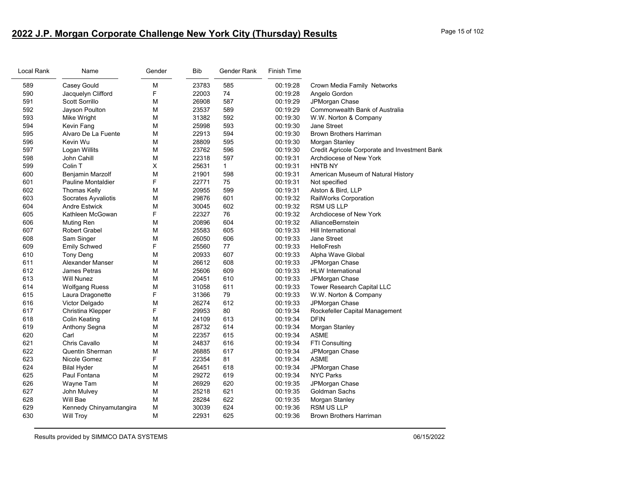# **2022 J.P. Morgan Corporate Challenge New York City (Thursday) Results** Page 15 of 102

| Local Rank | Name                      | Gender | Bib   | Gender Rank  | <b>Finish Time</b> |                                               |
|------------|---------------------------|--------|-------|--------------|--------------------|-----------------------------------------------|
| 589        | Casey Gould               | M      | 23783 | 585          | 00:19:28           | Crown Media Family Networks                   |
| 590        | Jacquelyn Clifford        | F      | 22003 | 74           | 00:19:28           | Angelo Gordon                                 |
| 591        | Scott Sorrillo            | М      | 26908 | 587          | 00:19:29           | JPMorgan Chase                                |
| 592        | Jayson Poulton            | M      | 23537 | 589          | 00:19:29           | Commonwealth Bank of Australia                |
| 593        | Mike Wright               | M      | 31382 | 592          | 00:19:30           | W.W. Norton & Company                         |
| 594        | Kevin Fang                | М      | 25998 | 593          | 00:19:30           | Jane Street                                   |
| 595        | Alvaro De La Fuente       | M      | 22913 | 594          | 00:19:30           | <b>Brown Brothers Harriman</b>                |
| 596        | Kevin Wu                  | M      | 28809 | 595          | 00:19:30           | Morgan Stanley                                |
| 597        | Logan Willits             | М      | 23762 | 596          | 00:19:30           | Credit Agricole Corporate and Investment Bank |
| 598        | John Cahill               | M      | 22318 | 597          | 00:19:31           | Archdiocese of New York                       |
| 599        | Colin T                   | X      | 25631 | $\mathbf{1}$ | 00:19:31           | <b>HNTB NY</b>                                |
| 600        | Benjamin Marzolf          | М      | 21901 | 598          | 00:19:31           | American Museum of Natural History            |
| 601        | <b>Pauline Montaldier</b> | F      | 22771 | 75           | 00:19:31           | Not specified                                 |
| 602        | <b>Thomas Kelly</b>       | M      | 20955 | 599          | 00:19:31           | Alston & Bird, LLP                            |
| 603        | Socrates Ayvaliotis       | M      | 29876 | 601          | 00:19:32           | <b>RailWorks Corporation</b>                  |
| 604        | <b>Andre Estwick</b>      | М      | 30045 | 602          | 00:19:32           | <b>RSM US LLP</b>                             |
| 605        | Kathleen McGowan          | F      | 22327 | 76           | 00:19:32           | Archdiocese of New York                       |
| 606        | Muting Ren                | M      | 20896 | 604          | 00:19:32           | AllianceBernstein                             |
| 607        | Robert Grabel             | М      | 25583 | 605          | 00:19:33           | Hill International                            |
| 608        | Sam Singer                | M      | 26050 | 606          | 00:19:33           | Jane Street                                   |
| 609        | <b>Emily Schwed</b>       | F      | 25560 | 77           | 00:19:33           | HelloFresh                                    |
| 610        | <b>Tony Deng</b>          | M      | 20933 | 607          | 00:19:33           | Alpha Wave Global                             |
| 611        | Alexander Manser          | М      | 26612 | 608          | 00:19:33           | JPMorgan Chase                                |
| 612        | James Petras              | M      | 25606 | 609          | 00:19:33           | <b>HLW</b> International                      |
| 613        | <b>Will Nunez</b>         | M      | 20451 | 610          | 00:19:33           | JPMorgan Chase                                |
| 614        | <b>Wolfgang Ruess</b>     | M      | 31058 | 611          | 00:19:33           | Tower Research Capital LLC                    |
| 615        | Laura Dragonette          | F      | 31366 | 79           | 00:19:33           | W.W. Norton & Company                         |
| 616        | Victor Delgado            | M      | 26274 | 612          | 00:19:33           | JPMorgan Chase                                |
| 617        | Christina Klepper         | F      | 29953 | 80           | 00:19:34           | Rockefeller Capital Management                |
| 618        | Colin Keating             | M      | 24109 | 613          | 00:19:34           | <b>DFIN</b>                                   |
| 619        | Anthony Segna             | М      | 28732 | 614          | 00:19:34           | Morgan Stanley                                |
| 620        | Carl                      | M      | 22357 | 615          | 00:19:34           | <b>ASME</b>                                   |
| 621        | Chris Cavallo             | М      | 24837 | 616          | 00:19:34           | <b>FTI Consulting</b>                         |
| 622        | <b>Quentin Sherman</b>    | М      | 26885 | 617          | 00:19:34           | JPMorgan Chase                                |
| 623        | Nicole Gomez              | F      | 22354 | 81           | 00:19:34           | <b>ASME</b>                                   |
| 624        | <b>Bilal Hyder</b>        | М      | 26451 | 618          | 00:19:34           | JPMorgan Chase                                |
| 625        | Paul Fontana              | М      | 29272 | 619          | 00:19:34           | <b>NYC Parks</b>                              |
| 626        | Wayne Tam                 | M      | 26929 | 620          | 00:19:35           | JPMorgan Chase                                |
| 627        | John Mulvey               | M      | 25218 | 621          | 00:19:35           | Goldman Sachs                                 |
| 628        | Will Bae                  | M      | 28284 | 622          | 00:19:35           | Morgan Stanley                                |
| 629        | Kennedy Chinyamutangira   | М      | 30039 | 624          | 00:19:36           | <b>RSM US LLP</b>                             |
| 630        | <b>Will Troy</b>          | М      | 22931 | 625          | 00:19:36           | <b>Brown Brothers Harriman</b>                |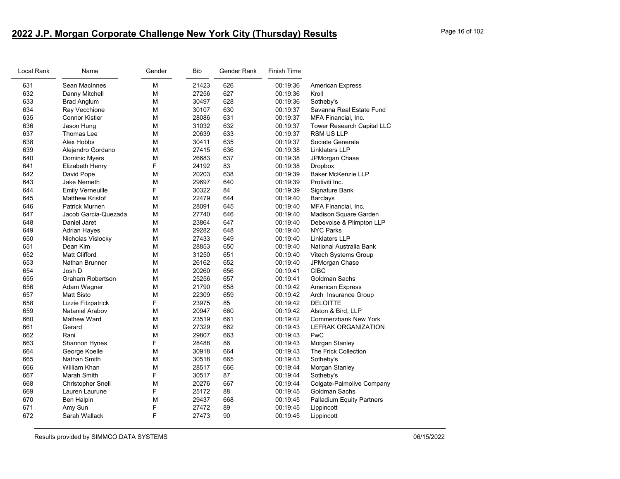# **2022 J.P. Morgan Corporate Challenge New York City (Thursday) Results** Page 16 of 102

| Local Rank | Name                     | Gender | Bib   | Gender Rank | <b>Finish Time</b> |                             |
|------------|--------------------------|--------|-------|-------------|--------------------|-----------------------------|
| 631        | Sean MacInnes            | М      | 21423 | 626         | 00:19:36           | <b>American Express</b>     |
| 632        | Danny Mitchell           | M      | 27256 | 627         | 00:19:36           | Kroll                       |
| 633        | <b>Brad Anglum</b>       | М      | 30497 | 628         | 00:19:36           | Sotheby's                   |
| 634        | Ray Vecchione            | M      | 30107 | 630         | 00:19:37           | Savanna Real Estate Fund    |
| 635        | <b>Connor Kistler</b>    | М      | 28086 | 631         | 00:19:37           | MFA Financial, Inc.         |
| 636        | Jason Hung               | М      | 31032 | 632         | 00:19:37           | Tower Research Capital LLC  |
| 637        | Thomas Lee               | M      | 20639 | 633         | 00:19:37           | <b>RSM US LLP</b>           |
| 638        | Alex Hobbs               | М      | 30411 | 635         | 00:19:37           | Societe Generale            |
| 639        | Alejandro Gordano        | М      | 27415 | 636         | 00:19:38           | Linklaters LLP              |
| 640        | Dominic Myers            | М      | 26683 | 637         | 00:19:38           | JPMorgan Chase              |
| 641        | Elizabeth Henry          | F      | 24192 | 83          | 00:19:38           | <b>Dropbox</b>              |
| 642        | David Pope               | M      | 20203 | 638         | 00:19:39           | <b>Baker McKenzie LLP</b>   |
| 643        | Jake Nemeth              | M      | 29697 | 640         | 00:19:39           | Protiviti Inc.              |
| 644        | <b>Emily Verneuille</b>  | F      | 30322 | 84          | 00:19:39           | Signature Bank              |
| 645        | <b>Matthew Kristof</b>   | M      | 22479 | 644         | 00:19:40           | <b>Barclays</b>             |
| 646        | <b>Patrick Murnen</b>    | М      | 28091 | 645         | 00:19:40           | MFA Financial, Inc.         |
| 647        | Jacob Garcia-Quezada     | M      | 27740 | 646         | 00:19:40           | Madison Square Garden       |
| 648        | Daniel Jaret             | M      | 23864 | 647         | 00:19:40           | Debevoise & Plimpton LLP    |
| 649        | <b>Adrian Hayes</b>      | М      | 29282 | 648         | 00:19:40           | <b>NYC Parks</b>            |
| 650        | Nicholas Vislocky        | М      | 27433 | 649         | 00:19:40           | <b>Linklaters LLP</b>       |
| 651        | Dean Kim                 | M      | 28853 | 650         | 00:19:40           | National Australia Bank     |
| 652        | <b>Matt Clifford</b>     | М      | 31250 | 651         | 00:19:40           | Vitech Systems Group        |
| 653        | <b>Nathan Brunner</b>    | М      | 26162 | 652         | 00:19:40           | JPMorgan Chase              |
| 654        | Josh D                   | М      | 20260 | 656         | 00:19:41           | <b>CIBC</b>                 |
| 655        | <b>Graham Robertson</b>  | М      | 25256 | 657         | 00:19:41           | Goldman Sachs               |
| 656        | Adam Wagner              | М      | 21790 | 658         | 00:19:42           | <b>American Express</b>     |
| 657        | <b>Matt Sisto</b>        | М      | 22309 | 659         | 00:19:42           | Arch Insurance Group        |
| 658        | Lizzie Fitzpatrick       | F      | 23975 | 85          | 00:19:42           | <b>DELOITTE</b>             |
| 659        | Nataniel Arabov          | M      | 20947 | 660         | 00:19:42           | Alston & Bird, LLP          |
| 660        | <b>Mathew Ward</b>       | M      | 23519 | 661         | 00:19:42           | <b>Commerzbank New York</b> |
| 661        | Gerard                   | М      | 27329 | 662         | 00:19:43           | <b>LEFRAK ORGANIZATION</b>  |
| 662        | Rani                     | M      | 29807 | 663         | 00:19:43           | PwC                         |
| 663        | Shannon Hynes            | F      | 28488 | 86          | 00:19:43           | Morgan Stanley              |
| 664        | George Koelle            | M      | 30918 | 664         | 00:19:43           | The Frick Collection        |
| 665        | Nathan Smith             | М      | 30518 | 665         | 00:19:43           | Sotheby's                   |
| 666        | William Khan             | M      | 28517 | 666         | 00:19:44           | Morgan Stanley              |
| 667        | <b>Marah Smith</b>       | F      | 30517 | 87          | 00:19:44           | Sotheby's                   |
| 668        | <b>Christopher Snell</b> | M      | 20276 | 667         | 00:19:44           | Colgate-Palmolive Company   |
| 669        | Lauren Laurune           | F      | 25172 | 88          | 00:19:45           | Goldman Sachs               |
| 670        | Ben Halpin               | М      | 29437 | 668         | 00:19:45           | Palladium Equity Partners   |
| 671        | Amy Sun                  | F      | 27472 | 89          | 00:19:45           | Lippincott                  |
| 672        | Sarah Wallack            | F      | 27473 | 90          | 00:19:45           | Lippincott                  |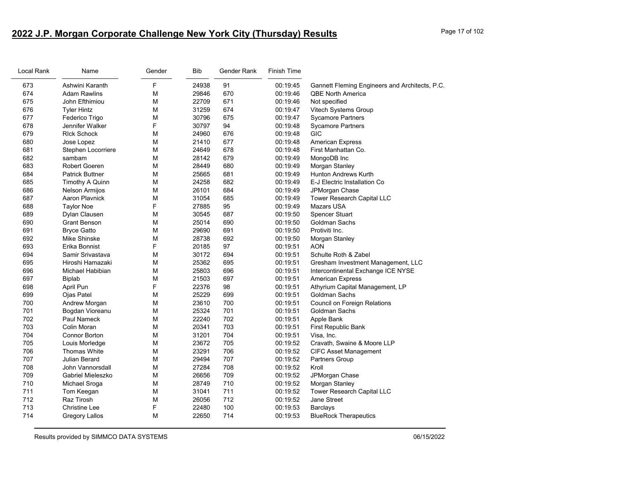# **2022 J.P. Morgan Corporate Challenge New York City (Thursday) Results** Page 17 of 102

| Local Rank | Name                   | Gender | <b>Bib</b> | Gender Rank | <b>Finish Time</b> |                                                |
|------------|------------------------|--------|------------|-------------|--------------------|------------------------------------------------|
| 673        | Ashwini Karanth        | F      | 24938      | 91          | 00:19:45           | Gannett Fleming Engineers and Architects, P.C. |
| 674        | <b>Adam Rawlins</b>    | М      | 29846      | 670         | 00:19:46           | <b>QBE North America</b>                       |
| 675        | John Efthimiou         | М      | 22709      | 671         | 00:19:46           | Not specified                                  |
| 676        | <b>Tyler Hintz</b>     | M      | 31259      | 674         | 00:19:47           | Vitech Systems Group                           |
| 677        | Federico Trigo         | М      | 30796      | 675         | 00:19:47           | <b>Sycamore Partners</b>                       |
| 678        | Jennifer Walker        | F      | 30797      | 94          | 00:19:48           | <b>Sycamore Partners</b>                       |
| 679        | <b>RIck Schock</b>     | M      | 24960      | 676         | 00:19:48           | <b>GIC</b>                                     |
| 680        | Jose Lopez             | М      | 21410      | 677         | 00:19:48           | <b>American Express</b>                        |
| 681        | Stephen Locorriere     | М      | 24649      | 678         | 00:19:48           | First Manhattan Co.                            |
| 682        | sambam                 | M      | 28142      | 679         | 00:19:49           | MongoDB Inc                                    |
| 683        | <b>Robert Goeren</b>   | M      | 28449      | 680         | 00:19:49           | Morgan Stanley                                 |
| 684        | <b>Patrick Buttner</b> | M      | 25665      | 681         | 00:19:49           | <b>Hunton Andrews Kurth</b>                    |
| 685        | Timothy A Quinn        | М      | 24258      | 682         | 00:19:49           | E-J Electric Installation Co                   |
| 686        | Nelson Armijos         | M      | 26101      | 684         | 00:19:49           | JPMorgan Chase                                 |
| 687        | Aaron Playnick         | M      | 31054      | 685         | 00:19:49           | Tower Research Capital LLC                     |
| 688        | <b>Taylor Noe</b>      | F      | 27885      | 95          | 00:19:49           | <b>Mazars USA</b>                              |
| 689        | Dylan Clausen          | M      | 30545      | 687         | 00:19:50           | <b>Spencer Stuart</b>                          |
| 690        | Grant Benson           | М      | 25014      | 690         | 00:19:50           | Goldman Sachs                                  |
| 691        | <b>Bryce Gatto</b>     | М      | 29690      | 691         | 00:19:50           | Protiviti Inc.                                 |
| 692        | Mike Shinske           | M      | 28738      | 692         | 00:19:50           | Morgan Stanley                                 |
| 693        | Erika Bonnist          | F      | 20185      | 97          | 00:19:51           | <b>AON</b>                                     |
| 694        | Samir Srivastava       | M      | 30172      | 694         | 00:19:51           | Schulte Roth & Zabel                           |
| 695        | Hiroshi Hamazaki       | М      | 25362      | 695         | 00:19:51           | Gresham Investment Management, LLC             |
| 696        | Michael Habibian       | M      | 25803      | 696         | 00:19:51           | Intercontinental Exchange ICE NYSE             |
| 697        | <b>Biplab</b>          | М      | 21503      | 697         | 00:19:51           | <b>American Express</b>                        |
| 698        | April Pun              | F      | 22376      | 98          | 00:19:51           | Athyrium Capital Management, LP                |
| 699        | Ojas Patel             | M      | 25229      | 699         | 00:19:51           | Goldman Sachs                                  |
| 700        | Andrew Morgan          | М      | 23610      | 700         | 00:19:51           | Council on Foreign Relations                   |
| 701        | Bogdan Vioreanu        | M      | 25324      | 701         | 00:19:51           | Goldman Sachs                                  |
| 702        | Paul Nameck            | M      | 22240      | 702         | 00:19:51           | Apple Bank                                     |
| 703        | Colin Moran            | M      | 20341      | 703         | 00:19:51           | First Republic Bank                            |
| 704        | <b>Connor Borton</b>   | М      | 31201      | 704         | 00:19:51           | Visa, Inc.                                     |
| 705        | Louis Morledge         | М      | 23672      | 705         | 00:19:52           | Cravath, Swaine & Moore LLP                    |
| 706        | <b>Thomas White</b>    | M      | 23291      | 706         | 00:19:52           | <b>CIFC Asset Management</b>                   |
| 707        | <b>Julian Berard</b>   | М      | 29494      | 707         | 00:19:52           | <b>Partners Group</b>                          |
| 708        | John Vannorsdall       | М      | 27284      | 708         | 00:19:52           | Kroll                                          |
| 709        | Gabriel Mieleszko      | M      | 26656      | 709         | 00:19:52           | JPMorgan Chase                                 |
| 710        | Michael Sroga          | М      | 28749      | 710         | 00:19:52           | Morgan Stanley                                 |
| 711        | Tom Keegan             | M      | 31041      | 711         | 00:19:52           | Tower Research Capital LLC                     |
| 712        | <b>Raz Tirosh</b>      | M      | 26056      | 712         | 00:19:52           | <b>Jane Street</b>                             |
| 713        | Christine Lee          | F      | 22480      | 100         | 00:19:53           | <b>Barclays</b>                                |
| 714        | <b>Gregory Lallos</b>  | M      | 22650      | 714         | 00:19:53           | <b>BlueRock Therapeutics</b>                   |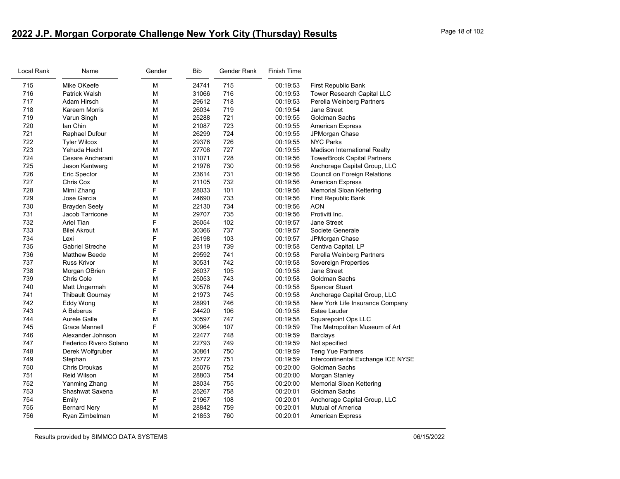# **2022 J.P. Morgan Corporate Challenge New York City (Thursday) Results** Page 18 of 102

| Local Rank | Name                    | Gender | <b>Bib</b> | Gender Rank | <b>Finish Time</b> |                                    |
|------------|-------------------------|--------|------------|-------------|--------------------|------------------------------------|
| 715        | Mike OKeefe             | M      | 24741      | 715         | 00:19:53           | <b>First Republic Bank</b>         |
| 716        | <b>Patrick Walsh</b>    | М      | 31066      | 716         | 00:19:53           | Tower Research Capital LLC         |
| 717        | Adam Hirsch             | М      | 29612      | 718         | 00:19:53           | Perella Weinberg Partners          |
| 718        | Kareem Morris           | M      | 26034      | 719         | 00:19:54           | Jane Street                        |
| 719        | Varun Singh             | M      | 25288      | 721         | 00:19:55           | Goldman Sachs                      |
| 720        | lan Chin                | M      | 21087      | 723         | 00:19:55           | <b>American Express</b>            |
| 721        | Raphael Dufour          | М      | 26299      | 724         | 00:19:55           | JPMorgan Chase                     |
| 722        | <b>Tyler Wilcox</b>     | М      | 29376      | 726         | 00:19:55           | <b>NYC Parks</b>                   |
| 723        | Yehuda Hecht            | M      | 27708      | 727         | 00:19:55           | Madison International Realty       |
| 724        | Cesare Ancherani        | М      | 31071      | 728         | 00:19:56           | <b>TowerBrook Capital Partners</b> |
| 725        | Jason Kantwerg          | M      | 21976      | 730         | 00:19:56           | Anchorage Capital Group, LLC       |
| 726        | <b>Eric Spector</b>     | М      | 23614      | 731         | 00:19:56           | Council on Foreign Relations       |
| 727        | Chris Cox               | М      | 21105      | 732         | 00:19:56           | <b>American Express</b>            |
| 728        | Mimi Zhang              | F      | 28033      | 101         | 00:19:56           | <b>Memorial Sloan Kettering</b>    |
| 729        | Jose Garcia             | М      | 24690      | 733         | 00:19:56           | First Republic Bank                |
| 730        | <b>Brayden Seely</b>    | М      | 22130      | 734         | 00:19:56           | AON                                |
| 731        | Jacob Tarricone         | M      | 29707      | 735         | 00:19:56           | Protiviti Inc.                     |
| 732        | <b>Ariel Tian</b>       | F      | 26054      | 102         | 00:19:57           | Jane Street                        |
| 733        | <b>Bilel Akrout</b>     | М      | 30366      | 737         | 00:19:57           | Societe Generale                   |
| 734        | Lexi                    | F      | 26198      | 103         | 00:19:57           | JPMorgan Chase                     |
| 735        | <b>Gabriel Streche</b>  | М      | 23119      | 739         | 00:19:58           | Centiva Capital, LP                |
| 736        | <b>Matthew Beede</b>    | М      | 29592      | 741         | 00:19:58           | Perella Weinberg Partners          |
| 737        | <b>Russ Krivor</b>      | M      | 30531      | 742         | 00:19:58           | Sovereign Properties               |
| 738        | Morgan OBrien           | F      | 26037      | 105         | 00:19:58           | Jane Street                        |
| 739        | Chris Cole              | М      | 25053      | 743         | 00:19:58           | <b>Goldman Sachs</b>               |
| 740        | Matt Ungermah           | М      | 30578      | 744         | 00:19:58           | Spencer Stuart                     |
| 741        | <b>Thibault Gournay</b> | M      | 21973      | 745         | 00:19:58           | Anchorage Capital Group, LLC       |
| 742        | Eddy Wong               | M      | 28991      | 746         | 00:19:58           | New York Life Insurance Company    |
| 743        | A Beberus               | F      | 24420      | 106         | 00:19:58           | <b>Estee Lauder</b>                |
| 744        | Aurele Galle            | M      | 30597      | 747         | 00:19:58           | Squarepoint Ops LLC                |
| 745        | Grace Mennell           | F      | 30964      | 107         | 00:19:59           | The Metropolitan Museum of Art     |
| 746        | Alexander Johnson       | М      | 22477      | 748         | 00:19:59           | <b>Barclays</b>                    |
| 747        | Federico Rivero Solano  | M      | 22793      | 749         | 00:19:59           | Not specified                      |
| 748        | Derek Wolfgruber        | M      | 30861      | 750         | 00:19:59           | Teng Yue Partners                  |
| 749        | Stephan                 | М      | 25772      | 751         | 00:19:59           | Intercontinental Exchange ICE NYSE |
| 750        | <b>Chris Droukas</b>    | M      | 25076      | 752         | 00:20:00           | Goldman Sachs                      |
| 751        | Reid Wilson             | М      | 28803      | 754         | 00:20:00           | Morgan Stanley                     |
| 752        | Yanming Zhang           | М      | 28034      | 755         | 00:20:00           | <b>Memorial Sloan Kettering</b>    |
| 753        | Shashwat Saxena         | M      | 25267      | 758         | 00:20:01           | <b>Goldman Sachs</b>               |
| 754        | Emily                   | F      | 21967      | 108         | 00:20:01           | Anchorage Capital Group, LLC       |
| 755        | <b>Bernard Nery</b>     | М      | 28842      | 759         | 00:20:01           | Mutual of America                  |
| 756        | Ryan Zimbelman          | M      | 21853      | 760         | 00:20:01           | <b>American Express</b>            |
|            |                         |        |            |             |                    |                                    |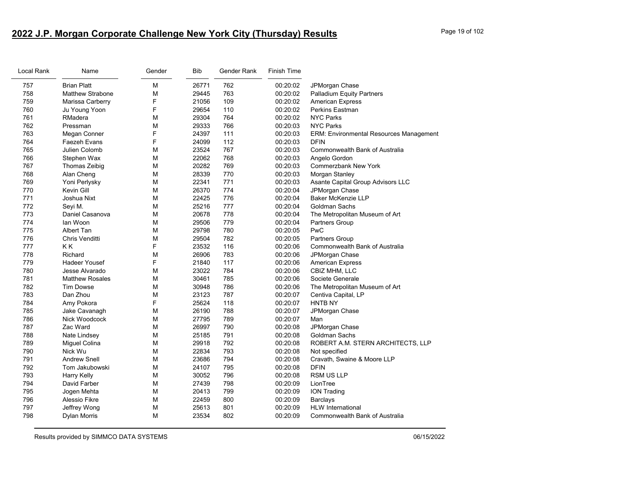# **2022 J.P. Morgan Corporate Challenge New York City (Thursday) Results** Page 19 of 102

| Local Rank | Name                    | Gender | <b>Bib</b> | Gender Rank | Finish Time |                                         |
|------------|-------------------------|--------|------------|-------------|-------------|-----------------------------------------|
| 757        | <b>Brian Platt</b>      | M      | 26771      | 762         | 00:20:02    | JPMorgan Chase                          |
| 758        | <b>Matthew Strabone</b> | M      | 29445      | 763         | 00:20:02    | <b>Palladium Equity Partners</b>        |
| 759        | Marissa Carberry        | F      | 21056      | 109         | 00:20:02    | <b>American Express</b>                 |
| 760        | Ju Young Yoon           | F      | 29654      | 110         | 00:20:02    | <b>Perkins Eastman</b>                  |
| 761        | RMadera                 | M      | 29304      | 764         | 00:20:02    | <b>NYC Parks</b>                        |
| 762        | Pressman                | M      | 29333      | 766         | 00:20:03    | <b>NYC Parks</b>                        |
| 763        | Megan Conner            | F      | 24397      | 111         | 00:20:03    | ERM: Environmental Resources Management |
| 764        | Faezeh Evans            | F      | 24099      | 112         | 00:20:03    | <b>DFIN</b>                             |
| 765        | Julien Colomb           | M      | 23524      | 767         | 00:20:03    | Commonwealth Bank of Australia          |
| 766        | Stephen Wax             | М      | 22062      | 768         | 00:20:03    | Angelo Gordon                           |
| 767        | Thomas Zeibig           | M      | 20282      | 769         | 00:20:03    | Commerzbank New York                    |
| 768        | Alan Cheng              | M      | 28339      | 770         | 00:20:03    | Morgan Stanley                          |
| 769        | Yoni Perlysky           | M      | 22341      | 771         | 00:20:03    | Asante Capital Group Advisors LLC       |
| 770        | Kevin Gill              | M      | 26370      | 774         | 00:20:04    | JPMorgan Chase                          |
| 771        | Joshua Nixt             | M      | 22425      | 776         | 00:20:04    | <b>Baker McKenzie LLP</b>               |
| 772        | Seyi M.                 | М      | 25216      | 777         | 00:20:04    | Goldman Sachs                           |
| 773        | Daniel Casanova         | M      | 20678      | 778         | 00:20:04    | The Metropolitan Museum of Art          |
| 774        | lan Woon                | M      | 29506      | 779         | 00:20:04    | Partners Group                          |
| 775        | Albert Tan              | М      | 29798      | 780         | 00:20:05    | PwC                                     |
| 776        | Chris Venditti          | M      | 29504      | 782         | 00:20:05    | Partners Group                          |
| 777        | KK                      | F      | 23532      | 116         | 00:20:06    | <b>Commonwealth Bank of Australia</b>   |
| 778        | Richard                 | M      | 26906      | 783         | 00:20:06    | JPMorgan Chase                          |
| 779        | <b>Hadeer Yousef</b>    | F      | 21840      | 117         | 00:20:06    | <b>American Express</b>                 |
| 780        | Jesse Alvarado          | M      | 23022      | 784         | 00:20:06    | CBIZ MHM, LLC                           |
| 781        | <b>Matthew Rosales</b>  | M      | 30461      | 785         | 00:20:06    | Societe Generale                        |
| 782        | <b>Tim Dowse</b>        | М      | 30948      | 786         | 00:20:06    | The Metropolitan Museum of Art          |
| 783        | Dan Zhou                | M      | 23123      | 787         | 00:20:07    | Centiva Capital, LP                     |
| 784        | Amy Pokora              | F      | 25624      | 118         | 00:20:07    | <b>HNTB NY</b>                          |
| 785        | Jake Cavanagh           | М      | 26190      | 788         | 00:20:07    | JPMorgan Chase                          |
| 786        | Nick Woodcock           | М      | 27795      | 789         | 00:20:07    | Man                                     |
| 787        | Zac Ward                | М      | 26997      | 790         | 00:20:08    | JPMorgan Chase                          |
| 788        | Nate Lindsey            | M      | 25185      | 791         | 00:20:08    | Goldman Sachs                           |
| 789        | Miguel Colina           | М      | 29918      | 792         | 00:20:08    | ROBERT A.M. STERN ARCHITECTS, LLP       |
| 790        | Nick Wu                 | M      | 22834      | 793         | 00:20:08    | Not specified                           |
| 791        | <b>Andrew Snell</b>     | M      | 23686      | 794         | 00:20:08    | Cravath, Swaine & Moore LLP             |
| 792        | Tom Jakubowski          | M      | 24107      | 795         | 00:20:08    | <b>DFIN</b>                             |
| 793        | <b>Harry Kelly</b>      | M      | 30052      | 796         | 00:20:08    | <b>RSM US LLP</b>                       |
| 794        | David Farber            | М      | 27439      | 798         | 00:20:09    | LionTree                                |
| 795        | Jogen Mehta             | M      | 20413      | 799         | 00:20:09    | <b>ION Trading</b>                      |
| 796        | Alessio Fikre           | M      | 22459      | 800         | 00:20:09    | <b>Barclays</b>                         |
| 797        | Jeffrey Wong            | M      | 25613      | 801         | 00:20:09    | <b>HLW</b> International                |
| 798        | Dylan Morris            | M      | 23534      | 802         | 00:20:09    | <b>Commonwealth Bank of Australia</b>   |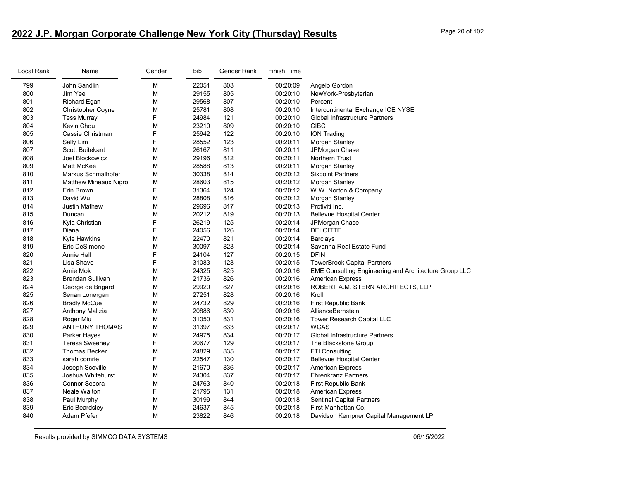# **2022 J.P. Morgan Corporate Challenge New York City (Thursday) Results** Page 20 of 102

| EME Consulting Engineering and Architecture Group LLC |
|-------------------------------------------------------|
|                                                       |
| ROBERT A.M. STERN ARCHITECTS, LLP                     |
|                                                       |
|                                                       |
|                                                       |
|                                                       |
|                                                       |
|                                                       |
|                                                       |
|                                                       |
|                                                       |
|                                                       |
|                                                       |
|                                                       |
|                                                       |
|                                                       |
|                                                       |
| Davidson Kempner Capital Management LP                |
|                                                       |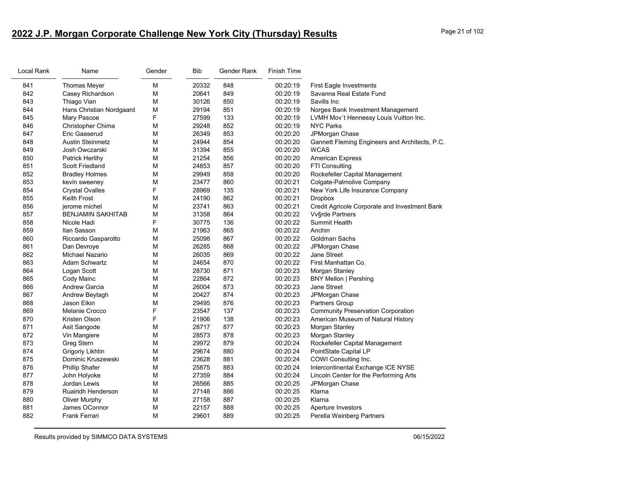# **2022 J.P. Morgan Corporate Challenge New York City (Thursday) Results** Page 21 of 102

| Local Rank | Name                     | Gender | Bib   | Gender Rank | <b>Finish Time</b> |                                                |
|------------|--------------------------|--------|-------|-------------|--------------------|------------------------------------------------|
| 841        | <b>Thomas Meyer</b>      | M      | 20332 | 848         | 00:20:19           | <b>First Eagle Investments</b>                 |
| 842        | Casey Richardson         | M      | 20641 | 849         | 00:20:19           | Savanna Real Estate Fund                       |
| 843        | Thiago Vian              | M      | 30126 | 850         | 00:20:19           | Savills Inc                                    |
| 844        | Hans Christian Nordgaard | М      | 29194 | 851         | 00:20:19           | Norges Bank Investment Management              |
| 845        | Mary Pascoe              | F      | 27599 | 133         | 00:20:19           | LVMH Mov't Hennessy Louis Vuitton Inc.         |
| 846        | Christopher Chima        | М      | 29248 | 852         | 00:20:19           | <b>NYC Parks</b>                               |
| 847        | Eric Gaaserud            | M      | 26349 | 853         | 00:20:20           | JPMorgan Chase                                 |
| 848        | <b>Austin Steinmetz</b>  | М      | 24944 | 854         | 00:20:20           | Gannett Fleming Engineers and Architects, P.C. |
| 849        | Josh Owczarski           | M      | 31394 | 855         | 00:20:20           | <b>WCAS</b>                                    |
| 850        | Patrick Herlihy          | М      | 21254 | 856         | 00:20:20           | <b>American Express</b>                        |
| 851        | <b>Scott Friedland</b>   | M      | 24853 | 857         | 00:20:20           | <b>FTI Consulting</b>                          |
| 852        | <b>Bradley Holmes</b>    | M      | 29949 | 858         | 00:20:20           | Rockefeller Capital Management                 |
| 853        | kevin sweeney            | М      | 23477 | 860         | 00:20:21           | Colgate-Palmolive Company                      |
| 854        | <b>Crystal Ovalles</b>   | F      | 28969 | 135         | 00:20:21           | New York Life Insurance Company                |
| 855        | Keith Frost              | M      | 24190 | 862         | 00:20:21           | <b>Dropbox</b>                                 |
| 856        | jerome michel            | M      | 23741 | 863         | 00:20:21           | Credit Agricole Corporate and Investment Bank  |
| 857        | <b>BENJAMIN SAKHITAB</b> | М      | 31358 | 864         | 00:20:22           | Vv§rde Partners                                |
| 858        | Nicole Hadi              | F      | 30775 | 136         | 00:20:22           | Summit Health                                  |
| 859        | Ilan Sasson              | М      | 21963 | 865         | 00:20:22           | Anchin                                         |
| 860        | Riccardo Gasparotto      | M      | 25098 | 867         | 00:20:22           | <b>Goldman Sachs</b>                           |
| 861        | Dan Devroye              | М      | 26285 | 868         | 00:20:22           | JPMorgan Chase                                 |
| 862        | Michael Nazario          | М      | 26035 | 869         | 00:20:22           | Jane Street                                    |
| 863        | Adam Schwartz            | М      | 24654 | 870         | 00:20:22           | First Manhattan Co.                            |
| 864        | Logan Scott              | M      | 28730 | 871         | 00:20:23           | Morgan Stanley                                 |
| 865        | Cody Mainc               | M      | 22864 | 872         | 00:20:23           | <b>BNY Mellon   Pershing</b>                   |
| 866        | <b>Andrew Garcia</b>     | М      | 26004 | 873         | 00:20:23           | Jane Street                                    |
| 867        | Andrew Beytagh           | М      | 20427 | 874         | 00:20:23           | JPMorgan Chase                                 |
| 868        | Jason Elkin              | М      | 29495 | 876         | 00:20:23           | Partners Group                                 |
| 869        | Melanie Crocco           | F      | 23547 | 137         | 00:20:23           | <b>Community Preservation Corporation</b>      |
| 870        | Kristen Olson            | F      | 21906 | 138         | 00:20:23           | American Museum of Natural History             |
| 871        | Asit Sangode             | М      | 28717 | 877         | 00:20:23           | Morgan Stanley                                 |
| 872        | Vin Mangiere             | М      | 28573 | 878         | 00:20:23           | Morgan Stanley                                 |
| 873        | <b>Greg Stern</b>        | М      | 29972 | 879         | 00:20:24           | Rockefeller Capital Management                 |
| 874        | Grigoriy Likhtin         | M      | 29674 | 880         | 00:20:24           | PointState Capital LP                          |
| 875        | Dominic Kruszewski       | М      | 23628 | 881         | 00:20:24           | COWI Consulting Inc.                           |
| 876        | <b>Phillip Shafer</b>    | М      | 25875 | 883         | 00:20:24           | Intercontinental Exchange ICE NYSE             |
| 877        | John Holyoke             | M      | 27359 | 884         | 00:20:24           | Lincoln Center for the Performing Arts         |
| 878        | Jordan Lewis             | M      | 26566 | 885         | 00:20:25           | JPMorgan Chase                                 |
| 879        | Ruairidh Henderson       | М      | 27148 | 886         | 00:20:25           | Klarna                                         |
| 880        | Oliver Murphy            | М      | 27158 | 887         | 00:20:25           | Klarna                                         |
| 881        | James OConnor            | M      | 22157 | 888         | 00:20:25           | Aperture Investors                             |
| 882        | <b>Frank Ferrari</b>     | M      | 29601 | 889         | 00:20:25           | Perella Weinberg Partners                      |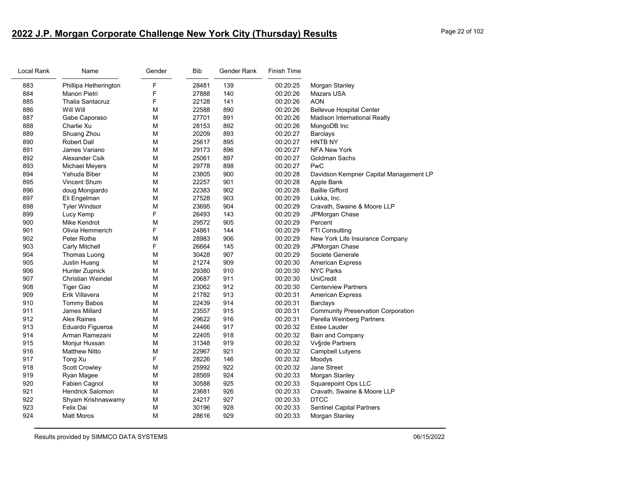# **2022 J.P. Morgan Corporate Challenge New York City (Thursday) Results** Page 22 of 102

| Local Rank | Name                    | Gender | <b>Bib</b> | Gender Rank | <b>Finish Time</b> |                                           |
|------------|-------------------------|--------|------------|-------------|--------------------|-------------------------------------------|
| 883        | Phillipa Hetherington   | F      | 28481      | 139         | 00:20:25           | Morgan Stanley                            |
| 884        | Manon Pietri            | F      | 27888      | 140         | 00:20:26           | Mazars USA                                |
| 885        | <b>Thalia Santacruz</b> | F      | 22128      | 141         | 00:20:26           | AON                                       |
| 886        | Will Will               | М      | 22588      | 890         | 00:20:26           | <b>Bellevue Hospital Center</b>           |
| 887        | Gabe Caporaso           | M      | 27701      | 891         | 00:20:26           | <b>Madison International Realty</b>       |
| 888        | Charlie Xu              | М      | 28153      | 892         | 00:20:26           | MongoDB Inc                               |
| 889        | Shuang Zhou             | М      | 20209      | 893         | 00:20:27           | Barclays                                  |
| 890        | <b>Robert Dall</b>      | М      | 25617      | 895         | 00:20:27           | HNTB NY                                   |
| 891        | James Variano           | М      | 29173      | 896         | 00:20:27           | <b>NFA New York</b>                       |
| 892        | Alexander Csik          | М      | 25061      | 897         | 00:20:27           | Goldman Sachs                             |
| 893        | Michael Meyers          | М      | 29778      | 898         | 00:20:27           | PwC                                       |
| 894        | Yehuda Biber            | М      | 23805      | 900         | 00:20:28           | Davidson Kempner Capital Management LP    |
| 895        | Vincent Shum            | М      | 22257      | 901         | 00:20:28           | Apple Bank                                |
| 896        | doug Mongiardo          | M      | 22383      | 902         | 00:20:28           | <b>Baillie Gifford</b>                    |
| 897        | Eli Engelman            | М      | 27528      | 903         | 00:20:29           | Lukka, Inc.                               |
| 898        | <b>Tyler Windsor</b>    | М      | 23695      | 904         | 00:20:29           | Cravath, Swaine & Moore LLP               |
| 899        | Lucy Kemp               | F      | 26493      | 143         | 00:20:29           | JPMorgan Chase                            |
| 900        | Mike Kendrot            | М      | 29572      | 905         | 00:20:29           | Percent                                   |
| 901        | Olivia Hemmerich        | F      | 24861      | 144         | 00:20:29           | <b>FTI Consulting</b>                     |
| 902        | Peter Rothe             | M      | 28983      | 906         | 00:20:29           | New York Life Insurance Company           |
| 903        | <b>Carly Mitchell</b>   | F      | 26664      | 145         | 00:20:29           | JPMorgan Chase                            |
| 904        | Thomas Luong            | М      | 30428      | 907         | 00:20:29           | Societe Generale                          |
| 905        | Justin Huang            | М      | 21274      | 909         | 00:20:30           | <b>American Express</b>                   |
| 906        | <b>Hunter Zupnick</b>   | М      | 29380      | 910         | 00:20:30           | <b>NYC Parks</b>                          |
| 907        | Christian Weindel       | М      | 20687      | 911         | 00:20:30           | <b>UniCredit</b>                          |
| 908        | Tiger Gao               | М      | 23062      | 912         | 00:20:30           | <b>Centerview Partners</b>                |
| 909        | Erik Villavera          | М      | 21782      | 913         | 00:20:31           | <b>American Express</b>                   |
| 910        | <b>Tommy Babos</b>      | M      | 22439      | 914         | 00:20:31           | <b>Barclays</b>                           |
| 911        | James Millard           | М      | 23557      | 915         | 00:20:31           | <b>Community Preservation Corporation</b> |
| 912        | <b>Alex Raines</b>      | M      | 29622      | 916         | 00:20:31           | Perella Weinberg Partners                 |
| 913        | Eduardo Figueroa        | M      | 24466      | 917         | 00:20:32           | Estee Lauder                              |
| 914        | Arman Ramezani          | М      | 22405      | 918         | 00:20:32           | <b>Bain and Company</b>                   |
| 915        | Monjur Hussan           | М      | 31348      | 919         | 00:20:32           | Vv§rde Partners                           |
| 916        | <b>Matthew Nitto</b>    | М      | 22967      | 921         | 00:20:32           | Campbell Lutyens                          |
| 917        | Tong Xu                 | F      | 28226      | 146         | 00:20:32           | Moodys                                    |
| 918        | <b>Scott Crowley</b>    | М      | 25992      | 922         | 00:20:32           | <b>Jane Street</b>                        |
| 919        | Ryan Magee              | М      | 28569      | 924         | 00:20:33           | Morgan Stanley                            |
| 920        | Fabien Cagnol           | M      | 30588      | 925         | 00:20:33           | Squarepoint Ops LLC                       |
| 921        | <b>Hendrick Salomon</b> | М      | 23681      | 926         | 00:20:33           | Cravath, Swaine & Moore LLP               |
| 922        | Shyam Krishnaswamy      | М      | 24217      | 927         | 00:20:33           | <b>DTCC</b>                               |
| 923        | Felix Dai               | М      | 30196      | 928         | 00:20:33           | <b>Sentinel Capital Partners</b>          |
| 924        | <b>Matt Moros</b>       | М      | 28616      | 929         | 00:20:33           | Morgan Stanley                            |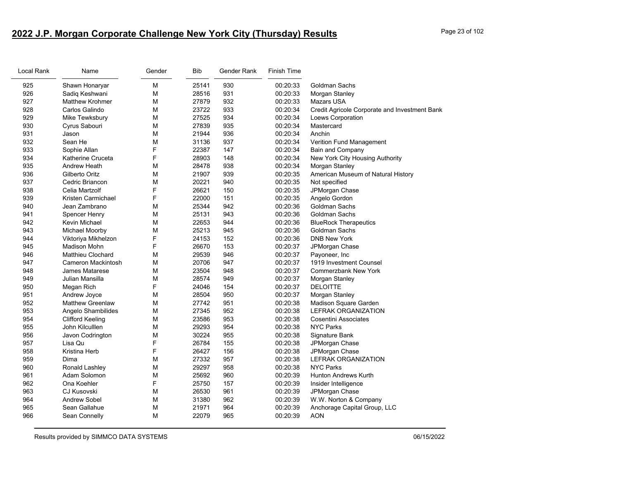# **2022 J.P. Morgan Corporate Challenge New York City (Thursday) Results** Page 23 of 102

| Local Rank | Name                     | Gender | <b>Bib</b> | Gender Rank | <b>Finish Time</b> |                                               |
|------------|--------------------------|--------|------------|-------------|--------------------|-----------------------------------------------|
| 925        | Shawn Honaryar           | М      | 25141      | 930         | 00:20:33           | Goldman Sachs                                 |
| 926        | Sadiq Keshwani           | М      | 28516      | 931         | 00:20:33           | Morgan Stanley                                |
| 927        | <b>Matthew Krohmer</b>   | М      | 27879      | 932         | 00:20:33           | Mazars USA                                    |
| 928        | Carlos Galindo           | М      | 23722      | 933         | 00:20:34           | Credit Agricole Corporate and Investment Bank |
| 929        | Mike Tewksbury           | М      | 27525      | 934         | 00:20:34           | Loews Corporation                             |
| 930        | Cyrus Sabouri            | М      | 27839      | 935         | 00:20:34           | Mastercard                                    |
| 931        | Jason                    | М      | 21944      | 936         | 00:20:34           | Anchin                                        |
| 932        | Sean He                  | М      | 31136      | 937         | 00:20:34           | Verition Fund Management                      |
| 933        | Sophie Allan             | F      | 22387      | 147         | 00:20:34           | <b>Bain and Company</b>                       |
| 934        | Katherine Cruceta        | F      | 28903      | 148         | 00:20:34           | New York City Housing Authority               |
| 935        | Andrew Heath             | М      | 28478      | 938         | 00:20:34           | Morgan Stanley                                |
| 936        | Gilberto Oritz           | М      | 21907      | 939         | 00:20:35           | American Museum of Natural History            |
| 937        | Cedric Briancon          | М      | 20221      | 940         | 00:20:35           | Not specified                                 |
| 938        | Celia Martzolf           | F      | 26621      | 150         | 00:20:35           | JPMorgan Chase                                |
| 939        | Kristen Carmichael       | F      | 22000      | 151         | 00:20:35           | Angelo Gordon                                 |
| 940        | Jean Zambrano            | М      | 25344      | 942         | 00:20:36           | Goldman Sachs                                 |
| 941        | Spencer Henry            | М      | 25131      | 943         | 00:20:36           | Goldman Sachs                                 |
| 942        | Kevin Michael            | М      | 22653      | 944         | 00:20:36           | <b>BlueRock Therapeutics</b>                  |
| 943        | Michael Moorby           | М      | 25213      | 945         | 00:20:36           | <b>Goldman Sachs</b>                          |
| 944        | Viktoriya Mikhelzon      | F      | 24153      | 152         | 00:20:36           | <b>DNB New York</b>                           |
| 945        | Madison Mohn             | F      | 26670      | 153         | 00:20:37           | JPMorgan Chase                                |
| 946        | <b>Matthieu Clochard</b> | М      | 29539      | 946         | 00:20:37           | Payoneer, Inc                                 |
| 947        | Cameron Mackintosh       | М      | 20706      | 947         | 00:20:37           | 1919 Investment Counsel                       |
| 948        | James Matarese           | М      | 23504      | 948         | 00:20:37           | <b>Commerzbank New York</b>                   |
| 949        | Julian Mansilla          | М      | 28574      | 949         | 00:20:37           | Morgan Stanley                                |
| 950        | Megan Rich               | F      | 24046      | 154         | 00:20:37           | <b>DELOITTE</b>                               |
| 951        | Andrew Joyce             | М      | 28504      | 950         | 00:20:37           | Morgan Stanley                                |
| 952        | <b>Matthew Greenlaw</b>  | М      | 27742      | 951         | 00:20:38           | Madison Square Garden                         |
| 953        | Angelo Shambilides       | М      | 27345      | 952         | 00:20:38           | <b>LEFRAK ORGANIZATION</b>                    |
| 954        | <b>Clifford Keeling</b>  | М      | 23586      | 953         | 00:20:38           | Cosentini Associates                          |
| 955        | John Kilculllen          | М      | 29293      | 954         | 00:20:38           | <b>NYC Parks</b>                              |
| 956        | Javon Codrington         | М      | 30224      | 955         | 00:20:38           | Signature Bank                                |
| 957        | Lisa Qu                  | F      | 26784      | 155         | 00:20:38           | JPMorgan Chase                                |
| 958        | Kristina Herb            | F      | 26427      | 156         | 00:20:38           | JPMorgan Chase                                |
| 959        | Dima                     | M      | 27332      | 957         | 00:20:38           | <b>LEFRAK ORGANIZATION</b>                    |
| 960        | Ronald Lashley           | М      | 29297      | 958         | 00:20:38           | <b>NYC Parks</b>                              |
| 961        | Adam Solomon             | М      | 25692      | 960         | 00:20:39           | Hunton Andrews Kurth                          |
| 962        | Ona Koehler              | F      | 25750      | 157         | 00:20:39           | Insider Intelligence                          |
| 963        | <b>CJ Kusovski</b>       | М      | 26530      | 961         | 00:20:39           | JPMorgan Chase                                |
| 964        | <b>Andrew Sobel</b>      | М      | 31380      | 962         | 00:20:39           | W.W. Norton & Company                         |
| 965        | Sean Gallahue            | М      | 21971      | 964         | 00:20:39           | Anchorage Capital Group, LLC                  |
| 966        | Sean Connelly            | М      | 22079      | 965         | 00:20:39           | <b>AON</b>                                    |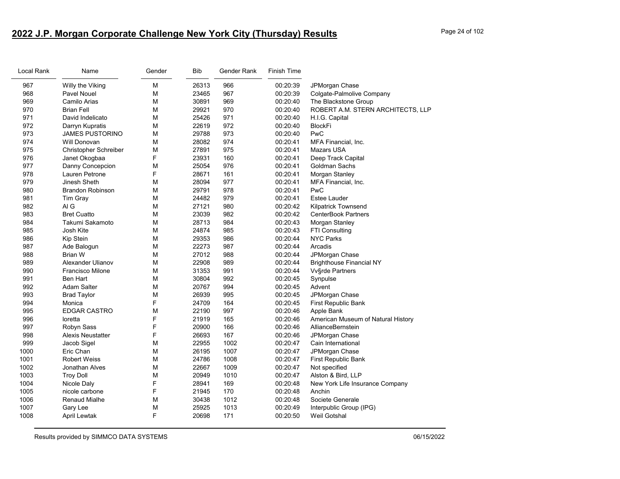# **2022 J.P. Morgan Corporate Challenge New York City (Thursday) Results** Page 24 of 102

| Local Rank | Name                     | Gender | <b>Bib</b> | Gender Rank | <b>Finish Time</b> |                                    |
|------------|--------------------------|--------|------------|-------------|--------------------|------------------------------------|
| 967        | Willy the Viking         | M      | 26313      | 966         | 00:20:39           | JPMorgan Chase                     |
| 968        | Pavel Nouel              | M      | 23465      | 967         | 00:20:39           | Colgate-Palmolive Company          |
| 969        | Camilo Arias             | M      | 30891      | 969         | 00:20:40           | The Blackstone Group               |
| 970        | <b>Brian Fell</b>        | M      | 29921      | 970         | 00:20:40           | ROBERT A.M. STERN ARCHITECTS, LLP  |
| 971        | David Indelicato         | M      | 25426      | 971         | 00:20:40           | H.I.G. Capital                     |
| 972        | Darryn Kupratis          | M      | 22619      | 972         | 00:20:40           | <b>BlockFi</b>                     |
| 973        | <b>JAMES PUSTORINO</b>   | M      | 29788      | 973         | 00:20:40           | PwC                                |
| 974        | Will Donovan             | M      | 28082      | 974         | 00:20:41           | MFA Financial, Inc.                |
| 975        | Christopher Schreiber    | M      | 27891      | 975         | 00:20:41           | <b>Mazars USA</b>                  |
| 976        | Janet Okogbaa            | F      | 23931      | 160         | 00:20:41           | Deep Track Capital                 |
| 977        | Danny Concepcion         | M      | 25054      | 976         | 00:20:41           | Goldman Sachs                      |
| 978        | Lauren Petrone           | F      | 28671      | 161         | 00:20:41           | Morgan Stanley                     |
| 979        | Jinesh Sheth             | M      | 28094      | 977         | 00:20:41           | MFA Financial, Inc.                |
| 980        | <b>Brandon Robinson</b>  | M      | 29791      | 978         | 00:20:41           | PwC                                |
| 981        | Tim Gray                 | M      | 24482      | 979         | 00:20:41           | <b>Estee Lauder</b>                |
| 982        | AI G                     | M      | 27121      | 980         | 00:20:42           | <b>Kilpatrick Townsend</b>         |
| 983        | <b>Bret Cuatto</b>       | M      | 23039      | 982         | 00:20:42           | <b>CenterBook Partners</b>         |
| 984        | Takumi Sakamoto          | M      | 28713      | 984         | 00:20:43           | Morgan Stanley                     |
| 985        | Josh Kite                | M      | 24874      | 985         | 00:20:43           | FTI Consulting                     |
| 986        | Kip Stein                | M      | 29353      | 986         | 00:20:44           | <b>NYC Parks</b>                   |
| 987        | Ade Balogun              | M      | 22273      | 987         | 00:20:44           | Arcadis                            |
| 988        | <b>Brian W</b>           | M      | 27012      | 988         | 00:20:44           | JPMorgan Chase                     |
| 989        | Alexander Ulianov        | M      | 22908      | 989         | 00:20:44           | <b>Brighthouse Financial NY</b>    |
| 990        | Francisco Milone         | M      | 31353      | 991         | 00:20:44           | <b>Vv</b> §rde Partners            |
| 991        | <b>Ben Hart</b>          | M      | 30804      | 992         | 00:20:45           | Synpulse                           |
| 992        | <b>Adam Salter</b>       | M      | 20767      | 994         | 00:20:45           | Advent                             |
| 993        | <b>Brad Taylor</b>       | M      | 26939      | 995         | 00:20:45           | JPMorgan Chase                     |
| 994        | Monica                   | F      | 24709      | 164         | 00:20:45           | First Republic Bank                |
| 995        | <b>EDGAR CASTRO</b>      | M      | 22190      | 997         | 00:20:46           | Apple Bank                         |
| 996        | loretta                  | F      | 21919      | 165         | 00:20:46           | American Museum of Natural History |
| 997        | Robyn Sass               | F      | 20900      | 166         | 00:20:46           | AllianceBernstein                  |
| 998        | <b>Alexis Neustatter</b> | F      | 26693      | 167         | 00:20:46           | JPMorgan Chase                     |
| 999        | Jacob Sigel              | M      | 22955      | 1002        | 00:20:47           | Cain International                 |
| 1000       | Eric Chan                | M      | 26195      | 1007        | 00:20:47           | JPMorgan Chase                     |
| 1001       | <b>Robert Weiss</b>      | M      | 24786      | 1008        | 00:20:47           | First Republic Bank                |
| 1002       | Jonathan Alves           | M      | 22667      | 1009        | 00:20:47           | Not specified                      |
| 1003       | <b>Troy Doll</b>         | M      | 20949      | 1010        | 00:20:47           | Alston & Bird, LLP                 |
| 1004       | Nicole Daly              | F      | 28941      | 169         | 00:20:48           | New York Life Insurance Company    |
| 1005       | nicole carbone           | F      | 21945      | 170         | 00:20:48           | Anchin                             |
| 1006       | <b>Renaud Mialhe</b>     | M      | 30438      | 1012        | 00:20:48           | Societe Generale                   |
| 1007       | Gary Lee                 | M      | 25925      | 1013        | 00:20:49           | Interpublic Group (IPG)            |
| 1008       | April Lewtak             | F      | 20698      | 171         | 00:20:50           | Weil Gotshal                       |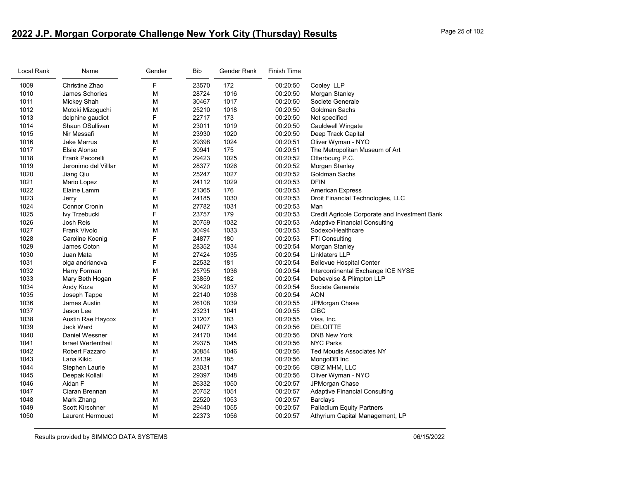# **2022 J.P. Morgan Corporate Challenge New York City (Thursday) Results** Page 25 of 102

| Local Rank | Name                      | Gender | <b>Bib</b> | Gender Rank | <b>Finish Time</b> |                                               |
|------------|---------------------------|--------|------------|-------------|--------------------|-----------------------------------------------|
| 1009       | Christine Zhao            | F      | 23570      | 172         | 00:20:50           | Cooley LLP                                    |
| 1010       | James Schories            | М      | 28724      | 1016        | 00:20:50           | Morgan Stanley                                |
| 1011       | Mickey Shah               | М      | 30467      | 1017        | 00:20:50           | Societe Generale                              |
| 1012       | Motoki Mizoguchi          | M      | 25210      | 1018        | 00:20:50           | Goldman Sachs                                 |
| 1013       | delphine gaudiot          | F      | 22717      | 173         | 00:20:50           | Not specified                                 |
| 1014       | Shaun OSullivan           | М      | 23011      | 1019        | 00:20:50           | Cauldwell Wingate                             |
| 1015       | Nir Messafi               | M      | 23930      | 1020        | 00:20:50           | Deep Track Capital                            |
| 1016       | <b>Jake Marrus</b>        | M      | 29398      | 1024        | 00:20:51           | Oliver Wyman - NYO                            |
| 1017       | Elsie Alonso              | F      | 30941      | 175         | 00:20:51           | The Metropolitan Museum of Art                |
| 1018       | Frank Pecorelli           | М      | 29423      | 1025        | 00:20:52           | Otterbourg P.C.                               |
| 1019       | Jeronimo del Villlar      | M      | 28377      | 1026        | 00:20:52           | Morgan Stanley                                |
| 1020       | Jiang Qiu                 | М      | 25247      | 1027        | 00:20:52           | Goldman Sachs                                 |
| 1021       | Mario Lopez               | М      | 24112      | 1029        | 00:20:53           | <b>DFIN</b>                                   |
| 1022       | Elaine Lamm               | F      | 21365      | 176         | 00:20:53           | <b>American Express</b>                       |
| 1023       | Jerry                     | M      | 24185      | 1030        | 00:20:53           | Droit Financial Technologies, LLC             |
| 1024       | <b>Connor Cronin</b>      | M      | 27782      | 1031        | 00:20:53           | Man                                           |
| 1025       | lvy Trzebucki             | F      | 23757      | 179         | 00:20:53           | Credit Agricole Corporate and Investment Bank |
| 1026       | Josh Reis                 | M      | 20759      | 1032        | 00:20:53           | <b>Adaptive Financial Consulting</b>          |
| 1027       | Frank Vivolo              | М      | 30494      | 1033        | 00:20:53           | Sodexo/Healthcare                             |
| 1028       | Caroline Koenig           | F      | 24877      | 180         | 00:20:53           | FTI Consulting                                |
| 1029       | James Coton               | M      | 28352      | 1034        | 00:20:54           | Morgan Stanley                                |
| 1030       | Juan Mata                 | M      | 27424      | 1035        | 00:20:54           | <b>Linklaters LLP</b>                         |
| 1031       | olga andrianova           | F      | 22532      | 181         | 00:20:54           | <b>Bellevue Hospital Center</b>               |
| 1032       | Harry Forman              | M      | 25795      | 1036        | 00:20:54           | Intercontinental Exchange ICE NYSE            |
| 1033       | Mary Beth Hogan           | F      | 23859      | 182         | 00:20:54           | Debevoise & Plimpton LLP                      |
| 1034       | Andy Koza                 | M      | 30420      | 1037        | 00:20:54           | Societe Generale                              |
| 1035       | Joseph Tappe              | M      | 22140      | 1038        | 00:20:54           | <b>AON</b>                                    |
| 1036       | James Austin              | M      | 26108      | 1039        | 00:20:55           | JPMorgan Chase                                |
| 1037       | Jason Lee                 | М      | 23231      | 1041        | 00:20:55           | <b>CIBC</b>                                   |
| 1038       | Austin Rae Haycox         | F      | 31207      | 183         | 00:20:55           | Visa, Inc.                                    |
| 1039       | Jack Ward                 | M      | 24077      | 1043        | 00:20:56           | <b>DELOITTE</b>                               |
| 1040       | Daniel Wessner            | M      | 24170      | 1044        | 00:20:56           | <b>DNB New York</b>                           |
| 1041       | <b>Israel Wertentheil</b> | М      | 29375      | 1045        | 00:20:56           | <b>NYC Parks</b>                              |
| 1042       | Robert Fazzaro            | М      | 30854      | 1046        | 00:20:56           | <b>Ted Moudis Associates NY</b>               |
| 1043       | Lana Kikic                | F      | 28139      | 185         | 00:20:56           | MongoDB Inc                                   |
| 1044       | Stephen Laurie            | M      | 23031      | 1047        | 00:20:56           | CBIZ MHM, LLC                                 |
| 1045       | Deepak Kollali            | M      | 29397      | 1048        | 00:20:56           | Oliver Wyman - NYO                            |
| 1046       | Aidan F                   | M      | 26332      | 1050        | 00:20:57           | JPMorgan Chase                                |
| 1047       | Ciaran Brennan            | M      | 20752      | 1051        | 00:20:57           | <b>Adaptive Financial Consulting</b>          |
| 1048       | Mark Zhang                | М      | 22520      | 1053        | 00:20:57           | Barclays                                      |
| 1049       | <b>Scott Kirschner</b>    | М      | 29440      | 1055        | 00:20:57           | <b>Palladium Equity Partners</b>              |
| 1050       | <b>Laurent Hermouet</b>   | М      | 22373      | 1056        | 00:20:57           | Athyrium Capital Management, LP               |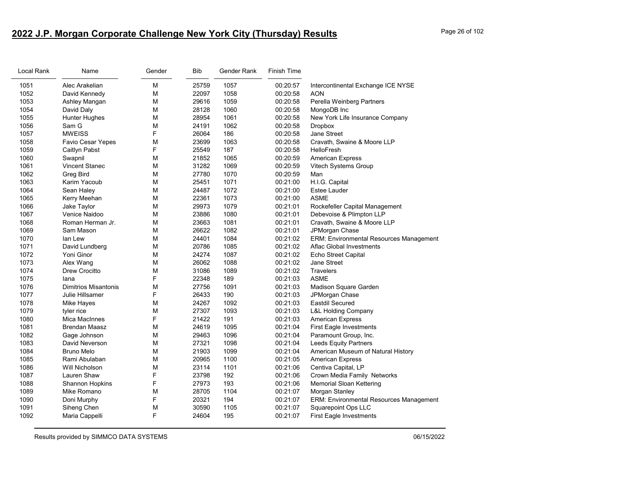# **2022 J.P. Morgan Corporate Challenge New York City (Thursday) Results** Page 26 of 102

| Local Rank | Name                        | Gender | <b>Bib</b> | Gender Rank | <b>Finish Time</b> |                                                |
|------------|-----------------------------|--------|------------|-------------|--------------------|------------------------------------------------|
| 1051       | Alec Arakelian              | M      | 25759      | 1057        | 00:20:57           | Intercontinental Exchange ICE NYSE             |
| 1052       | David Kennedy               | M      | 22097      | 1058        | 00:20:58           | <b>AON</b>                                     |
| 1053       | Ashley Mangan               | M      | 29616      | 1059        | 00:20:58           | Perella Weinberg Partners                      |
| 1054       | David Daly                  | M      | 28128      | 1060        | 00:20:58           | MongoDB Inc                                    |
| 1055       | <b>Hunter Hughes</b>        | M      | 28954      | 1061        | 00:20:58           | New York Life Insurance Company                |
| 1056       | Sam G                       | M      | 24191      | 1062        | 00:20:58           | <b>Dropbox</b>                                 |
| 1057       | <b>MWEISS</b>               | F      | 26064      | 186         | 00:20:58           | Jane Street                                    |
| 1058       | Favio Cesar Yepes           | M      | 23699      | 1063        | 00:20:58           | Cravath, Swaine & Moore LLP                    |
| 1059       | Caitlyn Pabst               | F      | 25549      | 187         | 00:20:58           | <b>HelloFresh</b>                              |
| 1060       | Swapnil                     | M      | 21852      | 1065        | 00:20:59           | <b>American Express</b>                        |
| 1061       | <b>Vincent Stanec</b>       | M      | 31282      | 1069        | 00:20:59           | Vitech Systems Group                           |
| 1062       | Greg Bird                   | M      | 27780      | 1070        | 00:20:59           | Man                                            |
| 1063       | Karim Yacoub                | M      | 25451      | 1071        | 00:21:00           | H.I.G. Capital                                 |
| 1064       | Sean Haley                  | M      | 24487      | 1072        | 00:21:00           | <b>Estee Lauder</b>                            |
| 1065       | Kerry Meehan                | M      | 22361      | 1073        | 00:21:00           | <b>ASME</b>                                    |
| 1066       | Jake Taylor                 | м      | 29973      | 1079        | 00:21:01           | Rockefeller Capital Management                 |
| 1067       | Venice Naidoo               | M      | 23886      | 1080        | 00:21:01           | Debevoise & Plimpton LLP                       |
| 1068       | Roman Herman Jr.            | M      | 23663      | 1081        | 00:21:01           | Cravath, Swaine & Moore LLP                    |
| 1069       | Sam Mason                   | M      | 26622      | 1082        | 00:21:01           | JPMorgan Chase                                 |
| 1070       | lan Lew                     | M      | 24401      | 1084        | 00:21:02           | <b>ERM: Environmental Resources Management</b> |
| 1071       | David Lundberg              | M      | 20786      | 1085        | 00:21:02           | Aflac Global Investments                       |
| 1072       | Yoni Ginor                  | M      | 24274      | 1087        | 00:21:02           | Echo Street Capital                            |
| 1073       | Alex Wang                   | M      | 26062      | 1088        | 00:21:02           | Jane Street                                    |
| 1074       | Drew Crocitto               | M      | 31086      | 1089        | 00:21:02           | Travelers                                      |
| 1075       | lana                        | F      | 22348      | 189         | 00:21:03           | <b>ASME</b>                                    |
| 1076       | <b>Dimitrios Misantonis</b> | M      | 27756      | 1091        | 00:21:03           | Madison Square Garden                          |
| 1077       | Julie Hillsamer             | F      | 26433      | 190         | 00:21:03           | JPMorgan Chase                                 |
| 1078       | Mike Hayes                  | M      | 24267      | 1092        | 00:21:03           | <b>Eastdil Secured</b>                         |
| 1079       | tyler rice                  | M      | 27307      | 1093        | 00:21:03           | <b>L&amp;L Holding Company</b>                 |
| 1080       | Mica MacInnes               | F      | 21422      | 191         | 00:21:03           | <b>American Express</b>                        |
| 1081       | <b>Brendan Maasz</b>        | M      | 24619      | 1095        | 00:21:04           | <b>First Eagle Investments</b>                 |
| 1082       | Gage Johnson                | M      | 29463      | 1096        | 00:21:04           | Paramount Group, Inc.                          |
| 1083       | David Neverson              | M      | 27321      | 1098        | 00:21:04           | <b>Leeds Equity Partners</b>                   |
| 1084       | <b>Bruno Melo</b>           | M      | 21903      | 1099        | 00:21:04           | American Museum of Natural History             |
| 1085       | Rami Abulaban               | M      | 20965      | 1100        | 00:21:05           | <b>American Express</b>                        |
| 1086       | Will Nicholson              | M      | 23114      | 1101        | 00:21:06           | Centiva Capital, LP                            |
| 1087       | Lauren Shaw                 | F      | 23798      | 192         | 00:21:06           | Crown Media Family Networks                    |
| 1088       | <b>Shannon Hopkins</b>      | F      | 27973      | 193         | 00:21:06           | <b>Memorial Sloan Kettering</b>                |
| 1089       | Mike Romano                 | M      | 28705      | 1104        | 00:21:07           | Morgan Stanley                                 |
| 1090       | Doni Murphy                 | F      | 20321      | 194         | 00:21:07           | <b>ERM: Environmental Resources Management</b> |
| 1091       | Siheng Chen                 | M      | 30590      | 1105        | 00:21:07           | <b>Squarepoint Ops LLC</b>                     |
| 1092       | Maria Cappelli              | F      | 24604      | 195         | 00:21:07           | <b>First Eagle Investments</b>                 |
|            |                             |        |            |             |                    |                                                |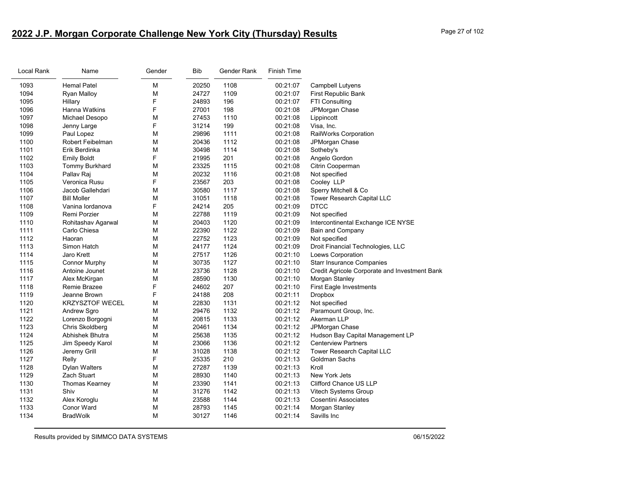# **2022 J.P. Morgan Corporate Challenge New York City (Thursday) Results** Page 27 of 102

| Local Rank | Name                   | Gender | Bib   | Gender Rank | Finish Time |                                               |
|------------|------------------------|--------|-------|-------------|-------------|-----------------------------------------------|
| 1093       | <b>Hemal Patel</b>     | М      | 20250 | 1108        | 00:21:07    | Campbell Lutyens                              |
| 1094       | <b>Ryan Malloy</b>     | M      | 24727 | 1109        | 00:21:07    | First Republic Bank                           |
| 1095       | Hillary                | F      | 24893 | 196         | 00:21:07    | FTI Consulting                                |
| 1096       | Hanna Watkins          | F      | 27001 | 198         | 00:21:08    | JPMorgan Chase                                |
| 1097       | Michael Desopo         | M      | 27453 | 1110        | 00:21:08    | Lippincott                                    |
| 1098       | Jenny Large            | F      | 31214 | 199         | 00:21:08    | Visa, Inc.                                    |
| 1099       | Paul Lopez             | M      | 29896 | 1111        | 00:21:08    | RailWorks Corporation                         |
| 1100       | Robert Feibelman       | M      | 20436 | 1112        | 00:21:08    | JPMorgan Chase                                |
| 1101       | Erik Berdinka          | M      | 30498 | 1114        | 00:21:08    | Sotheby's                                     |
| 1102       | <b>Emily Boldt</b>     | F.     | 21995 | 201         | 00:21:08    | Angelo Gordon                                 |
| 1103       | Tommy Burkhard         | M      | 23325 | 1115        | 00:21:08    | Citrin Cooperman                              |
| 1104       | Pallav Raj             | M      | 20232 | 1116        | 00:21:08    | Not specified                                 |
| 1105       | Veronica Rusu          | F      | 23567 | 203         | 00:21:08    | Cooley LLP                                    |
| 1106       | Jacob Gallehdari       | М      | 30580 | 1117        | 00:21:08    | Sperry Mitchell & Co                          |
| 1107       | <b>Bill Moller</b>     | М      | 31051 | 1118        | 00:21:08    | Tower Research Capital LLC                    |
| 1108       | Vanina lordanova       | F.     | 24214 | 205         | 00:21:09    | <b>DTCC</b>                                   |
| 1109       | Remi Porzier           | M      | 22788 | 1119        | 00:21:09    | Not specified                                 |
| 1110       | Rohitashav Agarwal     | М      | 20403 | 1120        | 00:21:09    | Intercontinental Exchange ICE NYSE            |
| 1111       | Carlo Chiesa           | М      | 22390 | 1122        | 00:21:09    | Bain and Company                              |
| 1112       | Haoran                 | М      | 22752 | 1123        | 00:21:09    | Not specified                                 |
| 1113       | Simon Hatch            | M      | 24177 | 1124        | 00:21:09    | Droit Financial Technologies, LLC             |
| 1114       | Jaro Krett             | M      | 27517 | 1126        | 00:21:10    | Loews Corporation                             |
| 1115       | <b>Connor Murphy</b>   | М      | 30735 | 1127        | 00:21:10    | <b>Starr Insurance Companies</b>              |
| 1116       | Antoine Jounet         | M      | 23736 | 1128        | 00:21:10    | Credit Agricole Corporate and Investment Bank |
| 1117       | Alex McKirgan          | M      | 28590 | 1130        | 00:21:10    | Morgan Stanley                                |
| 1118       | Remie Brazee           | F      | 24602 | 207         | 00:21:10    | <b>First Eagle Investments</b>                |
| 1119       | Jeanne Brown           | F      | 24188 | 208         | 00:21:11    | <b>Dropbox</b>                                |
| 1120       | <b>KRZYSZTOF WECEL</b> | М      | 22830 | 1131        | 00:21:12    | Not specified                                 |
| 1121       | Andrew Sgro            | M      | 29476 | 1132        | 00:21:12    | Paramount Group, Inc.                         |
| 1122       | Lorenzo Borgogni       | M      | 20815 | 1133        | 00:21:12    | Akerman LLP                                   |
| 1123       | Chris Skoldberg        | М      | 20461 | 1134        | 00:21:12    | JPMorgan Chase                                |
| 1124       | Abhishek Bhutra        | M      | 25638 | 1135        | 00:21:12    | Hudson Bay Capital Management LP              |
| 1125       | Jim Speedy Karol       | М      | 23066 | 1136        | 00:21:12    | <b>Centerview Partners</b>                    |
| 1126       | Jeremy Grill           | М      | 31028 | 1138        | 00:21:12    | Tower Research Capital LLC                    |
| 1127       | Relly                  | F      | 25335 | 210         | 00:21:13    | <b>Goldman Sachs</b>                          |
| 1128       | <b>Dylan Walters</b>   | М      | 27287 | 1139        | 00:21:13    | Kroll                                         |
| 1129       | Zach Stuart            | М      | 28930 | 1140        | 00:21:13    | New York Jets                                 |
| 1130       | Thomas Kearney         | М      | 23390 | 1141        | 00:21:13    | Clifford Chance US LLP                        |
| 1131       | Shiv                   | M      | 31276 | 1142        | 00:21:13    | Vitech Systems Group                          |
| 1132       | Alex Koroglu           | M      | 23588 | 1144        | 00:21:13    | <b>Cosentini Associates</b>                   |
| 1133       | Conor Ward             | м      | 28793 | 1145        | 00:21:14    | Morgan Stanley                                |
| 1134       | <b>BradWolk</b>        | М      | 30127 | 1146        | 00:21:14    | Savills Inc                                   |
|            |                        |        |       |             |             |                                               |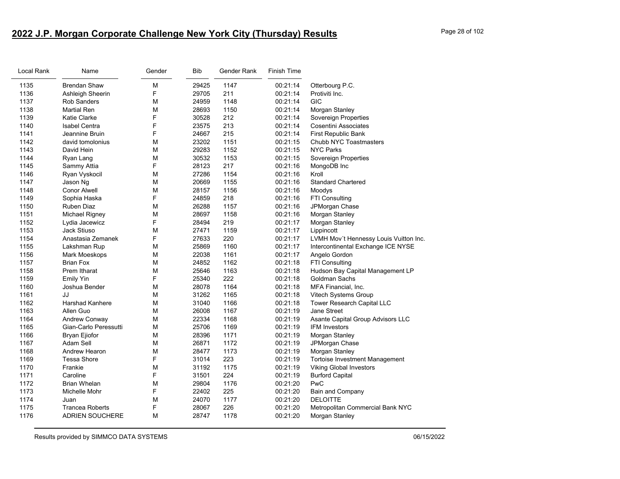# **2022 J.P. Morgan Corporate Challenge New York City (Thursday) Results** Page 28 of 102

| Local Rank | Name                   | Gender | <b>Bib</b> | Gender Rank | Finish Time |                                        |
|------------|------------------------|--------|------------|-------------|-------------|----------------------------------------|
| 1135       | <b>Brendan Shaw</b>    | М      | 29425      | 1147        | 00:21:14    | Otterbourg P.C.                        |
| 1136       | Ashleigh Sheerin       | F      | 29705      | 211         | 00:21:14    | Protiviti Inc.                         |
| 1137       | <b>Rob Sanders</b>     | М      | 24959      | 1148        | 00:21:14    | GIC                                    |
| 1138       | <b>Martial Ren</b>     | М      | 28693      | 1150        | 00:21:14    | Morgan Stanley                         |
| 1139       | Katie Clarke           | F      | 30528      | 212         | 00:21:14    | Sovereign Properties                   |
| 1140       | <b>Isabel Centra</b>   | F      | 23575      | 213         | 00:21:14    | <b>Cosentini Associates</b>            |
| 1141       | Jeannine Bruin         | F      | 24667      | 215         | 00:21:14    | First Republic Bank                    |
| 1142       | david tomolonius       | M      | 23202      | 1151        | 00:21:15    | Chubb NYC Toastmasters                 |
| 1143       | David Hein             | М      | 29283      | 1152        | 00:21:15    | <b>NYC Parks</b>                       |
| 1144       | Ryan Lang              | М      | 30532      | 1153        | 00:21:15    | Sovereign Properties                   |
| 1145       | Sammy Attia            | F      | 28123      | 217         | 00:21:16    | MongoDB Inc                            |
| 1146       | Ryan Vyskocil          | M      | 27286      | 1154        | 00:21:16    | Kroll                                  |
| 1147       | Jason Ng               | М      | 20669      | 1155        | 00:21:16    | <b>Standard Chartered</b>              |
| 1148       | <b>Conor Alwell</b>    | M      | 28157      | 1156        | 00:21:16    | Moodys                                 |
| 1149       | Sophia Haska           | F      | 24859      | 218         | 00:21:16    | FTI Consulting                         |
| 1150       | Ruben Diaz             | М      | 26288      | 1157        | 00:21:16    | JPMorgan Chase                         |
| 1151       | <b>Michael Rigney</b>  | M      | 28697      | 1158        | 00:21:16    | Morgan Stanley                         |
| 1152       | Lydia Jacewicz         | F      | 28494      | 219         | 00:21:17    | Morgan Stanley                         |
| 1153       | <b>Jack Stiuso</b>     | М      | 27471      | 1159        | 00:21:17    | Lippincott                             |
| 1154       | Anastasia Zemanek      | F      | 27633      | 220         | 00:21:17    | LVMH Mov't Hennessy Louis Vuitton Inc. |
| 1155       | Lakshman Rup           | M      | 25869      | 1160        | 00:21:17    | Intercontinental Exchange ICE NYSE     |
| 1156       | Mark Moeskops          | М      | 22038      | 1161        | 00:21:17    | Angelo Gordon                          |
| 1157       | <b>Brian Fox</b>       | M      | 24852      | 1162        | 00:21:18    | <b>FTI Consulting</b>                  |
| 1158       | Prem Itharat           | М      | 25646      | 1163        | 00:21:18    | Hudson Bay Capital Management LP       |
| 1159       | <b>Emily Yin</b>       | F      | 25340      | 222         | 00:21:18    | Goldman Sachs                          |
| 1160       | Joshua Bender          | М      | 28078      | 1164        | 00:21:18    | MFA Financial, Inc.                    |
| 1161       | JJ                     | М      | 31262      | 1165        | 00:21:18    | Vitech Systems Group                   |
| 1162       | <b>Harshad Kanhere</b> | M      | 31040      | 1166        | 00:21:18    | Tower Research Capital LLC             |
| 1163       | Allen Guo              | М      | 26008      | 1167        | 00:21:19    | Jane Street                            |
| 1164       | Andrew Conway          | М      | 22334      | 1168        | 00:21:19    | Asante Capital Group Advisors LLC      |
| 1165       | Gian-Carlo Peressutti  | М      | 25706      | 1169        | 00:21:19    | <b>IFM Investors</b>                   |
| 1166       | Bryan Ejiofor          | М      | 28396      | 1171        | 00:21:19    | Morgan Stanley                         |
| 1167       | Adam Sell              | M      | 26871      | 1172        | 00:21:19    | JPMorgan Chase                         |
| 1168       | Andrew Hearon          | M      | 28477      | 1173        | 00:21:19    | Morgan Stanley                         |
| 1169       | <b>Tessa Shore</b>     | F      | 31014      | 223         | 00:21:19    | <b>Tortoise Investment Management</b>  |
| 1170       | Frankie                | М      | 31192      | 1175        | 00:21:19    | <b>Viking Global Investors</b>         |
| 1171       | Caroline               | F      | 31501      | 224         | 00:21:19    | <b>Burford Capital</b>                 |
| 1172       | <b>Brian Whelan</b>    | М      | 29804      | 1176        | 00:21:20    | PwC                                    |
| 1173       | Michelle Mohr          | F      | 22402      | 225         | 00:21:20    | Bain and Company                       |
| 1174       | Juan                   | М      | 24070      | 1177        | 00:21:20    | <b>DELOITTE</b>                        |
| 1175       | <b>Trancea Roberts</b> | F      | 28067      | 226         | 00:21:20    | Metropolitan Commercial Bank NYC       |
| 1176       | <b>ADRIEN SOUCHERE</b> | М      | 28747      | 1178        | 00:21:20    | Morgan Stanley                         |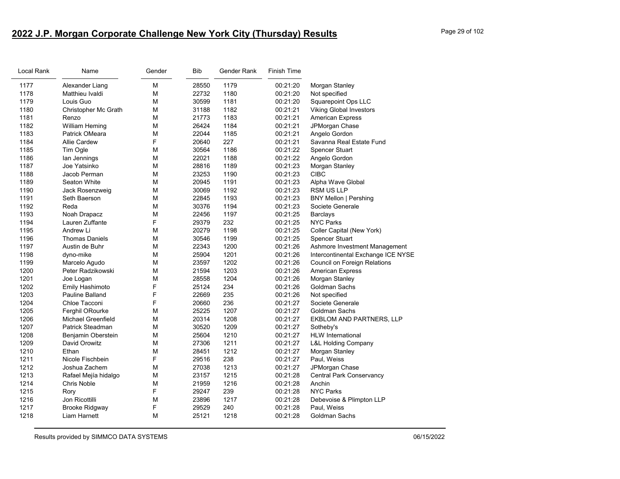# **2022 J.P. Morgan Corporate Challenge New York City (Thursday) Results** Page 29 of 102

| Local Rank | Name                      | Gender | <b>Bib</b> | Gender Rank | Finish Time |                                    |
|------------|---------------------------|--------|------------|-------------|-------------|------------------------------------|
| 1177       | Alexander Liang           | M      | 28550      | 1179        | 00:21:20    | Morgan Stanley                     |
| 1178       | Matthieu Ivaldi           | М      | 22732      | 1180        | 00:21:20    | Not specified                      |
| 1179       | Louis Guo                 | M      | 30599      | 1181        | 00:21:20    | Squarepoint Ops LLC                |
| 1180       | Christopher Mc Grath      | M      | 31188      | 1182        | 00:21:21    | <b>Viking Global Investors</b>     |
| 1181       | Renzo                     | М      | 21773      | 1183        | 00:21:21    | <b>American Express</b>            |
| 1182       | William Heming            | M      | 26424      | 1184        | 00:21:21    | JPMorgan Chase                     |
| 1183       | Patrick OMeara            | M      | 22044      | 1185        | 00:21:21    | Angelo Gordon                      |
| 1184       | <b>Allie Cardew</b>       | F      | 20640      | 227         | 00:21:21    | Savanna Real Estate Fund           |
| 1185       | Tim Ogle                  | М      | 30564      | 1186        | 00:21:22    | <b>Spencer Stuart</b>              |
| 1186       | lan Jennings              | M      | 22021      | 1188        | 00:21:22    | Angelo Gordon                      |
| 1187       | Joe Yatsinko              | M      | 28816      | 1189        | 00:21:23    | Morgan Stanley                     |
| 1188       | Jacob Perman              | M      | 23253      | 1190        | 00:21:23    | <b>CIBC</b>                        |
| 1189       | Seaton White              | M      | 20945      | 1191        | 00:21:23    | Alpha Wave Global                  |
| 1190       | Jack Rosenzweig           | M      | 30069      | 1192        | 00:21:23    | <b>RSM US LLP</b>                  |
| 1191       | Seth Baerson              | M      | 22845      | 1193        | 00:21:23    | <b>BNY Mellon   Pershing</b>       |
| 1192       | Reda                      | М      | 30376      | 1194        | 00:21:23    | Societe Generale                   |
| 1193       | Noah Drapacz              | M      | 22456      | 1197        | 00:21:25    | <b>Barclays</b>                    |
| 1194       | Lauren Zuffante           | F      | 29379      | 232         | 00:21:25    | <b>NYC Parks</b>                   |
| 1195       | Andrew Li                 | М      | 20279      | 1198        | 00:21:25    | Coller Capital (New York)          |
| 1196       | <b>Thomas Daniels</b>     | M      | 30546      | 1199        | 00:21:25    | <b>Spencer Stuart</b>              |
| 1197       | Austin de Buhr            | M      | 22343      | 1200        | 00:21:26    | Ashmore Investment Management      |
| 1198       | dyno-mike                 | М      | 25904      | 1201        | 00:21:26    | Intercontinental Exchange ICE NYSE |
| 1199       | Marcelo Agudo             | M      | 23597      | 1202        | 00:21:26    | Council on Foreign Relations       |
| 1200       | Peter Radzikowski         | M      | 21594      | 1203        | 00:21:26    | <b>American Express</b>            |
| 1201       | Joe Logan                 | M      | 28558      | 1204        | 00:21:26    | Morgan Stanley                     |
| 1202       | Emily Hashimoto           | F      | 25124      | 234         | 00:21:26    | Goldman Sachs                      |
| 1203       | <b>Pauline Balland</b>    | F      | 22669      | 235         | 00:21:26    | Not specified                      |
| 1204       | Chloe Tacconi             | F      | 20660      | 236         | 00:21:27    | Societe Generale                   |
| 1205       | Ferghil ORourke           | M      | 25225      | 1207        | 00:21:27    | Goldman Sachs                      |
| 1206       | <b>Michael Greenfield</b> | M      | 20314      | 1208        | 00:21:27    | EKBLOM AND PARTNERS, LLP           |
| 1207       | Patrick Steadman          | M      | 30520      | 1209        | 00:21:27    | Sotheby's                          |
| 1208       | Benjamin Oberstein        | M      | 25604      | 1210        | 00:21:27    | <b>HLW</b> International           |
| 1209       | David Orowitz             | M      | 27306      | 1211        | 00:21:27    | <b>L&amp;L Holding Company</b>     |
| 1210       | Ethan                     | М      | 28451      | 1212        | 00:21:27    | Morgan Stanley                     |
| 1211       | Nicole Fischbein          | F      | 29516      | 238         | 00:21:27    | Paul, Weiss                        |
| 1212       | Joshua Zachem             | M      | 27038      | 1213        | 00:21:27    | JPMorgan Chase                     |
| 1213       | Rafael Mejía hidalgo      | М      | 23157      | 1215        | 00:21:28    | <b>Central Park Conservancy</b>    |
| 1214       | Chris Noble               | M      | 21959      | 1216        | 00:21:28    | Anchin                             |
| 1215       | Rory                      | F      | 29247      | 239         | 00:21:28    | <b>NYC Parks</b>                   |
| 1216       | Jon Ricottilli            | M      | 23896      | 1217        | 00:21:28    | Debevoise & Plimpton LLP           |
| 1217       | <b>Brooke Ridgway</b>     | F      | 29529      | 240         | 00:21:28    | Paul, Weiss                        |
| 1218       | Liam Harnett              | M      | 25121      | 1218        | 00:21:28    | <b>Goldman Sachs</b>               |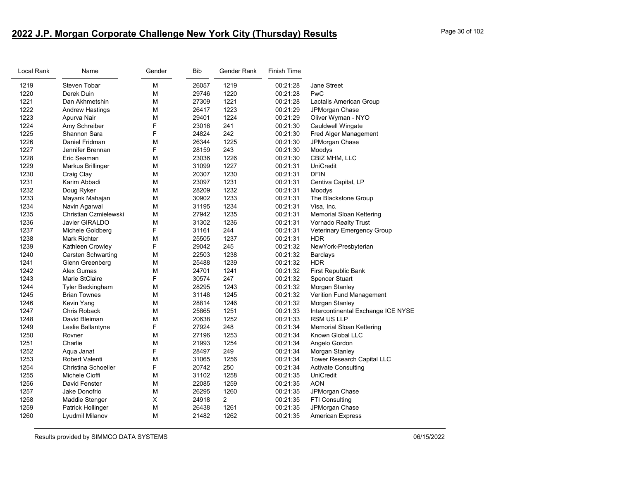# **2022 J.P. Morgan Corporate Challenge New York City (Thursday) Results** Page 30 of 102

| Local Rank | Name                      | Gender | Bib   | Gender Rank    | Finish Time |                                    |
|------------|---------------------------|--------|-------|----------------|-------------|------------------------------------|
| 1219       | Steven Tobar              | М      | 26057 | 1219           | 00:21:28    | <b>Jane Street</b>                 |
| 1220       | Derek Duin                | M      | 29746 | 1220           | 00:21:28    | PwC                                |
| 1221       | Dan Akhmetshin            | M      | 27309 | 1221           | 00:21:28    | Lactalis American Group            |
| 1222       | <b>Andrew Hastings</b>    | M      | 26417 | 1223           | 00:21:29    | JPMorgan Chase                     |
| 1223       | Apurva Nair               | M      | 29401 | 1224           | 00:21:29    | Oliver Wyman - NYO                 |
| 1224       | Amy Schreiber             | F      | 23016 | 241            | 00:21:30    | Cauldwell Wingate                  |
| 1225       | Shannon Sara              | F      | 24824 | 242            | 00:21:30    | Fred Alger Management              |
| 1226       | Daniel Fridman            | M      | 26344 | 1225           | 00:21:30    | JPMorgan Chase                     |
| 1227       | Jennifer Brennan          | F      | 28159 | 243            | 00:21:30    | Moodys                             |
| 1228       | Eric Seaman               | M      | 23036 | 1226           | 00:21:30    | CBIZ MHM, LLC                      |
| 1229       | Markus Brillinger         | М      | 31099 | 1227           | 00:21:31    | <b>UniCredit</b>                   |
| 1230       | Craig Clay                | М      | 20307 | 1230           | 00:21:31    | <b>DFIN</b>                        |
| 1231       | Karim Abbadi              | M      | 23097 | 1231           | 00:21:31    | Centiva Capital, LP                |
| 1232       | Doug Ryker                | М      | 28209 | 1232           | 00:21:31    | Moodys                             |
| 1233       | Mayank Mahajan            | M      | 30902 | 1233           | 00:21:31    | The Blackstone Group               |
| 1234       | Navin Agarwal             | М      | 31195 | 1234           | 00:21:31    | Visa, Inc.                         |
| 1235       | Christian Czmielewski     | M      | 27942 | 1235           | 00:21:31    | Memorial Sloan Kettering           |
| 1236       | Javier GIRALDO            | М      | 31302 | 1236           | 00:21:31    | Vornado Realty Trust               |
| 1237       | Michele Goldberg          | F      | 31161 | 244            | 00:21:31    | Veterinary Emergency Group         |
| 1238       | Mark Richter              | M      | 25505 | 1237           | 00:21:31    | HDR                                |
| 1239       | Kathleen Crowley          | F      | 29042 | 245            | 00:21:32    | NewYork-Presbyterian               |
| 1240       | <b>Carsten Schwarting</b> | M      | 22503 | 1238           | 00:21:32    | <b>Barclays</b>                    |
| 1241       | Glenn Greenberg           | М      | 25488 | 1239           | 00:21:32    | <b>HDR</b>                         |
| 1242       | Alex Gumas                | M      | 24701 | 1241           | 00:21:32    | First Republic Bank                |
| 1243       | Marie StClaire            | F      | 30574 | 247            | 00:21:32    | <b>Spencer Stuart</b>              |
| 1244       | <b>Tyler Beckingham</b>   | М      | 28295 | 1243           | 00:21:32    | Morgan Stanley                     |
| 1245       | <b>Brian Townes</b>       | M      | 31148 | 1245           | 00:21:32    | Verition Fund Management           |
| 1246       | Kevin Yang                | М      | 28814 | 1246           | 00:21:32    | Morgan Stanley                     |
| 1247       | Chris Roback              | M      | 25865 | 1251           | 00:21:33    | Intercontinental Exchange ICE NYSE |
| 1248       | David Bleiman             | M      | 20638 | 1252           | 00:21:33    | <b>RSM US LLP</b>                  |
| 1249       | Leslie Ballantyne         | F      | 27924 | 248            | 00:21:34    | <b>Memorial Sloan Kettering</b>    |
| 1250       | Rovner                    | М      | 27196 | 1253           | 00:21:34    | Known Global LLC                   |
| 1251       | Charlie                   | M      | 21993 | 1254           | 00:21:34    | Angelo Gordon                      |
| 1252       | Aqua Janat                | F      | 28497 | 249            | 00:21:34    | Morgan Stanley                     |
| 1253       | Robert Valenti            | M      | 31065 | 1256           | 00:21:34    | Tower Research Capital LLC         |
| 1254       | Christina Schoeller       | F      | 20742 | 250            | 00:21:34    | Activate Consulting                |
| 1255       | Michele Cioffi            | M      | 31102 | 1258           | 00:21:35    | UniCredit                          |
| 1256       | David Fenster             | М      | 22085 | 1259           | 00:21:35    | <b>AON</b>                         |
| 1257       | Jake Donofrio             | M      | 26295 | 1260           | 00:21:35    | JPMorgan Chase                     |
| 1258       | Maddie Stenger            | X      | 24918 | $\overline{2}$ | 00:21:35    | FTI Consulting                     |
| 1259       | Patrick Hollinger         | M      | 26438 | 1261           | 00:21:35    | JPMorgan Chase                     |
| 1260       | Lyudmil Milanov           | M      | 21482 | 1262           | 00:21:35    | <b>American Express</b>            |
|            |                           |        |       |                |             |                                    |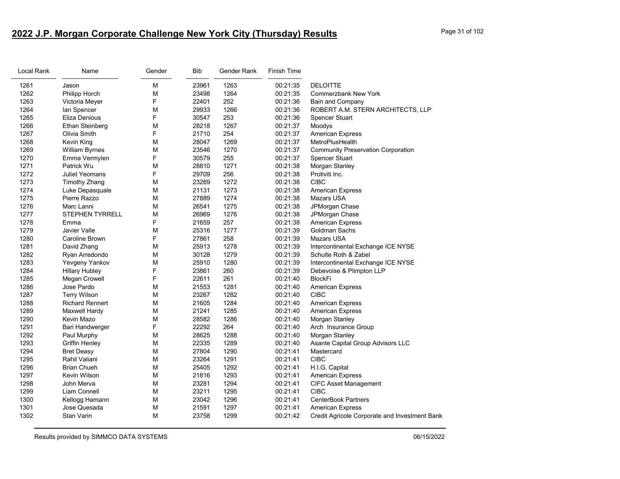# **2022 J.P. Morgan Corporate Challenge New York City (Thursday) Results** Page 31 of 102

| Local Rank | Name                   | Gender | <b>Bib</b> | Gender Rank | <b>Finish Time</b> |                                               |
|------------|------------------------|--------|------------|-------------|--------------------|-----------------------------------------------|
| 1261       | Jason                  | M      | 23961      | 1263        | 00:21:35           | <b>DELOITTE</b>                               |
| 1262       | Philipp Horch          | M      | 23498      | 1264        | 00:21:35           | <b>Commerzbank New York</b>                   |
| 1263       | Victoria Meyer         | F      | 22401      | 252         | 00:21:36           | Bain and Company                              |
| 1264       | lan Spencer            | M      | 29933      | 1266        | 00:21:36           | ROBERT A.M. STERN ARCHITECTS, LLP             |
| 1265       | Eliza Denious          | F      | 30547      | 253         | 00:21:36           | <b>Spencer Stuart</b>                         |
| 1266       | <b>Ethan Steinberg</b> | M      | 28218      | 1267        | 00:21:37           | Moodys                                        |
| 1267       | Olivia Smith           | F      | 21710      | 254         | 00:21:37           | <b>American Express</b>                       |
| 1268       | Kevin King             | M      | 28047      | 1269        | 00:21:37           | MetroPlusHealth                               |
| 1269       | <b>William Byrnes</b>  | M      | 23546      | 1270        | 00:21:37           | <b>Community Preservation Corporation</b>     |
| 1270       | Emma Vermylen          | F      | 30579      | 255         | 00:21:37           | Spencer Stuart                                |
| 1271       | Patrick Wu             | M      | 28810      | 1271        | 00:21:38           | Morgan Stanley                                |
| 1272       | Juliet Yeomans         | F      | 29709      | 256         | 00:21:38           | Protiviti Inc.                                |
| 1273       | <b>Timothy Zhang</b>   | M      | 23269      | 1272        | 00:21:38           | <b>CIBC</b>                                   |
| 1274       | Luke Depasquale        | M      | 21131      | 1273        | 00:21:38           | <b>American Express</b>                       |
| 1275       | Pierre Razzo           | М      | 27889      | 1274        | 00:21:38           | Mazars USA                                    |
| 1276       | Marc Lanni             | М      | 26541      | 1275        | 00:21:38           | JPMorgan Chase                                |
| 1277       | <b>STEPHEN TYRRELL</b> | M      | 26969      | 1276        | 00:21:38           | JPMorgan Chase                                |
| 1278       | Emma                   | F      | 21659      | 257         | 00:21:38           | <b>American Express</b>                       |
| 1279       | Javier Valle           | M      | 25316      | 1277        | 00:21:39           | Goldman Sachs                                 |
| 1280       | Caroline Brown         | F      | 27861      | 258         | 00:21:39           | Mazars USA                                    |
| 1281       | David Zhang            | M      | 25913      | 1278        | 00:21:39           | Intercontinental Exchange ICE NYSE            |
| 1282       | Ryan Arredondo         | M      | 30128      | 1279        | 00:21:39           | Schulte Roth & Zabel                          |
| 1283       | Yevgeny Yankov         | M      | 25910      | 1280        | 00:21:39           | Intercontinental Exchange ICE NYSE            |
| 1284       | <b>Hillary Hubley</b>  | F      | 23861      | 260         | 00:21:39           | Debevoise & Plimpton LLP                      |
| 1285       | Megan Crowell          | F      | 22611      | 261         | 00:21:40           | <b>BlockFi</b>                                |
| 1286       | Jose Pardo             | M      | 21553      | 1281        | 00:21:40           | <b>American Express</b>                       |
| 1287       | <b>Terry Wilson</b>    | М      | 23267      | 1282        | 00:21:40           | <b>CIBC</b>                                   |
| 1288       | <b>Richard Rennert</b> | M      | 21605      | 1284        | 00:21:40           | <b>American Express</b>                       |
| 1289       | Maxwell Hardy          | M      | 21241      | 1285        | 00:21:40           | <b>American Express</b>                       |
| 1290       | Kevin Mazo             | M      | 28582      | 1286        | 00:21:40           | Morgan Stanley                                |
| 1291       | Bari Handwerger        | F      | 22292      | 264         | 00:21:40           | Arch Insurance Group                          |
| 1292       | Paul Murphy            | М      | 28625      | 1288        | 00:21:40           | Morgan Stanley                                |
| 1293       | <b>Griffin Henley</b>  | M      | 22335      | 1289        | 00:21:40           | Asante Capital Group Advisors LLC             |
| 1294       | <b>Bret Deasy</b>      | M      | 27804      | 1290        | 00:21:41           | Mastercard                                    |
| 1295       | Rahil Valiani          | М      | 23264      | 1291        | 00:21:41           | <b>CIBC</b>                                   |
| 1296       | <b>Brian Chueh</b>     | М      | 25405      | 1292        | 00:21:41           | H.I.G. Capital                                |
| 1297       | Kevin Wilson           | М      | 21816      | 1293        | 00:21:41           | <b>American Express</b>                       |
| 1298       | John Merva             | M      | 23281      | 1294        | 00:21:41           | <b>CIFC Asset Management</b>                  |
| 1299       | Liam Connell           | М      | 23211      | 1295        | 00:21:41           | <b>CIBC</b>                                   |
| 1300       | Kellogg Hamann         | M      | 23042      | 1296        | 00:21:41           | <b>CenterBook Partners</b>                    |
| 1301       | Jose Quesada           | М      | 21591      | 1297        | 00:21:41           | <b>American Express</b>                       |
| 1302       | <b>Stan Varin</b>      | М      | 23758      | 1299        | 00:21:42           | Credit Agricole Corporate and Investment Bank |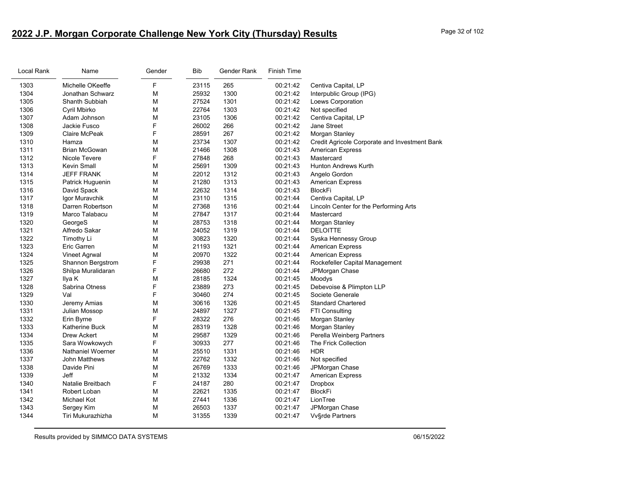# **2022 J.P. Morgan Corporate Challenge New York City (Thursday) Results** Page 32 of 102

| Local Rank | Name                     | Gender | Bib   | Gender Rank | Finish Time |                                               |
|------------|--------------------------|--------|-------|-------------|-------------|-----------------------------------------------|
| 1303       | Michelle OKeeffe         | F      | 23115 | 265         | 00:21:42    | Centiva Capital, LP                           |
| 1304       | Jonathan Schwarz         | M      | 25932 | 1300        | 00:21:42    | Interpublic Group (IPG)                       |
| 1305       | Shanth Subbiah           | М      | 27524 | 1301        | 00:21:42    | Loews Corporation                             |
| 1306       | Cyril Mbirko             | M      | 22764 | 1303        | 00:21:42    | Not specified                                 |
| 1307       | Adam Johnson             | М      | 23105 | 1306        | 00:21:42    | Centiva Capital, LP                           |
| 1308       | Jackie Fusco             | F      | 26002 | 266         | 00:21:42    | Jane Street                                   |
| 1309       | Claire McPeak            | F      | 28591 | 267         | 00:21:42    | Morgan Stanley                                |
| 1310       | Hamza                    | М      | 23734 | 1307        | 00:21:42    | Credit Agricole Corporate and Investment Bank |
| 1311       | <b>Brian McGowan</b>     | M      | 21466 | 1308        | 00:21:43    | <b>American Express</b>                       |
| 1312       | Nicole Tevere            | F.     | 27848 | 268         | 00:21:43    | Mastercard                                    |
| 1313       | <b>Kevin Small</b>       | М      | 25691 | 1309        | 00:21:43    | Hunton Andrews Kurth                          |
| 1314       | <b>JEFF FRANK</b>        | М      | 22012 | 1312        | 00:21:43    | Angelo Gordon                                 |
| 1315       | Patrick Huguenin         | М      | 21280 | 1313        | 00:21:43    | American Express                              |
| 1316       | David Spack              | М      | 22632 | 1314        | 00:21:43    | BlockFi                                       |
| 1317       | Igor Muravchik           | M      | 23110 | 1315        | 00:21:44    | Centiva Capital, LP                           |
| 1318       | Darren Robertson         | М      | 27368 | 1316        | 00:21:44    | Lincoln Center for the Performing Arts        |
| 1319       | Marco Talabacu           | М      | 27847 | 1317        | 00:21:44    | Mastercard                                    |
| 1320       | GeorgeS                  | М      | 28753 | 1318        | 00:21:44    | Morgan Stanley                                |
| 1321       | Alfredo Sakar            | M      | 24052 | 1319        | 00:21:44    | <b>DELOITTE</b>                               |
| 1322       | Timothy Li               | М      | 30823 | 1320        | 00:21:44    | Syska Hennessy Group                          |
| 1323       | Eric Garren              | М      | 21193 | 1321        | 00:21:44    | <b>American Express</b>                       |
| 1324       | Vineet Agrwal            | М      | 20970 | 1322        | 00:21:44    | <b>American Express</b>                       |
| 1325       | Shannon Bergstrom        | F      | 29938 | 271         | 00:21:44    | Rockefeller Capital Management                |
| 1326       | Shilpa Muralidaran       | F      | 26680 | 272         | 00:21:44    | JPMorgan Chase                                |
| 1327       | Ilya K                   | М      | 28185 | 1324        | 00:21:45    | Moodys                                        |
| 1328       | Sabrina Otness           | F      | 23889 | 273         | 00:21:45    | Debevoise & Plimpton LLP                      |
| 1329       | Val                      | F      | 30460 | 274         | 00:21:45    | Societe Generale                              |
| 1330       | Jeremy Amias             | М      | 30616 | 1326        | 00:21:45    | <b>Standard Chartered</b>                     |
| 1331       | Julian Mossop            | М      | 24897 | 1327        | 00:21:45    | FTI Consulting                                |
| 1332       | Erin Byrne               | F.     | 28322 | 276         | 00:21:46    | Morgan Stanley                                |
| 1333       | Katherine Buck           | M      | 28319 | 1328        | 00:21:46    | Morgan Stanley                                |
| 1334       | <b>Drew Ackert</b>       | M      | 29587 | 1329        | 00:21:46    | Perella Weinberg Partners                     |
| 1335       | Sara Wowkowych           | F      | 30933 | 277         | 00:21:46    | The Frick Collection                          |
| 1336       | <b>Nathaniel Woerner</b> | M      | 25510 | 1331        | 00:21:46    | <b>HDR</b>                                    |
| 1337       | <b>John Matthews</b>     | М      | 22762 | 1332        | 00:21:46    | Not specified                                 |
| 1338       | Davide Pini              | М      | 26769 | 1333        | 00:21:46    | JPMorgan Chase                                |
| 1339       | Jeff                     | M      | 21332 | 1334        | 00:21:47    | <b>American Express</b>                       |
| 1340       | Natalie Breitbach        | F      | 24187 | 280         | 00:21:47    | <b>Dropbox</b>                                |
| 1341       | Robert Loban             | М      | 22621 | 1335        | 00:21:47    | <b>BlockFi</b>                                |
| 1342       | Michael Kot              | М      | 27441 | 1336        | 00:21:47    | LionTree                                      |
| 1343       | Sergey Kim               | M      | 26503 | 1337        | 00:21:47    | JPMorgan Chase                                |
| 1344       | Tiri Mukurazhizha        | М      | 31355 | 1339        | 00:21:47    | Vv§rde Partners                               |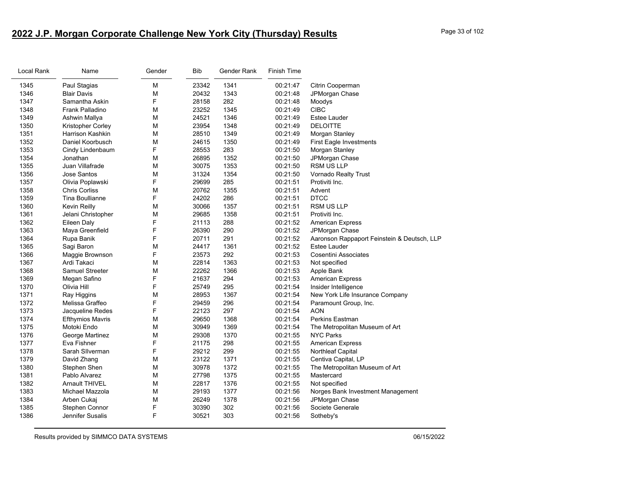# **2022 J.P. Morgan Corporate Challenge New York City (Thursday) Results** Page 33 of 102

| Local Rank | Name                    | Gender | <b>Bib</b> | Gender Rank | Finish Time |                                             |
|------------|-------------------------|--------|------------|-------------|-------------|---------------------------------------------|
| 1345       | Paul Stagias            | М      | 23342      | 1341        | 00:21:47    | Citrin Cooperman                            |
| 1346       | <b>Blair Davis</b>      | М      | 20432      | 1343        | 00:21:48    | JPMorgan Chase                              |
| 1347       | Samantha Askin          | F      | 28158      | 282         | 00:21:48    | Moodys                                      |
| 1348       | Frank Palladino         | М      | 23252      | 1345        | 00:21:49    | <b>CIBC</b>                                 |
| 1349       | Ashwin Mallya           | М      | 24521      | 1346        | 00:21:49    | Estee Lauder                                |
| 1350       | Kristopher Corley       | М      | 23954      | 1348        | 00:21:49    | <b>DELOITTE</b>                             |
| 1351       | <b>Harrison Kashkin</b> | М      | 28510      | 1349        | 00:21:49    | Morgan Stanley                              |
| 1352       | Daniel Koorbusch        | M      | 24615      | 1350        | 00:21:49    | <b>First Eagle Investments</b>              |
| 1353       | Cindy Lindenbaum        | F.     | 28553      | 283         | 00:21:50    | Morgan Stanley                              |
| 1354       | Jonathan                | М      | 26895      | 1352        | 00:21:50    | JPMorgan Chase                              |
| 1355       | Juan Villafrade         | М      | 30075      | 1353        | 00:21:50    | <b>RSM US LLP</b>                           |
| 1356       | Jose Santos             | M      | 31324      | 1354        | 00:21:50    | Vornado Realty Trust                        |
| 1357       | Olivia Poplawski        | F      | 29699      | 285         | 00:21:51    | Protiviti Inc.                              |
| 1358       | <b>Chris Corliss</b>    | M      | 20762      | 1355        | 00:21:51    | Advent                                      |
| 1359       | Tina Boullianne         | F      | 24202      | 286         | 00:21:51    | <b>DTCC</b>                                 |
| 1360       | Kevin Reilly            | М      | 30066      | 1357        | 00:21:51    | RSM US LLP                                  |
| 1361       | Jelani Christopher      | M      | 29685      | 1358        | 00:21:51    | Protiviti Inc.                              |
| 1362       | Eileen Daly             | F      | 21113      | 288         | 00:21:52    | <b>American Express</b>                     |
| 1363       | Maya Greenfield         | F      | 26390      | 290         | 00:21:52    | JPMorgan Chase                              |
| 1364       | Rupa Banik              | F      | 20711      | 291         | 00:21:52    | Aaronson Rappaport Feinstein & Deutsch, LLP |
| 1365       | Sagi Baron              | M      | 24417      | 1361        | 00:21:52    | Estee Lauder                                |
| 1366       | Maggie Brownson         | F      | 23573      | 292         | 00:21:53    | Cosentini Associates                        |
| 1367       | Ardi Takaci             | М      | 22814      | 1363        | 00:21:53    | Not specified                               |
| 1368       | <b>Samuel Streeter</b>  | М      | 22262      | 1366        | 00:21:53    | Apple Bank                                  |
| 1369       | Megan Safino            | F      | 21637      | 294         | 00:21:53    | <b>American Express</b>                     |
| 1370       | Olivia Hill             | F      | 25749      | 295         | 00:21:54    | Insider Intelligence                        |
| 1371       | Ray Higgins             | M      | 28953      | 1367        | 00:21:54    | New York Life Insurance Company             |
| 1372       | Melissa Graffeo         | F      | 29459      | 296         | 00:21:54    | Paramount Group, Inc.                       |
| 1373       | Jacqueline Redes        | F      | 22123      | 297         | 00:21:54    | AON                                         |
| 1374       | <b>Efthymios Mavris</b> | М      | 29650      | 1368        | 00:21:54    | <b>Perkins Eastman</b>                      |
| 1375       | Motoki Endo             | М      | 30949      | 1369        | 00:21:54    | The Metropolitan Museum of Art              |
| 1376       | George Martinez         | М      | 29308      | 1370        | 00:21:55    | <b>NYC Parks</b>                            |
| 1377       | Eva Fishner             | F      | 21175      | 298         | 00:21:55    | American Express                            |
| 1378       | Sarah Sllverman         | F      | 29212      | 299         | 00:21:55    | Northleaf Capital                           |
| 1379       | David Zhang             | М      | 23122      | 1371        | 00:21:55    | Centiva Capital, LP                         |
| 1380       | Stephen Shen            | М      | 30978      | 1372        | 00:21:55    | The Metropolitan Museum of Art              |
| 1381       | Pablo Alvarez           | М      | 27798      | 1375        | 00:21:55    | Mastercard                                  |
| 1382       | <b>Arnault THIVEL</b>   | М      | 22817      | 1376        | 00:21:55    | Not specified                               |
| 1383       | Michael Mazzola         | M      | 29193      | 1377        | 00:21:56    | Norges Bank Investment Management           |
| 1384       | Arben Cukaj             | М      | 26249      | 1378        | 00:21:56    | JPMorgan Chase                              |
| 1385       | Stephen Connor          | F      | 30390      | 302         | 00:21:56    | Societe Generale                            |
| 1386       | <b>Jennifer Susalis</b> | F      | 30521      | 303         | 00:21:56    | Sotheby's                                   |
|            |                         |        |            |             |             |                                             |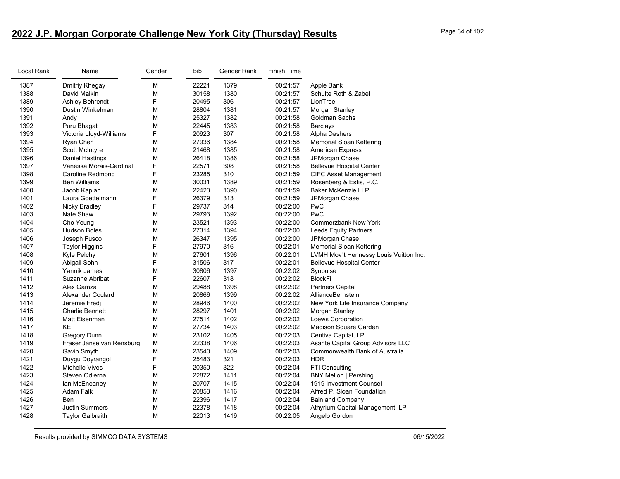# **2022 J.P. Morgan Corporate Challenge New York City (Thursday) Results** Page 34 of 102

| Local Rank | Name                      | Gender | Bib   | Gender Rank | Finish Time |                                        |
|------------|---------------------------|--------|-------|-------------|-------------|----------------------------------------|
| 1387       | Dmitriy Khegay            | М      | 22221 | 1379        | 00:21:57    | Apple Bank                             |
| 1388       | David Malkin              | М      | 30158 | 1380        | 00:21:57    | Schulte Roth & Zabel                   |
| 1389       | Ashley Behrendt           | F      | 20495 | 306         | 00:21:57    | LionTree                               |
| 1390       | Dustin Winkelman          | M      | 28804 | 1381        | 00:21:57    | Morgan Stanley                         |
| 1391       | Andy                      | М      | 25327 | 1382        | 00:21:58    | Goldman Sachs                          |
| 1392       | Puru Bhagat               | M      | 22445 | 1383        | 00:21:58    | Barclays                               |
| 1393       | Victoria Lloyd-Williams   | F      | 20923 | 307         | 00:21:58    | Alpha Dashers                          |
| 1394       | Ryan Chen                 | M      | 27936 | 1384        | 00:21:58    | <b>Memorial Sloan Kettering</b>        |
| 1395       | <b>Scott McIntyre</b>     | М      | 21468 | 1385        | 00:21:58    | <b>American Express</b>                |
| 1396       | Daniel Hastings           | М      | 26418 | 1386        | 00:21:58    | JPMorgan Chase                         |
| 1397       | Vanessa Morais-Cardinal   | F      | 22571 | 308         | 00:21:58    | <b>Bellevue Hospital Center</b>        |
| 1398       | Caroline Redmond          | F      | 23285 | 310         | 00:21:59    | <b>CIFC Asset Management</b>           |
| 1399       | <b>Ben Williams</b>       | М      | 30031 | 1389        | 00:21:59    | Rosenberg & Estis, P.C.                |
| 1400       | Jacob Kaplan              | M      | 22423 | 1390        | 00:21:59    | <b>Baker McKenzie LLP</b>              |
| 1401       | Laura Goettelmann         | F      | 26379 | 313         | 00:21:59    | JPMorgan Chase                         |
| 1402       | Nicky Bradley             | F      | 29737 | 314         | 00:22:00    | PwC                                    |
| 1403       | Nate Shaw                 | M      | 29793 | 1392        | 00:22:00    | PwC                                    |
| 1404       | Cho Yeung                 | M      | 23521 | 1393        | 00:22:00    | <b>Commerzbank New York</b>            |
| 1405       | <b>Hudson Boles</b>       | M      | 27314 | 1394        | 00:22:00    | Leeds Equity Partners                  |
| 1406       | Joseph Fusco              | M      | 26347 | 1395        | 00:22:00    | JPMorgan Chase                         |
| 1407       | <b>Taylor Higgins</b>     | F      | 27970 | 316         | 00:22:01    | <b>Memorial Sloan Kettering</b>        |
| 1408       | Kyle Pelchy               | М      | 27601 | 1396        | 00:22:01    | LVMH Mov't Hennessy Louis Vuitton Inc. |
| 1409       | Abigail Sohn              | F      | 31506 | 317         | 00:22:01    | <b>Bellevue Hospital Center</b>        |
| 1410       | Yannik James              | M      | 30806 | 1397        | 00:22:02    | Synpulse                               |
| 1411       | Suzanne Abribat           | F      | 22607 | 318         | 00:22:02    | <b>BlockFi</b>                         |
| 1412       | Alex Gamza                | M      | 29488 | 1398        | 00:22:02    | <b>Partners Capital</b>                |
| 1413       | <b>Alexander Coulard</b>  | M      | 20866 | 1399        | 00:22:02    | AllianceBernstein                      |
| 1414       | Jeremie Fredj             | M      | 28946 | 1400        | 00:22:02    | New York Life Insurance Company        |
| 1415       | <b>Charlie Bennett</b>    | M      | 28297 | 1401        | 00:22:02    | Morgan Stanley                         |
| 1416       | Matt Eisenman             | M      | 27514 | 1402        | 00:22:02    | Loews Corporation                      |
| 1417       | KE                        | М      | 27734 | 1403        | 00:22:02    | Madison Square Garden                  |
| 1418       | <b>Gregory Dunn</b>       | M      | 23102 | 1405        | 00:22:03    | Centiva Capital, LP                    |
| 1419       | Fraser Janse van Rensburg | M      | 22338 | 1406        | 00:22:03    | Asante Capital Group Advisors LLC      |
| 1420       | Gavin Smyth               | M      | 23540 | 1409        | 00:22:03    | <b>Commonwealth Bank of Australia</b>  |
| 1421       | Duygu Doyrangol           | F      | 25483 | 321         | 00:22:03    | <b>HDR</b>                             |
| 1422       | <b>Michelle Vives</b>     | F      | 20350 | 322         | 00:22:04    | FTI Consulting                         |
| 1423       | Steven Odierna            | M      | 22872 | 1411        | 00:22:04    | <b>BNY Mellon   Pershing</b>           |
| 1424       | lan McEneaney             | М      | 20707 | 1415        | 00:22:04    | 1919 Investment Counsel                |
| 1425       | Adam Falk                 | М      | 20853 | 1416        | 00:22:04    | Alfred P. Sloan Foundation             |
| 1426       | Ben                       | M      | 22396 | 1417        | 00:22:04    | Bain and Company                       |
| 1427       | <b>Justin Summers</b>     | М      | 22378 | 1418        | 00:22:04    | Athyrium Capital Management, LP        |
| 1428       | <b>Taylor Galbraith</b>   | М      | 22013 | 1419        | 00:22:05    | Angelo Gordon                          |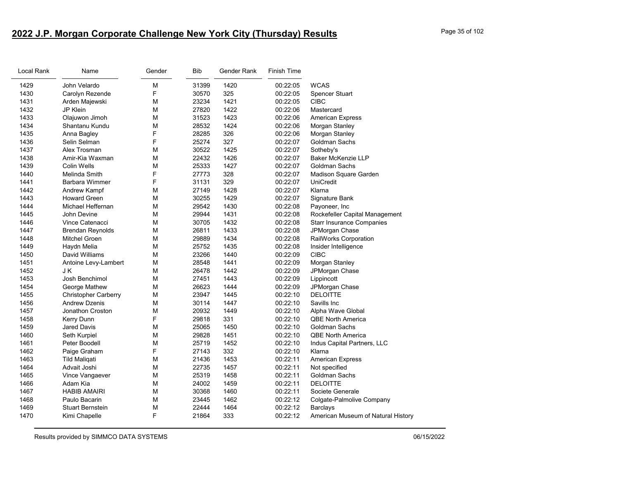# **2022 J.P. Morgan Corporate Challenge New York City (Thursday) Results** Page 35 of 102

| Local Rank | Name                        | Gender | Bib   | Gender Rank | Finish Time |                                    |
|------------|-----------------------------|--------|-------|-------------|-------------|------------------------------------|
| 1429       | John Velardo                | M      | 31399 | 1420        | 00:22:05    | <b>WCAS</b>                        |
| 1430       | Carolyn Rezende             | F      | 30570 | 325         | 00:22:05    | Spencer Stuart                     |
| 1431       | Arden Majewski              | М      | 23234 | 1421        | 00:22:05    | <b>CIBC</b>                        |
| 1432       | JP Klein                    | M      | 27820 | 1422        | 00:22:06    | Mastercard                         |
| 1433       | Olajuwon Jimoh              | M      | 31523 | 1423        | 00:22:06    | <b>American Express</b>            |
| 1434       | Shantanu Kundu              | М      | 28532 | 1424        | 00:22:06    | Morgan Stanley                     |
| 1435       | Anna Bagley                 | F      | 28285 | 326         | 00:22:06    | Morgan Stanley                     |
| 1436       | Selin Selman                | F      | 25274 | 327         | 00:22:07    | Goldman Sachs                      |
| 1437       | Alex Trosman                | M      | 30522 | 1425        | 00:22:07    | Sotheby's                          |
| 1438       | Amir-Kia Waxman             | M      | 22432 | 1426        | 00:22:07    | <b>Baker McKenzie LLP</b>          |
| 1439       | Colin Wells                 | M      | 25333 | 1427        | 00:22:07    | Goldman Sachs                      |
| 1440       | Melinda Smith               | F      | 27773 | 328         | 00:22:07    | Madison Square Garden              |
| 1441       | Barbara Wimmer              | F      | 31131 | 329         | 00:22:07    | <b>UniCredit</b>                   |
| 1442       | Andrew Kampf                | M      | 27149 | 1428        | 00:22:07    | Klarna                             |
| 1443       | <b>Howard Green</b>         | M      | 30255 | 1429        | 00:22:07    | Signature Bank                     |
| 1444       | Michael Heffernan           | M      | 29542 | 1430        | 00:22:08    | Payoneer, Inc                      |
| 1445       | John Devine                 | M      | 29944 | 1431        | 00:22:08    | Rockefeller Capital Management     |
| 1446       | Vince Catenacci             | M      | 30705 | 1432        | 00:22:08    | <b>Starr Insurance Companies</b>   |
| 1447       | <b>Brendan Reynolds</b>     | М      | 26811 | 1433        | 00:22:08    | JPMorgan Chase                     |
| 1448       | <b>Mitchel Groen</b>        | M      | 29889 | 1434        | 00:22:08    | RailWorks Corporation              |
| 1449       | Haydn Melia                 | M      | 25752 | 1435        | 00:22:08    | Insider Intelligence               |
| 1450       | David Williams              | М      | 23266 | 1440        | 00:22:09    | <b>CIBC</b>                        |
| 1451       | Antoine Levy-Lambert        | M      | 28548 | 1441        | 00:22:09    | Morgan Stanley                     |
| 1452       | JΚ                          | M      | 26478 | 1442        | 00:22:09    | JPMorgan Chase                     |
| 1453       | Josh Benchimol              | М      | 27451 | 1443        | 00:22:09    | Lippincott                         |
| 1454       | George Mathew               | M      | 26623 | 1444        | 00:22:09    | JPMorgan Chase                     |
| 1455       | <b>Christopher Carberry</b> | М      | 23947 | 1445        | 00:22:10    | <b>DELOITTE</b>                    |
| 1456       | <b>Andrew Dzenis</b>        | М      | 30114 | 1447        | 00:22:10    | Savills Inc                        |
| 1457       | Jonathon Croston            | M      | 20932 | 1449        | 00:22:10    | Alpha Wave Global                  |
| 1458       | Kerry Dunn                  | F      | 29818 | 331         | 00:22:10    | <b>QBE North America</b>           |
| 1459       | Jared Davis                 | M      | 25065 | 1450        | 00:22:10    | Goldman Sachs                      |
| 1460       | Seth Kurpiel                | М      | 29828 | 1451        | 00:22:10    | <b>QBE North America</b>           |
| 1461       | Peter Boodell               | M      | 25719 | 1452        | 00:22:10    | Indus Capital Partners, LLC        |
| 1462       | Paige Graham                | F      | 27143 | 332         | 00:22:10    | Klarna                             |
| 1463       | <b>Tild Maligati</b>        | М      | 21436 | 1453        | 00:22:11    | <b>American Express</b>            |
| 1464       | Advait Joshi                | М      | 22735 | 1457        | 00:22:11    | Not specified                      |
| 1465       | Vince Vangaever             | M      | 25319 | 1458        | 00:22:11    | Goldman Sachs                      |
| 1466       | Adam Kia                    | M      | 24002 | 1459        | 00:22:11    | <b>DELOITTE</b>                    |
| 1467       | <b>HABIB AMAIRI</b>         | М      | 30368 | 1460        | 00:22:11    | Societe Generale                   |
| 1468       | Paulo Bacarin               | M      | 23445 | 1462        | 00:22:12    | Colgate-Palmolive Company          |
| 1469       | <b>Stuart Bernstein</b>     | M      | 22444 | 1464        | 00:22:12    | <b>Barclays</b>                    |
| 1470       | Kimi Chapelle               | F      | 21864 | 333         | 00:22:12    | American Museum of Natural History |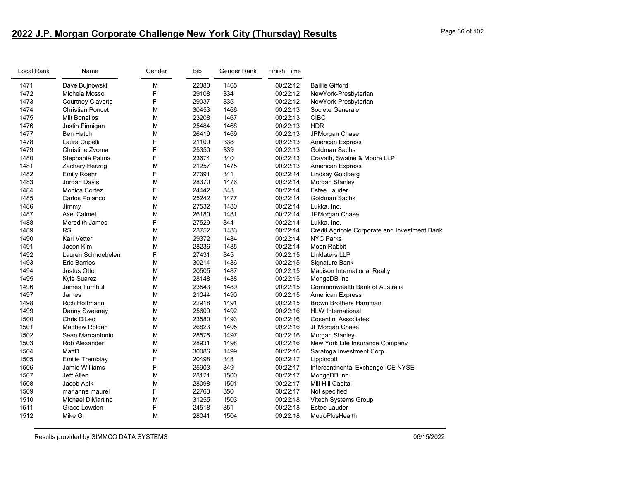# **2022 J.P. Morgan Corporate Challenge New York City (Thursday) Results** Page 36 of 102

| Local Rank | Name                     | Gender | <b>Bib</b> | Gender Rank | <b>Finish Time</b> |                                               |
|------------|--------------------------|--------|------------|-------------|--------------------|-----------------------------------------------|
| 1471       | Dave Bujnowski           | M      | 22380      | 1465        | 00:22:12           | <b>Baillie Gifford</b>                        |
| 1472       | Michela Mosso            | F      | 29108      | 334         | 00:22:12           | NewYork-Presbyterian                          |
| 1473       | <b>Courtney Clavette</b> | F      | 29037      | 335         | 00:22:12           | NewYork-Presbyterian                          |
| 1474       | <b>Christian Poncet</b>  | M      | 30453      | 1466        | 00:22:13           | Societe Generale                              |
| 1475       | <b>Milt Bonellos</b>     | M      | 23208      | 1467        | 00:22:13           | <b>CIBC</b>                                   |
| 1476       | Justin Finnigan          | M      | 25484      | 1468        | 00:22:13           | <b>HDR</b>                                    |
| 1477       | <b>Ben Hatch</b>         | M      | 26419      | 1469        | 00:22:13           | JPMorgan Chase                                |
| 1478       | Laura Cupelli            | F      | 21109      | 338         | 00:22:13           | <b>American Express</b>                       |
| 1479       | Christine Zvoma          | F      | 25350      | 339         | 00:22:13           | Goldman Sachs                                 |
| 1480       | Stephanie Palma          | F      | 23674      | 340         | 00:22:13           | Cravath, Swaine & Moore LLP                   |
| 1481       | Zachary Herzog           | M      | 21257      | 1475        | 00:22:13           | American Express                              |
| 1482       | <b>Emily Roehr</b>       | F      | 27391      | 341         | 00:22:14           | Lindsay Goldberg                              |
| 1483       | Jordan Davis             | M      | 28370      | 1476        | 00:22:14           | Morgan Stanley                                |
| 1484       | <b>Monica Cortez</b>     | F      | 24442      | 343         | 00:22:14           | <b>Estee Lauder</b>                           |
| 1485       | Carlos Polanco           | M      | 25242      | 1477        | 00:22:14           | Goldman Sachs                                 |
| 1486       | Jimmy                    | M      | 27532      | 1480        | 00:22:14           | Lukka, Inc.                                   |
| 1487       | <b>Axel Calmet</b>       | M      | 26180      | 1481        | 00:22:14           | JPMorgan Chase                                |
| 1488       | Meredith James           | F      | 27529      | 344         | 00:22:14           | Lukka, Inc.                                   |
| 1489       | <b>RS</b>                | M      | 23752      | 1483        | 00:22:14           | Credit Agricole Corporate and Investment Bank |
| 1490       | <b>Karl Vetter</b>       | M      | 29372      | 1484        | 00:22:14           | <b>NYC Parks</b>                              |
| 1491       | Jason Kim                | М      | 28236      | 1485        | 00:22:14           | Moon Rabbit                                   |
| 1492       | Lauren Schnoebelen       | F      | 27431      | 345         | 00:22:15           | <b>Linklaters LLP</b>                         |
| 1493       | Eric Barrios             | М      | 30214      | 1486        | 00:22:15           | Signature Bank                                |
| 1494       | Justus Otto              | М      | 20505      | 1487        | 00:22:15           | Madison International Realty                  |
| 1495       | Kyle Suarez              | M      | 28148      | 1488        | 00:22:15           | MongoDB Inc                                   |
| 1496       | James Turnbull           | M      | 23543      | 1489        | 00:22:15           | Commonwealth Bank of Australia                |
| 1497       | James                    | М      | 21044      | 1490        | 00:22:15           | <b>American Express</b>                       |
| 1498       | <b>Rich Hoffmann</b>     | M      | 22918      | 1491        | 00:22:15           | <b>Brown Brothers Harriman</b>                |
| 1499       | Danny Sweeney            | M      | 25609      | 1492        | 00:22:16           | <b>HLW</b> International                      |
| 1500       | Chris DiLeo              | М      | 23580      | 1493        | 00:22:16           | <b>Cosentini Associates</b>                   |
| 1501       | <b>Matthew Roldan</b>    | M      | 26823      | 1495        | 00:22:16           | JPMorgan Chase                                |
| 1502       | Sean Marcantonio         | M      | 28575      | 1497        | 00:22:16           | Morgan Stanley                                |
| 1503       | Rob Alexander            | М      | 28931      | 1498        | 00:22:16           | New York Life Insurance Company               |
| 1504       | MattD                    | М      | 30086      | 1499        | 00:22:16           | Saratoga Investment Corp.                     |
| 1505       | <b>Emilie Tremblay</b>   | F      | 20498      | 348         | 00:22:17           | Lippincott                                    |
| 1506       | Jamie Williams           | F      | 25903      | 349         | 00:22:17           | Intercontinental Exchange ICE NYSE            |
| 1507       | Jeff Allen               | M      | 28121      | 1500        | 00:22:17           | MongoDB Inc                                   |
| 1508       | Jacob Apik               | M      | 28098      | 1501        | 00:22:17           | Mill Hill Capital                             |
| 1509       | marianne maurel          | F      | 22763      | 350         | 00:22:17           | Not specified                                 |
| 1510       | Michael DiMartino        | M      | 31255      | 1503        | 00:22:18           | <b>Vitech Systems Group</b>                   |
| 1511       | Grace Lowden             | F      | 24518      | 351         | 00:22:18           | <b>Estee Lauder</b>                           |
| 1512       | Mike Gi                  | М      | 28041      | 1504        | 00:22:18           | MetroPlusHealth                               |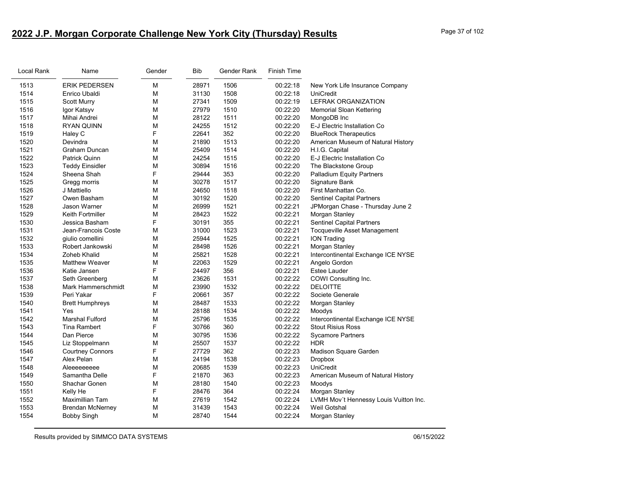# **2022 J.P. Morgan Corporate Challenge New York City (Thursday) Results** Page 37 of 102

| Local Rank | Name                    | Gender | <b>Bib</b> | Gender Rank | <b>Finish Time</b> |                                        |
|------------|-------------------------|--------|------------|-------------|--------------------|----------------------------------------|
| 1513       | <b>ERIK PEDERSEN</b>    | М      | 28971      | 1506        | 00:22:18           | New York Life Insurance Company        |
| 1514       | Enrico Ubaldi           | М      | 31130      | 1508        | 00:22:18           | UniCredit                              |
| 1515       | <b>Scott Murry</b>      | м      | 27341      | 1509        | 00:22:19           | <b>LEFRAK ORGANIZATION</b>             |
| 1516       | Igor Katsyv             | M      | 27979      | 1510        | 00:22:20           | Memorial Sloan Kettering               |
| 1517       | Mihai Andrei            | М      | 28122      | 1511        | 00:22:20           | MongoDB Inc                            |
| 1518       | <b>RYAN QUINN</b>       | м      | 24255      | 1512        | 00:22:20           | E-J Electric Installation Co           |
| 1519       | Haley C                 | F      | 22641      | 352         | 00:22:20           | <b>BlueRock Therapeutics</b>           |
| 1520       | Devindra                | м      | 21890      | 1513        | 00:22:20           | American Museum of Natural History     |
| 1521       | Graham Duncan           | м      | 25409      | 1514        | 00:22:20           | H.I.G. Capital                         |
| 1522       | <b>Patrick Quinn</b>    | М      | 24254      | 1515        | 00:22:20           | E-J Electric Installation Co           |
| 1523       | <b>Teddy Einsidler</b>  | М      | 30894      | 1516        | 00:22:20           | The Blackstone Group                   |
| 1524       | Sheena Shah             | F      | 29444      | 353         | 00:22:20           | <b>Palladium Equity Partners</b>       |
| 1525       | Gregg morris            | м      | 30278      | 1517        | 00:22:20           | Signature Bank                         |
| 1526       | J Mattiello             | м      | 24650      | 1518        | 00:22:20           | First Manhattan Co.                    |
| 1527       | Owen Basham             | М      | 30192      | 1520        | 00:22:20           | <b>Sentinel Capital Partners</b>       |
| 1528       | Jason Warner            | м      | 26999      | 1521        | 00:22:21           | JPMorgan Chase - Thursday June 2       |
| 1529       | Keith Fortmiller        | M      | 28423      | 1522        | 00:22:21           | Morgan Stanley                         |
| 1530       | Jessica Basham          | F      | 30191      | 355         | 00:22:21           | Sentinel Capital Partners              |
| 1531       | Jean-Francois Coste     | М      | 31000      | 1523        | 00:22:21           | <b>Tocqueville Asset Management</b>    |
| 1532       | giulio comellini        | М      | 25944      | 1525        | 00:22:21           | <b>ION Trading</b>                     |
| 1533       | Robert Jankowski        | М      | 28498      | 1526        | 00:22:21           | Morgan Stanley                         |
| 1534       | Zoheb Khalid            | м      | 25821      | 1528        | 00:22:21           | Intercontinental Exchange ICE NYSE     |
| 1535       | <b>Matthew Weaver</b>   | м      | 22063      | 1529        | 00:22:21           | Angelo Gordon                          |
| 1536       | Katie Jansen            | F      | 24497      | 356         | 00:22:21           | Estee Lauder                           |
| 1537       | Seth Greenberg          | М      | 23626      | 1531        | 00:22:22           | COWI Consulting Inc.                   |
| 1538       | Mark Hammerschmidt      | М      | 23990      | 1532        | 00:22:22           | <b>DELOITTE</b>                        |
| 1539       | Peri Yakar              | F      | 20661      | 357         | 00:22:22           | Societe Generale                       |
| 1540       | <b>Brett Humphreys</b>  | м      | 28487      | 1533        | 00:22:22           | Morgan Stanley                         |
| 1541       | Yes                     | М      | 28188      | 1534        | 00:22:22           | Moodys                                 |
| 1542       | <b>Marshal Fulford</b>  | M      | 25796      | 1535        | 00:22:22           | Intercontinental Exchange ICE NYSE     |
| 1543       | <b>Tina Rambert</b>     | F      | 30766      | 360         | 00:22:22           | <b>Stout Risius Ross</b>               |
| 1544       | Dan Pierce              | М      | 30795      | 1536        | 00:22:22           | <b>Sycamore Partners</b>               |
| 1545       | Liz Stoppelmann         | М      | 25507      | 1537        | 00:22:22           | <b>HDR</b>                             |
| 1546       | <b>Courtney Connors</b> | F      | 27729      | 362         | 00:22:23           | Madison Square Garden                  |
| 1547       | Alex Pelan              | М      | 24194      | 1538        | 00:22:23           | <b>Dropbox</b>                         |
| 1548       | Aleeeeeeee              | м      | 20685      | 1539        | 00:22:23           | UniCredit                              |
| 1549       | Samantha Delle          | F      | 21870      | 363         | 00:22:23           | American Museum of Natural History     |
| 1550       | Shachar Gonen           | М      | 28180      | 1540        | 00:22:23           | Moodys                                 |
| 1551       | Kelly He                | F      | 28476      | 364         | 00:22:24           | Morgan Stanley                         |
| 1552       | Maximillian Tam         | М      | 27619      | 1542        | 00:22:24           | LVMH Mov't Hennessy Louis Vuitton Inc. |
| 1553       | <b>Brendan McNerney</b> | М      | 31439      | 1543        | 00:22:24           | Weil Gotshal                           |
| 1554       | <b>Bobby Singh</b>      | М      | 28740      | 1544        | 00:22:24           | Morgan Stanley                         |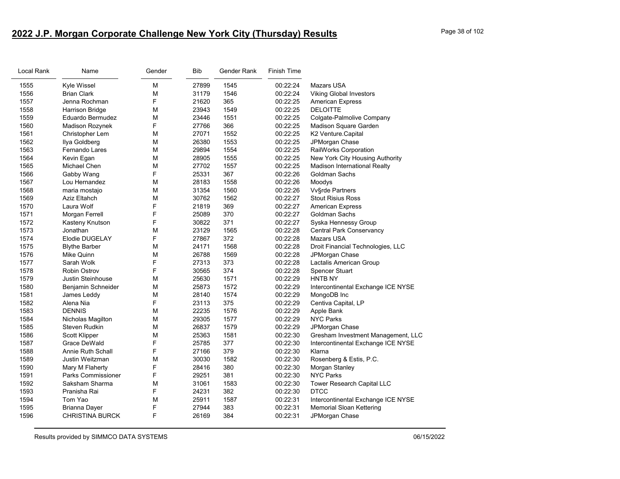# **2022 J.P. Morgan Corporate Challenge New York City (Thursday) Results** Page 38 of 102

| Local Rank | Name                      | Gender | <b>Bib</b> | Gender Rank | <b>Finish Time</b> |                                    |
|------------|---------------------------|--------|------------|-------------|--------------------|------------------------------------|
| 1555       | Kyle Wissel               | M      | 27899      | 1545        | 00:22:24           | <b>Mazars USA</b>                  |
| 1556       | <b>Brian Clark</b>        | М      | 31179      | 1546        | 00:22:24           | <b>Viking Global Investors</b>     |
| 1557       | Jenna Rochman             | F      | 21620      | 365         | 00:22:25           | <b>American Express</b>            |
| 1558       | Harrison Bridge           | M      | 23943      | 1549        | 00:22:25           | <b>DELOITTE</b>                    |
| 1559       | Eduardo Bermudez          | М      | 23446      | 1551        | 00:22:25           | Colgate-Palmolive Company          |
| 1560       | Madison Rozynek           | F      | 27766      | 366         | 00:22:25           | Madison Square Garden              |
| 1561       | Christopher Lem           | М      | 27071      | 1552        | 00:22:25           | K2 Venture.Capital                 |
| 1562       | Ilya Goldberg             | М      | 26380      | 1553        | 00:22:25           | JPMorgan Chase                     |
| 1563       | Fernando Lares            | M      | 29894      | 1554        | 00:22:25           | RailWorks Corporation              |
| 1564       | Kevin Egan                | M      | 28905      | 1555        | 00:22:25           | New York City Housing Authority    |
| 1565       | Michael Chen              | М      | 27702      | 1557        | 00:22:25           | Madison International Realty       |
| 1566       | Gabby Wang                | F      | 25331      | 367         | 00:22:26           | Goldman Sachs                      |
| 1567       | Lou Hernandez             | M      | 28183      | 1558        | 00:22:26           | Moodys                             |
| 1568       | maria mostajo             | M      | 31354      | 1560        | 00:22:26           | <b>Vv</b> §rde Partners            |
| 1569       | Aziz Eltahch              | M      | 30762      | 1562        | 00:22:27           | <b>Stout Risius Ross</b>           |
| 1570       | Laura Wolf                | F      | 21819      | 369         | 00:22:27           | <b>American Express</b>            |
| 1571       | Morgan Ferrell            | F      | 25089      | 370         | 00:22:27           | Goldman Sachs                      |
| 1572       | Kasteny Knutson           | F      | 30822      | 371         | 00:22:27           | Syska Hennessy Group               |
| 1573       | Jonathan                  | M      | 23129      | 1565        | 00:22:28           | <b>Central Park Conservancy</b>    |
| 1574       | Elodie DUGELAY            | F      | 27867      | 372         | 00:22:28           | <b>Mazars USA</b>                  |
| 1575       | <b>Blythe Barber</b>      | M      | 24171      | 1568        | 00:22:28           | Droit Financial Technologies, LLC  |
| 1576       | Mike Quinn                | M      | 26788      | 1569        | 00:22:28           | JPMorgan Chase                     |
| 1577       | Sarah Wolk                | F      | 27313      | 373         | 00:22:28           | Lactalis American Group            |
| 1578       | <b>Robin Ostrov</b>       | F      | 30565      | 374         | 00:22:28           | <b>Spencer Stuart</b>              |
| 1579       | Justin Steinhouse         | М      | 25630      | 1571        | 00:22:29           | HNTB NY                            |
| 1580       | Benjamin Schneider        | М      | 25873      | 1572        | 00:22:29           | Intercontinental Exchange ICE NYSE |
| 1581       | James Leddy               | M      | 28140      | 1574        | 00:22:29           | MongoDB Inc                        |
| 1582       | Alena Nia                 | F      | 23113      | 375         | 00:22:29           | Centiva Capital, LP                |
| 1583       | <b>DENNIS</b>             | М      | 22235      | 1576        | 00:22:29           | Apple Bank                         |
| 1584       | Nicholas Magilton         | М      | 29305      | 1577        | 00:22:29           | <b>NYC Parks</b>                   |
| 1585       | Steven Rudkin             | M      | 26837      | 1579        | 00:22:29           | JPMorgan Chase                     |
| 1586       | Scott Klipper             | M      | 25363      | 1581        | 00:22:30           | Gresham Investment Management, LLC |
| 1587       | <b>Grace DeWald</b>       | F      | 25785      | 377         | 00:22:30           | Intercontinental Exchange ICE NYSE |
| 1588       | Annie Ruth Schall         | F      | 27166      | 379         | 00:22:30           | Klarna                             |
| 1589       | Justin Weitzman           | М      | 30030      | 1582        | 00:22:30           | Rosenberg & Estis, P.C.            |
| 1590       | Mary M Flaherty           | F      | 28416      | 380         | 00:22:30           | Morgan Stanley                     |
| 1591       | <b>Parks Commissioner</b> | F      | 29251      | 381         | 00:22:30           | <b>NYC Parks</b>                   |
| 1592       | Saksham Sharma            | M      | 31061      | 1583        | 00:22:30           | Tower Research Capital LLC         |
| 1593       | Pranisha Rai              | F      | 24231      | 382         | 00:22:30           | <b>DTCC</b>                        |
| 1594       | Tom Yao                   | M      | 25911      | 1587        | 00:22:31           | Intercontinental Exchange ICE NYSE |
| 1595       | <b>Brianna Dayer</b>      | F      | 27944      | 383         | 00:22:31           | <b>Memorial Sloan Kettering</b>    |
| 1596       | <b>CHRISTINA BURCK</b>    | F      | 26169      | 384         | 00:22:31           | JPMorgan Chase                     |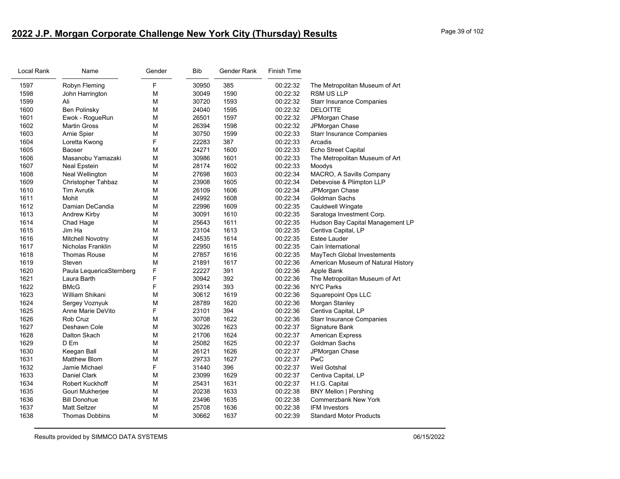# **2022 J.P. Morgan Corporate Challenge New York City (Thursday) Results** Page 39 of 102

| Local Rank | Name                     | Gender | <b>Bib</b> | Gender Rank | <b>Finish Time</b> |                                    |
|------------|--------------------------|--------|------------|-------------|--------------------|------------------------------------|
| 1597       | Robyn Fleming            | F      | 30950      | 385         | 00:22:32           | The Metropolitan Museum of Art     |
| 1598       | John Harrington          | M      | 30049      | 1590        | 00:22:32           | <b>RSM US LLP</b>                  |
| 1599       | Ali                      | М      | 30720      | 1593        | 00:22:32           | <b>Starr Insurance Companies</b>   |
| 1600       | <b>Ben Polinsky</b>      | M      | 24040      | 1595        | 00:22:32           | <b>DELOITTE</b>                    |
| 1601       | Ewok - RogueRun          | M      | 26501      | 1597        | 00:22:32           | JPMorgan Chase                     |
| 1602       | <b>Martin Gross</b>      | M      | 26394      | 1598        | 00:22:32           | JPMorgan Chase                     |
| 1603       | Arnie Spier              | M      | 30750      | 1599        | 00:22:33           | <b>Starr Insurance Companies</b>   |
| 1604       | Loretta Kwong            | F      | 22283      | 387         | 00:22:33           | Arcadis                            |
| 1605       | Baoser                   | М      | 24271      | 1600        | 00:22:33           | Echo Street Capital                |
| 1606       | Masanobu Yamazaki        | M      | 30986      | 1601        | 00:22:33           | The Metropolitan Museum of Art     |
| 1607       | <b>Neal Epstein</b>      | М      | 28174      | 1602        | 00:22:33           | Moodys                             |
| 1608       | <b>Neal Wellington</b>   | М      | 27698      | 1603        | 00:22:34           | MACRO, A Savills Company           |
| 1609       | Christopher Tahbaz       | М      | 23908      | 1605        | 00:22:34           | Debevoise & Plimpton LLP           |
| 1610       | <b>Tim Avrutik</b>       | M      | 26109      | 1606        | 00:22:34           | JPMorgan Chase                     |
| 1611       | Mohit                    | M      | 24992      | 1608        | 00:22:34           | Goldman Sachs                      |
| 1612       | Damian DeCandia          | М      | 22996      | 1609        | 00:22:35           | Cauldwell Wingate                  |
| 1613       | <b>Andrew Kirby</b>      | М      | 30091      | 1610        | 00:22:35           | Saratoga Investment Corp.          |
| 1614       | Chad Hage                | M      | 25643      | 1611        | 00:22:35           | Hudson Bay Capital Management LP   |
| 1615       | Jim Ha                   | M      | 23104      | 1613        | 00:22:35           | Centiva Capital, LP                |
| 1616       | Mitchell Novotny         | M      | 24535      | 1614        | 00:22:35           | <b>Estee Lauder</b>                |
| 1617       | Nicholas Franklin        | M      | 22950      | 1615        | 00:22:35           | Cain International                 |
| 1618       | <b>Thomas Rouse</b>      | M      | 27857      | 1616        | 00:22:35           | MayTech Global Investements        |
| 1619       | Steven                   | M      | 21891      | 1617        | 00:22:36           | American Museum of Natural History |
| 1620       | Paula LequericaSternberg | F      | 22227      | 391         | 00:22:36           | Apple Bank                         |
| 1621       | Laura Barth              | F      | 30942      | 392         | 00:22:36           | The Metropolitan Museum of Art     |
| 1622       | <b>BMcG</b>              | F      | 29314      | 393         | 00:22:36           | <b>NYC Parks</b>                   |
| 1623       | William Shikani          | M      | 30612      | 1619        | 00:22:36           | <b>Squarepoint Ops LLC</b>         |
| 1624       | Sergey Voznyuk           | M      | 28789      | 1620        | 00:22:36           | Morgan Stanley                     |
| 1625       | Anne Marie DeVito        | F      | 23101      | 394         | 00:22:36           | Centiva Capital, LP                |
| 1626       | Rob Cruz                 | М      | 30708      | 1622        | 00:22:36           | <b>Starr Insurance Companies</b>   |
| 1627       | Deshawn Cole             | M      | 30226      | 1623        | 00:22:37           | Signature Bank                     |
| 1628       | Dalton Skach             | М      | 21706      | 1624        | 00:22:37           | <b>American Express</b>            |
| 1629       | D Em                     | M      | 25082      | 1625        | 00:22:37           | Goldman Sachs                      |
| 1630       | Keegan Ball              | М      | 26121      | 1626        | 00:22:37           | JPMorgan Chase                     |
| 1631       | <b>Matthew Blom</b>      | М      | 29733      | 1627        | 00:22:37           | PwC                                |
| 1632       | Jamie Michael            | F      | 31440      | 396         | 00:22:37           | Weil Gotshal                       |
| 1633       | <b>Daniel Clark</b>      | М      | 23099      | 1629        | 00:22:37           | Centiva Capital, LP                |
| 1634       | Robert Kuckhoff          | М      | 25431      | 1631        | 00:22:37           | H.I.G. Capital                     |
| 1635       | Gouri Mukherjee          | М      | 20238      | 1633        | 00:22:38           | <b>BNY Mellon   Pershing</b>       |
| 1636       | <b>Bill Donohue</b>      | М      | 23496      | 1635        | 00:22:38           | <b>Commerzbank New York</b>        |
| 1637       | <b>Matt Seltzer</b>      | M      | 25708      | 1636        | 00:22:38           | <b>IFM Investors</b>               |
| 1638       | <b>Thomas Dobbins</b>    | M      | 30662      | 1637        | 00:22:39           | <b>Standard Motor Products</b>     |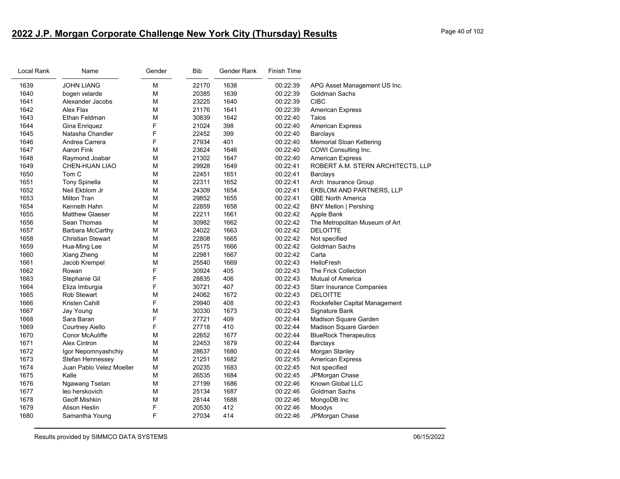# **2022 J.P. Morgan Corporate Challenge New York City (Thursday) Results** Page 40 of 102

| Local Rank | Name                     | Gender | Bib   | Gender Rank | Finish Time |                                   |
|------------|--------------------------|--------|-------|-------------|-------------|-----------------------------------|
| 1639       | <b>JOHN LIANG</b>        | М      | 22170 | 1638        | 00:22:39    | APG Asset Management US Inc.      |
| 1640       | bogen velarde            | М      | 20385 | 1639        | 00:22:39    | Goldman Sachs                     |
| 1641       | Alexander Jacobs         | M      | 23225 | 1640        | 00:22:39    | <b>CIBC</b>                       |
| 1642       | Alex Flax                | М      | 21176 | 1641        | 00:22:39    | <b>American Express</b>           |
| 1643       | Ethan Feldman            | M      | 30839 | 1642        | 00:22:40    | Talos                             |
| 1644       | Gina Enriquez            | F      | 21024 | 398         | 00:22:40    | <b>American Express</b>           |
| 1645       | Natasha Chandler         | F      | 22452 | 399         | 00:22:40    | <b>Barclays</b>                   |
| 1646       | Andrea Carrera           | F      | 27934 | 401         | 00:22:40    | <b>Memorial Sloan Kettering</b>   |
| 1647       | Aaron Fink               | M      | 23624 | 1646        | 00:22:40    | COWI Consulting Inc.              |
| 1648       | Raymond Joabar           | М      | 21302 | 1647        | 00:22:40    | <b>American Express</b>           |
| 1649       | <b>CHEN-HUAN LIAO</b>    | M      | 29928 | 1649        | 00:22:41    | ROBERT A.M. STERN ARCHITECTS, LLP |
| 1650       | Tom C                    | M      | 22451 | 1651        | 00:22:41    | Barclays                          |
| 1651       | <b>Tony Spinella</b>     | М      | 22311 | 1652        | 00:22:41    | Arch Insurance Group              |
| 1652       | Neil Ekblom Jr           | M      | 24309 | 1654        | 00:22:41    | EKBLOM AND PARTNERS, LLP          |
| 1653       | <b>Milton Tran</b>       | М      | 29852 | 1655        | 00:22:41    | <b>QBE North America</b>          |
| 1654       | Kenneth Hahn             | М      | 22859 | 1658        | 00:22:42    | <b>BNY Mellon   Pershing</b>      |
| 1655       | <b>Matthew Glaeser</b>   | М      | 22211 | 1661        | 00:22:42    | Apple Bank                        |
| 1656       | Sean Thomas              | M      | 30982 | 1662        | 00:22:42    | The Metropolitan Museum of Art    |
| 1657       | Barbara McCarthy         | M      | 24022 | 1663        | 00:22:42    | <b>DELOITTE</b>                   |
| 1658       | <b>Christian Stewart</b> | М      | 22808 | 1665        | 00:22:42    | Not specified                     |
| 1659       | Hua-Ming Lee             | M      | 25175 | 1666        | 00:22:42    | <b>Goldman Sachs</b>              |
| 1660       | Xiang Zheng              | М      | 22981 | 1667        | 00:22:42    | Carta                             |
| 1661       | Jacob Krempel            | М      | 25540 | 1669        | 00:22:43    | <b>HelloFresh</b>                 |
| 1662       | Rowan                    | F      | 30924 | 405         | 00:22:43    | The Frick Collection              |
| 1663       | Stephanie Gil            | F      | 28835 | 406         | 00:22:43    | <b>Mutual of America</b>          |
| 1664       | Eliza Imburgia           | F      | 30721 | 407         | 00:22:43    | <b>Starr Insurance Companies</b>  |
| 1665       | <b>Rob Stewart</b>       | M      | 24062 | 1672        | 00:22:43    | <b>DELOITTE</b>                   |
| 1666       | Kristen Cahill           | F      | 29940 | 408         | 00:22:43    | Rockefeller Capital Management    |
| 1667       | Jay Young                | М      | 30330 | 1673        | 00:22:43    | Signature Bank                    |
| 1668       | Sara Baran               | F      | 27721 | 409         | 00:22:44    | Madison Square Garden             |
| 1669       | <b>Courtney Aiello</b>   | F      | 27718 | 410         | 00:22:44    | Madison Square Garden             |
| 1670       | <b>Conor McAuliffe</b>   | M      | 22652 | 1677        | 00:22:44    | <b>BlueRock Therapeutics</b>      |
| 1671       | <b>Alex Cintron</b>      | M      | 22453 | 1679        | 00:22:44    | Barclays                          |
| 1672       | Igor Nepomnyashchiy      | M      | 28637 | 1680        | 00:22:44    | Morgan Stanley                    |
| 1673       | Stefan Hennessey         | М      | 21251 | 1682        | 00:22:45    | <b>American Express</b>           |
| 1674       | Juan Pablo Velez Moeller | М      | 20235 | 1683        | 00:22:45    | Not specified                     |
| 1675       | Kalle                    | M      | 26535 | 1684        | 00:22:45    | JPMorgan Chase                    |
| 1676       | Ngawang Tsetan           | М      | 27199 | 1686        | 00:22:46    | Known Global LLC                  |
| 1677       | leo herskovich           | М      | 25134 | 1687        | 00:22:46    | Goldman Sachs                     |
| 1678       | <b>Geoff Mishkin</b>     | М      | 28144 | 1688        | 00:22:46    | MongoDB Inc                       |
| 1679       | Alison Heslin            | F      | 20530 | 412         | 00:22:46    | Moodys                            |
| 1680       | Samantha Young           | F      | 27034 | 414         | 00:22:46    | JPMorgan Chase                    |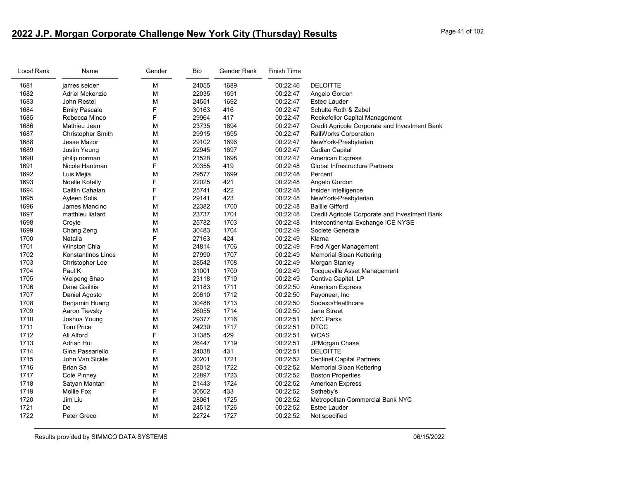# **2022 J.P. Morgan Corporate Challenge New York City (Thursday) Results** Page 41 of 102

| Local Rank | Name                      | Gender | Bib   | Gender Rank | <b>Finish Time</b> |                                               |
|------------|---------------------------|--------|-------|-------------|--------------------|-----------------------------------------------|
| 1681       | james selden              | М      | 24055 | 1689        | 00:22:46           | <b>DELOITTE</b>                               |
| 1682       | <b>Adriel Mckenzie</b>    | M      | 22035 | 1691        | 00:22:47           | Angelo Gordon                                 |
| 1683       | John Restel               | M      | 24551 | 1692        | 00:22:47           | Estee Lauder                                  |
| 1684       | <b>Emily Pascale</b>      | F      | 30163 | 416         | 00:22:47           | Schulte Roth & Zabel                          |
| 1685       | Rebecca Mineo             | F      | 29964 | 417         | 00:22:47           | Rockefeller Capital Management                |
| 1686       | Mathieu Jean              | M      | 23735 | 1694        | 00:22:47           | Credit Agricole Corporate and Investment Bank |
| 1687       | <b>Christopher Smith</b>  | М      | 29915 | 1695        | 00:22:47           | RailWorks Corporation                         |
| 1688       | Jesse Mazor               | M      | 29102 | 1696        | 00:22:47           | NewYork-Presbyterian                          |
| 1689       | Justin Yeung              | M      | 22945 | 1697        | 00:22:47           | <b>Cadian Capital</b>                         |
| 1690       | philip norman             | M      | 21528 | 1698        | 00:22:47           | <b>American Express</b>                       |
| 1691       | Nicole Hantman            | F      | 20355 | 419         | 00:22:48           | Global Infrastructure Partners                |
| 1692       | Luis Mejia                | M      | 29577 | 1699        | 00:22:48           | Percent                                       |
| 1693       | Noelle Kotelly            | F      | 22025 | 421         | 00:22:48           | Angelo Gordon                                 |
| 1694       | Caitlin Cahalan           | F      | 25741 | 422         | 00:22:48           | Insider Intelligence                          |
| 1695       | Ayleen Solis              | F      | 29141 | 423         | 00:22:48           | NewYork-Presbyterian                          |
| 1696       | James Mancino             | M      | 22382 | 1700        | 00:22:48           | <b>Baillie Gifford</b>                        |
| 1697       | matthieu liatard          | М      | 23737 | 1701        | 00:22:48           | Credit Agricole Corporate and Investment Bank |
| 1698       | Croyle                    | M      | 25782 | 1703        | 00:22:48           | Intercontinental Exchange ICE NYSE            |
| 1699       | Chang Zeng                | M      | 30483 | 1704        | 00:22:49           | Societe Generale                              |
| 1700       | Natalia                   | F      | 27163 | 424         | 00:22:49           | Klarna                                        |
| 1701       | <b>Winston Chia</b>       | М      | 24814 | 1706        | 00:22:49           | Fred Alger Management                         |
| 1702       | <b>Konstantinos Linos</b> | M      | 27990 | 1707        | 00:22:49           | <b>Memorial Sloan Kettering</b>               |
| 1703       | Christopher Lee           | М      | 28542 | 1708        | 00:22:49           | Morgan Stanley                                |
| 1704       | Paul K                    | M      | 31001 | 1709        | 00:22:49           | <b>Tocqueville Asset Management</b>           |
| 1705       | Weipeng Shao              | M      | 23118 | 1710        | 00:22:49           | Centiva Capital, LP                           |
| 1706       | Dane Gailitis             | М      | 21183 | 1711        | 00:22:50           | <b>American Express</b>                       |
| 1707       | Daniel Agosto             | M      | 20610 | 1712        | 00:22:50           | Payoneer, Inc                                 |
| 1708       | Benjamin Huang            | M      | 30488 | 1713        | 00:22:50           | Sodexo/Healthcare                             |
| 1709       | Aaron Tievsky             | M      | 26055 | 1714        | 00:22:50           | <b>Jane Street</b>                            |
| 1710       | Joshua Young              | M      | 29377 | 1716        | 00:22:51           | <b>NYC Parks</b>                              |
| 1711       | <b>Tom Price</b>          | M      | 24230 | 1717        | 00:22:51           | <b>DTCC</b>                                   |
| 1712       | Ali Alford                | F      | 31385 | 429         | 00:22:51           | <b>WCAS</b>                                   |
| 1713       | Adrian Hui                | M      | 26447 | 1719        | 00:22:51           | JPMorgan Chase                                |
| 1714       | Gina Passariello          | F      | 24038 | 431         | 00:22:51           | <b>DELOITTE</b>                               |
| 1715       | John Van Sickle           | M      | 30201 | 1721        | 00:22:52           | <b>Sentinel Capital Partners</b>              |
| 1716       | <b>Brian Sa</b>           | M      | 28012 | 1722        | 00:22:52           | <b>Memorial Sloan Kettering</b>               |
| 1717       | Cole Pinney               | M      | 22897 | 1723        | 00:22:52           | <b>Boston Properties</b>                      |
| 1718       | Satyan Mantan             | M      | 21443 | 1724        | 00:22:52           | <b>American Express</b>                       |
| 1719       | Mollie Fox                | F      | 30502 | 433         | 00:22:52           | Sotheby's                                     |
| 1720       | Jim Liu                   | M      | 28061 | 1725        | 00:22:52           | Metropolitan Commercial Bank NYC              |
| 1721       | De                        | M      | 24512 | 1726        | 00:22:52           | <b>Estee Lauder</b>                           |
| 1722       | Peter Greco               | M      | 22724 | 1727        | 00:22:52           | Not specified                                 |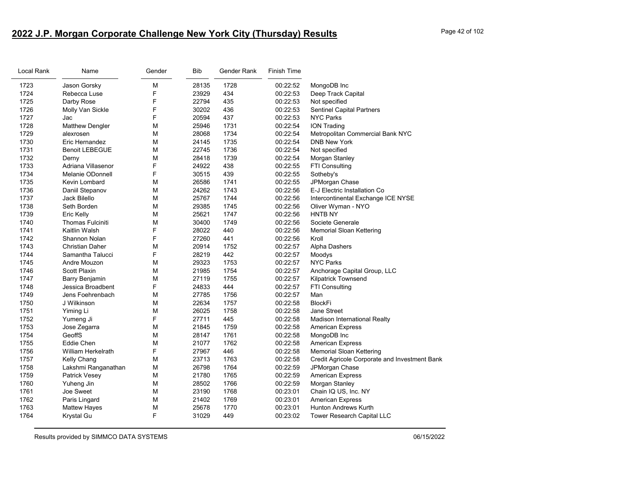# **2022 J.P. Morgan Corporate Challenge New York City (Thursday) Results** Page 42 of 102

| Local Rank | Name                      | Gender | <b>Bib</b> | Gender Rank | <b>Finish Time</b> |                                               |
|------------|---------------------------|--------|------------|-------------|--------------------|-----------------------------------------------|
| 1723       | Jason Gorsky              | M      | 28135      | 1728        | 00:22:52           | MongoDB Inc                                   |
| 1724       | Rebecca Luse              | F      | 23929      | 434         | 00:22:53           | Deep Track Capital                            |
| 1725       | Darby Rose                | F      | 22794      | 435         | 00:22:53           | Not specified                                 |
| 1726       | Molly Van Sickle          | F      | 30202      | 436         | 00:22:53           | <b>Sentinel Capital Partners</b>              |
| 1727       | Jac                       | F      | 20594      | 437         | 00:22:53           | <b>NYC Parks</b>                              |
| 1728       | <b>Matthew Dengler</b>    | M      | 25946      | 1731        | 00:22:54           | <b>ION Trading</b>                            |
| 1729       | alexrosen                 | М      | 28068      | 1734        | 00:22:54           | Metropolitan Commercial Bank NYC              |
| 1730       | Eric Hernandez            | M      | 24145      | 1735        | 00:22:54           | <b>DNB New York</b>                           |
| 1731       | <b>Benoit LEBEGUE</b>     | М      | 22745      | 1736        | 00:22:54           | Not specified                                 |
| 1732       | Derny                     | M      | 28418      | 1739        | 00:22:54           | Morgan Stanley                                |
| 1733       | Adriana Villasenor        | F      | 24922      | 438         | 00:22:55           | <b>FTI Consulting</b>                         |
| 1734       | Melanie ODonnell          | F      | 30515      | 439         | 00:22:55           | Sotheby's                                     |
| 1735       | Kevin Lombard             | M      | 26586      | 1741        | 00:22:55           | JPMorgan Chase                                |
| 1736       | Daniil Stepanov           | М      | 24262      | 1743        | 00:22:56           | E-J Electric Installation Co                  |
| 1737       | Jack Bilello              | M      | 25767      | 1744        | 00:22:56           | Intercontinental Exchange ICE NYSE            |
| 1738       | Seth Borden               | M      | 29385      | 1745        | 00:22:56           | Oliver Wyman - NYO                            |
| 1739       | Eric Kelly                | M      | 25621      | 1747        | 00:22:56           | <b>HNTB NY</b>                                |
| 1740       | Thomas Fulciniti          | M      | 30400      | 1749        | 00:22:56           | Societe Generale                              |
| 1741       | Kaitlin Walsh             | F      | 28022      | 440         | 00:22:56           | Memorial Sloan Kettering                      |
| 1742       | Shannon Nolan             | F      | 27260      | 441         | 00:22:56           | Kroll                                         |
| 1743       | <b>Christian Daher</b>    | М      | 20914      | 1752        | 00:22:57           | Alpha Dashers                                 |
| 1744       | Samantha Talucci          | F      | 28219      | 442         | 00:22:57           | Moodys                                        |
| 1745       | Andre Mouzon              | M      | 29323      | 1753        | 00:22:57           | <b>NYC Parks</b>                              |
| 1746       | <b>Scott Plaxin</b>       | М      | 21985      | 1754        | 00:22:57           | Anchorage Capital Group, LLC                  |
| 1747       | Barry Benjamin            | M      | 27119      | 1755        | 00:22:57           | Kilpatrick Townsend                           |
| 1748       | Jessica Broadbent         | F      | 24833      | 444         | 00:22:57           | FTI Consulting                                |
| 1749       | Jens Foehrenbach          | М      | 27785      | 1756        | 00:22:57           | Man                                           |
| 1750       | J Wilkinson               | M      | 22634      | 1757        | 00:22:58           | <b>BlockFi</b>                                |
| 1751       | Yiming Li                 | М      | 26025      | 1758        | 00:22:58           | Jane Street                                   |
| 1752       | Yumeng Ji                 | F      | 27711      | 445         | 00:22:58           | Madison International Realty                  |
| 1753       | Jose Zegarra              | M      | 21845      | 1759        | 00:22:58           | <b>American Express</b>                       |
| 1754       | GeoffS                    | M      | 28147      | 1761        | 00:22:58           | MongoDB Inc                                   |
| 1755       | <b>Eddie Chen</b>         | M      | 21077      | 1762        | 00:22:58           | <b>American Express</b>                       |
| 1756       | <b>William Herkelrath</b> | F      | 27967      | 446         | 00:22:58           | Memorial Sloan Kettering                      |
| 1757       | Kelly Chang               | М      | 23713      | 1763        | 00:22:58           | Credit Agricole Corporate and Investment Bank |
| 1758       | Lakshmi Ranganathan       | M      | 26798      | 1764        | 00:22:59           | JPMorgan Chase                                |
| 1759       | <b>Patrick Vesey</b>      | M      | 21780      | 1765        | 00:22:59           | <b>American Express</b>                       |
| 1760       | Yuheng Jin                | М      | 28502      | 1766        | 00:22:59           | Morgan Stanley                                |
| 1761       | Joe Sweet                 | М      | 23190      | 1768        | 00:23:01           | Chain IQ US, Inc. NY                          |
| 1762       | Paris Lingard             | M      | 21402      | 1769        | 00:23:01           | <b>American Express</b>                       |
| 1763       | <b>Mattew Hayes</b>       | М      | 25678      | 1770        | 00:23:01           | <b>Hunton Andrews Kurth</b>                   |
| 1764       | Krystal Gu                | F      | 31029      | 449         | 00:23:02           | Tower Research Capital LLC                    |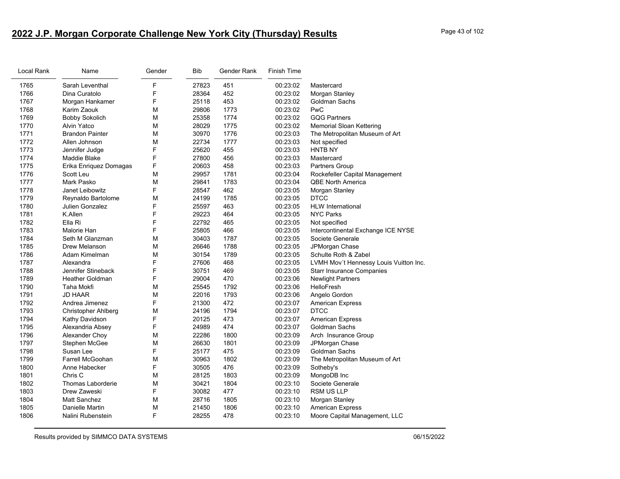# **2022 J.P. Morgan Corporate Challenge New York City (Thursday) Results** Page 43 of 102

| Local Rank | Name                       | Gender | <b>Bib</b> | Gender Rank | <b>Finish Time</b> |                                        |
|------------|----------------------------|--------|------------|-------------|--------------------|----------------------------------------|
| 1765       | Sarah Leventhal            | F      | 27823      | 451         | 00:23:02           | Mastercard                             |
| 1766       | Dina Curatolo              | F      | 28364      | 452         | 00:23:02           | Morgan Stanley                         |
| 1767       | Morgan Hankamer            | F      | 25118      | 453         | 00:23:02           | Goldman Sachs                          |
| 1768       | Karim Zaouk                | M      | 29806      | 1773        | 00:23:02           | PwC                                    |
| 1769       | <b>Bobby Sokolich</b>      | M      | 25358      | 1774        | 00:23:02           | <b>GQG Partners</b>                    |
| 1770       | <b>Alvin Yatco</b>         | M      | 28029      | 1775        | 00:23:02           | Memorial Sloan Kettering               |
| 1771       | <b>Brandon Painter</b>     | M      | 30970      | 1776        | 00:23:03           | The Metropolitan Museum of Art         |
| 1772       | Allen Johnson              | M      | 22734      | 1777        | 00:23:03           | Not specified                          |
| 1773       | Jennifer Judge             | F      | 25620      | 455         | 00:23:03           | <b>HNTB NY</b>                         |
| 1774       | <b>Maddie Blake</b>        | F      | 27800      | 456         | 00:23:03           | Mastercard                             |
| 1775       | Erika Enriquez Domagas     | F      | 20603      | 458         | 00:23:03           | <b>Partners Group</b>                  |
| 1776       | Scott Leu                  | M      | 29957      | 1781        | 00:23:04           | Rockefeller Capital Management         |
| 1777       | Mark Pasko                 | M      | 29841      | 1783        | 00:23:04           | <b>QBE North America</b>               |
| 1778       | Janet Leibowitz            | F      | 28547      | 462         | 00:23:05           | Morgan Stanley                         |
| 1779       | Reynaldo Bartolome         | M      | 24199      | 1785        | 00:23:05           | <b>DTCC</b>                            |
| 1780       | Julien Gonzalez            | F      | 25597      | 463         | 00:23:05           | <b>HLW</b> International               |
| 1781       | K.Allen                    | F      | 29223      | 464         | 00:23:05           | <b>NYC Parks</b>                       |
| 1782       | Ella Ri                    | F      | 22792      | 465         | 00:23:05           | Not specified                          |
| 1783       | Malorie Han                | F      | 25805      | 466         | 00:23:05           | Intercontinental Exchange ICE NYSE     |
| 1784       | Seth M Glanzman            | M      | 30403      | 1787        | 00:23:05           | Societe Generale                       |
| 1785       | Drew Melanson              | M      | 26646      | 1788        | 00:23:05           | JPMorgan Chase                         |
| 1786       | Adam Kimelman              | M      | 30154      | 1789        | 00:23:05           | Schulte Roth & Zabel                   |
| 1787       | Alexandra                  | F      | 27606      | 468         | 00:23:05           | LVMH Mov't Hennessy Louis Vuitton Inc. |
| 1788       | Jennifer Stineback         | F      | 30751      | 469         | 00:23:05           | <b>Starr Insurance Companies</b>       |
| 1789       | <b>Heather Goldman</b>     | F      | 29004      | 470         | 00:23:06           | <b>Newlight Partners</b>               |
| 1790       | Taha Mokfi                 | M      | 25545      | 1792        | 00:23:06           | <b>HelloFresh</b>                      |
| 1791       | <b>JD HAAR</b>             | M      | 22016      | 1793        | 00:23:06           | Angelo Gordon                          |
| 1792       | Andrea Jimenez             | F      | 21300      | 472         | 00:23:07           | <b>American Express</b>                |
| 1793       | <b>Christopher Ahlberg</b> | M      | 24196      | 1794        | 00:23:07           | <b>DTCC</b>                            |
| 1794       | Kathy Davidson             | F      | 20125      | 473         | 00:23:07           | American Express                       |
| 1795       | Alexandria Absey           | F      | 24989      | 474         | 00:23:07           | Goldman Sachs                          |
| 1796       | Alexander Choy             | M      | 22286      | 1800        | 00:23:09           | Arch Insurance Group                   |
| 1797       | Stephen McGee              | M      | 26630      | 1801        | 00:23:09           | JPMorgan Chase                         |
| 1798       | Susan Lee                  | F      | 25177      | 475         | 00:23:09           | <b>Goldman Sachs</b>                   |
| 1799       | Farrell McGoohan           | M      | 30963      | 1802        | 00:23:09           | The Metropolitan Museum of Art         |
| 1800       | Anne Habecker              | F      | 30505      | 476         | 00:23:09           | Sotheby's                              |
| 1801       | Chris C                    | M      | 28125      | 1803        | 00:23:09           | MongoDB Inc                            |
| 1802       | <b>Thomas Laborderie</b>   | M      | 30421      | 1804        | 00:23:10           | Societe Generale                       |
| 1803       | Drew Zaweski               | F      | 30082      | 477         | 00:23:10           | <b>RSM US LLP</b>                      |
| 1804       | <b>Matt Sanchez</b>        | M      | 28716      | 1805        | 00:23:10           | Morgan Stanley                         |
| 1805       | Danielle Martin            | M      | 21450      | 1806        | 00:23:10           | <b>American Express</b>                |
| 1806       | Nalini Rubenstein          | F      | 28255      | 478         | 00:23:10           | Moore Capital Management, LLC          |
|            |                            |        |            |             |                    |                                        |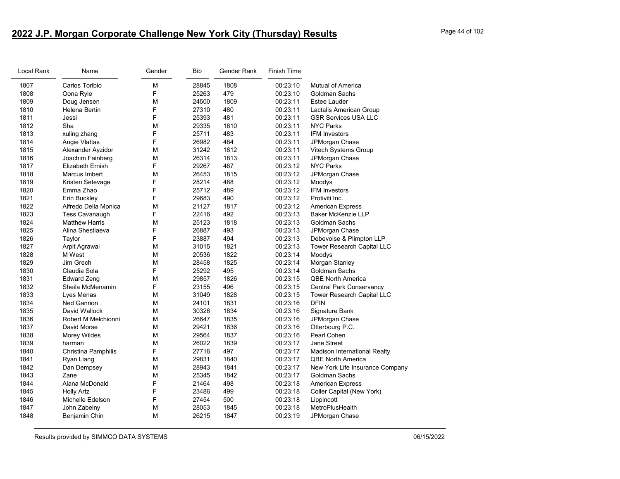# **2022 J.P. Morgan Corporate Challenge New York City (Thursday) Results** Page 44 of 102

| Local Rank | Name                    | Gender | <b>Bib</b> | Gender Rank | <b>Finish Time</b> |                                   |
|------------|-------------------------|--------|------------|-------------|--------------------|-----------------------------------|
| 1807       | Carlos Toribio          | M      | 28845      | 1808        | 00:23:10           | Mutual of America                 |
| 1808       | Oona Ryle               | F      | 25263      | 479         | 00:23:10           | Goldman Sachs                     |
| 1809       | Doug Jensen             | M      | 24500      | 1809        | 00:23:11           | Estee Lauder                      |
| 1810       | <b>Helena Bertin</b>    | F      | 27310      | 480         | 00:23:11           | Lactalis American Group           |
| 1811       | Jessi                   | F      | 25393      | 481         | 00:23:11           | <b>GSR Services USA LLC</b>       |
| 1812       | Sha                     | M      | 29335      | 1810        | 00:23:11           | <b>NYC Parks</b>                  |
| 1813       | xuling zhang            | F      | 25711      | 483         | 00:23:11           | <b>IFM Investors</b>              |
| 1814       | Angie Vlattas           | F      | 26982      | 484         | 00:23:11           | JPMorgan Chase                    |
| 1815       | Alexander Ayzidor       | M      | 31242      | 1812        | 00:23:11           | Vitech Systems Group              |
| 1816       | Joachim Fainberg        | М      | 26314      | 1813        | 00:23:11           | JPMorgan Chase                    |
| 1817       | <b>Elizabeth Ernish</b> | F      | 29267      | 487         | 00:23:12           | <b>NYC Parks</b>                  |
| 1818       | Marcus Imbert           | M      | 26453      | 1815        | 00:23:12           | JPMorgan Chase                    |
| 1819       | Kristen Setevage        | F      | 28214      | 488         | 00:23:12           | Moodys                            |
| 1820       | Emma Zhao               | F      | 25712      | 489         | 00:23:12           | <b>IFM Investors</b>              |
| 1821       | Erin Buckley            | F      | 29683      | 490         | 00:23:12           | Protiviti Inc.                    |
| 1822       | Alfredo Della Monica    | M      | 21127      | 1817        | 00:23:12           | <b>American Express</b>           |
| 1823       | <b>Tess Cavanaugh</b>   | F      | 22416      | 492         | 00:23:13           | <b>Baker McKenzie LLP</b>         |
| 1824       | <b>Matthew Harris</b>   | M      | 25123      | 1818        | 00:23:13           | Goldman Sachs                     |
| 1825       | Alina Shestiaeva        | F      | 26887      | 493         | 00:23:13           | JPMorgan Chase                    |
| 1826       | Taylor                  | F      | 23887      | 494         | 00:23:13           | Debevoise & Plimpton LLP          |
| 1827       | Arpit Agrawal           | M      | 31015      | 1821        | 00:23:13           | Tower Research Capital LLC        |
| 1828       | M West                  | M      | 20536      | 1822        | 00:23:14           | Moodys                            |
| 1829       | Jim Grech               | M      | 28458      | 1825        | 00:23:14           | Morgan Stanley                    |
| 1830       | Claudia Sola            | F      | 25292      | 495         | 00:23:14           | Goldman Sachs                     |
| 1831       | <b>Edward Zeng</b>      | М      | 29857      | 1826        | 00:23:15           | <b>QBE North America</b>          |
| 1832       | Sheila McMenamin        | F      | 23155      | 496         | 00:23:15           | <b>Central Park Conservancy</b>   |
| 1833       | Lyes Menas              | М      | 31049      | 1828        | 00:23:15           | <b>Tower Research Capital LLC</b> |
| 1834       | Ned Gannon              | M      | 24101      | 1831        | 00:23:16           | <b>DFIN</b>                       |
| 1835       | David Wallock           | М      | 30326      | 1834        | 00:23:16           | Signature Bank                    |
| 1836       | Robert M Melchionni     | М      | 26647      | 1835        | 00:23:16           | JPMorgan Chase                    |
| 1837       | David Morse             | M      | 29421      | 1836        | 00:23:16           | Otterbourg P.C.                   |
| 1838       | <b>Morey Wildes</b>     | М      | 29564      | 1837        | 00:23:16           | Pearl Cohen                       |
| 1839       | harman                  | М      | 26022      | 1839        | 00:23:17           | <b>Jane Street</b>                |
| 1840       | Christina Pamphilis     | F      | 27716      | 497         | 00:23:17           | Madison International Realty      |
| 1841       | Ryan Liang              | М      | 29831      | 1840        | 00:23:17           | <b>QBE North America</b>          |
| 1842       | Dan Dempsey             | М      | 28943      | 1841        | 00:23:17           | New York Life Insurance Company   |
| 1843       | Zane                    | M      | 25345      | 1842        | 00:23:17           | Goldman Sachs                     |
| 1844       | Alana McDonald          | F      | 21464      | 498         | 00:23:18           | <b>American Express</b>           |
| 1845       | <b>Holly Artz</b>       | F      | 23486      | 499         | 00:23:18           | Coller Capital (New York)         |
| 1846       | Michelle Edelson        | F      | 27454      | 500         | 00:23:18           | Lippincott                        |
| 1847       | John Zabelny            | M      | 28053      | 1845        | 00:23:18           | MetroPlusHealth                   |
| 1848       | Benjamin Chin           | M      | 26215      | 1847        | 00:23:19           | JPMorgan Chase                    |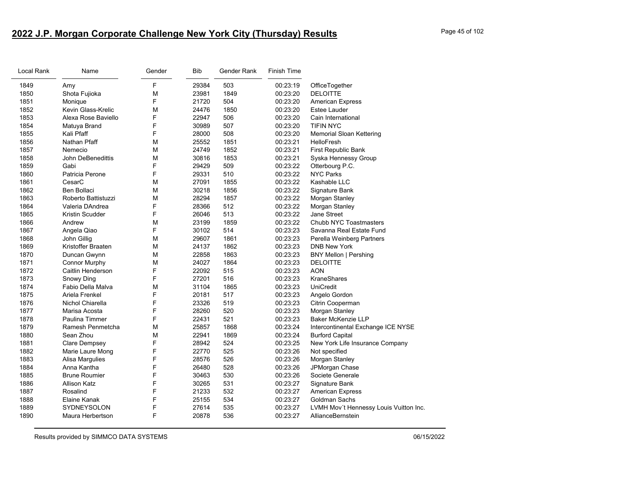# **2022 J.P. Morgan Corporate Challenge New York City (Thursday) Results** Page 45 of 102

| Local Rank | Name                 | Gender | <b>Bib</b> | Gender Rank | Finish Time |                                        |
|------------|----------------------|--------|------------|-------------|-------------|----------------------------------------|
| 1849       | Amy                  | F      | 29384      | 503         | 00:23:19    | OfficeTogether                         |
| 1850       | Shota Fujioka        | M      | 23981      | 1849        | 00:23:20    | <b>DELOITTE</b>                        |
| 1851       | Monique              | F      | 21720      | 504         | 00:23:20    | <b>American Express</b>                |
| 1852       | Kevin Glass-Krelic   | M      | 24476      | 1850        | 00:23:20    | Estee Lauder                           |
| 1853       | Alexa Rose Baviello  | F      | 22947      | 506         | 00:23:20    | Cain International                     |
| 1854       | Matuya Brand         | F      | 30989      | 507         | 00:23:20    | <b>TIFIN NYC</b>                       |
| 1855       | Kali Pfaff           | F      | 28000      | 508         | 00:23:20    | <b>Memorial Sloan Kettering</b>        |
| 1856       | Nathan Pfaff         | M      | 25552      | 1851        | 00:23:21    | <b>HelloFresh</b>                      |
| 1857       | Nemecio              | M      | 24749      | 1852        | 00:23:21    | First Republic Bank                    |
| 1858       | John DeBenedittis    | M      | 30816      | 1853        | 00:23:21    | Syska Hennessy Group                   |
| 1859       | Gabi                 | F      | 29429      | 509         | 00:23:22    | Otterbourg P.C.                        |
| 1860       | Patricia Perone      | F      | 29331      | 510         | 00:23:22    | <b>NYC Parks</b>                       |
| 1861       | CesarC               | M      | 27091      | 1855        | 00:23:22    | Kashable LLC                           |
| 1862       | Ben Bollaci          | M      | 30218      | 1856        | 00:23:22    | Signature Bank                         |
| 1863       | Roberto Battistuzzi  | M      | 28294      | 1857        | 00:23:22    | Morgan Stanley                         |
| 1864       | Valeria DAndrea      | F      | 28366      | 512         | 00:23:22    | Morgan Stanley                         |
| 1865       | Kristin Scudder      | F      | 26046      | 513         | 00:23:22    | <b>Jane Street</b>                     |
| 1866       | Andrew               | M      | 23199      | 1859        | 00:23:22    | Chubb NYC Toastmasters                 |
| 1867       | Angela Qiao          | F      | 30102      | 514         | 00:23:23    | Savanna Real Estate Fund               |
| 1868       | John Gillig          | M      | 29607      | 1861        | 00:23:23    | Perella Weinberg Partners              |
| 1869       | Kristoffer Braaten   | М      | 24137      | 1862        | 00:23:23    | <b>DNB New York</b>                    |
| 1870       | Duncan Gwynn         | M      | 22858      | 1863        | 00:23:23    | <b>BNY Mellon   Pershing</b>           |
| 1871       | <b>Connor Murphy</b> | М      | 24027      | 1864        | 00:23:23    | <b>DELOITTE</b>                        |
| 1872       | Caitlin Henderson    | F      | 22092      | 515         | 00:23:23    | <b>AON</b>                             |
| 1873       | Snowy Ding           | F      | 27201      | 516         | 00:23:23    | <b>KraneShares</b>                     |
| 1874       | Fabio Della Malva    | M      | 31104      | 1865        | 00:23:23    | <b>UniCredit</b>                       |
| 1875       | Ariela Frenkel       | F      | 20181      | 517         | 00:23:23    | Angelo Gordon                          |
| 1876       | Nichol Chiarella     | F      | 23326      | 519         | 00:23:23    | Citrin Cooperman                       |
| 1877       | Marisa Acosta        | F      | 28260      | 520         | 00:23:23    | Morgan Stanley                         |
| 1878       | Paulina Timmer       | F      | 22431      | 521         | 00:23:23    | <b>Baker McKenzie LLP</b>              |
| 1879       | Ramesh Penmetcha     | M      | 25857      | 1868        | 00:23:24    | Intercontinental Exchange ICE NYSE     |
| 1880       | Sean Zhou            | M      | 22941      | 1869        | 00:23:24    | <b>Burford Capital</b>                 |
| 1881       | Clare Dempsey        | F      | 28942      | 524         | 00:23:25    | New York Life Insurance Company        |
| 1882       | Marie Laure Mong     | F      | 22770      | 525         | 00:23:26    | Not specified                          |
| 1883       | Alisa Margulies      | F      | 28576      | 526         | 00:23:26    | Morgan Stanley                         |
| 1884       | Anna Kantha          | F      | 26480      | 528         | 00:23:26    | JPMorgan Chase                         |
| 1885       | <b>Brune Roumier</b> | F      | 30463      | 530         | 00:23:26    | Societe Generale                       |
| 1886       | <b>Allison Katz</b>  | F      | 30265      | 531         | 00:23:27    | Signature Bank                         |
| 1887       | Rosalind             | F      | 21233      | 532         | 00:23:27    | <b>American Express</b>                |
| 1888       | Elaine Kanak         | F      | 25155      | 534         | 00:23:27    | Goldman Sachs                          |
| 1889       | <b>SYDNEYSOLON</b>   | F      | 27614      | 535         | 00:23:27    | LVMH Mov't Hennessy Louis Vuitton Inc. |
| 1890       | Maura Herbertson     | F      | 20878      | 536         | 00:23:27    | AllianceBernstein                      |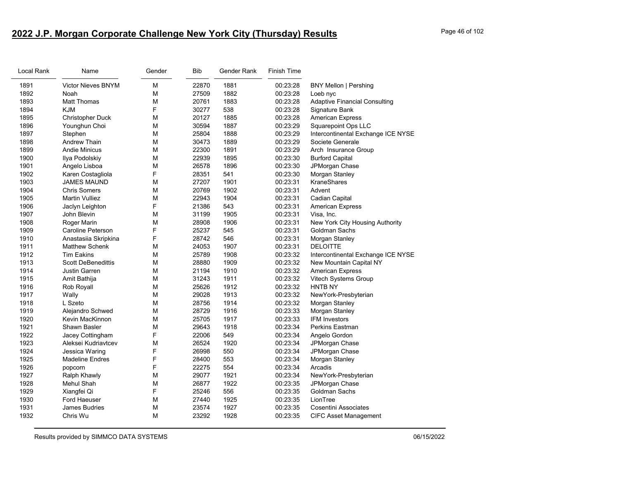# **2022 J.P. Morgan Corporate Challenge New York City (Thursday) Results** Page 46 of 102

| Local Rank | Name                      | Gender | <b>Bib</b> | Gender Rank | <b>Finish Time</b> |                                      |
|------------|---------------------------|--------|------------|-------------|--------------------|--------------------------------------|
| 1891       | <b>Victor Nieves BNYM</b> | M      | 22870      | 1881        | 00:23:28           | <b>BNY Mellon   Pershing</b>         |
| 1892       | Noah                      | M      | 27509      | 1882        | 00:23:28           | Loeb nyc                             |
| 1893       | <b>Matt Thomas</b>        | M      | 20761      | 1883        | 00:23:28           | <b>Adaptive Financial Consulting</b> |
| 1894       | <b>KJM</b>                | F      | 30277      | 538         | 00:23:28           | Signature Bank                       |
| 1895       | <b>Christopher Duck</b>   | M      | 20127      | 1885        | 00:23:28           | <b>American Express</b>              |
| 1896       | Younghun Choi             | M      | 30594      | 1887        | 00:23:29           | <b>Squarepoint Ops LLC</b>           |
| 1897       | Stephen                   | M      | 25804      | 1888        | 00:23:29           | Intercontinental Exchange ICE NYSE   |
| 1898       | <b>Andrew Thain</b>       | M      | 30473      | 1889        | 00:23:29           | Societe Generale                     |
| 1899       | <b>Andie Minicus</b>      | M      | 22300      | 1891        | 00:23:29           | Arch Insurance Group                 |
| 1900       | Ilya Podolskiy            | M      | 22939      | 1895        | 00:23:30           | <b>Burford Capital</b>               |
| 1901       | Angelo Lisboa             | M      | 26578      | 1896        | 00:23:30           | JPMorgan Chase                       |
| 1902       | Karen Costagliola         | F      | 28351      | 541         | 00:23:30           | Morgan Stanley                       |
| 1903       | <b>JAMES MAUND</b>        | M      | 27207      | 1901        | 00:23:31           | <b>KraneShares</b>                   |
| 1904       | <b>Chris Somers</b>       | M      | 20769      | 1902        | 00:23:31           | Advent                               |
| 1905       | <b>Martin Vulliez</b>     | M      | 22943      | 1904        | 00:23:31           | Cadian Capital                       |
| 1906       | Jaclyn Leighton           | F      | 21386      | 543         | 00:23:31           | <b>American Express</b>              |
| 1907       | John Blevin               | M      | 31199      | 1905        | 00:23:31           | Visa, Inc.                           |
| 1908       | Roger Marin               | M      | 28908      | 1906        | 00:23:31           | New York City Housing Authority      |
| 1909       | Caroline Peterson         | F      | 25237      | 545         | 00:23:31           | Goldman Sachs                        |
| 1910       | Anastasiia Skripkina      | F      | 28742      | 546         | 00:23:31           | Morgan Stanley                       |
| 1911       | <b>Matthew Schenk</b>     | M      | 24053      | 1907        | 00:23:31           | <b>DELOITTE</b>                      |
| 1912       | <b>Tim Eakins</b>         | M      | 25789      | 1908        | 00:23:32           | Intercontinental Exchange ICE NYSE   |
| 1913       | <b>Scott DeBenedittis</b> | M      | 28880      | 1909        | 00:23:32           | New Mountain Capital NY              |
| 1914       | <b>Justin Garren</b>      | M      | 21194      | 1910        | 00:23:32           | <b>American Express</b>              |
| 1915       | Amit Bathija              | M      | 31243      | 1911        | 00:23:32           | Vitech Systems Group                 |
| 1916       | <b>Rob Royall</b>         | M      | 25626      | 1912        | 00:23:32           | HNTB NY                              |
| 1917       | Wally                     | M      | 29028      | 1913        | 00:23:32           | NewYork-Presbyterian                 |
| 1918       | L Szeto                   | M      | 28756      | 1914        | 00:23:32           | Morgan Stanley                       |
| 1919       | Alejandro Schwed          | M      | 28729      | 1916        | 00:23:33           | Morgan Stanley                       |
| 1920       | Kevin MacKinnon           | M      | 25705      | 1917        | 00:23:33           | <b>IFM Investors</b>                 |
| 1921       | Shawn Basler              | M      | 29643      | 1918        | 00:23:34           | Perkins Eastman                      |
| 1922       | Jacey Cottingham          | F      | 22006      | 549         | 00:23:34           | Angelo Gordon                        |
| 1923       | Aleksei Kudriavtcev       | M      | 26524      | 1920        | 00:23:34           | JPMorgan Chase                       |
| 1924       | Jessica Waring            | F      | 26998      | 550         | 00:23:34           | JPMorgan Chase                       |
| 1925       | <b>Madeline Endres</b>    | F      | 28400      | 553         | 00:23:34           | Morgan Stanley                       |
| 1926       | popcorn                   | F      | 22275      | 554         | 00:23:34           | Arcadis                              |
| 1927       | Ralph Khawly              | M      | 29077      | 1921        | 00:23:34           | NewYork-Presbyterian                 |
| 1928       | Mehul Shah                | M      | 26877      | 1922        | 00:23:35           | JPMorgan Chase                       |
| 1929       | Xiangfei Qi               | F      | 25246      | 556         | 00:23:35           | Goldman Sachs                        |
| 1930       | <b>Ford Haeuser</b>       | M      | 27440      | 1925        | 00:23:35           | LionTree                             |
| 1931       | <b>James Budries</b>      | M      | 23574      | 1927        | 00:23:35           | Cosentini Associates                 |
| 1932       | Chris Wu                  | M      | 23292      | 1928        | 00:23:35           | <b>CIFC Asset Management</b>         |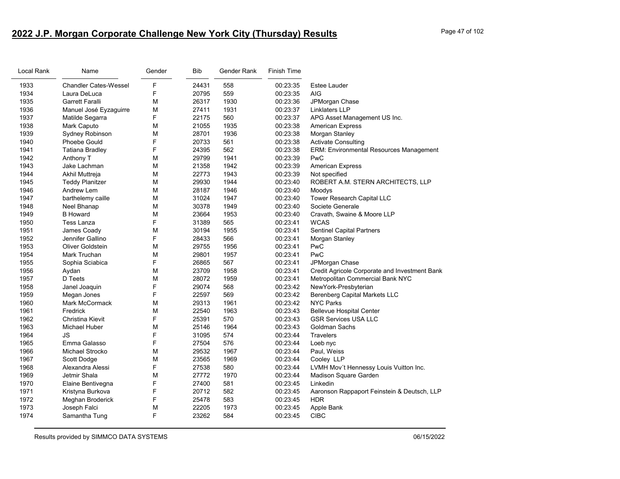# 2022 J.P. Morgan Corporate Challenge New York City (Thursday) Results

| Page 47 of 102 |  |  |  |
|----------------|--|--|--|
|----------------|--|--|--|

| Local Rank | Name                         | Gender | <b>Bib</b> | Gender Rank | Finish Time |                                                |
|------------|------------------------------|--------|------------|-------------|-------------|------------------------------------------------|
| 1933       | <b>Chandler Cates-Wessel</b> | F      | 24431      | 558         | 00:23:35    | <b>Estee Lauder</b>                            |
| 1934       | Laura DeLuca                 | F      | 20795      | 559         | 00:23:35    | <b>AIG</b>                                     |
| 1935       | Garrett Faralli              | M      | 26317      | 1930        | 00:23:36    | JPMorgan Chase                                 |
| 1936       | Manuel José Eyzaguirre       | M      | 27411      | 1931        | 00:23:37    | Linklaters LLP                                 |
| 1937       | Matilde Segarra              | F      | 22175      | 560         | 00:23:37    | APG Asset Management US Inc.                   |
| 1938       | Mark Caputo                  | M      | 21055      | 1935        | 00:23:38    | <b>American Express</b>                        |
| 1939       | Sydney Robinson              | M      | 28701      | 1936        | 00:23:38    | Morgan Stanley                                 |
| 1940       | <b>Phoebe Gould</b>          | F      | 20733      | 561         | 00:23:38    | <b>Activate Consulting</b>                     |
| 1941       | <b>Tatiana Bradley</b>       | F      | 24395      | 562         | 00:23:38    | <b>ERM: Environmental Resources Management</b> |
| 1942       | Anthony T                    | M      | 29799      | 1941        | 00:23:39    | PwC                                            |
| 1943       | Jake Lachman                 | M      | 21358      | 1942        | 00:23:39    | <b>American Express</b>                        |
| 1944       | Akhil Muttreja               | M      | 22773      | 1943        | 00:23:39    | Not specified                                  |
| 1945       | Teddy Planitzer              | М      | 29930      | 1944        | 00:23:40    | ROBERT A.M. STERN ARCHITECTS, LLP              |
| 1946       | Andrew Lem                   | M      | 28187      | 1946        | 00:23:40    | Moodys                                         |
| 1947       | barthelemy caille            | М      | 31024      | 1947        | 00:23:40    | Tower Research Capital LLC                     |
| 1948       | Neel Bhanap                  | М      | 30378      | 1949        | 00:23:40    | Societe Generale                               |
| 1949       | <b>B</b> Howard              | M      | 23664      | 1953        | 00:23:40    | Cravath, Swaine & Moore LLP                    |
| 1950       | Tess Lanza                   | F      | 31389      | 565         | 00:23:41    | <b>WCAS</b>                                    |
| 1951       | James Coady                  | M      | 30194      | 1955        | 00:23:41    | <b>Sentinel Capital Partners</b>               |
| 1952       | Jennifer Gallino             | F      | 28433      | 566         | 00:23:41    | Morgan Stanley                                 |
| 1953       | Oliver Goldstein             | M      | 29755      | 1956        | 00:23:41    | PwC                                            |
| 1954       | Mark Truchan                 | M      | 29801      | 1957        | 00:23:41    | PwC                                            |
| 1955       | Sophia Sciabica              | F      | 26865      | 567         | 00:23:41    | JPMorgan Chase                                 |
| 1956       | Aydan                        | M      | 23709      | 1958        | 00:23:41    | Credit Agricole Corporate and Investment Bank  |
| 1957       | D Teets                      | M      | 28072      | 1959        | 00:23:41    | Metropolitan Commercial Bank NYC               |
| 1958       | Janel Joaquin                | F      | 29074      | 568         | 00:23:42    | NewYork-Presbyterian                           |
| 1959       | Megan Jones                  | F      | 22597      | 569         | 00:23:42    | <b>Berenberg Capital Markets LLC</b>           |
| 1960       | <b>Mark McCormack</b>        | M      | 29313      | 1961        | 00:23:42    | <b>NYC Parks</b>                               |
| 1961       | Fredrick                     | M      | 22540      | 1963        | 00:23:43    | <b>Bellevue Hospital Center</b>                |
| 1962       | Christina Kievit             | F      | 25391      | 570         | 00:23:43    | <b>GSR Services USA LLC</b>                    |
| 1963       | Michael Huber                | M      | 25146      | 1964        | 00:23:43    | Goldman Sachs                                  |
| 1964       | JS                           | F      | 31095      | 574         | 00:23:44    | <b>Travelers</b>                               |
| 1965       | Emma Galasso                 | F      | 27504      | 576         | 00:23:44    | Loeb nyc                                       |
| 1966       | Michael Strocko              | M      | 29532      | 1967        | 00:23:44    | Paul, Weiss                                    |
| 1967       | Scott Dodge                  | M      | 23565      | 1969        | 00:23:44    | Cooley LLP                                     |
| 1968       | Alexandra Alessi             | F      | 27538      | 580         | 00:23:44    | LVMH Mov't Hennessy Louis Vuitton Inc.         |
| 1969       | Jetmir Shala                 | M      | 27772      | 1970        | 00:23:44    | Madison Square Garden                          |
| 1970       | Elaine Bentivegna            | F      | 27400      | 581         | 00:23:45    | Linkedin                                       |
| 1971       | Kristyna Burkova             | F      | 20712      | 582         | 00:23:45    | Aaronson Rappaport Feinstein & Deutsch, LLP    |
| 1972       | Meghan Broderick             | F      | 25478      | 583         | 00:23:45    | <b>HDR</b>                                     |
| 1973       | Joseph Falci                 | M      | 22205      | 1973        | 00:23:45    | Apple Bank                                     |
| 1974       | Samantha Tung                | F      | 23262      | 584         | 00:23:45    | <b>CIBC</b>                                    |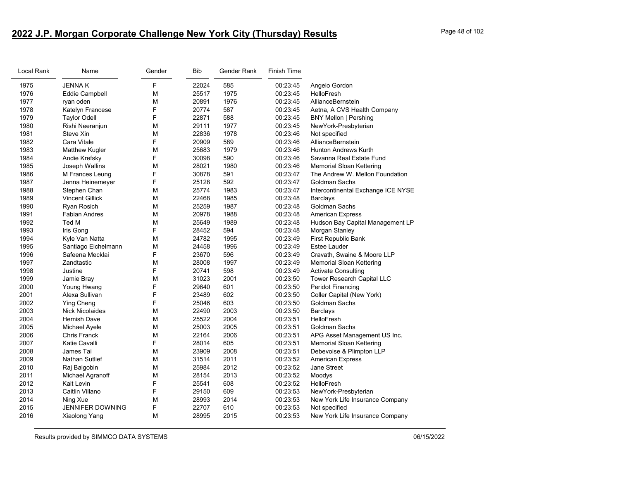# **2022 J.P. Morgan Corporate Challenge New York City (Thursday) Results** Page 48 of 102

| Local Rank | Name                   | Gender | <b>Bib</b> | Gender Rank | <b>Finish Time</b> |                                    |
|------------|------------------------|--------|------------|-------------|--------------------|------------------------------------|
| 1975       | <b>JENNAK</b>          | F      | 22024      | 585         | 00:23:45           | Angelo Gordon                      |
| 1976       | <b>Eddie Campbell</b>  | М      | 25517      | 1975        | 00:23:45           | HelloFresh                         |
| 1977       | ryan oden              | М      | 20891      | 1976        | 00:23:45           | AllianceBernstein                  |
| 1978       | Katelyn Francese       | F      | 20774      | 587         | 00:23:45           | Aetna, A CVS Health Company        |
| 1979       | <b>Taylor Odell</b>    | F      | 22871      | 588         | 00:23:45           | <b>BNY Mellon   Pershing</b>       |
| 1980       | Rishi Neeranjun        | М      | 29111      | 1977        | 00:23:45           | NewYork-Presbyterian               |
| 1981       | Steve Xin              | М      | 22836      | 1978        | 00:23:46           | Not specified                      |
| 1982       | Cara Vitale            | F      | 20909      | 589         | 00:23:46           | AllianceBernstein                  |
| 1983       | <b>Matthew Kugler</b>  | М      | 25683      | 1979        | 00:23:46           | <b>Hunton Andrews Kurth</b>        |
| 1984       | Andie Krefsky          | F      | 30098      | 590         | 00:23:46           | Savanna Real Estate Fund           |
| 1985       | Joseph Wallins         | М      | 28021      | 1980        | 00:23:46           | Memorial Sloan Kettering           |
| 1986       | M Frances Leung        | F      | 30878      | 591         | 00:23:47           | The Andrew W. Mellon Foundation    |
| 1987       | Jenna Heinemeyer       | F      | 25128      | 592         | 00:23:47           | Goldman Sachs                      |
| 1988       | Stephen Chan           | м      | 25774      | 1983        | 00:23:47           | Intercontinental Exchange ICE NYSE |
| 1989       | <b>Vincent Gillick</b> | М      | 22468      | 1985        | 00:23:48           | Barclays                           |
| 1990       | Ryan Rosich            | М      | 25259      | 1987        | 00:23:48           | Goldman Sachs                      |
| 1991       | <b>Fabian Andres</b>   | М      | 20978      | 1988        | 00:23:48           | <b>American Express</b>            |
| 1992       | Ted M                  | м      | 25649      | 1989        | 00:23:48           | Hudson Bay Capital Management LP   |
| 1993       | Iris Gong              | F      | 28452      | 594         | 00:23:48           | Morgan Stanley                     |
| 1994       | Kyle Van Natta         | М      | 24782      | 1995        | 00:23:49           | First Republic Bank                |
| 1995       | Santiago Eichelmann    | M      | 24458      | 1996        | 00:23:49           | <b>Estee Lauder</b>                |
| 1996       | Safeena Mecklai        | F      | 23670      | 596         | 00:23:49           | Cravath, Swaine & Moore LLP        |
| 1997       | Zandtastic             | м      | 28008      | 1997        | 00:23:49           | Memorial Sloan Kettering           |
| 1998       | Justine                | F      | 20741      | 598         | 00:23:49           | <b>Activate Consulting</b>         |
| 1999       | Jamie Bray             | M      | 31023      | 2001        | 00:23:50           | Tower Research Capital LLC         |
| 2000       | Young Hwang            | F      | 29640      | 601         | 00:23:50           | <b>Peridot Financing</b>           |
| 2001       | Alexa Sullivan         | F      | 23489      | 602         | 00:23:50           | Coller Capital (New York)          |
| 2002       | <b>Ying Cheng</b>      | F      | 25046      | 603         | 00:23:50           | Goldman Sachs                      |
| 2003       | <b>Nick Nicolaides</b> | м      | 22490      | 2003        | 00:23:50           | <b>Barclays</b>                    |
| 2004       | <b>Hemish Dave</b>     | м      | 25522      | 2004        | 00:23:51           | <b>HelloFresh</b>                  |
| 2005       | Michael Ayele          | M      | 25003      | 2005        | 00:23:51           | Goldman Sachs                      |
| 2006       | <b>Chris Franck</b>    | М      | 22164      | 2006        | 00:23:51           | APG Asset Management US Inc.       |
| 2007       | Katie Cavalli          | F      | 28014      | 605         | 00:23:51           | <b>Memorial Sloan Kettering</b>    |
| 2008       | James Tai              | м      | 23909      | 2008        | 00:23:51           | Debevoise & Plimpton LLP           |
| 2009       | Nathan Sutlief         | М      | 31514      | 2011        | 00:23:52           | <b>American Express</b>            |
| 2010       | Raj Balgobin           | М      | 25984      | 2012        | 00:23:52           | <b>Jane Street</b>                 |
| 2011       | Michael Agranoff       | М      | 28154      | 2013        | 00:23:52           | Moodys                             |
| 2012       | Kait Levin             | F      | 25541      | 608         | 00:23:52           | HelloFresh                         |
| 2013       | Caitlin Villano        | F      | 29150      | 609         | 00:23:53           | NewYork-Presbyterian               |
| 2014       | Ning Xue               | М      | 28993      | 2014        | 00:23:53           | New York Life Insurance Company    |
| 2015       | JENNIFER DOWNING       | F      | 22707      | 610         | 00:23:53           | Not specified                      |
| 2016       | Xiaolong Yang          | м      | 28995      | 2015        | 00:23:53           | New York Life Insurance Company    |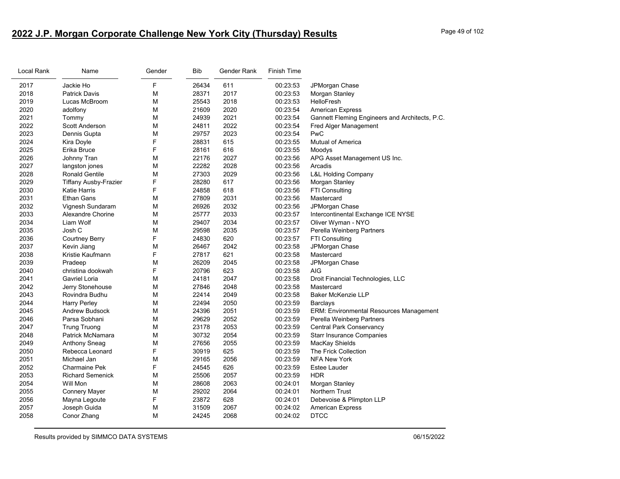# **2022 J.P. Morgan Corporate Challenge New York City (Thursday) Results** Page 49 of 102

| Local Rank | Name                    | Gender | Bib   | Gender Rank | <b>Finish Time</b> |                                                |
|------------|-------------------------|--------|-------|-------------|--------------------|------------------------------------------------|
| 2017       | Jackie Ho               | F      | 26434 | 611         | 00:23:53           | JPMorgan Chase                                 |
| 2018       | <b>Patrick Davis</b>    | М      | 28371 | 2017        | 00:23:53           | Morgan Stanley                                 |
| 2019       | Lucas McBroom           | М      | 25543 | 2018        | 00:23:53           | HelloFresh                                     |
| 2020       | adolfony                | M      | 21609 | 2020        | 00:23:54           | <b>American Express</b>                        |
| 2021       | Tommy                   | М      | 24939 | 2021        | 00:23:54           | Gannett Fleming Engineers and Architects, P.C. |
| 2022       | <b>Scott Anderson</b>   | М      | 24811 | 2022        | 00:23:54           | Fred Alger Management                          |
| 2023       | Dennis Gupta            | M      | 29757 | 2023        | 00:23:54           | PwC                                            |
| 2024       | Kira Doyle              | F      | 28831 | 615         | 00:23:55           | <b>Mutual of America</b>                       |
| 2025       | Erika Bruce             | F      | 28161 | 616         | 00:23:55           | Moodys                                         |
| 2026       | Johnny Tran             | М      | 22176 | 2027        | 00:23:56           | APG Asset Management US Inc.                   |
| 2027       | langston jones          | М      | 22282 | 2028        | 00:23:56           | Arcadis                                        |
| 2028       | <b>Ronald Gentile</b>   | М      | 27303 | 2029        | 00:23:56           | <b>L&amp;L Holding Company</b>                 |
| 2029       | Tiffany Ausby-Frazier   | F      | 28280 | 617         | 00:23:56           | Morgan Stanley                                 |
| 2030       | <b>Katie Harris</b>     | F      | 24858 | 618         | 00:23:56           | FTI Consulting                                 |
| 2031       | <b>Ethan Gans</b>       | М      | 27809 | 2031        | 00:23:56           | Mastercard                                     |
| 2032       | Vignesh Sundaram        | М      | 26926 | 2032        | 00:23:56           | JPMorgan Chase                                 |
| 2033       | Alexandre Chorine       | M      | 25777 | 2033        | 00:23:57           | Intercontinental Exchange ICE NYSE             |
| 2034       | Liam Wolf               | M      | 29407 | 2034        | 00:23:57           | Oliver Wyman - NYO                             |
| 2035       | Josh C                  | М      | 29598 | 2035        | 00:23:57           | Perella Weinberg Partners                      |
| 2036       | <b>Courtney Berry</b>   | F      | 24830 | 620         | 00:23:57           | FTI Consulting                                 |
| 2037       | Kevin Jiang             | М      | 26467 | 2042        | 00:23:58           | JPMorgan Chase                                 |
| 2038       | Kristie Kaufmann        | F      | 27817 | 621         | 00:23:58           | Mastercard                                     |
| 2039       | Pradeep                 | М      | 26209 | 2045        | 00:23:58           | JPMorgan Chase                                 |
| 2040       | christina dookwah       | F      | 20796 | 623         | 00:23:58           | AIG                                            |
| 2041       | Gavriel Loria           | М      | 24181 | 2047        | 00:23:58           | Droit Financial Technologies, LLC              |
| 2042       | Jerry Stonehouse        | М      | 27846 | 2048        | 00:23:58           | Mastercard                                     |
| 2043       | Rovindra Budhu          | M      | 22414 | 2049        | 00:23:58           | <b>Baker McKenzie LLP</b>                      |
| 2044       | <b>Harry Perley</b>     | М      | 22494 | 2050        | 00:23:59           | Barclays                                       |
| 2045       | <b>Andrew Budsock</b>   | М      | 24396 | 2051        | 00:23:59           | ERM: Environmental Resources Management        |
| 2046       | Parsa Sobhani           | М      | 29629 | 2052        | 00:23:59           | Perella Weinberg Partners                      |
| 2047       | <b>Trung Truong</b>     | М      | 23178 | 2053        | 00:23:59           | <b>Central Park Conservancy</b>                |
| 2048       | Patrick McNamara        | M      | 30732 | 2054        | 00:23:59           | <b>Starr Insurance Companies</b>               |
| 2049       | Anthony Sneag           | М      | 27656 | 2055        | 00:23:59           | MacKay Shields                                 |
| 2050       | Rebecca Leonard         | F      | 30919 | 625         | 00:23:59           | The Frick Collection                           |
| 2051       | Michael Jan             | М      | 29165 | 2056        | 00:23:59           | <b>NFA New York</b>                            |
| 2052       | <b>Charmaine Pek</b>    | F      | 24545 | 626         | 00:23:59           | Estee Lauder                                   |
| 2053       | <b>Richard Semenick</b> | М      | 25506 | 2057        | 00:23:59           | <b>HDR</b>                                     |
| 2054       | Will Mon                | М      | 28608 | 2063        | 00:24:01           | Morgan Stanley                                 |
| 2055       | <b>Connery Mayer</b>    | M      | 29202 | 2064        | 00:24:01           | Northern Trust                                 |
| 2056       | Mayna Legoute           | F      | 23872 | 628         | 00:24:01           | Debevoise & Plimpton LLP                       |
| 2057       | Joseph Guida            | М      | 31509 | 2067        | 00:24:02           | <b>American Express</b>                        |
| 2058       | Conor Zhang             | M      | 24245 | 2068        | 00:24:02           | <b>DTCC</b>                                    |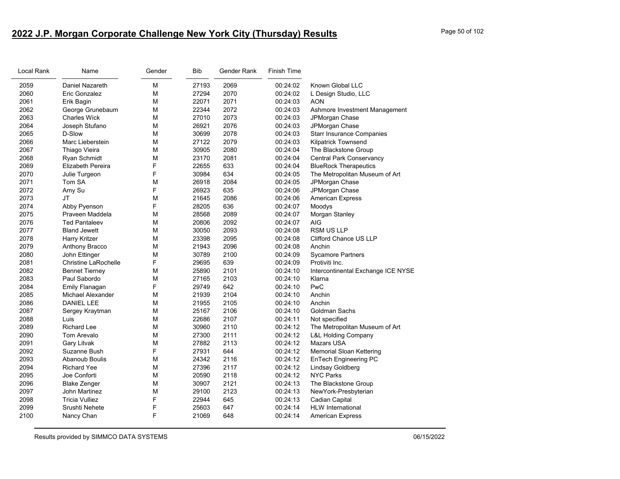# **2022 J.P. Morgan Corporate Challenge New York City (Thursday) Results** Page 50 of 102

| Local Rank | Name                        | Gender | <b>Bib</b> | Gender Rank | Finish Time |                                    |
|------------|-----------------------------|--------|------------|-------------|-------------|------------------------------------|
| 2059       | Daniel Nazareth             | M      | 27193      | 2069        | 00:24:02    | Known Global LLC                   |
| 2060       | Eric Gonzalez               | M      | 27294      | 2070        | 00:24:02    | L Design Studio, LLC               |
| 2061       | Erik Bagin                  | M      | 22071      | 2071        | 00:24:03    | AON                                |
| 2062       | George Grunebaum            | M      | 22344      | 2072        | 00:24:03    | Ashmore Investment Management      |
| 2063       | <b>Charles Wick</b>         | M      | 27010      | 2073        | 00:24:03    | JPMorgan Chase                     |
| 2064       | Joseph Stufano              | M      | 26921      | 2076        | 00:24:03    | JPMorgan Chase                     |
| 2065       | D-Slow                      | M      | 30699      | 2078        | 00:24:03    | <b>Starr Insurance Companies</b>   |
| 2066       | Marc Lieberstein            | M      | 27122      | 2079        | 00:24:03    | <b>Kilpatrick Townsend</b>         |
| 2067       | Thiago Vieira               | M      | 30905      | 2080        | 00:24:04    | The Blackstone Group               |
| 2068       | Ryan Schmidt                | M      | 23170      | 2081        | 00:24:04    | <b>Central Park Conservancy</b>    |
| 2069       | Elizabeth Pereira           | F      | 22655      | 633         | 00:24:04    | <b>BlueRock Therapeutics</b>       |
| 2070       | Julie Turgeon               | F      | 30984      | 634         | 00:24:05    | The Metropolitan Museum of Art     |
| 2071       | Tom SA                      | M      | 26918      | 2084        | 00:24:05    | JPMorgan Chase                     |
| 2072       | Amy Su                      | F      | 26923      | 635         | 00:24:06    | JPMorgan Chase                     |
| 2073       | <b>JT</b>                   | M      | 21645      | 2086        | 00:24:06    | <b>American Express</b>            |
| 2074       | Abby Pyenson                | F      | 28205      | 636         | 00:24:07    | Moodys                             |
| 2075       | Praveen Maddela             | M      | 28568      | 2089        | 00:24:07    | Morgan Stanley                     |
| 2076       | <b>Ted Pantaleev</b>        | M      | 20806      | 2092        | 00:24:07    | AIG                                |
| 2077       | <b>Bland Jewett</b>         | M      | 30050      | 2093        | 00:24:08    | RSM US LLP                         |
| 2078       | Harry Kritzer               | M      | 23398      | 2095        | 00:24:08    | Clifford Chance US LLP             |
| 2079       | Anthony Bracco              | M      | 21943      | 2096        | 00:24:08    | Anchin                             |
| 2080       | John Ettinger               | M      | 30789      | 2100        | 00:24:09    | <b>Sycamore Partners</b>           |
| 2081       | <b>Christine LaRochelle</b> | F      | 29695      | 639         | 00:24:09    | Protiviti Inc.                     |
| 2082       | <b>Bennet Tierney</b>       | M      | 25890      | 2101        | 00:24:10    | Intercontinental Exchange ICE NYSE |
| 2083       | Paul Sabordo                | M      | 27165      | 2103        | 00:24:10    | Klarna                             |
| 2084       | Emily Flanagan              | F      | 29749      | 642         | 00:24:10    | PwC                                |
| 2085       | <b>Michael Alexander</b>    | M      | 21939      | 2104        | 00:24:10    | Anchin                             |
| 2086       | <b>DANIEL LEE</b>           | M      | 21955      | 2105        | 00:24:10    | Anchin                             |
| 2087       | Sergey Kraytman             | M      | 25167      | 2106        | 00:24:10    | Goldman Sachs                      |
| 2088       | Luis                        | M      | 22686      | 2107        | 00:24:11    | Not specified                      |
| 2089       | <b>Richard Lee</b>          | M      | 30960      | 2110        | 00:24:12    | The Metropolitan Museum of Art     |
| 2090       | <b>Tom Arevalo</b>          | M      | 27300      | 2111        | 00:24:12    | <b>L&amp;L Holding Company</b>     |
| 2091       | Gary Litvak                 | M      | 27882      | 2113        | 00:24:12    | Mazars USA                         |
| 2092       | Suzanne Bush                | F      | 27931      | 644         | 00:24:12    | Memorial Sloan Kettering           |
| 2093       | Abanoub Boulis              | M      | 24342      | 2116        | 00:24:12    | <b>EnTech Engineering PC</b>       |
| 2094       | <b>Richard Yee</b>          | M      | 27396      | 2117        | 00:24:12    | Lindsay Goldberg                   |
| 2095       | Joe Conforti                | M      | 20590      | 2118        | 00:24:12    | <b>NYC Parks</b>                   |
| 2096       | <b>Blake Zenger</b>         | M      | 30907      | 2121        | 00:24:13    | The Blackstone Group               |
| 2097       | <b>John Martinez</b>        | M      | 29100      | 2123        | 00:24:13    | NewYork-Presbyterian               |
| 2098       | <b>Tricia Vulliez</b>       | F      | 22944      | 645         | 00:24:13    | Cadian Capital                     |
| 2099       | Srushti Nehete              | F      | 25603      | 647         | 00:24:14    | <b>HLW</b> International           |
| 2100       | Nancy Chan                  | F      | 21069      | 648         | 00:24:14    | <b>American Express</b>            |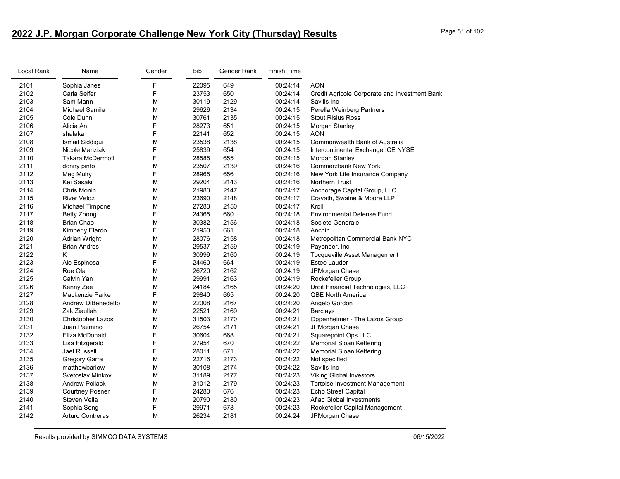# **2022 J.P. Morgan Corporate Challenge New York City (Thursday) Results** Page 51 of 102

| F<br>2101<br>Sophia Janes<br>22095<br>649<br>00:24:14<br><b>AON</b><br>F<br>2102<br>650<br>Carla Seifer<br>23753<br>00:24:14<br>Credit Agricole Corporate and Investment Bank<br>2103<br>30119<br>2129<br>Sam Mann<br>М<br>00:24:14<br>Savills Inc<br>2104<br>Michael Samila<br>M<br>29626<br>2134<br>00:24:15<br>Perella Weinberg Partners<br>2105<br>М<br>30761<br>2135<br>00:24:15<br>Cole Dunn<br><b>Stout Risius Ross</b><br>F<br>2106<br>28273<br>Alicia An<br>651<br>00:24:15<br>Morgan Stanley<br>F<br>2107<br>22141<br>652<br>00:24:15<br><b>AON</b><br>shalaka<br>23538<br>2138<br>00:24:15<br>2108<br>Ismail Siddiqui<br>M<br><b>Commonwealth Bank of Australia</b><br>F<br>25839<br>2109<br>Nicole Manziak<br>654<br>00:24:15<br>Intercontinental Exchange ICE NYSE<br>F<br>2110<br>655<br>Takara McDermott<br>28585<br>00:24:15<br>Morgan Stanley<br>2111<br>23507<br>2139<br><b>Commerzbank New York</b><br>М<br>00:24:16<br>donny pinto<br>F<br>2112<br>28965<br>00:24:16<br>New York Life Insurance Company<br>656<br>Meg Mulry<br>2113<br>Kei Sasaki<br>M<br>29204<br>2143<br>00:24:16<br><b>Northern Trust</b><br>2114<br>Chris Monin<br>М<br>21983<br>2147<br>00:24:17<br>Anchorage Capital Group, LLC<br>2115<br>M<br>Cravath, Swaine & Moore LLP<br><b>River Veloz</b><br>23690<br>2148<br>00:24:17<br>2116<br>М<br>27283<br>2150<br>00:24:17<br>Kroll<br>Michael Timpone<br>F<br>24365<br>660<br>2117<br>00:24:18<br><b>Environmental Defense Fund</b><br>Betty Zhong<br>M<br>2156<br>2118<br>Brian Chao<br>30382<br>00:24:18<br>Societe Generale<br>F<br>2119<br>21950<br>661<br>00:24:18<br>Anchin<br>Kimberly Elardo<br>M<br>2120<br>28076<br>2158<br>00:24:18<br>Metropolitan Commercial Bank NYC<br>Adrian Wright<br>2121<br>29537<br>2159<br>00:24:19<br><b>Brian Andres</b><br>М<br>Payoneer, Inc<br>2122<br>Κ<br>М<br>30999<br>2160<br>00:24:19<br>Tocqueville Asset Management<br>F<br>2123<br>Ale Espinosa<br>24460<br>664<br>00:24:19<br>Estee Lauder<br>2124<br>Roe Ola<br>M<br>26720<br>2162<br>00:24:19<br>JPMorgan Chase<br>2125<br>29991<br>Calvin Yan<br>М<br>2163<br>00:24:19<br>Rockefeller Group<br>2126<br>24184<br>Kenny Zee<br>М<br>2165<br>00:24:20<br>Droit Financial Technologies, LLC<br>F<br>2127<br>29840<br>00:24:20<br>Mackenzie Parke<br>665<br><b>QBE North America</b><br>2128<br>Andrew DiBenedetto<br>М<br>22008<br>2167<br>00:24:20<br>Angelo Gordon<br>2129<br>22521<br>Zak Ziaullah<br>М<br>2169<br>00:24:21<br>Barclays<br>2130<br>M<br>31503<br>2170<br>Oppenheimer - The Lazos Group<br>00:24:21<br><b>Christopher Lazos</b><br>2131<br>Juan Pazmino<br>M<br>26754<br>2171<br>00:24:21<br>JPMorgan Chase<br>F<br>Squarepoint Ops LLC<br>2132<br>Eliza McDonald<br>30604<br>668<br>00:24:21<br>F<br>2133<br>670<br>Lisa Fitzgerald<br>27954<br>00:24:22<br><b>Memorial Sloan Kettering</b><br>F<br>2134<br>671<br>00:24:22<br>Jael Russell<br>28011<br><b>Memorial Sloan Kettering</b><br>M<br>22716<br>2135<br>Gregory Garra<br>2173<br>00:24:22<br>Not specified<br>M<br>2136<br>matthewbarlow<br>30108<br>2174<br>00:24:22<br>Savills Inc<br>2137<br>Svetoslav Minkov<br>М<br>31189<br>2177<br>00:24:23<br><b>Viking Global Investors</b><br>M<br>2138<br><b>Andrew Pollack</b><br>31012<br>2179<br>00:24:23<br><b>Tortoise Investment Management</b><br>F<br>2139<br>24280<br>676<br>00:24:23<br><b>Echo Street Capital</b><br><b>Courtney Posner</b><br>2140<br>Steven Vella<br>М<br>20790<br>2180<br>00:24:23<br>Aflac Global Investments<br>F<br>2141<br>Sophia Song<br>29971<br>678<br>00:24:23<br>Rockefeller Capital Management<br>2142<br><b>Arturo Contreras</b><br>26234<br>2181<br>м<br>00:24:24<br>JPMorgan Chase | Local Rank | Name | Gender | <b>Bib</b> | Gender Rank | <b>Finish Time</b> |  |
|-------------------------------------------------------------------------------------------------------------------------------------------------------------------------------------------------------------------------------------------------------------------------------------------------------------------------------------------------------------------------------------------------------------------------------------------------------------------------------------------------------------------------------------------------------------------------------------------------------------------------------------------------------------------------------------------------------------------------------------------------------------------------------------------------------------------------------------------------------------------------------------------------------------------------------------------------------------------------------------------------------------------------------------------------------------------------------------------------------------------------------------------------------------------------------------------------------------------------------------------------------------------------------------------------------------------------------------------------------------------------------------------------------------------------------------------------------------------------------------------------------------------------------------------------------------------------------------------------------------------------------------------------------------------------------------------------------------------------------------------------------------------------------------------------------------------------------------------------------------------------------------------------------------------------------------------------------------------------------------------------------------------------------------------------------------------------------------------------------------------------------------------------------------------------------------------------------------------------------------------------------------------------------------------------------------------------------------------------------------------------------------------------------------------------------------------------------------------------------------------------------------------------------------------------------------------------------------------------------------------------------------------------------------------------------------------------------------------------------------------------------------------------------------------------------------------------------------------------------------------------------------------------------------------------------------------------------------------------------------------------------------------------------------------------------------------------------------------------------------------------------------------------------------------------------------------------------------------------------------------------------------------------------------------------------------------------------------------------------------------------------------------------------------------------------------------------------------------------------------------------------------------------------------------------------------------------------------------------------------------------------------------------------------------------------------------------|------------|------|--------|------------|-------------|--------------------|--|
|                                                                                                                                                                                                                                                                                                                                                                                                                                                                                                                                                                                                                                                                                                                                                                                                                                                                                                                                                                                                                                                                                                                                                                                                                                                                                                                                                                                                                                                                                                                                                                                                                                                                                                                                                                                                                                                                                                                                                                                                                                                                                                                                                                                                                                                                                                                                                                                                                                                                                                                                                                                                                                                                                                                                                                                                                                                                                                                                                                                                                                                                                                                                                                                                                                                                                                                                                                                                                                                                                                                                                                                                                                                                                                 |            |      |        |            |             |                    |  |
|                                                                                                                                                                                                                                                                                                                                                                                                                                                                                                                                                                                                                                                                                                                                                                                                                                                                                                                                                                                                                                                                                                                                                                                                                                                                                                                                                                                                                                                                                                                                                                                                                                                                                                                                                                                                                                                                                                                                                                                                                                                                                                                                                                                                                                                                                                                                                                                                                                                                                                                                                                                                                                                                                                                                                                                                                                                                                                                                                                                                                                                                                                                                                                                                                                                                                                                                                                                                                                                                                                                                                                                                                                                                                                 |            |      |        |            |             |                    |  |
|                                                                                                                                                                                                                                                                                                                                                                                                                                                                                                                                                                                                                                                                                                                                                                                                                                                                                                                                                                                                                                                                                                                                                                                                                                                                                                                                                                                                                                                                                                                                                                                                                                                                                                                                                                                                                                                                                                                                                                                                                                                                                                                                                                                                                                                                                                                                                                                                                                                                                                                                                                                                                                                                                                                                                                                                                                                                                                                                                                                                                                                                                                                                                                                                                                                                                                                                                                                                                                                                                                                                                                                                                                                                                                 |            |      |        |            |             |                    |  |
|                                                                                                                                                                                                                                                                                                                                                                                                                                                                                                                                                                                                                                                                                                                                                                                                                                                                                                                                                                                                                                                                                                                                                                                                                                                                                                                                                                                                                                                                                                                                                                                                                                                                                                                                                                                                                                                                                                                                                                                                                                                                                                                                                                                                                                                                                                                                                                                                                                                                                                                                                                                                                                                                                                                                                                                                                                                                                                                                                                                                                                                                                                                                                                                                                                                                                                                                                                                                                                                                                                                                                                                                                                                                                                 |            |      |        |            |             |                    |  |
|                                                                                                                                                                                                                                                                                                                                                                                                                                                                                                                                                                                                                                                                                                                                                                                                                                                                                                                                                                                                                                                                                                                                                                                                                                                                                                                                                                                                                                                                                                                                                                                                                                                                                                                                                                                                                                                                                                                                                                                                                                                                                                                                                                                                                                                                                                                                                                                                                                                                                                                                                                                                                                                                                                                                                                                                                                                                                                                                                                                                                                                                                                                                                                                                                                                                                                                                                                                                                                                                                                                                                                                                                                                                                                 |            |      |        |            |             |                    |  |
|                                                                                                                                                                                                                                                                                                                                                                                                                                                                                                                                                                                                                                                                                                                                                                                                                                                                                                                                                                                                                                                                                                                                                                                                                                                                                                                                                                                                                                                                                                                                                                                                                                                                                                                                                                                                                                                                                                                                                                                                                                                                                                                                                                                                                                                                                                                                                                                                                                                                                                                                                                                                                                                                                                                                                                                                                                                                                                                                                                                                                                                                                                                                                                                                                                                                                                                                                                                                                                                                                                                                                                                                                                                                                                 |            |      |        |            |             |                    |  |
|                                                                                                                                                                                                                                                                                                                                                                                                                                                                                                                                                                                                                                                                                                                                                                                                                                                                                                                                                                                                                                                                                                                                                                                                                                                                                                                                                                                                                                                                                                                                                                                                                                                                                                                                                                                                                                                                                                                                                                                                                                                                                                                                                                                                                                                                                                                                                                                                                                                                                                                                                                                                                                                                                                                                                                                                                                                                                                                                                                                                                                                                                                                                                                                                                                                                                                                                                                                                                                                                                                                                                                                                                                                                                                 |            |      |        |            |             |                    |  |
|                                                                                                                                                                                                                                                                                                                                                                                                                                                                                                                                                                                                                                                                                                                                                                                                                                                                                                                                                                                                                                                                                                                                                                                                                                                                                                                                                                                                                                                                                                                                                                                                                                                                                                                                                                                                                                                                                                                                                                                                                                                                                                                                                                                                                                                                                                                                                                                                                                                                                                                                                                                                                                                                                                                                                                                                                                                                                                                                                                                                                                                                                                                                                                                                                                                                                                                                                                                                                                                                                                                                                                                                                                                                                                 |            |      |        |            |             |                    |  |
|                                                                                                                                                                                                                                                                                                                                                                                                                                                                                                                                                                                                                                                                                                                                                                                                                                                                                                                                                                                                                                                                                                                                                                                                                                                                                                                                                                                                                                                                                                                                                                                                                                                                                                                                                                                                                                                                                                                                                                                                                                                                                                                                                                                                                                                                                                                                                                                                                                                                                                                                                                                                                                                                                                                                                                                                                                                                                                                                                                                                                                                                                                                                                                                                                                                                                                                                                                                                                                                                                                                                                                                                                                                                                                 |            |      |        |            |             |                    |  |
|                                                                                                                                                                                                                                                                                                                                                                                                                                                                                                                                                                                                                                                                                                                                                                                                                                                                                                                                                                                                                                                                                                                                                                                                                                                                                                                                                                                                                                                                                                                                                                                                                                                                                                                                                                                                                                                                                                                                                                                                                                                                                                                                                                                                                                                                                                                                                                                                                                                                                                                                                                                                                                                                                                                                                                                                                                                                                                                                                                                                                                                                                                                                                                                                                                                                                                                                                                                                                                                                                                                                                                                                                                                                                                 |            |      |        |            |             |                    |  |
|                                                                                                                                                                                                                                                                                                                                                                                                                                                                                                                                                                                                                                                                                                                                                                                                                                                                                                                                                                                                                                                                                                                                                                                                                                                                                                                                                                                                                                                                                                                                                                                                                                                                                                                                                                                                                                                                                                                                                                                                                                                                                                                                                                                                                                                                                                                                                                                                                                                                                                                                                                                                                                                                                                                                                                                                                                                                                                                                                                                                                                                                                                                                                                                                                                                                                                                                                                                                                                                                                                                                                                                                                                                                                                 |            |      |        |            |             |                    |  |
|                                                                                                                                                                                                                                                                                                                                                                                                                                                                                                                                                                                                                                                                                                                                                                                                                                                                                                                                                                                                                                                                                                                                                                                                                                                                                                                                                                                                                                                                                                                                                                                                                                                                                                                                                                                                                                                                                                                                                                                                                                                                                                                                                                                                                                                                                                                                                                                                                                                                                                                                                                                                                                                                                                                                                                                                                                                                                                                                                                                                                                                                                                                                                                                                                                                                                                                                                                                                                                                                                                                                                                                                                                                                                                 |            |      |        |            |             |                    |  |
|                                                                                                                                                                                                                                                                                                                                                                                                                                                                                                                                                                                                                                                                                                                                                                                                                                                                                                                                                                                                                                                                                                                                                                                                                                                                                                                                                                                                                                                                                                                                                                                                                                                                                                                                                                                                                                                                                                                                                                                                                                                                                                                                                                                                                                                                                                                                                                                                                                                                                                                                                                                                                                                                                                                                                                                                                                                                                                                                                                                                                                                                                                                                                                                                                                                                                                                                                                                                                                                                                                                                                                                                                                                                                                 |            |      |        |            |             |                    |  |
|                                                                                                                                                                                                                                                                                                                                                                                                                                                                                                                                                                                                                                                                                                                                                                                                                                                                                                                                                                                                                                                                                                                                                                                                                                                                                                                                                                                                                                                                                                                                                                                                                                                                                                                                                                                                                                                                                                                                                                                                                                                                                                                                                                                                                                                                                                                                                                                                                                                                                                                                                                                                                                                                                                                                                                                                                                                                                                                                                                                                                                                                                                                                                                                                                                                                                                                                                                                                                                                                                                                                                                                                                                                                                                 |            |      |        |            |             |                    |  |
|                                                                                                                                                                                                                                                                                                                                                                                                                                                                                                                                                                                                                                                                                                                                                                                                                                                                                                                                                                                                                                                                                                                                                                                                                                                                                                                                                                                                                                                                                                                                                                                                                                                                                                                                                                                                                                                                                                                                                                                                                                                                                                                                                                                                                                                                                                                                                                                                                                                                                                                                                                                                                                                                                                                                                                                                                                                                                                                                                                                                                                                                                                                                                                                                                                                                                                                                                                                                                                                                                                                                                                                                                                                                                                 |            |      |        |            |             |                    |  |
|                                                                                                                                                                                                                                                                                                                                                                                                                                                                                                                                                                                                                                                                                                                                                                                                                                                                                                                                                                                                                                                                                                                                                                                                                                                                                                                                                                                                                                                                                                                                                                                                                                                                                                                                                                                                                                                                                                                                                                                                                                                                                                                                                                                                                                                                                                                                                                                                                                                                                                                                                                                                                                                                                                                                                                                                                                                                                                                                                                                                                                                                                                                                                                                                                                                                                                                                                                                                                                                                                                                                                                                                                                                                                                 |            |      |        |            |             |                    |  |
|                                                                                                                                                                                                                                                                                                                                                                                                                                                                                                                                                                                                                                                                                                                                                                                                                                                                                                                                                                                                                                                                                                                                                                                                                                                                                                                                                                                                                                                                                                                                                                                                                                                                                                                                                                                                                                                                                                                                                                                                                                                                                                                                                                                                                                                                                                                                                                                                                                                                                                                                                                                                                                                                                                                                                                                                                                                                                                                                                                                                                                                                                                                                                                                                                                                                                                                                                                                                                                                                                                                                                                                                                                                                                                 |            |      |        |            |             |                    |  |
|                                                                                                                                                                                                                                                                                                                                                                                                                                                                                                                                                                                                                                                                                                                                                                                                                                                                                                                                                                                                                                                                                                                                                                                                                                                                                                                                                                                                                                                                                                                                                                                                                                                                                                                                                                                                                                                                                                                                                                                                                                                                                                                                                                                                                                                                                                                                                                                                                                                                                                                                                                                                                                                                                                                                                                                                                                                                                                                                                                                                                                                                                                                                                                                                                                                                                                                                                                                                                                                                                                                                                                                                                                                                                                 |            |      |        |            |             |                    |  |
|                                                                                                                                                                                                                                                                                                                                                                                                                                                                                                                                                                                                                                                                                                                                                                                                                                                                                                                                                                                                                                                                                                                                                                                                                                                                                                                                                                                                                                                                                                                                                                                                                                                                                                                                                                                                                                                                                                                                                                                                                                                                                                                                                                                                                                                                                                                                                                                                                                                                                                                                                                                                                                                                                                                                                                                                                                                                                                                                                                                                                                                                                                                                                                                                                                                                                                                                                                                                                                                                                                                                                                                                                                                                                                 |            |      |        |            |             |                    |  |
|                                                                                                                                                                                                                                                                                                                                                                                                                                                                                                                                                                                                                                                                                                                                                                                                                                                                                                                                                                                                                                                                                                                                                                                                                                                                                                                                                                                                                                                                                                                                                                                                                                                                                                                                                                                                                                                                                                                                                                                                                                                                                                                                                                                                                                                                                                                                                                                                                                                                                                                                                                                                                                                                                                                                                                                                                                                                                                                                                                                                                                                                                                                                                                                                                                                                                                                                                                                                                                                                                                                                                                                                                                                                                                 |            |      |        |            |             |                    |  |
|                                                                                                                                                                                                                                                                                                                                                                                                                                                                                                                                                                                                                                                                                                                                                                                                                                                                                                                                                                                                                                                                                                                                                                                                                                                                                                                                                                                                                                                                                                                                                                                                                                                                                                                                                                                                                                                                                                                                                                                                                                                                                                                                                                                                                                                                                                                                                                                                                                                                                                                                                                                                                                                                                                                                                                                                                                                                                                                                                                                                                                                                                                                                                                                                                                                                                                                                                                                                                                                                                                                                                                                                                                                                                                 |            |      |        |            |             |                    |  |
|                                                                                                                                                                                                                                                                                                                                                                                                                                                                                                                                                                                                                                                                                                                                                                                                                                                                                                                                                                                                                                                                                                                                                                                                                                                                                                                                                                                                                                                                                                                                                                                                                                                                                                                                                                                                                                                                                                                                                                                                                                                                                                                                                                                                                                                                                                                                                                                                                                                                                                                                                                                                                                                                                                                                                                                                                                                                                                                                                                                                                                                                                                                                                                                                                                                                                                                                                                                                                                                                                                                                                                                                                                                                                                 |            |      |        |            |             |                    |  |
|                                                                                                                                                                                                                                                                                                                                                                                                                                                                                                                                                                                                                                                                                                                                                                                                                                                                                                                                                                                                                                                                                                                                                                                                                                                                                                                                                                                                                                                                                                                                                                                                                                                                                                                                                                                                                                                                                                                                                                                                                                                                                                                                                                                                                                                                                                                                                                                                                                                                                                                                                                                                                                                                                                                                                                                                                                                                                                                                                                                                                                                                                                                                                                                                                                                                                                                                                                                                                                                                                                                                                                                                                                                                                                 |            |      |        |            |             |                    |  |
|                                                                                                                                                                                                                                                                                                                                                                                                                                                                                                                                                                                                                                                                                                                                                                                                                                                                                                                                                                                                                                                                                                                                                                                                                                                                                                                                                                                                                                                                                                                                                                                                                                                                                                                                                                                                                                                                                                                                                                                                                                                                                                                                                                                                                                                                                                                                                                                                                                                                                                                                                                                                                                                                                                                                                                                                                                                                                                                                                                                                                                                                                                                                                                                                                                                                                                                                                                                                                                                                                                                                                                                                                                                                                                 |            |      |        |            |             |                    |  |
|                                                                                                                                                                                                                                                                                                                                                                                                                                                                                                                                                                                                                                                                                                                                                                                                                                                                                                                                                                                                                                                                                                                                                                                                                                                                                                                                                                                                                                                                                                                                                                                                                                                                                                                                                                                                                                                                                                                                                                                                                                                                                                                                                                                                                                                                                                                                                                                                                                                                                                                                                                                                                                                                                                                                                                                                                                                                                                                                                                                                                                                                                                                                                                                                                                                                                                                                                                                                                                                                                                                                                                                                                                                                                                 |            |      |        |            |             |                    |  |
|                                                                                                                                                                                                                                                                                                                                                                                                                                                                                                                                                                                                                                                                                                                                                                                                                                                                                                                                                                                                                                                                                                                                                                                                                                                                                                                                                                                                                                                                                                                                                                                                                                                                                                                                                                                                                                                                                                                                                                                                                                                                                                                                                                                                                                                                                                                                                                                                                                                                                                                                                                                                                                                                                                                                                                                                                                                                                                                                                                                                                                                                                                                                                                                                                                                                                                                                                                                                                                                                                                                                                                                                                                                                                                 |            |      |        |            |             |                    |  |
|                                                                                                                                                                                                                                                                                                                                                                                                                                                                                                                                                                                                                                                                                                                                                                                                                                                                                                                                                                                                                                                                                                                                                                                                                                                                                                                                                                                                                                                                                                                                                                                                                                                                                                                                                                                                                                                                                                                                                                                                                                                                                                                                                                                                                                                                                                                                                                                                                                                                                                                                                                                                                                                                                                                                                                                                                                                                                                                                                                                                                                                                                                                                                                                                                                                                                                                                                                                                                                                                                                                                                                                                                                                                                                 |            |      |        |            |             |                    |  |
|                                                                                                                                                                                                                                                                                                                                                                                                                                                                                                                                                                                                                                                                                                                                                                                                                                                                                                                                                                                                                                                                                                                                                                                                                                                                                                                                                                                                                                                                                                                                                                                                                                                                                                                                                                                                                                                                                                                                                                                                                                                                                                                                                                                                                                                                                                                                                                                                                                                                                                                                                                                                                                                                                                                                                                                                                                                                                                                                                                                                                                                                                                                                                                                                                                                                                                                                                                                                                                                                                                                                                                                                                                                                                                 |            |      |        |            |             |                    |  |
|                                                                                                                                                                                                                                                                                                                                                                                                                                                                                                                                                                                                                                                                                                                                                                                                                                                                                                                                                                                                                                                                                                                                                                                                                                                                                                                                                                                                                                                                                                                                                                                                                                                                                                                                                                                                                                                                                                                                                                                                                                                                                                                                                                                                                                                                                                                                                                                                                                                                                                                                                                                                                                                                                                                                                                                                                                                                                                                                                                                                                                                                                                                                                                                                                                                                                                                                                                                                                                                                                                                                                                                                                                                                                                 |            |      |        |            |             |                    |  |
|                                                                                                                                                                                                                                                                                                                                                                                                                                                                                                                                                                                                                                                                                                                                                                                                                                                                                                                                                                                                                                                                                                                                                                                                                                                                                                                                                                                                                                                                                                                                                                                                                                                                                                                                                                                                                                                                                                                                                                                                                                                                                                                                                                                                                                                                                                                                                                                                                                                                                                                                                                                                                                                                                                                                                                                                                                                                                                                                                                                                                                                                                                                                                                                                                                                                                                                                                                                                                                                                                                                                                                                                                                                                                                 |            |      |        |            |             |                    |  |
|                                                                                                                                                                                                                                                                                                                                                                                                                                                                                                                                                                                                                                                                                                                                                                                                                                                                                                                                                                                                                                                                                                                                                                                                                                                                                                                                                                                                                                                                                                                                                                                                                                                                                                                                                                                                                                                                                                                                                                                                                                                                                                                                                                                                                                                                                                                                                                                                                                                                                                                                                                                                                                                                                                                                                                                                                                                                                                                                                                                                                                                                                                                                                                                                                                                                                                                                                                                                                                                                                                                                                                                                                                                                                                 |            |      |        |            |             |                    |  |
|                                                                                                                                                                                                                                                                                                                                                                                                                                                                                                                                                                                                                                                                                                                                                                                                                                                                                                                                                                                                                                                                                                                                                                                                                                                                                                                                                                                                                                                                                                                                                                                                                                                                                                                                                                                                                                                                                                                                                                                                                                                                                                                                                                                                                                                                                                                                                                                                                                                                                                                                                                                                                                                                                                                                                                                                                                                                                                                                                                                                                                                                                                                                                                                                                                                                                                                                                                                                                                                                                                                                                                                                                                                                                                 |            |      |        |            |             |                    |  |
|                                                                                                                                                                                                                                                                                                                                                                                                                                                                                                                                                                                                                                                                                                                                                                                                                                                                                                                                                                                                                                                                                                                                                                                                                                                                                                                                                                                                                                                                                                                                                                                                                                                                                                                                                                                                                                                                                                                                                                                                                                                                                                                                                                                                                                                                                                                                                                                                                                                                                                                                                                                                                                                                                                                                                                                                                                                                                                                                                                                                                                                                                                                                                                                                                                                                                                                                                                                                                                                                                                                                                                                                                                                                                                 |            |      |        |            |             |                    |  |
|                                                                                                                                                                                                                                                                                                                                                                                                                                                                                                                                                                                                                                                                                                                                                                                                                                                                                                                                                                                                                                                                                                                                                                                                                                                                                                                                                                                                                                                                                                                                                                                                                                                                                                                                                                                                                                                                                                                                                                                                                                                                                                                                                                                                                                                                                                                                                                                                                                                                                                                                                                                                                                                                                                                                                                                                                                                                                                                                                                                                                                                                                                                                                                                                                                                                                                                                                                                                                                                                                                                                                                                                                                                                                                 |            |      |        |            |             |                    |  |
|                                                                                                                                                                                                                                                                                                                                                                                                                                                                                                                                                                                                                                                                                                                                                                                                                                                                                                                                                                                                                                                                                                                                                                                                                                                                                                                                                                                                                                                                                                                                                                                                                                                                                                                                                                                                                                                                                                                                                                                                                                                                                                                                                                                                                                                                                                                                                                                                                                                                                                                                                                                                                                                                                                                                                                                                                                                                                                                                                                                                                                                                                                                                                                                                                                                                                                                                                                                                                                                                                                                                                                                                                                                                                                 |            |      |        |            |             |                    |  |
|                                                                                                                                                                                                                                                                                                                                                                                                                                                                                                                                                                                                                                                                                                                                                                                                                                                                                                                                                                                                                                                                                                                                                                                                                                                                                                                                                                                                                                                                                                                                                                                                                                                                                                                                                                                                                                                                                                                                                                                                                                                                                                                                                                                                                                                                                                                                                                                                                                                                                                                                                                                                                                                                                                                                                                                                                                                                                                                                                                                                                                                                                                                                                                                                                                                                                                                                                                                                                                                                                                                                                                                                                                                                                                 |            |      |        |            |             |                    |  |
|                                                                                                                                                                                                                                                                                                                                                                                                                                                                                                                                                                                                                                                                                                                                                                                                                                                                                                                                                                                                                                                                                                                                                                                                                                                                                                                                                                                                                                                                                                                                                                                                                                                                                                                                                                                                                                                                                                                                                                                                                                                                                                                                                                                                                                                                                                                                                                                                                                                                                                                                                                                                                                                                                                                                                                                                                                                                                                                                                                                                                                                                                                                                                                                                                                                                                                                                                                                                                                                                                                                                                                                                                                                                                                 |            |      |        |            |             |                    |  |
|                                                                                                                                                                                                                                                                                                                                                                                                                                                                                                                                                                                                                                                                                                                                                                                                                                                                                                                                                                                                                                                                                                                                                                                                                                                                                                                                                                                                                                                                                                                                                                                                                                                                                                                                                                                                                                                                                                                                                                                                                                                                                                                                                                                                                                                                                                                                                                                                                                                                                                                                                                                                                                                                                                                                                                                                                                                                                                                                                                                                                                                                                                                                                                                                                                                                                                                                                                                                                                                                                                                                                                                                                                                                                                 |            |      |        |            |             |                    |  |
|                                                                                                                                                                                                                                                                                                                                                                                                                                                                                                                                                                                                                                                                                                                                                                                                                                                                                                                                                                                                                                                                                                                                                                                                                                                                                                                                                                                                                                                                                                                                                                                                                                                                                                                                                                                                                                                                                                                                                                                                                                                                                                                                                                                                                                                                                                                                                                                                                                                                                                                                                                                                                                                                                                                                                                                                                                                                                                                                                                                                                                                                                                                                                                                                                                                                                                                                                                                                                                                                                                                                                                                                                                                                                                 |            |      |        |            |             |                    |  |
|                                                                                                                                                                                                                                                                                                                                                                                                                                                                                                                                                                                                                                                                                                                                                                                                                                                                                                                                                                                                                                                                                                                                                                                                                                                                                                                                                                                                                                                                                                                                                                                                                                                                                                                                                                                                                                                                                                                                                                                                                                                                                                                                                                                                                                                                                                                                                                                                                                                                                                                                                                                                                                                                                                                                                                                                                                                                                                                                                                                                                                                                                                                                                                                                                                                                                                                                                                                                                                                                                                                                                                                                                                                                                                 |            |      |        |            |             |                    |  |
|                                                                                                                                                                                                                                                                                                                                                                                                                                                                                                                                                                                                                                                                                                                                                                                                                                                                                                                                                                                                                                                                                                                                                                                                                                                                                                                                                                                                                                                                                                                                                                                                                                                                                                                                                                                                                                                                                                                                                                                                                                                                                                                                                                                                                                                                                                                                                                                                                                                                                                                                                                                                                                                                                                                                                                                                                                                                                                                                                                                                                                                                                                                                                                                                                                                                                                                                                                                                                                                                                                                                                                                                                                                                                                 |            |      |        |            |             |                    |  |
|                                                                                                                                                                                                                                                                                                                                                                                                                                                                                                                                                                                                                                                                                                                                                                                                                                                                                                                                                                                                                                                                                                                                                                                                                                                                                                                                                                                                                                                                                                                                                                                                                                                                                                                                                                                                                                                                                                                                                                                                                                                                                                                                                                                                                                                                                                                                                                                                                                                                                                                                                                                                                                                                                                                                                                                                                                                                                                                                                                                                                                                                                                                                                                                                                                                                                                                                                                                                                                                                                                                                                                                                                                                                                                 |            |      |        |            |             |                    |  |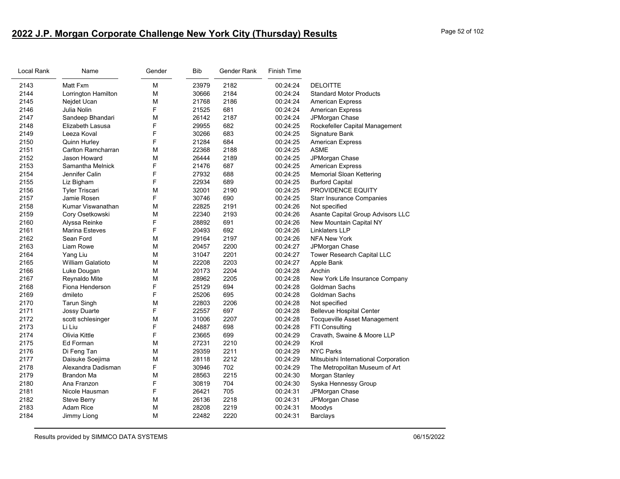# **2022 J.P. Morgan Corporate Challenge New York City (Thursday) Results** Page 52 of 102

| Local Rank | Name                     | Gender | <b>Bib</b> | Gender Rank | <b>Finish Time</b> |                                      |
|------------|--------------------------|--------|------------|-------------|--------------------|--------------------------------------|
| 2143       | Matt Fxm                 | M      | 23979      | 2182        | 00:24:24           | <b>DELOITTE</b>                      |
| 2144       | Lorrington Hamilton      | M      | 30666      | 2184        | 00:24:24           | <b>Standard Motor Products</b>       |
| 2145       | Nejdet Ucan              | M      | 21768      | 2186        | 00:24:24           | <b>American Express</b>              |
| 2146       | Julia Nolin              | F      | 21525      | 681         | 00:24:24           | <b>American Express</b>              |
| 2147       | Sandeep Bhandari         | M      | 26142      | 2187        | 00:24:24           | JPMorgan Chase                       |
| 2148       | Elizabeth Lasusa         | F      | 29955      | 682         | 00:24:25           | Rockefeller Capital Management       |
| 2149       | Leeza Koval              | F      | 30266      | 683         | 00:24:25           | Signature Bank                       |
| 2150       | Quinn Hurley             | F      | 21284      | 684         | 00:24:25           | <b>American Express</b>              |
| 2151       | Carlton Ramcharran       | M      | 22368      | 2188        | 00:24:25           | <b>ASME</b>                          |
| 2152       | Jason Howard             | M      | 26444      | 2189        | 00:24:25           | JPMorgan Chase                       |
| 2153       | Samantha Melnick         | F      | 21476      | 687         | 00:24:25           | <b>American Express</b>              |
| 2154       | Jennifer Calin           | F      | 27932      | 688         | 00:24:25           | Memorial Sloan Kettering             |
| 2155       | Liz Bigham               | F      | 22934      | 689         | 00:24:25           | <b>Burford Capital</b>               |
| 2156       | <b>Tyler Triscari</b>    | M      | 32001      | 2190        | 00:24:25           | PROVIDENCE EQUITY                    |
| 2157       | Jamie Rosen              | F      | 30746      | 690         | 00:24:25           | <b>Starr Insurance Companies</b>     |
| 2158       | Kumar Viswanathan        | M      | 22825      | 2191        | 00:24:26           | Not specified                        |
| 2159       | Cory Osetkowski          | M      | 22340      | 2193        | 00:24:26           | Asante Capital Group Advisors LLC    |
| 2160       | Alyssa Reinke            | F      | 28892      | 691         | 00:24:26           | New Mountain Capital NY              |
| 2161       | <b>Marina Esteves</b>    | F      | 20493      | 692         | 00:24:26           | <b>Linklaters LLP</b>                |
| 2162       | Sean Ford                | M      | 29164      | 2197        | 00:24:26           | <b>NFA New York</b>                  |
| 2163       | Liam Rowe                | M      | 20457      | 2200        | 00:24:27           | JPMorgan Chase                       |
| 2164       | Yang Liu                 | M      | 31047      | 2201        | 00:24:27           | Tower Research Capital LLC           |
| 2165       | <b>William Galatioto</b> | M      | 22208      | 2203        | 00:24:27           | Apple Bank                           |
| 2166       | Luke Dougan              | M      | 20173      | 2204        | 00:24:28           | Anchin                               |
| 2167       | Reynaldo Mite            | M      | 28962      | 2205        | 00:24:28           | New York Life Insurance Company      |
| 2168       | Fiona Henderson          | F      | 25129      | 694         | 00:24:28           | Goldman Sachs                        |
| 2169       | dmileto                  | F      | 25206      | 695         | 00:24:28           | Goldman Sachs                        |
| 2170       | <b>Tarun Singh</b>       | M      | 22803      | 2206        | 00:24:28           | Not specified                        |
| 2171       | Jossy Duarte             | F      | 22557      | 697         | 00:24:28           | <b>Bellevue Hospital Center</b>      |
| 2172       | scott schlesinger        | M      | 31006      | 2207        | 00:24:28           | Tocqueville Asset Management         |
| 2173       | Li Liu                   | F      | 24887      | 698         | 00:24:28           | FTI Consulting                       |
| 2174       | Olivia Kittle            | F      | 23665      | 699         | 00:24:29           | Cravath, Swaine & Moore LLP          |
| 2175       | Ed Forman                | M      | 27231      | 2210        | 00:24:29           | Kroll                                |
| 2176       | Di Feng Tan              | M      | 29359      | 2211        | 00:24:29           | <b>NYC Parks</b>                     |
| 2177       | Daisuke Soejima          | M      | 28118      | 2212        | 00:24:29           | Mitsubishi International Corporation |
| 2178       | Alexandra Dadisman       | F      | 30946      | 702         | 00:24:29           | The Metropolitan Museum of Art       |
| 2179       | <b>Brandon Ma</b>        | M      | 28563      | 2215        | 00:24:30           | Morgan Stanley                       |
| 2180       | Ana Franzon              | F      | 30819      | 704         | 00:24:30           | Syska Hennessy Group                 |
| 2181       | Nicole Hausman           | F      | 26421      | 705         | 00:24:31           | JPMorgan Chase                       |
| 2182       | <b>Steve Berry</b>       | M      | 26136      | 2218        | 00:24:31           | JPMorgan Chase                       |
| 2183       | <b>Adam Rice</b>         | M      | 28208      | 2219        | 00:24:31           | Moodys                               |
| 2184       | Jimmy Liong              | M      | 22482      | 2220        | 00:24:31           | <b>Barclays</b>                      |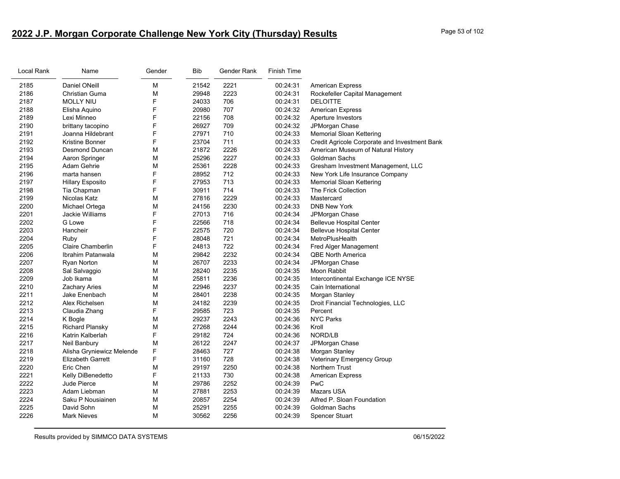# **2022 J.P. Morgan Corporate Challenge New York City (Thursday) Results** Page 53 of 102

| Local Rank | Name                      | Gender | <b>Bib</b> | Gender Rank | <b>Finish Time</b> |                                               |
|------------|---------------------------|--------|------------|-------------|--------------------|-----------------------------------------------|
| 2185       | <b>Daniel ONeill</b>      | М      | 21542      | 2221        | 00:24:31           | <b>American Express</b>                       |
| 2186       | Christian Guma            | М      | 29948      | 2223        | 00:24:31           | Rockefeller Capital Management                |
| 2187       | <b>MOLLY NIU</b>          | F      | 24033      | 706         | 00:24:31           | <b>DELOITTE</b>                               |
| 2188       | Elisha Aquino             | F      | 20980      | 707         | 00:24:32           | <b>American Express</b>                       |
| 2189       | Lexi Minneo               | F      | 22156      | 708         | 00:24:32           | Aperture Investors                            |
| 2190       | brittany tacopino         | F      | 26927      | 709         | 00:24:32           | JPMorgan Chase                                |
| 2191       | Joanna Hildebrant         | F      | 27971      | 710         | 00:24:33           | Memorial Sloan Kettering                      |
| 2192       | Kristine Bonner           | F      | 23704      | 711         | 00:24:33           | Credit Agricole Corporate and Investment Bank |
| 2193       | Desmond Duncan            | М      | 21872      | 2226        | 00:24:33           | American Museum of Natural History            |
| 2194       | Aaron Springer            | М      | 25296      | 2227        | 00:24:33           | Goldman Sachs                                 |
| 2195       | Adam Gehrie               | M      | 25361      | 2228        | 00:24:33           | Gresham Investment Management, LLC            |
| 2196       | marta hansen              | F      | 28952      | 712         | 00:24:33           | New York Life Insurance Company               |
| 2197       | <b>Hillary Esposito</b>   | F      | 27953      | 713         | 00:24:33           | Memorial Sloan Kettering                      |
| 2198       | Tia Chapman               | F      | 30911      | 714         | 00:24:33           | The Frick Collection                          |
| 2199       | Nicolas Katz              | М      | 27816      | 2229        | 00:24:33           | Mastercard                                    |
| 2200       | Michael Ortega            | М      | 24156      | 2230        | 00:24:33           | <b>DNB New York</b>                           |
| 2201       | Jackie Williams           | F      | 27013      | 716         | 00:24:34           | JPMorgan Chase                                |
| 2202       | G Lowe                    | F      | 22566      | 718         | 00:24:34           | <b>Bellevue Hospital Center</b>               |
| 2203       | Hancheir                  | F      | 22575      | 720         | 00:24:34           | <b>Bellevue Hospital Center</b>               |
| 2204       | Ruby                      | F      | 28048      | 721         | 00:24:34           | MetroPlusHealth                               |
| 2205       | Claire Chamberlin         | F      | 24813      | 722         | 00:24:34           | Fred Alger Management                         |
| 2206       | Ibrahim Patanwala         | М      | 29842      | 2232        | 00:24:34           | <b>QBE North America</b>                      |
| 2207       | Ryan Norton               | М      | 26707      | 2233        | 00:24:34           | JPMorgan Chase                                |
| 2208       | Sal Salvaggio             | М      | 28240      | 2235        | 00:24:35           | Moon Rabbit                                   |
| 2209       | Job Ikama                 | М      | 25811      | 2236        | 00:24:35           | Intercontinental Exchange ICE NYSE            |
| 2210       | Zachary Aries             | М      | 22946      | 2237        | 00:24:35           | Cain International                            |
| 2211       | Jake Enenbach             | М      | 28401      | 2238        | 00:24:35           | Morgan Stanley                                |
| 2212       | Alex Richelsen            | М      | 24182      | 2239        | 00:24:35           | Droit Financial Technologies, LLC             |
| 2213       | Claudia Zhang             | F      | 29585      | 723         | 00:24:35           | Percent                                       |
| 2214       | K Bogle                   | м      | 29237      | 2243        | 00:24:36           | <b>NYC Parks</b>                              |
| 2215       | <b>Richard Plansky</b>    | М      | 27268      | 2244        | 00:24:36           | Kroll                                         |
| 2216       | Katrin Kalberlah          | F      | 29182      | 724         | 00:24:36           | NORD/LB                                       |
| 2217       | Neil Banbury              | М      | 26122      | 2247        | 00:24:37           | JPMorgan Chase                                |
| 2218       | Alisha Gryniewicz Melende | F      | 28463      | 727         | 00:24:38           | Morgan Stanley                                |
| 2219       | <b>Elizabeth Garrett</b>  | F      | 31160      | 728         | 00:24:38           | <b>Veterinary Emergency Group</b>             |
| 2220       | Eric Chen                 | М      | 29197      | 2250        | 00:24:38           | Northern Trust                                |
| 2221       | Kelly DiBenedetto         | F      | 21133      | 730         | 00:24:38           | American Express                              |
| 2222       | Jude Pierce               | М      | 29786      | 2252        | 00:24:39           | PwC                                           |
| 2223       | Adam Liebman              | М      | 27881      | 2253        | 00:24:39           | <b>Mazars USA</b>                             |
| 2224       | Saku P Nousiainen         | М      | 20857      | 2254        | 00:24:39           | Alfred P. Sloan Foundation                    |
| 2225       | David Sohn                | М      | 25291      | 2255        | 00:24:39           | Goldman Sachs                                 |
| 2226       | <b>Mark Nieves</b>        | М      | 30562      | 2256        | 00:24:39           | <b>Spencer Stuart</b>                         |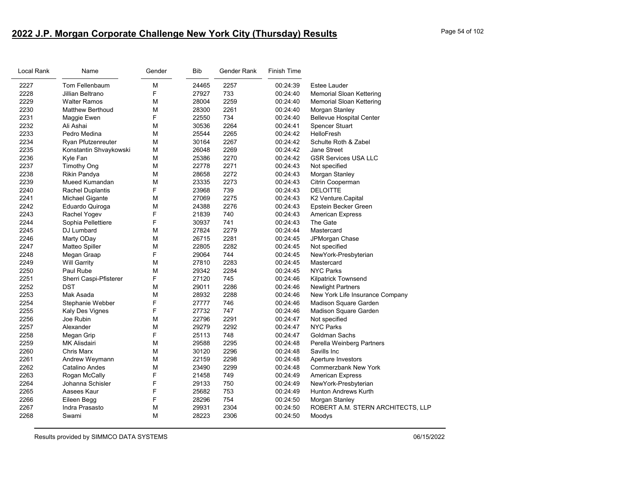# **2022 J.P. Morgan Corporate Challenge New York City (Thursday) Results** Page 54 of 102

| Local Rank | Name                    | Gender | <b>Bib</b> | Gender Rank | <b>Finish Time</b> |                                   |
|------------|-------------------------|--------|------------|-------------|--------------------|-----------------------------------|
| 2227       | Tom Fellenbaum          | М      | 24465      | 2257        | 00:24:39           | Estee Lauder                      |
| 2228       | Jillian Beltrano        | F      | 27927      | 733         | 00:24:40           | <b>Memorial Sloan Kettering</b>   |
| 2229       | <b>Walter Ramos</b>     | M      | 28004      | 2259        | 00:24:40           | Memorial Sloan Kettering          |
| 2230       | <b>Matthew Berthoud</b> | M      | 28300      | 2261        | 00:24:40           | Morgan Stanley                    |
| 2231       | Maggie Ewen             | F      | 22550      | 734         | 00:24:40           | <b>Bellevue Hospital Center</b>   |
| 2232       | Ali Ashai               | М      | 30536      | 2264        | 00:24:41           | <b>Spencer Stuart</b>             |
| 2233       | Pedro Medina            | M      | 25544      | 2265        | 00:24:42           | <b>HelloFresh</b>                 |
| 2234       | Ryan Pfutzenreuter      | M      | 30164      | 2267        | 00:24:42           | Schulte Roth & Zabel              |
| 2235       | Konstantin Shvaykowski  | M      | 26048      | 2269        | 00:24:42           | Jane Street                       |
| 2236       | Kyle Fan                | M      | 25386      | 2270        | 00:24:42           | <b>GSR Services USA LLC</b>       |
| 2237       | <b>Timothy Ong</b>      | M      | 22778      | 2271        | 00:24:43           | Not specified                     |
| 2238       | Rikin Pandya            | M      | 28658      | 2272        | 00:24:43           | Morgan Stanley                    |
| 2239       | Mueed Kumandan          | M      | 23335      | 2273        | 00:24:43           | Citrin Cooperman                  |
| 2240       | <b>Rachel Duplantis</b> | F      | 23968      | 739         | 00:24:43           | <b>DELOITTE</b>                   |
| 2241       | <b>Michael Gigante</b>  | M      | 27069      | 2275        | 00:24:43           | K2 Venture.Capital                |
| 2242       | Eduardo Quiroga         | M      | 24388      | 2276        | 00:24:43           | Epstein Becker Green              |
| 2243       | Rachel Yogev            | F      | 21839      | 740         | 00:24:43           | <b>American Express</b>           |
| 2244       | Sophia Pellettiere      | F      | 30937      | 741         | 00:24:43           | The Gate                          |
| 2245       | DJ Lumbard              | M      | 27824      | 2279        | 00:24:44           | Mastercard                        |
| 2246       | Marty ODay              | M      | 26715      | 2281        | 00:24:45           | JPMorgan Chase                    |
| 2247       | Matteo Spiller          | M      | 22805      | 2282        | 00:24:45           | Not specified                     |
| 2248       | Megan Graap             | F      | 29064      | 744         | 00:24:45           | NewYork-Presbyterian              |
| 2249       | <b>Will Garrity</b>     | M      | 27810      | 2283        | 00:24:45           | Mastercard                        |
| 2250       | Paul Rube               | M      | 29342      | 2284        | 00:24:45           | <b>NYC Parks</b>                  |
| 2251       | Sherri Caspi-Pfisterer  | F      | 27120      | 745         | 00:24:46           | <b>Kilpatrick Townsend</b>        |
| 2252       | <b>DST</b>              | M      | 29011      | 2286        | 00:24:46           | <b>Newlight Partners</b>          |
| 2253       | Mak Asada               | M      | 28932      | 2288        | 00:24:46           | New York Life Insurance Company   |
| 2254       | Stephanie Webber        | F      | 27777      | 746         | 00:24:46           | Madison Square Garden             |
| 2255       | Kaly Des Vignes         | F      | 27732      | 747         | 00:24:46           | Madison Square Garden             |
| 2256       | Joe Rubin               | M      | 22796      | 2291        | 00:24:47           | Not specified                     |
| 2257       | Alexander               | M      | 29279      | 2292        | 00:24:47           | <b>NYC Parks</b>                  |
| 2258       | Megan Grip              | F      | 25113      | 748         | 00:24:47           | Goldman Sachs                     |
| 2259       | MK Alisdairi            | M      | 29588      | 2295        | 00:24:48           | Perella Weinberg Partners         |
| 2260       | Chris Marx              | M      | 30120      | 2296        | 00:24:48           | Savills Inc                       |
| 2261       | Andrew Weymann          | M      | 22159      | 2298        | 00:24:48           | Aperture Investors                |
| 2262       | Catalino Andes          | M      | 23490      | 2299        | 00:24:48           | <b>Commerzbank New York</b>       |
| 2263       | Rogan McCally           | F      | 21458      | 749         | 00:24:49           | <b>American Express</b>           |
| 2264       | Johanna Schisler        | F      | 29133      | 750         | 00:24:49           | NewYork-Presbyterian              |
| 2265       | Aasees Kaur             | F      | 25682      | 753         | 00:24:49           | <b>Hunton Andrews Kurth</b>       |
| 2266       | Eileen Begg             | F      | 28296      | 754         | 00:24:50           | Morgan Stanley                    |
| 2267       | Indra Prasasto          | M      | 29931      | 2304        | 00:24:50           | ROBERT A.M. STERN ARCHITECTS, LLP |
| 2268       | Swami                   | M      | 28223      | 2306        | 00:24:50           | Moodys                            |
|            |                         |        |            |             |                    |                                   |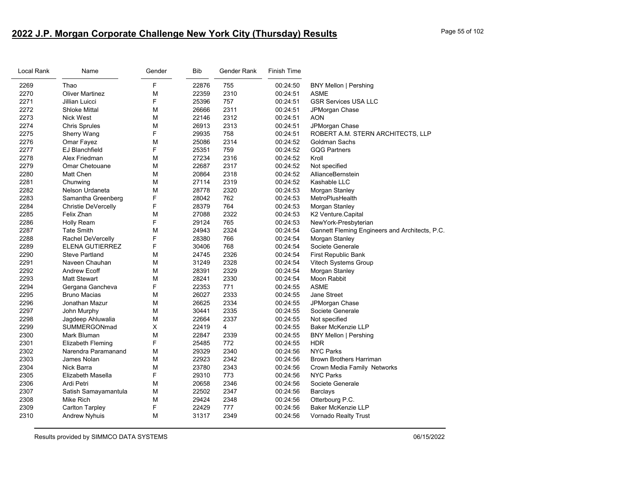# **2022 J.P. Morgan Corporate Challenge New York City (Thursday) Results** Page 55 of 102

| Local Rank | Name                   | Gender | <b>Bib</b> | Gender Rank    | <b>Finish Time</b> |                                                |
|------------|------------------------|--------|------------|----------------|--------------------|------------------------------------------------|
| 2269       | Thao                   | F      | 22876      | 755            | 00:24:50           | <b>BNY Mellon   Pershing</b>                   |
| 2270       | <b>Oliver Martinez</b> | М      | 22359      | 2310           | 00:24:51           | <b>ASME</b>                                    |
| 2271       | Jillian Luicci         | F      | 25396      | 757            | 00:24:51           | <b>GSR Services USA LLC</b>                    |
| 2272       | <b>Shloke Mittal</b>   | М      | 26666      | 2311           | 00:24:51           | JPMorgan Chase                                 |
| 2273       | Nick West              | М      | 22146      | 2312           | 00:24:51           | <b>AON</b>                                     |
| 2274       | <b>Chris Sprules</b>   | М      | 26913      | 2313           | 00:24:51           | JPMorgan Chase                                 |
| 2275       | Sherry Wang            | F      | 29935      | 758            | 00:24:51           | ROBERT A.M. STERN ARCHITECTS, LLP              |
| 2276       | Omar Fayez             | M      | 25086      | 2314           | 00:24:52           | Goldman Sachs                                  |
| 2277       | <b>EJ Blanchfield</b>  | F      | 25351      | 759            | 00:24:52           | <b>GQG Partners</b>                            |
| 2278       | Alex Friedman          | M      | 27234      | 2316           | 00:24:52           | Kroll                                          |
| 2279       | <b>Omar Chetouane</b>  | М      | 22687      | 2317           | 00:24:52           | Not specified                                  |
| 2280       | Matt Chen              | М      | 20864      | 2318           | 00:24:52           | AllianceBernstein                              |
| 2281       | Chunwing               | М      | 27114      | 2319           | 00:24:52           | Kashable LLC                                   |
| 2282       | Nelson Urdaneta        | М      | 28778      | 2320           | 00:24:53           | Morgan Stanley                                 |
| 2283       | Samantha Greenberg     | F      | 28042      | 762            | 00:24:53           | MetroPlusHealth                                |
| 2284       | Christie DeVercelly    | F      | 28379      | 764            | 00:24:53           | Morgan Stanley                                 |
| 2285       | Felix Zhan             | М      | 27088      | 2322           | 00:24:53           | K2 Venture.Capital                             |
| 2286       | <b>Holly Ream</b>      | F      | 29124      | 765            | 00:24:53           | NewYork-Presbyterian                           |
| 2287       | <b>Tate Smith</b>      | М      | 24943      | 2324           | 00:24:54           | Gannett Fleming Engineers and Architects, P.C. |
| 2288       | Rachel DeVercelly      | F      | 28380      | 766            | 00:24:54           | Morgan Stanley                                 |
| 2289       | ELENA GUTIERREZ        | F      | 30406      | 768            | 00:24:54           | Societe Generale                               |
| 2290       | <b>Steve Partland</b>  | М      | 24745      | 2326           | 00:24:54           | First Republic Bank                            |
| 2291       | Naveen Chauhan         | М      | 31249      | 2328           | 00:24:54           | Vitech Systems Group                           |
| 2292       | <b>Andrew Ecoff</b>    | М      | 28391      | 2329           | 00:24:54           | Morgan Stanley                                 |
| 2293       | <b>Matt Stewart</b>    | М      | 28241      | 2330           | 00:24:54           | Moon Rabbit                                    |
| 2294       | Gergana Gancheva       | F      | 22353      | 771            | 00:24:55           | <b>ASME</b>                                    |
| 2295       | <b>Bruno Macias</b>    | М      | 26027      | 2333           | 00:24:55           | Jane Street                                    |
| 2296       | Jonathan Mazur         | М      | 26625      | 2334           | 00:24:55           | JPMorgan Chase                                 |
| 2297       | John Murphy            | М      | 30441      | 2335           | 00:24:55           | Societe Generale                               |
| 2298       | Jagdeep Ahluwalia      | М      | 22664      | 2337           | 00:24:55           | Not specified                                  |
| 2299       | SUMMERGONmad           | X      | 22419      | $\overline{4}$ | 00:24:55           | Baker McKenzie LLP                             |
| 2300       | Mark Bluman            | М      | 22847      | 2339           | 00:24:55           | <b>BNY Mellon   Pershing</b>                   |
| 2301       | Elizabeth Fleming      | F      | 25485      | 772            | 00:24:55           | <b>HDR</b>                                     |
| 2302       | Narendra Paramanand    | M      | 29329      | 2340           | 00:24:56           | <b>NYC Parks</b>                               |
| 2303       | James Nolan            | М      | 22923      | 2342           | 00:24:56           | <b>Brown Brothers Harriman</b>                 |
| 2304       | Nick Barra             | M      | 23780      | 2343           | 00:24:56           | Crown Media Family Networks                    |
| 2305       | Elizabeth Masella      | F      | 29310      | 773            | 00:24:56           | <b>NYC Parks</b>                               |
| 2306       | Ardi Petri             | M      | 20658      | 2346           | 00:24:56           | Societe Generale                               |
| 2307       | Satish Samayamantula   | М      | 22502      | 2347           | 00:24:56           | Barclays                                       |
| 2308       | Mike Rich              | М      | 29424      | 2348           | 00:24:56           | Otterbourg P.C.                                |
| 2309       | <b>Carlton Tarpley</b> | F      | 22429      | 777            | 00:24:56           | Baker McKenzie LLP                             |
| 2310       | <b>Andrew Nyhuis</b>   | М      | 31317      | 2349           | 00:24:56           | Vornado Realty Trust                           |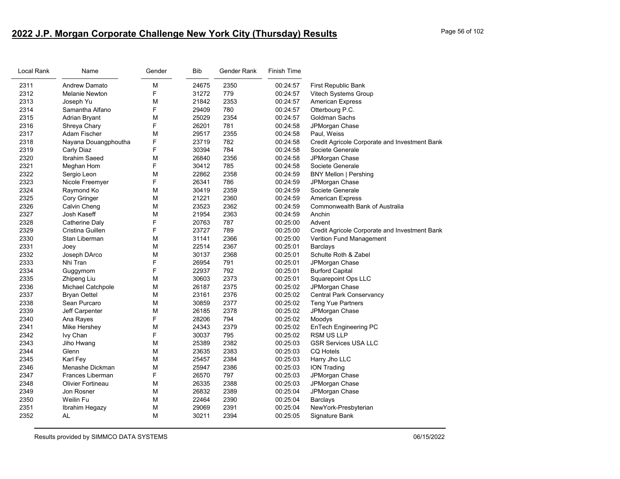# **2022 J.P. Morgan Corporate Challenge New York City (Thursday) Results** Page 56 of 102

| Local Rank | Name                     | Gender | Bib   | Gender Rank | Finish Time |                                               |
|------------|--------------------------|--------|-------|-------------|-------------|-----------------------------------------------|
| 2311       | <b>Andrew Damato</b>     | M      | 24675 | 2350        | 00:24:57    | First Republic Bank                           |
| 2312       | Melanie Newton           | F      | 31272 | 779         | 00:24:57    | Vitech Systems Group                          |
| 2313       | Joseph Yu                | м      | 21842 | 2353        | 00:24:57    | <b>American Express</b>                       |
| 2314       | Samantha Alfano          | F      | 29409 | 780         | 00:24:57    | Otterbourg P.C.                               |
| 2315       | Adrian Bryant            | М      | 25029 | 2354        | 00:24:57    | Goldman Sachs                                 |
| 2316       | Shreya Chary             | F      | 26201 | 781         | 00:24:58    | JPMorgan Chase                                |
| 2317       | Adam Fischer             | M      | 29517 | 2355        | 00:24:58    | Paul, Weiss                                   |
| 2318       | Nayana Douangphoutha     | F      | 23719 | 782         | 00:24:58    | Credit Agricole Corporate and Investment Bank |
| 2319       | Carly Diaz               | F      | 30394 | 784         | 00:24:58    | Societe Generale                              |
| 2320       | Ibrahim Saeed            | м      | 26840 | 2356        | 00:24:58    | JPMorgan Chase                                |
| 2321       | Meghan Hom               | F      | 30412 | 785         | 00:24:58    | Societe Generale                              |
| 2322       | Sergio Leon              | М      | 22862 | 2358        | 00:24:59    | <b>BNY Mellon   Pershing</b>                  |
| 2323       | Nicole Freemyer          | F      | 26341 | 786         | 00:24:59    | JPMorgan Chase                                |
| 2324       | Raymond Ko               | M      | 30419 | 2359        | 00:24:59    | Societe Generale                              |
| 2325       | Cory Gringer             | М      | 21221 | 2360        | 00:24:59    | <b>American Express</b>                       |
| 2326       | Calvin Cheng             | М      | 23523 | 2362        | 00:24:59    | Commonwealth Bank of Australia                |
| 2327       | Josh Kaseff              | М      | 21954 | 2363        | 00:24:59    | Anchin                                        |
| 2328       | Catherine Daly           | F      | 20763 | 787         | 00:25:00    | Advent                                        |
| 2329       | Cristina Guillen         | F      | 23727 | 789         | 00:25:00    | Credit Agricole Corporate and Investment Bank |
| 2330       | Stan Liberman            | м      | 31141 | 2366        | 00:25:00    | Verition Fund Management                      |
| 2331       | Joey                     | М      | 22514 | 2367        | 00:25:01    | Barclays                                      |
| 2332       | Joseph DArco             | М      | 30137 | 2368        | 00:25:01    | Schulte Roth & Zabel                          |
| 2333       | Nhi Tran                 | F      | 26954 | 791         | 00:25:01    | JPMorgan Chase                                |
| 2334       | Guggymom                 | F      | 22937 | 792         | 00:25:01    | <b>Burford Capital</b>                        |
| 2335       | Zhipeng Liu              | M      | 30603 | 2373        | 00:25:01    | <b>Squarepoint Ops LLC</b>                    |
| 2336       | Michael Catchpole        | М      | 26187 | 2375        | 00:25:02    | JPMorgan Chase                                |
| 2337       | <b>Bryan Oettel</b>      | М      | 23161 | 2376        | 00:25:02    | <b>Central Park Conservancy</b>               |
| 2338       | Sean Purcaro             | М      | 30859 | 2377        | 00:25:02    | <b>Teng Yue Partners</b>                      |
| 2339       | Jeff Carpenter           | м      | 26185 | 2378        | 00:25:02    | JPMorgan Chase                                |
| 2340       | Ana Rayes                | F      | 28206 | 794         | 00:25:02    | Moodys                                        |
| 2341       | Mike Hershey             | M      | 24343 | 2379        | 00:25:02    | EnTech Engineering PC                         |
| 2342       | Ivy Chan                 | F      | 30037 | 795         | 00:25:02    | <b>RSM US LLP</b>                             |
| 2343       | Jiho Hwang               | М      | 25389 | 2382        | 00:25:03    | <b>GSR Services USA LLC</b>                   |
| 2344       | Glenn                    | М      | 23635 | 2383        | 00:25:03    | <b>CQ Hotels</b>                              |
| 2345       | Karl Fey                 | M      | 25457 | 2384        | 00:25:03    | Harry Jho LLC                                 |
| 2346       | Menashe Dickman          | м      | 25947 | 2386        | 00:25:03    | <b>ION Trading</b>                            |
| 2347       | Frances Liberman         | F      | 26570 | 797         | 00:25:03    | JPMorgan Chase                                |
| 2348       | <b>Olivier Fortineau</b> | М      | 26335 | 2388        | 00:25:03    | JPMorgan Chase                                |
| 2349       | Jon Rosner               | М      | 26832 | 2389        | 00:25:04    | JPMorgan Chase                                |
| 2350       | Weilin Fu                | М      | 22464 | 2390        | 00:25:04    | Barclays                                      |
| 2351       | Ibrahim Hegazy           | М      | 29069 | 2391        | 00:25:04    | NewYork-Presbyterian                          |
| 2352       | <b>AL</b>                | м      | 30211 | 2394        | 00:25:05    | Signature Bank                                |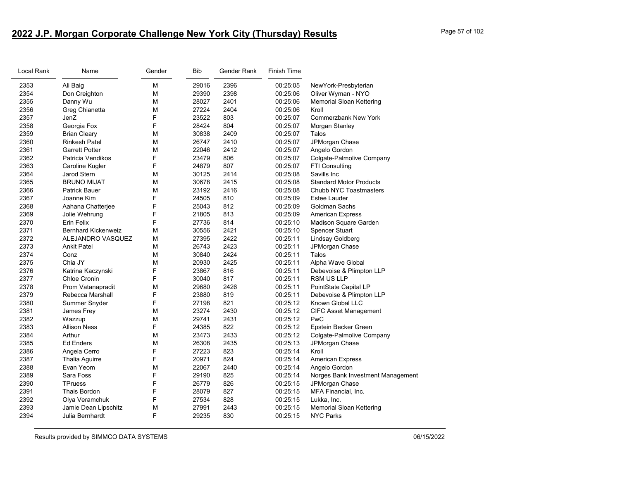# **2022 J.P. Morgan Corporate Challenge New York City (Thursday) Results** Page 57 of 102

| Local Rank | Name                       | Gender | <b>Bib</b> | Gender Rank | <b>Finish Time</b> |                                   |
|------------|----------------------------|--------|------------|-------------|--------------------|-----------------------------------|
| 2353       | Ali Baig                   | M      | 29016      | 2396        | 00:25:05           | NewYork-Presbyterian              |
| 2354       | Don Creighton              | M      | 29390      | 2398        | 00:25:06           | Oliver Wyman - NYO                |
| 2355       | Danny Wu                   | M      | 28027      | 2401        | 00:25:06           | <b>Memorial Sloan Kettering</b>   |
| 2356       | Greg Chianetta             | M      | 27224      | 2404        | 00:25:06           | Kroll                             |
| 2357       | JenZ                       | F      | 23522      | 803         | 00:25:07           | <b>Commerzbank New York</b>       |
| 2358       | Georgia Fox                | F      | 28424      | 804         | 00:25:07           | Morgan Stanley                    |
| 2359       | <b>Brian Cleary</b>        | M      | 30838      | 2409        | 00:25:07           | Talos                             |
| 2360       | <b>Rinkesh Patel</b>       | M      | 26747      | 2410        | 00:25:07           | JPMorgan Chase                    |
| 2361       | <b>Garrett Potter</b>      | M      | 22046      | 2412        | 00:25:07           | Angelo Gordon                     |
| 2362       | Patricia Vendikos          | F      | 23479      | 806         | 00:25:07           | Colgate-Palmolive Company         |
| 2363       | Caroline Kugler            | F      | 24879      | 807         | 00:25:07           | FTI Consulting                    |
| 2364       | Jarod Stern                | M      | 30125      | 2414        | 00:25:08           | Savills Inc                       |
| 2365       | <b>BRUNO MIJAT</b>         | M      | 30678      | 2415        | 00:25:08           | <b>Standard Motor Products</b>    |
| 2366       | <b>Patrick Bauer</b>       | M      | 23192      | 2416        | 00:25:08           | Chubb NYC Toastmasters            |
| 2367       | Joanne Kim                 | F      | 24505      | 810         | 00:25:09           | Estee Lauder                      |
| 2368       | Aahana Chatterjee          | F      | 25043      | 812         | 00:25:09           | Goldman Sachs                     |
| 2369       | Jolie Wehrung              | F      | 21805      | 813         | 00:25:09           | <b>American Express</b>           |
| 2370       | Erin Felix                 | F      | 27736      | 814         | 00:25:10           | Madison Square Garden             |
| 2371       | <b>Bernhard Kickenweiz</b> | M      | 30556      | 2421        | 00:25:10           | Spencer Stuart                    |
| 2372       | ALEJANDRO VASQUEZ          | M      | 27395      | 2422        | 00:25:11           | Lindsay Goldberg                  |
| 2373       | <b>Ankit Patel</b>         | M      | 26743      | 2423        | 00:25:11           | JPMorgan Chase                    |
| 2374       | Conz                       | M      | 30840      | 2424        | 00:25:11           | Talos                             |
| 2375       | Chia JY                    | M      | 20930      | 2425        | 00:25:11           | Alpha Wave Global                 |
| 2376       | Katrina Kaczynski          | F      | 23867      | 816         | 00:25:11           | Debevoise & Plimpton LLP          |
| 2377       | Chloe Cronin               | F      | 30040      | 817         | 00:25:11           | RSM US LLP                        |
| 2378       | Prom Vatanapradit          | M      | 29680      | 2426        | 00:25:11           | PointState Capital LP             |
| 2379       | Rebecca Marshall           | F      | 23880      | 819         | 00:25:11           | Debevoise & Plimpton LLP          |
| 2380       | Summer Snyder              | F      | 27198      | 821         | 00:25:12           | Known Global LLC                  |
| 2381       | James Frey                 | M      | 23274      | 2430        | 00:25:12           | <b>CIFC Asset Management</b>      |
| 2382       | Wazzup                     | M      | 29741      | 2431        | 00:25:12           | PwC                               |
| 2383       | <b>Allison Ness</b>        | F      | 24385      | 822         | 00:25:12           | Epstein Becker Green              |
| 2384       | Arthur                     | M      | 23473      | 2433        | 00:25:12           | Colgate-Palmolive Company         |
| 2385       | <b>Ed Enders</b>           | M      | 26308      | 2435        | 00:25:13           | JPMorgan Chase                    |
| 2386       | Angela Cerro               | F      | 27223      | 823         | 00:25:14           | Kroll                             |
| 2387       | Thalia Aguirre             | F      | 20971      | 824         | 00:25:14           | <b>American Express</b>           |
| 2388       | Evan Yeom                  | M      | 22067      | 2440        | 00:25:14           | Angelo Gordon                     |
| 2389       | Sara Foss                  | F      | 29190      | 825         | 00:25:14           | Norges Bank Investment Management |
| 2390       | <b>TPruess</b>             | F      | 26779      | 826         | 00:25:15           | JPMorgan Chase                    |
| 2391       | <b>Thais Bordon</b>        | F      | 28079      | 827         | 00:25:15           | MFA Financial, Inc.               |
| 2392       | Olya Veramchuk             | F      | 27534      | 828         | 00:25:15           | Lukka, Inc.                       |
| 2393       | Jamie Dean Lipschitz       | M      | 27991      | 2443        | 00:25:15           | <b>Memorial Sloan Kettering</b>   |
| 2394       | Julia Bernhardt            | F      | 29235      | 830         | 00:25:15           | <b>NYC Parks</b>                  |
|            |                            |        |            |             |                    |                                   |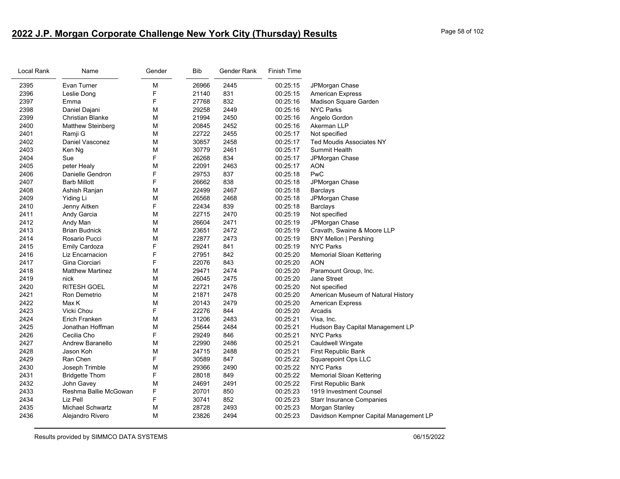# **2022 J.P. Morgan Corporate Challenge New York City (Thursday) Results** Page 58 of 102

| Local Rank | Name                     | Gender | Bib   | Gender Rank | <b>Finish Time</b> |                                        |
|------------|--------------------------|--------|-------|-------------|--------------------|----------------------------------------|
| 2395       | Evan Turner              | M      | 26966 | 2445        | 00:25:15           | JPMorgan Chase                         |
| 2396       | Leslie Dong              | F      | 21140 | 831         | 00:25:15           | <b>American Express</b>                |
| 2397       | Emma                     | F      | 27768 | 832         | 00:25:16           | Madison Square Garden                  |
| 2398       | Daniel Dajani            | M      | 29258 | 2449        | 00:25:16           | <b>NYC Parks</b>                       |
| 2399       | <b>Christian Blanke</b>  | M      | 21994 | 2450        | 00:25:16           | Angelo Gordon                          |
| 2400       | <b>Matthew Steinberg</b> | M      | 20845 | 2452        | 00:25:16           | Akerman LLP                            |
| 2401       | Ramji G                  | M      | 22722 | 2455        | 00:25:17           | Not specified                          |
| 2402       | Daniel Vasconez          | M      | 30857 | 2458        | 00:25:17           | <b>Ted Moudis Associates NY</b>        |
| 2403       | Ken Ng                   | M      | 30779 | 2461        | 00:25:17           | Summit Health                          |
| 2404       | Sue                      | F      | 26268 | 834         | 00:25:17           | JPMorgan Chase                         |
| 2405       | peter Healy              | M      | 22091 | 2463        | 00:25:17           | <b>AON</b>                             |
| 2406       | Danielle Gendron         | F      | 29753 | 837         | 00:25:18           | PwC                                    |
| 2407       | <b>Barb Millott</b>      | F      | 26662 | 838         | 00:25:18           | JPMorgan Chase                         |
| 2408       | Ashish Ranjan            | M      | 22499 | 2467        | 00:25:18           | Barclays                               |
| 2409       | Yiding Li                | M      | 26568 | 2468        | 00:25:18           | JPMorgan Chase                         |
| 2410       | Jenny Aitken             | F      | 22434 | 839         | 00:25:18           | <b>Barclays</b>                        |
| 2411       | Andy Garcia              | M      | 22715 | 2470        | 00:25:19           | Not specified                          |
| 2412       | Andy Man                 | M      | 26604 | 2471        | 00:25:19           | JPMorgan Chase                         |
| 2413       | <b>Brian Budnick</b>     | M      | 23651 | 2472        | 00:25:19           | Cravath, Swaine & Moore LLP            |
| 2414       | Rosario Pucci            | M      | 22877 | 2473        | 00:25:19           | <b>BNY Mellon   Pershing</b>           |
| 2415       | <b>Emily Cardoza</b>     | F      | 29241 | 841         | 00:25:19           | <b>NYC Parks</b>                       |
| 2416       | Liz Encarnacion          | F      | 27951 | 842         | 00:25:20           | Memorial Sloan Kettering               |
| 2417       | Gina Ciorciari           | F      | 22076 | 843         | 00:25:20           | <b>AON</b>                             |
| 2418       | <b>Matthew Martinez</b>  | M      | 29471 | 2474        | 00:25:20           | Paramount Group, Inc.                  |
| 2419       | nick                     | М      | 26045 | 2475        | 00:25:20           | Jane Street                            |
| 2420       | <b>RITESH GOEL</b>       | M      | 22721 | 2476        | 00:25:20           | Not specified                          |
| 2421       | Ron Demetrio             | M      | 21871 | 2478        | 00:25:20           | American Museum of Natural History     |
| 2422       | Max K                    | M      | 20143 | 2479        | 00:25:20           | <b>American Express</b>                |
| 2423       | Vicki Chou               | F      | 22276 | 844         | 00:25:20           | Arcadis                                |
| 2424       | Erich Franken            | M      | 31206 | 2483        | 00:25:21           | Visa, Inc.                             |
| 2425       | Jonathan Hoffman         | M      | 25644 | 2484        | 00:25:21           | Hudson Bay Capital Management LP       |
| 2426       | Cecilia Cho              | F      | 29249 | 846         | 00:25:21           | <b>NYC Parks</b>                       |
| 2427       | Andrew Baranello         | M      | 22990 | 2486        | 00:25:21           | <b>Cauldwell Wingate</b>               |
| 2428       | Jason Koh                | M      | 24715 | 2488        | 00:25:21           | First Republic Bank                    |
| 2429       | Ran Chen                 | F      | 30589 | 847         | 00:25:22           | Squarepoint Ops LLC                    |
| 2430       | Joseph Trimble           | M      | 29366 | 2490        | 00:25:22           | <b>NYC Parks</b>                       |
| 2431       | <b>Bridgette Thom</b>    | F      | 28018 | 849         | 00:25:22           | <b>Memorial Sloan Kettering</b>        |
| 2432       | John Gavey               | M      | 24691 | 2491        | 00:25:22           | <b>First Republic Bank</b>             |
| 2433       | Reshma Ballie McGowan    | F      | 20701 | 850         | 00:25:23           | 1919 Investment Counsel                |
| 2434       | Liz Pell                 | F      | 30741 | 852         | 00:25:23           | <b>Starr Insurance Companies</b>       |
| 2435       | <b>Michael Schwartz</b>  | M      | 28728 | 2493        | 00:25:23           | Morgan Stanley                         |
| 2436       | Alejandro Rivero         | M      | 23826 | 2494        | 00:25:23           | Davidson Kempner Capital Management LP |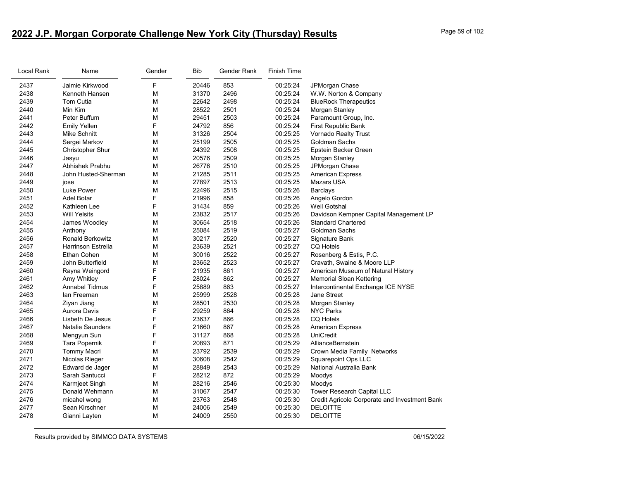# **2022 J.P. Morgan Corporate Challenge New York City (Thursday) Results** Page 59 of 102

| Local Rank | Name                      | Gender | <b>Bib</b> | Gender Rank | Finish Time |                                               |
|------------|---------------------------|--------|------------|-------------|-------------|-----------------------------------------------|
| 2437       | Jaimie Kirkwood           | F      | 20446      | 853         | 00:25:24    | JPMorgan Chase                                |
| 2438       | Kenneth Hansen            | M      | 31370      | 2496        | 00:25:24    | W.W. Norton & Company                         |
| 2439       | Tom Cutia                 | м      | 22642      | 2498        | 00:25:24    | <b>BlueRock Therapeutics</b>                  |
| 2440       | Min Kim                   | М      | 28522      | 2501        | 00:25:24    | Morgan Stanley                                |
| 2441       | Peter Buffum              | М      | 29451      | 2503        | 00:25:24    | Paramount Group, Inc.                         |
| 2442       | <b>Emily Yellen</b>       | F      | 24792      | 856         | 00:25:24    | First Republic Bank                           |
| 2443       | Mike Schnitt              | M      | 31326      | 2504        | 00:25:25    | Vornado Realty Trust                          |
| 2444       | Sergei Markov             | М      | 25199      | 2505        | 00:25:25    | Goldman Sachs                                 |
| 2445       | Christopher Shur          | М      | 24392      | 2508        | 00:25:25    | Epstein Becker Green                          |
| 2446       | Jasyu                     | М      | 20576      | 2509        | 00:25:25    | Morgan Stanley                                |
| 2447       | Abhishek Prabhu           | М      | 26776      | 2510        | 00:25:25    | JPMorgan Chase                                |
| 2448       | John Husted-Sherman       | М      | 21285      | 2511        | 00:25:25    | American Express                              |
| 2449       | jose                      | м      | 27897      | 2513        | 00:25:25    | Mazars USA                                    |
| 2450       | Luke Power                | M      | 22496      | 2515        | 00:25:26    | <b>Barclays</b>                               |
| 2451       | Adel Botar                | F      | 21996      | 858         | 00:25:26    | Angelo Gordon                                 |
| 2452       | Kathleen Lee              | F      | 31434      | 859         | 00:25:26    | Weil Gotshal                                  |
| 2453       | <b>Will Yelsits</b>       | M      | 23832      | 2517        | 00:25:26    | Davidson Kempner Capital Management LP        |
| 2454       | James Woodley             | М      | 30654      | 2518        | 00:25:26    | <b>Standard Chartered</b>                     |
| 2455       | Anthony                   | М      | 25084      | 2519        | 00:25:27    | Goldman Sachs                                 |
| 2456       | <b>Ronald Berkowitz</b>   | M      | 30217      | 2520        | 00:25:27    | Signature Bank                                |
| 2457       | <b>Harrinson Estrella</b> | М      | 23639      | 2521        | 00:25:27    | <b>CQ Hotels</b>                              |
| 2458       | Ethan Cohen               | М      | 30016      | 2522        | 00:25:27    | Rosenberg & Estis, P.C.                       |
| 2459       | John Butterfield          | M      | 23652      | 2523        | 00:25:27    | Cravath, Swaine & Moore LLP                   |
| 2460       | Rayna Weingord            | F      | 21935      | 861         | 00:25:27    | American Museum of Natural History            |
| 2461       | Amy Whitley               | F      | 28024      | 862         | 00:25:27    | Memorial Sloan Kettering                      |
| 2462       | <b>Annabel Tidmus</b>     | F      | 25889      | 863         | 00:25:27    | Intercontinental Exchange ICE NYSE            |
| 2463       | lan Freeman               | М      | 25999      | 2528        | 00:25:28    | <b>Jane Street</b>                            |
| 2464       | Ziyan Jiang               | М      | 28501      | 2530        | 00:25:28    | Morgan Stanley                                |
| 2465       | <b>Aurora Davis</b>       | F      | 29259      | 864         | 00:25:28    | <b>NYC Parks</b>                              |
| 2466       | Lisbeth De Jesus          | F      | 23637      | 866         | 00:25:28    | <b>CQ Hotels</b>                              |
| 2467       | <b>Natalie Saunders</b>   | F      | 21660      | 867         | 00:25:28    | <b>American Express</b>                       |
| 2468       | Mengyun Sun               | F      | 31127      | 868         | 00:25:28    | <b>UniCredit</b>                              |
| 2469       | Tara Popernik             | F      | 20893      | 871         | 00:25:29    | AllianceBernstein                             |
| 2470       | <b>Tommy Macri</b>        | M      | 23792      | 2539        | 00:25:29    | Crown Media Family Networks                   |
| 2471       | Nicolas Rieger            | M      | 30608      | 2542        | 00:25:29    | <b>Squarepoint Ops LLC</b>                    |
| 2472       | Edward de Jager           | М      | 28849      | 2543        | 00:25:29    | National Australia Bank                       |
| 2473       | Sarah Santucci            | F      | 28212      | 872         | 00:25:29    | Moodys                                        |
| 2474       | Karmjeet Singh            | М      | 28216      | 2546        | 00:25:30    | Moodys                                        |
| 2475       | Donald Wehmann            | М      | 31067      | 2547        | 00:25:30    | <b>Tower Research Capital LLC</b>             |
| 2476       | micahel wong              | M      | 23763      | 2548        | 00:25:30    | Credit Agricole Corporate and Investment Bank |
| 2477       | Sean Kirschner            | М      | 24006      | 2549        | 00:25:30    | <b>DELOITTE</b>                               |
| 2478       | Gianni Layten             | М      | 24009      | 2550        | 00:25:30    | <b>DELOITTE</b>                               |
|            |                           |        |            |             |             |                                               |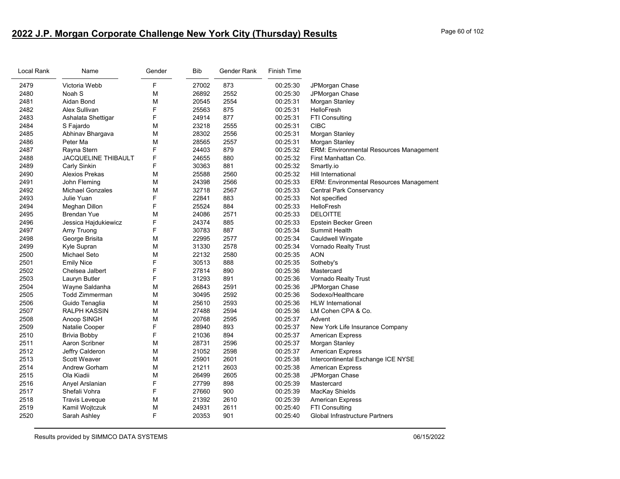# **2022 J.P. Morgan Corporate Challenge New York City (Thursday) Results** Page 60 of 102

| Local Rank | Name                    | Gender | Bib   | Gender Rank | <b>Finish Time</b> |                                                |
|------------|-------------------------|--------|-------|-------------|--------------------|------------------------------------------------|
| 2479       | Victoria Webb           | F      | 27002 | 873         | 00:25:30           | JPMorgan Chase                                 |
| 2480       | Noah S                  | М      | 26892 | 2552        | 00:25:30           | JPMorgan Chase                                 |
| 2481       | Aidan Bond              | М      | 20545 | 2554        | 00:25:31           | Morgan Stanley                                 |
| 2482       | <b>Alex Sullivan</b>    | F      | 25563 | 875         | 00:25:31           | HelloFresh                                     |
| 2483       | Ashalata Shettigar      | F      | 24914 | 877         | 00:25:31           | FTI Consulting                                 |
| 2484       | S Fajardo               | М      | 23218 | 2555        | 00:25:31           | CIBC                                           |
| 2485       | Abhinav Bhargava        | M      | 28302 | 2556        | 00:25:31           | Morgan Stanley                                 |
| 2486       | Peter Ma                | М      | 28565 | 2557        | 00:25:31           | Morgan Stanley                                 |
| 2487       | Rayna Stern             | F      | 24403 | 879         | 00:25:32           | <b>ERM: Environmental Resources Management</b> |
| 2488       | JACQUELINE THIBAULT     | F      | 24655 | 880         | 00:25:32           | First Manhattan Co.                            |
| 2489       | Carly Sinkin            | F      | 30363 | 881         | 00:25:32           | Smartly.io                                     |
| 2490       | Alexios Prekas          | М      | 25588 | 2560        | 00:25:32           | Hill International                             |
| 2491       | John Fleming            | М      | 24398 | 2566        | 00:25:33           | <b>ERM: Environmental Resources Management</b> |
| 2492       | <b>Michael Gonzales</b> | M      | 32718 | 2567        | 00:25:33           | <b>Central Park Conservancy</b>                |
| 2493       | Julie Yuan              | F      | 22841 | 883         | 00:25:33           | Not specified                                  |
| 2494       | Meghan Dillon           | F      | 25524 | 884         | 00:25:33           | HelloFresh                                     |
| 2495       | <b>Brendan Yue</b>      | M      | 24086 | 2571        | 00:25:33           | <b>DELOITTE</b>                                |
| 2496       | Jessica Hajdukiewicz    | F      | 24374 | 885         | 00:25:33           | Epstein Becker Green                           |
| 2497       | Amy Truong              | F      | 30783 | 887         | 00:25:34           | Summit Health                                  |
| 2498       | George Brisita          | М      | 22995 | 2577        | 00:25:34           | Cauldwell Wingate                              |
| 2499       | Kyle Supran             | М      | 31330 | 2578        | 00:25:34           | Vornado Realty Trust                           |
| 2500       | <b>Michael Seto</b>     | М      | 22132 | 2580        | 00:25:35           | AON                                            |
| 2501       | <b>Emily Nice</b>       | F      | 30513 | 888         | 00:25:35           | Sotheby's                                      |
| 2502       | Chelsea Jalbert         | F      | 27814 | 890         | 00:25:36           | Mastercard                                     |
| 2503       | Lauryn Butler           | F      | 31293 | 891         | 00:25:36           | Vornado Realty Trust                           |
| 2504       | Wayne Saldanha          | М      | 26843 | 2591        | 00:25:36           | JPMorgan Chase                                 |
| 2505       | <b>Todd Zimmerman</b>   | M      | 30495 | 2592        | 00:25:36           | Sodexo/Healthcare                              |
| 2506       | Guido Tenaglia          | М      | 25610 | 2593        | 00:25:36           | <b>HLW</b> International                       |
| 2507       | <b>RALPH KASSIN</b>     | М      | 27488 | 2594        | 00:25:36           | LM Cohen CPA & Co.                             |
| 2508       | Anoop SINGH             | М      | 20768 | 2595        | 00:25:37           | Advent                                         |
| 2509       | Natalie Cooper          | F      | 28940 | 893         | 00:25:37           | New York Life Insurance Company                |
| 2510       | Brivia Bobby            | F      | 21036 | 894         | 00:25:37           | <b>American Express</b>                        |
| 2511       | Aaron Scribner          | М      | 28731 | 2596        | 00:25:37           | Morgan Stanley                                 |
| 2512       | Jeffry Calderon         | M      | 21052 | 2598        | 00:25:37           | <b>American Express</b>                        |
| 2513       | Scott Weaver            | М      | 25901 | 2601        | 00:25:38           | Intercontinental Exchange ICE NYSE             |
| 2514       | <b>Andrew Gorham</b>    | М      | 21211 | 2603        | 00:25:38           | American Express                               |
| 2515       | Ola Kiadii              | М      | 26499 | 2605        | 00:25:38           | JPMorgan Chase                                 |
| 2516       | Anyel Arslanian         | F      | 27799 | 898         | 00:25:39           | Mastercard                                     |
| 2517       | Shefali Vohra           | F      | 27660 | 900         | 00:25:39           | MacKay Shields                                 |
| 2518       | Travis Leveque          | М      | 21392 | 2610        | 00:25:39           | <b>American Express</b>                        |
| 2519       | Kamil Wojtczuk          | М      | 24931 | 2611        | 00:25:40           | <b>FTI Consulting</b>                          |
| 2520       | Sarah Ashley            | F      | 20353 | 901         | 00:25:40           | Global Infrastructure Partners                 |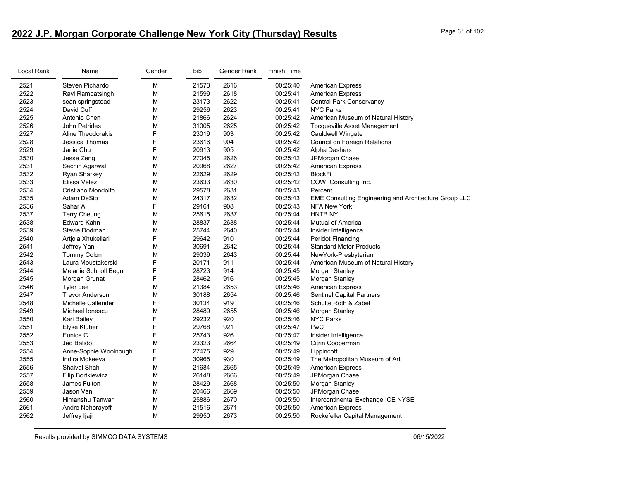# **2022 J.P. Morgan Corporate Challenge New York City (Thursday) Results** Page 61 of 102

| Local Rank | Name                     | Gender | Bib   | Gender Rank | Finish Time |                                                       |
|------------|--------------------------|--------|-------|-------------|-------------|-------------------------------------------------------|
| 2521       | Steven Pichardo          | M      | 21573 | 2616        | 00:25:40    | <b>American Express</b>                               |
| 2522       | Ravi Rampatsingh         | M      | 21599 | 2618        | 00:25:41    | <b>American Express</b>                               |
| 2523       | sean springstead         | M      | 23173 | 2622        | 00:25:41    | Central Park Conservancy                              |
| 2524       | David Cuff               | M      | 29256 | 2623        | 00:25:41    | <b>NYC Parks</b>                                      |
| 2525       | Antonio Chen             | M      | 21866 | 2624        | 00:25:42    | American Museum of Natural History                    |
| 2526       | John Petrides            | M      | 31005 | 2625        | 00:25:42    | <b>Tocqueville Asset Management</b>                   |
| 2527       | Aline Theodorakis        | F      | 23019 | 903         | 00:25:42    | Cauldwell Wingate                                     |
| 2528       | Jessica Thomas           | F      | 23616 | 904         | 00:25:42    | Council on Foreign Relations                          |
| 2529       | Janie Chu                | F      | 20913 | 905         | 00:25:42    | Alpha Dashers                                         |
| 2530       | Jesse Zeng               | M      | 27045 | 2626        | 00:25:42    | JPMorgan Chase                                        |
| 2531       | Sachin Agarwal           | M      | 20968 | 2627        | 00:25:42    | <b>American Express</b>                               |
| 2532       | <b>Ryan Sharkey</b>      | M      | 22629 | 2629        | 00:25:42    | <b>BlockFi</b>                                        |
| 2533       | Elissa Velez             | M      | 23633 | 2630        | 00:25:42    | COWI Consulting Inc.                                  |
| 2534       | Cristiano Mondolfo       | M      | 29578 | 2631        | 00:25:43    | Percent                                               |
| 2535       | Adam DeSio               | M      | 24317 | 2632        | 00:25:43    | EME Consulting Engineering and Architecture Group LLC |
| 2536       | Sahar A                  | F      | 29161 | 908         | 00:25:43    | NFA New York                                          |
| 2537       | <b>Terry Cheung</b>      | M      | 25615 | 2637        | 00:25:44    | HNTB NY                                               |
| 2538       | <b>Edward Kahn</b>       | M      | 28837 | 2638        | 00:25:44    | <b>Mutual of America</b>                              |
| 2539       | Stevie Dodman            | M      | 25744 | 2640        | 00:25:44    | Insider Intelligence                                  |
| 2540       | Artjola Xhukellari       | F      | 29642 | 910         | 00:25:44    | Peridot Financing                                     |
| 2541       | Jeffrey Yan              | M      | 30691 | 2642        | 00:25:44    | <b>Standard Motor Products</b>                        |
| 2542       | Tommy Colon              | M      | 29039 | 2643        | 00:25:44    | NewYork-Presbyterian                                  |
| 2543       | Laura Moustakerski       | F      | 20171 | 911         | 00:25:44    | American Museum of Natural History                    |
| 2544       | Melanie Schnoll Begun    | F      | 28723 | 914         | 00:25:45    | Morgan Stanley                                        |
| 2545       | Morgan Grunat            | F      | 28462 | 916         | 00:25:45    | Morgan Stanley                                        |
| 2546       | <b>Tyler Lee</b>         | M      | 21384 | 2653        | 00:25:46    | <b>American Express</b>                               |
| 2547       | <b>Trevor Anderson</b>   | M      | 30188 | 2654        | 00:25:46    | <b>Sentinel Capital Partners</b>                      |
| 2548       | Michelle Callender       | F      | 30134 | 919         | 00:25:46    | Schulte Roth & Zabel                                  |
| 2549       | Michael Ionescu          | M      | 28489 | 2655        | 00:25:46    | Morgan Stanley                                        |
| 2550       | Kari Bailey              | F      | 29232 | 920         | 00:25:46    | <b>NYC Parks</b>                                      |
| 2551       | Elyse Kluber             | F      | 29768 | 921         | 00:25:47    | PwC                                                   |
| 2552       | Eunice C.                | F      | 25743 | 926         | 00:25:47    | Insider Intelligence                                  |
| 2553       | Jed Balido               | M      | 23323 | 2664        | 00:25:49    | Citrin Cooperman                                      |
| 2554       | Anne-Sophie Woolnough    | F      | 27475 | 929         | 00:25:49    | Lippincott                                            |
| 2555       | Indira Mokeeva           | F      | 30965 | 930         | 00:25:49    | The Metropolitan Museum of Art                        |
| 2556       | Shaival Shah             | M      | 21684 | 2665        | 00:25:49    | <b>American Express</b>                               |
| 2557       | <b>Filip Bortkiewicz</b> | M      | 26148 | 2666        | 00:25:49    | JPMorgan Chase                                        |
| 2558       | James Fulton             | M      | 28429 | 2668        | 00:25:50    | Morgan Stanley                                        |
| 2559       | Jason Van                | M      | 20466 | 2669        | 00:25:50    | JPMorgan Chase                                        |
| 2560       | Himanshu Tanwar          | M      | 25886 | 2670        | 00:25:50    | Intercontinental Exchange ICE NYSE                    |
| 2561       | Andre Nehorayoff         | M      | 21516 | 2671        | 00:25:50    | <b>American Express</b>                               |
| 2562       | Jeffrey ljaji            | M      | 29950 | 2673        | 00:25:50    | Rockefeller Capital Management                        |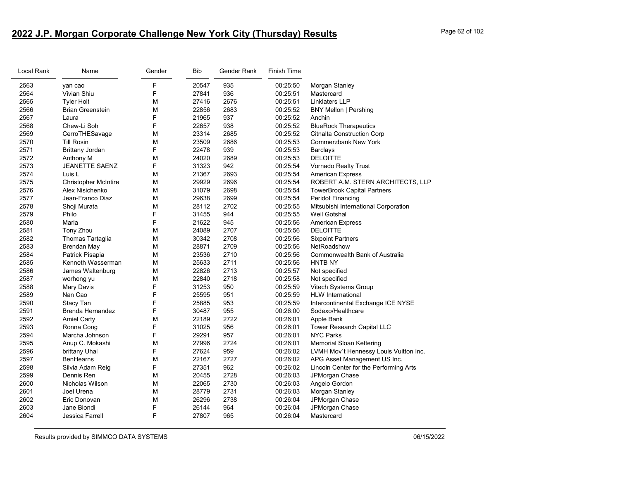# **2022 J.P. Morgan Corporate Challenge New York City (Thursday) Results** Page 62 of 102

| Local Rank | Name                        | Gender | <b>Bib</b> | Gender Rank | <b>Finish Time</b> |                                        |
|------------|-----------------------------|--------|------------|-------------|--------------------|----------------------------------------|
| 2563       | yan cao                     | F      | 20547      | 935         | 00:25:50           | Morgan Stanley                         |
| 2564       | Vivian Shiu                 | F      | 27841      | 936         | 00:25:51           | Mastercard                             |
| 2565       | <b>Tyler Holt</b>           | M      | 27416      | 2676        | 00:25:51           | Linklaters LLP                         |
| 2566       | <b>Brian Greenstein</b>     | М      | 22856      | 2683        | 00:25:52           | <b>BNY Mellon   Pershing</b>           |
| 2567       | Laura                       | F      | 21965      | 937         | 00:25:52           | Anchin                                 |
| 2568       | Chew-Li Soh                 | F      | 22657      | 938         | 00:25:52           | <b>BlueRock Therapeutics</b>           |
| 2569       | CerroTHESavage              | M      | 23314      | 2685        | 00:25:52           | <b>Citnalta Construction Corp</b>      |
| 2570       | <b>Till Rosin</b>           | M      | 23509      | 2686        | 00:25:53           | <b>Commerzbank New York</b>            |
| 2571       | <b>Brittany Jordan</b>      | F      | 22478      | 939         | 00:25:53           | Barclays                               |
| 2572       | Anthony M                   | M      | 24020      | 2689        | 00:25:53           | <b>DELOITTE</b>                        |
| 2573       | <b>JEANETTE SAENZ</b>       | F      | 31323      | 942         | 00:25:54           | Vornado Realty Trust                   |
| 2574       | Luis L                      | М      | 21367      | 2693        | 00:25:54           | <b>American Express</b>                |
| 2575       | <b>Christopher McIntire</b> | M      | 29929      | 2696        | 00:25:54           | ROBERT A.M. STERN ARCHITECTS, LLP      |
| 2576       | Alex Nisichenko             | М      | 31079      | 2698        | 00:25:54           | <b>TowerBrook Capital Partners</b>     |
| 2577       | Jean-Franco Diaz            | M      | 29638      | 2699        | 00:25:54           | Peridot Financing                      |
| 2578       | Shoji Murata                | M      | 28112      | 2702        | 00:25:55           | Mitsubishi International Corporation   |
| 2579       | Philo                       | F      | 31455      | 944         | 00:25:55           | Weil Gotshal                           |
| 2580       | Maria                       | F      | 21622      | 945         | 00:25:56           | American Express                       |
| 2581       | Tony Zhou                   | М      | 24089      | 2707        | 00:25:56           | <b>DELOITTE</b>                        |
| 2582       | Thomas Tartaglia            | M      | 30342      | 2708        | 00:25:56           | <b>Sixpoint Partners</b>               |
| 2583       | Brendan May                 | M      | 28871      | 2709        | 00:25:56           | NetRoadshow                            |
| 2584       | Patrick Pisapia             | М      | 23536      | 2710        | 00:25:56           | Commonwealth Bank of Australia         |
| 2585       | Kenneth Wasserman           | М      | 25633      | 2711        | 00:25:56           | <b>HNTB NY</b>                         |
| 2586       | James Waltenburg            | M      | 22826      | 2713        | 00:25:57           | Not specified                          |
| 2587       | worhong yu                  | M      | 22840      | 2718        | 00:25:58           | Not specified                          |
| 2588       | Mary Davis                  | F      | 31253      | 950         | 00:25:59           | Vitech Systems Group                   |
| 2589       | Nan Cao                     | F      | 25595      | 951         | 00:25:59           | <b>HLW</b> International               |
| 2590       | Stacy Tan                   | F      | 25885      | 953         | 00:25:59           | Intercontinental Exchange ICE NYSE     |
| 2591       | Brenda Hernandez            | F      | 30487      | 955         | 00:26:00           | Sodexo/Healthcare                      |
| 2592       | <b>Amiel Carty</b>          | M      | 22189      | 2722        | 00:26:01           | Apple Bank                             |
| 2593       | Ronna Cong                  | F      | 31025      | 956         | 00:26:01           | Tower Research Capital LLC             |
| 2594       | Marcha Johnson              | F      | 29291      | 957         | 00:26:01           | <b>NYC Parks</b>                       |
| 2595       | Anup C. Mokashi             | M      | 27996      | 2724        | 00:26:01           | <b>Memorial Sloan Kettering</b>        |
| 2596       | brittany Uhal               | F      | 27624      | 959         | 00:26:02           | LVMH Mov't Hennessy Louis Vuitton Inc. |
| 2597       | <b>BenHearns</b>            | М      | 22167      | 2727        | 00:26:02           | APG Asset Management US Inc.           |
| 2598       | Silvia Adam Reig            | F      | 27351      | 962         | 00:26:02           | Lincoln Center for the Performing Arts |
| 2599       | Dennis Ren                  | М      | 20455      | 2728        | 00:26:03           | JPMorgan Chase                         |
| 2600       | Nicholas Wilson             | М      | 22065      | 2730        | 00:26:03           | Angelo Gordon                          |
| 2601       | Joel Urena                  | M      | 28779      | 2731        | 00:26:03           | Morgan Stanley                         |
| 2602       | Eric Donovan                | М      | 26296      | 2738        | 00:26:04           | JPMorgan Chase                         |
| 2603       | Jane Biondi                 | F      | 26144      | 964         | 00:26:04           | JPMorgan Chase                         |
| 2604       | Jessica Farrell             | F      | 27807      | 965         | 00:26:04           | Mastercard                             |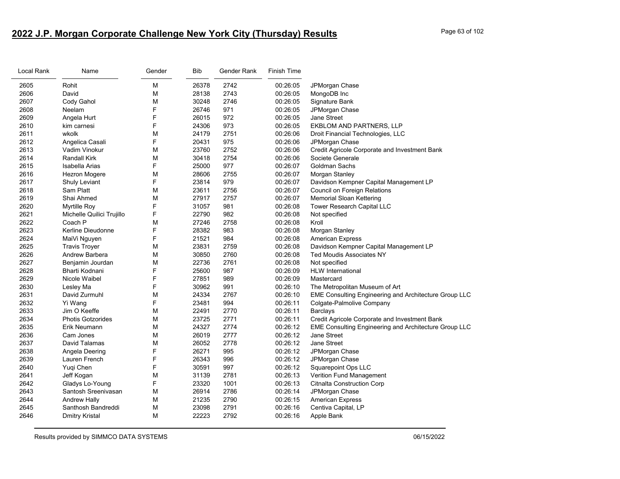# **2022 J.P. Morgan Corporate Challenge New York City (Thursday) Results** Page 63 of 102

| Local Rank | Name                      | Gender | Bib   | Gender Rank | <b>Finish Time</b> |                                                       |
|------------|---------------------------|--------|-------|-------------|--------------------|-------------------------------------------------------|
| 2605       | Rohit                     | M      | 26378 | 2742        | 00:26:05           | JPMorgan Chase                                        |
| 2606       | David                     | М      | 28138 | 2743        | 00:26:05           | MongoDB Inc                                           |
| 2607       | Cody Gahol                | М      | 30248 | 2746        | 00:26:05           | Signature Bank                                        |
| 2608       | Neelam                    | F      | 26746 | 971         | 00:26:05           | JPMorgan Chase                                        |
| 2609       | Angela Hurt               | F      | 26015 | 972         | 00:26:05           | <b>Jane Street</b>                                    |
| 2610       | kim carnesi               | F      | 24306 | 973         | 00:26:05           | EKBLOM AND PARTNERS, LLP                              |
| 2611       | wkolk                     | М      | 24179 | 2751        | 00:26:06           | Droit Financial Technologies, LLC                     |
| 2612       | Angelica Casali           | F      | 20431 | 975         | 00:26:06           | JPMorgan Chase                                        |
| 2613       | Vadim Vinokur             | M      | 23760 | 2752        | 00:26:06           | Credit Agricole Corporate and Investment Bank         |
| 2614       | <b>Randall Kirk</b>       | М      | 30418 | 2754        | 00:26:06           | Societe Generale                                      |
| 2615       | Isabella Arias            | F      | 25000 | 977         | 00:26:07           | Goldman Sachs                                         |
| 2616       | Hezron Mogere             | M      | 28606 | 2755        | 00:26:07           | Morgan Stanley                                        |
| 2617       | Shuly Leviant             | F      | 23814 | 979         | 00:26:07           | Davidson Kempner Capital Management LP                |
| 2618       | Sam Platt                 | М      | 23611 | 2756        | 00:26:07           | Council on Foreign Relations                          |
| 2619       | Shai Ahmed                | M      | 27917 | 2757        | 00:26:07           | <b>Memorial Sloan Kettering</b>                       |
| 2620       | Myrtille Roy              | F      | 31057 | 981         | 00:26:08           | Tower Research Capital LLC                            |
| 2621       | Michelle Quilici Trujillo | F      | 22790 | 982         | 00:26:08           | Not specified                                         |
| 2622       | Coach P                   | М      | 27246 | 2758        | 00:26:08           | Kroll                                                 |
| 2623       | Kerline Dieudonne         | F      | 28382 | 983         | 00:26:08           | Morgan Stanley                                        |
| 2624       | MaiVi Nguyen              | F      | 21521 | 984         | 00:26:08           | <b>American Express</b>                               |
| 2625       | <b>Travis Troyer</b>      | M      | 23831 | 2759        | 00:26:08           | Davidson Kempner Capital Management LP                |
| 2626       | Andrew Barbera            | M      | 30850 | 2760        | 00:26:08           | <b>Ted Moudis Associates NY</b>                       |
| 2627       | Benjamin Jourdan          | М      | 22736 | 2761        | 00:26:08           | Not specified                                         |
| 2628       | Bharti Kodnani            | F      | 25600 | 987         | 00:26:09           | <b>HLW</b> International                              |
| 2629       | Nicole Waibel             | F      | 27851 | 989         | 00:26:09           | Mastercard                                            |
| 2630       | Lesley Ma                 | F      | 30962 | 991         | 00:26:10           | The Metropolitan Museum of Art                        |
| 2631       | David Zurmuhl             | М      | 24334 | 2767        | 00:26:10           | EME Consulting Engineering and Architecture Group LLC |
| 2632       | Yi Wang                   | F      | 23481 | 994         | 00:26:11           | Colgate-Palmolive Company                             |
| 2633       | Jim O Keeffe              | M      | 22491 | 2770        | 00:26:11           | Barclays                                              |
| 2634       | <b>Photis Gotzorides</b>  | М      | 23725 | 2771        | 00:26:11           | Credit Agricole Corporate and Investment Bank         |
| 2635       | Erik Neumann              | М      | 24327 | 2774        | 00:26:12           | EME Consulting Engineering and Architecture Group LLC |
| 2636       | Cam Jones                 | M      | 26019 | 2777        | 00:26:12           | Jane Street                                           |
| 2637       | David Talamas             | М      | 26052 | 2778        | 00:26:12           | Jane Street                                           |
| 2638       | Angela Deering            | F      | 26271 | 995         | 00:26:12           | JPMorgan Chase                                        |
| 2639       | Lauren French             | F      | 26343 | 996         | 00:26:12           | JPMorgan Chase                                        |
| 2640       | Yuqi Chen                 | F      | 30591 | 997         | 00:26:12           | Squarepoint Ops LLC                                   |
| 2641       | Jeff Kogan                | М      | 31139 | 2781        | 00:26:13           | <b>Verition Fund Management</b>                       |
| 2642       | Gladys Lo-Young           | F      | 23320 | 1001        | 00:26:13           | <b>Citnalta Construction Corp</b>                     |
| 2643       | Santosh Sreenivasan       | M      | 26914 | 2786        | 00:26:14           | JPMorgan Chase                                        |
| 2644       | Andrew Hally              | M      | 21235 | 2790        | 00:26:15           | <b>American Express</b>                               |
| 2645       | Santhosh Bandreddi        | М      | 23098 | 2791        | 00:26:16           | Centiva Capital, LP                                   |
| 2646       | Dmitry Kristal            | M      | 22223 | 2792        | 00:26:16           | Apple Bank                                            |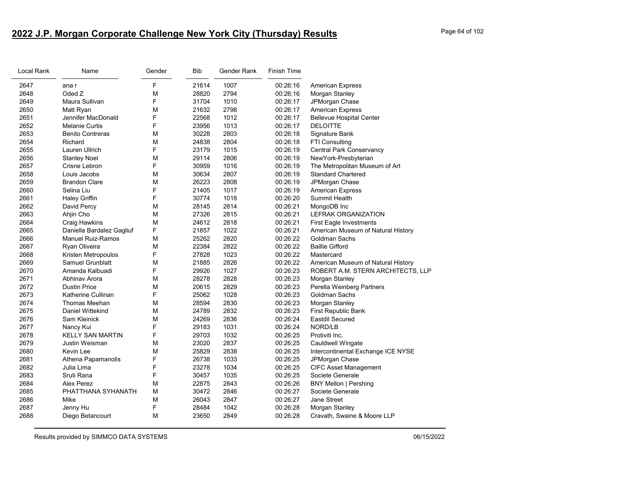# **2022 J.P. Morgan Corporate Challenge New York City (Thursday) Results** Page 64 of 102

| Local Rank | Name                      | Gender | <b>Bib</b> | Gender Rank | Finish Time |                                    |
|------------|---------------------------|--------|------------|-------------|-------------|------------------------------------|
| 2647       | ana r                     | F      | 21614      | 1007        | 00:26:16    | <b>American Express</b>            |
| 2648       | Oded Z                    | М      | 28820      | 2794        | 00:26:16    | Morgan Stanley                     |
| 2649       | Maura Sullivan            | F      | 31704      | 1010        | 00:26:17    | JPMorgan Chase                     |
| 2650       | Matt Ryan                 | M      | 21632      | 2798        | 00:26:17    | <b>American Express</b>            |
| 2651       | Jennifer MacDonald        | F      | 22568      | 1012        | 00:26:17    | <b>Bellevue Hospital Center</b>    |
| 2652       | <b>Melanie Curtis</b>     | F      | 23956      | 1013        | 00:26:17    | <b>DELOITTE</b>                    |
| 2653       | <b>Benito Contreras</b>   | M      | 30228      | 2803        | 00:26:18    | Signature Bank                     |
| 2654       | Richard                   | M      | 24838      | 2804        | 00:26:18    | <b>FTI Consulting</b>              |
| 2655       | Lauren Ullrich            | F      | 23179      | 1015        | 00:26:19    | <b>Central Park Conservancy</b>    |
| 2656       | <b>Stanley Noel</b>       | M      | 29114      | 2806        | 00:26:19    | NewYork-Presbyterian               |
| 2657       | Crisne Lebron             | F      | 30959      | 1016        | 00:26:19    | The Metropolitan Museum of Art     |
| 2658       | Louis Jacobs              | М      | 30634      | 2807        | 00:26:19    | <b>Standard Chartered</b>          |
| 2659       | <b>Brandon Clare</b>      | M      | 26223      | 2808        | 00.26:19    | JPMorgan Chase                     |
| 2660       | Selina Liu                | F      | 21405      | 1017        | 00:26:19    | <b>American Express</b>            |
| 2661       | <b>Haley Griffin</b>      | F      | 30774      | 1018        | 00:26:20    | <b>Summit Health</b>               |
| 2662       | David Percy               | М      | 28145      | 2814        | 00:26:21    | MongoDB Inc                        |
| 2663       | Ahjin Cho                 | M      | 27326      | 2815        | 00:26:21    | <b>LEFRAK ORGANIZATION</b>         |
| 2664       | <b>Craig Hawkins</b>      | M      | 24612      | 2818        | 00:26:21    | <b>First Eagle Investments</b>     |
| 2665       | Daniella Bardalez Gagliuf | F      | 21857      | 1022        | 00:26:21    | American Museum of Natural History |
| 2666       | <b>Manuel Ruiz-Ramos</b>  | M      | 25262      | 2820        | 00:26:22    | Goldman Sachs                      |
| 2667       | Ryan Oliveira             | M      | 22384      | 2822        | 00:26:22    | <b>Baillie Gifford</b>             |
| 2668       | Kristen Metropoulos       | F      | 27828      | 1023        | 00:26:22    | Mastercard                         |
| 2669       | Samuel Grunblatt          | M      | 21885      | 2826        | 00:26:22    | American Museum of Natural History |
| 2670       | Amanda Kalbuadi           | F      | 29926      | 1027        | 00:26:23    | ROBERT A.M. STERN ARCHITECTS, LLP  |
| 2671       | Abhinav Arora             | M      | 28278      | 2828        | 00:26:23    | Morgan Stanley                     |
| 2672       | <b>Dustin Price</b>       | M      | 20615      | 2829        | 00:26:23    | Perella Weinberg Partners          |
| 2673       | Katherine Cullinan        | F      | 25062      | 1028        | 00:26:23    | Goldman Sachs                      |
| 2674       | <b>Thomas Meehan</b>      | M      | 28594      | 2830        | 00:26:23    | Morgan Stanley                     |
| 2675       | Daniel Wittekind          | M      | 24789      | 2832        | 00:26:23    | First Republic Bank                |
| 2676       | Sam Kleinick              | M      | 24269      | 2836        | 00:26:24    | Eastdil Secured                    |
| 2677       | Nancy Kui                 | F      | 29183      | 1031        | 00:26:24    | NORD/LB                            |
| 2678       | <b>KELLY SAN MARTIN</b>   | F      | 29703      | 1032        | 00:26:25    | Protiviti Inc.                     |
| 2679       | Justin Weisman            | M      | 23020      | 2837        | 00:26:25    | Cauldwell Wingate                  |
| 2680       | Kevin Lee                 | M      | 25829      | 2838        | 00:26:25    | Intercontinental Exchange ICE NYSE |
| 2681       | Athena Papamanolis        | F      | 26738      | 1033        | 00:26:25    | JPMorgan Chase                     |
| 2682       | Julia Lima                | F      | 23278      | 1034        | 00:26:25    | <b>CIFC Asset Management</b>       |
| 2683       | Sruti Rana                | F      | 30457      | 1035        | 00:26:25    | Societe Generale                   |
| 2684       | <b>Alex Perez</b>         | M      | 22875      | 2843        | 00:26:26    | <b>BNY Mellon   Pershing</b>       |
| 2685       | PHATTHANA SYHANATH        | M      | 30472      | 2846        | 00:26:27    | Societe Generale                   |
| 2686       | Mike                      | M      | 26043      | 2847        | 00:26:27    | Jane Street                        |
| 2687       | Jenny Hu                  | F      | 28484      | 1042        | 00:26:28    | Morgan Stanley                     |
| 2688       | Diego Betancourt          | М      | 23650      | 2849        | 00:26:28    | Cravath, Swaine & Moore LLP        |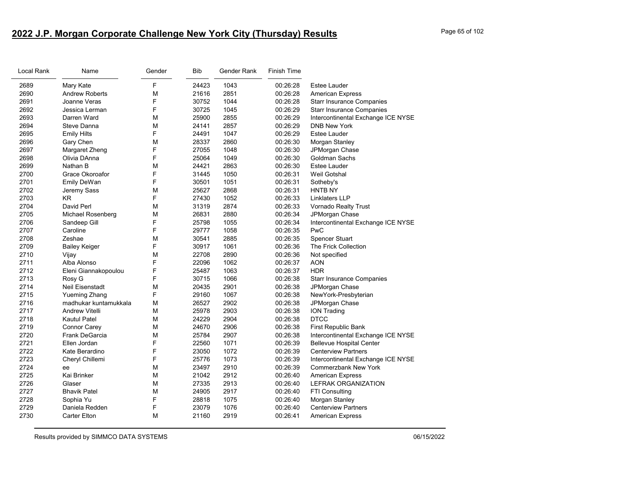# **2022 J.P. Morgan Corporate Challenge New York City (Thursday) Results** Page 65 of 102

| Local Rank | Name                     | Gender | <b>Bib</b> | Gender Rank | <b>Finish Time</b> |                                    |
|------------|--------------------------|--------|------------|-------------|--------------------|------------------------------------|
| 2689       | Mary Kate                | F      | 24423      | 1043        | 00:26:28           | <b>Estee Lauder</b>                |
| 2690       | <b>Andrew Roberts</b>    | M      | 21616      | 2851        | 00:26:28           | <b>American Express</b>            |
| 2691       | Joanne Veras             | F      | 30752      | 1044        | 00:26:28           | <b>Starr Insurance Companies</b>   |
| 2692       | Jessica Lerman           | F      | 30725      | 1045        | 00:26:29           | <b>Starr Insurance Companies</b>   |
| 2693       | Darren Ward              | M      | 25900      | 2855        | 00:26:29           | Intercontinental Exchange ICE NYSE |
| 2694       | Steve Danna              | M      | 24141      | 2857        | 00:26:29           | <b>DNB New York</b>                |
| 2695       | <b>Emily Hilts</b>       | F      | 24491      | 1047        | 00:26:29           | <b>Estee Lauder</b>                |
| 2696       | Gary Chen                | M      | 28337      | 2860        | 00:26:30           | Morgan Stanley                     |
| 2697       | Margaret Zheng           | F      | 27055      | 1048        | 00:26:30           | JPMorgan Chase                     |
| 2698       | Olivia DAnna             | F      | 25064      | 1049        | 00:26:30           | Goldman Sachs                      |
| 2699       | Nathan B                 | M      | 24421      | 2863        | 00:26:30           | Estee Lauder                       |
| 2700       | Grace Okoroafor          | F      | 31445      | 1050        | 00:26:31           | Weil Gotshal                       |
| 2701       | Emily DeWan              | F      | 30501      | 1051        | 00:26:31           | Sotheby's                          |
| 2702       | Jeremy Sass              | M      | 25627      | 2868        | 00:26:31           | <b>HNTB NY</b>                     |
| 2703       | <b>KR</b>                | F      | 27430      | 1052        | 00:26:33           | Linklaters LLP                     |
| 2704       | David Perl               | M      | 31319      | 2874        | 00:26:33           | Vornado Realty Trust               |
| 2705       | <b>Michael Rosenberg</b> | M      | 26831      | 2880        | 00:26:34           | JPMorgan Chase                     |
| 2706       | Sandeep Gill             | F      | 25798      | 1055        | 00:26:34           | Intercontinental Exchange ICE NYSE |
| 2707       | Caroline                 | F      | 29777      | 1058        | 00:26:35           | PwC                                |
| 2708       | Zeshae                   | M      | 30541      | 2885        | 00:26:35           | <b>Spencer Stuart</b>              |
| 2709       | <b>Bailey Keiger</b>     | F      | 30917      | 1061        | 00:26:36           | The Frick Collection               |
| 2710       | Vijay                    | M      | 22708      | 2890        | 00:26:36           | Not specified                      |
| 2711       | Alba Alonso              | F      | 22096      | 1062        | 00:26:37           | <b>AON</b>                         |
| 2712       | Eleni Giannakopoulou     | F      | 25487      | 1063        | 00:26:37           | <b>HDR</b>                         |
| 2713       | Rosy G                   | F      | 30715      | 1066        | 00:26:38           | <b>Starr Insurance Companies</b>   |
| 2714       | Neil Eisenstadt          | M      | 20435      | 2901        | 00:26:38           | JPMorgan Chase                     |
| 2715       | <b>Yueming Zhang</b>     | F      | 29160      | 1067        | 00:26:38           | NewYork-Presbyterian               |
| 2716       | madhukar kuntamukkala    | M      | 26527      | 2902        | 00:26:38           | JPMorgan Chase                     |
| 2717       | Andrew Vitelli           | M      | 25978      | 2903        | 00:26:38           | <b>ION Trading</b>                 |
| 2718       | Kautul Patel             | M      | 24229      | 2904        | 00:26:38           | <b>DTCC</b>                        |
| 2719       | Connor Carey             | M      | 24670      | 2906        | 00:26:38           | First Republic Bank                |
| 2720       | <b>Frank DeGarcia</b>    | M      | 25784      | 2907        | 00:26:38           | Intercontinental Exchange ICE NYSE |
| 2721       | Ellen Jordan             | F      | 22560      | 1071        | 00:26:39           | <b>Bellevue Hospital Center</b>    |
| 2722       | Kate Berardino           | F      | 23050      | 1072        | 00:26:39           | <b>Centerview Partners</b>         |
| 2723       | Cheryl Chillemi          | F      | 25776      | 1073        | 00:26:39           | Intercontinental Exchange ICE NYSE |
| 2724       | ee                       | M      | 23497      | 2910        | 00:26:39           | <b>Commerzbank New York</b>        |
| 2725       | Kai Brinker              | M      | 21042      | 2912        | 00:26:40           | <b>American Express</b>            |
| 2726       | Glaser                   | M      | 27335      | 2913        | 00:26:40           | <b>LEFRAK ORGANIZATION</b>         |
| 2727       | <b>Bhavik Patel</b>      | M      | 24905      | 2917        | 00:26:40           | <b>FTI Consulting</b>              |
| 2728       | Sophia Yu                | F      | 28818      | 1075        | 00:26:40           | Morgan Stanley                     |
| 2729       | Daniela Redden           | F      | 23079      | 1076        | 00:26:40           | <b>Centerview Partners</b>         |
| 2730       | <b>Carter Elton</b>      | M      | 21160      | 2919        | 00:26:41           | <b>American Express</b>            |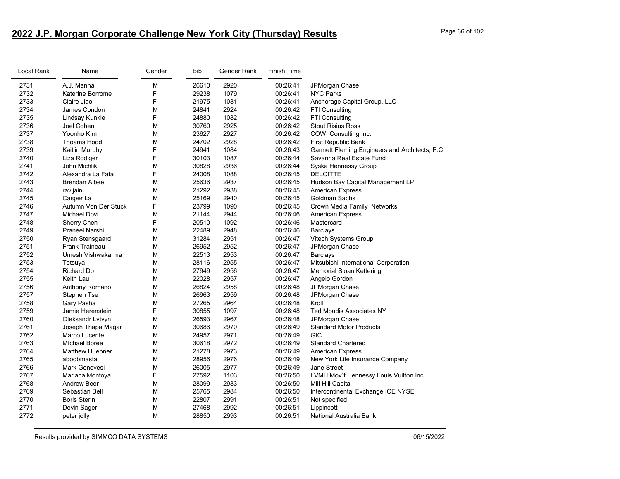# **2022 J.P. Morgan Corporate Challenge New York City (Thursday) Results** Page 66 of 102

| Local Rank | Name                   | Gender | Bib   | Gender Rank | <b>Finish Time</b> |                                                |
|------------|------------------------|--------|-------|-------------|--------------------|------------------------------------------------|
| 2731       | A.J. Manna             | M      | 26610 | 2920        | 00:26:41           | JPMorgan Chase                                 |
| 2732       | Katerine Borrome       | F      | 29238 | 1079        | 00:26:41           | <b>NYC Parks</b>                               |
| 2733       | Claire Jiao            | F      | 21975 | 1081        | 00:26:41           | Anchorage Capital Group, LLC                   |
| 2734       | James Condon           | M      | 24841 | 2924        | 00:26:42           | FTI Consulting                                 |
| 2735       | Lindsay Kunkle         | F      | 24880 | 1082        | 00:26:42           | <b>FTI Consulting</b>                          |
| 2736       | Joel Cohen             | M      | 30760 | 2925        | 00:26:42           | <b>Stout Risius Ross</b>                       |
| 2737       | Yoonho Kim             | M      | 23627 | 2927        | 00:26:42           | COWI Consulting Inc.                           |
| 2738       | Thoams Hood            | M      | 24702 | 2928        | 00:26:42           | First Republic Bank                            |
| 2739       | Kaitlin Murphy         | F      | 24941 | 1084        | 00:26:43           | Gannett Fleming Engineers and Architects, P.C. |
| 2740       | Liza Rodiger           | F      | 30103 | 1087        | 00:26:44           | Savanna Real Estate Fund                       |
| 2741       | John Michlik           | M      | 30828 | 2936        | 00:26:44           | Syska Hennessy Group                           |
| 2742       | Alexandra La Fata      | F      | 24008 | 1088        | 00:26:45           | <b>DELOITTE</b>                                |
| 2743       | <b>Brendan Albee</b>   | M      | 25636 | 2937        | 00:26:45           | Hudson Bay Capital Management LP               |
| 2744       | ravijain               | M      | 21292 | 2938        | 00:26:45           | <b>American Express</b>                        |
| 2745       | Casper La              | M      | 25169 | 2940        | 00:26:45           | Goldman Sachs                                  |
| 2746       | Autumn Von Der Stuck   | F      | 23799 | 1090        | 00:26:45           | Crown Media Family Networks                    |
| 2747       | Michael Dovi           | M      | 21144 | 2944        | 00:26:46           | <b>American Express</b>                        |
| 2748       | Sherry Chen            | F      | 20510 | 1092        | 00:26:46           | Mastercard                                     |
| 2749       | Praneel Narshi         | M      | 22489 | 2948        | 00:26:46           | <b>Barclays</b>                                |
| 2750       | Ryan Stensgaard        | M      | 31284 | 2951        | 00:26:47           | Vitech Systems Group                           |
| 2751       | <b>Frank Traineau</b>  | M      | 26952 | 2952        | 00:26:47           | JPMorgan Chase                                 |
| 2752       | Umesh Vishwakarma      | M      | 22513 | 2953        | 00:26:47           | Barclays                                       |
| 2753       | Tetsuya                | M      | 28116 | 2955        | 00:26:47           | Mitsubishi International Corporation           |
| 2754       | Richard Do             | M      | 27949 | 2956        | 00:26:47           | <b>Memorial Sloan Kettering</b>                |
| 2755       | Keith Lau              | M      | 22028 | 2957        | 00:26:47           | Angelo Gordon                                  |
| 2756       | Anthony Romano         | M      | 26824 | 2958        | 00:26:48           | JPMorgan Chase                                 |
| 2757       | Stephen Tse            | M      | 26963 | 2959        | 00:26:48           | JPMorgan Chase                                 |
| 2758       | Gary Pasha             | M      | 27265 | 2964        | 00:26:48           | Kroll                                          |
| 2759       | Jamie Herenstein       | F      | 30855 | 1097        | 00:26:48           | <b>Ted Moudis Associates NY</b>                |
| 2760       | Oleksandr Lytvyn       | M      | 26593 | 2967        | 00:26:48           | JPMorgan Chase                                 |
| 2761       | Joseph Thapa Magar     | M      | 30686 | 2970        | 00:26:49           | <b>Standard Motor Products</b>                 |
| 2762       | Marco Lucente          | M      | 24957 | 2971        | 00:26:49           | GIC                                            |
| 2763       | <b>MIchael Boree</b>   | M      | 30618 | 2972        | 00:26:49           | <b>Standard Chartered</b>                      |
| 2764       | <b>Matthew Huebner</b> | M      | 21278 | 2973        | 00:26:49           | <b>American Express</b>                        |
| 2765       | aboobmasta             | M      | 28956 | 2976        | 00:26:49           | New York Life Insurance Company                |
| 2766       | Mark Genovesi          | M      | 26005 | 2977        | 00:26:49           | Jane Street                                    |
| 2767       | Mariana Montoya        | F      | 27592 | 1103        | 00:26:50           | LVMH Mov't Hennessy Louis Vuitton Inc.         |
| 2768       | Andrew Beer            | M      | 28099 | 2983        | 00:26:50           | Mill Hill Capital                              |
| 2769       | Sebastian Bell         | M      | 25765 | 2984        | 00:26:50           | Intercontinental Exchange ICE NYSE             |
| 2770       | <b>Boris Sterin</b>    | M      | 22807 | 2991        | 00:26:51           | Not specified                                  |
| 2771       | Devin Sager            | M      | 27468 | 2992        | 00:26:51           | Lippincott                                     |
| 2772       | peter jolly            | M      | 28850 | 2993        | 00:26:51           | National Australia Bank                        |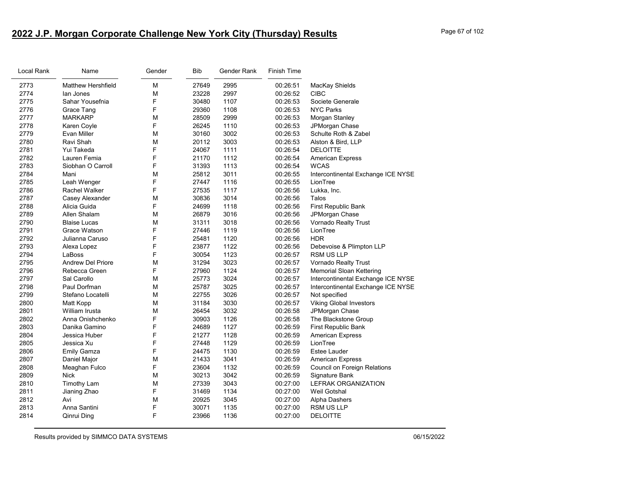# **2022 J.P. Morgan Corporate Challenge New York City (Thursday) Results** Page 67 of 102

| Local Rank | Name                      | Gender | <b>Bib</b> | Gender Rank | <b>Finish Time</b> |                                    |
|------------|---------------------------|--------|------------|-------------|--------------------|------------------------------------|
| 2773       | <b>Matthew Hershfield</b> | M      | 27649      | 2995        | 00:26:51           | MacKay Shields                     |
| 2774       | lan Jones                 | M      | 23228      | 2997        | 00:26:52           | <b>CIBC</b>                        |
| 2775       | Sahar Yousefnia           | F      | 30480      | 1107        | 00:26:53           | Societe Generale                   |
| 2776       | Grace Tang                | F      | 29360      | 1108        | 00:26:53           | <b>NYC Parks</b>                   |
| 2777       | <b>MARKARP</b>            | M      | 28509      | 2999        | 00:26:53           | Morgan Stanley                     |
| 2778       | Karen Coyle               | F      | 26245      | 1110        | 00:26:53           | JPMorgan Chase                     |
| 2779       | Evan Miller               | M      | 30160      | 3002        | 00:26:53           | Schulte Roth & Zabel               |
| 2780       | Ravi Shah                 | M      | 20112      | 3003        | 00:26:53           | Alston & Bird, LLP                 |
| 2781       | Yui Takeda                | F      | 24067      | 1111        | 00:26:54           | <b>DELOITTE</b>                    |
| 2782       | Lauren Femia              | F      | 21170      | 1112        | 00:26:54           | <b>American Express</b>            |
| 2783       | Siobhan O Carroll         | F      | 31393      | 1113        | 00:26:54           | <b>WCAS</b>                        |
| 2784       | Mani                      | M      | 25812      | 3011        | 00:26:55           | Intercontinental Exchange ICE NYSE |
| 2785       | Leah Wenger               | F      | 27447      | 1116        | 00:26:55           | LionTree                           |
| 2786       | <b>Rachel Walker</b>      | F      | 27535      | 1117        | 00:26:56           | Lukka, Inc.                        |
| 2787       | Casey Alexander           | M      | 30836      | 3014        | 00:26:56           | Talos                              |
| 2788       | Alicia Guida              | F      | 24699      | 1118        | 00:26:56           | First Republic Bank                |
| 2789       | Allen Shalam              | M      | 26879      | 3016        | 00:26:56           | JPMorgan Chase                     |
| 2790       | <b>Blaise Lucas</b>       | M      | 31311      | 3018        | 00:26:56           | Vornado Realty Trust               |
| 2791       | Grace Watson              | F      | 27446      | 1119        | 00:26:56           | LionTree                           |
| 2792       | Julianna Caruso           | F      | 25481      | 1120        | 00:26:56           | <b>HDR</b>                         |
| 2793       | Alexa Lopez               | F      | 23877      | 1122        | 00:26:56           | Debevoise & Plimpton LLP           |
| 2794       | LaBoss                    | F      | 30054      | 1123        | 00:26:57           | RSM US LLP                         |
| 2795       | <b>Andrew Del Priore</b>  | M      | 31294      | 3023        | 00:26:57           | Vornado Realty Trust               |
| 2796       | Rebecca Green             | F      | 27960      | 1124        | 00:26:57           | Memorial Sloan Kettering           |
| 2797       | Sal Carollo               | M      | 25773      | 3024        | 00:26:57           | Intercontinental Exchange ICE NYSE |
| 2798       | Paul Dorfman              | M      | 25787      | 3025        | 00:26:57           | Intercontinental Exchange ICE NYSE |
| 2799       | Stefano Locatelli         | M      | 22755      | 3026        | 00:26:57           | Not specified                      |
| 2800       | Matt Kopp                 | M      | 31184      | 3030        | 00:26:57           | <b>Viking Global Investors</b>     |
| 2801       | William Irusta            | M      | 26454      | 3032        | 00:26:58           | JPMorgan Chase                     |
| 2802       | Anna Onishchenko          | F      | 30903      | 1126        | 00:26:58           | The Blackstone Group               |
| 2803       | Danika Gamino             | F      | 24689      | 1127        | 00:26:59           | First Republic Bank                |
| 2804       | Jessica Huber             | F      | 21277      | 1128        | 00:26:59           | <b>American Express</b>            |
| 2805       | Jessica Xu                | F      | 27448      | 1129        | 00:26:59           | LionTree                           |
| 2806       | <b>Emily Gamza</b>        | F      | 24475      | 1130        | 00:26:59           | <b>Estee Lauder</b>                |
| 2807       | Daniel Major              | M      | 21433      | 3041        | 00:26:59           | <b>American Express</b>            |
| 2808       | Meaghan Fulco             | F      | 23604      | 1132        | 00:26:59           | Council on Foreign Relations       |
| 2809       | <b>Nick</b>               | M      | 30213      | 3042        | 00:26:59           | Signature Bank                     |
| 2810       | <b>Timothy Lam</b>        | M      | 27339      | 3043        | 00:27:00           | LEFRAK ORGANIZATION                |
| 2811       | Jianing Zhao              | F      | 31469      | 1134        | 00:27:00           | Weil Gotshal                       |
| 2812       | Avi                       | M      | 20925      | 3045        | 00:27:00           | Alpha Dashers                      |
| 2813       | Anna Santini              | F      | 30071      | 1135        | 00:27:00           | <b>RSM US LLP</b>                  |
| 2814       | Qinrui Ding               | F      | 23966      | 1136        | 00:27:00           | <b>DELOITTE</b>                    |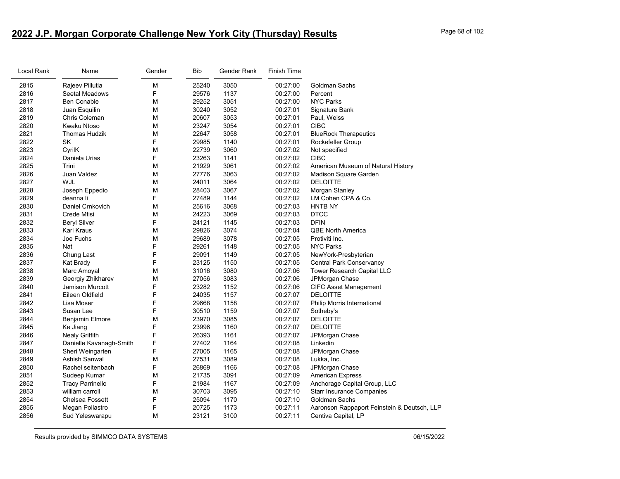# **2022 J.P. Morgan Corporate Challenge New York City (Thursday) Results** Page 68 of 102

| Local Rank | Name                    | Gender | Bib   | Gender Rank | Finish Time |                                             |
|------------|-------------------------|--------|-------|-------------|-------------|---------------------------------------------|
| 2815       | Rajeev Pillutla         | М      | 25240 | 3050        | 00:27:00    | Goldman Sachs                               |
| 2816       | Seetal Meadows          | F      | 29576 | 1137        | 00:27:00    | Percent                                     |
| 2817       | <b>Ben Conable</b>      | М      | 29252 | 3051        | 00:27:00    | <b>NYC Parks</b>                            |
| 2818       | Juan Esquilin           | M      | 30240 | 3052        | 00:27:01    | Signature Bank                              |
| 2819       | Chris Coleman           | М      | 20607 | 3053        | 00:27:01    | Paul, Weiss                                 |
| 2820       | Kwaku Ntoso             | М      | 23247 | 3054        | 00:27:01    | <b>CIBC</b>                                 |
| 2821       | <b>Thomas Hudzik</b>    | М      | 22647 | 3058        | 00:27:01    | <b>BlueRock Therapeutics</b>                |
| 2822       | SK                      | F      | 29985 | 1140        | 00:27:01    | Rockefeller Group                           |
| 2823       | CyrilK                  | М      | 22739 | 3060        | 00:27:02    | Not specified                               |
| 2824       | Daniela Urias           | F      | 23263 | 1141        | 00:27:02    | <b>CIBC</b>                                 |
| 2825       | Trini                   | M      | 21929 | 3061        | 00:27:02    | American Museum of Natural History          |
| 2826       | Juan Valdez             | M      | 27776 | 3063        | 00:27:02    | Madison Square Garden                       |
| 2827       | WJL                     | М      | 24011 | 3064        | 00:27:02    | <b>DELOITTE</b>                             |
| 2828       | Joseph Eppedio          | М      | 28403 | 3067        | 00:27:02    | Morgan Stanley                              |
| 2829       | deanna li               | F      | 27489 | 1144        | 00:27:02    | LM Cohen CPA & Co.                          |
| 2830       | Daniel Crnkovich        | М      | 25616 | 3068        | 00:27:03    | <b>HNTB NY</b>                              |
| 2831       | Crede Mtisi             | М      | 24223 | 3069        | 00:27:03    | <b>DTCC</b>                                 |
| 2832       | <b>Beryl Silver</b>     | F      | 24121 | 1145        | 00:27:03    | <b>DFIN</b>                                 |
| 2833       | Karl Kraus              | M      | 29826 | 3074        | 00:27:04    | <b>QBE North America</b>                    |
| 2834       | Joe Fuchs               | М      | 29689 | 3078        | 00:27:05    | Protiviti Inc.                              |
| 2835       | Nat                     | F      | 29261 | 1148        | 00:27:05    | <b>NYC Parks</b>                            |
| 2836       | Chung Last              | F      | 29091 | 1149        | 00:27:05    | NewYork-Presbyterian                        |
| 2837       | Kat Brady               | F      | 23125 | 1150        | 00:27:05    | <b>Central Park Conservancy</b>             |
| 2838       | Marc Amoyal             | М      | 31016 | 3080        | 00:27:06    | Tower Research Capital LLC                  |
| 2839       | Georgiy Zhikharev       | М      | 27056 | 3083        | 00:27:06    | JPMorgan Chase                              |
| 2840       | <b>Jamison Murcott</b>  | F      | 23282 | 1152        | 00:27:06    | <b>CIFC Asset Management</b>                |
| 2841       | Eileen Oldfield         | F      | 24035 | 1157        | 00:27:07    | <b>DELOITTE</b>                             |
| 2842       | Lisa Moser              | F      | 29668 | 1158        | 00:27:07    | Philip Morris International                 |
| 2843       | Susan Lee               | F      | 30510 | 1159        | 00:27:07    | Sotheby's                                   |
| 2844       | Benjamin Elmore         | M      | 23970 | 3085        | 00:27:07    | <b>DELOITTE</b>                             |
| 2845       | Ke Jiang                | F      | 23996 | 1160        | 00:27:07    | <b>DELOITTE</b>                             |
| 2846       | <b>Nealy Griffith</b>   | F      | 26393 | 1161        | 00:27:07    | JPMorgan Chase                              |
| 2847       | Danielle Kavanagh-Smith | F      | 27402 | 1164        | 00:27:08    | Linkedin                                    |
| 2848       | Sheri Weingarten        | F      | 27005 | 1165        | 00:27:08    | JPMorgan Chase                              |
| 2849       | Ashish Sanwal           | M      | 27531 | 3089        | 00:27:08    | Lukka, Inc.                                 |
| 2850       | Rachel seitenbach       | F      | 26869 | 1166        | 00:27:08    | JPMorgan Chase                              |
| 2851       | Sudeep Kumar            | М      | 21735 | 3091        | 00:27:09    | <b>American Express</b>                     |
| 2852       | <b>Tracy Parrinello</b> | F      | 21984 | 1167        | 00:27:09    | Anchorage Capital Group, LLC                |
| 2853       | william carroll         | М      | 30703 | 3095        | 00:27:10    | <b>Starr Insurance Companies</b>            |
| 2854       | <b>Chelsea Fossett</b>  | F      | 25094 | 1170        | 00:27:10    | Goldman Sachs                               |
| 2855       | Megan Pollastro         | F      | 20725 | 1173        | 00:27:11    | Aaronson Rappaport Feinstein & Deutsch, LLP |
| 2856       | Sud Yeleswarapu         | M      | 23121 | 3100        | 00:27:11    | Centiva Capital, LP                         |
|            |                         |        |       |             |             |                                             |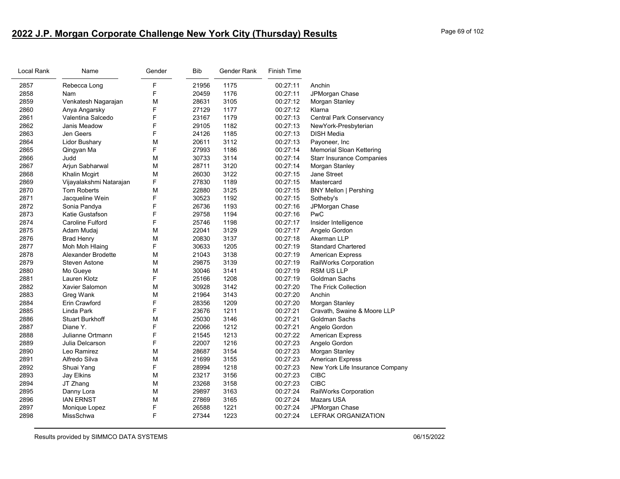# **2022 J.P. Morgan Corporate Challenge New York City (Thursday) Results** Page 69 of 102

| Local Rank | Name                    | Gender | <b>Bib</b> | Gender Rank | Finish Time |                                  |
|------------|-------------------------|--------|------------|-------------|-------------|----------------------------------|
| 2857       | Rebecca Long            | F      | 21956      | 1175        | 00:27:11    | Anchin                           |
| 2858       | Nam                     | F      | 20459      | 1176        | 00:27:11    | JPMorgan Chase                   |
| 2859       | Venkatesh Nagarajan     | М      | 28631      | 3105        | 00:27:12    | Morgan Stanley                   |
| 2860       | Anya Angarsky           | F      | 27129      | 1177        | 00:27:12    | Klarna                           |
| 2861       | Valentina Salcedo       | F      | 23167      | 1179        | 00:27:13    | Central Park Conservancy         |
| 2862       | Janis Meadow            | F      | 29105      | 1182        | 00:27:13    | NewYork-Presbyterian             |
| 2863       | Jen Geers               | F      | 24126      | 1185        | 00:27:13    | <b>DISH Media</b>                |
| 2864       | <b>Lidor Bushary</b>    | M      | 20611      | 3112        | 00:27:13    | Payoneer, Inc                    |
| 2865       | Qingyan Ma              | F      | 27993      | 1186        | 00:27:14    | <b>Memorial Sloan Kettering</b>  |
| 2866       | Judd                    | M      | 30733      | 3114        | 00:27:14    | <b>Starr Insurance Companies</b> |
| 2867       | Arjun Sabharwal         | М      | 28711      | 3120        | 00:27:14    | Morgan Stanley                   |
| 2868       | Khalin Mcgirt           | М      | 26030      | 3122        | 00:27:15    | Jane Street                      |
| 2869       | Vijayalakshmi Natarajan | F      | 27830      | 1189        | 00:27:15    | Mastercard                       |
| 2870       | <b>Tom Roberts</b>      | M      | 22880      | 3125        | 00:27:15    | <b>BNY Mellon   Pershing</b>     |
| 2871       | Jacqueline Wein         | F      | 30523      | 1192        | 00:27:15    | Sotheby's                        |
| 2872       | Sonia Pandya            | F      | 26736      | 1193        | 00:27:16    | JPMorgan Chase                   |
| 2873       | Katie Gustafson         | F      | 29758      | 1194        | 00:27:16    | PwC                              |
| 2874       | <b>Caroline Fulford</b> | F      | 25746      | 1198        | 00:27:17    | Insider Intelligence             |
| 2875       | Adam Mudaj              | M      | 22041      | 3129        | 00:27:17    | Angelo Gordon                    |
| 2876       | <b>Brad Henry</b>       | M      | 20830      | 3137        | 00:27:18    | Akerman LLP                      |
| 2877       | Moh Moh Hlaing          | F      | 30633      | 1205        | 00:27:19    | <b>Standard Chartered</b>        |
| 2878       | Alexander Brodette      | М      | 21043      | 3138        | 00:27:19    | <b>American Express</b>          |
| 2879       | <b>Steven Astone</b>    | М      | 29875      | 3139        | 00:27:19    | RailWorks Corporation            |
| 2880       | Mo Gueye                | M      | 30046      | 3141        | 00:27:19    | RSM US LLP                       |
| 2881       | Lauren Klotz            | F      | 25166      | 1208        | 00:27:19    | Goldman Sachs                    |
| 2882       | Xavier Salomon          | M      | 30928      | 3142        | 00:27:20    | The Frick Collection             |
| 2883       | Greg Wank               | М      | 21964      | 3143        | 00:27:20    | Anchin                           |
| 2884       | Erin Crawford           | F      | 28356      | 1209        | 00:27:20    | Morgan Stanley                   |
| 2885       | Linda Park              | F      | 23676      | 1211        | 00:27:21    | Cravath, Swaine & Moore LLP      |
| 2886       | <b>Stuart Burkhoff</b>  | М      | 25030      | 3146        | 00:27:21    | Goldman Sachs                    |
| 2887       | Diane Y.                | F      | 22066      | 1212        | 00:27:21    | Angelo Gordon                    |
| 2888       | Julianne Ortmann        | F      | 21545      | 1213        | 00:27:22    | American Express                 |
| 2889       | Julia Delcarson         | F      | 22007      | 1216        | 00:27:23    | Angelo Gordon                    |
| 2890       | Leo Ramirez             | M      | 28687      | 3154        | 00:27:23    | Morgan Stanley                   |
| 2891       | Alfredo Silva           | М      | 21699      | 3155        | 00:27:23    | <b>American Express</b>          |
| 2892       | Shuai Yang              | F      | 28994      | 1218        | 00:27:23    | New York Life Insurance Company  |
| 2893       | Jay Elkins              | М      | 23217      | 3156        | 00:27:23    | <b>CIBC</b>                      |
| 2894       | JT Zhang                | М      | 23268      | 3158        | 00:27:23    | <b>CIBC</b>                      |
| 2895       | Danny Lora              | М      | 29897      | 3163        | 00:27:24    | RailWorks Corporation            |
| 2896       | <b>IAN ERNST</b>        | М      | 27869      | 3165        | 00:27:24    | Mazars USA                       |
| 2897       | Monique Lopez           | F      | 26588      | 1221        | 00:27:24    | JPMorgan Chase                   |
| 2898       | MissSchwa               | F      | 27344      | 1223        | 00:27:24    | <b>LEFRAK ORGANIZATION</b>       |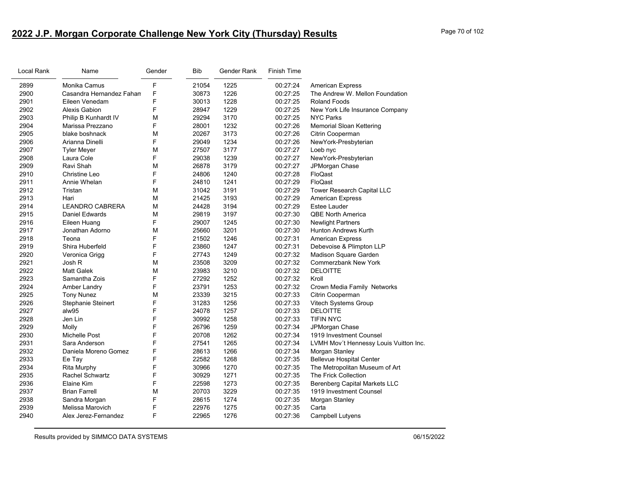# **2022 J.P. Morgan Corporate Challenge New York City (Thursday) Results** Page 70 of 102

| Local Rank | Name                     | Gender | <b>Bib</b> | Gender Rank | <b>Finish Time</b> |                                        |
|------------|--------------------------|--------|------------|-------------|--------------------|----------------------------------------|
| 2899       | Monika Camus             | F      | 21054      | 1225        | 00:27:24           | <b>American Express</b>                |
| 2900       | Casandra Hernandez Fahan | F      | 30873      | 1226        | 00:27:25           | The Andrew W. Mellon Foundation        |
| 2901       | Eileen Venedam           | F      | 30013      | 1228        | 00:27:25           | <b>Roland Foods</b>                    |
| 2902       | <b>Alexis Gabion</b>     | F      | 28947      | 1229        | 00:27:25           | New York Life Insurance Company        |
| 2903       | Philip B Kunhardt IV     | M      | 29294      | 3170        | 00:27:25           | <b>NYC Parks</b>                       |
| 2904       | Marissa Prezzano         | F      | 28001      | 1232        | 00:27:26           | <b>Memorial Sloan Kettering</b>        |
| 2905       | blake boshnack           | M      | 20267      | 3173        | 00:27:26           | Citrin Cooperman                       |
| 2906       | Arianna Dinelli          | F      | 29049      | 1234        | 00:27:26           | NewYork-Presbyterian                   |
| 2907       | <b>Tyler Meyer</b>       | М      | 27507      | 3177        | 00:27:27           | Loeb nyc                               |
| 2908       | Laura Cole               | F      | 29038      | 1239        | 00:27:27           | NewYork-Presbyterian                   |
| 2909       | Ravi Shah                | M      | 26878      | 3179        | 00:27:27           | JPMorgan Chase                         |
| 2910       | Christine Leo            | F      | 24806      | 1240        | 00:27:28           | FloQast                                |
| 2911       | Annie Whelan             | F      | 24810      | 1241        | 00:27:29           | FloQast                                |
| 2912       | Tristan                  | M      | 31042      | 3191        | 00:27:29           | Tower Research Capital LLC             |
| 2913       | Hari                     | M      | 21425      | 3193        | 00:27:29           | <b>American Express</b>                |
| 2914       | <b>LEANDRO CABRERA</b>   | М      | 24428      | 3194        | 00:27:29           | Estee Lauder                           |
| 2915       | Daniel Edwards           | M      | 29819      | 3197        | 00:27:30           | <b>QBE North America</b>               |
| 2916       | Eileen Huang             | F      | 29007      | 1245        | 00:27:30           | <b>Newlight Partners</b>               |
| 2917       | Jonathan Adorno          | M      | 25660      | 3201        | 00:27:30           | Hunton Andrews Kurth                   |
| 2918       | Teona                    | F      | 21502      | 1246        | 00:27:31           | <b>American Express</b>                |
| 2919       | Shira Huberfeld          | F      | 23860      | 1247        | 00:27:31           | Debevoise & Plimpton LLP               |
| 2920       | Veronica Grigg           | F      | 27743      | 1249        | 00:27:32           | Madison Square Garden                  |
| 2921       | Josh R                   | M      | 23508      | 3209        | 00:27:32           | <b>Commerzbank New York</b>            |
| 2922       | <b>Matt Galek</b>        | M      | 23983      | 3210        | 00:27:32           | <b>DELOITTE</b>                        |
| 2923       | Samantha Zois            | F      | 27292      | 1252        | 00:27:32           | Kroll                                  |
| 2924       | Amber Landry             | F      | 23791      | 1253        | 00:27:32           | Crown Media Family Networks            |
| 2925       | <b>Tony Nunez</b>        | M      | 23339      | 3215        | 00:27:33           | Citrin Cooperman                       |
| 2926       | Stephanie Steinert       | F      | 31283      | 1256        | 00:27:33           | Vitech Systems Group                   |
| 2927       | alw95                    | F      | 24078      | 1257        | 00:27:33           | <b>DELOITTE</b>                        |
| 2928       | Jen Lin                  | F      | 30992      | 1258        | 00:27:33           | <b>TIFIN NYC</b>                       |
| 2929       | Molly                    | F      | 26796      | 1259        | 00:27:34           | JPMorgan Chase                         |
| 2930       | <b>Michelle Post</b>     | F      | 20708      | 1262        | 00:27:34           | 1919 Investment Counsel                |
| 2931       | Sara Anderson            | F      | 27541      | 1265        | 00:27:34           | LVMH Mov't Hennessy Louis Vuitton Inc. |
| 2932       | Daniela Moreno Gomez     | F      | 28613      | 1266        | 00:27:34           | Morgan Stanley                         |
| 2933       | Ee Tay                   | F      | 22582      | 1268        | 00:27:35           | <b>Bellevue Hospital Center</b>        |
| 2934       | <b>Rita Murphy</b>       | F      | 30966      | 1270        | 00:27:35           | The Metropolitan Museum of Art         |
| 2935       | <b>Rachel Schwartz</b>   | F      | 30929      | 1271        | 00:27:35           | The Frick Collection                   |
| 2936       | Elaine Kim               | F      | 22598      | 1273        | 00:27:35           | <b>Berenberg Capital Markets LLC</b>   |
| 2937       | <b>Brian Farrell</b>     | M      | 20703      | 3229        | 00:27:35           | 1919 Investment Counsel                |
| 2938       | Sandra Morgan            | F      | 28615      | 1274        | 00:27:35           | Morgan Stanley                         |
| 2939       | Melissa Marovich         | F      | 22976      | 1275        | 00:27:35           | Carta                                  |
| 2940       | Alex Jerez-Fernandez     | F      | 22965      | 1276        | 00:27:36           | Campbell Lutyens                       |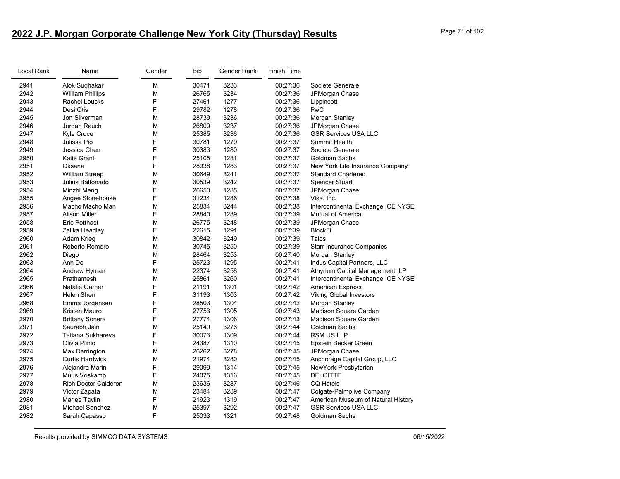# **2022 J.P. Morgan Corporate Challenge New York City (Thursday) Results** Page 71 of 102

| Local Rank | Name                        | Gender | <b>Bib</b> | Gender Rank | <b>Finish Time</b> |                                    |
|------------|-----------------------------|--------|------------|-------------|--------------------|------------------------------------|
| 2941       | Alok Sudhakar               | M      | 30471      | 3233        | 00:27:36           | Societe Generale                   |
| 2942       | <b>William Phillips</b>     | M      | 26765      | 3234        | 00:27:36           | JPMorgan Chase                     |
| 2943       | Rachel Loucks               | F      | 27461      | 1277        | 00:27:36           | Lippincott                         |
| 2944       | Desi Otis                   | F      | 29782      | 1278        | 00:27:36           | PwC                                |
| 2945       | Jon Silverman               | M      | 28739      | 3236        | 00:27:36           | Morgan Stanley                     |
| 2946       | Jordan Rauch                | M      | 26800      | 3237        | 00:27:36           | JPMorgan Chase                     |
| 2947       | Kyle Croce                  | M      | 25385      | 3238        | 00:27:36           | <b>GSR Services USA LLC</b>        |
| 2948       | Julissa Pio                 | F      | 30781      | 1279        | 00:27:37           | <b>Summit Health</b>               |
| 2949       | Jessica Chen                | F      | 30383      | 1280        | 00:27:37           | Societe Generale                   |
| 2950       | <b>Katie Grant</b>          | F      | 25105      | 1281        | 00:27:37           | Goldman Sachs                      |
| 2951       | Oksana                      | F      | 28938      | 1283        | 00:27:37           | New York Life Insurance Company    |
| 2952       | <b>William Streep</b>       | M      | 30649      | 3241        | 00:27:37           | <b>Standard Chartered</b>          |
| 2953       | Julius Baltonado            | M      | 30539      | 3242        | 00:27:37           | Spencer Stuart                     |
| 2954       | Minzhi Meng                 | F      | 26650      | 1285        | 00:27:37           | JPMorgan Chase                     |
| 2955       | Angee Stonehouse            | F      | 31234      | 1286        | 00:27:38           | Visa, Inc.                         |
| 2956       | Macho Macho Man             | M      | 25834      | 3244        | 00:27:38           | Intercontinental Exchange ICE NYSE |
| 2957       | <b>Alison Miller</b>        | F      | 28840      | 1289        | 00:27:39           | Mutual of America                  |
| 2958       | <b>Eric Potthast</b>        | M      | 26775      | 3248        | 00:27:39           | JPMorgan Chase                     |
| 2959       | Zalika Headley              | F      | 22615      | 1291        | 00:27:39           | <b>BlockFi</b>                     |
| 2960       | Adam Krieg                  | M      | 30842      | 3249        | 00:27:39           | Talos                              |
| 2961       | Roberto Romero              | M      | 30745      | 3250        | 00:27:39           | <b>Starr Insurance Companies</b>   |
| 2962       | Diego                       | M      | 28464      | 3253        | 00:27:40           | Morgan Stanley                     |
| 2963       | Anh Do                      | F      | 25723      | 1295        | 00:27:41           | Indus Capital Partners, LLC        |
| 2964       | Andrew Hyman                | M      | 22374      | 3258        | 00:27:41           | Athyrium Capital Management, LP    |
| 2965       | Prathamesh                  | M      | 25861      | 3260        | 00:27:41           | Intercontinental Exchange ICE NYSE |
| 2966       | Natalie Garner              | F      | 21191      | 1301        | 00:27:42           | <b>American Express</b>            |
| 2967       | Helen Shen                  | F      | 31193      | 1303        | 00:27:42           | <b>Viking Global Investors</b>     |
| 2968       | Emma Jorgensen              | F      | 28503      | 1304        | 00:27:42           | Morgan Stanley                     |
| 2969       | Kristen Mauro               | F      | 27753      | 1305        | 00:27:43           | Madison Square Garden              |
| 2970       | <b>Brittany Sonera</b>      | F      | 27774      | 1306        | 00:27:43           | Madison Square Garden              |
| 2971       | Saurabh Jain                | M      | 25149      | 3276        | 00:27:44           | <b>Goldman Sachs</b>               |
| 2972       | Tatiana Sukhareva           | F      | 30073      | 1309        | 00:27:44           | <b>RSM US LLP</b>                  |
| 2973       | Olivia Plinio               | F      | 24387      | 1310        | 00:27:45           | Epstein Becker Green               |
| 2974       | Max Darrington              | M      | 26262      | 3278        | 00:27:45           | JPMorgan Chase                     |
| 2975       | <b>Curtis Hardwick</b>      | M      | 21974      | 3280        | 00:27:45           | Anchorage Capital Group, LLC       |
| 2976       | Alejandra Marin             | F      | 29099      | 1314        | 00:27:45           | NewYork-Presbyterian               |
| 2977       | Muus Voskamp                | F      | 24075      | 1316        | 00:27:45           | <b>DELOITTE</b>                    |
| 2978       | <b>Rich Doctor Calderon</b> | M      | 23636      | 3287        | 00:27:46           | <b>CQ Hotels</b>                   |
| 2979       | Victor Zapata               | M      | 23484      | 3289        | 00:27:47           | Colgate-Palmolive Company          |
| 2980       | <b>Marlee Tavlin</b>        | F      | 21923      | 1319        | 00:27:47           | American Museum of Natural History |
| 2981       | Michael Sanchez             | M      | 25397      | 3292        | 00:27:47           | <b>GSR Services USA LLC</b>        |
| 2982       | Sarah Capasso               | F      | 25033      | 1321        | 00:27:48           | Goldman Sachs                      |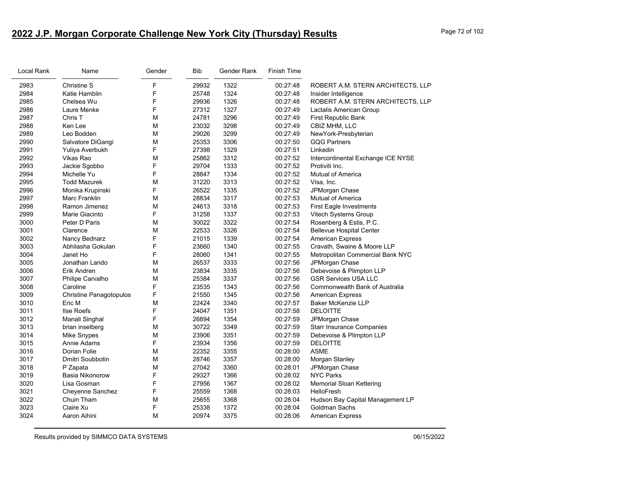# **2022 J.P. Morgan Corporate Challenge New York City (Thursday) Results** Page 72 of 102

| Local Rank | Name                           | Gender | <b>Bib</b> | Gender Rank | <b>Finish Time</b> |                                    |
|------------|--------------------------------|--------|------------|-------------|--------------------|------------------------------------|
| 2983       | <b>Christine S</b>             | F      | 29932      | 1322        | 00:27:48           | ROBERT A.M. STERN ARCHITECTS, LLP  |
| 2984       | Katie Hamblin                  | F      | 25748      | 1324        | 00:27:48           | Insider Intelligence               |
| 2985       | Chelsea Wu                     | F      | 29936      | 1326        | 00:27:48           | ROBERT A.M. STERN ARCHITECTS, LLP  |
| 2986       | Laure Menke                    | F      | 27312      | 1327        | 00:27:49           | Lactalis American Group            |
| 2987       | Chris T                        | M      | 24781      | 3296        | 00:27:49           | First Republic Bank                |
| 2988       | Ken Lee                        | М      | 23032      | 3298        | 00:27:49           | CBIZ MHM, LLC                      |
| 2989       | Leo Bodden                     | M      | 29026      | 3299        | 00:27:49           | NewYork-Presbyterian               |
| 2990       | Salvatore DiGangi              | M      | 25353      | 3306        | 00:27:50           | <b>GQG Partners</b>                |
| 2991       | Yuliya Averbukh                | F      | 27398      | 1329        | 00:27:51           | Linkedin                           |
| 2992       | Vikas Rao                      | M      | 25862      | 3312        | 00:27:52           | Intercontinental Exchange ICE NYSE |
| 2993       | Jackie Sgobbo                  | F      | 29704      | 1333        | 00:27:52           | Protiviti Inc.                     |
| 2994       | Michelle Yu                    | F      | 28847      | 1334        | 00:27:52           | <b>Mutual of America</b>           |
| 2995       | <b>Todd Mazurek</b>            | M      | 31220      | 3313        | 00:27:52           | Visa, Inc.                         |
| 2996       | Monika Krupinski               | F      | 26522      | 1335        | 00:27:52           | JPMorgan Chase                     |
| 2997       | Marc Franklin                  | M      | 28834      | 3317        | 00:27:53           | <b>Mutual of America</b>           |
| 2998       | Ramon Jimenez                  | М      | 24613      | 3318        | 00:27:53           | <b>First Eagle Investments</b>     |
| 2999       | Marie Giacinto                 | F      | 31258      | 1337        | 00:27:53           | Vitech Systems Group               |
| 3000       | Peter D Paris                  | M      | 30022      | 3322        | 00:27:54           | Rosenberg & Estis, P.C.            |
| 3001       | Clarence                       | М      | 22533      | 3326        | 00:27:54           | <b>Bellevue Hospital Center</b>    |
| 3002       | Nancy Bednarz                  | F      | 21015      | 1339        | 00:27:54           | <b>American Express</b>            |
| 3003       | Abhilasha Gokulan              | F      | 23660      | 1340        | 00:27:55           | Cravath, Swaine & Moore LLP        |
| 3004       | Janet Ho                       | F      | 28060      | 1341        | 00:27:55           | Metropolitan Commercial Bank NYC   |
| 3005       | Jonathan Lando                 | M      | 26537      | 3333        | 00:27:56           | JPMorgan Chase                     |
| 3006       | Erik Andren                    | M      | 23834      | 3335        | 00:27:56           | Debevoise & Plimpton LLP           |
| 3007       | Philipe Carvalho               | M      | 25384      | 3337        | 00:27:56           | <b>GSR Services USA LLC</b>        |
| 3008       | Caroline                       | F      | 23535      | 1343        | 00:27:56           | Commonwealth Bank of Australia     |
| 3009       | <b>Christine Panagotopulos</b> | F      | 21550      | 1345        | 00:27:56           | <b>American Express</b>            |
| 3010       | Eric M                         | M      | 22424      | 3340        | 00:27:57           | <b>Baker McKenzie LLP</b>          |
| 3011       | Ilse Roefs                     | F      | 24047      | 1351        | 00:27:58           | <b>DELOITTE</b>                    |
| 3012       | Manali Singhal                 | F      | 26894      | 1354        | 00:27:59           | JPMorgan Chase                     |
| 3013       | brian inselberg                | M      | 30722      | 3349        | 00:27:59           | <b>Starr Insurance Companies</b>   |
| 3014       | <b>Mike Snypes</b>             | М      | 23906      | 3351        | 00:27:59           | Debevoise & Plimpton LLP           |
| 3015       | Annie Adams                    | F      | 23934      | 1356        | 00:27:59           | <b>DELOITTE</b>                    |
| 3016       | Dorian Folie                   | М      | 22352      | 3355        | 00:28:00           | <b>ASME</b>                        |
| 3017       | Dmitri Soubbotin               | M      | 28746      | 3357        | 00:28:00           | Morgan Stanley                     |
| 3018       | P Zapata                       | М      | 27042      | 3360        | 00:28:01           | JPMorgan Chase                     |
| 3019       | Basia Nikonorow                | F      | 29327      | 1366        | 00:28:02           | <b>NYC Parks</b>                   |
| 3020       | Lisa Gosman                    | F      | 27956      | 1367        | 00:28:02           | <b>Memorial Sloan Kettering</b>    |
| 3021       | Cheyenne Sanchez               | F      | 25559      | 1368        | 00:28:03           | HelloFresh                         |
| 3022       | Chuin Tham                     | M      | 25655      | 3368        | 00:28:04           | Hudson Bay Capital Management LP   |
| 3023       | Claire Xu                      | F      | 25338      | 1372        | 00:28:04           | Goldman Sachs                      |
| 3024       | Aaron Aihini                   | M      | 20974      | 3375        | 00:28:06           | <b>American Express</b>            |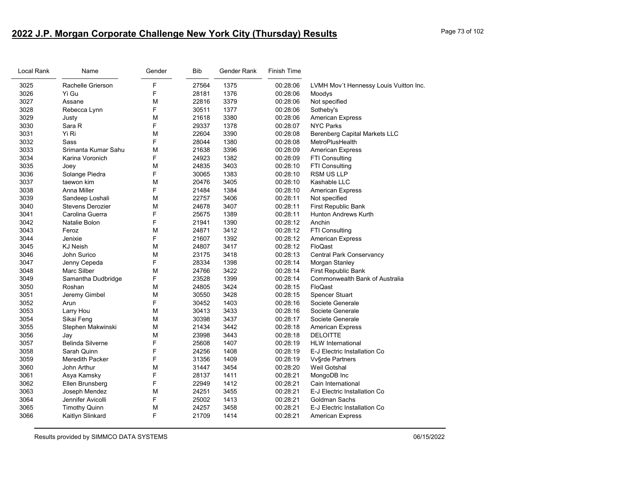# **2022 J.P. Morgan Corporate Challenge New York City (Thursday) Results** Page 73 of 102

| Local Rank | Name                    | Gender | Bib   | Gender Rank | <b>Finish Time</b> |                                        |
|------------|-------------------------|--------|-------|-------------|--------------------|----------------------------------------|
| 3025       | Rachelle Grierson       | F      | 27564 | 1375        | 00:28:06           | LVMH Mov't Hennessy Louis Vuitton Inc. |
| 3026       | Yi Gu                   | F      | 28181 | 1376        | 00:28:06           | Moodys                                 |
| 3027       | Assane                  | М      | 22816 | 3379        | 00:28:06           | Not specified                          |
| 3028       | Rebecca Lynn            | F      | 30511 | 1377        | 00:28:06           | Sotheby's                              |
| 3029       | Justy                   | М      | 21618 | 3380        | 00:28:06           | American Express                       |
| 3030       | Sara R                  | F      | 29337 | 1378        | 00:28:07           | <b>NYC Parks</b>                       |
| 3031       | Yi Ri                   | M      | 22604 | 3390        | 00:28:08           | <b>Berenberg Capital Markets LLC</b>   |
| 3032       | Sass                    | F      | 28044 | 1380        | 00:28:08           | MetroPlusHealth                        |
| 3033       | Srimanta Kumar Sahu     | M      | 21638 | 3396        | 00:28:09           | <b>American Express</b>                |
| 3034       | Karina Voronich         | F      | 24923 | 1382        | 00:28:09           | <b>FTI Consulting</b>                  |
| 3035       | Joey                    | M      | 24835 | 3403        | 00:28:10           | FTI Consulting                         |
| 3036       | Solange Piedra          | F      | 30065 | 1383        | 00:28:10           | <b>RSM US LLP</b>                      |
| 3037       | taewon kim              | M      | 20476 | 3405        | 00:28:10           | Kashable LLC                           |
| 3038       | Anna Miller             | F      | 21484 | 1384        | 00:28:10           | <b>American Express</b>                |
| 3039       | Sandeep Loshali         | M      | 22757 | 3406        | 00:28:11           | Not specified                          |
| 3040       | <b>Stevens Derozier</b> | М      | 24678 | 3407        | 00:28:11           | First Republic Bank                    |
| 3041       | Carolina Guerra         | F      | 25675 | 1389        | 00:28:11           | <b>Hunton Andrews Kurth</b>            |
| 3042       | Natalie Bolon           | F      | 21941 | 1390        | 00:28:12           | Anchin                                 |
| 3043       | Feroz                   | M      | 24871 | 3412        | 00:28:12           | FTI Consulting                         |
| 3044       | Jenixie                 | F      | 21607 | 1392        | 00:28:12           | <b>American Express</b>                |
| 3045       | <b>KJ Neish</b>         | M      | 24807 | 3417        | 00:28:12           | FloQast                                |
| 3046       | John Surico             | M      | 23175 | 3418        | 00:28:13           | <b>Central Park Conservancy</b>        |
| 3047       | Jenny Cepeda            | F      | 28334 | 1398        | 00:28:14           | Morgan Stanley                         |
| 3048       | Marc Silber             | M      | 24766 | 3422        | 00:28:14           | First Republic Bank                    |
| 3049       | Samantha Dudbridge      | F      | 23528 | 1399        | 00:28:14           | Commonwealth Bank of Australia         |
| 3050       | Roshan                  | М      | 24805 | 3424        | 00:28:15           | FloQast                                |
| 3051       | Jeremy Gimbel           | M      | 30550 | 3428        | 00:28:15           | Spencer Stuart                         |
| 3052       | Arun                    | F      | 30452 | 1403        | 00:28:16           | Societe Generale                       |
| 3053       | Larry Hou               | M      | 30413 | 3433        | 00:28:16           | Societe Generale                       |
| 3054       | Sikai Feng              | М      | 30398 | 3437        | 00:28:17           | Societe Generale                       |
| 3055       | Stephen Makwinski       | M      | 21434 | 3442        | 00:28:18           | <b>American Express</b>                |
| 3056       | Jay                     | M      | 23998 | 3443        | 00:28:18           | <b>DELOITTE</b>                        |
| 3057       | Belinda Silverne        | F      | 25608 | 1407        | 00:28:19           | <b>HLW</b> International               |
| 3058       | Sarah Quinn             | F      | 24256 | 1408        | 00:28:19           | E-J Electric Installation Co           |
| 3059       | <b>Meredith Packer</b>  | F      | 31356 | 1409        | 00:28:19           | Vv§rde Partners                        |
| 3060       | John Arthur             | M      | 31447 | 3454        | 00:28:20           | <b>Weil Gotshal</b>                    |
| 3061       | Asya Kamsky             | F      | 28137 | 1411        | 00:28:21           | MongoDB Inc                            |
| 3062       | Ellen Brunsberg         | F      | 22949 | 1412        | 00:28:21           | Cain International                     |
| 3063       | Joseph Mendez           | M      | 24251 | 3455        | 00:28:21           | E-J Electric Installation Co           |
| 3064       | Jennifer Avicolli       | F      | 25002 | 1413        | 00:28:21           | Goldman Sachs                          |
| 3065       | <b>Timothy Quinn</b>    | M      | 24257 | 3458        | 00:28:21           | E-J Electric Installation Co           |
| 3066       | Kaitlyn Slinkard        | F      | 21709 | 1414        | 00:28:21           | <b>American Express</b>                |
|            |                         |        |       |             |                    |                                        |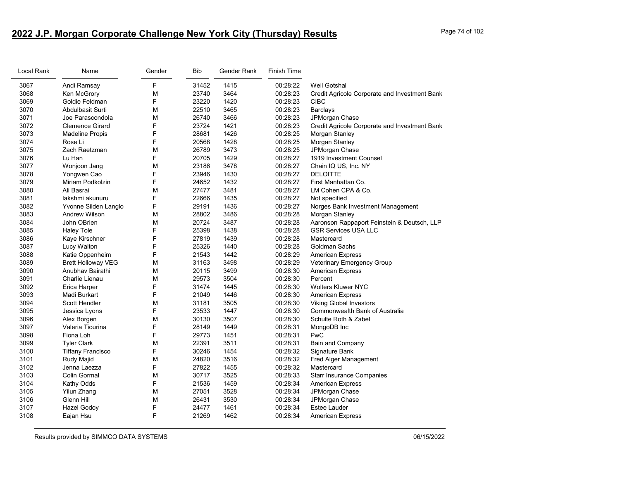# **2022 J.P. Morgan Corporate Challenge New York City (Thursday) Results** Page 74 of 102

| Local Rank | Name                      | Gender | Bib   | Gender Rank | <b>Finish Time</b> |                                               |
|------------|---------------------------|--------|-------|-------------|--------------------|-----------------------------------------------|
| 3067       | Andi Ramsay               | F      | 31452 | 1415        | 00:28:22           | Weil Gotshal                                  |
| 3068       | Ken McGrory               | M      | 23740 | 3464        | 00:28:23           | Credit Agricole Corporate and Investment Bank |
| 3069       | Goldie Feldman            | F      | 23220 | 1420        | 00:28:23           | <b>CIBC</b>                                   |
| 3070       | Abdulbasit Surti          | M      | 22510 | 3465        | 00:28:23           | <b>Barclays</b>                               |
| 3071       | Joe Parascondola          | M      | 26740 | 3466        | 00:28:23           | JPMorgan Chase                                |
| 3072       | <b>Clemence Girard</b>    | F      | 23724 | 1421        | 00:28:23           | Credit Agricole Corporate and Investment Bank |
| 3073       | <b>Madeline Propis</b>    | F      | 28681 | 1426        | 00:28:25           | Morgan Stanley                                |
| 3074       | Rose Li                   | F      | 20568 | 1428        | 00:28:25           | Morgan Stanley                                |
| 3075       | Zach Raetzman             | M      | 26789 | 3473        | 00:28:25           | JPMorgan Chase                                |
| 3076       | Lu Han                    | F      | 20705 | 1429        | 00:28:27           | 1919 Investment Counsel                       |
| 3077       | Wonjoon Jang              | M      | 23186 | 3478        | 00:28:27           | Chain IQ US, Inc. NY                          |
| 3078       | Yongwen Cao               | F      | 23946 | 1430        | 00:28:27           | <b>DELOITTE</b>                               |
| 3079       | Miriam Podkolzin          | F      | 24652 | 1432        | 00:28:27           | First Manhattan Co.                           |
| 3080       | Ali Basrai                | M      | 27477 | 3481        | 00:28:27           | LM Cohen CPA & Co.                            |
| 3081       | lakshmi akunuru           | F      | 22666 | 1435        | 00:28:27           | Not specified                                 |
| 3082       | Yvonne Silden Langlo      | F      | 29191 | 1436        | 00:28:27           | Norges Bank Investment Management             |
| 3083       | Andrew Wilson             | M      | 28802 | 3486        | 00:28:28           | Morgan Stanley                                |
| 3084       | John OBrien               | M      | 20724 | 3487        | 00:28:28           | Aaronson Rappaport Feinstein & Deutsch, LLP   |
| 3085       | <b>Haley Tole</b>         | F      | 25398 | 1438        | 00:28:28           | <b>GSR Services USA LLC</b>                   |
| 3086       | Kaye Kirschner            | F      | 27819 | 1439        | 00:28:28           | Mastercard                                    |
| 3087       | Lucy Walton               | F      | 25326 | 1440        | 00:28:28           | Goldman Sachs                                 |
| 3088       | Katie Oppenheim           | F      | 21543 | 1442        | 00:28:29           | <b>American Express</b>                       |
| 3089       | <b>Brett Holloway VEG</b> | М      | 31163 | 3498        | 00:28:29           | Veterinary Emergency Group                    |
| 3090       | Anubhav Bairathi          | M      | 20115 | 3499        | 00:28:30           | <b>American Express</b>                       |
| 3091       | Charlie Lienau            | M      | 29573 | 3504        | 00:28:30           | Percent                                       |
| 3092       | Erica Harper              | F      | 31474 | 1445        | 00:28:30           | <b>Wolters Kluwer NYC</b>                     |
| 3093       | Madi Burkart              | F      | 21049 | 1446        | 00:28:30           | <b>American Express</b>                       |
| 3094       | Scott Hendler             | M      | 31181 | 3505        | 00:28:30           | <b>Viking Global Investors</b>                |
| 3095       | Jessica Lyons             | F      | 23533 | 1447        | 00:28:30           | Commonwealth Bank of Australia                |
| 3096       | Alex Borgen               | M      | 30130 | 3507        | 00:28:30           | Schulte Roth & Zabel                          |
| 3097       | Valeria Tiourina          | F      | 28149 | 1449        | 00:28:31           | MongoDB Inc                                   |
| 3098       | Fiona Loh                 | F      | 29773 | 1451        | 00:28:31           | PwC                                           |
| 3099       | <b>Tyler Clark</b>        | M      | 22391 | 3511        | 00:28:31           | Bain and Company                              |
| 3100       | <b>Tiffany Francisco</b>  | F      | 30246 | 1454        | 00:28:32           | Signature Bank                                |
| 3101       | Rudy Majid                | M      | 24820 | 3516        | 00:28:32           | Fred Alger Management                         |
| 3102       | Jenna Laezza              | F      | 27822 | 1455        | 00:28:32           | Mastercard                                    |
| 3103       | Colin Gormal              | M      | 30717 | 3525        | 00:28:33           | <b>Starr Insurance Companies</b>              |
| 3104       | Kathy Odds                | F      | 21536 | 1459        | 00:28:34           | American Express                              |
| 3105       | Yilun Zhang               | М      | 27051 | 3528        | 00:28:34           | JPMorgan Chase                                |
| 3106       | Glenn Hill                | M      | 26431 | 3530        | 00:28:34           | JPMorgan Chase                                |
| 3107       | <b>Hazel Godoy</b>        | F      | 24477 | 1461        | 00:28:34           | <b>Estee Lauder</b>                           |
| 3108       | Eajan Hsu                 | F      | 21269 | 1462        | 00:28:34           | <b>American Express</b>                       |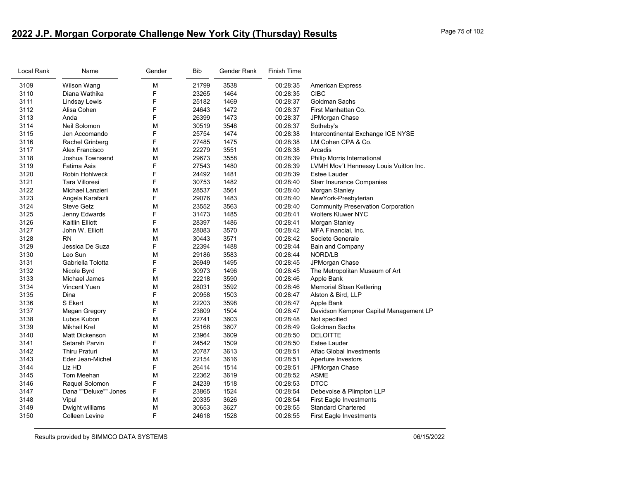# **2022 J.P. Morgan Corporate Challenge New York City (Thursday) Results** Page 75 of 102

| Local Rank | Name                   | Gender | <b>Bib</b> | Gender Rank | <b>Finish Time</b> |                                           |
|------------|------------------------|--------|------------|-------------|--------------------|-------------------------------------------|
| 3109       | Wilson Wang            | M      | 21799      | 3538        | 00:28:35           | <b>American Express</b>                   |
| 3110       | Diana Wathika          | F      | 23265      | 1464        | 00:28:35           | <b>CIBC</b>                               |
| 3111       | Lindsay Lewis          | F      | 25182      | 1469        | 00:28:37           | Goldman Sachs                             |
| 3112       | Alisa Cohen            | F      | 24643      | 1472        | 00:28:37           | First Manhattan Co.                       |
| 3113       | Anda                   | F      | 26399      | 1473        | 00:28:37           | JPMorgan Chase                            |
| 3114       | Neil Solomon           | М      | 30519      | 3548        | 00:28:37           | Sotheby's                                 |
| 3115       | Jen Accomando          | F      | 25754      | 1474        | 00:28:38           | Intercontinental Exchange ICE NYSE        |
| 3116       | Rachel Grinberg        | F      | 27485      | 1475        | 00:28:38           | LM Cohen CPA & Co.                        |
| 3117       | Alex Francisco         | М      | 22279      | 3551        | 00:28:38           | Arcadis                                   |
| 3118       | Joshua Townsend        | М      | 29673      | 3558        | 00:28:39           | Philip Morris International               |
| 3119       | Fatima Asis            | F      | 27543      | 1480        | 00:28:39           | LVMH Mov't Hennessy Louis Vuitton Inc.    |
| 3120       | Robin Hohlweck         | F      | 24492      | 1481        | 00:28:39           | <b>Estee Lauder</b>                       |
| 3121       | Tara Villoresi         | F      | 30753      | 1482        | 00:28:40           | <b>Starr Insurance Companies</b>          |
| 3122       | Michael Lanzieri       | M      | 28537      | 3561        | 00:28:40           | Morgan Stanley                            |
| 3123       | Angela Karafazli       | F      | 29076      | 1483        | 00:28:40           | NewYork-Presbyterian                      |
| 3124       | <b>Steve Getz</b>      | M      | 23552      | 3563        | 00:28:40           | <b>Community Preservation Corporation</b> |
| 3125       | Jenny Edwards          | F      | 31473      | 1485        | 00:28:41           | <b>Wolters Kluwer NYC</b>                 |
| 3126       | <b>Kaitlin Elliott</b> | F      | 28397      | 1486        | 00:28:41           | Morgan Stanley                            |
| 3127       | John W. Elliott        | M      | 28083      | 3570        | 00:28:42           | MFA Financial, Inc.                       |
| 3128       | <b>RN</b>              | М      | 30443      | 3571        | 00:28:42           | Societe Generale                          |
| 3129       | Jessica De Suza        | F      | 22394      | 1488        | 00:28:44           | Bain and Company                          |
| 3130       | Leo Sun                | М      | 29186      | 3583        | 00:28:44           | NORD/LB                                   |
| 3131       | Gabriella Tolotta      | F      | 26949      | 1495        | 00:28:45           | JPMorgan Chase                            |
| 3132       | Nicole Byrd            | F      | 30973      | 1496        | 00:28:45           | The Metropolitan Museum of Art            |
| 3133       | Michael James          | M      | 22218      | 3590        | 00:28:46           | Apple Bank                                |
| 3134       | <b>Vincent Yuen</b>    | М      | 28031      | 3592        | 00:28:46           | <b>Memorial Sloan Kettering</b>           |
| 3135       | Dina                   | F      | 20958      | 1503        | 00:28:47           | Alston & Bird, LLP                        |
| 3136       | S Ekert                | М      | 22203      | 3598        | 00:28:47           | Apple Bank                                |
| 3137       | <b>Megan Gregory</b>   | F      | 23809      | 1504        | 00:28:47           | Davidson Kempner Capital Management LP    |
| 3138       | Lubos Kubon            | M      | 22741      | 3603        | 00:28:48           | Not specified                             |
| 3139       | <b>Mikhail Krel</b>    | М      | 25168      | 3607        | 00:28:49           | Goldman Sachs                             |
| 3140       | <b>Matt Dickenson</b>  | М      | 23964      | 3609        | 00:28:50           | <b>DELOITTE</b>                           |
| 3141       | Setareh Parvin         | F      | 24542      | 1509        | 00:28:50           | Estee Lauder                              |
| 3142       | <b>Thiru Praturi</b>   | M      | 20787      | 3613        | 00:28:51           | Aflac Global Investments                  |
| 3143       | Eder Jean-Michel       | M      | 22154      | 3616        | 00:28:51           | Aperture Investors                        |
| 3144       | Liz HD                 | F      | 26414      | 1514        | 00:28:51           | JPMorgan Chase                            |
| 3145       | Tom Meehan             | M      | 22362      | 3619        | 00:28:52           | ASME                                      |
| 3146       | Raquel Solomon         | F      | 24239      | 1518        | 00:28:53           | <b>DTCC</b>                               |
| 3147       | Dana ""Deluxe"" Jones  | F      | 23865      | 1524        | 00:28:54           | Debevoise & Plimpton LLP                  |
| 3148       | Vipul                  | M      | 20335      | 3626        | 00:28:54           | First Eagle Investments                   |
| 3149       | Dwight williams        | М      | 30653      | 3627        | 00:28:55           | <b>Standard Chartered</b>                 |
| 3150       | Colleen Levine         | F      | 24618      | 1528        | 00:28:55           | <b>First Eagle Investments</b>            |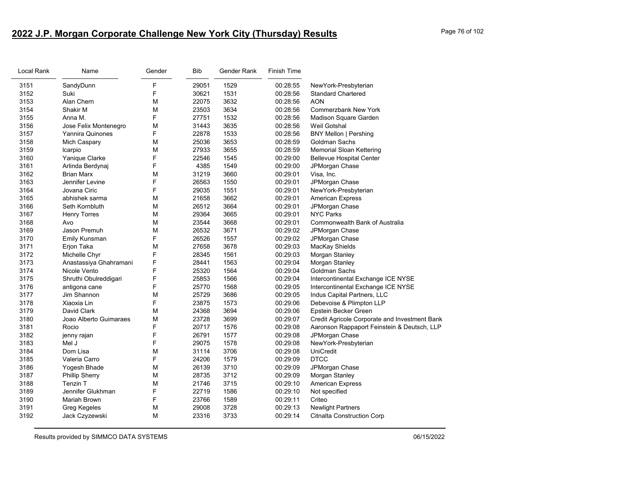## **2022 J.P. Morgan Corporate Challenge New York City (Thursday) Results** Page 76 of 102

| Local Rank | Name                    | Gender | <b>Bib</b> | Gender Rank | Finish Time |                                               |
|------------|-------------------------|--------|------------|-------------|-------------|-----------------------------------------------|
| 3151       | SandyDunn               | F      | 29051      | 1529        | 00:28:55    | NewYork-Presbyterian                          |
| 3152       | Suki                    | F      | 30621      | 1531        | 00:28:56    | <b>Standard Chartered</b>                     |
| 3153       | Alan Chern              | M      | 22075      | 3632        | 00:28:56    | <b>AON</b>                                    |
| 3154       | Shakir M                | М      | 23503      | 3634        | 00:28:56    | <b>Commerzbank New York</b>                   |
| 3155       | Anna M.                 | F      | 27751      | 1532        | 00:28:56    | Madison Square Garden                         |
| 3156       | Jose Felix Montenegro   | M      | 31443      | 3635        | 00:28:56    | Weil Gotshal                                  |
| 3157       | <b>Yannira Quinones</b> | F      | 22878      | 1533        | 00:28:56    | <b>BNY Mellon   Pershing</b>                  |
| 3158       | Mich Caspary            | M      | 25036      | 3653        | 00:28:59    | Goldman Sachs                                 |
| 3159       | Icarpio                 | M      | 27933      | 3655        | 00:28:59    | Memorial Sloan Kettering                      |
| 3160       | Yanique Clarke          | F      | 22546      | 1545        | 00:29:00    | <b>Bellevue Hospital Center</b>               |
| 3161       | Arlinda Berdynaj        | F      | 4385       | 1549        | 00:29:00    | JPMorgan Chase                                |
| 3162       | <b>Brian Marx</b>       | М      | 31219      | 3660        | 00:29:01    | Visa, Inc.                                    |
| 3163       | Jennifer Levine         | F      | 26563      | 1550        | 00:29:01    | JPMorgan Chase                                |
| 3164       | Jovana Ciric            | F      | 29035      | 1551        | 00:29:01    | NewYork-Presbyterian                          |
| 3165       | abhishek sarma          | M      | 21658      | 3662        | 00:29:01    | <b>American Express</b>                       |
| 3166       | Seth Kornbluth          | М      | 26512      | 3664        | 00:29:01    | JPMorgan Chase                                |
| 3167       | <b>Henry Torres</b>     | M      | 29364      | 3665        | 00:29:01    | <b>NYC Parks</b>                              |
| 3168       | Avo                     | M      | 23544      | 3668        | 00:29:01    | Commonwealth Bank of Australia                |
| 3169       | Jason Premuh            | M      | 26532      | 3671        | 00:29:02    | JPMorgan Chase                                |
| 3170       | Emily Kunsman           | F      | 26526      | 1557        | 00:29:02    | JPMorgan Chase                                |
| 3171       | Erjon Taka              | M      | 27658      | 3678        | 00:29:03    | MacKay Shields                                |
| 3172       | Michelle Chyr           | F      | 28345      | 1561        | 00:29:03    | Morgan Stanley                                |
| 3173       | Anastassiya Ghahramani  | F      | 28441      | 1563        | 00:29:04    | Morgan Stanley                                |
| 3174       | Nicole Vento            | F      | 25320      | 1564        | 00:29:04    | Goldman Sachs                                 |
| 3175       | Shruthi Obulreddigari   | F      | 25853      | 1566        | 00:29:04    | Intercontinental Exchange ICE NYSE            |
| 3176       | antigona cane           | F      | 25770      | 1568        | 00:29:05    | Intercontinental Exchange ICE NYSE            |
| 3177       | Jim Shannon             | M      | 25729      | 3686        | 00:29:05    | Indus Capital Partners, LLC                   |
| 3178       | Xiaoxia Lin             | F      | 23875      | 1573        | 00:29:06    | Debevoise & Plimpton LLP                      |
| 3179       | David Clark             | М      | 24368      | 3694        | 00:29:06    | Epstein Becker Green                          |
| 3180       | Joao Alberto Guimaraes  | М      | 23728      | 3699        | 00:29:07    | Credit Agricole Corporate and Investment Bank |
| 3181       | Rocio                   | F      | 20717      | 1576        | 00:29:08    | Aaronson Rappaport Feinstein & Deutsch, LLP   |
| 3182       | jenny rajan             | F      | 26791      | 1577        | 00:29:08    | JPMorgan Chase                                |
| 3183       | Mel J                   | F      | 29075      | 1578        | 00:29:08    | NewYork-Presbyterian                          |
| 3184       | Dom Lisa                | M      | 31114      | 3706        | 00:29:08    | <b>UniCredit</b>                              |
| 3185       | Valeria Carro           | F      | 24206      | 1579        | 00:29:09    | <b>DTCC</b>                                   |
| 3186       | Yogesh Bhade            | M      | 26139      | 3710        | 00:29:09    | JPMorgan Chase                                |
| 3187       | <b>Phillip Sherry</b>   | M      | 28735      | 3712        | 00:29:09    | Morgan Stanley                                |
| 3188       | Tenzin T                | М      | 21746      | 3715        | 00:29:10    | <b>American Express</b>                       |
| 3189       | Jennifer Glukhman       | F      | 22719      | 1586        | 00:29:10    | Not specified                                 |
| 3190       | Mariah Brown            | F      | 23766      | 1589        | 00:29:11    | Criteo                                        |
| 3191       | Greg Kegeles            | М      | 29008      | 3728        | 00:29:13    | <b>Newlight Partners</b>                      |
| 3192       | Jack Czyzewski          | М      | 23316      | 3733        | 00:29:14    | <b>Citnalta Construction Corp</b>             |
|            |                         |        |            |             |             |                                               |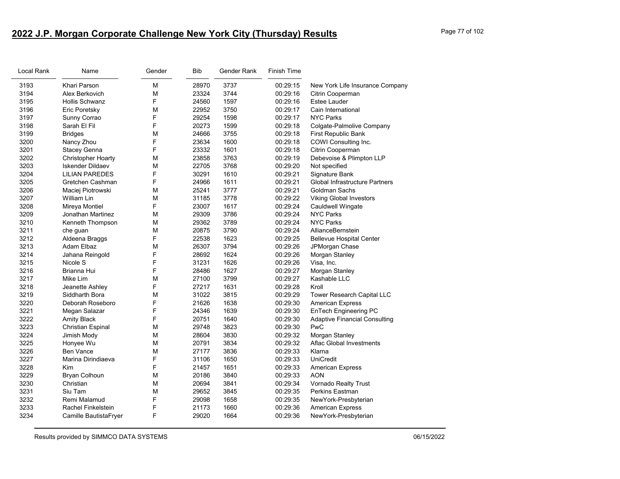# **2022 J.P. Morgan Corporate Challenge New York City (Thursday) Results** Page 77 of 102

| Local Rank | Name                      | Gender | <b>Bib</b> | Gender Rank | <b>Finish Time</b> |                                       |
|------------|---------------------------|--------|------------|-------------|--------------------|---------------------------------------|
| 3193       | Khari Parson              | м      | 28970      | 3737        | 00:29:15           | New York Life Insurance Company       |
| 3194       | Alex Berkovich            | М      | 23324      | 3744        | 00:29:16           | Citrin Cooperman                      |
| 3195       | <b>Hollis Schwanz</b>     | F      | 24560      | 1597        | 00:29:16           | Estee Lauder                          |
| 3196       | Eric Poretsky             | M      | 22952      | 3750        | 00:29:17           | Cain International                    |
| 3197       | Sunny Corrao              | F      | 29254      | 1598        | 00:29:17           | <b>NYC Parks</b>                      |
| 3198       | Sarah El Fil              | F      | 20273      | 1599        | 00:29:18           | Colgate-Palmolive Company             |
| 3199       | <b>Bridges</b>            | M      | 24666      | 3755        | 00:29:18           | First Republic Bank                   |
| 3200       | Nancy Zhou                | F      | 23634      | 1600        | 00:29:18           | COWI Consulting Inc.                  |
| 3201       | <b>Stacey Genna</b>       | F      | 23332      | 1601        | 00:29:18           | Citrin Cooperman                      |
| 3202       | <b>Christopher Hoarty</b> | М      | 23858      | 3763        | 00:29:19           | Debevoise & Plimpton LLP              |
| 3203       | <b>Iskender Dildaev</b>   | М      | 22705      | 3768        | 00:29:20           | Not specified                         |
| 3204       | <b>LILIAN PAREDES</b>     | F      | 30291      | 1610        | 00:29:21           | Signature Bank                        |
| 3205       | Gretchen Cashman          | F      | 24966      | 1611        | 00:29:21           | <b>Global Infrastructure Partners</b> |
| 3206       | Maciej Piotrowski         | M      | 25241      | 3777        | 00:29:21           | Goldman Sachs                         |
| 3207       | William Lin               | м      | 31185      | 3778        | 00:29:22           | <b>Viking Global Investors</b>        |
| 3208       | Mireya Montiel            | F      | 23007      | 1617        | 00:29:24           | <b>Cauldwell Wingate</b>              |
| 3209       | Jonathan Martinez         | M      | 29309      | 3786        | 00:29:24           | <b>NYC Parks</b>                      |
| 3210       | Kenneth Thompson          | м      | 29362      | 3789        | 00:29:24           | <b>NYC Parks</b>                      |
| 3211       | che guan                  | М      | 20875      | 3790        | 00:29:24           | AllianceBernstein                     |
| 3212       | Aldeena Braggs            | F      | 22538      | 1623        | 00:29:25           | <b>Bellevue Hospital Center</b>       |
| 3213       | Adam Elbaz                | М      | 26307      | 3794        | 00:29:26           | JPMorgan Chase                        |
| 3214       | Jahana Reingold           | F      | 28692      | 1624        | 00:29:26           | Morgan Stanley                        |
| 3215       | Nicole S                  | F      | 31231      | 1626        | 00:29:26           | Visa, Inc.                            |
| 3216       | Brianna Hui               | F      | 28486      | 1627        | 00:29:27           | Morgan Stanley                        |
| 3217       | Mike Lim                  | M      | 27100      | 3799        | 00:29:27           | Kashable LLC                          |
| 3218       | Jeanette Ashley           | F      | 27217      | 1631        | 00:29:28           | Kroll                                 |
| 3219       | Siddharth Bora            | M      | 31022      | 3815        | 00:29:29           | Tower Research Capital LLC            |
| 3220       | Deborah Roseboro          | F      | 21626      | 1638        | 00:29:30           | <b>American Express</b>               |
| 3221       | Megan Salazar             | F      | 24346      | 1639        | 00:29:30           | EnTech Engineering PC                 |
| 3222       | <b>Amity Black</b>        | F      | 20751      | 1640        | 00:29:30           | <b>Adaptive Financial Consulting</b>  |
| 3223       | <b>Christian Espinal</b>  | M      | 29748      | 3823        | 00:29:30           | PwC                                   |
| 3224       | Jimish Mody               | M      | 28604      | 3830        | 00:29:32           | Morgan Stanley                        |
| 3225       | Honyee Wu                 | м      | 20791      | 3834        | 00:29:32           | Aflac Global Investments              |
| 3226       | <b>Ben Vance</b>          | M      | 27177      | 3836        | 00:29:33           | Klarna                                |
| 3227       | Marina Dirindiaeva        | F      | 31106      | 1650        | 00:29:33           | <b>UniCredit</b>                      |
| 3228       | Kim                       | F      | 21457      | 1651        | 00:29:33           | <b>American Express</b>               |
| 3229       | <b>Bryan Colhoun</b>      | M      | 20186      | 3840        | 00:29:33           | <b>AON</b>                            |
| 3230       | Christian                 | м      | 20694      | 3841        | 00:29:34           | Vornado Realty Trust                  |
| 3231       | Siu Tam                   | M      | 29652      | 3845        | 00:29:35           | <b>Perkins Eastman</b>                |
| 3232       | Remi Malamud              | F      | 29098      | 1658        | 00:29:35           | NewYork-Presbyterian                  |
| 3233       | <b>Rachel Finkelstein</b> | F      | 21173      | 1660        | 00:29:36           | <b>American Express</b>               |
| 3234       | Camille BautistaFryer     | F      | 29020      | 1664        | 00:29:36           | NewYork-Presbyterian                  |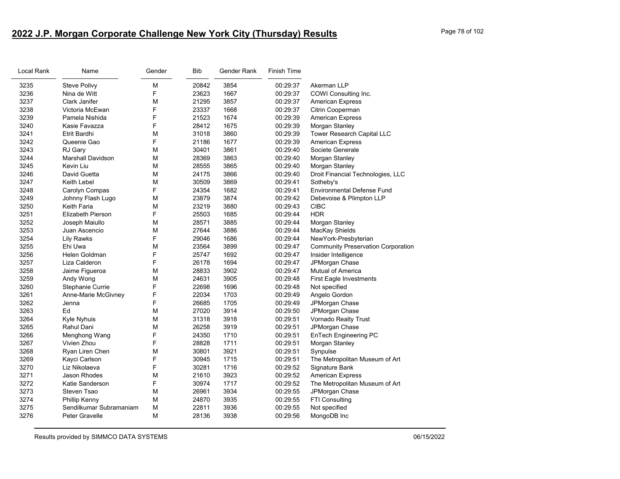# **2022 J.P. Morgan Corporate Challenge New York City (Thursday) Results** Page 78 of 102

| Local Rank | Name                     | Gender | <b>Bib</b> | Gender Rank | <b>Finish Time</b> |                                           |
|------------|--------------------------|--------|------------|-------------|--------------------|-------------------------------------------|
| 3235       | <b>Steve Polivy</b>      | M      | 20842      | 3854        | 00:29:37           | Akerman LLP                               |
| 3236       | Nina de Witt             | F      | 23623      | 1667        | 00:29:37           | COWI Consulting Inc.                      |
| 3237       | Clark Janifer            | M      | 21295      | 3857        | 00:29:37           | <b>American Express</b>                   |
| 3238       | Victoria McEwan          | F      | 23337      | 1668        | 00:29:37           | Citrin Cooperman                          |
| 3239       | Pamela Nishida           | F      | 21523      | 1674        | 00:29:39           | <b>American Express</b>                   |
| 3240       | Kasie Favazza            | F      | 28412      | 1675        | 00:29:39           | Morgan Stanley                            |
| 3241       | Etrit Bardhi             | M      | 31018      | 3860        | 00:29:39           | Tower Research Capital LLC                |
| 3242       | Queenie Gao              | F      | 21186      | 1677        | 00:29:39           | <b>American Express</b>                   |
| 3243       | RJ Gary                  | M      | 30401      | 3861        | 00:29:40           | Societe Generale                          |
| 3244       | <b>Marshall Davidson</b> | M      | 28369      | 3863        | 00:29:40           | Morgan Stanley                            |
| 3245       | Kevin Liu                | M      | 28555      | 3865        | 00:29:40           | Morgan Stanley                            |
| 3246       | David Guetta             | M      | 24175      | 3866        | 00:29:40           | Droit Financial Technologies, LLC         |
| 3247       | <b>Keith Lebel</b>       | M      | 30509      | 3869        | 00:29:41           | Sotheby's                                 |
| 3248       | Carolyn Compas           | F      | 24354      | 1682        | 00:29:41           | <b>Environmental Defense Fund</b>         |
| 3249       | Johnny Flash Lugo        | M      | 23879      | 3874        | 00:29:42           | Debevoise & Plimpton LLP                  |
| 3250       | Keith Faria              | M      | 23219      | 3880        | 00:29:43           | <b>CIBC</b>                               |
| 3251       | <b>Elizabeth Pierson</b> | F      | 25503      | 1685        | 00:29:44           | <b>HDR</b>                                |
| 3252       | Joseph Maiullo           | M      | 28571      | 3885        | 00:29:44           | Morgan Stanley                            |
| 3253       | Juan Ascencio            | M      | 27644      | 3886        | 00:29:44           | MacKay Shields                            |
| 3254       | <b>Lily Rawks</b>        | F      | 29046      | 1686        | 00:29:44           | NewYork-Presbyterian                      |
| 3255       | Ehi Uwa                  | M      | 23564      | 3899        | 00:29:47           | <b>Community Preservation Corporation</b> |
| 3256       | Helen Goldman            | F      | 25747      | 1692        | 00:29:47           | Insider Intelligence                      |
| 3257       | Liza Calderon            | F      | 26178      | 1694        | 00:29:47           | JPMorgan Chase                            |
| 3258       | Jaime Figueroa           | M      | 28833      | 3902        | 00:29:47           | Mutual of America                         |
| 3259       | Andy Wong                | M      | 24631      | 3905        | 00:29:48           | <b>First Eagle Investments</b>            |
| 3260       | Stephanie Currie         | F      | 22698      | 1696        | 00:29:48           | Not specified                             |
| 3261       | Anne-Marie McGivney      | F      | 22034      | 1703        | 00:29:49           | Angelo Gordon                             |
| 3262       | Jenna                    | F      | 26685      | 1705        | 00:29:49           | JPMorgan Chase                            |
| 3263       | Ed                       | M      | 27020      | 3914        | 00:29:50           | JPMorgan Chase                            |
| 3264       | Kyle Nyhuis              | M      | 31318      | 3918        | 00:29:51           | Vornado Realty Trust                      |
| 3265       | Rahul Dani               | M      | 26258      | 3919        | 00:29:51           | JPMorgan Chase                            |
| 3266       | Menghong Wang            | F      | 24350      | 1710        | 00:29:51           | <b>EnTech Engineering PC</b>              |
| 3267       | Vivien Zhou              | F      | 28828      | 1711        | 00:29:51           | Morgan Stanley                            |
| 3268       | Ryan Liren Chen          | M      | 30801      | 3921        | 00:29:51           | Synpulse                                  |
| 3269       | Kayci Carlson            | F      | 30945      | 1715        | 00:29:51           | The Metropolitan Museum of Art            |
| 3270       | Liz Nikolaeva            | F      | 30281      | 1716        | 00:29:52           | Signature Bank                            |
| 3271       | Jason Rhodes             | M      | 21610      | 3923        | 00:29:52           | <b>American Express</b>                   |
| 3272       | Katie Sanderson          | F      | 30974      | 1717        | 00:29:52           | The Metropolitan Museum of Art            |
| 3273       | Steven Tsao              | M      | 26961      | 3934        | 00:29:55           | JPMorgan Chase                            |
| 3274       | Phillip Kenny            | M      | 24870      | 3935        | 00:29:55           | FTI Consulting                            |
| 3275       | Sendilkumar Subramaniam  | M      | 22811      | 3936        | 00:29:55           | Not specified                             |
| 3276       | Peter Gravelle           | M      | 28136      | 3938        | 00:29:56           | MongoDB Inc                               |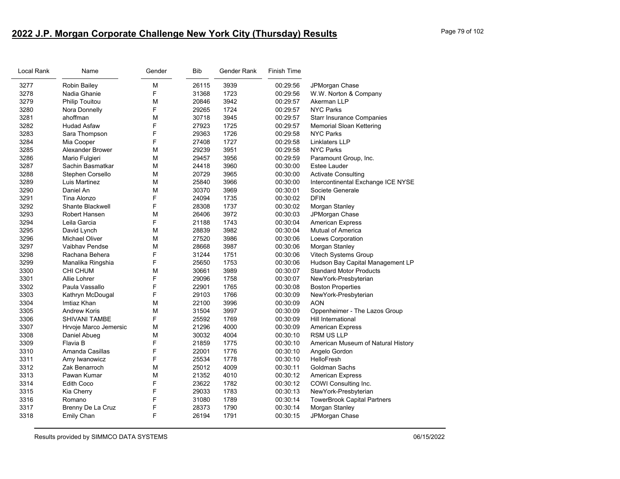# **2022 J.P. Morgan Corporate Challenge New York City (Thursday) Results** Page 79 of 102

| Local Rank | Name                  | Gender | <b>Bib</b> | Gender Rank | <b>Finish Time</b> |                                    |
|------------|-----------------------|--------|------------|-------------|--------------------|------------------------------------|
| 3277       | Robin Bailey          | M      | 26115      | 3939        | 00:29:56           | JPMorgan Chase                     |
| 3278       | Nadia Ghanie          | F      | 31368      | 1723        | 00:29:56           | W.W. Norton & Company              |
| 3279       | <b>Philip Touitou</b> | M      | 20846      | 3942        | 00:29:57           | Akerman LLP                        |
| 3280       | Nora Donnelly         | F      | 29265      | 1724        | 00:29:57           | <b>NYC Parks</b>                   |
| 3281       | ahoffman              | М      | 30718      | 3945        | 00:29:57           | <b>Starr Insurance Companies</b>   |
| 3282       | <b>Hudad Asfaw</b>    | F      | 27923      | 1725        | 00:29:57           | <b>Memorial Sloan Kettering</b>    |
| 3283       | Sara Thompson         | F      | 29363      | 1726        | 00:29:58           | <b>NYC Parks</b>                   |
| 3284       | Mia Cooper            | F      | 27408      | 1727        | 00:29:58           | <b>Linklaters LLP</b>              |
| 3285       | Alexander Brower      | М      | 29239      | 3951        | 00:29:58           | <b>NYC Parks</b>                   |
| 3286       | Mario Fulgieri        | М      | 29457      | 3956        | 00:29:59           | Paramount Group, Inc.              |
| 3287       | Sachin Basmatkar      | M      | 24418      | 3960        | 00:30:00           | Estee Lauder                       |
| 3288       | Stephen Corsello      | M      | 20729      | 3965        | 00:30:00           | Activate Consulting                |
| 3289       | Luis Martinez         | M      | 25840      | 3966        | 00:30:00           | Intercontinental Exchange ICE NYSE |
| 3290       | Daniel An             | M      | 30370      | 3969        | 00:30:01           | Societe Generale                   |
| 3291       | Tina Alonzo           | F      | 24094      | 1735        | 00:30:02           | <b>DFIN</b>                        |
| 3292       | Shante Blackwell      | F      | 28308      | 1737        | 00:30:02           | Morgan Stanley                     |
| 3293       | Robert Hansen         | M      | 26406      | 3972        | 00:30:03           | JPMorgan Chase                     |
| 3294       | Leila Garcia          | F      | 21188      | 1743        | 00:30:04           | <b>American Express</b>            |
| 3295       | David Lynch           | М      | 28839      | 3982        | 00:30:04           | <b>Mutual of America</b>           |
| 3296       | <b>Michael Oliver</b> | M      | 27520      | 3986        | 00:30:06           | Loews Corporation                  |
| 3297       | <b>Vaibhav Pendse</b> | M      | 28668      | 3987        | 00:30:06           | Morgan Stanley                     |
| 3298       | Rachana Behera        | F      | 31244      | 1751        | 00:30:06           | Vitech Systems Group               |
| 3299       | Manalika Ringshia     | F      | 25650      | 1753        | 00:30:06           | Hudson Bay Capital Management LP   |
| 3300       | CHI CHUM              | M      | 30661      | 3989        | 00:30:07           | <b>Standard Motor Products</b>     |
| 3301       | Allie Lohrer          | F      | 29096      | 1758        | 00:30:07           | NewYork-Presbyterian               |
| 3302       | Paula Vassallo        | F      | 22901      | 1765        | 00:30:08           | <b>Boston Properties</b>           |
| 3303       | Kathryn McDougal      | F      | 29103      | 1766        | 00:30:09           | NewYork-Presbyterian               |
| 3304       | Imtiaz Khan           | М      | 22100      | 3996        | 00:30:09           | <b>AON</b>                         |
| 3305       | <b>Andrew Koris</b>   | M      | 31504      | 3997        | 00:30:09           | Oppenheimer - The Lazos Group      |
| 3306       | <b>SHIVANI TAMBE</b>  | F      | 25592      | 1769        | 00:30:09           | Hill International                 |
| 3307       | Hrvoje Marco Jemersic | М      | 21296      | 4000        | 00:30:09           | <b>American Express</b>            |
| 3308       | Daniel Abueg          | M      | 30032      | 4004        | 00:30:10           | <b>RSM US LLP</b>                  |
| 3309       | Flavia B              | F      | 21859      | 1775        | 00:30:10           | American Museum of Natural History |
| 3310       | Amanda Casillas       | F      | 22001      | 1776        | 00:30:10           | Angelo Gordon                      |
| 3311       | Amy Iwanowicz         | F      | 25534      | 1778        | 00:30:10           | HelloFresh                         |
| 3312       | Zak Benarroch         | M      | 25012      | 4009        | 00:30:11           | Goldman Sachs                      |
| 3313       | Pawan Kumar           | М      | 21352      | 4010        | 00:30:12           | <b>American Express</b>            |
| 3314       | Edith Coco            | F      | 23622      | 1782        | 00:30:12           | COWI Consulting Inc.               |
| 3315       | Kia Cherry            | F      | 29033      | 1783        | 00:30:13           | NewYork-Presbyterian               |
| 3316       | Romano                | F      | 31080      | 1789        | 00:30:14           | <b>TowerBrook Capital Partners</b> |
| 3317       | Brenny De La Cruz     | F      | 28373      | 1790        | 00:30:14           | Morgan Stanley                     |
| 3318       | Emily Chan            | F      | 26194      | 1791        | 00:30:15           | JPMorgan Chase                     |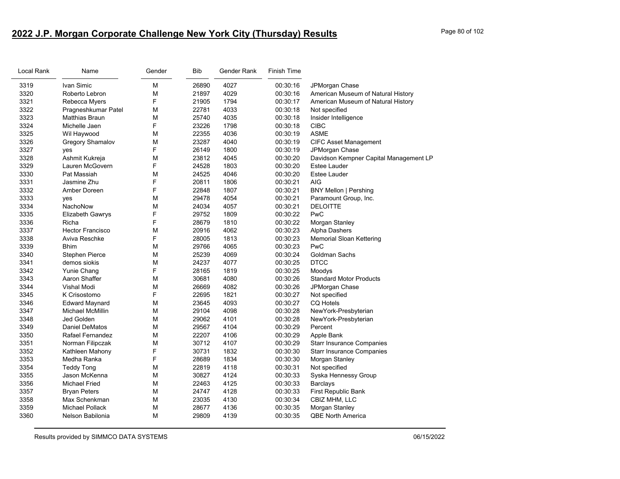# **2022 J.P. Morgan Corporate Challenge New York City (Thursday) Results** Page 80 of 102

| Local Rank | Name                    | Gender | Bib   | Gender Rank | <b>Finish Time</b> |                                        |
|------------|-------------------------|--------|-------|-------------|--------------------|----------------------------------------|
| 3319       | Ivan Simic              | M      | 26890 | 4027        | 00:30:16           | JPMorgan Chase                         |
| 3320       | Roberto Lebron          | М      | 21897 | 4029        | 00:30:16           | American Museum of Natural History     |
| 3321       | Rebecca Myers           | F      | 21905 | 1794        | 00:30:17           | American Museum of Natural History     |
| 3322       | Pragneshkumar Patel     | M      | 22781 | 4033        | 00:30:18           | Not specified                          |
| 3323       | <b>Matthias Braun</b>   | М      | 25740 | 4035        | 00:30:18           | Insider Intelligence                   |
| 3324       | Michelle Jaen           | F      | 23226 | 1798        | 00:30:18           | <b>CIBC</b>                            |
| 3325       | Wil Haywood             | M      | 22355 | 4036        | 00:30:19           | <b>ASME</b>                            |
| 3326       | Gregory Shamalov        | M      | 23287 | 4040        | 00:30:19           | <b>CIFC Asset Management</b>           |
| 3327       | yes                     | F      | 26149 | 1800        | 00:30:19           | JPMorgan Chase                         |
| 3328       | Ashmit Kukreja          | M      | 23812 | 4045        | 00:30:20           | Davidson Kempner Capital Management LP |
| 3329       | Lauren McGovern         | F      | 24528 | 1803        | 00:30:20           | Estee Lauder                           |
| 3330       | Pat Massiah             | M      | 24525 | 4046        | 00:30:20           | Estee Lauder                           |
| 3331       | Jasmine Zhu             | F      | 20811 | 1806        | 00:30:21           | <b>AIG</b>                             |
| 3332       | Amber Doreen            | F      | 22848 | 1807        | 00:30:21           | <b>BNY Mellon   Pershing</b>           |
| 3333       | yes                     | M      | 29478 | 4054        | 00:30:21           | Paramount Group, Inc.                  |
| 3334       | NachoNow                | M      | 24034 | 4057        | 00:30:21           | <b>DELOITTE</b>                        |
| 3335       | Elizabeth Gawrys        | F      | 29752 | 1809        | 00:30:22           | PwC                                    |
| 3336       | Richa                   | F      | 28679 | 1810        | 00:30:22           | Morgan Stanley                         |
| 3337       | <b>Hector Francisco</b> | M      | 20916 | 4062        | 00:30:23           | Alpha Dashers                          |
| 3338       | Aviva Reschke           | F      | 28005 | 1813        | 00:30:23           | <b>Memorial Sloan Kettering</b>        |
| 3339       | <b>Bhim</b>             | M      | 29766 | 4065        | 00:30:23           | PwC                                    |
| 3340       | Stephen Pierce          | M      | 25239 | 4069        | 00:30:24           | Goldman Sachs                          |
| 3341       | demos siokis            | M      | 24237 | 4077        | 00:30:25           | <b>DTCC</b>                            |
| 3342       | Yunie Chang             | F      | 28165 | 1819        | 00:30:25           | Moodys                                 |
| 3343       | Aaron Shaffer           | M      | 30681 | 4080        | 00:30:26           | <b>Standard Motor Products</b>         |
| 3344       | Vishal Modi             | М      | 26669 | 4082        | 00:30:26           | JPMorgan Chase                         |
| 3345       | K Crisostomo            | F      | 22695 | 1821        | 00:30:27           | Not specified                          |
| 3346       | <b>Edward Maynard</b>   | M      | 23645 | 4093        | 00:30:27           | <b>CQ Hotels</b>                       |
| 3347       | Michael McMillin        | M      | 29104 | 4098        | 00:30:28           | NewYork-Presbyterian                   |
| 3348       | Jed Golden              | M      | 29062 | 4101        | 00:30:28           | NewYork-Presbyterian                   |
| 3349       | <b>Daniel DeMatos</b>   | M      | 29567 | 4104        | 00:30:29           | Percent                                |
| 3350       | Rafael Fernandez        | M      | 22207 | 4106        | 00:30:29           | Apple Bank                             |
| 3351       | Norman Filipczak        | M      | 30712 | 4107        | 00:30:29           | <b>Starr Insurance Companies</b>       |
| 3352       | Kathleen Mahony         | F      | 30731 | 1832        | 00:30:30           | <b>Starr Insurance Companies</b>       |
| 3353       | Medha Ranka             | F      | 28689 | 1834        | 00:30:30           | Morgan Stanley                         |
| 3354       | <b>Teddy Tong</b>       | M      | 22819 | 4118        | 00:30:31           | Not specified                          |
| 3355       | Jason McKenna           | M      | 30827 | 4124        | 00:30:33           | Syska Hennessy Group                   |
| 3356       | <b>Michael Fried</b>    | M      | 22463 | 4125        | 00:30:33           | <b>Barclays</b>                        |
| 3357       | <b>Bryan Peters</b>     | М      | 24747 | 4128        | 00:30:33           | First Republic Bank                    |
| 3358       | Max Schenkman           | M      | 23035 | 4130        | 00:30:34           | CBIZ MHM, LLC                          |
| 3359       | <b>Michael Pollack</b>  | М      | 28677 | 4136        | 00:30:35           | Morgan Stanley                         |
| 3360       | Nelson Babilonia        | M      | 29809 | 4139        | 00:30:35           | <b>QBE North America</b>               |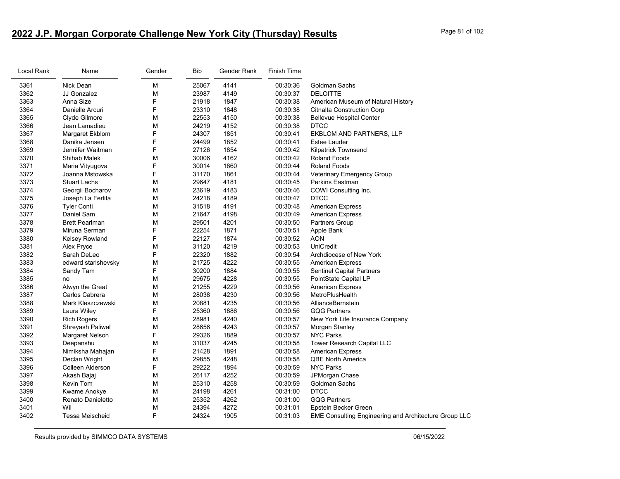# **2022 J.P. Morgan Corporate Challenge New York City (Thursday) Results** Page 81 of 102

| Local Rank | Name                  | Gender | <b>Bib</b> | Gender Rank | <b>Finish Time</b> |                                                              |
|------------|-----------------------|--------|------------|-------------|--------------------|--------------------------------------------------------------|
| 3361       | Nick Dean             | М      | 25067      | 4141        | 00:30:36           | Goldman Sachs                                                |
| 3362       | JJ Gonzalez           | М      | 23987      | 4149        | 00:30:37           | <b>DELOITTE</b>                                              |
| 3363       | Anna Size             | F      | 21918      | 1847        | 00:30:38           | American Museum of Natural History                           |
| 3364       | Danielle Arcuri       | F      | 23310      | 1848        | 00:30:38           | <b>Citnalta Construction Corp</b>                            |
| 3365       | Clyde Gilmore         | М      | 22553      | 4150        | 00:30:38           | <b>Bellevue Hospital Center</b>                              |
| 3366       | Jean Lamadieu         | М      | 24219      | 4152        | 00:30:38           | <b>DTCC</b>                                                  |
| 3367       | Margaret Ekblom       | F      | 24307      | 1851        | 00:30:41           | EKBLOM AND PARTNERS, LLP                                     |
| 3368       | Danika Jensen         | F      | 24499      | 1852        | 00:30:41           | <b>Estee Lauder</b>                                          |
| 3369       | Jennifer Waitman      | F      | 27126      | 1854        | 00:30:42           | <b>Kilpatrick Townsend</b>                                   |
| 3370       | Shihab Malek          | М      | 30006      | 4162        | 00:30:42           | <b>Roland Foods</b>                                          |
| 3371       | Maria Vityugova       | F      | 30014      | 1860        | 00:30:44           | <b>Roland Foods</b>                                          |
| 3372       | Joanna Mstowska       | F      | 31170      | 1861        | 00:30:44           | <b>Veterinary Emergency Group</b>                            |
| 3373       | <b>Stuart Lachs</b>   | М      | 29647      | 4181        | 00:30:45           | Perkins Eastman                                              |
| 3374       | Georgii Bocharov      | М      | 23619      | 4183        | 00:30:46           | COWI Consulting Inc.                                         |
| 3375       | Joseph La Ferlita     | M      | 24218      | 4189        | 00:30:47           | <b>DTCC</b>                                                  |
| 3376       | <b>Tyler Conti</b>    | М      | 31518      | 4191        | 00:30:48           | <b>American Express</b>                                      |
| 3377       | Daniel Sam            | М      | 21647      | 4198        | 00:30:49           | <b>American Express</b>                                      |
| 3378       | <b>Brett Pearlman</b> | М      | 29501      | 4201        | 00:30:50           | Partners Group                                               |
| 3379       | Miruna Serman         | F      | 22254      | 1871        | 00:30:51           | Apple Bank                                                   |
| 3380       | Kelsey Rowland        | F      | 22127      | 1874        | 00:30:52           | <b>AON</b>                                                   |
| 3381       | Alex Pryce            | M      | 31120      | 4219        | 00:30:53           | <b>UniCredit</b>                                             |
| 3382       | Sarah DeLeo           | F      | 22320      | 1882        | 00:30:54           | Archdiocese of New York                                      |
| 3383       | edward starishevsky   | М      | 21725      | 4222        | 00:30:55           | <b>American Express</b>                                      |
| 3384       | Sandy Tam             | F.     | 30200      | 1884        | 00:30:55           | <b>Sentinel Capital Partners</b>                             |
| 3385       | no                    | М      | 29675      | 4228        | 00:30:55           | PointState Capital LP                                        |
| 3386       | Alwyn the Great       | М      | 21255      | 4229        | 00:30:56           | <b>American Express</b>                                      |
| 3387       | Carlos Cabrera        | М      | 28038      | 4230        | 00:30:56           | MetroPlusHealth                                              |
| 3388       | Mark Kleszczewski     | М      | 20881      | 4235        | 00:30:56           | AllianceBernstein                                            |
| 3389       | Laura Wiley           | F      | 25360      | 1886        | 00:30:56           | <b>GQG Partners</b>                                          |
| 3390       | <b>Rich Rogers</b>    | М      | 28981      | 4240        | 00:30:57           | New York Life Insurance Company                              |
| 3391       | Shreyash Paliwal      | М      | 28656      | 4243        | 00:30:57           | Morgan Stanley                                               |
| 3392       | Margaret Nelson       | F.     | 29326      | 1889        | 00:30:57           | <b>NYC Parks</b>                                             |
| 3393       | Deepanshu             | М      | 31037      | 4245        | 00:30:58           | Tower Research Capital LLC                                   |
| 3394       | Nimiksha Mahajan      | F      | 21428      | 1891        | 00:30:58           | <b>American Express</b>                                      |
| 3395       | Declan Wright         | М      | 29855      | 4248        | 00:30:58           | <b>QBE North America</b>                                     |
| 3396       | Colleen Alderson      | F.     | 29222      | 1894        | 00:30:59           | <b>NYC Parks</b>                                             |
| 3397       | Akash Bajaj           | М      | 26117      | 4252        | 00:30:59           | JPMorgan Chase                                               |
| 3398       | Kevin Tom             | М      | 25310      | 4258        | 00:30:59           | Goldman Sachs                                                |
| 3399       | Kwame Anokye          | М      | 24198      | 4261        | 00:31:00           | <b>DTCC</b>                                                  |
| 3400       | Renato Danieletto     | М      | 25352      | 4262        | 00:31:00           | <b>GQG Partners</b>                                          |
| 3401       | Wil                   | М      | 24394      | 4272        | 00:31:01           | Epstein Becker Green                                         |
| 3402       | Tessa Meischeid       | F      | 24324      | 1905        | 00:31:03           | <b>EME Consulting Engineering and Architecture Group LLC</b> |
|            |                       |        |            |             |                    |                                                              |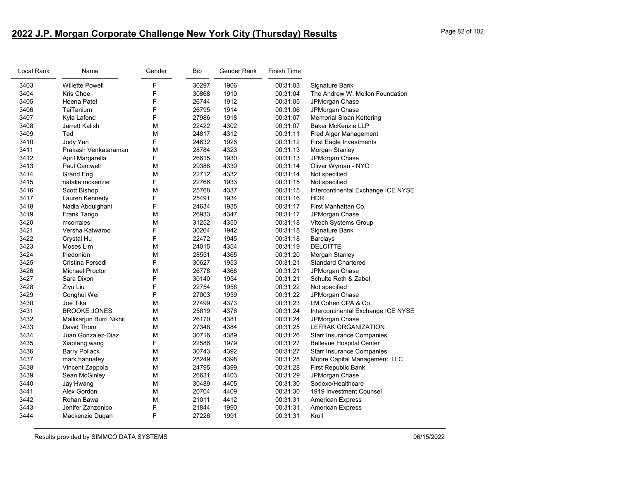# **2022 J.P. Morgan Corporate Challenge New York City (Thursday) Results** Page 82 of 102

| Local Rank | Name                     | Gender | Bib   | Gender Rank | <b>Finish Time</b> |                                    |
|------------|--------------------------|--------|-------|-------------|--------------------|------------------------------------|
| 3403       | <b>Willette Powell</b>   | F      | 30297 | 1906        | 00:31:03           | Signature Bank                     |
| 3404       | Kris Choe                | F      | 30868 | 1910        | 00:31:04           | The Andrew W. Mellon Foundation    |
| 3405       | Heena Patel              | F      | 26744 | 1912        | 00:31:05           | JPMorgan Chase                     |
| 3406       | TaiTanium                | F      | 26795 | 1914        | 00:31:06           | JPMorgan Chase                     |
| 3407       | Kyla Lafond              | F      | 27986 | 1918        | 00:31:07           | Memorial Sloan Kettering           |
| 3408       | Jarrett Kalish           | M      | 22422 | 4302        | 00:31:07           | <b>Baker McKenzie LLP</b>          |
| 3409       | Ted                      | M      | 24817 | 4312        | 00:31:11           | Fred Alger Management              |
| 3410       | Jody Yen                 | F      | 24632 | 1926        | 00:31:12           | <b>First Eagle Investments</b>     |
| 3411       | Prakash Venkataraman     | M      | 28784 | 4323        | 00:31:13           | Morgan Stanley                     |
| 3412       | April Margarella         | F      | 26615 | 1930        | 00:31:13           | JPMorgan Chase                     |
| 3413       | Paul Cantwell            | M      | 29388 | 4330        | 00:31:14           | Oliver Wyman - NYO                 |
| 3414       | <b>Grand Eng</b>         | M      | 22712 | 4332        | 00:31:14           | Not specified                      |
| 3415       | natalie mckenzie         | F      | 22766 | 1933        | 00:31:15           | Not specified                      |
| 3416       | Scott Bishop             | M      | 25768 | 4337        | 00:31:15           | Intercontinental Exchange ICE NYSE |
| 3417       | Lauren Kennedy           | F      | 25491 | 1934        | 00:31:16           | <b>HDR</b>                         |
| 3418       | Nadia Abdulghani         | F      | 24634 | 1935        | 00:31:17           | First Manhattan Co.                |
| 3419       | Frank Tango              | M      | 26933 | 4347        | 00:31:17           | JPMorgan Chase                     |
| 3420       | mcorrales                | M      | 31252 | 4350        | 00:31:18           | Vitech Systems Group               |
| 3421       | Versha Katwaroo          | F      | 30264 | 1942        | 00:31:18           | Signature Bank                     |
| 3422       | Crystal Hu               | F      | 22472 | 1945        | 00:31:18           | <b>Barclays</b>                    |
| 3423       | Moses Lim                | M      | 24015 | 4354        | 00:31:19           | <b>DELOITTE</b>                    |
| 3424       | friedonion               | M      | 28551 | 4365        | 00:31:20           | Morgan Stanley                     |
| 3425       | Cristina Fersedi         | F      | 30627 | 1953        | 00:31:21           | <b>Standard Chartered</b>          |
| 3426       | <b>Michael Proctor</b>   | M      | 26778 | 4368        | 00:31:21           | JPMorgan Chase                     |
| 3427       | Sara Dixon               | F      | 30140 | 1954        | 00:31:21           | Schulte Roth & Zabel               |
| 3428       | Ziyu Liu                 | F      | 22754 | 1958        | 00:31:22           | Not specified                      |
| 3429       | Conghui Wei              | F      | 27003 | 1959        | 00:31:22           | JPMorgan Chase                     |
| 3430       | Joe Tika                 | M      | 27499 | 4373        | 00:31:23           | LM Cohen CPA & Co.                 |
| 3431       | <b>BROOKE JONES</b>      | M      | 25819 | 4376        | 00:31:24           | Intercontinental Exchange ICE NYSE |
| 3432       | Mallikarjun Burri Nikhil | M      | 26170 | 4381        | 00:31:24           | JPMorgan Chase                     |
| 3433       | David Thom               | M      | 27348 | 4384        | 00:31:25           | <b>LEFRAK ORGANIZATION</b>         |
| 3434       | Juan Gonzalez-Diaz       | M      | 30716 | 4389        | 00:31:26           | <b>Starr Insurance Companies</b>   |
| 3435       | Xiaofeng wang            | F      | 22586 | 1979        | 00:31:27           | <b>Bellevue Hospital Center</b>    |
| 3436       | <b>Barry Pollack</b>     | M      | 30743 | 4392        | 00:31:27           | <b>Starr Insurance Companies</b>   |
| 3437       | mark hannafey            | M      | 28249 | 4398        | 00:31:28           | Moore Capital Management, LLC      |
| 3438       | Vincent Zappola          | M      | 24795 | 4399        | 00:31:28           | First Republic Bank                |
| 3439       | Sean McGinley            | M      | 26631 | 4403        | 00:31:29           | JPMorgan Chase                     |
| 3440       | Jay Hwang                | M      | 30489 | 4405        | 00:31:30           | Sodexo/Healthcare                  |
| 3441       | Alex Gordon              | M      | 20704 | 4409        | 00:31:30           | 1919 Investment Counsel            |
| 3442       | Rohan Bawa               | M      | 21011 | 4412        | 00:31:31           | <b>American Express</b>            |
| 3443       | Jenifer Zanzonico        | F      | 21844 | 1990        | 00:31:31           | <b>American Express</b>            |
| 3444       | Mackenzie Dugan          | F      | 27226 | 1991        | 00:31:31           | Kroll                              |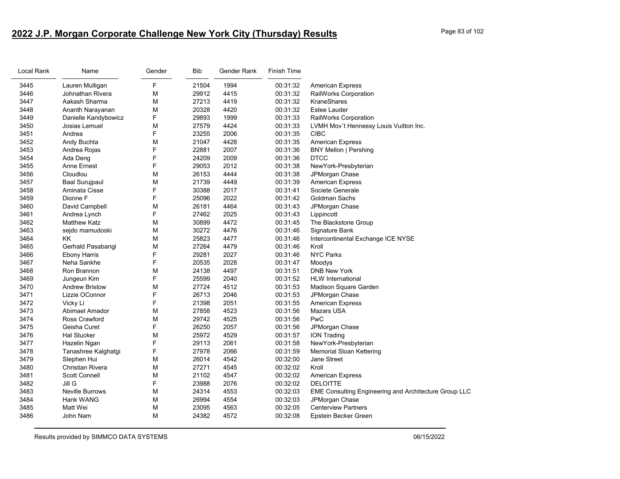# **2022 J.P. Morgan Corporate Challenge New York City (Thursday) Results** Page 83 of 102

| Local Rank | Name                   | Gender | <b>Bib</b> | Gender Rank | Finish Time |                                                              |
|------------|------------------------|--------|------------|-------------|-------------|--------------------------------------------------------------|
| 3445       | Lauren Mulligan        | F      | 21504      | 1994        | 00:31:32    | <b>American Express</b>                                      |
| 3446       | Johnathan Rivera       | M      | 29912      | 4415        | 00:31:32    | <b>RailWorks Corporation</b>                                 |
| 3447       | Aakash Sharma          | M      | 27213      | 4419        | 00:31:32    | KraneShares                                                  |
| 3448       | Ananth Narayanan       | М      | 20328      | 4420        | 00:31:32    | <b>Estee Lauder</b>                                          |
| 3449       | Danielle Kandybowicz   | F      | 29893      | 1999        | 00:31:33    | RailWorks Corporation                                        |
| 3450       | Josias Lemuel          | M      | 27579      | 4424        | 00:31:33    | LVMH Mov't Hennessy Louis Vuitton Inc.                       |
| 3451       | Andrea                 | F      | 23255      | 2006        | 00:31:35    | <b>CIBC</b>                                                  |
| 3452       | Andy Buchta            | M      | 21047      | 4428        | 00:31:35    | <b>American Express</b>                                      |
| 3453       | Andrea Rojas           | F      | 22881      | 2007        | 00:31:36    | <b>BNY Mellon   Pershing</b>                                 |
| 3454       | Ada Deng               | F      | 24209      | 2009        | 00:31:36    | <b>DTCC</b>                                                  |
| 3455       | Anne Ernest            | F      | 29053      | 2012        | 00:31:38    | NewYork-Presbyterian                                         |
| 3456       | Cloudlou               | М      | 26153      | 4444        | 00:31:38    | JPMorgan Chase                                               |
| 3457       | <b>Baal Surujpaul</b>  | M      | 21739      | 4449        | 00:31:39    | <b>American Express</b>                                      |
| 3458       | Aminata Cisse          | F      | 30388      | 2017        | 00:31:41    | Societe Generale                                             |
| 3459       | Dionne F               | F      | 25096      | 2022        | 00:31:42    | Goldman Sachs                                                |
| 3460       | David Campbell         | M      | 26181      | 4464        | 00:31:43    | JPMorgan Chase                                               |
| 3461       | Andrea Lynch           | F      | 27462      | 2025        | 00:31:43    | Lippincott                                                   |
| 3462       | <b>Matthew Katz</b>    | M      | 30899      | 4472        | 00:31:45    | The Blackstone Group                                         |
| 3463       | sejdo mamudoski        | M      | 30272      | 4476        | 00:31:46    | Signature Bank                                               |
| 3464       | KK                     | M      | 25823      | 4477        | 00:31:46    | Intercontinental Exchange ICE NYSE                           |
| 3465       | Gerhald Pasabangi      | M      | 27264      | 4479        | 00:31:46    | Kroll                                                        |
| 3466       | <b>Ebony Harris</b>    | F      | 29281      | 2027        | 00:31:46    | <b>NYC Parks</b>                                             |
| 3467       | Neha Sankhe            | F      | 20535      | 2028        | 00:31:47    | Moodys                                                       |
| 3468       | Ron Brannon            | M      | 24138      | 4497        | 00:31:51    | <b>DNB New York</b>                                          |
| 3469       | Jungeun Kim            | F      | 25599      | 2040        | 00:31:52    | <b>HLW</b> International                                     |
| 3470       | <b>Andrew Bristow</b>  | M      | 27724      | 4512        | 00:31:53    | Madison Square Garden                                        |
| 3471       | Lizzie OConnor         | F      | 26713      | 2046        | 00:31:53    | JPMorgan Chase                                               |
| 3472       | Vicky Li               | F      | 21398      | 2051        | 00:31:55    | <b>American Express</b>                                      |
| 3473       | Abimael Amador         | M      | 27858      | 4523        | 00:31:56    | <b>Mazars USA</b>                                            |
| 3474       | Ross Crawford          | M      | 29742      | 4525        | 00:31:56    | PwC                                                          |
| 3475       | Geisha Curet           | F      | 26250      | 2057        | 00:31:56    | JPMorgan Chase                                               |
| 3476       | <b>Hal Stucker</b>     | M      | 25972      | 4529        | 00:31:57    | <b>ION Trading</b>                                           |
| 3477       | Hazelin Ngan           | F      | 29113      | 2061        | 00:31:58    | NewYork-Presbyterian                                         |
| 3478       | Tanashree Kalghatgi    | F      | 27978      | 2066        | 00:31:59    | Memorial Sloan Kettering                                     |
| 3479       | Stephen Hui            | M      | 26014      | 4542        | 00:32:00    | Jane Street                                                  |
| 3480       | Christian Rivera       | M      | 27271      | 4545        | 00:32:02    | Kroll                                                        |
| 3481       | Scott Connell          | M      | 21102      | 4547        | 00:32:02    | <b>American Express</b>                                      |
| 3482       | Jill G                 | F      | 23988      | 2076        | 00:32:02    | <b>DELOITTE</b>                                              |
| 3483       | <b>Neville Burrows</b> | M      | 24314      | 4553        | 00:32:03    | <b>EME Consulting Engineering and Architecture Group LLC</b> |
| 3484       | Hank WANG              | M      | 26994      | 4554        | 00:32:03    | JPMorgan Chase                                               |
| 3485       | Matt Wei               | M      | 23095      | 4563        | 00:32:05    | <b>Centerview Partners</b>                                   |
| 3486       | John Nam               | M      | 24382      | 4572        | 00:32:08    | Epstein Becker Green                                         |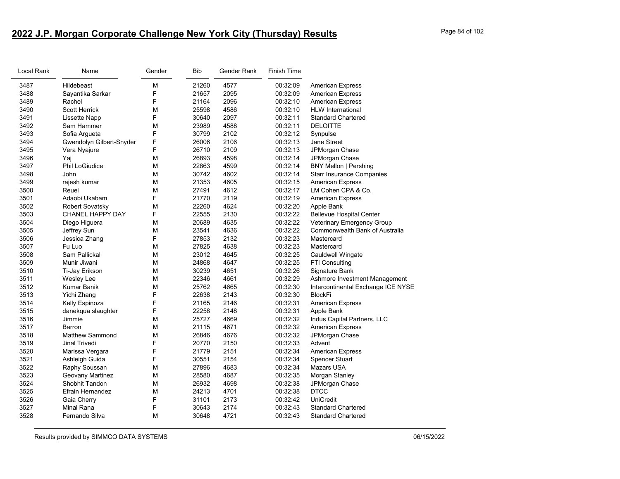# **2022 J.P. Morgan Corporate Challenge New York City (Thursday) Results** Page 84 of 102

| Local Rank | Name                     | Gender | <b>Bib</b> | Gender Rank | <b>Finish Time</b> |                                    |
|------------|--------------------------|--------|------------|-------------|--------------------|------------------------------------|
| 3487       | Hildebeast               | M      | 21260      | 4577        | 00:32:09           | <b>American Express</b>            |
| 3488       | Sayantika Sarkar         | F      | 21657      | 2095        | 00:32:09           | <b>American Express</b>            |
| 3489       | Rachel                   | F      | 21164      | 2096        | 00:32:10           | <b>American Express</b>            |
| 3490       | Scott Herrick            | M      | 25598      | 4586        | 00:32:10           | <b>HLW</b> International           |
| 3491       | Lissette Napp            | F      | 30640      | 2097        | 00:32:11           | <b>Standard Chartered</b>          |
| 3492       | Sam Hammer               | М      | 23989      | 4588        | 00:32:11           | <b>DELOITTE</b>                    |
| 3493       | Sofia Argueta            | F      | 30799      | 2102        | 00:32:12           | Synpulse                           |
| 3494       | Gwendolyn Gilbert-Snyder | F      | 26006      | 2106        | 00:32:13           | <b>Jane Street</b>                 |
| 3495       | Vera Nyajure             | F      | 26710      | 2109        | 00:32:13           | JPMorgan Chase                     |
| 3496       | Yaj                      | M      | 26893      | 4598        | 00:32:14           | JPMorgan Chase                     |
| 3497       | Phil LoGiudice           | M      | 22863      | 4599        | 00:32:14           | <b>BNY Mellon   Pershing</b>       |
| 3498       | John                     | М      | 30742      | 4602        | 00:32:14           | <b>Starr Insurance Companies</b>   |
| 3499       | rajesh kumar             | М      | 21353      | 4605        | 00:32:15           | <b>American Express</b>            |
| 3500       | Reuel                    | M      | 27491      | 4612        | 00:32:17           | LM Cohen CPA & Co.                 |
| 3501       | Adaobi Ukabam            | F      | 21770      | 2119        | 00:32:19           | <b>American Express</b>            |
| 3502       | <b>Robert Sovatsky</b>   | M      | 22260      | 4624        | 00:32:20           | Apple Bank                         |
| 3503       | CHANEL HAPPY DAY         | F      | 22555      | 2130        | 00:32:22           | <b>Bellevue Hospital Center</b>    |
| 3504       | Diego Higuera            | M      | 20689      | 4635        | 00:32:22           | Veterinary Emergency Group         |
| 3505       | Jeffrey Sun              | М      | 23541      | 4636        | 00:32:22           | Commonwealth Bank of Australia     |
| 3506       | Jessica Zhang            | F      | 27853      | 2132        | 00:32:23           | Mastercard                         |
| 3507       | Fu Luo                   | M      | 27825      | 4638        | 00:32:23           | Mastercard                         |
| 3508       | Sam Pallickal            | М      | 23012      | 4645        | 00:32:25           | Cauldwell Wingate                  |
| 3509       | Munir Jiwani             | M      | 24868      | 4647        | 00:32:25           | FTI Consulting                     |
| 3510       | Ti-Jay Erikson           | M      | 30239      | 4651        | 00:32:26           | Signature Bank                     |
| 3511       | Wesley Lee               | М      | 22346      | 4661        | 00:32:29           | Ashmore Investment Management      |
| 3512       | Kumar Banik              | М      | 25762      | 4665        | 00:32:30           | Intercontinental Exchange ICE NYSE |
| 3513       | Yichi Zhang              | F      | 22638      | 2143        | 00:32:30           | BlockFi                            |
| 3514       | Kelly Espinoza           | F      | 21165      | 2146        | 00:32:31           | <b>American Express</b>            |
| 3515       | danekqua slaughter       | F      | 22258      | 2148        | 00:32:31           | Apple Bank                         |
| 3516       | Jimmie                   | M      | 25727      | 4669        | 00:32:32           | Indus Capital Partners, LLC        |
| 3517       | Barron                   | M      | 21115      | 4671        | 00:32:32           | <b>American Express</b>            |
| 3518       | <b>Matthew Sammond</b>   | M      | 26846      | 4676        | 00:32:32           | JPMorgan Chase                     |
| 3519       | Jinal Trivedi            | F      | 20770      | 2150        | 00:32:33           | Advent                             |
| 3520       | Marissa Vergara          | F      | 21779      | 2151        | 00:32:34           | <b>American Express</b>            |
| 3521       | Ashleigh Guida           | F      | 30551      | 2154        | 00:32:34           | Spencer Stuart                     |
| 3522       | Raphy Soussan            | М      | 27896      | 4683        | 00:32:34           | Mazars USA                         |
| 3523       | Geovany Martinez         | M      | 28580      | 4687        | 00:32:35           | Morgan Stanley                     |
| 3524       | <b>Shobhit Tandon</b>    | M      | 26932      | 4698        | 00:32:38           | JPMorgan Chase                     |
| 3525       | Efrain Hernandez         | М      | 24213      | 4701        | 00:32:38           | <b>DTCC</b>                        |
| 3526       | Gaia Cherry              | F      | 31101      | 2173        | 00:32:42           | <b>UniCredit</b>                   |
| 3527       | <b>Minal Rana</b>        | F      | 30643      | 2174        | 00:32:43           | <b>Standard Chartered</b>          |
| 3528       | Fernando Silva           | М      | 30648      | 4721        | 00:32:43           | <b>Standard Chartered</b>          |
|            |                          |        |            |             |                    |                                    |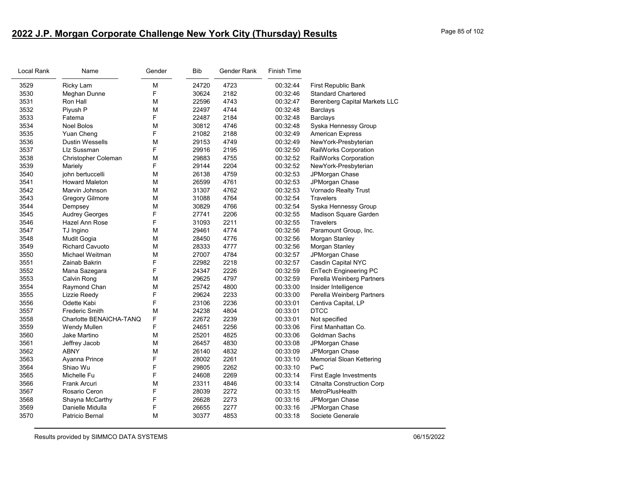# **2022 J.P. Morgan Corporate Challenge New York City (Thursday) Results** Page 85 of 102

| Local Rank | Name                    | Gender | Bib   | Gender Rank | <b>Finish Time</b> |                                      |
|------------|-------------------------|--------|-------|-------------|--------------------|--------------------------------------|
| 3529       | Ricky Lam               | M      | 24720 | 4723        | 00:32:44           | First Republic Bank                  |
| 3530       | Meghan Dunne            | F      | 30624 | 2182        | 00:32:46           | <b>Standard Chartered</b>            |
| 3531       | Ron Hall                | M      | 22596 | 4743        | 00:32:47           | <b>Berenberg Capital Markets LLC</b> |
| 3532       | Piyush P                | M      | 22497 | 4744        | 00:32:48           | <b>Barclays</b>                      |
| 3533       | Fatema                  | F      | 22487 | 2184        | 00:32:48           | <b>Barclays</b>                      |
| 3534       | <b>Noel Bolos</b>       | M      | 30812 | 4746        | 00:32:48           | Syska Hennessy Group                 |
| 3535       | Yuan Cheng              | F      | 21082 | 2188        | 00:32:49           | <b>American Express</b>              |
| 3536       | <b>Dustin Wessells</b>  | M      | 29153 | 4749        | 00:32:49           | NewYork-Presbyterian                 |
| 3537       | LIz Sussman             | F      | 29916 | 2195        | 00:32:50           | RailWorks Corporation                |
| 3538       | Christopher Coleman     | M      | 29883 | 4755        | 00:32:52           | RailWorks Corporation                |
| 3539       | Mariely                 | F      | 29144 | 2204        | 00:32:52           | NewYork-Presbyterian                 |
| 3540       | john bertuccelli        | M      | 26138 | 4759        | 00:32:53           | JPMorgan Chase                       |
| 3541       | <b>Howard Maleton</b>   | M      | 26599 | 4761        | 00:32:53           | JPMorgan Chase                       |
| 3542       | Marvin Johnson          | M      | 31307 | 4762        | 00:32:53           | Vornado Realty Trust                 |
| 3543       | <b>Gregory Gilmore</b>  | M      | 31088 | 4764        | 00:32:54           | Travelers                            |
| 3544       | Dempsey                 | M      | 30829 | 4766        | 00:32:54           | Syska Hennessy Group                 |
| 3545       | <b>Audrey Georges</b>   | F      | 27741 | 2206        | 00:32:55           | Madison Square Garden                |
| 3546       | Hazel Ann Rose          | F      | 31093 | 2211        | 00:32:55           | <b>Travelers</b>                     |
| 3547       | TJ Ingino               | M      | 29461 | 4774        | 00:32:56           | Paramount Group, Inc.                |
| 3548       | <b>Mudit Gogia</b>      | M      | 28450 | 4776        | 00:32:56           | Morgan Stanley                       |
| 3549       | <b>Richard Cavuoto</b>  | M      | 28333 | 4777        | 00:32:56           | Morgan Stanley                       |
| 3550       | Michael Weitman         | M      | 27007 | 4784        | 00:32:57           | JPMorgan Chase                       |
| 3551       | Zainab Bakrin           | F      | 22982 | 2218        | 00:32:57           | Casdin Capital NYC                   |
| 3552       | Mana Sazegara           | F      | 24347 | 2226        | 00:32:59           | EnTech Engineering PC                |
| 3553       | Calvin Rong             | M      | 29625 | 4797        | 00:32:59           | Perella Weinberg Partners            |
| 3554       | Raymond Chan            | M      | 25742 | 4800        | 00:33:00           | Insider Intelligence                 |
| 3555       | Lizzie Reedy            | F      | 29624 | 2233        | 00:33:00           | Perella Weinberg Partners            |
| 3556       | Odette Kabi             | F      | 23106 | 2236        | 00:33:01           | Centiva Capital, LP                  |
| 3557       | Frederic Smith          | M      | 24238 | 4804        | 00:33:01           | <b>DTCC</b>                          |
| 3558       | Charlotte BENAICHA-TANQ | F      | 22672 | 2239        | 00:33:01           | Not specified                        |
| 3559       | <b>Wendy Mullen</b>     | F      | 24651 | 2256        | 00:33:06           | First Manhattan Co.                  |
| 3560       | Jake Martino            | M      | 25201 | 4825        | 00:33:06           | Goldman Sachs                        |
| 3561       | Jeffrey Jacob           | M      | 26457 | 4830        | 00:33:08           | JPMorgan Chase                       |
| 3562       | <b>ABNY</b>             | M      | 26140 | 4832        | 00:33:09           | JPMorgan Chase                       |
| 3563       | Ayanna Prince           | F      | 28002 | 2261        | 00:33:10           | Memorial Sloan Kettering             |
| 3564       | Shiao Wu                | F      | 29805 | 2262        | 00:33:10           | <b>PwC</b>                           |
| 3565       | Michelle Fu             | F      | 24608 | 2269        | 00:33:14           | <b>First Eagle Investments</b>       |
| 3566       | Frank Arcuri            | M      | 23311 | 4846        | 00:33:14           | <b>Citnalta Construction Corp</b>    |
| 3567       | Rosario Ceron           | F      | 28039 | 2272        | 00:33:15           | MetroPlusHealth                      |
| 3568       | Shayna McCarthy         | F      | 26628 | 2273        | 00:33:16           | JPMorgan Chase                       |
| 3569       | Danielle Midulla        | F      | 26655 | 2277        | 00:33:16           | JPMorgan Chase                       |
| 3570       | Patricio Bernal         | M      | 30377 | 4853        | 00:33:18           | Societe Generale                     |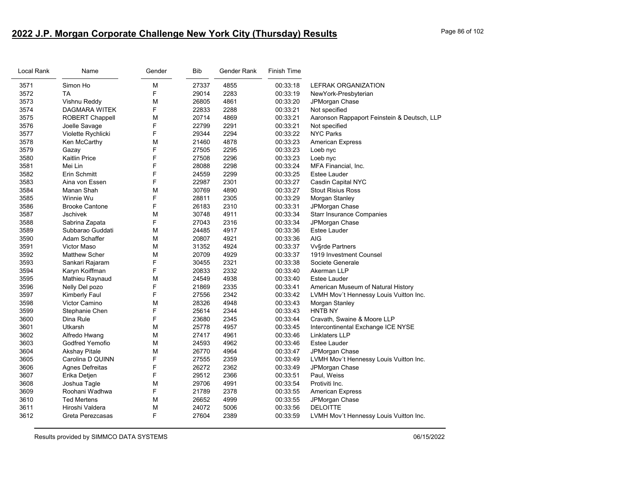# **2022 J.P. Morgan Corporate Challenge New York City (Thursday) Results** Page 86 of 102

| Local Rank | Name                   | Gender | <b>Bib</b> | Gender Rank | <b>Finish Time</b> |                                             |
|------------|------------------------|--------|------------|-------------|--------------------|---------------------------------------------|
| 3571       | Simon Ho               | M      | 27337      | 4855        | 00:33:18           | LEFRAK ORGANIZATION                         |
| 3572       | <b>TA</b>              | F      | 29014      | 2283        | 00:33:19           | NewYork-Presbyterian                        |
| 3573       | Vishnu Reddy           | M      | 26805      | 4861        | 00:33:20           | JPMorgan Chase                              |
| 3574       | <b>DAGMARA WITEK</b>   | F      | 22833      | 2288        | 00:33:21           | Not specified                               |
| 3575       | <b>ROBERT Chappell</b> | M      | 20714      | 4869        | 00:33:21           | Aaronson Rappaport Feinstein & Deutsch, LLP |
| 3576       | Joelle Savage          | F      | 22799      | 2291        | 00:33:21           | Not specified                               |
| 3577       | Violette Rychlicki     | F      | 29344      | 2294        | 00:33:22           | <b>NYC Parks</b>                            |
| 3578       | Ken McCarthy           | M      | 21460      | 4878        | 00:33:23           | <b>American Express</b>                     |
| 3579       | Gazay                  | F      | 27505      | 2295        | 00:33:23           | Loeb nyc                                    |
| 3580       | <b>Kaitlin Price</b>   | F      | 27508      | 2296        | 00:33:23           | Loeb nyc                                    |
| 3581       | Mei Lin                | F      | 28088      | 2298        | 00:33:24           | MFA Financial, Inc.                         |
| 3582       | Erin Schmitt           | F      | 24559      | 2299        | 00:33:25           | <b>Estee Lauder</b>                         |
| 3583       | Aina von Essen         | F      | 22987      | 2301        | 00:33:27           | Casdin Capital NYC                          |
| 3584       | Manan Shah             | M      | 30769      | 4890        | 00:33:27           | <b>Stout Risius Ross</b>                    |
| 3585       | Winnie Wu              | F      | 28811      | 2305        | 00:33:29           | Morgan Stanley                              |
| 3586       | <b>Brooke Cantone</b>  | F      | 26183      | 2310        | 00:33:31           | JPMorgan Chase                              |
| 3587       | <b>Jschivek</b>        | M      | 30748      | 4911        | 00:33:34           | <b>Starr Insurance Companies</b>            |
| 3588       | Sabrina Zapata         | F      | 27043      | 2316        | 00:33:34           | JPMorgan Chase                              |
| 3589       | Subbarao Guddati       | M      | 24485      | 4917        | 00:33:36           | <b>Estee Lauder</b>                         |
| 3590       | Adam Schaffer          | M      | 20807      | 4921        | 00:33:36           | AIG                                         |
| 3591       | <b>Victor Maso</b>     | M      | 31352      | 4924        | 00:33:37           | <b>Vv</b> §rde Partners                     |
| 3592       | <b>Matthew Scher</b>   | M      | 20709      | 4929        | 00:33:37           | 1919 Investment Counsel                     |
| 3593       | Sankari Rajaram        | F      | 30455      | 2321        | 00:33:38           | Societe Generale                            |
| 3594       | Karyn Koiffman         | F      | 20833      | 2332        | 00:33:40           | Akerman LLP                                 |
| 3595       | Mathieu Raynaud        | M      | 24549      | 4938        | 00:33:40           | <b>Estee Lauder</b>                         |
| 3596       | Nelly Del pozo         | F      | 21869      | 2335        | 00:33:41           | American Museum of Natural History          |
| 3597       | Kimberly Faul          | F      | 27556      | 2342        | 00:33:42           | LVMH Mov't Hennessy Louis Vuitton Inc.      |
| 3598       | <b>Victor Camino</b>   | M      | 28326      | 4948        | 00:33:43           | Morgan Stanley                              |
| 3599       | Stephanie Chen         | F      | 25614      | 2344        | 00:33:43           | <b>HNTB NY</b>                              |
| 3600       | Dina Rule              | F      | 23680      | 2345        | 00:33:44           | Cravath, Swaine & Moore LLP                 |
| 3601       | Utkarsh                | M      | 25778      | 4957        | 00:33:45           | Intercontinental Exchange ICE NYSE          |
| 3602       | Alfredo Hwang          | M      | 27417      | 4961        | 00:33:46           | <b>Linklaters LLP</b>                       |
| 3603       | Godfred Yemofio        | М      | 24593      | 4962        | 00:33:46           | <b>Estee Lauder</b>                         |
| 3604       | Akshay Pitale          | M      | 26770      | 4964        | 00:33:47           | JPMorgan Chase                              |
| 3605       | Carolina D QUINN       | F      | 27555      | 2359        | 00:33:49           | LVMH Mov't Hennessy Louis Vuitton Inc.      |
| 3606       | <b>Agnes Defreitas</b> | F      | 26272      | 2362        | 00:33:49           | JPMorgan Chase                              |
| 3607       | Erika Detjen           | F      | 29512      | 2366        | 00:33:51           | Paul, Weiss                                 |
| 3608       | Joshua Tagle           | M      | 29706      | 4991        | 00:33:54           | Protiviti Inc.                              |
| 3609       | Roohani Wadhwa         | F      | 21789      | 2378        | 00:33:55           | <b>American Express</b>                     |
| 3610       | <b>Ted Mertens</b>     | M      | 26652      | 4999        | 00:33:55           | JPMorgan Chase                              |
| 3611       | Hiroshi Valdera        | M      | 24072      | 5006        | 00:33:56           | <b>DELOITTE</b>                             |
| 3612       | Greta Perezcasas       | F      | 27604      | 2389        | 00:33:59           | LVMH Mov't Hennessy Louis Vuitton Inc.      |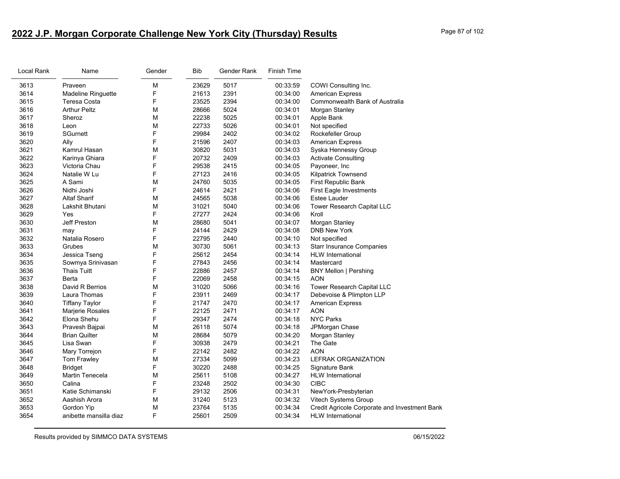# **2022 J.P. Morgan Corporate Challenge New York City (Thursday) Results** Page 87 of 102

| Local Rank | Name                      | Gender | <b>Bib</b> | Gender Rank | <b>Finish Time</b> |                                               |
|------------|---------------------------|--------|------------|-------------|--------------------|-----------------------------------------------|
| 3613       | Praveen                   | М      | 23629      | 5017        | 00:33:59           | COWI Consulting Inc.                          |
| 3614       | <b>Madeline Ringuette</b> | F      | 21613      | 2391        | 00:34:00           | <b>American Express</b>                       |
| 3615       | Teresa Costa              | F      | 23525      | 2394        | 00:34:00           | Commonwealth Bank of Australia                |
| 3616       | <b>Arthur Peltz</b>       | M      | 28666      | 5024        | 00:34:01           | Morgan Stanley                                |
| 3617       | Sheroz                    | М      | 22238      | 5025        | 00:34:01           | Apple Bank                                    |
| 3618       | Leon                      | M      | 22733      | 5026        | 00:34:01           | Not specified                                 |
| 3619       | SGurnett                  | F      | 29984      | 2402        | 00:34:02           | Rockefeller Group                             |
| 3620       | Ally                      | F      | 21596      | 2407        | 00:34:03           | <b>American Express</b>                       |
| 3621       | Kamrul Hasan              | М      | 30820      | 5031        | 00:34:03           | Syska Hennessy Group                          |
| 3622       | Karinya Ghiara            | F      | 20732      | 2409        | 00:34:03           | <b>Activate Consulting</b>                    |
| 3623       | Victoria Chau             | F      | 29538      | 2415        | 00:34:05           | Payoneer, Inc                                 |
| 3624       | Natalie W Lu              | F      | 27123      | 2416        | 00:34:05           | Kilpatrick Townsend                           |
| 3625       | A Sami                    | M      | 24760      | 5035        | 00:34:05           | First Republic Bank                           |
| 3626       | Nidhi Joshi               | F      | 24614      | 2421        | 00:34:06           | <b>First Eagle Investments</b>                |
| 3627       | <b>Altaf Sharif</b>       | M      | 24565      | 5038        | 00:34:06           | Estee Lauder                                  |
| 3628       | Lakshit Bhutani           | М      | 31021      | 5040        | 00:34:06           | Tower Research Capital LLC                    |
| 3629       | Yes                       | F      | 27277      | 2424        | 00:34:06           | Kroll                                         |
| 3630       | Jeff Preston              | М      | 28680      | 5041        | 00:34:07           | Morgan Stanley                                |
| 3631       | may                       | F      | 24144      | 2429        | 00:34:08           | <b>DNB New York</b>                           |
| 3632       | Natalia Rosero            | F      | 22795      | 2440        | 00:34:10           | Not specified                                 |
| 3633       | Grubes                    | M      | 30730      | 5061        | 00:34:13           | <b>Starr Insurance Companies</b>              |
| 3634       | Jessica Tseng             | F      | 25612      | 2454        | 00:34:14           | <b>HLW</b> International                      |
| 3635       | Sowmya Srinivasan         | F      | 27843      | 2456        | 00:34:14           | Mastercard                                    |
| 3636       | Thais Tuitt               | F      | 22886      | 2457        | 00:34:14           | <b>BNY Mellon   Pershing</b>                  |
| 3637       | <b>Berta</b>              | F      | 22069      | 2458        | 00:34:15           | <b>AON</b>                                    |
| 3638       | David R Berrios           | M      | 31020      | 5066        | 00:34:16           | Tower Research Capital LLC                    |
| 3639       | Laura Thomas              | F      | 23911      | 2469        | 00:34:17           | Debevoise & Plimpton LLP                      |
| 3640       | <b>Tiffany Taylor</b>     | F      | 21747      | 2470        | 00:34:17           | <b>American Express</b>                       |
| 3641       | Marjerie Rosales          | F      | 22125      | 2471        | 00:34:17           | <b>AON</b>                                    |
| 3642       | Elona Shehu               | F      | 29347      | 2474        | 00:34:18           | <b>NYC Parks</b>                              |
| 3643       | Pravesh Bajpai            | M      | 26118      | 5074        | 00:34:18           | JPMorgan Chase                                |
| 3644       | <b>Brian Quilter</b>      | M      | 28684      | 5079        | 00:34:20           | Morgan Stanley                                |
| 3645       | Lisa Swan                 | F      | 30938      | 2479        | 00:34:21           | The Gate                                      |
| 3646       | Mary Torrejon             | F      | 22142      | 2482        | 00:34:22           | <b>AON</b>                                    |
| 3647       | Tom Frawley               | M      | 27334      | 5099        | 00:34:23           | LEFRAK ORGANIZATION                           |
| 3648       | <b>Bridget</b>            | F      | 30220      | 2488        | 00:34:25           | Signature Bank                                |
| 3649       | Martin Tenecela           | M      | 25611      | 5108        | 00:34:27           | <b>HLW</b> International                      |
| 3650       | Calina                    | F      | 23248      | 2502        | 00:34:30           | <b>CIBC</b>                                   |
| 3651       | Katie Schimanski          | F      | 29132      | 2506        | 00:34:31           | NewYork-Presbyterian                          |
| 3652       | Aashish Arora             | М      | 31240      | 5123        | 00:34:32           | Vitech Systems Group                          |
| 3653       | Gordon Yip                | M      | 23764      | 5135        | 00:34:34           | Credit Agricole Corporate and Investment Bank |
| 3654       | anibette mansilla diaz    | F      | 25601      | 2509        | 00:34:34           | <b>HLW</b> International                      |
|            |                           |        |            |             |                    |                                               |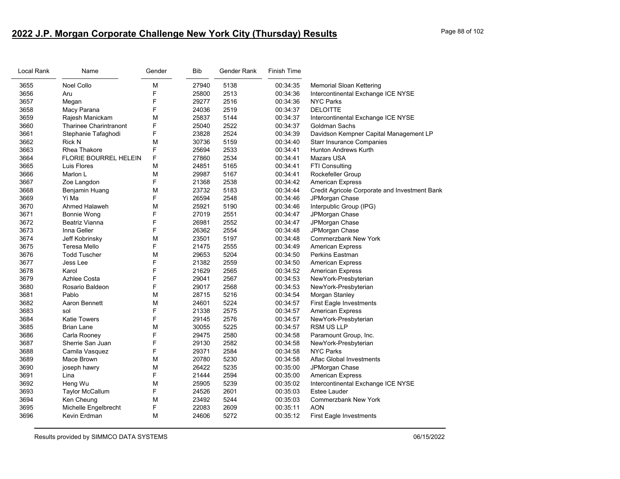# **2022 J.P. Morgan Corporate Challenge New York City (Thursday) Results** Page 88 of 102

| Local Rank | Name                          | Gender | Bib   | Gender Rank | <b>Finish Time</b> |                                               |
|------------|-------------------------------|--------|-------|-------------|--------------------|-----------------------------------------------|
| 3655       | <b>Noel Collo</b>             | M      | 27940 | 5138        | 00:34:35           | <b>Memorial Sloan Kettering</b>               |
| 3656       | Aru                           | F      | 25800 | 2513        | 00:34:36           | Intercontinental Exchange ICE NYSE            |
| 3657       | Megan                         | F      | 29277 | 2516        | 00:34:36           | <b>NYC Parks</b>                              |
| 3658       | Macy Parana                   | F      | 24036 | 2519        | 00:34:37           | <b>DELOITTE</b>                               |
| 3659       | Rajesh Manickam               | M      | 25837 | 5144        | 00:34:37           | Intercontinental Exchange ICE NYSE            |
| 3660       | <b>Tharinee Charintranont</b> | F      | 25040 | 2522        | 00:34:37           | <b>Goldman Sachs</b>                          |
| 3661       | Stephanie Tafaghodi           | F      | 23828 | 2524        | 00:34:39           | Davidson Kempner Capital Management LP        |
| 3662       | <b>Rick N</b>                 | M      | 30736 | 5159        | 00:34:40           | <b>Starr Insurance Companies</b>              |
| 3663       | Rhea Thakore                  | F      | 25694 | 2533        | 00:34:41           | <b>Hunton Andrews Kurth</b>                   |
| 3664       | <b>FLORIE BOURREL HELEIN</b>  | F      | 27860 | 2534        | 00:34:41           | Mazars USA                                    |
| 3665       | Luis Flores                   | M      | 24851 | 5165        | 00:34:41           | FTI Consulting                                |
| 3666       | Marlon L                      | M      | 29987 | 5167        | 00:34:41           | Rockefeller Group                             |
| 3667       | Zoe Langdon                   | F      | 21368 | 2538        | 00:34:42           | <b>American Express</b>                       |
| 3668       | Benjamin Huang                | M      | 23732 | 5183        | 00:34:44           | Credit Agricole Corporate and Investment Bank |
| 3669       | Yi Ma                         | F      | 26594 | 2548        | 00:34:46           | JPMorgan Chase                                |
| 3670       | Ahmed Halaweh                 | M      | 25921 | 5190        | 00:34:46           | Interpublic Group (IPG)                       |
| 3671       | Bonnie Wong                   | F      | 27019 | 2551        | 00:34:47           | JPMorgan Chase                                |
| 3672       | Beatriz Vianna                | F      | 26981 | 2552        | 00:34:47           | JPMorgan Chase                                |
| 3673       | Inna Geller                   | F      | 26362 | 2554        | 00:34:48           | JPMorgan Chase                                |
| 3674       | Jeff Kobrinsky                | M      | 23501 | 5197        | 00:34:48           | <b>Commerzbank New York</b>                   |
| 3675       | Teresa Mello                  | F      | 21475 | 2555        | 00:34:49           | <b>American Express</b>                       |
| 3676       | <b>Todd Tuscher</b>           | M      | 29653 | 5204        | 00:34:50           | <b>Perkins Eastman</b>                        |
| 3677       | Jess Lee                      | F      | 21382 | 2559        | 00:34:50           | <b>American Express</b>                       |
| 3678       | Karol                         | F      | 21629 | 2565        | 00:34:52           | <b>American Express</b>                       |
| 3679       | Azhlee Costa                  | F      | 29041 | 2567        | 00:34:53           | NewYork-Presbyterian                          |
| 3680       | Rosario Baldeon               | F      | 29017 | 2568        | 00:34:53           | NewYork-Presbyterian                          |
| 3681       | Pablo                         | M      | 28715 | 5216        | 00:34:54           | Morgan Stanley                                |
| 3682       | Aaron Bennett                 | M      | 24601 | 5224        | 00:34:57           | <b>First Eagle Investments</b>                |
| 3683       | sol                           | F      | 21338 | 2575        | 00:34:57           | <b>American Express</b>                       |
| 3684       | <b>Katie Towers</b>           | F      | 29145 | 2576        | 00:34:57           | NewYork-Presbyterian                          |
| 3685       | Brian Lane                    | M      | 30055 | 5225        | 00:34:57           | <b>RSM US LLP</b>                             |
| 3686       | Carla Rooney                  | F      | 29475 | 2580        | 00:34:58           | Paramount Group, Inc.                         |
| 3687       | Sherrie San Juan              | F      | 29130 | 2582        | 00:34:58           | NewYork-Presbyterian                          |
| 3688       | Camila Vasquez                | F      | 29371 | 2584        | 00:34:58           | <b>NYC Parks</b>                              |
| 3689       | Mace Brown                    | M      | 20780 | 5230        | 00:34:58           | Aflac Global Investments                      |
| 3690       | joseph hawry                  | M      | 26422 | 5235        | 00:35:00           | JPMorgan Chase                                |
| 3691       | Lina                          | F      | 21444 | 2594        | 00:35:00           | <b>American Express</b>                       |
| 3692       | Heng Wu                       | M      | 25905 | 5239        | 00:35:02           | Intercontinental Exchange ICE NYSE            |
| 3693       | <b>Taylor McCallum</b>        | F      | 24526 | 2601        | 00:35:03           | <b>Estee Lauder</b>                           |
| 3694       | Ken Cheung                    | M      | 23492 | 5244        | 00:35:03           | <b>Commerzbank New York</b>                   |
| 3695       | Michelle Engelbrecht          | F      | 22083 | 2609        | 00:35:11           | <b>AON</b>                                    |
| 3696       | Kevin Erdman                  | M      | 24606 | 5272        | 00:35:12           | First Eagle Investments                       |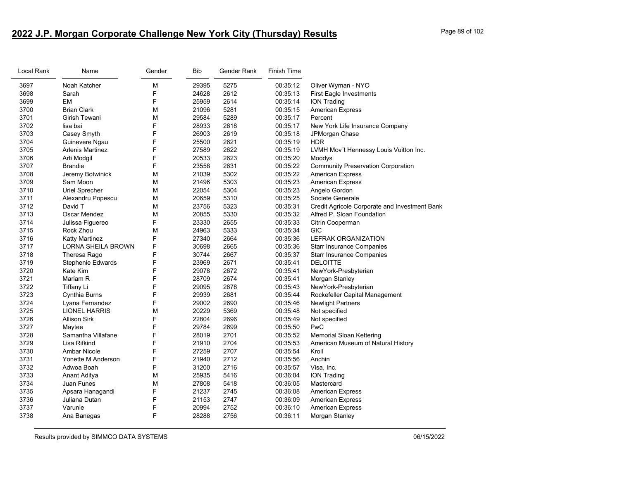# **2022 J.P. Morgan Corporate Challenge New York City (Thursday) Results** Page 89 of 102

| Local Rank | Name                      | Gender | <b>Bib</b> | Gender Rank | <b>Finish Time</b> |                                               |
|------------|---------------------------|--------|------------|-------------|--------------------|-----------------------------------------------|
| 3697       | Noah Katcher              | M      | 29395      | 5275        | 00:35:12           | Oliver Wyman - NYO                            |
| 3698       | Sarah                     | F      | 24628      | 2612        | 00:35:13           | <b>First Eagle Investments</b>                |
| 3699       | EM                        | F      | 25959      | 2614        | 00:35:14           | <b>ION Trading</b>                            |
| 3700       | <b>Brian Clark</b>        | M      | 21096      | 5281        | 00:35:15           | <b>American Express</b>                       |
| 3701       | Girish Tewani             | М      | 29584      | 5289        | 00:35:17           | Percent                                       |
| 3702       | lisa bai                  | F      | 28933      | 2618        | 00:35:17           | New York Life Insurance Company               |
| 3703       | Casey Smyth               | F      | 26903      | 2619        | 00:35:18           | JPMorgan Chase                                |
| 3704       | Guinevere Ngau            | F      | 25500      | 2621        | 00:35:19           | <b>HDR</b>                                    |
| 3705       | Arlenis Martinez          | F      | 27589      | 2622        | 00:35:19           | LVMH Mov't Hennessy Louis Vuitton Inc.        |
| 3706       | Arti Modgil               | F      | 20533      | 2623        | 00:35:20           | Moodys                                        |
| 3707       | Brandie                   | F      | 23558      | 2631        | 00:35:22           | <b>Community Preservation Corporation</b>     |
| 3708       | Jeremy Botwinick          | М      | 21039      | 5302        | 00:35:22           | <b>American Express</b>                       |
| 3709       | Sam Moon                  | м      | 21496      | 5303        | 00:35:23           | <b>American Express</b>                       |
| 3710       | Uriel Sprecher            | М      | 22054      | 5304        | 00:35:23           | Angelo Gordon                                 |
| 3711       | Alexandru Popescu         | M      | 20659      | 5310        | 00:35:25           | Societe Generale                              |
| 3712       | David T                   | М      | 23756      | 5323        | 00:35:31           | Credit Agricole Corporate and Investment Bank |
| 3713       | Oscar Mendez              | M      | 20855      | 5330        | 00:35:32           | Alfred P. Sloan Foundation                    |
| 3714       | Julissa Figuereo          | F      | 23330      | 2655        | 00:35:33           | Citrin Cooperman                              |
| 3715       | Rock Zhou                 | м      | 24963      | 5333        | 00:35:34           | <b>GIC</b>                                    |
| 3716       | Katty Martinez            | F      | 27340      | 2664        | 00:35:36           | <b>LEFRAK ORGANIZATION</b>                    |
| 3717       | <b>LORNA SHEILA BROWN</b> | F      | 30698      | 2665        | 00:35:36           | <b>Starr Insurance Companies</b>              |
| 3718       | Theresa Rago              | F      | 30744      | 2667        | 00:35:37           | <b>Starr Insurance Companies</b>              |
| 3719       | Stephenie Edwards         | F      | 23969      | 2671        | 00:35:41           | <b>DELOITTE</b>                               |
| 3720       | Kate Kim                  | F      | 29078      | 2672        | 00:35:41           | NewYork-Presbyterian                          |
| 3721       | Mariam R                  | F      | 28709      | 2674        | 00:35:41           | Morgan Stanley                                |
| 3722       | <b>Tiffany Li</b>         | F      | 29095      | 2678        | 00:35:43           | NewYork-Presbyterian                          |
| 3723       | Cynthia Burns             | F      | 29939      | 2681        | 00:35:44           | Rockefeller Capital Management                |
| 3724       | Lyana Fernandez           | F      | 29002      | 2690        | 00:35:46           | <b>Newlight Partners</b>                      |
| 3725       | <b>LIONEL HARRIS</b>      | м      | 20229      | 5369        | 00:35:48           | Not specified                                 |
| 3726       | <b>Allison Sirk</b>       | F      | 22804      | 2696        | 00:35:49           | Not specified                                 |
| 3727       | Maytee                    | F      | 29784      | 2699        | 00:35:50           | PwC                                           |
| 3728       | Samantha Villafane        | F      | 28019      | 2701        | 00:35:52           | <b>Memorial Sloan Kettering</b>               |
| 3729       | Lisa Rifkind              | F      | 21910      | 2704        | 00:35:53           | American Museum of Natural History            |
| 3730       | <b>Ambar Nicole</b>       | F      | 27259      | 2707        | 00:35:54           | Kroll                                         |
| 3731       | Yonette M Anderson        | F      | 21940      | 2712        | 00:35:56           | Anchin                                        |
| 3732       | Adwoa Boah                | F      | 31200      | 2716        | 00:35:57           | Visa, Inc.                                    |
| 3733       | Anant Aditya              | М      | 25935      | 5416        | 00:36:04           | <b>ION Trading</b>                            |
| 3734       | Juan Funes                | М      | 27808      | 5418        | 00:36:05           | Mastercard                                    |
| 3735       | Apsara Hanagandi          | F      | 21237      | 2745        | 00:36:08           | <b>American Express</b>                       |
| 3736       | Juliana Dutan             | F      | 21153      | 2747        | 00:36:09           | <b>American Express</b>                       |
| 3737       | Varunie                   | F      | 20994      | 2752        | 00:36:10           | <b>American Express</b>                       |
| 3738       | Ana Banegas               | F      | 28288      | 2756        | 00:36:11           | Morgan Stanley                                |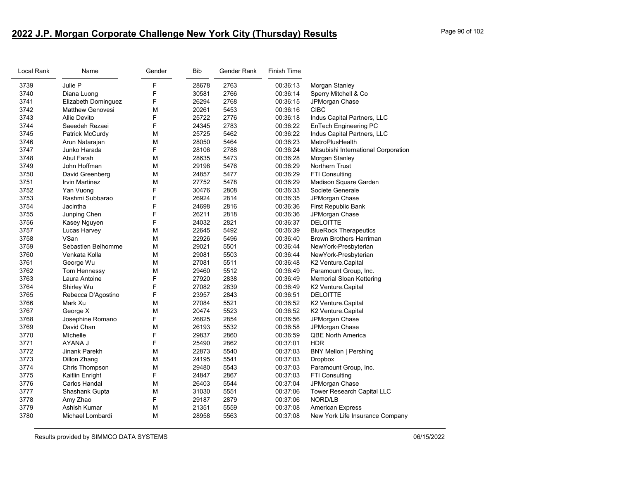# **2022 J.P. Morgan Corporate Challenge New York City (Thursday) Results** Page 90 of 102

| Local Rank | Name                    | Gender | <b>Bib</b> | Gender Rank | <b>Finish Time</b> |                                      |
|------------|-------------------------|--------|------------|-------------|--------------------|--------------------------------------|
| 3739       | Julie P                 | F      | 28678      | 2763        | 00:36:13           | Morgan Stanley                       |
| 3740       | Diana Luong             | F      | 30581      | 2766        | 00:36:14           | Sperry Mitchell & Co                 |
| 3741       | Elizabeth Dominguez     | F      | 26294      | 2768        | 00:36:15           | JPMorgan Chase                       |
| 3742       | <b>Matthew Genovesi</b> | M      | 20261      | 5453        | 00:36:16           | <b>CIBC</b>                          |
| 3743       | Allie Devito            | F      | 25722      | 2776        | 00:36:18           | Indus Capital Partners, LLC          |
| 3744       | Saeedeh Rezaei          | F      | 24345      | 2783        | 00:36:22           | EnTech Engineering PC                |
| 3745       | Patrick McCurdy         | M      | 25725      | 5462        | 00:36:22           | Indus Capital Partners, LLC          |
| 3746       | Arun Natarajan          | M      | 28050      | 5464        | 00:36:23           | MetroPlusHealth                      |
| 3747       | Junko Harada            | F      | 28106      | 2788        | 00:36:24           | Mitsubishi International Corporation |
| 3748       | Abul Farah              | M      | 28635      | 5473        | 00:36:28           | Morgan Stanley                       |
| 3749       | John Hoffman            | M      | 29198      | 5476        | 00:36:29           | Northern Trust                       |
| 3750       | David Greenberg         | M      | 24857      | 5477        | 00:36:29           | FTI Consulting                       |
| 3751       | Irvin Martinez          | M      | 27752      | 5478        | 00:36:29           | Madison Square Garden                |
| 3752       | Yan Vuong               | F      | 30476      | 2808        | 00:36:33           | Societe Generale                     |
| 3753       | Rashmi Subbarao         | F      | 26924      | 2814        | 00:36:35           | JPMorgan Chase                       |
| 3754       | Jacintha                | F      | 24698      | 2816        | 00:36:36           | First Republic Bank                  |
| 3755       | Junping Chen            | F      | 26211      | 2818        | 00:36:36           | JPMorgan Chase                       |
| 3756       | Kasey Nguyen            | F      | 24032      | 2821        | 00:36:37           | <b>DELOITTE</b>                      |
| 3757       | Lucas Harvey            | M      | 22645      | 5492        | 00:36:39           | <b>BlueRock Therapeutics</b>         |
| 3758       | VSan                    | M      | 22926      | 5496        | 00:36:40           | <b>Brown Brothers Harriman</b>       |
| 3759       | Sebastien Belhomme      | M      | 29021      | 5501        | 00:36:44           | NewYork-Presbyterian                 |
| 3760       | Venkata Kolla           | M      | 29081      | 5503        | 00:36:44           | NewYork-Presbyterian                 |
| 3761       | George Wu               | M      | 27081      | 5511        | 00:36:48           | K2 Venture.Capital                   |
| 3762       | Tom Hennessy            | M      | 29460      | 5512        | 00:36:49           | Paramount Group, Inc.                |
| 3763       | Laura Antoine           | F      | 27920      | 2838        | 00:36:49           | Memorial Sloan Kettering             |
| 3764       | Shirley Wu              | F      | 27082      | 2839        | 00:36:49           | K2 Venture.Capital                   |
| 3765       | Rebecca D'Agostino      | F      | 23957      | 2843        | 00:36:51           | <b>DELOITTE</b>                      |
| 3766       | Mark Xu                 | M      | 27084      | 5521        | 00:36:52           | K2 Venture.Capital                   |
| 3767       | George X                | M      | 20474      | 5523        | 00:36:52           | K2 Venture.Capital                   |
| 3768       | Josephine Romano        | F      | 26825      | 2854        | 00:36:56           | JPMorgan Chase                       |
| 3769       | David Chan              | M      | 26193      | 5532        | 00:36:58           | JPMorgan Chase                       |
| 3770       | Michelle                | F      | 29837      | 2860        | 00:36:59           | <b>QBE North America</b>             |
| 3771       | AYANA J                 | F      | 25490      | 2862        | 00:37:01           | HDR                                  |
| 3772       | Jinank Parekh           | M      | 22873      | 5540        | 00:37:03           | <b>BNY Mellon   Pershing</b>         |
| 3773       | Dillon Zhang            | M      | 24195      | 5541        | 00:37:03           | <b>Dropbox</b>                       |
| 3774       | Chris Thompson          | M      | 29480      | 5543        | 00:37:03           | Paramount Group, Inc.                |
| 3775       | Kaitlin Enright         | F      | 24847      | 2867        | 00:37:03           | FTI Consulting                       |
| 3776       | Carlos Handal           | M      | 26403      | 5544        | 00:37:04           | JPMorgan Chase                       |
| 3777       | Shashank Gupta          | M      | 31030      | 5551        | 00:37:06           | Tower Research Capital LLC           |
| 3778       | Amy Zhao                | F      | 29187      | 2879        | 00:37:06           | NORD/LB                              |
| 3779       | Ashish Kumar            | M      | 21351      | 5559        | 00:37:08           | <b>American Express</b>              |
| 3780       | Michael Lombardi        | M      | 28958      | 5563        | 00:37:08           | New York Life Insurance Company      |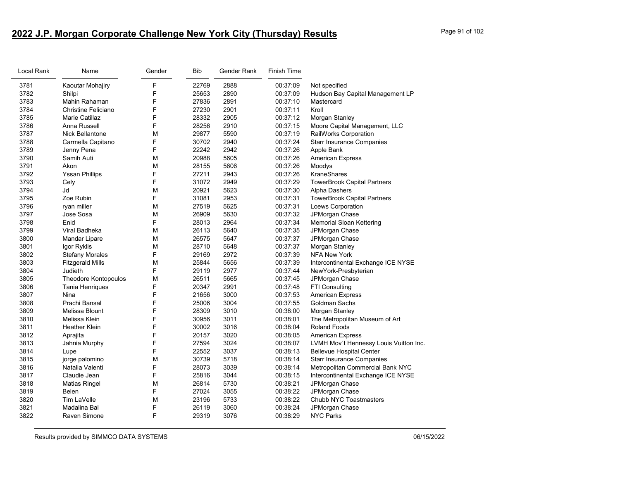# **2022 J.P. Morgan Corporate Challenge New York City (Thursday) Results** Page 91 of 102

| Local Rank | Name                        | Gender | Bib   | Gender Rank | <b>Finish Time</b> |                                        |
|------------|-----------------------------|--------|-------|-------------|--------------------|----------------------------------------|
| 3781       | Kaoutar Mohajiry            | F      | 22769 | 2888        | 00:37:09           | Not specified                          |
| 3782       | Shilpi                      | F      | 25653 | 2890        | 00:37:09           | Hudson Bay Capital Management LP       |
| 3783       | Mahin Rahaman               | F      | 27836 | 2891        | 00:37:10           | Mastercard                             |
| 3784       | Christine Feliciano         | F      | 27230 | 2901        | 00:37:11           | Kroll                                  |
| 3785       | <b>Marie Catillaz</b>       | F      | 28332 | 2905        | 00:37:12           | Morgan Stanley                         |
| 3786       | Anna Russell                | F      | 28256 | 2910        | 00:37:15           | Moore Capital Management, LLC          |
| 3787       | <b>Nick Bellantone</b>      | M      | 29877 | 5590        | 00:37:19           | RailWorks Corporation                  |
| 3788       | Carmella Capitano           | F      | 30702 | 2940        | 00:37:24           | <b>Starr Insurance Companies</b>       |
| 3789       | Jenny Pena                  | F      | 22242 | 2942        | 00:37:26           | Apple Bank                             |
| 3790       | Samih Auti                  | М      | 20988 | 5605        | 00:37:26           | <b>American Express</b>                |
| 3791       | Akon                        | М      | 28155 | 5606        | 00:37:26           | Moodys                                 |
| 3792       | <b>Yssan Phillips</b>       | F      | 27211 | 2943        | 00:37:26           | KraneShares                            |
| 3793       | Cely                        | F      | 31072 | 2949        | 00:37:29           | <b>TowerBrook Capital Partners</b>     |
| 3794       | Jd                          | M      | 20921 | 5623        | 00:37:30           | Alpha Dashers                          |
| 3795       | Zoe Rubin                   | F      | 31081 | 2953        | 00:37:31           | <b>TowerBrook Capital Partners</b>     |
| 3796       | ryan miller                 | м      | 27519 | 5625        | 00:37:31           | Loews Corporation                      |
| 3797       | Jose Sosa                   | М      | 26909 | 5630        | 00:37:32           | JPMorgan Chase                         |
| 3798       | Enid                        | F      | 28013 | 2964        | 00:37:34           | <b>Memorial Sloan Kettering</b>        |
| 3799       | Viral Badheka               | м      | 26113 | 5640        | 00:37:35           | JPMorgan Chase                         |
| 3800       | Mandar Lipare               | М      | 26575 | 5647        | 00:37:37           | JPMorgan Chase                         |
| 3801       | Igor Ryklis                 | м      | 28710 | 5648        | 00:37:37           | Morgan Stanley                         |
| 3802       | <b>Stefany Morales</b>      | F      | 29169 | 2972        | 00:37:39           | <b>NFA New York</b>                    |
| 3803       | <b>Fitzgerald Mills</b>     | M      | 25844 | 5656        | 00:37:39           | Intercontinental Exchange ICE NYSE     |
| 3804       | Judieth                     | F      | 29119 | 2977        | 00:37:44           | NewYork-Presbyterian                   |
| 3805       | <b>Theodore Kontopoulos</b> | M      | 26511 | 5665        | 00:37:45           | JPMorgan Chase                         |
| 3806       | Tania Henriques             | F      | 20347 | 2991        | 00:37:48           | <b>FTI Consulting</b>                  |
| 3807       | Nina                        | F      | 21656 | 3000        | 00:37:53           | <b>American Express</b>                |
| 3808       | Prachi Bansal               | F      | 25006 | 3004        | 00:37:55           | Goldman Sachs                          |
| 3809       | <b>Melissa Blount</b>       | F      | 28309 | 3010        | 00:38:00           | Morgan Stanley                         |
| 3810       | Melissa Klein               | F      | 30956 | 3011        | 00:38:01           | The Metropolitan Museum of Art         |
| 3811       | <b>Heather Klein</b>        | F      | 30002 | 3016        | 00:38:04           | Roland Foods                           |
| 3812       | Aprajita                    | F      | 20157 | 3020        | 00:38:05           | <b>American Express</b>                |
| 3813       | Jahnia Murphy               | F      | 27594 | 3024        | 00:38:07           | LVMH Mov't Hennessy Louis Vuitton Inc. |
| 3814       | Lupe                        | F      | 22552 | 3037        | 00:38:13           | <b>Bellevue Hospital Center</b>        |
| 3815       | jorge palomino              | M      | 30739 | 5718        | 00:38:14           | <b>Starr Insurance Companies</b>       |
| 3816       | Natalia Valenti             | F      | 28073 | 3039        | 00:38:14           | Metropolitan Commercial Bank NYC       |
| 3817       | Claudie Jean                | F      | 25816 | 3044        | 00:38:15           | Intercontinental Exchange ICE NYSE     |
| 3818       | <b>Matias Ringel</b>        | М      | 26814 | 5730        | 00:38:21           | JPMorgan Chase                         |
| 3819       | Belen                       | F      | 27024 | 3055        | 00:38:22           | JPMorgan Chase                         |
| 3820       | Tim LaVelle                 | M      | 23196 | 5733        | 00:38:22           | Chubb NYC Toastmasters                 |
| 3821       | Madalina Bal                | F      | 26119 | 3060        | 00:38:24           | JPMorgan Chase                         |
| 3822       | <b>Raven Simone</b>         | F      | 29319 | 3076        | 00:38:29           | <b>NYC Parks</b>                       |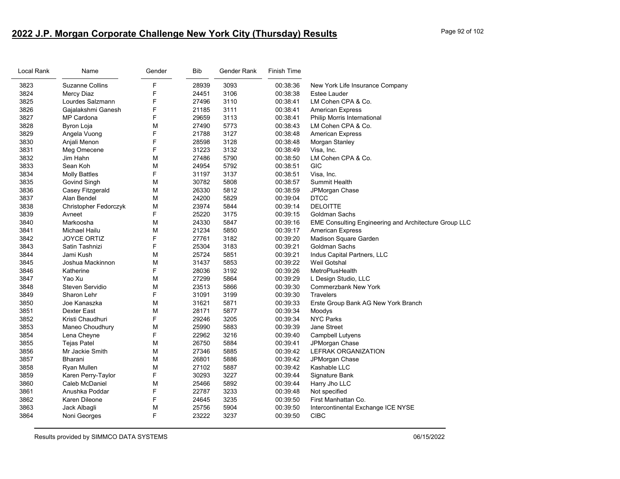# **2022 J.P. Morgan Corporate Challenge New York City (Thursday) Results** Page 92 of 102

| Local Rank | Name                   | Gender | <b>Bib</b> | Gender Rank | Finish Time |                                                              |
|------------|------------------------|--------|------------|-------------|-------------|--------------------------------------------------------------|
| 3823       | <b>Suzanne Collins</b> | F      | 28939      | 3093        | 00:38:36    | New York Life Insurance Company                              |
| 3824       | Mercy Diaz             | F      | 24451      | 3106        | 00:38:38    | Estee Lauder                                                 |
| 3825       | Lourdes Salzmann       | F      | 27496      | 3110        | 00:38:41    | LM Cohen CPA & Co.                                           |
| 3826       | Gajalakshmi Ganesh     | F      | 21185      | 3111        | 00:38:41    | <b>American Express</b>                                      |
| 3827       | MP Cardona             | F      | 29659      | 3113        | 00:38:41    | Philip Morris International                                  |
| 3828       | Byron Loja             | M      | 27490      | 5773        | 00:38:43    | LM Cohen CPA & Co.                                           |
| 3829       | Angela Vuong           | F      | 21788      | 3127        | 00:38:48    | <b>American Express</b>                                      |
| 3830       | Anjali Menon           | F      | 28598      | 3128        | 00:38:48    | Morgan Stanley                                               |
| 3831       | Meg Omecene            | F      | 31223      | 3132        | 00:38:49    | Visa, Inc.                                                   |
| 3832       | Jim Hahn               | M      | 27486      | 5790        | 00:38:50    | LM Cohen CPA & Co.                                           |
| 3833       | Sean Koh               | M      | 24954      | 5792        | 00:38:51    | GIC                                                          |
| 3834       | <b>Molly Battles</b>   | F      | 31197      | 3137        | 00:38:51    | Visa, Inc.                                                   |
| 3835       | Govind Singh           | M      | 30782      | 5808        | 00:38:57    | Summit Health                                                |
| 3836       | Casey Fitzgerald       | M      | 26330      | 5812        | 00:38:59    | JPMorgan Chase                                               |
| 3837       | Alan Bendel            | M      | 24200      | 5829        | 00:39:04    | <b>DTCC</b>                                                  |
| 3838       | Christopher Fedorczyk  | M      | 23974      | 5844        | 00:39:14    | <b>DELOITTE</b>                                              |
| 3839       | Avneet                 | F      | 25220      | 3175        | 00:39:15    | Goldman Sachs                                                |
| 3840       | Markoosha              | M      | 24330      | 5847        | 00:39:16    | <b>EME Consulting Engineering and Architecture Group LLC</b> |
| 3841       | Michael Hailu          | M      | 21234      | 5850        | 00:39:17    | <b>American Express</b>                                      |
| 3842       | <b>JOYCE ORTIZ</b>     | F      | 27761      | 3182        | 00:39:20    | Madison Square Garden                                        |
| 3843       | Satin Tashnizi         | F      | 25304      | 3183        | 00:39:21    | Goldman Sachs                                                |
| 3844       | Jami Kush              | M      | 25724      | 5851        | 00:39:21    | Indus Capital Partners, LLC                                  |
| 3845       | Joshua Mackinnon       | M      | 31437      | 5853        | 00:39:22    | Weil Gotshal                                                 |
| 3846       | Katherine              | F      | 28036      | 3192        | 00:39:26    | MetroPlusHealth                                              |
| 3847       | Yao Xu                 | M      | 27299      | 5864        | 00:39:29    | L Design Studio, LLC                                         |
| 3848       | Steven Servidio        | M      | 23513      | 5866        | 00:39:30    | Commerzbank New York                                         |
| 3849       | Sharon Lehr            | F      | 31091      | 3199        | 00:39:30    | <b>Travelers</b>                                             |
| 3850       | Joe Kanaszka           | M      | 31621      | 5871        | 00:39:33    | Erste Group Bank AG New York Branch                          |
| 3851       | <b>Dexter East</b>     | M      | 28171      | 5877        | 00:39:34    | Moodys                                                       |
| 3852       | Kristi Chaudhuri       | F      | 29246      | 3205        | 00:39:34    | <b>NYC Parks</b>                                             |
| 3853       | Maneo Choudhury        | M      | 25990      | 5883        | 00:39:39    | Jane Street                                                  |
| 3854       | Lena Cheyne            | F      | 22962      | 3216        | 00:39:40    | Campbell Lutyens                                             |
| 3855       | <b>Tejas Patel</b>     | M      | 26750      | 5884        | 00:39:41    | JPMorgan Chase                                               |
| 3856       | Mr Jackie Smith        | M      | 27346      | 5885        | 00:39:42    | LEFRAK ORGANIZATION                                          |
| 3857       | Bharani                | M      | 26801      | 5886        | 00:39:42    | JPMorgan Chase                                               |
| 3858       | Ryan Mullen            | M      | 27102      | 5887        | 00:39:42    | Kashable LLC                                                 |
| 3859       | Karen Perry-Taylor     | F      | 30293      | 3227        | 00:39:44    | Signature Bank                                               |
| 3860       | Caleb McDaniel         | M      | 25466      | 5892        | 00:39:44    | Harry Jho LLC                                                |
| 3861       | Anushka Poddar         | F      | 22787      | 3233        | 00:39:48    | Not specified                                                |
| 3862       | Karen Dileone          | F      | 24645      | 3235        | 00:39:50    | First Manhattan Co.                                          |
| 3863       | Jack Albagli           | M      | 25756      | 5904        | 00:39:50    | Intercontinental Exchange ICE NYSE                           |
| 3864       | Noni Georges           | F      | 23222      | 3237        | 00:39:50    | <b>CIBC</b>                                                  |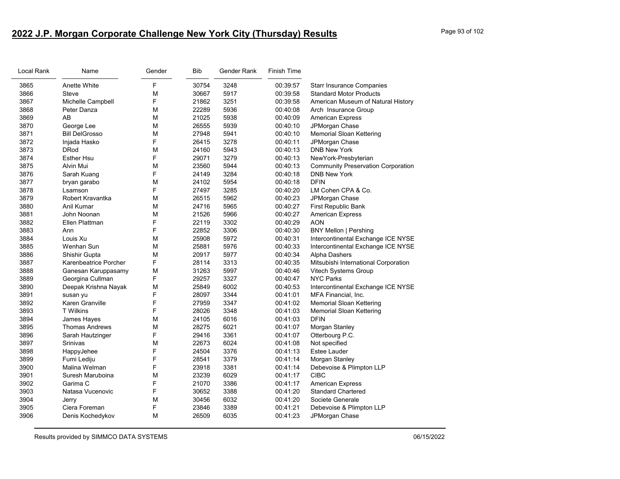# **2022 J.P. Morgan Corporate Challenge New York City (Thursday) Results** Page 93 of 102

| Local Rank | Name                  | Gender | <b>Bib</b> | Gender Rank | <b>Finish Time</b> |                                           |
|------------|-----------------------|--------|------------|-------------|--------------------|-------------------------------------------|
| 3865       | Anette White          | F      | 30754      | 3248        | 00:39:57           | <b>Starr Insurance Companies</b>          |
| 3866       | <b>Steve</b>          | М      | 30667      | 5917        | 00:39:58           | <b>Standard Motor Products</b>            |
| 3867       | Michelle Campbell     | F      | 21862      | 3251        | 00:39:58           | American Museum of Natural History        |
| 3868       | Peter Danza           | M      | 22289      | 5936        | 00:40:08           | Arch Insurance Group                      |
| 3869       | AB                    | M      | 21025      | 5938        | 00:40:09           | <b>American Express</b>                   |
| 3870       | George Lee            | M      | 26555      | 5939        | 00:40:10           | JPMorgan Chase                            |
| 3871       | <b>Bill DelGrosso</b> | M      | 27948      | 5941        | 00:40:10           | <b>Memorial Sloan Kettering</b>           |
| 3872       | Injada Hasko          | F      | 26415      | 3278        | 00:40:11           | JPMorgan Chase                            |
| 3873       | <b>DRod</b>           | M      | 24160      | 5943        | 00:40:13           | <b>DNB New York</b>                       |
| 3874       | <b>Esther Hsu</b>     | F      | 29071      | 3279        | 00:40:13           | NewYork-Presbyterian                      |
| 3875       | Alvin Mui             | М      | 23560      | 5944        | 00:40:13           | <b>Community Preservation Corporation</b> |
| 3876       | Sarah Kuang           | F      | 24149      | 3284        | 00:40:18           | <b>DNB New York</b>                       |
| 3877       | bryan garabo          | M      | 24102      | 5954        | 00:40:18           | <b>DFIN</b>                               |
| 3878       | Lsamson               | F      | 27497      | 3285        | 00:40:20           | LM Cohen CPA & Co.                        |
| 3879       | Robert Kravantka      | M      | 26515      | 5962        | 00:40:23           | JPMorgan Chase                            |
| 3880       | Anil Kumar            | M      | 24716      | 5965        | 00:40:27           | First Republic Bank                       |
| 3881       | John Noonan           | M      | 21526      | 5966        | 00:40:27           | <b>American Express</b>                   |
| 3882       | Ellen Plattman        | F      | 22119      | 3302        | 00:40:29           | <b>AON</b>                                |
| 3883       | Ann                   | F      | 22852      | 3306        | 00:40:30           | <b>BNY Mellon   Pershing</b>              |
| 3884       | Louis Xu              | M      | 25908      | 5972        | 00:40:31           | Intercontinental Exchange ICE NYSE        |
| 3885       | Wenhan Sun            | M      | 25881      | 5976        | 00:40:33           | Intercontinental Exchange ICE NYSE        |
| 3886       | Shishir Gupta         | M      | 20917      | 5977        | 00:40:34           | Alpha Dashers                             |
| 3887       | Karenbeatrice Porcher | F      | 28114      | 3313        | 00:40:35           | Mitsubishi International Corporation      |
| 3888       | Ganesan Karuppasamy   | M      | 31263      | 5997        | 00:40:46           | Vitech Systems Group                      |
| 3889       | Georgina Cullman      | F      | 29257      | 3327        | 00:40:47           | <b>NYC Parks</b>                          |
| 3890       | Deepak Krishna Nayak  | M      | 25849      | 6002        | 00:40:53           | Intercontinental Exchange ICE NYSE        |
| 3891       | susan yu              | F      | 28097      | 3344        | 00:41:01           | MFA Financial, Inc.                       |
| 3892       | Karen Granville       | F      | 27959      | 3347        | 00:41:02           | <b>Memorial Sloan Kettering</b>           |
| 3893       | <b>T</b> Wilkins      | F      | 28026      | 3348        | 00:41:03           | <b>Memorial Sloan Kettering</b>           |
| 3894       | James Hayes           | М      | 24105      | 6016        | 00:41:03           | <b>DFIN</b>                               |
| 3895       | <b>Thomas Andrews</b> | M      | 28275      | 6021        | 00:41:07           | Morgan Stanley                            |
| 3896       | Sarah Hautzinger      | F      | 29416      | 3361        | 00:41:07           | Otterbourg P.C.                           |
| 3897       | Srinivas              | М      | 22673      | 6024        | 00:41:08           | Not specified                             |
| 3898       | HappyJehee            | F      | 24504      | 3376        | 00:41:13           | <b>Estee Lauder</b>                       |
| 3899       | Fumi Lediju           | F      | 28541      | 3379        | 00:41:14           | Morgan Stanley                            |
| 3900       | Malina Welman         | F      | 23918      | 3381        | 00:41:14           | Debevoise & Plimpton LLP                  |
| 3901       | Suresh Maruboina      | M      | 23239      | 6029        | 00:41:17           | <b>CIBC</b>                               |
| 3902       | Garima C              | F      | 21070      | 3386        | 00:41:17           | <b>American Express</b>                   |
| 3903       | Natasa Vucenovic      | F      | 30652      | 3388        | 00:41:20           | <b>Standard Chartered</b>                 |
| 3904       | Jerry                 | M      | 30456      | 6032        | 00:41:20           | Societe Generale                          |
| 3905       | Ciera Foreman         | F      | 23846      | 3389        | 00:41:21           | Debevoise & Plimpton LLP                  |
| 3906       | Denis Kochedykov      | M      | 26509      | 6035        | 00:41:23           | JPMorgan Chase                            |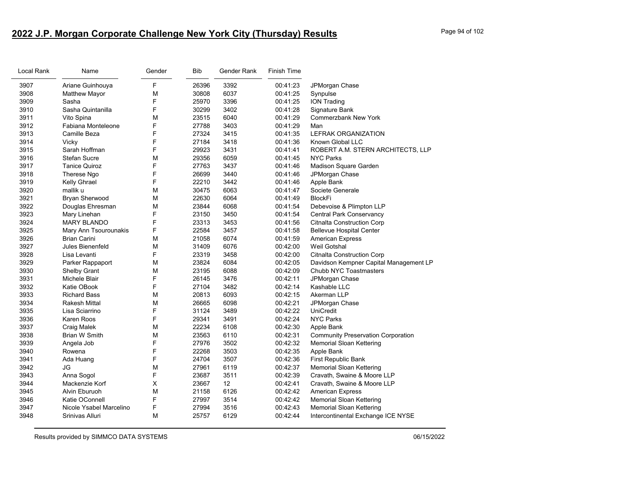# **2022 J.P. Morgan Corporate Challenge New York City (Thursday) Results** Page 94 of 102

| Local Rank | Name                    | Gender         | <b>Bib</b> | Gender Rank | <b>Finish Time</b> |                                           |
|------------|-------------------------|----------------|------------|-------------|--------------------|-------------------------------------------|
| 3907       | Ariane Guinhouya        | F              | 26396      | 3392        | 00:41:23           | JPMorgan Chase                            |
| 3908       | <b>Matthew Mayor</b>    | M              | 30808      | 6037        | 00:41:25           | Synpulse                                  |
| 3909       | Sasha                   | F              | 25970      | 3396        | 00:41:25           | <b>ION Trading</b>                        |
| 3910       | Sasha Quintanilla       | F              | 30299      | 3402        | 00:41:28           | Signature Bank                            |
| 3911       | Vito Spina              | M              | 23515      | 6040        | 00:41:29           | <b>Commerzbank New York</b>               |
| 3912       | Fabiana Monteleone      | F              | 27788      | 3403        | 00:41:29           | Man                                       |
| 3913       | Camille Beza            | F              | 27324      | 3415        | 00:41:35           | <b>LEFRAK ORGANIZATION</b>                |
| 3914       | Vicky                   | F              | 27184      | 3418        | 00:41:36           | Known Global LLC                          |
| 3915       | Sarah Hoffman           | F              | 29923      | 3431        | 00:41:41           | ROBERT A.M. STERN ARCHITECTS, LLP         |
| 3916       | <b>Stefan Sucre</b>     | M              | 29356      | 6059        | 00:41:45           | <b>NYC Parks</b>                          |
| 3917       | <b>Tanice Quiroz</b>    | F              | 27763      | 3437        | 00:41:46           | Madison Square Garden                     |
| 3918       | Therese Ngo             | F              | 26699      | 3440        | 00:41:46           | JPMorgan Chase                            |
| 3919       | Kelly Ghrael            | F              | 22210      | 3442        | 00:41:46           | Apple Bank                                |
| 3920       | mallik u                | M              | 30475      | 6063        | 00:41:47           | Societe Generale                          |
| 3921       | Bryan Sherwood          | M              | 22630      | 6064        | 00:41:49           | <b>BlockFi</b>                            |
| 3922       | Douglas Ehresman        | M              | 23844      | 6068        | 00:41:54           | Debevoise & Plimpton LLP                  |
| 3923       | Mary Linehan            | F              | 23150      | 3450        | 00:41:54           | <b>Central Park Conservancy</b>           |
| 3924       | <b>MARY BLANDO</b>      | F              | 23313      | 3453        | 00:41:56           | <b>Citnalta Construction Corp</b>         |
| 3925       | Mary Ann Tsourounakis   | F              | 22584      | 3457        | 00:41:58           | <b>Bellevue Hospital Center</b>           |
| 3926       | <b>Brian Carini</b>     | M              | 21058      | 6074        | 00:41:59           | <b>American Express</b>                   |
| 3927       | Jules Bienenfeld        | M              | 31409      | 6076        | 00:42:00           | <b>Weil Gotshal</b>                       |
| 3928       | Lisa Levanti            | F              | 23319      | 3458        | 00:42:00           | <b>Citnalta Construction Corp</b>         |
| 3929       | Parker Rappaport        | M              | 23824      | 6084        | 00:42:05           | Davidson Kempner Capital Management LP    |
| 3930       | <b>Shelby Grant</b>     | M              | 23195      | 6088        | 00:42:09           | Chubb NYC Toastmasters                    |
| 3931       | Michele Blair           | F              | 26145      | 3476        | 00:42:11           | JPMorgan Chase                            |
| 3932       | Katie OBook             | F              | 27104      | 3482        | 00:42:14           | Kashable LLC                              |
| 3933       | <b>Richard Bass</b>     | M              | 20813      | 6093        | 00:42:15           | Akerman LLP                               |
| 3934       | <b>Rakesh Mittal</b>    | M              | 26665      | 6098        | 00:42:21           | JPMorgan Chase                            |
| 3935       | Lisa Sciarrino          | F              | 31124      | 3489        | 00:42:22           | <b>UniCredit</b>                          |
| 3936       | Karen Roos              | F              | 29341      | 3491        | 00:42:24           | <b>NYC Parks</b>                          |
| 3937       | Craig Malek             | M              | 22234      | 6108        | 00:42:30           | Apple Bank                                |
| 3938       | Brian W Smith           | M              | 23563      | 6110        | 00:42:31           | <b>Community Preservation Corporation</b> |
| 3939       | Angela Job              | F              | 27976      | 3502        | 00:42:32           | <b>Memorial Sloan Kettering</b>           |
| 3940       | Rowena                  | F              | 22268      | 3503        | 00:42:35           | Apple Bank                                |
| 3941       | Ada Huang               | F              | 24704      | 3507        | 00:42:36           | First Republic Bank                       |
| 3942       | JG                      | M              | 27961      | 6119        | 00:42:37           | <b>Memorial Sloan Kettering</b>           |
| 3943       | Anna Sogol              | F              | 23687      | 3511        | 00:42:39           | Cravath, Swaine & Moore LLP               |
| 3944       | Mackenzie Korf          | $\pmb{\times}$ | 23667      | 12          | 00:42:41           | Cravath, Swaine & Moore LLP               |
| 3945       | Alvin Eburuoh           | M              | 21158      | 6126        | 00:42:42           | <b>American Express</b>                   |
| 3946       | Katie OConnell          | F              | 27997      | 3514        | 00:42:42           | <b>Memorial Sloan Kettering</b>           |
| 3947       | Nicole Ysabel Marcelino | F              | 27994      | 3516        | 00:42:43           | <b>Memorial Sloan Kettering</b>           |
| 3948       | Srinivas Alluri         | M              | 25757      | 6129        | 00:42:44           | Intercontinental Exchange ICE NYSE        |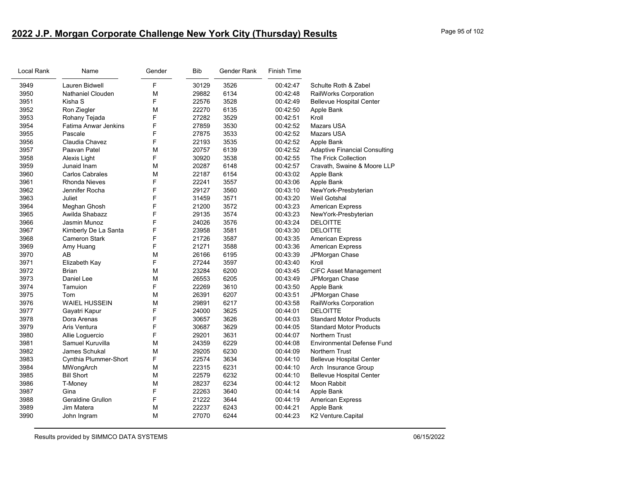# **2022 J.P. Morgan Corporate Challenge New York City (Thursday) Results** Page 95 of 102

| Local Rank | Name                        | Gender | <b>Bib</b> | Gender Rank | <b>Finish Time</b> |                                      |
|------------|-----------------------------|--------|------------|-------------|--------------------|--------------------------------------|
| 3949       | Lauren Bidwell              | F      | 30129      | 3526        | 00:42:47           | Schulte Roth & Zabel                 |
| 3950       | Nathaniel Clouden           | М      | 29882      | 6134        | 00:42:48           | RailWorks Corporation                |
| 3951       | Kisha S                     | F      | 22576      | 3528        | 00:42:49           | <b>Bellevue Hospital Center</b>      |
| 3952       | Ron Ziegler                 | M      | 22270      | 6135        | 00:42:50           | Apple Bank                           |
| 3953       | Rohany Tejada               | F      | 27282      | 3529        | 00:42:51           | Kroll                                |
| 3954       | <b>Fatima Anwar Jenkins</b> | F      | 27859      | 3530        | 00:42:52           | <b>Mazars USA</b>                    |
| 3955       | Pascale                     | F      | 27875      | 3533        | 00:42:52           | <b>Mazars USA</b>                    |
| 3956       | Claudia Chavez              | F      | 22193      | 3535        | 00:42:52           | Apple Bank                           |
| 3957       | Paavan Patel                | M      | 20757      | 6139        | 00:42:52           | <b>Adaptive Financial Consulting</b> |
| 3958       | Alexis Light                | F      | 30920      | 3538        | 00:42:55           | The Frick Collection                 |
| 3959       | Junaid Inam                 | M      | 20287      | 6148        | 00:42:57           | Cravath, Swaine & Moore LLP          |
| 3960       | <b>Carlos Cabrales</b>      | M      | 22187      | 6154        | 00:43:02           | Apple Bank                           |
| 3961       | <b>Rhonda Nieves</b>        | F      | 22241      | 3557        | 00:43:06           | Apple Bank                           |
| 3962       | Jennifer Rocha              | F      | 29127      | 3560        | 00:43:10           | NewYork-Presbyterian                 |
| 3963       | Juliet                      | F      | 31459      | 3571        | 00:43:20           | Weil Gotshal                         |
| 3964       | Meghan Ghosh                | F      | 21200      | 3572        | 00:43:23           | <b>American Express</b>              |
| 3965       | Awilda Shabazz              | F      | 29135      | 3574        | 00:43:23           | NewYork-Presbyterian                 |
| 3966       | Jasmin Munoz                | F      | 24026      | 3576        | 00:43:24           | <b>DELOITTE</b>                      |
| 3967       | Kimberly De La Santa        | F      | 23958      | 3581        | 00:43:30           | <b>DELOITTE</b>                      |
| 3968       | <b>Cameron Stark</b>        | F      | 21726      | 3587        | 00:43:35           | <b>American Express</b>              |
| 3969       | Amy Huang                   | F      | 21271      | 3588        | 00:43:36           | <b>American Express</b>              |
| 3970       | AB                          | M      | 26166      | 6195        | 00:43:39           | JPMorgan Chase                       |
| 3971       | Elizabeth Kay               | F      | 27244      | 3597        | 00:43:40           | Kroll                                |
| 3972       | <b>Brian</b>                | M      | 23284      | 6200        | 00:43:45           | <b>CIFC Asset Management</b>         |
| 3973       | Daniel Lee                  | M      | 26553      | 6205        | 00:43:49           | JPMorgan Chase                       |
| 3974       | Tamuion                     | F      | 22269      | 3610        | 00:43:50           | Apple Bank                           |
| 3975       | Tom                         | M      | 26391      | 6207        | 00:43:51           | JPMorgan Chase                       |
| 3976       | <b>WAIEL HUSSEIN</b>        | M      | 29891      | 6217        | 00:43:58           | RailWorks Corporation                |
| 3977       | Gayatri Kapur               | F      | 24000      | 3625        | 00:44:01           | <b>DELOITTE</b>                      |
| 3978       | Dora Arenas                 | F      | 30657      | 3626        | 00:44:03           | <b>Standard Motor Products</b>       |
| 3979       | Aris Ventura                | F      | 30687      | 3629        | 00:44:05           | <b>Standard Motor Products</b>       |
| 3980       | Allie Loquercio             | F      | 29201      | 3631        | 00:44:07           | <b>Northern Trust</b>                |
| 3981       | Samuel Kuruvilla            | M      | 24359      | 6229        | 00:44:08           | <b>Environmental Defense Fund</b>    |
| 3982       | James Schukal               | M      | 29205      | 6230        | 00:44:09           | <b>Northern Trust</b>                |
| 3983       | Cynthia Plummer-Short       | F      | 22574      | 3634        | 00:44:10           | <b>Bellevue Hospital Center</b>      |
| 3984       | MWongArch                   | M      | 22315      | 6231        | 00:44:10           | Arch Insurance Group                 |
| 3985       | <b>Bill Short</b>           | M      | 22579      | 6232        | 00:44:10           | <b>Bellevue Hospital Center</b>      |
| 3986       | T-Money                     | M      | 28237      | 6234        | 00:44:12           | Moon Rabbit                          |
| 3987       | Gina                        | F      | 22263      | 3640        | 00:44:14           | Apple Bank                           |
| 3988       | Geraldine Grullon           | F      | 21222      | 3644        | 00:44:19           | American Express                     |
| 3989       | Jim Matera                  | М      | 22237      | 6243        | 00:44:21           | Apple Bank                           |
| 3990       | John Ingram                 | M      | 27070      | 6244        | 00:44:23           | K2 Venture.Capital                   |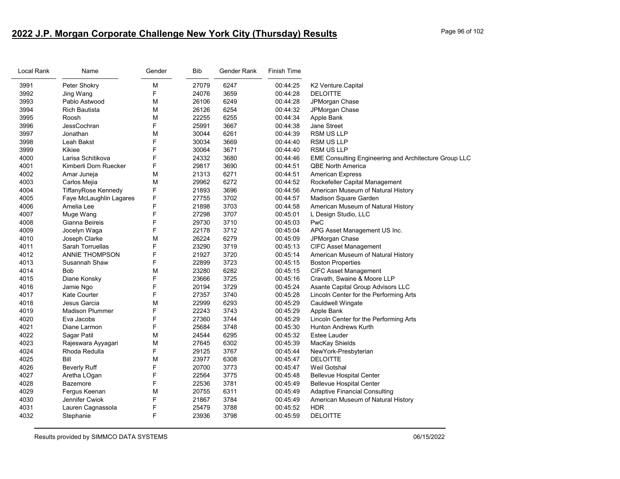# **2022 J.P. Morgan Corporate Challenge New York City (Thursday) Results** Page 96 of 102

| Local Rank | Name                    | Gender | <b>Bib</b> | Gender Rank | Finish Time |                                                              |
|------------|-------------------------|--------|------------|-------------|-------------|--------------------------------------------------------------|
| 3991       | Peter Shokry            | M      | 27079      | 6247        | 00:44:25    | K2 Venture.Capital                                           |
| 3992       | Jing Wang               | F      | 24076      | 3659        | 00:44:28    | <b>DELOITTE</b>                                              |
| 3993       | Pablo Astwood           | M      | 26106      | 6249        | 00:44:28    | JPMorgan Chase                                               |
| 3994       | <b>Rich Bautista</b>    | M      | 26126      | 6254        | 00:44:32    | JPMorgan Chase                                               |
| 3995       | Roosh                   | M      | 22255      | 6255        | 00:44:34    | Apple Bank                                                   |
| 3996       | JessCochran             | F      | 25991      | 3667        | 00:44:38    | Jane Street                                                  |
| 3997       | Jonathan                | M      | 30044      | 6261        | 00:44:39    | <b>RSM US LLP</b>                                            |
| 3998       | Leah Bakst              | F      | 30034      | 3669        | 00:44:40    | <b>RSM US LLP</b>                                            |
| 3999       | Kikiee                  | F      | 30064      | 3671        | 00:44:40    | <b>RSM US LLP</b>                                            |
| 4000       | Larisa Schitikova       | F      | 24332      | 3680        | 00:44:46    | <b>EME Consulting Engineering and Architecture Group LLC</b> |
| 4001       | Kimberli Dorn Ruecker   | F      | 29817      | 3690        | 00:44:51    | <b>QBE North America</b>                                     |
| 4002       | Amar Juneja             | M      | 21313      | 6271        | 00:44:51    | <b>American Express</b>                                      |
| 4003       | Carlos Mejia            | M      | 29962      | 6272        | 00:44:52    | Rockefeller Capital Management                               |
| 4004       | TiffanyRose Kennedy     | F      | 21893      | 3696        | 00:44:56    | American Museum of Natural History                           |
| 4005       | Faye McLaughlin Lagares | F      | 27755      | 3702        | 00:44:57    | Madison Square Garden                                        |
| 4006       | Amelia Lee              | F      | 21898      | 3703        | 00:44:58    | American Museum of Natural History                           |
| 4007       | Muge Wang               | F      | 27298      | 3707        | 00:45:01    | L Design Studio, LLC                                         |
| 4008       | Gianna Beireis          | F      | 29730      | 3710        | 00:45:03    | PwC                                                          |
| 4009       | Jocelyn Waga            | F      | 22178      | 3712        | 00:45:04    | APG Asset Management US Inc.                                 |
| 4010       | Joseph Clarke           | M      | 26224      | 6279        | 00:45:09    | JPMorgan Chase                                               |
| 4011       | Sarah Torruellas        | F      | 23290      | 3719        | 00:45:13    | <b>CIFC Asset Management</b>                                 |
| 4012       | <b>ANNIE THOMPSON</b>   | F      | 21927      | 3720        | 00:45:14    | American Museum of Natural History                           |
| 4013       | Susannah Shaw           | F      | 22899      | 3723        | 00:45:15    | <b>Boston Properties</b>                                     |
| 4014       | Bob                     | М      | 23280      | 6282        | 00:45:15    | <b>CIFC Asset Management</b>                                 |
| 4015       | Diane Konsky            | F      | 23666      | 3725        | 00:45:16    | Cravath, Swaine & Moore LLP                                  |
| 4016       | Jamie Ngo               | F      | 20194      | 3729        | 00:45:24    | Asante Capital Group Advisors LLC                            |
| 4017       | Kate Courter            | F      | 27357      | 3740        | 00:45:28    | Lincoln Center for the Performing Arts                       |
| 4018       | Jesus Garcia            | M      | 22999      | 6293        | 00:45:29    | Cauldwell Wingate                                            |
| 4019       | <b>Madison Plummer</b>  | F      | 22243      | 3743        | 00:45:29    | Apple Bank                                                   |
| 4020       | Eva Jacobs              | F      | 27360      | 3744        | 00:45:29    | Lincoln Center for the Performing Arts                       |
| 4021       | Diane Larmon            | F      | 25684      | 3748        | 00:45:30    | <b>Hunton Andrews Kurth</b>                                  |
| 4022       | Sagar Patil             | M      | 24544      | 6295        | 00:45:32    | <b>Estee Lauder</b>                                          |
| 4023       | Rajeswara Ayyagari      | M      | 27645      | 6302        | 00:45:39    | MacKay Shields                                               |
| 4024       | Rhoda Redulla           | F      | 29125      | 3767        | 00:45:44    | NewYork-Presbyterian                                         |
| 4025       | Bill                    | М      | 23977      | 6308        | 00:45:47    | <b>DELOITTE</b>                                              |
| 4026       | <b>Beverly Ruff</b>     | F      | 20700      | 3773        | 00:45:47    | Weil Gotshal                                                 |
| 4027       | Aretha LOgan            | F      | 22564      | 3775        | 00:45:48    | <b>Bellevue Hospital Center</b>                              |
| 4028       | Bazemore                | F      | 22536      | 3781        | 00:45:49    | <b>Bellevue Hospital Center</b>                              |
| 4029       | Fergus Keenan           | М      | 20755      | 6311        | 00:45:49    | <b>Adaptive Financial Consulting</b>                         |
| 4030       | Jennifer Cwiok          | F      | 21867      | 3784        | 00:45:49    | American Museum of Natural History                           |
| 4031       | Lauren Cagnassola       | F      | 25479      | 3788        | 00:45:52    | <b>HDR</b>                                                   |
| 4032       | Stephanie               | F      | 23936      | 3798        | 00:45:59    | <b>DELOITTE</b>                                              |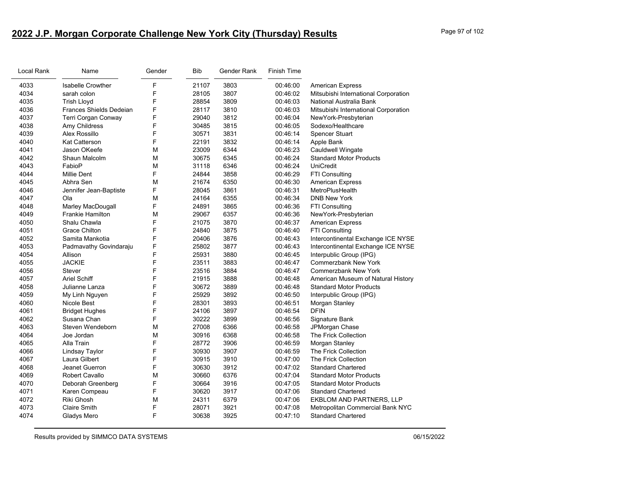# **2022 J.P. Morgan Corporate Challenge New York City (Thursday) Results** Page 97 of 102

| Local Rank | Name                     | Gender | <b>Bib</b> | Gender Rank | <b>Finish Time</b> |                                      |
|------------|--------------------------|--------|------------|-------------|--------------------|--------------------------------------|
| 4033       | <b>Isabelle Crowther</b> | F      | 21107      | 3803        | 00:46:00           | <b>American Express</b>              |
| 4034       | sarah colon              | F      | 28105      | 3807        | 00:46:02           | Mitsubishi International Corporation |
| 4035       | Trish Lloyd              | F      | 28854      | 3809        | 00:46:03           | National Australia Bank              |
| 4036       | Frances Shields Dedeian  | F      | 28117      | 3810        | 00:46:03           | Mitsubishi International Corporation |
| 4037       | Terri Corgan Conway      | F      | 29040      | 3812        | 00:46:04           | NewYork-Presbyterian                 |
| 4038       | Amy Childress            | F      | 30485      | 3815        | 00:46:05           | Sodexo/Healthcare                    |
| 4039       | Alex Rossillo            | F      | 30571      | 3831        | 00:46:14           | <b>Spencer Stuart</b>                |
| 4040       | <b>Kat Catterson</b>     | F      | 22191      | 3832        | 00:46:14           | Apple Bank                           |
| 4041       | Jason OKeefe             | М      | 23009      | 6344        | 00:46:23           | Cauldwell Wingate                    |
| 4042       | Shaun Malcolm            | М      | 30675      | 6345        | 00:46:24           | <b>Standard Motor Products</b>       |
| 4043       | FabioP                   | М      | 31118      | 6346        | 00:46:24           | <b>UniCredit</b>                     |
| 4044       | <b>Millie Dent</b>       | F      | 24844      | 3858        | 00:46:29           | FTI Consulting                       |
| 4045       | Abhra Sen                | М      | 21674      | 6350        | 00:46:30           | <b>American Express</b>              |
| 4046       | Jennifer Jean-Baptiste   | F      | 28045      | 3861        | 00:46:31           | MetroPlusHealth                      |
| 4047       | Ola                      | M      | 24164      | 6355        | 00:46:34           | <b>DNB New York</b>                  |
| 4048       | Marley MacDougall        | F      | 24891      | 3865        | 00:46:36           | FTI Consulting                       |
| 4049       | <b>Frankie Hamilton</b>  | М      | 29067      | 6357        | 00:46:36           | NewYork-Presbyterian                 |
| 4050       | Shalu Chawla             | F      | 21075      | 3870        | 00:46:37           | <b>American Express</b>              |
| 4051       | <b>Grace Chilton</b>     | F      | 24840      | 3875        | 00:46:40           | FTI Consulting                       |
| 4052       | Samita Mankotia          | F      | 20406      | 3876        | 00:46:43           | Intercontinental Exchange ICE NYSE   |
| 4053       | Padmavathy Govindaraju   | F      | 25802      | 3877        | 00:46:43           | Intercontinental Exchange ICE NYSE   |
| 4054       | Allison                  | F      | 25931      | 3880        | 00:46:45           | Interpublic Group (IPG)              |
| 4055       | <b>JACKIE</b>            | F      | 23511      | 3883        | 00:46:47           | <b>Commerzbank New York</b>          |
| 4056       | Stever                   | F      | 23516      | 3884        | 00:46:47           | <b>Commerzbank New York</b>          |
| 4057       | <b>Ariel Schiff</b>      | F      | 21915      | 3888        | 00:46:48           | American Museum of Natural History   |
| 4058       | Julianne Lanza           | F      | 30672      | 3889        | 00:46:48           | <b>Standard Motor Products</b>       |
| 4059       | My Linh Nguyen           | F      | 25929      | 3892        | 00:46:50           | Interpublic Group (IPG)              |
| 4060       | Nicole Best              | F      | 28301      | 3893        | 00:46:51           | Morgan Stanley                       |
| 4061       | <b>Bridget Hughes</b>    | F      | 24106      | 3897        | 00:46:54           | <b>DFIN</b>                          |
| 4062       | Susana Chan              | F      | 30222      | 3899        | 00:46:56           | Signature Bank                       |
| 4063       | Steven Wendeborn         | M      | 27008      | 6366        | 00:46:58           | JPMorgan Chase                       |
| 4064       | Joe Jordan               | M      | 30916      | 6368        | 00:46:58           | The Frick Collection                 |
| 4065       | Alla Train               | F      | 28772      | 3906        | 00:46:59           | Morgan Stanley                       |
| 4066       | Lindsay Taylor           | F      | 30930      | 3907        | 00:46:59           | The Frick Collection                 |
| 4067       | Laura Gilbert            | F      | 30915      | 3910        | 00:47:00           | The Frick Collection                 |
| 4068       | Jeanet Guerron           | F      | 30630      | 3912        | 00:47:02           | <b>Standard Chartered</b>            |
| 4069       | <b>Robert Cavallo</b>    | М      | 30660      | 6376        | 00:47:04           | <b>Standard Motor Products</b>       |
| 4070       | Deborah Greenberg        | F      | 30664      | 3916        | 00:47:05           | <b>Standard Motor Products</b>       |
| 4071       | Karen Compeau            | F      | 30620      | 3917        | 00:47:06           | <b>Standard Chartered</b>            |
| 4072       | Riki Ghosh               | М      | 24311      | 6379        | 00:47:06           | EKBLOM AND PARTNERS, LLP             |
| 4073       | Claire Smith             | F      | 28071      | 3921        | 00:47:08           | Metropolitan Commercial Bank NYC     |
| 4074       | Gladys Mero              | F      | 30638      | 3925        | 00:47:10           | <b>Standard Chartered</b>            |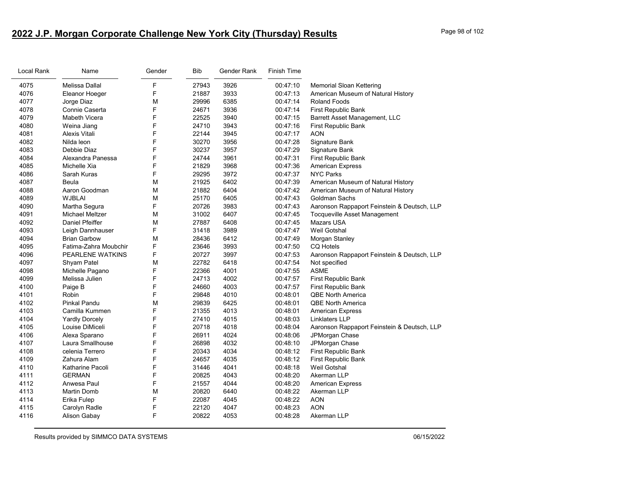# **2022 J.P. Morgan Corporate Challenge New York City (Thursday) Results** Page 98 of 102

| Local Rank | Name                  | Gender | <b>Bib</b> | Gender Rank | Finish Time |                                             |
|------------|-----------------------|--------|------------|-------------|-------------|---------------------------------------------|
| 4075       | Melissa Dallal        | F      | 27943      | 3926        | 00:47:10    | <b>Memorial Sloan Kettering</b>             |
| 4076       | Eleanor Hoeger        | F      | 21887      | 3933        | 00:47:13    | American Museum of Natural History          |
| 4077       | Jorge Diaz            | M      | 29996      | 6385        | 00:47:14    | <b>Roland Foods</b>                         |
| 4078       | Connie Caserta        | F      | 24671      | 3936        | 00:47:14    | First Republic Bank                         |
| 4079       | Mabeth Vicera         | F      | 22525      | 3940        | 00:47:15    | Barrett Asset Management, LLC               |
| 4080       | Weina Jiang           | F      | 24710      | 3943        | 00:47:16    | First Republic Bank                         |
| 4081       | Alexis Vitali         | F      | 22144      | 3945        | 00:47:17    | <b>AON</b>                                  |
| 4082       | Nilda leon            | F      | 30270      | 3956        | 00:47:28    | Signature Bank                              |
| 4083       | Debbie Diaz           | F      | 30237      | 3957        | 00:47:29    | Signature Bank                              |
| 4084       | Alexandra Panessa     | F      | 24744      | 3961        | 00:47:31    | First Republic Bank                         |
| 4085       | Michelle Xia          | F      | 21829      | 3968        | 00:47:36    | <b>American Express</b>                     |
| 4086       | Sarah Kuras           | F      | 29295      | 3972        | 00:47:37    | <b>NYC Parks</b>                            |
| 4087       | Beula                 | M      | 21925      | 6402        | 00:47:39    | American Museum of Natural History          |
| 4088       | Aaron Goodman         | M      | 21882      | 6404        | 00:47:42    | American Museum of Natural History          |
| 4089       | <b>WJBLAI</b>         | M      | 25170      | 6405        | 00:47:43    | Goldman Sachs                               |
| 4090       | Martha Segura         | F      | 20726      | 3983        | 00:47:43    | Aaronson Rappaport Feinstein & Deutsch, LLP |
| 4091       | Michael Meltzer       | M      | 31002      | 6407        | 00:47:45    | Tocqueville Asset Management                |
| 4092       | Daniel Pfeiffer       | M      | 27887      | 6408        | 00:47:45    | Mazars USA                                  |
| 4093       | Leigh Dannhauser      | F      | 31418      | 3989        | 00:47:47    | Weil Gotshal                                |
| 4094       | <b>Brian Garbow</b>   | M      | 28436      | 6412        | 00:47:49    | Morgan Stanley                              |
| 4095       | Fatima-Zahra Moubchir | F      | 23646      | 3993        | 00:47:50    | <b>CQ Hotels</b>                            |
| 4096       | PEARLENE WATKINS      | F      | 20727      | 3997        | 00:47:53    | Aaronson Rappaport Feinstein & Deutsch, LLP |
| 4097       | Shyam Patel           | M      | 22782      | 6418        | 00:47:54    | Not specified                               |
| 4098       | Michelle Pagano       | F      | 22366      | 4001        | 00:47:55    | <b>ASME</b>                                 |
| 4099       | Melissa Julien        | F      | 24713      | 4002        | 00:47:57    | First Republic Bank                         |
| 4100       | Paige B               | F      | 24660      | 4003        | 00:47:57    | First Republic Bank                         |
| 4101       | Robin                 | F      | 29848      | 4010        | 00:48:01    | <b>QBE North America</b>                    |
| 4102       | <b>Pinkal Pandu</b>   | M      | 29839      | 6425        | 00:48:01    | <b>QBE North America</b>                    |
| 4103       | Camilla Kummen        | F      | 21355      | 4013        | 00:48:01    | <b>American Express</b>                     |
| 4104       | <b>Yardly Dorcely</b> | F      | 27410      | 4015        | 00:48:03    | Linklaters LLP                              |
| 4105       | Louise DiMiceli       | F      | 20718      | 4018        | 00:48:04    | Aaronson Rappaport Feinstein & Deutsch, LLP |
| 4106       | Alexa Sparano         | F      | 26911      | 4024        | 00:48:06    | JPMorgan Chase                              |
| 4107       | Laura Smallhouse      | F      | 26898      | 4032        | 00:48:10    | JPMorgan Chase                              |
| 4108       | celenia Terrero       | F      | 20343      | 4034        | 00:48:12    | First Republic Bank                         |
| 4109       | Zahura Alam           | F      | 24657      | 4035        | 00:48:12    | First Republic Bank                         |
| 4110       | Katharine Pacoli      | F      | 31446      | 4041        | 00:48:18    | Weil Gotshal                                |
| 4111       | <b>GERMAN</b>         | F      | 20825      | 4043        | 00:48:20    | Akerman LLP                                 |
| 4112       | Anwesa Paul           | F      | 21557      | 4044        | 00:48:20    | <b>American Express</b>                     |
| 4113       | Martin Domb           | M      | 20820      | 6440        | 00:48:22    | Akerman LLP                                 |
| 4114       | Erika Fulep           | F      | 22087      | 4045        | 00:48:22    | <b>AON</b>                                  |
| 4115       | Carolyn Radle         | F      | 22120      | 4047        | 00:48:23    | <b>AON</b>                                  |
| 4116       | Alison Gabay          | F      | 20822      | 4053        | 00:48:28    | Akerman LLP                                 |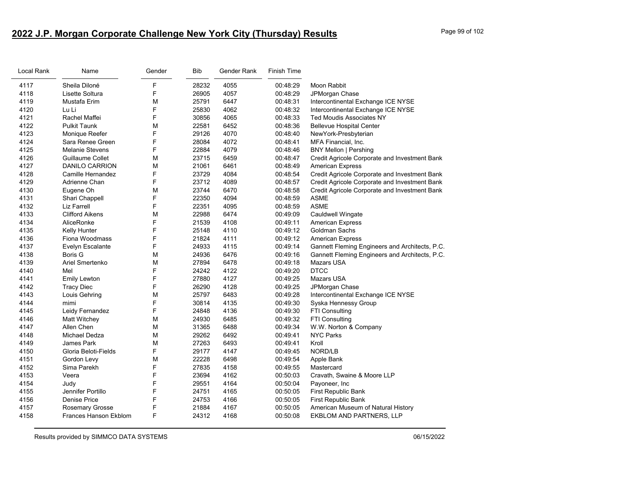# **2022 J.P. Morgan Corporate Challenge New York City (Thursday) Results** Page 99 of 102

| Local Rank | Name                   | Gender | <b>Bib</b> | Gender Rank | <b>Finish Time</b> |                                                |
|------------|------------------------|--------|------------|-------------|--------------------|------------------------------------------------|
| 4117       | Sheila Diloné          | F      | 28232      | 4055        | 00:48:29           | Moon Rabbit                                    |
| 4118       | Lisette Soltura        | F      | 26905      | 4057        | 00:48:29           | JPMorgan Chase                                 |
| 4119       | Mustafa Erim           | М      | 25791      | 6447        | 00:48:31           | Intercontinental Exchange ICE NYSE             |
| 4120       | Lu Li                  | F      | 25830      | 4062        | 00:48:32           | Intercontinental Exchange ICE NYSE             |
| 4121       | Rachel Maffei          | F      | 30856      | 4065        | 00:48:33           | <b>Ted Moudis Associates NY</b>                |
| 4122       | <b>Pulkit Taunk</b>    | M      | 22581      | 6452        | 00:48:36           | <b>Bellevue Hospital Center</b>                |
| 4123       | Monique Reefer         | F      | 29126      | 4070        | 00:48:40           | NewYork-Presbyterian                           |
| 4124       | Sara Renee Green       | F      | 28084      | 4072        | 00:48:41           | MFA Financial, Inc.                            |
| 4125       | <b>Melanie Stevens</b> | F      | 22884      | 4079        | 00:48:46           | <b>BNY Mellon   Pershing</b>                   |
| 4126       | Guillaume Collet       | М      | 23715      | 6459        | 00:48:47           | Credit Agricole Corporate and Investment Bank  |
| 4127       | DANILO CARRION         | M      | 21061      | 6461        | 00:48:49           | <b>American Express</b>                        |
| 4128       | Camille Hernandez      | F      | 23729      | 4084        | 00:48:54           | Credit Agricole Corporate and Investment Bank  |
| 4129       | Adrienne Chan          | F      | 23712      | 4089        | 00:48:57           | Credit Agricole Corporate and Investment Bank  |
| 4130       | Eugene Oh              | М      | 23744      | 6470        | 00:48:58           | Credit Agricole Corporate and Investment Bank  |
| 4131       | Shari Chappell         | F      | 22350      | 4094        | 00:48:59           | ASME                                           |
| 4132       | Liz Farrell            | F      | 22351      | 4095        | 00:48:59           | <b>ASME</b>                                    |
| 4133       | <b>Clifford Aikens</b> | M      | 22988      | 6474        | 00:49:09           | Cauldwell Wingate                              |
| 4134       | AliceRonke             | F      | 21539      | 4108        | 00:49:11           | <b>American Express</b>                        |
| 4135       | Kelly Hunter           | F      | 25148      | 4110        | 00:49:12           | Goldman Sachs                                  |
| 4136       | Fiona Woodmass         | F      | 21824      | 4111        | 00:49:12           | <b>American Express</b>                        |
| 4137       | Evelyn Escalante       | F      | 24933      | 4115        | 00:49:14           | Gannett Fleming Engineers and Architects, P.C. |
| 4138       | <b>Boris G</b>         | М      | 24936      | 6476        | 00:49:16           | Gannett Fleming Engineers and Architects, P.C. |
| 4139       | Ariel Smertenko        | M      | 27894      | 6478        | 00:49:18           | Mazars USA                                     |
| 4140       | Mel                    | F      | 24242      | 4122        | 00:49:20           | <b>DTCC</b>                                    |
| 4141       | <b>Emily Lewton</b>    | F      | 27880      | 4127        | 00:49:25           | Mazars USA                                     |
| 4142       | <b>Tracy Diec</b>      | F      | 26290      | 4128        | 00:49:25           | JPMorgan Chase                                 |
| 4143       | Louis Gehring          | M      | 25797      | 6483        | 00:49:28           | Intercontinental Exchange ICE NYSE             |
| 4144       | mimi                   | F      | 30814      | 4135        | 00:49:30           | Syska Hennessy Group                           |
| 4145       | Leidy Fernandez        | F      | 24848      | 4136        | 00:49:30           | <b>FTI Consulting</b>                          |
| 4146       | Matt Witchey           | М      | 24930      | 6485        | 00:49:32           | <b>FTI Consulting</b>                          |
| 4147       | Allen Chen             | М      | 31365      | 6488        | 00:49:34           | W.W. Norton & Company                          |
| 4148       | Michael Dedza          | М      | 29262      | 6492        | 00:49:41           | <b>NYC Parks</b>                               |
| 4149       | <b>James Park</b>      | М      | 27263      | 6493        | 00:49:41           | Kroll                                          |
| 4150       | Gloria Beloti-Fields   | F      | 29177      | 4147        | 00:49:45           | NORD/LB                                        |
| 4151       | Gordon Levy            | М      | 22228      | 6498        | 00:49:54           | Apple Bank                                     |
| 4152       | Sima Parekh            | F      | 27835      | 4158        | 00:49:55           | Mastercard                                     |
| 4153       | Veera                  | F      | 23694      | 4162        | 00:50:03           | Cravath, Swaine & Moore LLP                    |
| 4154       | Judy                   | F      | 29551      | 4164        | 00:50:04           | Payoneer, Inc                                  |
| 4155       | Jennifer Portillo      | F      | 24751      | 4165        | 00:50:05           | First Republic Bank                            |
| 4156       | <b>Denise Price</b>    | F      | 24753      | 4166        | 00:50:05           | First Republic Bank                            |
| 4157       | <b>Rosemary Grosse</b> | F      | 21884      | 4167        | 00:50:05           | American Museum of Natural History             |
| 4158       | Frances Hanson Ekblom  | F      | 24312      | 4168        | 00:50:08           | <b>EKBLOM AND PARTNERS, LLP</b>                |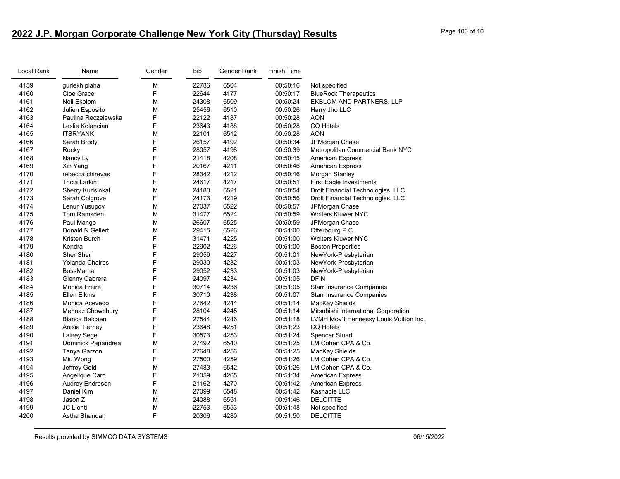# **2022 J.P. Morgan Corporate Challenge New York City (Thursday) Results** Page 100 of 10

| Local Rank | Name                   | Gender | Bib   | Gender Rank | <b>Finish Time</b> |                                        |
|------------|------------------------|--------|-------|-------------|--------------------|----------------------------------------|
| 4159       | gurlekh plaha          | М      | 22786 | 6504        | 00:50:16           | Not specified                          |
| 4160       | Cloe Grace             | F      | 22644 | 4177        | 00:50:17           | <b>BlueRock Therapeutics</b>           |
| 4161       | Neil Ekblom            | М      | 24308 | 6509        | 00:50:24           | EKBLOM AND PARTNERS, LLP               |
| 4162       | Julien Esposito        | М      | 25456 | 6510        | 00:50:26           | Harry Jho LLC                          |
| 4163       | Paulina Reczelewska    | F      | 22122 | 4187        | 00:50:28           | <b>AON</b>                             |
| 4164       | Leslie Kolancian       | F      | 23643 | 4188        | 00:50:28           | <b>CQ Hotels</b>                       |
| 4165       | <b>ITSRYANK</b>        | M      | 22101 | 6512        | 00:50:28           | <b>AON</b>                             |
| 4166       | Sarah Brody            | F      | 26157 | 4192        | 00:50:34           | JPMorgan Chase                         |
| 4167       | Rocky                  | F      | 28057 | 4198        | 00:50:39           | Metropolitan Commercial Bank NYC       |
| 4168       | Nancy Ly               | F      | 21418 | 4208        | 00:50:45           | <b>American Express</b>                |
| 4169       | Xin Yang               | F      | 20167 | 4211        | 00:50:46           | <b>American Express</b>                |
| 4170       | rebecca chirevas       | F      | 28342 | 4212        | 00:50:46           | Morgan Stanley                         |
| 4171       | <b>Tricia Larkin</b>   | F      | 24617 | 4217        | 00:50:51           | First Eagle Investments                |
| 4172       | Sherry Kurisinkal      | M      | 24180 | 6521        | 00:50:54           | Droit Financial Technologies, LLC      |
| 4173       | Sarah Colgrove         | F      | 24173 | 4219        | 00:50:56           | Droit Financial Technologies, LLC      |
| 4174       | Lenur Yusupov          | М      | 27037 | 6522        | 00:50:57           | JPMorgan Chase                         |
| 4175       | Tom Ramsden            | М      | 31477 | 6524        | 00:50:59           | <b>Wolters Kluwer NYC</b>              |
| 4176       | Paul Mango             | M      | 26607 | 6525        | 00:50:59           | JPMorgan Chase                         |
| 4177       | Donald N Gellert       | М      | 29415 | 6526        | 00:51:00           | Otterbourg P.C.                        |
| 4178       | Kristen Burch          | F      | 31471 | 4225        | 00:51:00           | <b>Wolters Kluwer NYC</b>              |
| 4179       | Kendra                 | F      | 22902 | 4226        | 00:51:00           | <b>Boston Properties</b>               |
| 4180       | Sher Sher              | F      | 29059 | 4227        | 00:51:01           | NewYork-Presbyterian                   |
| 4181       | <b>Yolanda Chaires</b> | F      | 29030 | 4232        | 00:51:03           | NewYork-Presbyterian                   |
| 4182       | <b>BossMama</b>        | F      | 29052 | 4233        | 00:51:03           | NewYork-Presbyterian                   |
| 4183       | Glenny Cabrera         | F      | 24097 | 4234        | 00:51:05           | <b>DFIN</b>                            |
| 4184       | <b>Monica Freire</b>   | F      | 30714 | 4236        | 00:51:05           | <b>Starr Insurance Companies</b>       |
| 4185       | <b>Ellen Elkins</b>    | F      | 30710 | 4238        | 00:51:07           | <b>Starr Insurance Companies</b>       |
| 4186       | Monica Acevedo         | F      | 27642 | 4244        | 00:51:14           | MacKay Shields                         |
| 4187       | Mehnaz Chowdhury       | F      | 28104 | 4245        | 00:51:14           | Mitsubishi International Corporation   |
| 4188       | Bianca Balcaen         | F      | 27544 | 4246        | 00:51:18           | LVMH Mov't Hennessy Louis Vuitton Inc. |
| 4189       | Anisia Tierney         | F      | 23648 | 4251        | 00:51:23           | <b>CQ Hotels</b>                       |
| 4190       | <b>Lainey Segel</b>    | F      | 30573 | 4253        | 00:51:24           | <b>Spencer Stuart</b>                  |
| 4191       | Dominick Papandrea     | М      | 27492 | 6540        | 00:51:25           | LM Cohen CPA & Co.                     |
| 4192       | Tanya Garzon           | F      | 27648 | 4256        | 00:51:25           | MacKay Shields                         |
| 4193       | Miu Wong               | F      | 27500 | 4259        | 00:51:26           | LM Cohen CPA & Co.                     |
| 4194       | Jeffrey Gold           | М      | 27483 | 6542        | 00:51:26           | LM Cohen CPA & Co.                     |
| 4195       | Angelique Caro         | F      | 21059 | 4265        | 00:51:34           | <b>American Express</b>                |
| 4196       | <b>Audrey Endresen</b> | F      | 21162 | 4270        | 00:51:42           | <b>American Express</b>                |
| 4197       | Daniel Kim             | М      | 27099 | 6548        | 00:51:42           | Kashable LLC                           |
| 4198       | Jason Z                | М      | 24088 | 6551        | 00:51:46           | <b>DELOITTE</b>                        |
| 4199       | <b>JC Lionti</b>       | М      | 22753 | 6553        | 00:51:48           | Not specified                          |
| 4200       | Astha Bhandari         | F      | 20306 | 4280        | 00:51:50           | <b>DELOITTE</b>                        |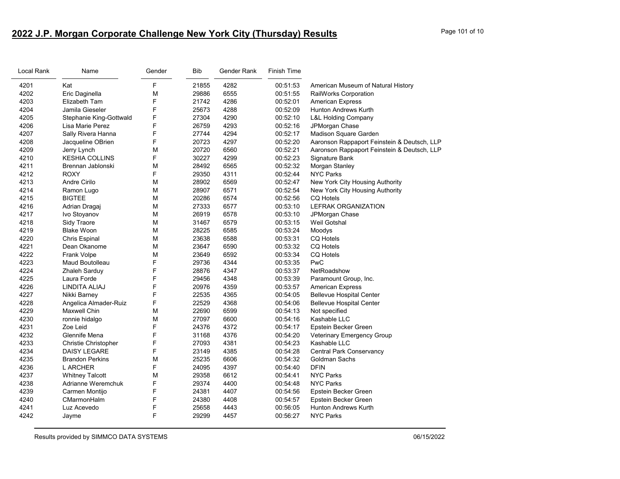# **2022 J.P. Morgan Corporate Challenge New York City (Thursday) Results** Page 101 of 10

| Local Rank | Name                        | Gender | Bib   | Gender Rank | Finish Time |                                             |
|------------|-----------------------------|--------|-------|-------------|-------------|---------------------------------------------|
| 4201       | Kat                         | F      | 21855 | 4282        | 00:51:53    | American Museum of Natural History          |
| 4202       | Eric Daginella              | M      | 29886 | 6555        | 00:51:55    | RailWorks Corporation                       |
| 4203       | Elizabeth Tam               | F      | 21742 | 4286        | 00:52:01    | <b>American Express</b>                     |
| 4204       | Jamila Gieseler             | F      | 25673 | 4288        | 00:52:09    | Hunton Andrews Kurth                        |
| 4205       | Stephanie King-Gottwald     | F      | 27304 | 4290        | 00:52:10    | <b>L&amp;L Holding Company</b>              |
| 4206       | Lisa Marie Perez            | F      | 26759 | 4293        | 00:52:16    | JPMorgan Chase                              |
| 4207       | Sally Rivera Hanna          | F      | 27744 | 4294        | 00:52:17    | Madison Square Garden                       |
| 4208       | Jacqueline OBrien           | F      | 20723 | 4297        | 00:52:20    | Aaronson Rappaport Feinstein & Deutsch, LLP |
| 4209       | Jerry Lynch                 | M      | 20720 | 6560        | 00:52:21    | Aaronson Rappaport Feinstein & Deutsch, LLP |
| 4210       | <b>KESHIA COLLINS</b>       | F      | 30227 | 4299        | 00:52:23    | Signature Bank                              |
| 4211       | Brennan Jablonski           | М      | 28492 | 6565        | 00:52:32    | Morgan Stanley                              |
| 4212       | <b>ROXY</b>                 | F.     | 29350 | 4311        | 00:52:44    | <b>NYC Parks</b>                            |
| 4213       | Andre Cirilo                | М      | 28902 | 6569        | 00:52:47    | New York City Housing Authority             |
| 4214       | Ramon Lugo                  | М      | 28907 | 6571        | 00:52:54    | New York City Housing Authority             |
| 4215       | <b>BIGTEE</b>               | М      | 20286 | 6574        | 00:52:56    | <b>CQ Hotels</b>                            |
| 4216       | Adrian Dragaj               | М      | 27333 | 6577        | 00:53:10    | <b>LEFRAK ORGANIZATION</b>                  |
| 4217       | Ivo Stoyanov                | М      | 26919 | 6578        | 00:53:10    | JPMorgan Chase                              |
| 4218       | Sidy Traore                 | М      | 31467 | 6579        | 00:53:15    | Weil Gotshal                                |
| 4219       | <b>Blake Woon</b>           | М      | 28225 | 6585        | 00:53:24    | Moodys                                      |
| 4220       | <b>Chris Espinal</b>        | М      | 23638 | 6588        | 00:53:31    | <b>CQ Hotels</b>                            |
| 4221       | Dean Okanome                | М      | 23647 | 6590        | 00:53:32    | <b>CQ Hotels</b>                            |
| 4222       | Frank Volpe                 | M      | 23649 | 6592        | 00:53:34    | <b>CQ Hotels</b>                            |
| 4223       | Maud Boutolleau             | F      | 29736 | 4344        | 00:53:35    | PwC                                         |
| 4224       | Zhaleh Sarduy               | F      | 28876 | 4347        | 00:53:37    | NetRoadshow                                 |
| 4225       | Laura Forde                 | F      | 29456 | 4348        | 00:53:39    | Paramount Group, Inc.                       |
| 4226       | LINDITA ALIAJ               | F      | 20976 | 4359        | 00:53:57    | <b>American Express</b>                     |
| 4227       | Nikki Barney                | F      | 22535 | 4365        | 00:54:05    | <b>Bellevue Hospital Center</b>             |
| 4228       | Angelica Almader-Ruiz       | F      | 22529 | 4368        | 00:54:06    | <b>Bellevue Hospital Center</b>             |
| 4229       | <b>Maxwell Chin</b>         | M      | 22690 | 6599        | 00:54:13    | Not specified                               |
| 4230       | ronnie hidalgo              | M      | 27097 | 6600        | 00:54:16    | Kashable LLC                                |
| 4231       | Zoe Leid                    | F      | 24376 | 4372        | 00:54:17    | Epstein Becker Green                        |
| 4232       | Glennife Mena               | F      | 31168 | 4376        | 00:54:20    | Veterinary Emergency Group                  |
| 4233       | <b>Christie Christopher</b> | F      | 27093 | 4381        | 00:54:23    | Kashable LLC                                |
| 4234       | <b>DAISY LEGARE</b>         | F      | 23149 | 4385        | 00:54:28    | <b>Central Park Conservancy</b>             |
| 4235       | <b>Brandon Perkins</b>      | M      | 25235 | 6606        | 00:54:32    | Goldman Sachs                               |
| 4236       | L ARCHER                    | F      | 24095 | 4397        | 00:54:40    | <b>DFIN</b>                                 |
| 4237       | <b>Whitney Talcott</b>      | М      | 29358 | 6612        | 00:54:41    | <b>NYC Parks</b>                            |
| 4238       | Adrianne Weremchuk          | F      | 29374 | 4400        | 00:54:48    | <b>NYC Parks</b>                            |
| 4239       | Carmen Montijo              | F      | 24381 | 4407        | 00:54:56    | Epstein Becker Green                        |
| 4240       | CMarmonHalm                 | F      | 24380 | 4408        | 00:54:57    | Epstein Becker Green                        |
| 4241       | Luz Acevedo                 | F      | 25658 | 4443        | 00:56:05    | <b>Hunton Andrews Kurth</b>                 |
| 4242       | Jayme                       | F      | 29299 | 4457        | 00:56:27    | <b>NYC Parks</b>                            |
|            |                             |        |       |             |             |                                             |